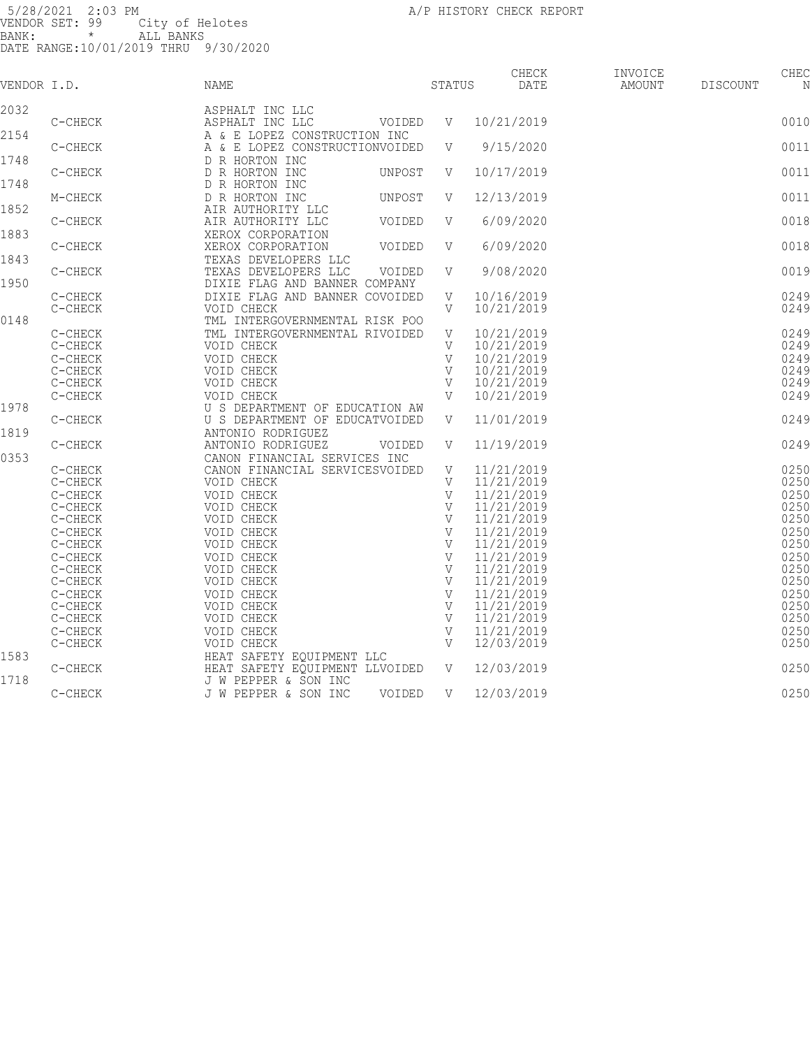| VENDOR I.D. |                    | NAME                                                            | STATUS            | CHECK<br>DATE            | INVOICE<br>AMOUNT | DISCOUNT | CHEC<br>N    |
|-------------|--------------------|-----------------------------------------------------------------|-------------------|--------------------------|-------------------|----------|--------------|
|             |                    |                                                                 |                   |                          |                   |          |              |
| 2032        | C-CHECK            | ASPHALT INC LLC<br>ASPHALT INC LLC<br>VOIDED                    | V                 | 10/21/2019               |                   |          | 0010         |
| 2154        |                    | A & E LOPEZ CONSTRUCTION INC                                    |                   |                          |                   |          |              |
|             | C-CHECK            | A & E LOPEZ CONSTRUCTIONVOIDED                                  | V                 | 9/15/2020                |                   |          | 0011         |
| 1748        |                    | D R HORTON INC                                                  |                   |                          |                   |          |              |
|             | C-CHECK            | D R HORTON INC<br>UNPOST                                        | V                 | 10/17/2019               |                   |          | 0011         |
| 1748        |                    | D R HORTON INC                                                  |                   |                          |                   |          |              |
|             | M-CHECK            | D R HORTON INC<br>UNPOST                                        | V                 | 12/13/2019               |                   |          | 0011         |
| 1852        |                    | AIR AUTHORITY LLC                                               |                   |                          |                   |          |              |
|             | C-CHECK            | AIR AUTHORITY LLC<br>VOIDED                                     | V                 | 6/09/2020                |                   |          | 0018         |
| 1883        |                    | XEROX CORPORATION                                               |                   |                          |                   |          |              |
|             | C-CHECK            | XEROX CORPORATION<br>VOIDED                                     | V                 | 6/09/2020                |                   |          | 0018         |
| 1843        |                    | TEXAS DEVELOPERS LLC                                            |                   |                          |                   |          |              |
| 1950        | C-CHECK            | TEXAS DEVELOPERS LLC<br>VOIDED                                  | V                 | 9/08/2020                |                   |          | 0019         |
|             | C-CHECK            | DIXIE FLAG AND BANNER COMPANY<br>DIXIE FLAG AND BANNER COVOIDED | V                 | 10/16/2019               |                   |          | 0249         |
|             | C-CHECK            | VOID CHECK                                                      | V                 | 10/21/2019               |                   |          | 0249         |
| 0148        |                    | TML INTERGOVERNMENTAL RISK POO                                  |                   |                          |                   |          |              |
|             | C-CHECK            | TML INTERGOVERNMENTAL RIVOIDED                                  | V                 | 10/21/2019               |                   |          | 0249         |
|             | C-CHECK            | VOID CHECK                                                      | V                 | 10/21/2019               |                   |          | 0249         |
|             | C-CHECK            | VOID CHECK                                                      | V                 | 10/21/2019               |                   |          | 0249         |
|             | C-CHECK            | VOID CHECK                                                      | V                 | 10/21/2019               |                   |          | 0249         |
|             | C-CHECK            | VOID CHECK                                                      | V                 | 10/21/2019               |                   |          | 0249         |
|             | $C-CHECK$          | VOID CHECK                                                      | $\mathbf{V}$      | 10/21/2019               |                   |          | 0249         |
| 1978        |                    | U S DEPARTMENT OF EDUCATION AW                                  |                   |                          |                   |          |              |
|             | C-CHECK            | U S DEPARTMENT OF EDUCATVOIDED                                  | V                 | 11/01/2019               |                   |          | 0249         |
| 1819        |                    | ANTONIO RODRIGUEZ                                               |                   |                          |                   |          |              |
|             | C-CHECK            | ANTONIO RODRIGUEZ<br>VOIDED                                     | V                 | 11/19/2019               |                   |          | 0249         |
| 0353        |                    | CANON FINANCIAL SERVICES INC                                    |                   |                          |                   |          |              |
|             | C-CHECK            | CANON FINANCIAL SERVICESVOIDED                                  | V                 | 11/21/2019               |                   |          | 0250         |
|             | C-CHECK            | VOID CHECK                                                      | V<br>$\mathbf{V}$ | 11/21/2019               |                   |          | 0250<br>0250 |
|             | C-CHECK<br>C-CHECK | VOID CHECK<br>VOID CHECK                                        | V                 | 11/21/2019<br>11/21/2019 |                   |          | 0250         |
|             | C-CHECK            | VOID CHECK                                                      | V                 | 11/21/2019               |                   |          | 0250         |
|             | C-CHECK            | VOID CHECK                                                      | $\mathbf{V}$      | 11/21/2019               |                   |          | 0250         |
|             | C-CHECK            | VOID CHECK                                                      | V                 | 11/21/2019               |                   |          | 0250         |
|             | C-CHECK            | VOID CHECK                                                      | V                 | 11/21/2019               |                   |          | 0250         |
|             | C-CHECK            | VOID CHECK                                                      | $\mathbf{V}$      | 11/21/2019               |                   |          | 0250         |
|             | C-CHECK            | VOID CHECK                                                      | V                 | 11/21/2019               |                   |          | 0250         |
|             | C-CHECK            | VOID CHECK                                                      | V                 | 11/21/2019               |                   |          | 0250         |
|             | C-CHECK            | VOID CHECK                                                      | V                 | 11/21/2019               |                   |          | 0250         |
|             | C-CHECK            | VOID CHECK                                                      | V                 | 11/21/2019               |                   |          | 0250         |
|             | C-CHECK            | VOID CHECK                                                      | $\mathbf{V}$      | 11/21/2019               |                   |          | 0250         |
|             | C-CHECK            | VOID CHECK                                                      | V                 | 12/03/2019               |                   |          | 0250         |
| 1583        |                    | HEAT SAFETY EQUIPMENT LLC                                       |                   |                          |                   |          |              |
| 1718        | C-CHECK            | HEAT SAFETY EQUIPMENT LLVOIDED<br>J W PEPPER & SON INC          | V                 | 12/03/2019               |                   |          | 0250         |
|             | $\texttt{C-CHECK}$ | J W PEPPER & SON INC<br>VOIDED                                  | V                 | 12/03/2019               |                   |          | 0250         |
|             |                    |                                                                 |                   |                          |                   |          |              |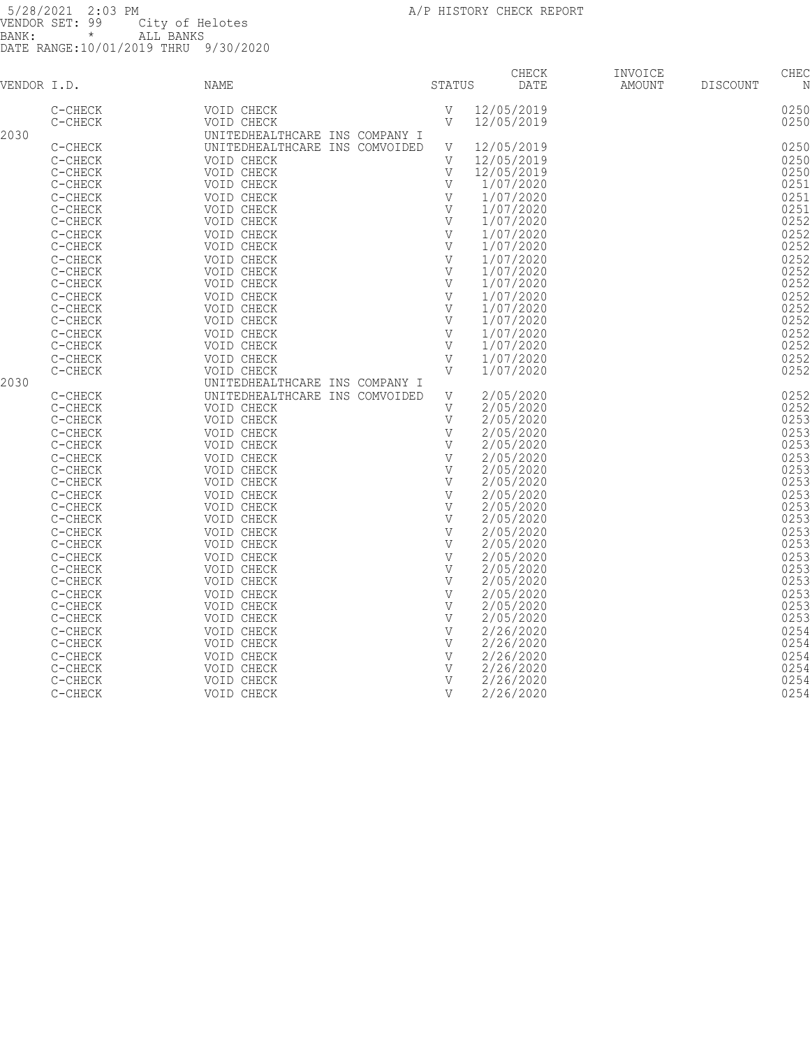|             |                    |                                |              | CHECK      | INVOICE |                 | CHEC         |
|-------------|--------------------|--------------------------------|--------------|------------|---------|-----------------|--------------|
| VENDOR I.D. |                    | NAME                           | STATUS       | DATE       | AMOUNT  | <b>DISCOUNT</b> | N            |
|             | C-CHECK            | VOID CHECK                     | V            | 12/05/2019 |         |                 | 0250         |
|             | C-CHECK            | VOID CHECK                     | $\mathbf{V}$ | 12/05/2019 |         |                 | 0250         |
| 2030        |                    | UNITEDHEALTHCARE INS COMPANY I |              |            |         |                 |              |
|             | C-CHECK            | UNITEDHEALTHCARE INS COMVOIDED | V            | 12/05/2019 |         |                 | 0250         |
|             | $C-CHECK$          | VOID CHECK                     | V            | 12/05/2019 |         |                 | 0250         |
|             | C-CHECK            | VOID CHECK                     | $\mathbf{V}$ | 12/05/2019 |         |                 | 0250         |
|             | C-CHECK            | VOID CHECK                     | V            | 1/07/2020  |         |                 | 0251         |
|             | $C-CHECK$          | VOID CHECK                     | V            | 1/07/2020  |         |                 | 0251         |
|             |                    |                                | V            | 1/07/2020  |         |                 | 0251         |
|             | C-CHECK<br>C-CHECK | VOID CHECK<br>VOID CHECK       | V            | 1/07/2020  |         |                 | 0252         |
|             |                    |                                |              |            |         |                 |              |
|             | C-CHECK            | VOID CHECK                     | V            | 1/07/2020  |         |                 | 0252<br>0252 |
|             | C-CHECK            | VOID CHECK                     | V            | 1/07/2020  |         |                 |              |
|             | C-CHECK            | VOID CHECK                     | V            | 1/07/2020  |         |                 | 0252         |
|             | C-CHECK            | VOID CHECK                     | V            | 1/07/2020  |         |                 | 0252         |
|             | C-CHECK            | VOID CHECK                     | V            | 1/07/2020  |         |                 | 0252         |
|             | $C-CHECK$          | VOID CHECK                     | $\mathbf V$  | 1/07/2020  |         |                 | 0252         |
|             | $C-CHECK$          | VOID CHECK                     | V            | 1/07/2020  |         |                 | 0252         |
|             | $C-CHECK$          | VOID CHECK                     | V            | 1/07/2020  |         |                 | 0252         |
|             | $C-CHECK$          | VOID CHECK                     | V            | 1/07/2020  |         |                 | 0252         |
|             | $C-CHECK$          | VOID CHECK                     | V            | 1/07/2020  |         |                 | 0252         |
|             | $C-CHECK$          | VOID CHECK                     | V            | 1/07/2020  |         |                 | 0252         |
|             | C-CHECK            | VOID CHECK                     | V            | 1/07/2020  |         |                 | 0252         |
| 2030        |                    | UNITEDHEALTHCARE INS COMPANY I |              |            |         |                 |              |
|             | C-CHECK            | UNITEDHEALTHCARE INS COMVOIDED | V            | 2/05/2020  |         |                 | 0252         |
|             | C-CHECK            | VOID CHECK                     | V            | 2/05/2020  |         |                 | 0252         |
|             | C-CHECK            | VOID CHECK                     | V            | 2/05/2020  |         |                 | 0253         |
|             | $C-CHECK$          | VOID CHECK                     | V            | 2/05/2020  |         |                 | 0253         |
|             | C-CHECK            | VOID CHECK                     | V            | 2/05/2020  |         |                 | 0253         |
|             | C-CHECK            | VOID CHECK                     | $\mathbf{V}$ | 2/05/2020  |         |                 | 0253         |
|             | C-CHECK            | VOID CHECK                     | V            | 2/05/2020  |         |                 | 0253         |
|             | $C-CHECK$          | VOID CHECK                     | V            | 2/05/2020  |         |                 | 0253         |
|             | C-CHECK            | VOID CHECK                     | V            | 2/05/2020  |         |                 | 0253         |
|             | $C-CHECK$          | VOID CHECK                     | V            | 2/05/2020  |         |                 | 0253         |
|             | $C-CHECK$          | VOID CHECK                     | $\mathbf{V}$ | 2/05/2020  |         |                 | 0253         |
|             | $C-CHECK$          | VOID CHECK                     | $\mathbf{V}$ | 2/05/2020  |         |                 | 0253         |
|             | $C-CHECK$          | VOID CHECK                     | V            | 2/05/2020  |         |                 | 0253         |
|             | $C-CHECK$          | VOID CHECK                     | $\mathbf{V}$ | 2/05/2020  |         |                 | 0253         |
|             | $C-CHECK$          | VOID CHECK                     | $\mathbf{V}$ | 2/05/2020  |         |                 | 0253         |
|             | C-CHECK            | VOID CHECK                     | V            | 2/05/2020  |         |                 | 0253         |
|             | C-CHECK            | VOID CHECK                     | $\mathbf{V}$ | 2/05/2020  |         |                 | 0253         |
|             | C-CHECK            | VOID CHECK                     | V            | 2/05/2020  |         |                 | 0253         |
|             | C-CHECK            | VOID CHECK                     | V            | 2/05/2020  |         |                 | 0253         |
|             |                    |                                | V            | 2/26/2020  |         |                 | 0254         |
|             | C-CHECK            | VOID CHECK                     | V            | 2/26/2020  |         |                 | 0254         |
|             | C-CHECK            | VOID CHECK                     |              |            |         |                 |              |
|             | C-CHECK            | VOID CHECK                     | V            | 2/26/2020  |         |                 | 0254         |
|             | C-CHECK            | VOID CHECK                     | V            | 2/26/2020  |         |                 | 0254         |
|             | C-CHECK            | VOID CHECK                     | V            | 2/26/2020  |         |                 | 0254         |
|             | C-CHECK            | VOID CHECK                     | $\mathbf{V}$ | 2/26/2020  |         |                 | 0254         |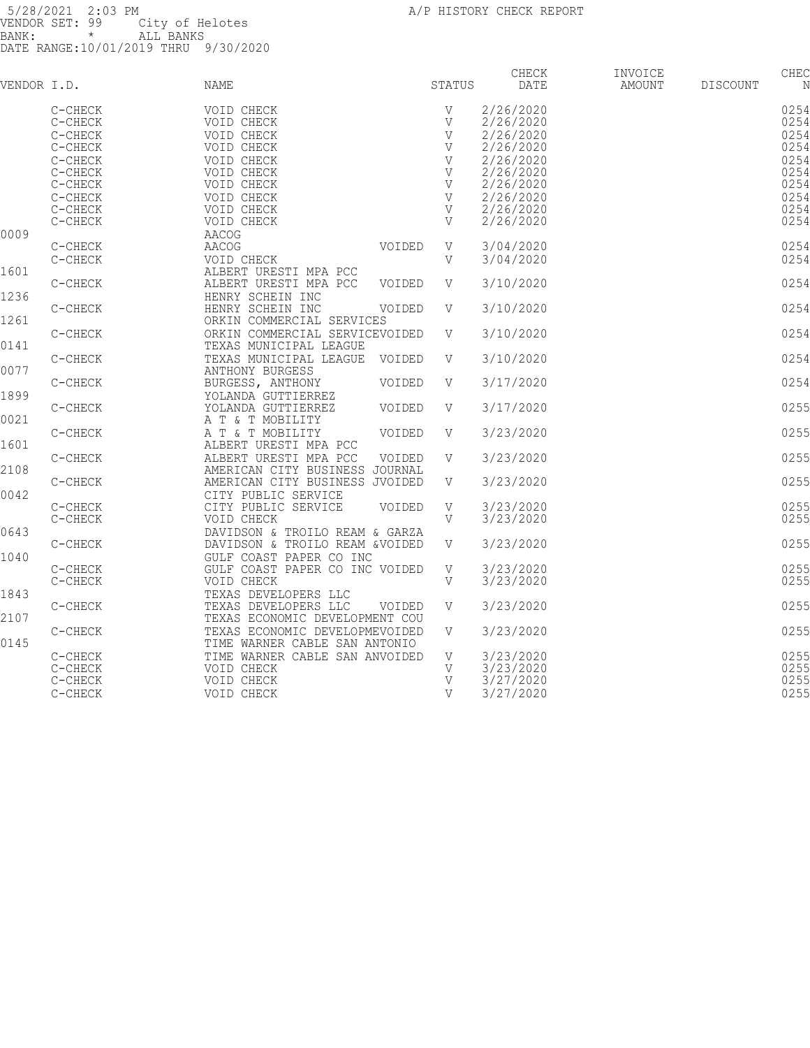|             |           |                                |        |              | CHECK     | INVOICE |                 | CHEC |
|-------------|-----------|--------------------------------|--------|--------------|-----------|---------|-----------------|------|
| VENDOR I.D. |           | NAME                           |        | STATUS       | DATE      | AMOUNT  | <b>DISCOUNT</b> | N    |
|             | C-CHECK   | VOID CHECK                     |        | V            | 2/26/2020 |         |                 | 0254 |
|             | C-CHECK   | VOID CHECK                     |        | $\mathbf V$  | 2/26/2020 |         |                 | 0254 |
|             | C-CHECK   | VOID CHECK                     |        | $\mathbf V$  | 2/26/2020 |         |                 | 0254 |
|             | $C-CHECK$ | VOID CHECK                     |        | $\mathbf V$  | 2/26/2020 |         |                 | 0254 |
|             | C-CHECK   | VOID CHECK                     |        | $\mathbf V$  | 2/26/2020 |         |                 | 0254 |
|             | C-CHECK   | VOID CHECK                     |        | $\mathbf V$  | 2/26/2020 |         |                 | 0254 |
|             | C-CHECK   | VOID CHECK                     |        | V            | 2/26/2020 |         |                 | 0254 |
|             | C-CHECK   | VOID CHECK                     |        | V            | 2/26/2020 |         |                 | 0254 |
|             | C-CHECK   | VOID CHECK                     |        | V            | 2/26/2020 |         |                 | 0254 |
|             | C-CHECK   | VOID CHECK                     |        | V            | 2/26/2020 |         |                 | 0254 |
| 0009        |           | AACOG                          |        |              |           |         |                 |      |
|             | C-CHECK   | AACOG                          | VOIDED | V            | 3/04/2020 |         |                 | 0254 |
|             | C-CHECK   | VOID CHECK                     |        | V            | 3/04/2020 |         |                 | 0254 |
| 1601        |           | ALBERT URESTI MPA PCC          |        |              |           |         |                 |      |
|             | C-CHECK   | ALBERT URESTI MPA PCC          | VOIDED | V            | 3/10/2020 |         |                 | 0254 |
| 1236        |           | HENRY SCHEIN INC               |        |              |           |         |                 |      |
|             | C-CHECK   | HENRY SCHEIN INC               | VOIDED | V            | 3/10/2020 |         |                 | 0254 |
| 1261        |           | ORKIN COMMERCIAL SERVICES      |        |              |           |         |                 |      |
|             | C-CHECK   | ORKIN COMMERCIAL SERVICEVOIDED |        | V            | 3/10/2020 |         |                 | 0254 |
| 0141        |           | TEXAS MUNICIPAL LEAGUE         |        |              |           |         |                 |      |
|             | C-CHECK   | TEXAS MUNICIPAL LEAGUE         | VOIDED | V            | 3/10/2020 |         |                 | 0254 |
| 0077        |           | ANTHONY BURGESS                |        |              |           |         |                 |      |
|             | C-CHECK   | BURGESS, ANTHONY               | VOIDED | V            | 3/17/2020 |         |                 | 0254 |
| 1899        |           | YOLANDA GUTTIERREZ             |        |              |           |         |                 |      |
|             | C-CHECK   | YOLANDA GUTTIERREZ             | VOIDED | V            | 3/17/2020 |         |                 | 0255 |
| 0021        |           | A T & T MOBILITY               |        |              |           |         |                 |      |
|             | C-CHECK   | A T & T MOBILITY               | VOIDED | V            | 3/23/2020 |         |                 | 0255 |
| 1601        |           | ALBERT URESTI MPA PCC          |        |              |           |         |                 |      |
|             | C-CHECK   | ALBERT URESTI MPA PCC          | VOIDED | V            | 3/23/2020 |         |                 | 0255 |
| 2108        |           | AMERICAN CITY BUSINESS JOURNAL |        |              |           |         |                 |      |
|             | C-CHECK   | AMERICAN CITY BUSINESS JVOIDED |        | V            | 3/23/2020 |         |                 | 0255 |
| 0042        |           | CITY PUBLIC SERVICE            |        |              |           |         |                 |      |
|             | C-CHECK   | CITY PUBLIC SERVICE            | VOIDED | V            | 3/23/2020 |         |                 | 0255 |
|             | $C-CHECK$ | VOID CHECK                     |        | $\mathbf{V}$ | 3/23/2020 |         |                 | 0255 |
| 0643        |           | DAVIDSON & TROILO REAM & GARZA |        |              |           |         |                 |      |
|             | $C-CHECK$ | DAVIDSON & TROILO REAM &VOIDED |        | V            | 3/23/2020 |         |                 | 0255 |
| 1040        |           | GULF COAST PAPER CO INC        |        |              |           |         |                 |      |
|             | C-CHECK   | GULF COAST PAPER CO INC VOIDED |        | V            | 3/23/2020 |         |                 | 0255 |
|             | C-CHECK   | VOID CHECK                     |        | V            | 3/23/2020 |         |                 | 0255 |
| 1843        |           | TEXAS DEVELOPERS LLC           |        |              |           |         |                 |      |
|             | C-CHECK   | TEXAS DEVELOPERS LLC           | VOIDED | V            | 3/23/2020 |         |                 | 0255 |
| 2107        |           | TEXAS ECONOMIC DEVELOPMENT COU |        |              |           |         |                 |      |
|             | C-CHECK   | TEXAS ECONOMIC DEVELOPMEVOIDED |        | V            | 3/23/2020 |         |                 | 0255 |
| 0145        |           | TIME WARNER CABLE SAN ANTONIO  |        |              |           |         |                 |      |
|             | C-CHECK   | TIME WARNER CABLE SAN ANVOIDED |        | V            | 3/23/2020 |         |                 | 0255 |
|             | C-CHECK   | VOID CHECK                     |        | V            | 3/23/2020 |         |                 | 0255 |
|             | C-CHECK   | VOID CHECK                     |        | V            | 3/27/2020 |         |                 | 0255 |
|             | C-CHECK   | VOID CHECK                     |        | $\mathbf{V}$ | 3/27/2020 |         |                 | 0255 |
|             |           |                                |        |              |           |         |                 |      |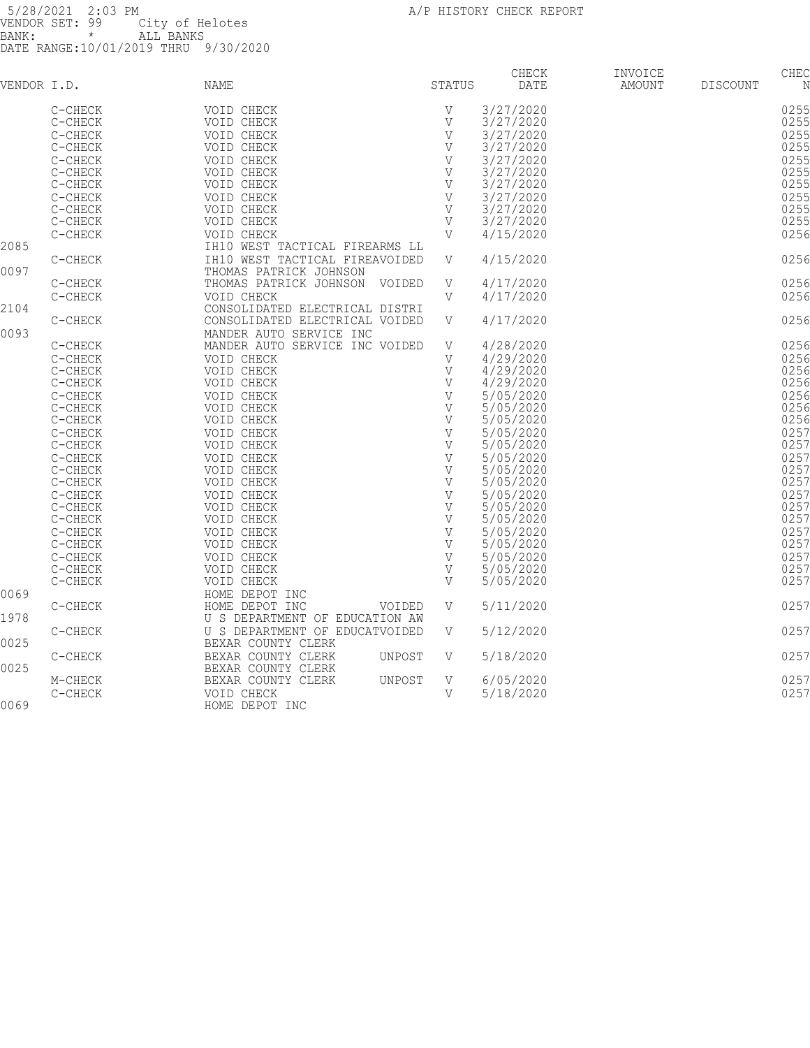|             |           |                                |              | CHECK     | INVOICE |                 | CHEC |
|-------------|-----------|--------------------------------|--------------|-----------|---------|-----------------|------|
| VENDOR I.D. |           | NAME                           | STATUS       | DATE      | AMOUNT  | <b>DISCOUNT</b> | Ν    |
|             | C-CHECK   | VOID CHECK                     | V            | 3/27/2020 |         |                 | 0255 |
|             | C-CHECK   | VOID CHECK                     | $\mathbf{V}$ | 3/27/2020 |         |                 | 0255 |
|             | C-CHECK   | VOID CHECK                     | $\mathbf{V}$ | 3/27/2020 |         |                 | 0255 |
|             | C-CHECK   | VOID CHECK                     | V            | 3/27/2020 |         |                 | 0255 |
|             |           |                                |              |           |         |                 |      |
|             | C-CHECK   | VOID CHECK                     | $\mathbf{V}$ | 3/27/2020 |         |                 | 0255 |
|             | C-CHECK   | VOID CHECK                     | V            | 3/27/2020 |         |                 | 0255 |
|             | C-CHECK   | VOID CHECK                     | V            | 3/27/2020 |         |                 | 0255 |
|             | $C-CHECK$ | VOID CHECK                     | V            | 3/27/2020 |         |                 | 0255 |
|             | C-CHECK   | VOID CHECK                     | V            | 3/27/2020 |         |                 | 0255 |
|             | C-CHECK   | VOID CHECK                     | V            | 3/27/2020 |         |                 | 0255 |
|             | C-CHECK   | VOID CHECK                     | V            | 4/15/2020 |         |                 | 0256 |
| 2085        |           | IH10 WEST TACTICAL FIREARMS LL |              |           |         |                 |      |
|             | C-CHECK   | IH10 WEST TACTICAL FIREAVOIDED | V            | 4/15/2020 |         |                 | 0256 |
| 0097        |           | THOMAS PATRICK JOHNSON         |              |           |         |                 |      |
|             | C-CHECK   | THOMAS PATRICK JOHNSON VOIDED  | V            | 4/17/2020 |         |                 | 0256 |
|             | C-CHECK   | VOID CHECK                     | V            | 4/17/2020 |         |                 | 0256 |
| 2104        |           | CONSOLIDATED ELECTRICAL DISTRI |              |           |         |                 |      |
|             | C-CHECK   | CONSOLIDATED ELECTRICAL VOIDED | V            | 4/17/2020 |         |                 | 0256 |
| 0093        |           | MANDER AUTO SERVICE INC        |              |           |         |                 |      |
|             |           |                                |              |           |         |                 | 0256 |
|             | C-CHECK   | MANDER AUTO SERVICE INC VOIDED | V            | 4/28/2020 |         |                 |      |
|             | C-CHECK   | VOID CHECK                     | V            | 4/29/2020 |         |                 | 0256 |
|             | C-CHECK   | VOID CHECK                     | V            | 4/29/2020 |         |                 | 0256 |
|             | C-CHECK   | VOID CHECK                     | V            | 4/29/2020 |         |                 | 0256 |
|             | C-CHECK   | VOID CHECK                     | $\mathbf{V}$ | 5/05/2020 |         |                 | 0256 |
|             | C-CHECK   | VOID CHECK                     | $\mathbf{V}$ | 5/05/2020 |         |                 | 0256 |
|             | $C-CHECK$ | VOID CHECK                     | V            | 5/05/2020 |         |                 | 0256 |
|             | $C-CHECK$ | VOID CHECK                     | V            | 5/05/2020 |         |                 | 0257 |
|             | C-CHECK   | VOID CHECK                     | V            | 5/05/2020 |         |                 | 0257 |
|             | C-CHECK   | VOID CHECK                     | V            | 5/05/2020 |         |                 | 0257 |
|             | C-CHECK   | VOID CHECK                     | V            | 5/05/2020 |         |                 | 0257 |
|             | C-CHECK   | VOID CHECK                     | V            | 5/05/2020 |         |                 | 0257 |
|             | C-CHECK   | VOID CHECK                     | V            | 5/05/2020 |         |                 | 0257 |
|             |           |                                | $\mathbf{V}$ |           |         |                 |      |
|             | C-CHECK   | VOID CHECK                     |              | 5/05/2020 |         |                 | 0257 |
|             | C-CHECK   | VOID CHECK                     | V            | 5/05/2020 |         |                 | 0257 |
|             | $C-CHECK$ | VOID CHECK                     | $\mathbf V$  | 5/05/2020 |         |                 | 0257 |
|             | C-CHECK   | VOID CHECK                     | V            | 5/05/2020 |         |                 | 0257 |
|             | C-CHECK   | VOID CHECK                     | V            | 5/05/2020 |         |                 | 0257 |
|             | C-CHECK   | VOID CHECK                     | V            | 5/05/2020 |         |                 | 0257 |
|             | C-CHECK   | VOID CHECK                     | $\mathbf{V}$ | 5/05/2020 |         |                 | 0257 |
| 0069        |           | HOME DEPOT INC                 |              |           |         |                 |      |
|             | C-CHECK   | HOME DEPOT INC<br>VOIDED       | V            | 5/11/2020 |         |                 | 0257 |
| 1978        |           | U S DEPARTMENT OF EDUCATION AW |              |           |         |                 |      |
|             | C-CHECK   | U S DEPARTMENT OF EDUCATVOIDED | V            | 5/12/2020 |         |                 | 0257 |
| 0025        |           | BEXAR COUNTY CLERK             |              |           |         |                 |      |
|             | C-CHECK   | BEXAR COUNTY CLERK<br>UNPOST   | V            | 5/18/2020 |         |                 | 0257 |
| 0025        |           |                                |              |           |         |                 |      |
|             |           | BEXAR COUNTY CLERK             |              |           |         |                 | 0257 |
|             | M-CHECK   | BEXAR COUNTY CLERK<br>UNPOST   | V            | 6/05/2020 |         |                 |      |
|             | C-CHECK   | VOID CHECK                     | V            | 5/18/2020 |         |                 | 0257 |
| 0069        |           | HOME DEPOT INC                 |              |           |         |                 |      |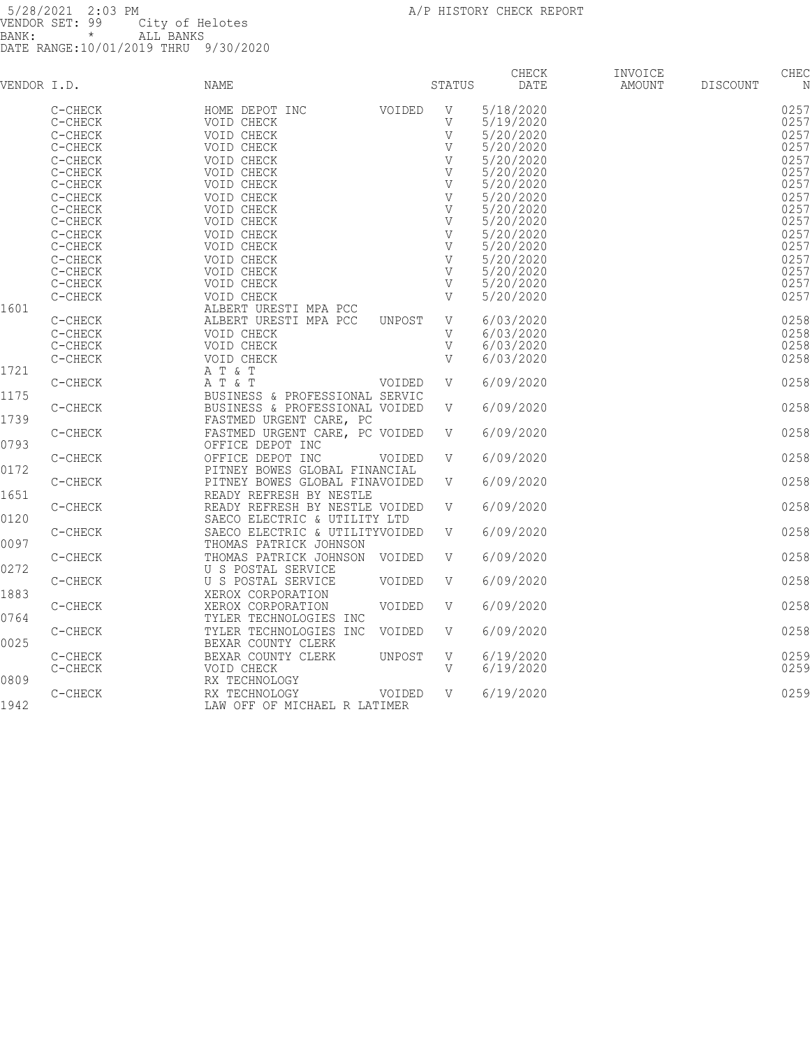| VENDOR I.D. |         | NAME                                |        | STATUS       | <b>CHECK</b><br>DATE | INVOICE<br>AMOUNT | <b>DISCOUNT</b> | CHEC<br>N |
|-------------|---------|-------------------------------------|--------|--------------|----------------------|-------------------|-----------------|-----------|
|             | C-CHECK | HOME DEPOT INC                      | VOIDED | V            | 5/18/2020            |                   |                 | 0257      |
|             | C-CHECK | VOID CHECK                          |        | $\mathbf{V}$ | 5/19/2020            |                   |                 | 0257      |
|             | C-CHECK | VOID CHECK                          |        | V            | 5/20/2020            |                   |                 | 0257      |
|             | C-CHECK | VOID CHECK                          |        |              | 5/20/2020            |                   |                 | 0257      |
|             | C-CHECK | VOID CHECK                          |        |              | 5/20/2020            |                   |                 | 0257      |
|             | C-CHECK | VOID CHECK                          |        |              | 5/20/2020            |                   |                 | 0257      |
|             | C-CHECK | VOID CHECK                          |        |              | 5/20/2020            |                   |                 | 0257      |
|             | C-CHECK | VOID CHECK                          |        |              | 5/20/2020            |                   |                 | 0257      |
|             | C-CHECK | VOID CHECK                          |        |              | 5/20/2020            |                   |                 | 0257      |
|             | C-CHECK | VOID CHECK                          |        |              | 5/20/2020            |                   |                 | 0257      |
|             | C-CHECK | VOID CHECK                          |        |              | 5/20/2020            |                   |                 | 0257      |
|             | C-CHECK | VOID CHECK                          |        |              | 5/20/2020            |                   |                 | 0257      |
|             | C-CHECK | VOID CHECK                          |        |              | 5/20/2020            |                   |                 | 0257      |
|             | C-CHECK | VOID CHECK                          |        | V            | 5/20/2020            |                   |                 | 0257      |
|             | C-CHECK | VOID CHECK                          |        |              | 5/20/2020            |                   |                 | 0257      |
| 1601        | C-CHECK | VOID CHECK<br>ALBERT URESTI MPA PCC |        | V            | 5/20/2020            |                   |                 | 0257      |
|             | C-CHECK | ALBERT URESTI MPA PCC               | UNPOST | V            | 6/03/2020            |                   |                 | 0258      |
|             | C-CHECK | VOID CHECK                          |        | V            | 6/03/2020            |                   |                 | 0258      |
|             | C-CHECK | VOID CHECK                          |        | V            | 6/03/2020            |                   |                 | 0258      |
|             | C-CHECK | VOID CHECK                          |        | V            | 6/03/2020            |                   |                 | 0258      |
| 1721        |         | A T $\&$ T                          |        |              |                      |                   |                 |           |
|             | C-CHECK | A T & T                             | VOIDED | V            | 6/09/2020            |                   |                 | 0258      |
| 1175        |         | BUSINESS & PROFESSIONAL SERVIC      |        |              |                      |                   |                 |           |
|             | C-CHECK | BUSINESS & PROFESSIONAL VOIDED      |        | V            | 6/09/2020            |                   |                 | 0258      |
| 1739        |         | FASTMED URGENT CARE, PC             |        |              |                      |                   |                 |           |
|             | C-CHECK | FASTMED URGENT CARE, PC VOIDED      |        | V V          | 6/09/2020            |                   |                 | 0258      |
| 0793        |         | OFFICE DEPOT INC                    |        |              |                      |                   |                 |           |
|             | C-CHECK | OFFICE DEPOT INC                    | VOIDED | V            | 6/09/2020            |                   |                 | 0258      |
| 0172        |         | PITNEY BOWES GLOBAL FINANCIAL       |        |              |                      |                   |                 |           |
|             | C-CHECK | PITNEY BOWES GLOBAL FINAVOIDED      |        | V            | 6/09/2020            |                   |                 | 0258      |
| 1651        |         | READY REFRESH BY NESTLE             |        |              |                      |                   |                 |           |
|             | C-CHECK | READY REFRESH BY NESTLE VOIDED      |        | V            | 6/09/2020            |                   |                 | 0258      |
| 0120        |         | SAECO ELECTRIC & UTILITY LTD        |        |              |                      |                   |                 |           |
|             | C-CHECK | SAECO ELECTRIC & UTILITYVOIDED      |        | V            | 6/09/2020            |                   |                 | 0258      |
| 0097        |         | THOMAS PATRICK JOHNSON              |        |              |                      |                   |                 |           |
|             | C-CHECK | THOMAS PATRICK JOHNSON VOIDED       |        | V            | 6/09/2020            |                   |                 | 0258      |
| 0272        |         | U S POSTAL SERVICE                  |        |              |                      |                   |                 |           |
|             | C-CHECK | U S POSTAL SERVICE                  | VOIDED | V            | 6/09/2020            |                   |                 | 0258      |
| 1883        |         | XEROX CORPORATION                   |        |              |                      |                   |                 |           |
|             | C-CHECK | XEROX CORPORATION                   | VOIDED | V            | 6/09/2020            |                   |                 | 0258      |
| 0764        |         | TYLER TECHNOLOGIES INC              |        |              |                      |                   |                 |           |
|             | C-CHECK | TYLER TECHNOLOGIES INC              | VOIDED | V            | 6/09/2020            |                   |                 | 0258      |
| 0025        |         | BEXAR COUNTY CLERK                  |        |              |                      |                   |                 |           |
|             | C-CHECK | BEXAR COUNTY CLERK                  | UNPOST | V            | 6/19/2020            |                   |                 | 0259      |
|             | C-CHECK | VOID CHECK                          |        | V            | 6/19/2020            |                   |                 | 0259      |
| 0809        |         | RX TECHNOLOGY                       |        |              |                      |                   |                 |           |
|             | C-CHECK | RX TECHNOLOGY                       | VOIDED | V            | 6/19/2020            |                   |                 | 0259      |
| 1942        |         | LAW OFF OF MICHAEL R LATIMER        |        |              |                      |                   |                 |           |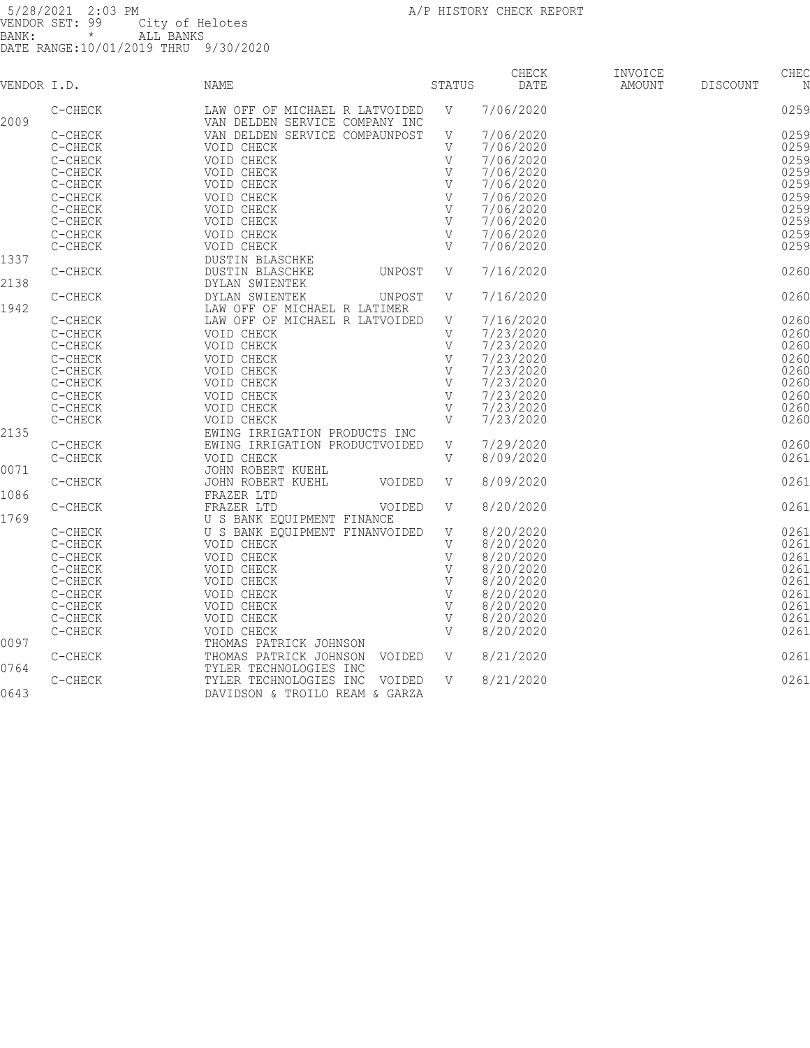| VENDOR I.D. |           | NAME                                                             | STATUS        | CHECK<br>DATE | INVOICE<br>AMOUNT | <b>DISCOUNT</b> | CHEC<br>N |
|-------------|-----------|------------------------------------------------------------------|---------------|---------------|-------------------|-----------------|-----------|
| 2009        | C-CHECK   | LAW OFF OF MICHAEL R LATVOIDED<br>VAN DELDEN SERVICE COMPANY INC | V             | 7/06/2020     |                   |                 | 0259      |
|             | C-CHECK   | VAN DELDEN SERVICE COMPAUNPOST                                   | V             | 7/06/2020     |                   |                 | 0259      |
|             | C-CHECK   | VOID CHECK                                                       | V             | 7/06/2020     |                   |                 | 0259      |
|             |           |                                                                  | V             |               |                   |                 | 0259      |
|             | C-CHECK   | VOID CHECK                                                       |               | 7/06/2020     |                   |                 |           |
|             | C-CHECK   | VOID CHECK                                                       | V             | 7/06/2020     |                   |                 | 0259      |
|             | $C-CHECK$ | VOID CHECK                                                       | V             | 7/06/2020     |                   |                 | 0259      |
|             | C-CHECK   | VOID CHECK                                                       | $\mathbf V$   | 7/06/2020     |                   |                 | 0259      |
|             | C-CHECK   | VOID CHECK                                                       | V             | 7/06/2020     |                   |                 | 0259      |
|             | C-CHECK   | VOID CHECK                                                       | V             | 7/06/2020     |                   |                 | 0259      |
|             | $C-CHECK$ | VOID CHECK                                                       | V             | 7/06/2020     |                   |                 | 0259      |
|             | C-CHECK   | VOID CHECK                                                       | V             | 7/06/2020     |                   |                 | 0259      |
| 1337        |           | DUSTIN BLASCHKE                                                  |               |               |                   |                 |           |
|             | C-CHECK   | DUSTIN BLASCHKE<br>UNPOST                                        | V             | 7/16/2020     |                   |                 | 0260      |
| 2138        |           | DYLAN SWIENTEK                                                   |               |               |                   |                 |           |
|             | C-CHECK   | DYLAN SWIENTEK<br>UNPOST                                         | V             | 7/16/2020     |                   |                 | 0260      |
| 1942        |           | LAW OFF OF MICHAEL R LATIMER                                     |               |               |                   |                 |           |
|             | C-CHECK   | LAW OFF OF MICHAEL R LATVOIDED                                   | V             | 7/16/2020     |                   |                 | 0260      |
|             |           |                                                                  |               |               |                   |                 |           |
|             | C-CHECK   | VOID CHECK                                                       | V             | 7/23/2020     |                   |                 | 0260      |
|             | $C-CHECK$ | VOID CHECK                                                       | V             | 7/23/2020     |                   |                 | 0260      |
|             | C-CHECK   | VOID CHECK                                                       | V             | 7/23/2020     |                   |                 | 0260      |
|             | C-CHECK   | VOID CHECK                                                       | $\mathbf V$   | 7/23/2020     |                   |                 | 0260      |
|             | C-CHECK   | VOID CHECK                                                       | $\mathbf V$   | 7/23/2020     |                   |                 | 0260      |
|             | C-CHECK   | VOID CHECK                                                       | V             | 7/23/2020     |                   |                 | 0260      |
|             | C-CHECK   | VOID CHECK                                                       | V             | 7/23/2020     |                   |                 | 0260      |
|             | C-CHECK   | VOID CHECK                                                       | $\mathbf{V}$  | 7/23/2020     |                   |                 | 0260      |
| 2135        |           | EWING IRRIGATION PRODUCTS INC                                    |               |               |                   |                 |           |
|             | C-CHECK   | EWING IRRIGATION PRODUCTVOIDED                                   | V             | 7/29/2020     |                   |                 | 0260      |
|             | C-CHECK   | VOID CHECK                                                       | V             | 8/09/2020     |                   |                 | 0261      |
| 0071        |           |                                                                  |               |               |                   |                 |           |
|             |           | JOHN ROBERT KUEHL                                                |               |               |                   |                 |           |
|             | C-CHECK   | JOHN ROBERT KUEHL<br>VOIDED                                      | V             | 8/09/2020     |                   |                 | 0261      |
| 1086        |           | FRAZER LTD                                                       |               |               |                   |                 |           |
|             | C-CHECK   | FRAZER LTD<br>VOIDED                                             | V             | 8/20/2020     |                   |                 | 0261      |
| 1769        |           | U S BANK EQUIPMENT FINANCE                                       |               |               |                   |                 |           |
|             | C-CHECK   | U S BANK EQUIPMENT FINANVOIDED                                   | $\mathbf{V}$  | 8/20/2020     |                   |                 | 0261      |
|             | $C-CHECK$ | VOID CHECK                                                       | V             | 8/20/2020     |                   |                 | 0261      |
|             | C-CHECK   | VOID CHECK                                                       | $\mathbf V$   | 8/20/2020     |                   |                 | 0261      |
|             | C-CHECK   | VOID CHECK                                                       |               | 8/20/2020     |                   |                 | 0261      |
|             | C-CHECK   | VOID CHECK                                                       |               | 8/20/2020     |                   |                 | 0261      |
|             | C-CHECK   | VOID CHECK                                                       |               | 8/20/2020     |                   |                 | 0261      |
|             | C-CHECK   | VOID CHECK                                                       |               | 8/20/2020     |                   |                 | 0261      |
|             | C-CHECK   | VOID CHECK                                                       | V             | 8/20/2020     |                   |                 | 0261      |
|             |           |                                                                  | $\mathbf{V}$  |               |                   |                 |           |
|             | C-CHECK   | VOID CHECK                                                       |               | 8/20/2020     |                   |                 | 0261      |
| 0097        |           | THOMAS PATRICK JOHNSON                                           |               |               |                   |                 |           |
|             | C-CHECK   | THOMAS PATRICK JOHNSON VOIDED                                    | $\mathbf {V}$ | 8/21/2020     |                   |                 | 0261      |
| 0764        |           | TYLER TECHNOLOGIES INC                                           |               |               |                   |                 |           |
|             | C-CHECK   | TYLER TECHNOLOGIES INC VOIDED                                    | V             | 8/21/2020     |                   |                 | 0261      |
| 0643        |           | DAVIDSON & TROILO REAM & GARZA                                   |               |               |                   |                 |           |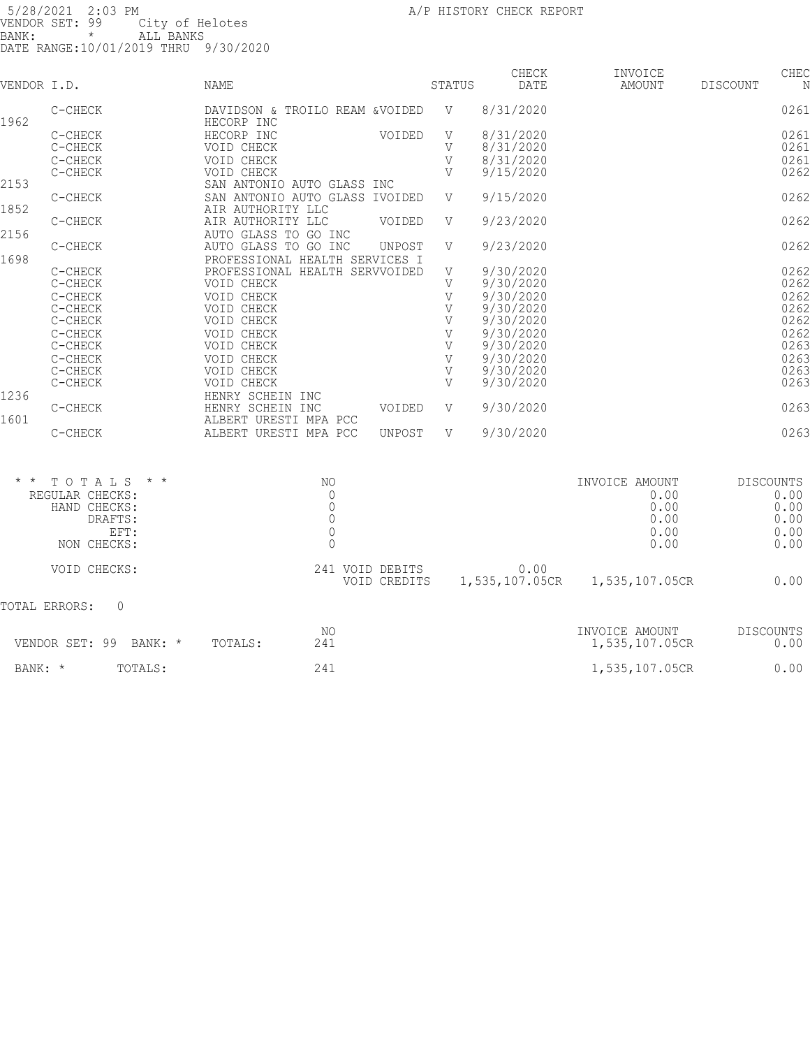| VENDOR I.D.     |                           | <b>NAME</b>                                         |        | STATUS       | CHECK<br>DATE | INVOICE<br>AMOUNT | DISCOUNT         | CHEC |
|-----------------|---------------------------|-----------------------------------------------------|--------|--------------|---------------|-------------------|------------------|------|
|                 |                           |                                                     |        |              |               |                   |                  |      |
| 1962            | C-CHECK                   | DAVIDSON & TROILO REAM & VOIDED<br>HECORP INC       |        | V            | 8/31/2020     |                   |                  | 0261 |
|                 | C-CHECK                   | HECORP INC                                          | VOIDED | V            | 8/31/2020     |                   |                  | 0261 |
|                 | C-CHECK                   | VOID CHECK                                          |        | V            | 8/31/2020     |                   |                  | 0261 |
|                 | C-CHECK                   | VOID CHECK                                          |        | $\mathbf{V}$ | 8/31/2020     |                   |                  | 0261 |
|                 | C-CHECK                   | VOID CHECK                                          |        | V            | 9/15/2020     |                   |                  | 0262 |
| 2153            |                           | SAN ANTONIO AUTO GLASS INC                          |        |              |               |                   |                  |      |
| 1852            | C-CHECK                   | SAN ANTONIO AUTO GLASS IVOIDED<br>AIR AUTHORITY LLC |        | V            | 9/15/2020     |                   |                  | 0262 |
|                 | C-CHECK                   | AIR AUTHORITY LLC                                   | VOIDED | V            | 9/23/2020     |                   |                  | 0262 |
| 2156            |                           | AUTO GLASS TO GO INC                                |        |              |               |                   |                  |      |
|                 | C-CHECK                   | AUTO GLASS TO GO INC                                | UNPOST | V            | 9/23/2020     |                   |                  | 0262 |
| 1698            |                           | PROFESSIONAL HEALTH SERVICES I                      |        |              |               |                   |                  |      |
|                 | C-CHECK                   | PROFESSIONAL HEALTH SERVVOIDED                      |        | V            | 9/30/2020     |                   |                  | 0262 |
|                 | C-CHECK                   | VOID CHECK                                          |        | V            | 9/30/2020     |                   |                  | 0262 |
|                 | C-CHECK                   | VOID CHECK                                          |        | $\mathbf{V}$ | 9/30/2020     |                   |                  | 0262 |
|                 | C-CHECK                   | VOID CHECK                                          |        | V            | 9/30/2020     |                   |                  | 0262 |
|                 | C-CHECK                   | VOID CHECK                                          |        | V            | 9/30/2020     |                   |                  | 0262 |
|                 | C-CHECK                   | VOID CHECK                                          |        | V            | 9/30/2020     |                   |                  | 0262 |
|                 | C-CHECK                   | VOID CHECK                                          |        | V            | 9/30/2020     |                   |                  | 0263 |
|                 | C-CHECK                   | VOID CHECK                                          |        | V            | 9/30/2020     |                   |                  | 0263 |
|                 | C-CHECK                   | VOID CHECK                                          |        | V            | 9/30/2020     |                   |                  | 0263 |
|                 | C-CHECK                   | VOID CHECK                                          |        | V            | 9/30/2020     |                   |                  | 0263 |
| 1236            |                           | HENRY SCHEIN INC                                    |        |              |               |                   |                  |      |
|                 | C-CHECK                   | HENRY SCHEIN INC                                    | VOIDED | V            | 9/30/2020     |                   |                  | 0263 |
| 1601            |                           | ALBERT URESTI MPA PCC                               |        |              |               |                   |                  |      |
|                 | C-CHECK                   | ALBERT URESTI MPA PCC                               | UNPOST | V            | 9/30/2020     |                   |                  | 0263 |
|                 |                           |                                                     |        |              |               |                   |                  |      |
| $\star$ $\star$ | TOTALS<br>$\star$ $\star$ | NO.                                                 |        |              |               | INVOICE AMOUNT    | <b>DISCOUNTS</b> |      |
|                 | REGULAR CHECKS:           | $\mathbf 0$                                         |        |              |               | 0.00              |                  | 0.00 |
|                 | HAND CHECKS:              | $\mathbb O$                                         |        |              |               | 0.00              |                  | 0.00 |
|                 | DRAFTS:                   | $\mathbb O$                                         |        |              |               | 0.00              |                  | 0.00 |
|                 | EFT:                      | $\mathbb O$                                         |        |              |               | 0.00              |                  | 0.00 |

| NON CHECKS:               |         |                                 |                        | 0.00                             | 0.00              |
|---------------------------|---------|---------------------------------|------------------------|----------------------------------|-------------------|
| VOID CHECKS:              |         | 241 VOID DEBITS<br>VOID CREDITS | 0.00<br>1,535,107.05CR | 1,535,107.05CR                   | 0.00              |
| TOTAL ERRORS:<br>$\Omega$ |         |                                 |                        |                                  |                   |
| VENDOR SET: 99<br>BANK: * | TOTALS: | NO<br>241                       |                        | INVOICE AMOUNT<br>1,535,107.05CR | DISCOUNTS<br>0.00 |
| BANK: *<br>TOTALS:        |         | 241                             |                        | 1,535,107.05CR                   | 0.00              |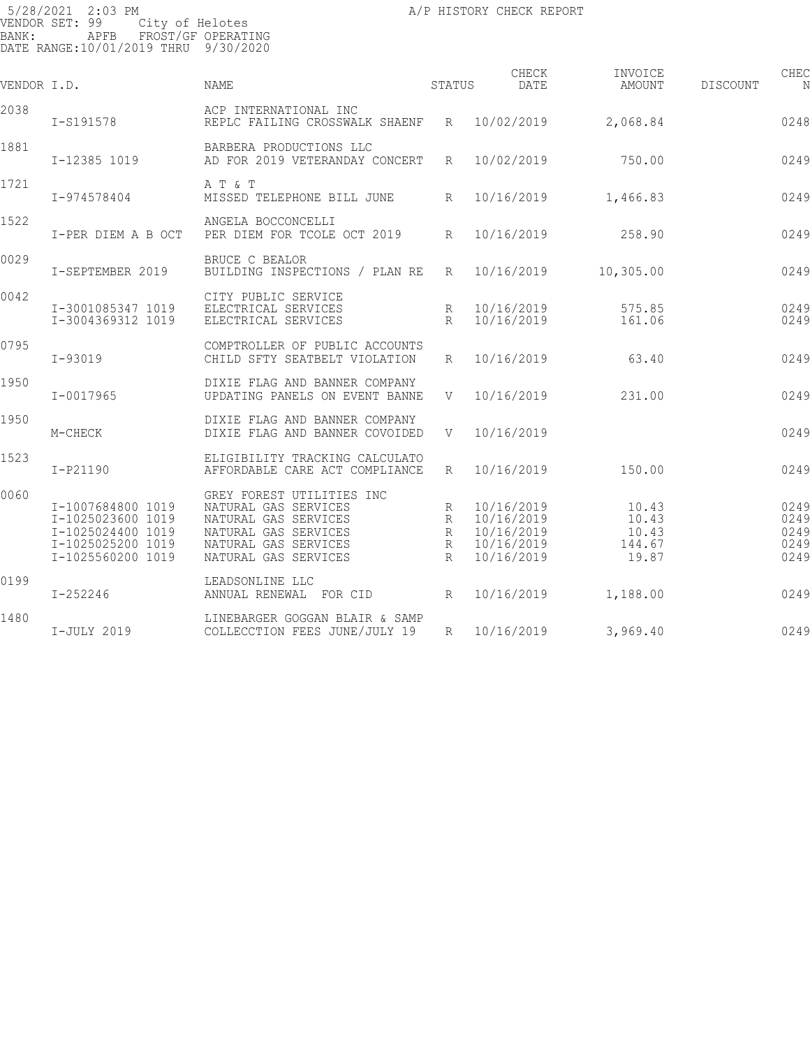| VENDOR I.D. |                                                                                                       | <b>NAME</b>                                                                                                                                       | STATUS                           | CHECK<br>DATE                                                      | INVOICE<br>AMOUNT                          | DISCOUNT | CHEC<br>N                            |
|-------------|-------------------------------------------------------------------------------------------------------|---------------------------------------------------------------------------------------------------------------------------------------------------|----------------------------------|--------------------------------------------------------------------|--------------------------------------------|----------|--------------------------------------|
| 2038        | I-S191578                                                                                             | ACP INTERNATIONAL INC<br>REPLC FAILING CROSSWALK SHAENF R 10/02/2019                                                                              |                                  |                                                                    | 2,068.84                                   |          | 0248                                 |
| 1881        | I-12385 1019                                                                                          | BARBERA PRODUCTIONS LLC<br>AD FOR 2019 VETERANDAY CONCERT                                                                                         | R                                | 10/02/2019                                                         | 750.00                                     |          | 0249                                 |
| 1721        | I-974578404                                                                                           | A T & T<br>MISSED TELEPHONE BILL JUNE                                                                                                             | R                                | 10/16/2019                                                         | 1,466.83                                   |          | 0249                                 |
| 1522        | I-PER DIEM A B OCT                                                                                    | ANGELA BOCCONCELLI<br>PER DIEM FOR TCOLE OCT 2019                                                                                                 | $R_{\parallel}$                  | 10/16/2019                                                         | 258.90                                     |          | 0249                                 |
| 0029        | I-SEPTEMBER 2019                                                                                      | BRUCE C BEALOR<br>BUILDING INSPECTIONS / PLAN RE                                                                                                  | R                                | 10/16/2019                                                         | 10, 305.00                                 |          | 0249                                 |
| 0042        | I-3001085347 1019<br>I-3004369312 1019                                                                | CITY PUBLIC SERVICE<br>ELECTRICAL SERVICES<br>ELECTRICAL SERVICES                                                                                 | R<br>$\mathbb{R}$                | 10/16/2019<br>10/16/2019                                           | 575.85<br>161.06                           |          | 0249<br>0249                         |
| 0795        | $I-93019$                                                                                             | COMPTROLLER OF PUBLIC ACCOUNTS<br>CHILD SFTY SEATBELT VIOLATION                                                                                   | $R_{\parallel}$                  | 10/16/2019                                                         | 63.40                                      |          | 0249                                 |
| 1950        | $I - 0017965$                                                                                         | DIXIE FLAG AND BANNER COMPANY<br>UPDATING PANELS ON EVENT BANNE                                                                                   | V                                | 10/16/2019                                                         | 231.00                                     |          | 0249                                 |
| 1950        | M-CHECK                                                                                               | DIXIE FLAG AND BANNER COMPANY<br>DIXIE FLAG AND BANNER COVOIDED                                                                                   | V                                | 10/16/2019                                                         |                                            |          | 0249                                 |
| 1523        | I-P21190                                                                                              | ELIGIBILITY TRACKING CALCULATO<br>AFFORDABLE CARE ACT COMPLIANCE                                                                                  | R                                | 10/16/2019                                                         | 150.00                                     |          | 0249                                 |
| 0060        | I-1007684800 1019<br>I-1025023600 1019<br>I-1025024400 1019<br>I-1025025200 1019<br>I-1025560200 1019 | GREY FOREST UTILITIES INC<br>NATURAL GAS SERVICES<br>NATURAL GAS SERVICES<br>NATURAL GAS SERVICES<br>NATURAL GAS SERVICES<br>NATURAL GAS SERVICES | R<br>R<br>R<br>R<br>$\mathbb{R}$ | 10/16/2019<br>10/16/2019<br>10/16/2019<br>10/16/2019<br>10/16/2019 | 10.43<br>10.43<br>10.43<br>144.67<br>19.87 |          | 0249<br>0249<br>0249<br>0249<br>0249 |
| 0199        | $I - 252246$                                                                                          | LEADSONLINE LLC<br>ANNUAL RENEWAL FOR CID                                                                                                         | R                                | 10/16/2019                                                         | 1,188.00                                   |          | 0249                                 |
| 1480        | I-JULY 2019                                                                                           | LINEBARGER GOGGAN BLAIR & SAMP<br>COLLECCTION FEES JUNE/JULY 19                                                                                   | R                                | 10/16/2019                                                         | 3,969.40                                   |          | 0249                                 |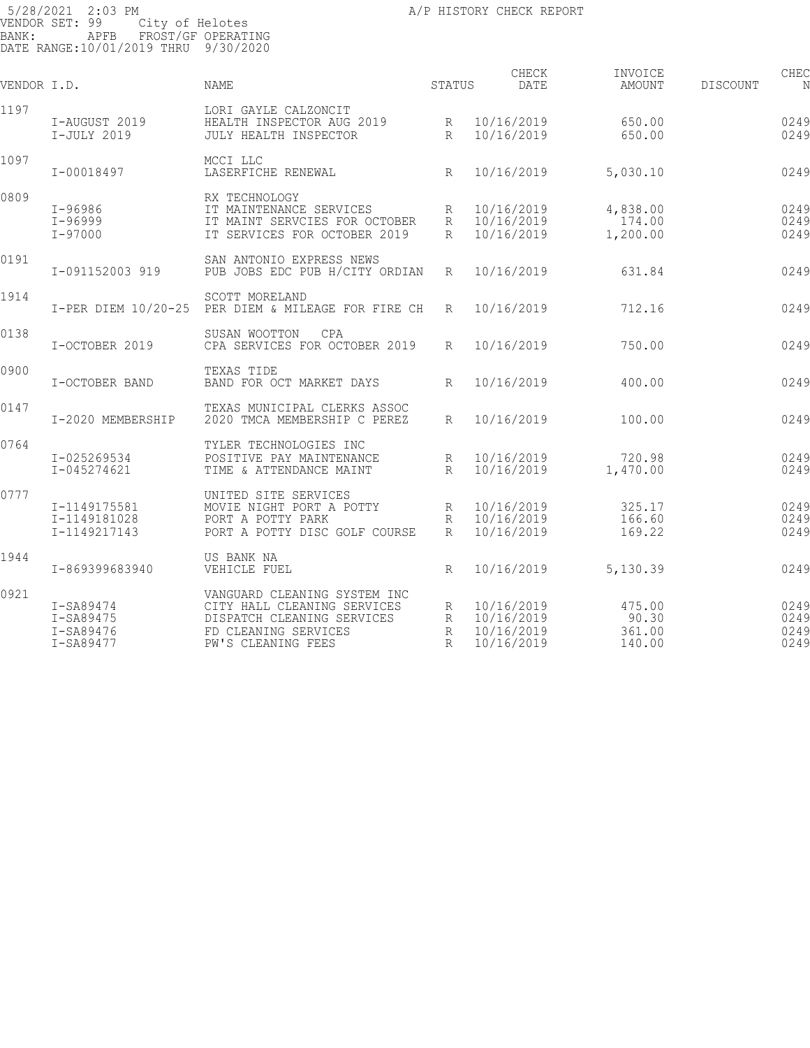| VENDOR I.D. |                                                  | <b>NAME</b>                                                                                                                             | STATUS              | CHECK<br>DATE                                        | INVOICE<br>AMOUNT                   | DISCOUNT | CHEC<br>N                    |
|-------------|--------------------------------------------------|-----------------------------------------------------------------------------------------------------------------------------------------|---------------------|------------------------------------------------------|-------------------------------------|----------|------------------------------|
| 1197        | I-AUGUST 2019<br>I-JULY 2019                     | LORI GAYLE CALZONCIT<br>HEALTH INSPECTOR AUG 2019<br>JULY HEALTH INSPECTOR                                                              | R<br>R              | 10/16/2019<br>10/16/2019                             | 650.00<br>650.00                    |          | 0249<br>0249                 |
| 1097        | I-00018497                                       | MCCI LLC<br>LASERFICHE RENEWAL                                                                                                          | R                   | 10/16/2019                                           | 5,030.10                            |          | 0249                         |
| 0809        | $I - 96986$<br>I-96999<br>$I - 97000$            | RX TECHNOLOGY<br>IT MAINTENANCE SERVICES<br>IT MAINT SERVCIES FOR OCTOBER<br>IT SERVICES FOR OCTOBER 2019                               | R<br>R<br>R         | 10/16/2019<br>10/16/2019<br>10/16/2019               | 4,838.00<br>174.00<br>1,200.00      |          | 0249<br>0249<br>0249         |
|             |                                                  |                                                                                                                                         |                     |                                                      |                                     |          |                              |
| 0191        | I-091152003 919                                  | SAN ANTONIO EXPRESS NEWS<br>PUB JOBS EDC PUB H/CITY ORDIAN                                                                              | R                   | 10/16/2019                                           | 631.84                              |          | 0249                         |
| 1914        | I-PER DIEM 10/20-25                              | SCOTT MORELAND<br>PER DIEM & MILEAGE FOR FIRE CH                                                                                        | R                   | 10/16/2019                                           | 712.16                              |          | 0249                         |
| 0138        | I-OCTOBER 2019                                   | SUSAN WOOTTON<br>CPA<br>CPA SERVICES FOR OCTOBER 2019                                                                                   | R                   | 10/16/2019                                           | 750.00                              |          | 0249                         |
| 0900        | I-OCTOBER BAND                                   | TEXAS TIDE<br>BAND FOR OCT MARKET DAYS                                                                                                  | R                   | 10/16/2019                                           | 400.00                              |          | 0249                         |
| 0147        | I-2020 MEMBERSHIP                                | TEXAS MUNICIPAL CLERKS ASSOC<br>2020 TMCA MEMBERSHIP C PEREZ                                                                            | R                   | 10/16/2019                                           | 100.00                              |          | 0249                         |
| 0764        | I-025269534<br>I-045274621                       | TYLER TECHNOLOGIES INC<br>POSITIVE PAY MAINTENANCE<br>TIME & ATTENDANCE MAINT                                                           | R<br>R              | 10/16/2019<br>10/16/2019                             | 720.98<br>1,470.00                  |          | 0249<br>0249                 |
| 0777        | I-1149175581<br>I-1149181028<br>I-1149217143     | UNITED SITE SERVICES<br>MOVIE NIGHT PORT A POTTY<br>PORT A POTTY PARK<br>PORT A POTTY DISC GOLF COURSE                                  | R<br>R<br>$R_{\rm}$ | 10/16/2019<br>10/16/2019<br>10/16/2019               | 325.17<br>166.60<br>169.22          |          | 0249<br>0249<br>0249         |
| 1944        | I-869399683940                                   | US BANK NA<br>VEHICLE FUEL                                                                                                              | R                   | 10/16/2019                                           | 5,130.39                            |          | 0249                         |
| 0921        | I-SA89474<br>I-SA89475<br>I-SA89476<br>I-SA89477 | VANGUARD CLEANING SYSTEM INC<br>CITY HALL CLEANING SERVICES<br>DISPATCH CLEANING SERVICES<br>FD CLEANING SERVICES<br>PW'S CLEANING FEES | R<br>R<br>R<br>R    | 10/16/2019<br>10/16/2019<br>10/16/2019<br>10/16/2019 | 475.00<br>90.30<br>361.00<br>140.00 |          | 0249<br>0249<br>0249<br>0249 |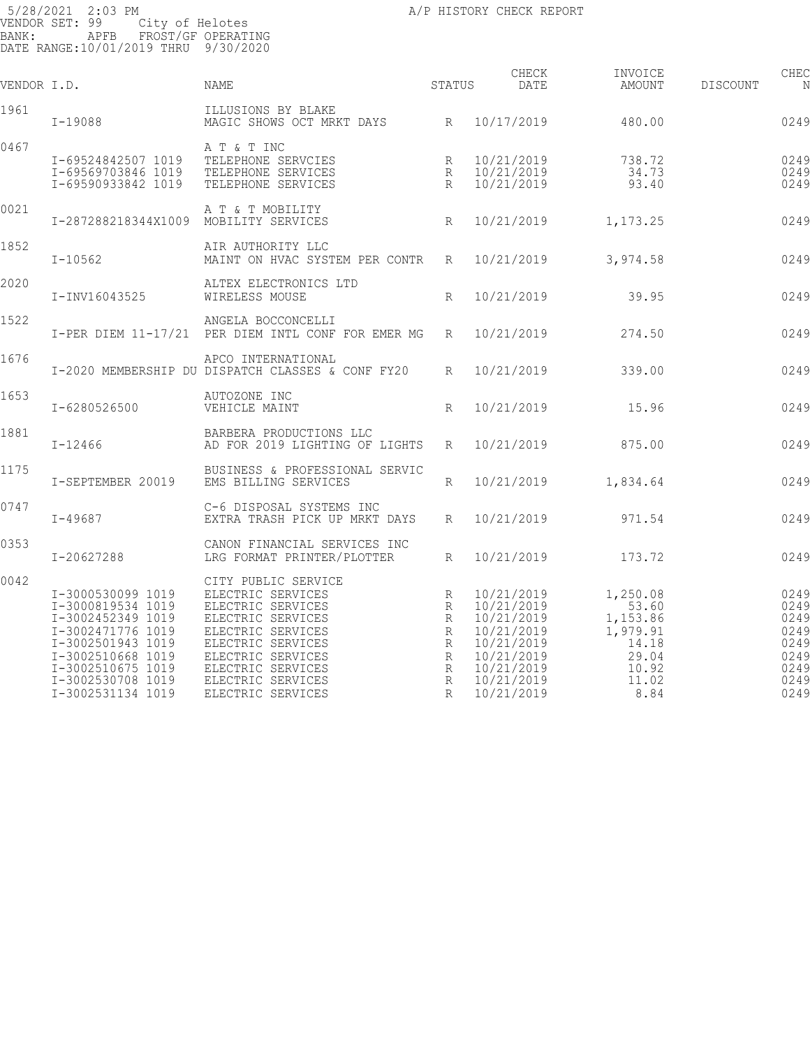| VENDOR I.D. |                                                                                                                                                                                           | NAME                                                                                                                                                                                                             | STATUS                                    | CHECK<br>DATE                                                                                                              | INVOICE<br>AMOUNT                                                                     | <b>DISCOUNT</b> | CHEC<br>N                                                            |
|-------------|-------------------------------------------------------------------------------------------------------------------------------------------------------------------------------------------|------------------------------------------------------------------------------------------------------------------------------------------------------------------------------------------------------------------|-------------------------------------------|----------------------------------------------------------------------------------------------------------------------------|---------------------------------------------------------------------------------------|-----------------|----------------------------------------------------------------------|
| 1961        | I-19088                                                                                                                                                                                   | ILLUSIONS BY BLAKE<br>MAGIC SHOWS OCT MRKT DAYS R 10/17/2019                                                                                                                                                     |                                           |                                                                                                                            | 480.00                                                                                |                 | 0249                                                                 |
| 0467        | I-69524842507 1019<br>I-69569703846 1019<br>I-69590933842 1019                                                                                                                            | A T & T INC<br>TELEPHONE SERVCIES<br>TELEPHONE SERVICES<br>TELEPHONE SERVICES                                                                                                                                    | R<br>R<br>R                               | 10/21/2019<br>10/21/2019<br>10/21/2019                                                                                     | 738.72<br>34.73<br>93.40                                                              |                 | 0249<br>0249<br>0249                                                 |
| 0021        | I-287288218344X1009                                                                                                                                                                       | A T & T MOBILITY<br>MOBILITY SERVICES                                                                                                                                                                            | $R_{\rm}$                                 | 10/21/2019                                                                                                                 | 1,173.25                                                                              |                 | 0249                                                                 |
| 1852        | $I - 10562$                                                                                                                                                                               | AIR AUTHORITY LLC<br>MAINT ON HVAC SYSTEM PER CONTR R                                                                                                                                                            |                                           | 10/21/2019                                                                                                                 | 3,974.58                                                                              |                 | 0249                                                                 |
| 2020        | I-INV16043525                                                                                                                                                                             | ALTEX ELECTRONICS LTD<br>WIRELESS MOUSE                                                                                                                                                                          | R                                         | 10/21/2019                                                                                                                 | 39.95                                                                                 |                 | 0249                                                                 |
| 1522        |                                                                                                                                                                                           | ANGELA BOCCONCELLI<br>I-PER DIEM 11-17/21 PER DIEM INTL CONF FOR EMER MG R                                                                                                                                       |                                           | 10/21/2019                                                                                                                 | 274.50                                                                                |                 | 0249                                                                 |
| 1676        |                                                                                                                                                                                           | APCO INTERNATIONAL<br>I-2020 MEMBERSHIP DU DISPATCH CLASSES & CONF FY20                                                                                                                                          | R                                         | 10/21/2019                                                                                                                 | 339.00                                                                                |                 | 0249                                                                 |
| 1653        | I-6280526500                                                                                                                                                                              | AUTOZONE INC<br>VEHICLE MAINT                                                                                                                                                                                    | $R_{\parallel}$                           | 10/21/2019                                                                                                                 | 15.96                                                                                 |                 | 0249                                                                 |
| 1881        | $I - 12466$                                                                                                                                                                               | BARBERA PRODUCTIONS LLC<br>AD FOR 2019 LIGHTING OF LIGHTS                                                                                                                                                        | R                                         | 10/21/2019                                                                                                                 | 875.00                                                                                |                 | 0249                                                                 |
| 1175        | I-SEPTEMBER 20019                                                                                                                                                                         | BUSINESS & PROFESSIONAL SERVIC<br>EMS BILLING SERVICES                                                                                                                                                           | $R_{\parallel}$                           | 10/21/2019                                                                                                                 | 1,834.64                                                                              |                 | 0249                                                                 |
| 0747        | $I - 49687$                                                                                                                                                                               | C-6 DISPOSAL SYSTEMS INC<br>EXTRA TRASH PICK UP MRKT DAYS                                                                                                                                                        | R                                         | 10/21/2019                                                                                                                 | 971.54                                                                                |                 | 0249                                                                 |
| 0353        | I-20627288                                                                                                                                                                                | CANON FINANCIAL SERVICES INC<br>LRG FORMAT PRINTER/PLOTTER                                                                                                                                                       | R                                         | 10/21/2019                                                                                                                 | 173.72                                                                                |                 | 0249                                                                 |
| 0042        | I-3000530099 1019<br>I-3000819534 1019<br>I-3002452349 1019<br>I-3002471776 1019<br>I-3002501943 1019<br>I-3002510668 1019<br>I-3002510675 1019<br>I-3002530708 1019<br>I-3002531134 1019 | CITY PUBLIC SERVICE<br>ELECTRIC SERVICES<br>ELECTRIC SERVICES<br>ELECTRIC SERVICES<br>ELECTRIC SERVICES<br>ELECTRIC SERVICES<br>ELECTRIC SERVICES<br>ELECTRIC SERVICES<br>ELECTRIC SERVICES<br>ELECTRIC SERVICES | R<br>R<br>R<br>R<br>R<br>R<br>R<br>R<br>R | 10/21/2019<br>10/21/2019<br>10/21/2019<br>10/21/2019<br>10/21/2019<br>10/21/2019<br>10/21/2019<br>10/21/2019<br>10/21/2019 | 1,250.08<br>53.60<br>1,153.86<br>1,979.91<br>14.18<br>29.04<br>10.92<br>11.02<br>8.84 |                 | 0249<br>0249<br>0249<br>0249<br>0249<br>0249<br>0249<br>0249<br>0249 |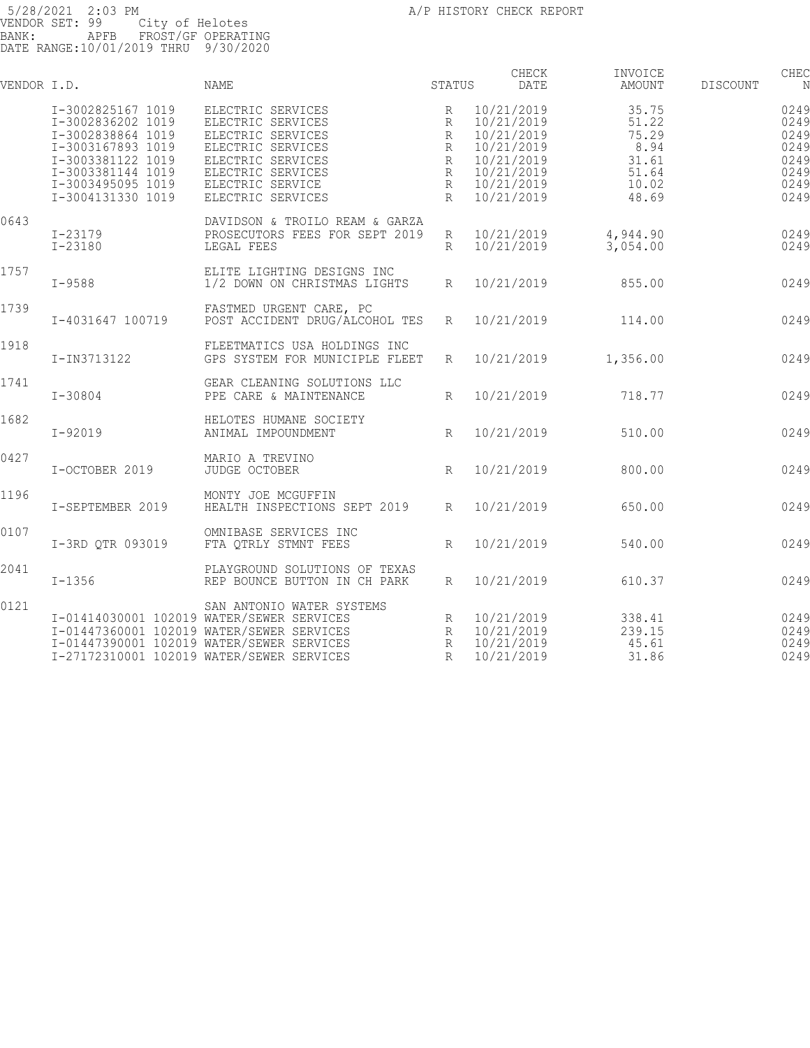| VENDOR I.D. |                                                                                                                                                                      | NAME                                                                                                                                                                                                          | STATUS                               | CHECK<br>DATE                                                                                                | INVOICE<br>AMOUNT                                                   | <b>DISCOUNT</b> | CHEC<br>N                                                    |
|-------------|----------------------------------------------------------------------------------------------------------------------------------------------------------------------|---------------------------------------------------------------------------------------------------------------------------------------------------------------------------------------------------------------|--------------------------------------|--------------------------------------------------------------------------------------------------------------|---------------------------------------------------------------------|-----------------|--------------------------------------------------------------|
|             | I-3002825167 1019<br>I-3002836202 1019<br>I-3002838864 1019<br>I-3003167893 1019<br>I-3003381122 1019<br>I-3003381144 1019<br>I-3003495095 1019<br>I-3004131330 1019 | ELECTRIC SERVICES<br>ELECTRIC SERVICES<br>ELECTRIC SERVICES<br>ELECTRIC SERVICES<br>ELECTRIC SERVICES<br>ELECTRIC SERVICES<br>ELECTRIC SERVICE<br>ELECTRIC SERVICES                                           | R<br>R<br>R<br>R<br>R<br>R<br>R<br>R | 10/21/2019<br>10/21/2019<br>10/21/2019<br>10/21/2019<br>10/21/2019<br>10/21/2019<br>10/21/2019<br>10/21/2019 | 35.75<br>51.22<br>75.29<br>8.94<br>31.61<br>51.64<br>10.02<br>48.69 |                 | 0249<br>0249<br>0249<br>0249<br>0249<br>0249<br>0249<br>0249 |
| 0643        | I-23179<br>I-23180                                                                                                                                                   | DAVIDSON & TROILO REAM & GARZA<br>PROSECUTORS FEES FOR SEPT 2019<br>LEGAL FEES                                                                                                                                | R<br>R                               | 10/21/2019<br>10/21/2019                                                                                     | 4,944.90<br>3,054.00                                                |                 | 0249<br>0249                                                 |
| 1757        | $I - 9588$                                                                                                                                                           | ELITE LIGHTING DESIGNS INC<br>1/2 DOWN ON CHRISTMAS LIGHTS                                                                                                                                                    | R                                    | 10/21/2019                                                                                                   | 855.00                                                              |                 | 0249                                                         |
| 1739        | I-4031647 100719                                                                                                                                                     | FASTMED URGENT CARE, PC<br>POST ACCIDENT DRUG/ALCOHOL TES                                                                                                                                                     | R                                    | 10/21/2019                                                                                                   | 114.00                                                              |                 | 0249                                                         |
| 1918        | I-IN3713122                                                                                                                                                          | FLEETMATICS USA HOLDINGS INC<br>GPS SYSTEM FOR MUNICIPLE FLEET                                                                                                                                                | R                                    | 10/21/2019                                                                                                   | 1,356.00                                                            |                 | 0249                                                         |
| 1741        | $I - 30804$                                                                                                                                                          | GEAR CLEANING SOLUTIONS LLC<br>PPE CARE & MAINTENANCE                                                                                                                                                         | R                                    | 10/21/2019                                                                                                   | 718.77                                                              |                 | 0249                                                         |
| 1682        | $I - 92019$                                                                                                                                                          | HELOTES HUMANE SOCIETY<br>ANIMAL IMPOUNDMENT                                                                                                                                                                  | $R_{\parallel}$                      | 10/21/2019                                                                                                   | 510.00                                                              |                 | 0249                                                         |
| 0427        | I-OCTOBER 2019                                                                                                                                                       | MARIO A TREVINO<br>JUDGE OCTOBER                                                                                                                                                                              | R                                    | 10/21/2019                                                                                                   | 800.00                                                              |                 | 0249                                                         |
| 1196        | I-SEPTEMBER 2019                                                                                                                                                     | MONTY JOE MCGUFFIN<br>HEALTH INSPECTIONS SEPT 2019                                                                                                                                                            | $R_{\parallel}$                      | 10/21/2019                                                                                                   | 650.00                                                              |                 | 0249                                                         |
| 0107        | I-3RD QTR 093019                                                                                                                                                     | OMNIBASE SERVICES INC<br>FTA QTRLY STMNT FEES                                                                                                                                                                 | $R_{\parallel}$                      | 10/21/2019                                                                                                   | 540.00                                                              |                 | 0249                                                         |
| 2041        | $I - 1356$                                                                                                                                                           | PLAYGROUND SOLUTIONS OF TEXAS<br>REP BOUNCE BUTTON IN CH PARK                                                                                                                                                 | R                                    | 10/21/2019                                                                                                   | 610.37                                                              |                 | 0249                                                         |
| 0121        |                                                                                                                                                                      | SAN ANTONIO WATER SYSTEMS<br>I-01414030001 102019 WATER/SEWER SERVICES<br>I-01447360001 102019 WATER/SEWER SERVICES<br>I-01447390001 102019 WATER/SEWER SERVICES<br>I-27172310001 102019 WATER/SEWER SERVICES | R<br>R<br>R<br>R                     | 10/21/2019<br>10/21/2019<br>10/21/2019<br>10/21/2019                                                         | 338.41<br>239.15<br>45.61<br>31.86                                  |                 | 0249<br>0249<br>0249<br>0249                                 |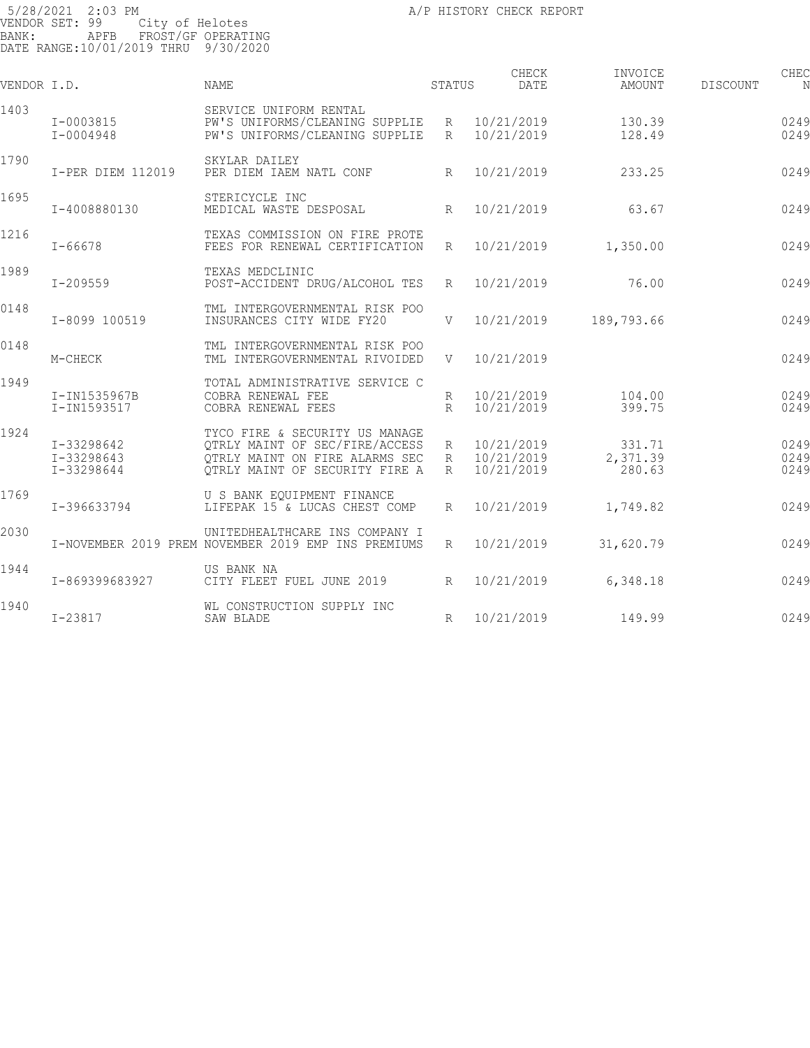| VENDOR I.D. |                                        | <b>NAME</b>                                                                                                                          | STATUS               | CHECK<br>DATE                              | INVOICE<br>AMOUNT            | DISCOUNT | CHEC<br>N            |
|-------------|----------------------------------------|--------------------------------------------------------------------------------------------------------------------------------------|----------------------|--------------------------------------------|------------------------------|----------|----------------------|
| 1403        | $I - 0003815$<br>I-0004948             | SERVICE UNIFORM RENTAL<br>PW'S UNIFORMS/CLEANING SUPPLIE R 10/21/2019<br>PW'S UNIFORMS/CLEANING SUPPLIE                              | R                    | 10/21/2019                                 | 130.39<br>128.49             |          | 0249<br>0249         |
| 1790        | I-PER DIEM 112019                      | SKYLAR DAILEY<br>PER DIEM IAEM NATL CONF                                                                                             | $R_{\perp}$          | 10/21/2019                                 | 233.25                       |          | 0249                 |
| 1695        | I-4008880130                           | STERICYCLE INC<br>MEDICAL WASTE DESPOSAL                                                                                             | R                    | 10/21/2019                                 | 63.67                        |          | 0249                 |
| 1216        | $I - 66678$                            | TEXAS COMMISSION ON FIRE PROTE<br>FEES FOR RENEWAL CERTIFICATION                                                                     | $R_{\parallel}$      | 10/21/2019                                 | 1,350.00                     |          | 0249                 |
| 1989        | $I - 209559$                           | TEXAS MEDCLINIC<br>POST-ACCIDENT DRUG/ALCOHOL TES                                                                                    | R                    | 10/21/2019                                 | 76.00                        |          | 0249                 |
| 0148        | I-8099 100519                          | TML INTERGOVERNMENTAL RISK POO<br>INSURANCES CITY WIDE FY20                                                                          | V                    | 10/21/2019                                 | 189,793.66                   |          | 0249                 |
| 0148        | M-CHECK                                | TML INTERGOVERNMENTAL RISK POO<br>TML INTERGOVERNMENTAL RIVOIDED                                                                     | V —                  | 10/21/2019                                 |                              |          | 0249                 |
| 1949        | I-IN1535967B<br>I-IN1593517            | TOTAL ADMINISTRATIVE SERVICE C<br>COBRA RENEWAL FEE<br>COBRA RENEWAL FEES                                                            | R<br>$R_{\parallel}$ | 10/21/2019<br>10/21/2019                   | 104.00<br>399.75             |          | 0249<br>0249         |
| 1924        | I-33298642<br>I-33298643<br>I-33298644 | TYCO FIRE & SECURITY US MANAGE<br>QTRLY MAINT OF SEC/FIRE/ACCESS<br>QTRLY MAINT ON FIRE ALARMS SEC<br>QTRLY MAINT OF SECURITY FIRE A | $R_{\perp}$          | R 10/21/2019<br>R 10/21/2019<br>10/21/2019 | 331.71<br>2,371.39<br>280.63 |          | 0249<br>0249<br>0249 |
| 1769        | I-396633794                            | U S BANK EOUIPMENT FINANCE<br>LIFEPAK 15 & LUCAS CHEST COMP                                                                          | R                    | 10/21/2019                                 | 1,749.82                     |          | 0249                 |
| 2030        |                                        | UNITEDHEALTHCARE INS COMPANY I<br>I-NOVEMBER 2019 PREM NOVEMBER 2019 EMP INS PREMIUMS                                                | $R_{\parallel}$      | 10/21/2019                                 | 31,620.79                    |          | 0249                 |
| 1944        | I-869399683927                         | US BANK NA<br>CITY FLEET FUEL JUNE 2019                                                                                              | $R_{\parallel}$      | 10/21/2019                                 | 6,348.18                     |          | 0249                 |
| 1940        | $I - 23817$                            | WL CONSTRUCTION SUPPLY INC<br>SAW BLADE                                                                                              | R                    | 10/21/2019                                 | 149.99                       |          | 0249                 |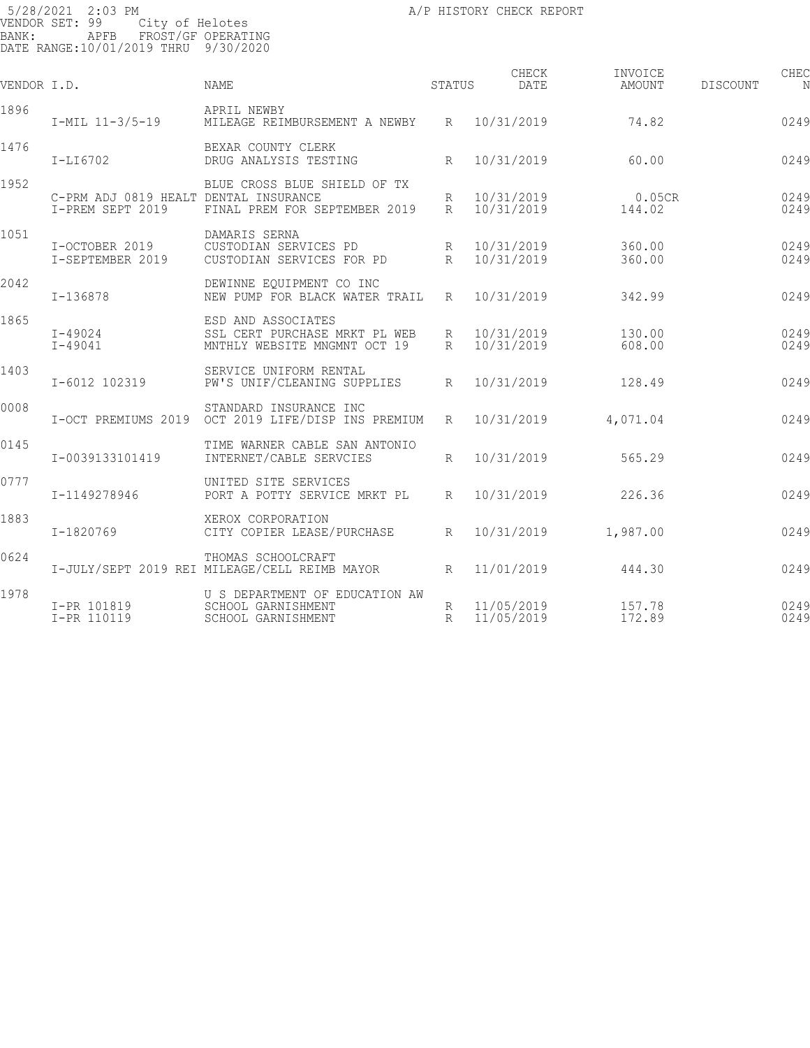| VENDOR I.D. |                                                           | <b>NAME</b>                                                                         | STATUS               |                          | CHECK<br>DATE | INVOICE<br>AMOUNT   | DISCOUNT | CHEC         |
|-------------|-----------------------------------------------------------|-------------------------------------------------------------------------------------|----------------------|--------------------------|---------------|---------------------|----------|--------------|
| 1896        | $I-MIL$ $11-3/5-19$                                       | APRIL NEWBY<br>MILEAGE REIMBURSEMENT A NEWBY                                        |                      | R 10/31/2019             |               | 74.82               |          | 0249         |
| 1476        | I-LI6702                                                  | BEXAR COUNTY CLERK<br>DRUG ANALYSIS TESTING                                         | R                    | 10/31/2019               |               | 60.00               |          | 0249         |
| 1952        | C-PRM ADJ 0819 HEALT DENTAL INSURANCE<br>I-PREM SEPT 2019 | BLUE CROSS BLUE SHIELD OF TX<br>FINAL PREM FOR SEPTEMBER 2019                       | R<br>R               | 10/31/2019<br>10/31/2019 |               | $0.05$ CR<br>144.02 |          | 0249<br>0249 |
| 1051        | I-OCTOBER 2019<br>I-SEPTEMBER 2019                        | DAMARIS SERNA<br>CUSTODIAN SERVICES PD<br>CUSTODIAN SERVICES FOR PD                 | R<br>$R_{\parallel}$ | 10/31/2019<br>10/31/2019 |               | 360.00<br>360.00    |          | 0249<br>0249 |
| 2042        | $I-136878$                                                | DEWINNE EQUIPMENT CO INC<br>NEW PUMP FOR BLACK WATER TRAIL R                        |                      | 10/31/2019               |               | 342.99              |          | 0249         |
| 1865        | $I - 49024$<br>$I - 49041$                                | ESD AND ASSOCIATES<br>SSL CERT PURCHASE MRKT PL WEB<br>MNTHLY WEBSITE MNGMNT OCT 19 | R<br>R               | 10/31/2019<br>10/31/2019 |               | 130.00<br>608.00    |          | 0249<br>0249 |
| 1403        | I-6012 102319                                             | SERVICE UNIFORM RENTAL<br>PW'S UNIF/CLEANING SUPPLIES                               | $R_{\rm}$            | 10/31/2019               |               | 128.49              |          | 0249         |
| 0008        | I-OCT PREMIUMS 2019                                       | STANDARD INSURANCE INC<br>OCT 2019 LIFE/DISP INS PREMIUM                            | R                    | 10/31/2019               |               | 4,071.04            |          | 0249         |
| 0145        | I-0039133101419                                           | TIME WARNER CABLE SAN ANTONIO<br>INTERNET/CABLE SERVCIES                            | $R_{\rm}$            | 10/31/2019               |               | 565.29              |          | 0249         |
| 0777        | I-1149278946                                              | UNITED SITE SERVICES<br>PORT A POTTY SERVICE MRKT PL                                | $R_{\parallel}$      | 10/31/2019               |               | 226.36              |          | 0249         |
| 1883        | I-1820769                                                 | XEROX CORPORATION<br>CITY COPIER LEASE/PURCHASE                                     | $R_{\parallel}$      | 10/31/2019               |               | 1,987.00            |          | 0249         |
| 0624        |                                                           | THOMAS SCHOOLCRAFT<br>I-JULY/SEPT 2019 REI MILEAGE/CELL REIMB MAYOR                 | R                    | 11/01/2019               |               | 444.30              |          | 0249         |
| 1978        | I-PR 101819<br>I-PR 110119                                | U S DEPARTMENT OF EDUCATION AW<br>SCHOOL GARNISHMENT<br>SCHOOL GARNISHMENT          | R<br>R               | 11/05/2019<br>11/05/2019 |               | 157.78<br>172.89    |          | 0249<br>0249 |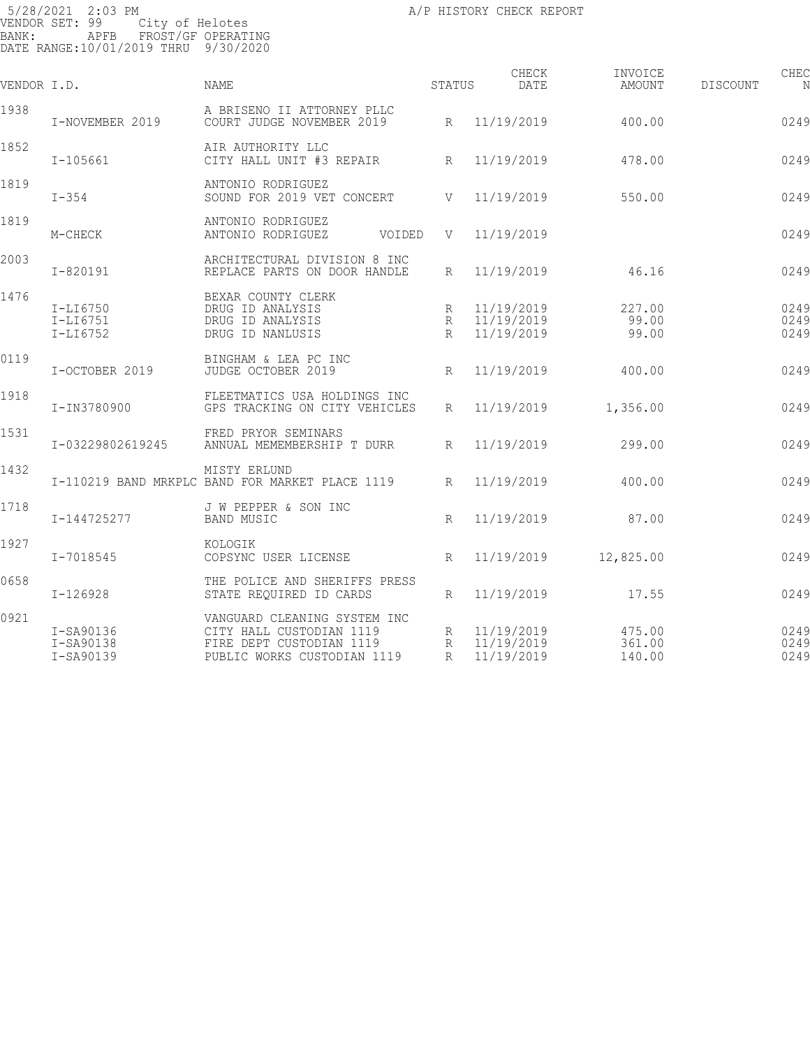| VENDOR I.D. |                                        | <b>NAME</b>                                                                                                         | STATUS                          | CHECK<br>DATE                            | INVOICE<br>AMOUNT          | DISCOUNT | CHEC<br>N            |
|-------------|----------------------------------------|---------------------------------------------------------------------------------------------------------------------|---------------------------------|------------------------------------------|----------------------------|----------|----------------------|
| 1938        | I-NOVEMBER 2019                        | A BRISENO II ATTORNEY PLLC<br>COURT JUDGE NOVEMBER 2019                                                             |                                 | R 11/19/2019                             | 400.00                     |          | 0249                 |
| 1852        | $I-105661$                             | AIR AUTHORITY LLC<br>CITY HALL UNIT #3 REPAIR                                                                       | R                               | 11/19/2019                               | 478.00                     |          | 0249                 |
| 1819        | $I-354$                                | ANTONIO RODRIGUEZ<br>SOUND FOR 2019 VET CONCERT                                                                     | V                               | 11/19/2019                               | 550.00                     |          | 0249                 |
| 1819        | M-CHECK                                | ANTONIO RODRIGUEZ<br>ANTONIO RODRIGUEZ<br>VOIDED                                                                    | V                               | 11/19/2019                               |                            |          | 0249                 |
| 2003        | $I - 820191$                           | ARCHITECTURAL DIVISION 8 INC<br>REPLACE PARTS ON DOOR HANDLE                                                        | $R_{\parallel}$                 | 11/19/2019                               | 46.16                      |          | 0249                 |
| 1476        | $I-LI6750$<br>$I-LI6751$<br>$I-LI6752$ | BEXAR COUNTY CLERK<br>DRUG ID ANALYSIS<br>DRUG ID ANALYSIS<br>DRUG ID NANLUSIS                                      | R<br>$R_{\parallel}$            | 11/19/2019<br>R 11/19/2019<br>11/19/2019 | 227.00<br>99.00<br>99.00   |          | 0249<br>0249<br>0249 |
| 0119        | I-OCTOBER 2019                         | BINGHAM & LEA PC INC<br>JUDGE OCTOBER 2019                                                                          | R                               | 11/19/2019                               | 400.00                     |          | 0249                 |
| 1918        | I-IN3780900                            | FLEETMATICS USA HOLDINGS INC<br>GPS TRACKING ON CITY VEHICLES                                                       | R                               | 11/19/2019                               | 1,356.00                   |          | 0249                 |
| 1531        | I-03229802619245                       | FRED PRYOR SEMINARS<br>ANNUAL MEMEMBERSHIP T DURR                                                                   | $R_{\parallel}$                 | 11/19/2019                               | 299.00                     |          | 0249                 |
| 1432        |                                        | MISTY ERLUND<br>I-110219 BAND MRKPLC BAND FOR MARKET PLACE 1119                                                     | $R_{\perp}$                     | 11/19/2019                               | 400.00                     |          | 0249                 |
| 1718        | I-144725277                            | J W PEPPER & SON INC<br><b>BAND MUSIC</b>                                                                           | $R_{\rm}$                       | 11/19/2019                               | 87.00                      |          | 0249                 |
| 1927        | I-7018545                              | KOLOGIK<br>COPSYNC USER LICENSE                                                                                     | $R_{\parallel}$                 | 11/19/2019                               | 12,825.00                  |          | 0249                 |
| 0658        | I-126928                               | THE POLICE AND SHERIFFS PRESS<br>STATE REQUIRED ID CARDS                                                            | $R_{\perp}$                     | 11/19/2019                               | 17.55                      |          | 0249                 |
| 0921        | I-SA90136<br>I-SA90138<br>I-SA90139    | VANGUARD CLEANING SYSTEM INC<br>CITY HALL CUSTODIAN 1119<br>FIRE DEPT CUSTODIAN 1119<br>PUBLIC WORKS CUSTODIAN 1119 | $R_{\parallel}$<br>$\mathbb{R}$ | R 11/19/2019<br>11/19/2019<br>11/19/2019 | 475.00<br>361.00<br>140.00 |          | 0249<br>0249<br>0249 |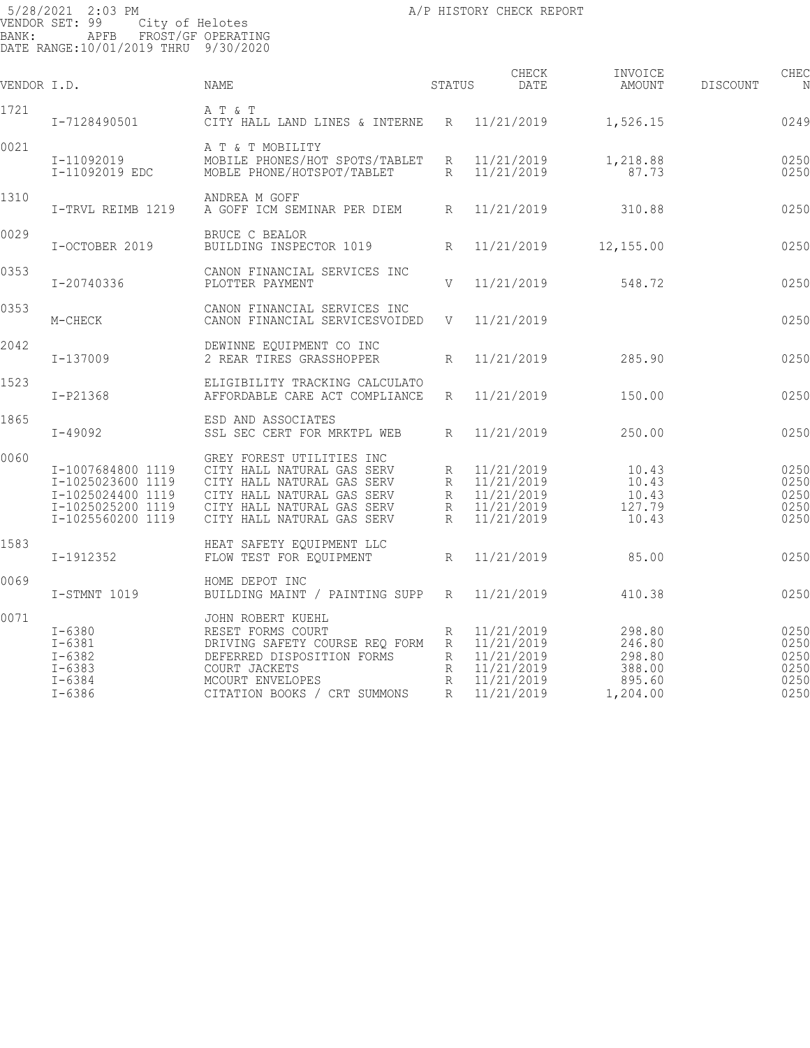| VENDOR I.D. |                                                                                                       | NAME                                                                                                                                                                            | STATUS                     | CHECK<br>DATE                                                                    | INVOICE<br>AMOUNT                                          | <b>DISCOUNT</b> | CHEC<br>N                                    |
|-------------|-------------------------------------------------------------------------------------------------------|---------------------------------------------------------------------------------------------------------------------------------------------------------------------------------|----------------------------|----------------------------------------------------------------------------------|------------------------------------------------------------|-----------------|----------------------------------------------|
| 1721        | I-7128490501                                                                                          | A T & T<br>CITY HALL LAND LINES & INTERNE                                                                                                                                       | R                          | 11/21/2019                                                                       | 1,526.15                                                   |                 | 0249                                         |
| 0021        | I-11092019<br>I-11092019 EDC                                                                          | A T & T MOBILITY<br>MOBILE PHONES/HOT SPOTS/TABLET<br>MOBLE PHONE/HOTSPOT/TABLET                                                                                                | R<br>$R_{\parallel}$       | 11/21/2019<br>11/21/2019                                                         | 1,218.88<br>87.73                                          |                 | 0250<br>0250                                 |
| 1310        | I-TRVL REIMB 1219                                                                                     | ANDREA M GOFF<br>A GOFF ICM SEMINAR PER DIEM                                                                                                                                    | $R_{\parallel}$            | 11/21/2019                                                                       | 310.88                                                     |                 | 0250                                         |
| 0029        | I-OCTOBER 2019                                                                                        | BRUCE C BEALOR<br>BUILDING INSPECTOR 1019                                                                                                                                       | $R_{\parallel}$            | 11/21/2019                                                                       | 12,155.00                                                  |                 | 0250                                         |
| 0353        | I-20740336                                                                                            | CANON FINANCIAL SERVICES INC<br>PLOTTER PAYMENT                                                                                                                                 | V                          | 11/21/2019                                                                       | 548.72                                                     |                 | 0250                                         |
| 0353        | M-CHECK                                                                                               | CANON FINANCIAL SERVICES INC<br>CANON FINANCIAL SERVICESVOIDED                                                                                                                  | V                          | 11/21/2019                                                                       |                                                            |                 | 0250                                         |
| 2042        | I-137009                                                                                              | DEWINNE EQUIPMENT CO INC<br>2 REAR TIRES GRASSHOPPER                                                                                                                            | R                          | 11/21/2019                                                                       | 285.90                                                     |                 | 0250                                         |
| 1523        | $I-P21368$                                                                                            | ELIGIBILITY TRACKING CALCULATO<br>AFFORDABLE CARE ACT COMPLIANCE                                                                                                                | $R_{\parallel}$            | 11/21/2019                                                                       | 150.00                                                     |                 | 0250                                         |
| 1865        | $I - 49092$                                                                                           | ESD AND ASSOCIATES<br>SSL SEC CERT FOR MRKTPL WEB                                                                                                                               | R                          | 11/21/2019                                                                       | 250.00                                                     |                 | 0250                                         |
| 0060        | I-1007684800 1119<br>I-1025023600 1119<br>I-1025024400 1119<br>I-1025025200 1119<br>I-1025560200 1119 | GREY FOREST UTILITIES INC<br>CITY HALL NATURAL GAS SERV<br>CITY HALL NATURAL GAS SERV<br>CITY HALL NATURAL GAS SERV<br>CITY HALL NATURAL GAS SERV<br>CITY HALL NATURAL GAS SERV | R<br>R<br>R<br>R<br>R      | 11/21/2019<br>11/21/2019<br>11/21/2019<br>11/21/2019<br>11/21/2019               | 10.43<br>10.43<br>10.43<br>127.79<br>10.43                 |                 | 0250<br>0250<br>0250<br>0250<br>0250         |
| 1583        | I-1912352                                                                                             | HEAT SAFETY EOUIPMENT LLC<br>FLOW TEST FOR EQUIPMENT                                                                                                                            | $R_{\parallel}$            | 11/21/2019                                                                       | 85.00                                                      |                 | 0250                                         |
| 0069        | I-STMNT 1019                                                                                          | HOME DEPOT INC<br>BUILDING MAINT / PAINTING SUPP                                                                                                                                | R                          | 11/21/2019                                                                       | 410.38                                                     |                 | 0250                                         |
| 0071        | $I - 6380$<br>$I - 6381$<br>$I - 6382$<br>$I - 6383$<br>$I - 6384$<br>$I - 6386$                      | JOHN ROBERT KUEHL<br>RESET FORMS COURT<br>DRIVING SAFETY COURSE REQ FORM<br>DEFERRED DISPOSITION FORMS<br>COURT JACKETS<br>MCOURT ENVELOPES<br>CITATION BOOKS / CRT SUMMONS     | R<br>R<br>R<br>R<br>R<br>R | 11/21/2019<br>11/21/2019<br>11/21/2019<br>11/21/2019<br>11/21/2019<br>11/21/2019 | 298.80<br>246.80<br>298.80<br>388.00<br>895.60<br>1,204.00 |                 | 0250<br>0250<br>0250<br>0250<br>0250<br>0250 |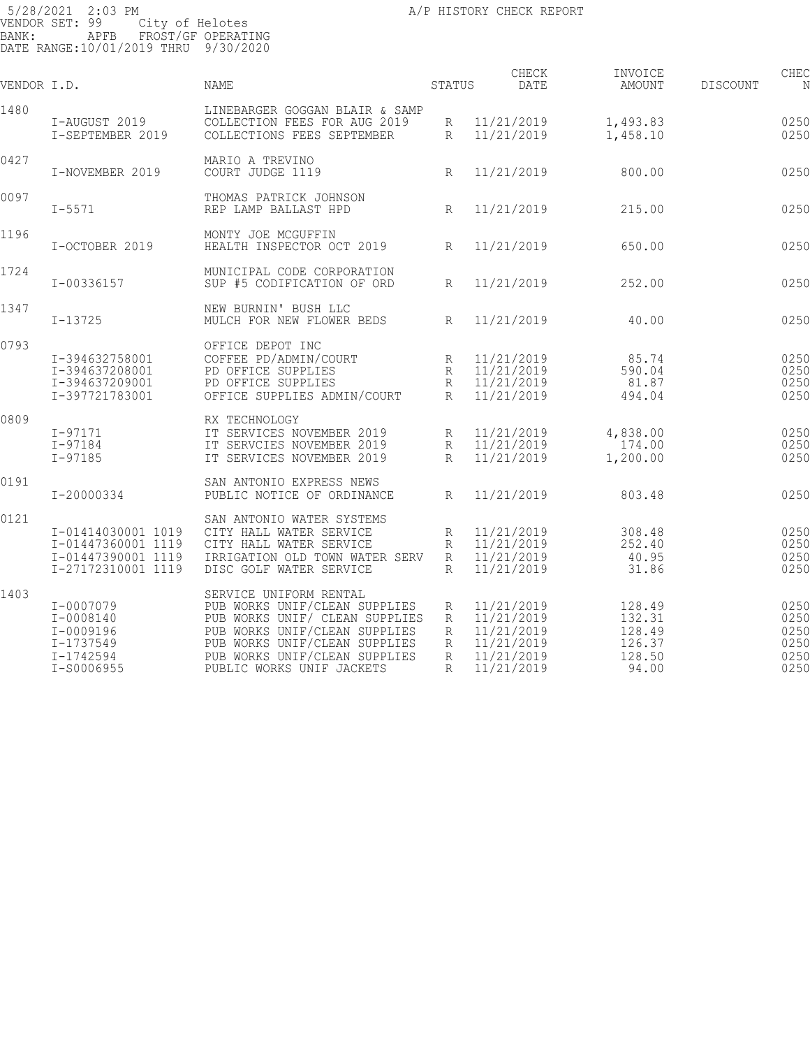| VENDOR I.D. |                                                                                      | <b>NAME</b>                                                                                                                                                                                                               | STATUS                                | CHECK<br>DATE                                                                    | INVOICE<br><b>AMOUNT</b>                                | <b>DISCOUNT</b> | CHEC                                         |
|-------------|--------------------------------------------------------------------------------------|---------------------------------------------------------------------------------------------------------------------------------------------------------------------------------------------------------------------------|---------------------------------------|----------------------------------------------------------------------------------|---------------------------------------------------------|-----------------|----------------------------------------------|
| 1480        | I-AUGUST 2019<br>I-SEPTEMBER 2019                                                    | LINEBARGER GOGGAN BLAIR & SAMP<br>COLLECTION FEES FOR AUG 2019<br>COLLECTIONS FEES SEPTEMBER                                                                                                                              | R<br>R                                | 11/21/2019<br>11/21/2019                                                         | 1,493.83<br>1,458.10                                    |                 | 0250<br>0250                                 |
| 0427        | I-NOVEMBER 2019                                                                      | MARIO A TREVINO<br>COURT JUDGE 1119                                                                                                                                                                                       | $\mathbb{R}$                          | 11/21/2019                                                                       | 800.00                                                  |                 | 0250                                         |
| 0097        | $I - 5571$                                                                           | THOMAS PATRICK JOHNSON<br>REP LAMP BALLAST HPD                                                                                                                                                                            | R                                     | 11/21/2019                                                                       | 215.00                                                  |                 | 0250                                         |
| 1196        | I-OCTOBER 2019                                                                       | MONTY JOE MCGUFFIN<br>HEALTH INSPECTOR OCT 2019                                                                                                                                                                           | R                                     | 11/21/2019                                                                       | 650.00                                                  |                 | 0250                                         |
| 1724        | I-00336157                                                                           | MUNICIPAL CODE CORPORATION<br>SUP #5 CODIFICATION OF ORD                                                                                                                                                                  | $R_{\rm}$                             | 11/21/2019                                                                       | 252.00                                                  |                 | 0250                                         |
| 1347        | $I - 13725$                                                                          | NEW BURNIN' BUSH LLC<br>MULCH FOR NEW FLOWER BEDS                                                                                                                                                                         | R                                     | 11/21/2019                                                                       | 40.00                                                   |                 | 0250                                         |
| 0793        | I-394632758001<br>I-394637208001<br>I-394637209001<br>I-397721783001                 | OFFICE DEPOT INC<br>COFFEE PD/ADMIN/COURT<br>PD OFFICE SUPPLIES<br>PD OFFICE SUPPLIES<br>OFFICE SUPPLIES ADMIN/COURT                                                                                                      | R<br>R<br>R<br>$R_{\rm}$              | 11/21/2019<br>11/21/2019<br>11/21/2019<br>11/21/2019                             | 85.74<br>590.04<br>81.87<br>494.04                      |                 | 0250<br>0250<br>0250<br>0250                 |
| 0809        | $I - 97171$<br>$I - 97184$<br>$I - 97185$                                            | RX TECHNOLOGY<br>IT SERVICES NOVEMBER 2019<br>IT SERVCIES NOVEMBER 2019<br>IT SERVICES NOVEMBER 2019                                                                                                                      | R<br>R<br>R                           | 11/21/2019<br>11/21/2019<br>11/21/2019                                           | 4,838.00<br>174.00<br>1,200.00                          |                 | 0250<br>0250<br>0250                         |
| 0191        | I-20000334                                                                           | SAN ANTONIO EXPRESS NEWS<br>PUBLIC NOTICE OF ORDINANCE                                                                                                                                                                    | $R_{\rm}$                             | 11/21/2019                                                                       | 803.48                                                  |                 | 0250                                         |
| 0121        | I-01414030001 1019<br>I-01447360001 1119<br>I-01447390001 1119<br>I-27172310001 1119 | SAN ANTONIO WATER SYSTEMS<br>CITY HALL WATER SERVICE<br>CITY HALL WATER SERVICE<br>IRRIGATION OLD TOWN WATER SERV<br>DISC GOLF WATER SERVICE                                                                              | R<br>R<br>$\mathbb{R}$<br>R           | 11/21/2019<br>11/21/2019<br>11/21/2019<br>11/21/2019                             | 308.48<br>252.40<br>40.95<br>31.86                      |                 | 0250<br>0250<br>0250<br>0250                 |
| 1403        | I-0007079<br>I-0008140<br>I-0009196<br>I-1737549<br>I-1742594<br>I-S0006955          | SERVICE UNIFORM RENTAL<br>PUB WORKS UNIF/CLEAN SUPPLIES<br>PUB WORKS UNIF/ CLEAN SUPPLIES<br>PUB WORKS UNIF/CLEAN SUPPLIES<br>PUB WORKS UNIF/CLEAN SUPPLIES<br>PUB WORKS UNIF/CLEAN SUPPLIES<br>PUBLIC WORKS UNIF JACKETS | R<br>R<br>R<br>R<br>$\mathbb{R}$<br>R | 11/21/2019<br>11/21/2019<br>11/21/2019<br>11/21/2019<br>11/21/2019<br>11/21/2019 | 128.49<br>132.31<br>128.49<br>126.37<br>128.50<br>94.00 |                 | 0250<br>0250<br>0250<br>0250<br>0250<br>0250 |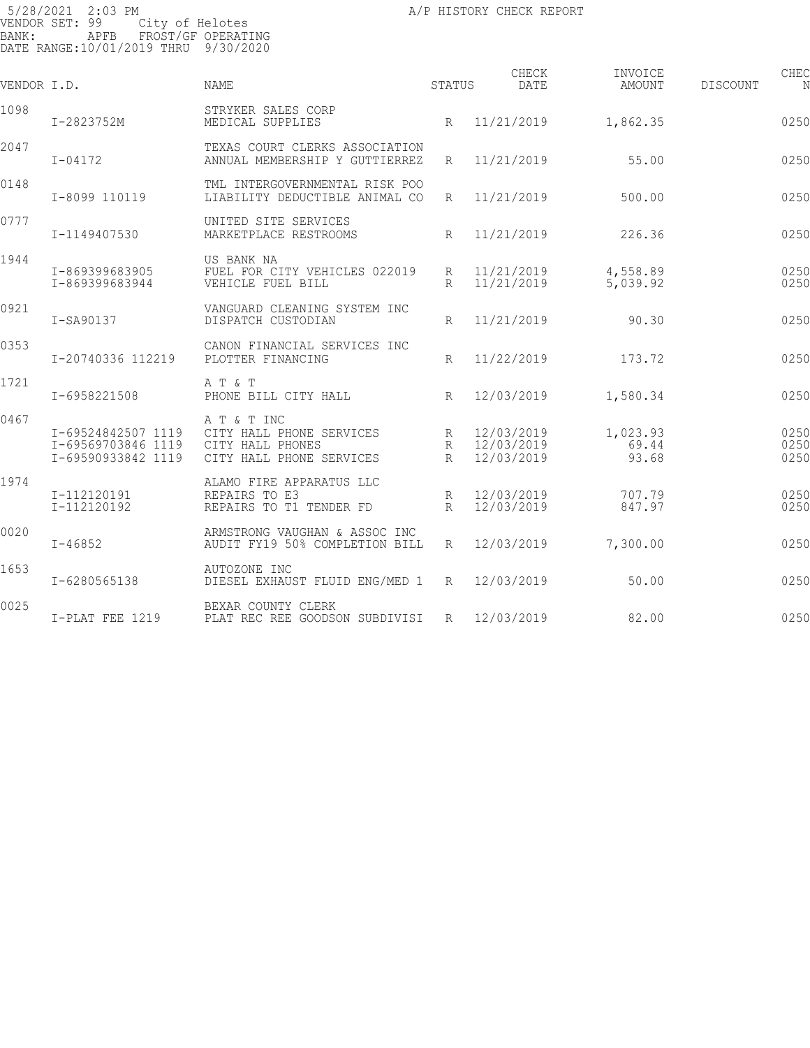| VENDOR I.D. |                                                                | <b>NAME</b>                                                                             | STATUS      | CHECK<br><b>DATE</b>                   | INVOICE<br>AMOUNT          | <b>DISCOUNT</b> | CHEC<br>N            |
|-------------|----------------------------------------------------------------|-----------------------------------------------------------------------------------------|-------------|----------------------------------------|----------------------------|-----------------|----------------------|
| 1098        | I-2823752M                                                     | STRYKER SALES CORP<br>MEDICAL SUPPLIES                                                  | R           | 11/21/2019                             | 1,862.35                   |                 | 0250                 |
| 2047        | $I - 04172$                                                    | TEXAS COURT CLERKS ASSOCIATION<br>ANNUAL MEMBERSHIP Y GUTTIERREZ                        | R           | 11/21/2019                             | 55.00                      |                 | 0250                 |
| 0148        | I-8099 110119                                                  | TML INTERGOVERNMENTAL RISK POO<br>LIABILITY DEDUCTIBLE ANIMAL CO                        | R           | 11/21/2019                             | 500.00                     |                 | 0250                 |
| 0777        | I-1149407530                                                   | UNITED SITE SERVICES<br>MARKETPLACE RESTROOMS                                           | $R_{\rm}$   | 11/21/2019                             | 226.36                     |                 | 0250                 |
| 1944        | I-869399683905<br>I-869399683944                               | US BANK NA<br>FUEL FOR CITY VEHICLES 022019<br>VEHICLE FUEL BILL                        | R<br>R      | 11/21/2019<br>11/21/2019               | 4,558.89<br>5,039.92       |                 | 0250<br>0250         |
| 0921        | I-SA90137                                                      | VANGUARD CLEANING SYSTEM INC<br>DISPATCH CUSTODIAN                                      | R           | 11/21/2019                             | 90.30                      |                 | 0250                 |
| 0353        | I-20740336 112219                                              | CANON FINANCIAL SERVICES INC<br>PLOTTER FINANCING                                       | R           | 11/22/2019                             | 173.72                     |                 | 0250                 |
| 1721        | I-6958221508                                                   | A T & T<br>PHONE BILL CITY HALL                                                         | R           | 12/03/2019                             | 1,580.34                   |                 | 0250                 |
| 0467        | I-69524842507 1119<br>I-69569703846 1119<br>I-69590933842 1119 | A T & T INC<br>CITY HALL PHONE SERVICES<br>CITY HALL PHONES<br>CITY HALL PHONE SERVICES | R<br>R<br>R | 12/03/2019<br>12/03/2019<br>12/03/2019 | 1,023.93<br>69.44<br>93.68 |                 | 0250<br>0250<br>0250 |
| 1974        | I-112120191<br>I-112120192                                     | ALAMO FIRE APPARATUS LLC<br>REPAIRS TO E3<br>REPAIRS TO T1 TENDER FD                    | R<br>R      | 12/03/2019<br>12/03/2019               | 707.79<br>847.97           |                 | 0250<br>0250         |
| 0020        | $I - 46852$                                                    | ARMSTRONG VAUGHAN & ASSOC INC<br>AUDIT FY19 50% COMPLETION BILL                         | R           | 12/03/2019                             | 7,300.00                   |                 | 0250                 |
| 1653        | I-6280565138                                                   | AUTOZONE INC<br>DIESEL EXHAUST FLUID ENG/MED 1                                          | R           | 12/03/2019                             | 50.00                      |                 | 0250                 |
| 0025        | I-PLAT FEE 1219                                                | BEXAR COUNTY CLERK<br>PLAT REC REE GOODSON SUBDIVISI                                    | R           | 12/03/2019                             | 82.00                      |                 | 0250                 |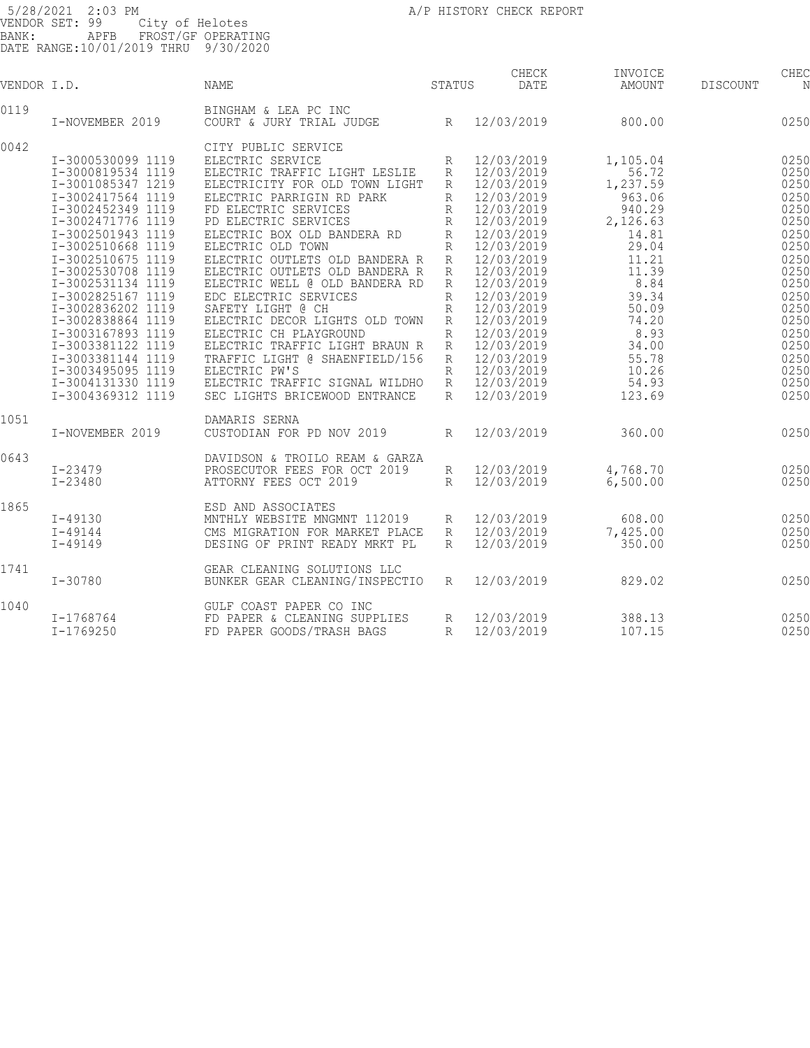| VENDOR I.D. |                   | <b>NAME</b>                    | STATUS       | CHECK<br>DATE | INVOICE<br>AMOUNT | CHEC<br>DISCOUNT<br>N |
|-------------|-------------------|--------------------------------|--------------|---------------|-------------------|-----------------------|
| 0119        |                   | BINGHAM & LEA PC INC           |              |               |                   |                       |
|             | I-NOVEMBER 2019   | COURT & JURY TRIAL JUDGE       | R            | 12/03/2019    | 800.00            | 0250                  |
| 0042        |                   | CITY PUBLIC SERVICE            |              |               |                   |                       |
|             | I-3000530099 1119 | ELECTRIC SERVICE               | R            | 12/03/2019    | 1,105.04          | 0250                  |
|             | I-3000819534 1119 | ELECTRIC TRAFFIC LIGHT LESLIE  | R            | 12/03/2019    | 56.72             | 0250                  |
|             | I-3001085347 1219 | ELECTRICITY FOR OLD TOWN LIGHT | R            | 12/03/2019    | 1,237.59          | 0250                  |
|             | I-3002417564 1119 | ELECTRIC PARRIGIN RD PARK      | $\mathbb{R}$ | 12/03/2019    | 963.06            | 0250                  |
|             | I-3002452349 1119 | FD ELECTRIC SERVICES           | R            | 12/03/2019    | 940.29            | 0250                  |
|             | I-3002471776 1119 | PD ELECTRIC SERVICES           | R            | 12/03/2019    | 2,126.63          | 0250                  |
|             | I-3002501943 1119 | ELECTRIC BOX OLD BANDERA RD    | $\mathbb{R}$ | 12/03/2019    | 14.81             | 0250                  |
|             | I-3002510668 1119 | ELECTRIC OLD TOWN              | $\mathbb{R}$ |               | 29.04             | 0250                  |
|             |                   |                                |              | 12/03/2019    |                   |                       |
|             | I-3002510675 1119 | ELECTRIC OUTLETS OLD BANDERA R | $\mathbb{R}$ | 12/03/2019    | 11.21             | 0250                  |
|             | I-3002530708 1119 | ELECTRIC OUTLETS OLD BANDERA R | R            | 12/03/2019    | 11.39             | 0250                  |
|             | I-3002531134 1119 | ELECTRIC WELL @ OLD BANDERA RD | R            | 12/03/2019    | 8.84              | 0250                  |
|             | I-3002825167 1119 | EDC ELECTRIC SERVICES          | $\mathbb{R}$ | 12/03/2019    | 39.34             | 0250                  |
|             | I-3002836202 1119 | SAFETY LIGHT @ CH              | $\mathbb{R}$ | 12/03/2019    | 50.09             | 0250                  |
|             | I-3002838864 1119 | ELECTRIC DECOR LIGHTS OLD TOWN | R            | 12/03/2019    | 74.20             | 0250                  |
|             | I-3003167893 1119 | ELECTRIC CH PLAYGROUND         | $\mathbb{R}$ | 12/03/2019    | 8.93              | 0250                  |
|             | I-3003381122 1119 | ELECTRIC TRAFFIC LIGHT BRAUN R | R            | 12/03/2019    | 34.00             | 0250                  |
|             | I-3003381144 1119 | TRAFFIC LIGHT @ SHAENFIELD/156 | R            | 12/03/2019    | 55.78             | 0250                  |
|             | I-3003495095 1119 | ELECTRIC PW'S                  | R            | 12/03/2019    | 10.26             | 0250                  |
|             | I-3004131330 1119 | ELECTRIC TRAFFIC SIGNAL WILDHO | R            | 12/03/2019    | 54.93             | 0250                  |
|             | I-3004369312 1119 | SEC LIGHTS BRICEWOOD ENTRANCE  | R            | 12/03/2019    | 123.69            | 0250                  |
| 1051        |                   | DAMARIS SERNA                  |              |               |                   |                       |
|             | I-NOVEMBER 2019   | CUSTODIAN FOR PD NOV 2019      | $\mathbb{R}$ | 12/03/2019    | 360.00            | 0250                  |
|             |                   |                                |              |               |                   |                       |
| 0643        |                   | DAVIDSON & TROILO REAM & GARZA |              |               |                   |                       |
|             | $I - 23479$       | PROSECUTOR FEES FOR OCT 2019   | R            | 12/03/2019    | 4,768.70          | 0250                  |
|             | $I - 23480$       | ATTORNY FEES OCT 2019          | R            | 12/03/2019    | 6,500.00          | 0250                  |
|             |                   |                                |              |               |                   |                       |
| 1865        |                   | ESD AND ASSOCIATES             |              |               |                   |                       |
|             | $I - 49130$       | MNTHLY WEBSITE MNGMNT 112019   | R            | 12/03/2019    | 608.00            | 0250                  |
|             | $I - 49144$       | CMS MIGRATION FOR MARKET PLACE | R            | 12/03/2019    | 7,425.00          | 0250                  |
|             | $I - 49149$       | DESING OF PRINT READY MRKT PL  | R            | 12/03/2019    | 350.00            | 0250                  |
| 1741        |                   | GEAR CLEANING SOLUTIONS LLC    |              |               |                   |                       |
|             | $I - 30780$       | BUNKER GEAR CLEANING/INSPECTIO | $\mathbb{R}$ | 12/03/2019    | 829.02            | 0250                  |
|             |                   |                                |              |               |                   |                       |
| 1040        |                   | GULF COAST PAPER CO INC        |              |               |                   |                       |
|             | I-1768764         | FD PAPER & CLEANING SUPPLIES   | R            | 12/03/2019    | 388.13            | 0250                  |
|             | $I - 1769250$     | FD PAPER GOODS/TRASH BAGS      | $\mathbb{R}$ | 12/03/2019    | 107.15            | 0250                  |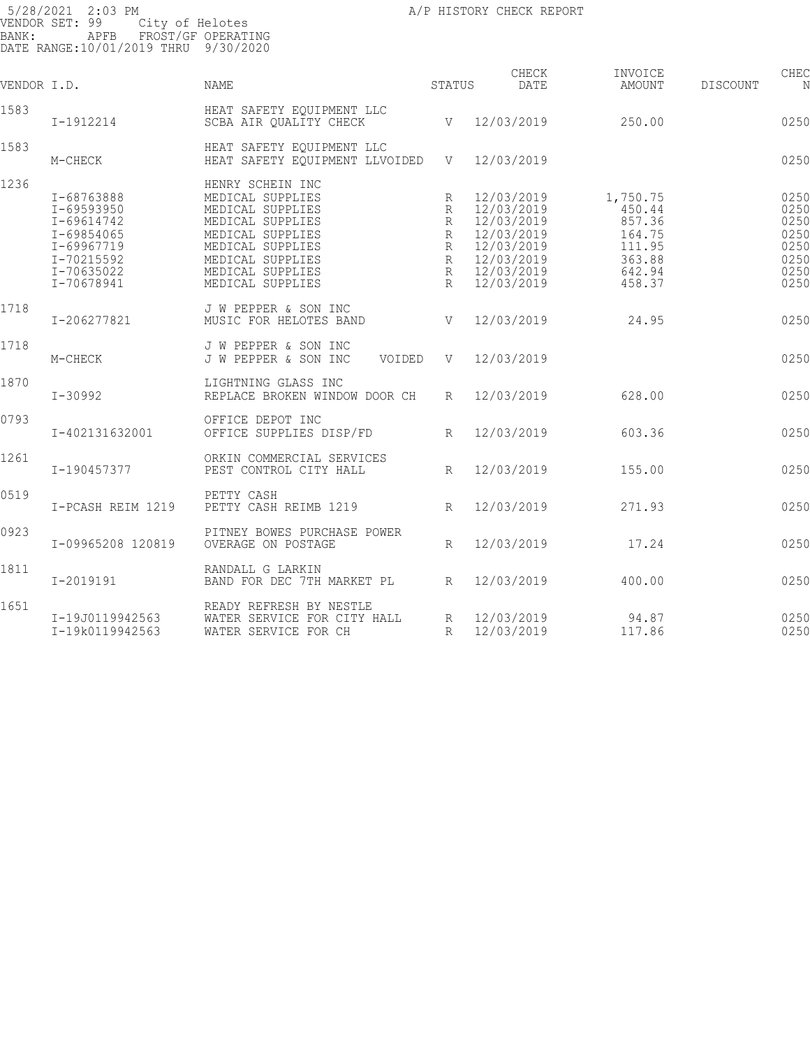5/28/2021 2:03 PM **A/P HISTORY CHECK REPORT** VENDOR SET: 99 City of Helotes BANK: APFB FROST/GF OPERATING DATE RANGE:10/01/2019 THRU 9/30/2020 CHECK INVOICE CHECK CHECK CHECK VENDOR I.D. NAME STATUS DATE AMOUNT DISCOUNT NO STATUS AMOUNT 1583 HEAT SAFETY EQUIPMENT LLC SCBA AIR QUALITY CHECK  $V = 12/03/2019$  250.00 0250 1583 HEAT SAFETY EQUIPMENT LLC HEAT SAFETY EQUIPMENT LLVOIDED V 12/03/2019 250.00CRP 250.00CRP 1236 HENRY SCHEIN INC<br>1-68763888 MEDICAL SUPPLIES I-68763888 MEDICAL SUPPLIES R 12/03/2019 1,750.75 025059 I-69593950 MEDICAL SUPPLIES R 12/03/2019 450.44 025059 I-69614742 MEDICAL SUPPLIES R 12/03/2019 857.36 025059 I-69854065 MEDICAL SUPPLIES R 12/03/2019 164.75 025059 I-69967719 MEDICAL SUPPLIES R 12/03/2019 111.95 025059 I-70215592 MEDICAL SUPPLIES R 12/03/2019 363.88 0250 I-70635022 MEDICAL SUPPLIES R 12/03/2019 642.94 025059 1 100000022<br>
I-70678941 MEDICAL SUPPLIES R 12/03/2019 458.37 0250 1718 J W PEPPER & SON INC NUSIC FOR HELOTES BAND V 12/03/2019 24.95 0250 1718 J W PEPPER & SON INC M-CHECK J W PEPPER & SON INC VOIDED V 12/03/2019 025060 24.95CR 1870 LIGHTNING GLASS INC REPLACE BROKEN WINDOW DOOR CH R 12/03/2019 628.00 0250 0793 OFFICE DEPOT INC I-402131632001 OFFICE SUPPLIES DISP/FD R 12/03/2019 603.36 025062 603.36 1261 ORKIN COMMERCIAL SERVICES PEST CONTROL CITY HALL  $R = 12/03/2019$  155.00 0250 0519 PETTY CASH I-PCASH REIM 1219 PETTY CASH REIMB 1219 R 12/03/2019 271.93 025064 271.93 0923 PITNEY BOWES PURCHASE POWER OVERAGE ON POSTAGE R 12/03/2019 17.24 0250 1811 RANDALL G LARKIN BAND FOR DEC 7TH MARKET PL R 12/03/2019 400.00 0250 1651 READY REFRESH BY NESTLE

I-19J0119942563 WATER SERVICE FOR CITY HALL R 12/03/2019 94.87 025067

I-19k0119942563 WATER SERVICE FOR CH R 12/03/2019 117.86 025067 212.73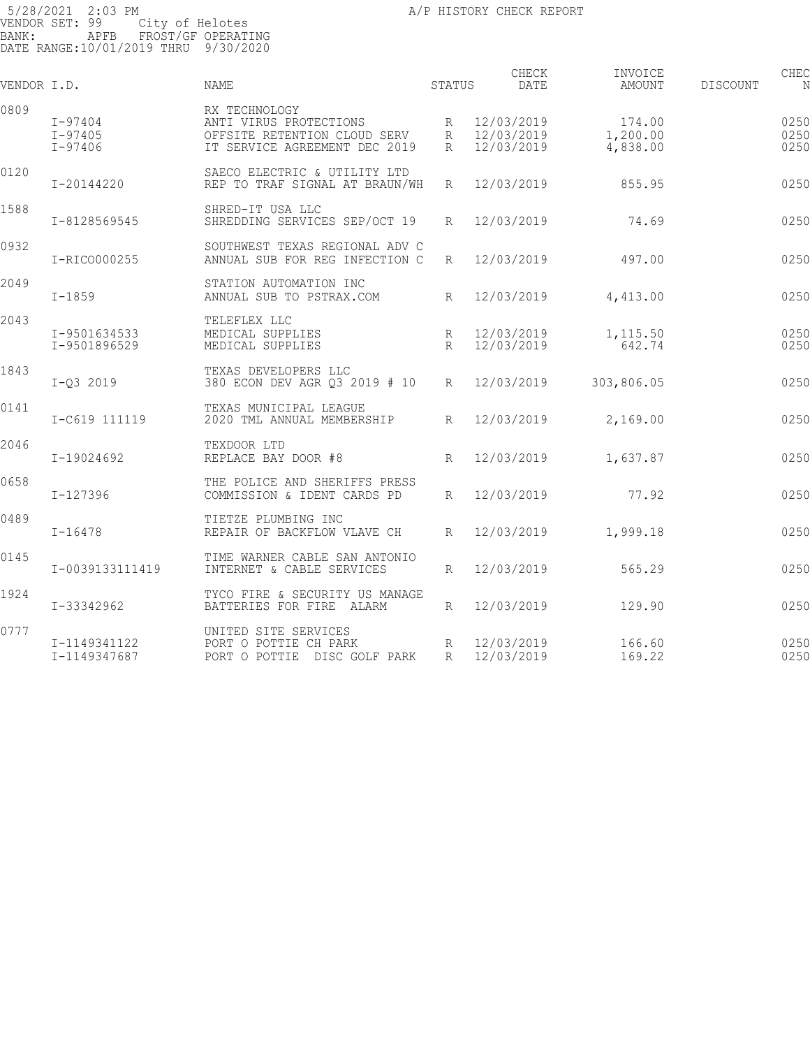| VENDOR I.D. |                                       | NAME                                                                                                     | STATUS               | CHECK<br>DATE                            | INVOICE<br>AMOUNT              | <b>DISCOUNT</b> | CHEC<br>N            |
|-------------|---------------------------------------|----------------------------------------------------------------------------------------------------------|----------------------|------------------------------------------|--------------------------------|-----------------|----------------------|
| 0809        | $I - 97404$<br>$I - 97405$<br>I-97406 | RX TECHNOLOGY<br>ANTI VIRUS PROTECTIONS<br>OFFSITE RETENTION CLOUD SERV<br>IT SERVICE AGREEMENT DEC 2019 | R<br>R               | R 12/03/2019<br>12/03/2019<br>12/03/2019 | 174.00<br>1,200.00<br>4,838.00 |                 | 0250<br>0250<br>0250 |
| 0120        | I-20144220                            | SAECO ELECTRIC & UTILITY LTD<br>REP TO TRAF SIGNAL AT BRAUN/WH                                           | R                    | 12/03/2019                               | 855.95                         |                 | 0250                 |
| 1588        | I-8128569545                          | SHRED-IT USA LLC<br>SHREDDING SERVICES SEP/OCT 19                                                        | R                    | 12/03/2019                               | 74.69                          |                 | 0250                 |
| 0932        | I-RICO000255                          | SOUTHWEST TEXAS REGIONAL ADV C<br>ANNUAL SUB FOR REG INFECTION C                                         | R                    | 12/03/2019                               | 497.00                         |                 | 0250                 |
| 2049        | $I - 1859$                            | STATION AUTOMATION INC<br>ANNUAL SUB TO PSTRAX.COM                                                       | $R_{\parallel}$      | 12/03/2019                               | 4,413.00                       |                 | 0250                 |
| 2043        | I-9501634533<br>I-9501896529          | TELEFLEX LLC<br>MEDICAL SUPPLIES<br>MEDICAL SUPPLIES                                                     | R<br>$R_{\parallel}$ | 12/03/2019<br>12/03/2019                 | 1,115.50<br>642.74             |                 | 0250<br>0250         |
| 1843        | $I-Q3 2019$                           | TEXAS DEVELOPERS LLC<br>380 ECON DEV AGR Q3 2019 # 10                                                    | R                    | 12/03/2019                               | 303,806.05                     |                 | 0250                 |
| 0141        | I-C619 111119                         | TEXAS MUNICIPAL LEAGUE<br>2020 TML ANNUAL MEMBERSHIP                                                     | R                    | 12/03/2019                               | 2,169.00                       |                 | 0250                 |
| 2046        | I-19024692                            | TEXDOOR LTD<br>REPLACE BAY DOOR #8                                                                       | R                    | 12/03/2019                               | 1,637.87                       |                 | 0250                 |
| 0658        | I-127396                              | THE POLICE AND SHERIFFS PRESS<br>COMMISSION & IDENT CARDS PD                                             | R                    | 12/03/2019                               | 77.92                          |                 | 0250                 |
| 0489        | $I - 16478$                           | TIETZE PLUMBING INC<br>REPAIR OF BACKFLOW VLAVE CH                                                       | R                    | 12/03/2019                               | 1,999.18                       |                 | 0250                 |
| 0145        | I-0039133111419                       | TIME WARNER CABLE SAN ANTONIO<br>INTERNET & CABLE SERVICES                                               | R                    | 12/03/2019                               | 565.29                         |                 | 0250                 |
| 1924        | I-33342962                            | TYCO FIRE & SECURITY US MANAGE<br>BATTERIES FOR FIRE ALARM                                               | R                    | 12/03/2019                               | 129.90                         |                 | 0250                 |
| 0777        | I-1149341122<br>I-1149347687          | UNITED SITE SERVICES<br>PORT O POTTIE CH PARK<br>PORT O POTTIE DISC GOLF PARK                            | R<br>R               | 12/03/2019<br>12/03/2019                 | 166.60<br>169.22               |                 | 0250<br>0250         |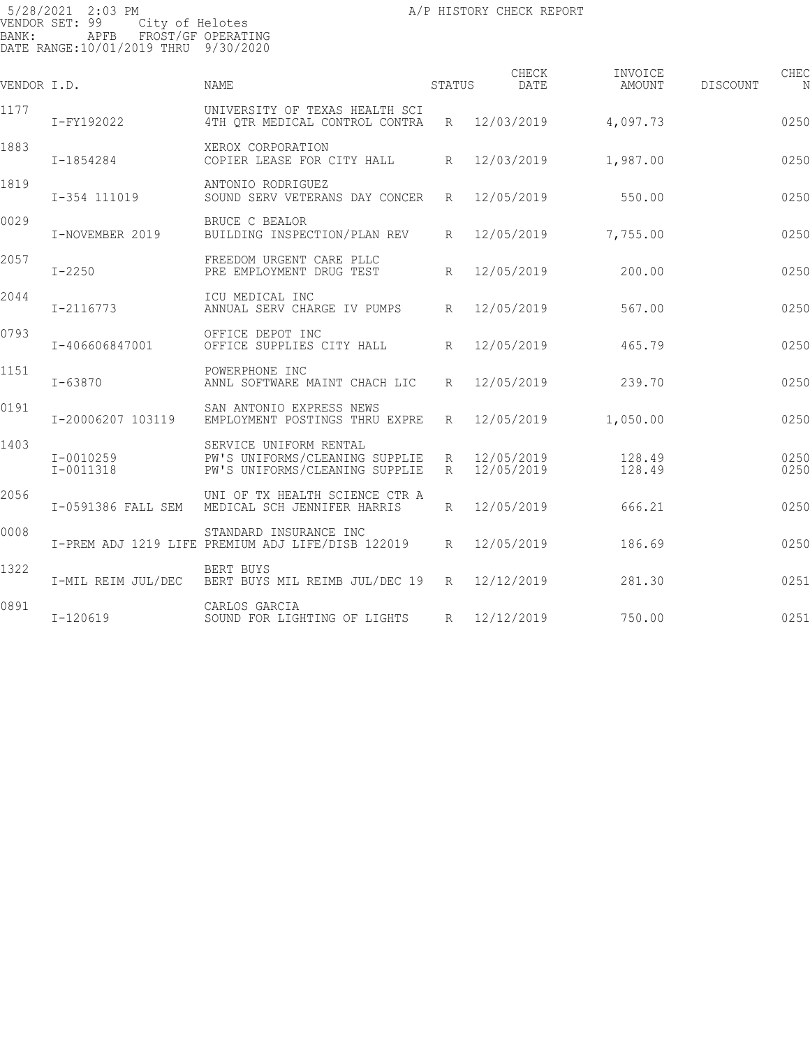| VENDOR I.D. |                        | <b>NAME</b>                                                                                | STATUS               | CHECK<br>DATE            | INVOICE<br>AMOUNT | <b>DISCOUNT</b> | CHEC         |
|-------------|------------------------|--------------------------------------------------------------------------------------------|----------------------|--------------------------|-------------------|-----------------|--------------|
| 1177        | I-FY192022             | UNIVERSITY OF TEXAS HEALTH SCI<br>4TH QTR MEDICAL CONTROL CONTRA                           | $R_{\parallel}$      | 12/03/2019               | 4,097.73          |                 | 0250         |
| 1883        | I-1854284              | XEROX CORPORATION<br>COPIER LEASE FOR CITY HALL                                            | $R_{\parallel}$      | 12/03/2019               | 1,987.00          |                 | 0250         |
| 1819        | I-354 111019           | ANTONIO RODRIGUEZ<br>SOUND SERV VETERANS DAY CONCER                                        | $R_{\parallel}$      | 12/05/2019               | 550.00            |                 | 0250         |
| 0029        | I-NOVEMBER 2019        | BRUCE C BEALOR<br>BUILDING INSPECTION/PLAN REV                                             | R                    | 12/05/2019               | 7,755.00          |                 | 0250         |
| 2057        | $I - 2250$             | FREEDOM URGENT CARE PLLC<br>PRE EMPLOYMENT DRUG TEST                                       | $R_{\parallel}$      | 12/05/2019               | 200.00            |                 | 0250         |
| 2044        | I-2116773              | ICU MEDICAL INC<br>ANNUAL SERV CHARGE IV PUMPS                                             | $R_{\parallel}$      | 12/05/2019               | 567.00            |                 | 0250         |
| 0793        | I-406606847001         | OFFICE DEPOT INC<br>OFFICE SUPPLIES CITY HALL                                              | $R_{\parallel}$      | 12/05/2019               | 465.79            |                 | 0250         |
| 1151        | I-63870                | POWERPHONE INC<br>ANNL SOFTWARE MAINT CHACH LIC                                            | R                    | 12/05/2019               | 239.70            |                 | 0250         |
| 0191        | I-20006207 103119      | SAN ANTONIO EXPRESS NEWS<br>EMPLOYMENT POSTINGS THRU EXPRE                                 | R                    | 12/05/2019               | 1,050.00          |                 | 0250         |
| 1403        | I-0010259<br>I-0011318 | SERVICE UNIFORM RENTAL<br>PW'S UNIFORMS/CLEANING SUPPLIE<br>PW'S UNIFORMS/CLEANING SUPPLIE | R<br>$R_{\parallel}$ | 12/05/2019<br>12/05/2019 | 128.49<br>128.49  |                 | 0250<br>0250 |
| 2056        | I-0591386 FALL SEM     | UNI OF TX HEALTH SCIENCE CTR A<br>MEDICAL SCH JENNIFER HARRIS                              | $R_{\parallel}$      | 12/05/2019               | 666.21            |                 | 0250         |
| 0008        |                        | STANDARD INSURANCE INC<br>I-PREM ADJ 1219 LIFE PREMIUM ADJ LIFE/DISB 122019                | R                    | 12/05/2019               | 186.69            |                 | 0250         |
| 1322        | I-MIL REIM JUL/DEC     | BERT BUYS<br>BERT BUYS MIL REIMB JUL/DEC 19 R                                              |                      | 12/12/2019               | 281.30            |                 | 0251         |
| 0891        | $I-120619$             | CARLOS GARCIA<br>SOUND FOR LIGHTING OF LIGHTS                                              | R                    | 12/12/2019               | 750.00            |                 | 0251         |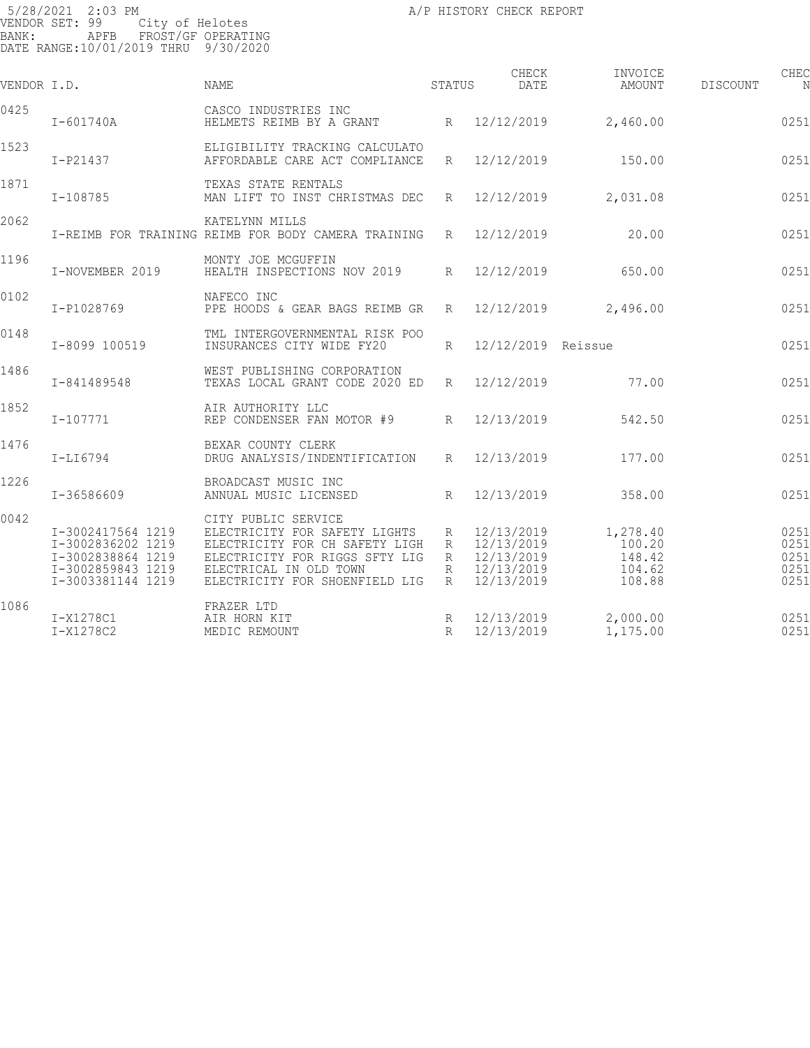| VENDOR I.D. |                                                                                                       | <b>NAME</b>                                                                                                                                                                          | STATUS                | CHECK<br>DATE                                                      | INVOICE<br>AMOUNT                                | DISCOUNT | CHEC<br>N                            |
|-------------|-------------------------------------------------------------------------------------------------------|--------------------------------------------------------------------------------------------------------------------------------------------------------------------------------------|-----------------------|--------------------------------------------------------------------|--------------------------------------------------|----------|--------------------------------------|
| 0425        | $I - 601740A$                                                                                         | CASCO INDUSTRIES INC<br>HELMETS REIMB BY A GRANT                                                                                                                                     |                       | R 12/12/2019                                                       | 2,460.00                                         |          | 0251                                 |
| 1523        | I-P21437                                                                                              | ELIGIBILITY TRACKING CALCULATO<br>AFFORDABLE CARE ACT COMPLIANCE                                                                                                                     | R                     | 12/12/2019                                                         | 150.00                                           |          | 0251                                 |
| 1871        | I-108785                                                                                              | TEXAS STATE RENTALS<br>MAN LIFT TO INST CHRISTMAS DEC                                                                                                                                | R                     | 12/12/2019                                                         | 2,031.08                                         |          | 0251                                 |
| 2062        |                                                                                                       | KATELYNN MILLS<br>I-REIMB FOR TRAINING REIMB FOR BODY CAMERA TRAINING                                                                                                                | $R_{\parallel}$       | 12/12/2019                                                         | 20.00                                            |          | 0251                                 |
| 1196        | I-NOVEMBER 2019                                                                                       | MONTY JOE MCGUFFIN<br>HEALTH INSPECTIONS NOV 2019                                                                                                                                    | R                     | 12/12/2019                                                         | 650.00                                           |          | 0251                                 |
| 0102        | I-P1028769                                                                                            | NAFECO INC<br>PPE HOODS & GEAR BAGS REIMB GR                                                                                                                                         | R                     | 12/12/2019                                                         | 2,496.00                                         |          | 0251                                 |
| 0148        | I-8099 100519                                                                                         | TML INTERGOVERNMENTAL RISK POO<br>INSURANCES CITY WIDE FY20                                                                                                                          | $R_{\rm}$             | 12/12/2019 Reissue                                                 |                                                  |          | 0251                                 |
| 1486        | I-841489548                                                                                           | WEST PUBLISHING CORPORATION<br>TEXAS LOCAL GRANT CODE 2020 ED                                                                                                                        | R                     | 12/12/2019                                                         | 77.00                                            |          | 0251                                 |
| 1852        | I-107771                                                                                              | AIR AUTHORITY LLC<br>REP CONDENSER FAN MOTOR #9                                                                                                                                      | $R_{\parallel}$       | 12/13/2019                                                         | 542.50                                           |          | 0251                                 |
| 1476        | $I-LI6794$                                                                                            | BEXAR COUNTY CLERK<br>DRUG ANALYSIS/INDENTIFICATION                                                                                                                                  | $R_{\parallel}$       | 12/13/2019                                                         | 177.00                                           |          | 0251                                 |
| 1226        | I-36586609                                                                                            | BROADCAST MUSIC INC<br>ANNUAL MUSIC LICENSED                                                                                                                                         | $R_{\parallel}$       | 12/13/2019                                                         | 358.00                                           |          | 0251                                 |
| 0042        | I-3002417564 1219<br>I-3002836202 1219<br>I-3002838864 1219<br>I-3002859843 1219<br>I-3003381144 1219 | CITY PUBLIC SERVICE<br>ELECTRICITY FOR SAFETY LIGHTS<br>ELECTRICITY FOR CH SAFETY LIGH<br>ELECTRICITY FOR RIGGS SFTY LIG<br>ELECTRICAL IN OLD TOWN<br>ELECTRICITY FOR SHOENFIELD LIG | R<br>R<br>R<br>R<br>R | 12/13/2019<br>12/13/2019<br>12/13/2019<br>12/13/2019<br>12/13/2019 | 1,278.40<br>100.20<br>148.42<br>104.62<br>108.88 |          | 0251<br>0251<br>0251<br>0251<br>0251 |
| 1086        | I-X1278C1<br>I-X1278C2                                                                                | FRAZER LTD<br>AIR HORN KIT<br>MEDIC REMOUNT                                                                                                                                          | R<br>R                | 12/13/2019<br>12/13/2019                                           | 2,000.00<br>1,175.00                             |          | 0251<br>0251                         |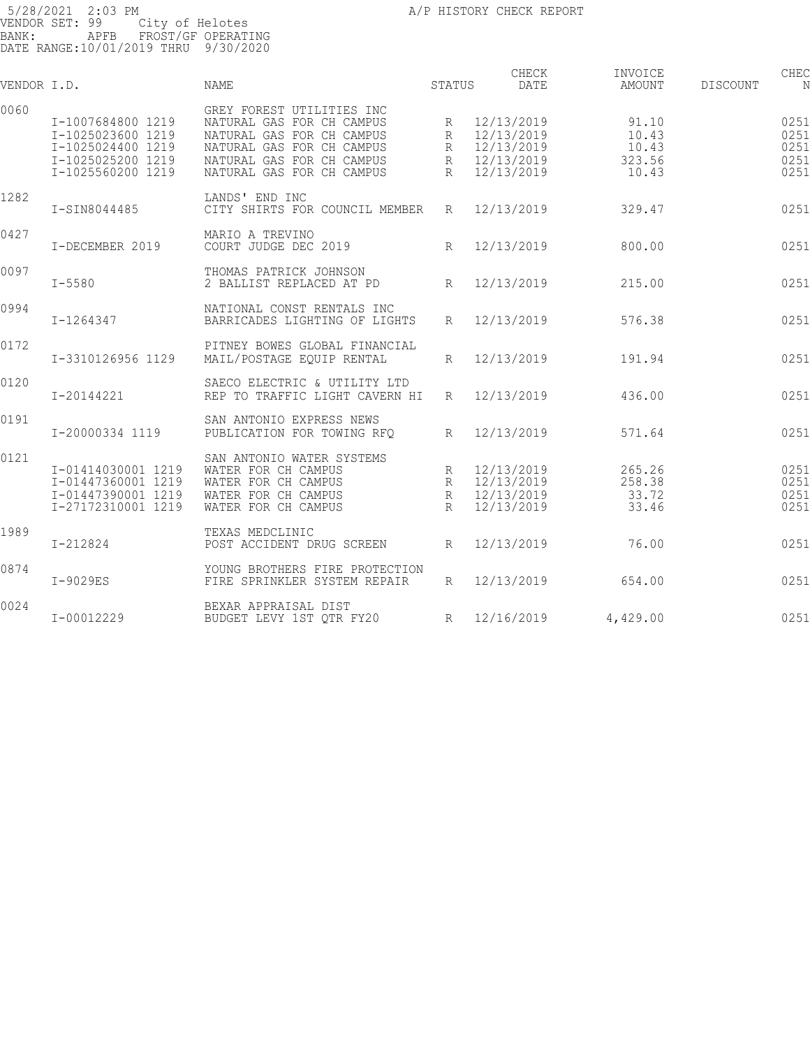| VENDOR I.D. |                                                                                                       | <b>NAME</b>                                                                                                                                                                | STATUS                | CHECK<br><b>DATE</b>                                               | INVOICE<br>AMOUNT                          | <b>DISCOUNT</b> | CHEC<br>N                            |
|-------------|-------------------------------------------------------------------------------------------------------|----------------------------------------------------------------------------------------------------------------------------------------------------------------------------|-----------------------|--------------------------------------------------------------------|--------------------------------------------|-----------------|--------------------------------------|
| 0060        | I-1007684800 1219<br>I-1025023600 1219<br>I-1025024400 1219<br>I-1025025200 1219<br>I-1025560200 1219 | GREY FOREST UTILITIES INC<br>NATURAL GAS FOR CH CAMPUS<br>NATURAL GAS FOR CH CAMPUS<br>NATURAL GAS FOR CH CAMPUS<br>NATURAL GAS FOR CH CAMPUS<br>NATURAL GAS FOR CH CAMPUS | R<br>R<br>R<br>R<br>R | 12/13/2019<br>12/13/2019<br>12/13/2019<br>12/13/2019<br>12/13/2019 | 91.10<br>10.43<br>10.43<br>323.56<br>10.43 |                 | 0251<br>0251<br>0251<br>0251<br>0251 |
| 1282        | I-SIN8044485                                                                                          | LANDS' END INC<br>CITY SHIRTS FOR COUNCIL MEMBER                                                                                                                           | R                     | 12/13/2019                                                         | 329.47                                     |                 | 0251                                 |
| 0427        | I-DECEMBER 2019                                                                                       | MARIO A TREVINO<br>COURT JUDGE DEC 2019                                                                                                                                    | R                     | 12/13/2019                                                         | 800.00                                     |                 | 0251                                 |
| 0097        | $I - 5580$                                                                                            | THOMAS PATRICK JOHNSON<br>2 BALLIST REPLACED AT PD                                                                                                                         | $R_{\parallel}$       | 12/13/2019                                                         | 215.00                                     |                 | 0251                                 |
| 0994        | I-1264347                                                                                             | NATIONAL CONST RENTALS INC<br>BARRICADES LIGHTING OF LIGHTS                                                                                                                | $R_{\parallel}$       | 12/13/2019                                                         | 576.38                                     |                 | 0251                                 |
| 0172        | I-3310126956 1129                                                                                     | PITNEY BOWES GLOBAL FINANCIAL<br>MAIL/POSTAGE EQUIP RENTAL                                                                                                                 | R                     | 12/13/2019                                                         | 191.94                                     |                 | 0251                                 |
| 0120        | I-20144221                                                                                            | SAECO ELECTRIC & UTILITY LTD<br>REP TO TRAFFIC LIGHT CAVERN HI                                                                                                             | $R_{\parallel}$       | 12/13/2019                                                         | 436.00                                     |                 | 0251                                 |
| 0191        | I-20000334 1119                                                                                       | SAN ANTONIO EXPRESS NEWS<br>PUBLICATION FOR TOWING RFO                                                                                                                     | R                     | 12/13/2019                                                         | 571.64                                     |                 | 0251                                 |
| 0121        | I-01414030001 1219<br>I-01447360001 1219<br>I-01447390001 1219<br>I-27172310001 1219                  | SAN ANTONIO WATER SYSTEMS<br>WATER FOR CH CAMPUS<br>WATER FOR CH CAMPUS<br>WATER FOR CH CAMPUS<br>WATER FOR CH CAMPUS                                                      | R<br>R<br>R<br>R      | 12/13/2019<br>12/13/2019<br>12/13/2019<br>12/13/2019               | 265.26<br>258.38<br>33.72<br>33.46         |                 | 0251<br>0251<br>0251<br>0251         |
| 1989        | $I - 212824$                                                                                          | TEXAS MEDCLINIC<br>POST ACCIDENT DRUG SCREEN                                                                                                                               | $R_{\rm}$             | 12/13/2019                                                         | 76.00                                      |                 | 0251                                 |
| 0874        | $I-9029ES$                                                                                            | YOUNG BROTHERS FIRE PROTECTION<br>FIRE SPRINKLER SYSTEM REPAIR                                                                                                             | $R_{\parallel}$       | 12/13/2019                                                         | 654.00                                     |                 | 0251                                 |
| 0024        | I-00012229                                                                                            | BEXAR APPRAISAL DIST<br>BUDGET LEVY 1ST OTR FY20                                                                                                                           | R                     | 12/16/2019                                                         | 4,429.00                                   |                 | 0251                                 |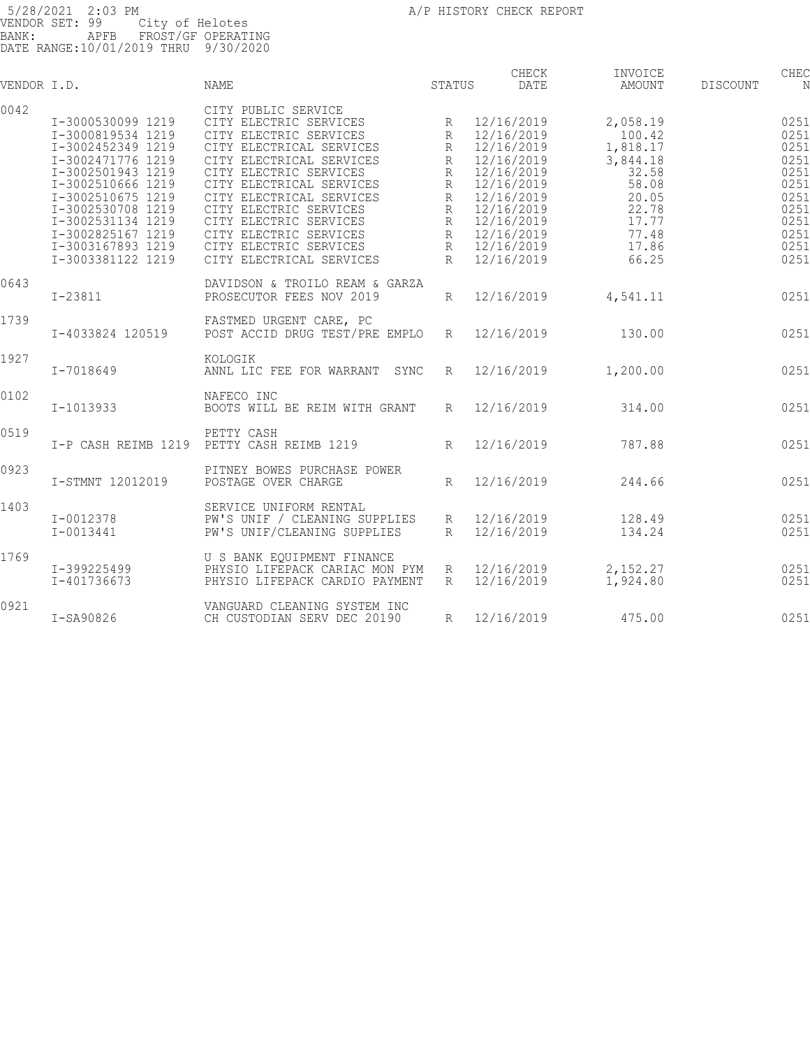| VENDOR I.D. |                                                                                                                                                                                                                                                          | <b>NAME</b>                                                                                                                                                                                                                                                                                                                                           | <b>STATUS</b>                                                                                   | CHECK<br><b>DATE</b>                                                                                                                                                 | INVOICE<br>AMOUNT                                                                                                  | <b>DISCOUNT</b> | CHEC<br>N                                                                                    |
|-------------|----------------------------------------------------------------------------------------------------------------------------------------------------------------------------------------------------------------------------------------------------------|-------------------------------------------------------------------------------------------------------------------------------------------------------------------------------------------------------------------------------------------------------------------------------------------------------------------------------------------------------|-------------------------------------------------------------------------------------------------|----------------------------------------------------------------------------------------------------------------------------------------------------------------------|--------------------------------------------------------------------------------------------------------------------|-----------------|----------------------------------------------------------------------------------------------|
| 0042        | I-3000530099 1219<br>I-3000819534 1219<br>I-3002452349 1219<br>I-3002471776 1219<br>I-3002501943 1219<br>I-3002510666 1219<br>I-3002510675 1219<br>I-3002530708 1219<br>I-3002531134 1219<br>I-3002825167 1219<br>I-3003167893 1219<br>I-3003381122 1219 | CITY PUBLIC SERVICE<br>CITY ELECTRIC SERVICES<br>CITY ELECTRIC SERVICES<br>CITY ELECTRICAL SERVICES<br>CITY ELECTRICAL SERVICES<br>CITY ELECTRIC SERVICES<br>CITY ELECTRICAL SERVICES<br>CITY ELECTRICAL SERVICES<br>CITY ELECTRIC SERVICES<br>CITY ELECTRIC SERVICES<br>CITY ELECTRIC SERVICES<br>CITY ELECTRIC SERVICES<br>CITY ELECTRICAL SERVICES | R<br>R<br>$\mathbb{R}$<br>R<br>$\mathbb{R}$<br>$\mathbb{R}$<br>R<br>R<br>R<br>R<br>$\mathsf{R}$ | 12/16/2019<br>12/16/2019<br>12/16/2019<br>12/16/2019<br>12/16/2019<br>12/16/2019<br>12/16/2019<br>12/16/2019<br>12/16/2019<br>12/16/2019<br>12/16/2019<br>12/16/2019 | 2,058.19<br>100.42<br>1,818.17<br>3,844.18<br>32.58<br>58.08<br>20.05<br>22.78<br>17.77<br>77.48<br>17.86<br>66.25 |                 | 0251<br>0251<br>0251<br>0251<br>0251<br>0251<br>0251<br>0251<br>0251<br>0251<br>0251<br>0251 |
| 0643        | $I - 23811$                                                                                                                                                                                                                                              | DAVIDSON & TROILO REAM & GARZA<br>PROSECUTOR FEES NOV 2019                                                                                                                                                                                                                                                                                            | $R_{\rm}$                                                                                       | 12/16/2019                                                                                                                                                           | 4,541.11                                                                                                           |                 | 0251                                                                                         |
| 1739        | I-4033824 120519                                                                                                                                                                                                                                         | FASTMED URGENT CARE, PC<br>POST ACCID DRUG TEST/PRE EMPLO                                                                                                                                                                                                                                                                                             | $\mathbb{R}$                                                                                    | 12/16/2019                                                                                                                                                           | 130.00                                                                                                             |                 | 0251                                                                                         |
| 1927        | $I - 7018649$                                                                                                                                                                                                                                            | KOLOGIK<br>ANNL LIC FEE FOR WARRANT<br>SYNC                                                                                                                                                                                                                                                                                                           | R                                                                                               | 12/16/2019                                                                                                                                                           | 1,200.00                                                                                                           |                 | 0251                                                                                         |
| 0102        | I-1013933                                                                                                                                                                                                                                                | NAFECO INC<br>BOOTS WILL BE REIM WITH GRANT                                                                                                                                                                                                                                                                                                           | R                                                                                               | 12/16/2019                                                                                                                                                           | 314.00                                                                                                             |                 | 0251                                                                                         |
| 0519        | I-P CASH REIMB 1219                                                                                                                                                                                                                                      | PETTY CASH<br>PETTY CASH REIMB 1219                                                                                                                                                                                                                                                                                                                   | $R_{\rm}$                                                                                       | 12/16/2019                                                                                                                                                           | 787.88                                                                                                             |                 | 0251                                                                                         |
| 0923        | I-STMNT 12012019                                                                                                                                                                                                                                         | PITNEY BOWES PURCHASE POWER<br>POSTAGE OVER CHARGE                                                                                                                                                                                                                                                                                                    | $R_{\rm}$                                                                                       | 12/16/2019                                                                                                                                                           | 244.66                                                                                                             |                 | 0251                                                                                         |
| 1403        | I-0012378<br>$I - 0013441$                                                                                                                                                                                                                               | SERVICE UNIFORM RENTAL<br>PW'S UNIF / CLEANING SUPPLIES<br>PW'S UNIF/CLEANING SUPPLIES                                                                                                                                                                                                                                                                | R<br>$R_{\rm}$                                                                                  | 12/16/2019<br>12/16/2019                                                                                                                                             | 128.49<br>134.24                                                                                                   |                 | 0251<br>0251                                                                                 |
| 1769        | I-399225499<br>I-401736673                                                                                                                                                                                                                               | U S BANK EOUIPMENT FINANCE<br>PHYSIO LIFEPACK CARIAC MON PYM<br>PHYSIO LIFEPACK CARDIO PAYMENT                                                                                                                                                                                                                                                        | R<br>R                                                                                          | 12/16/2019<br>12/16/2019                                                                                                                                             | 2,152.27<br>1,924.80                                                                                               |                 | 0251<br>0251                                                                                 |
| 0921        | I-SA90826                                                                                                                                                                                                                                                | VANGUARD CLEANING SYSTEM INC<br>CH CUSTODIAN SERV DEC 20190                                                                                                                                                                                                                                                                                           | R                                                                                               | 12/16/2019                                                                                                                                                           | 475.00                                                                                                             |                 | 0251                                                                                         |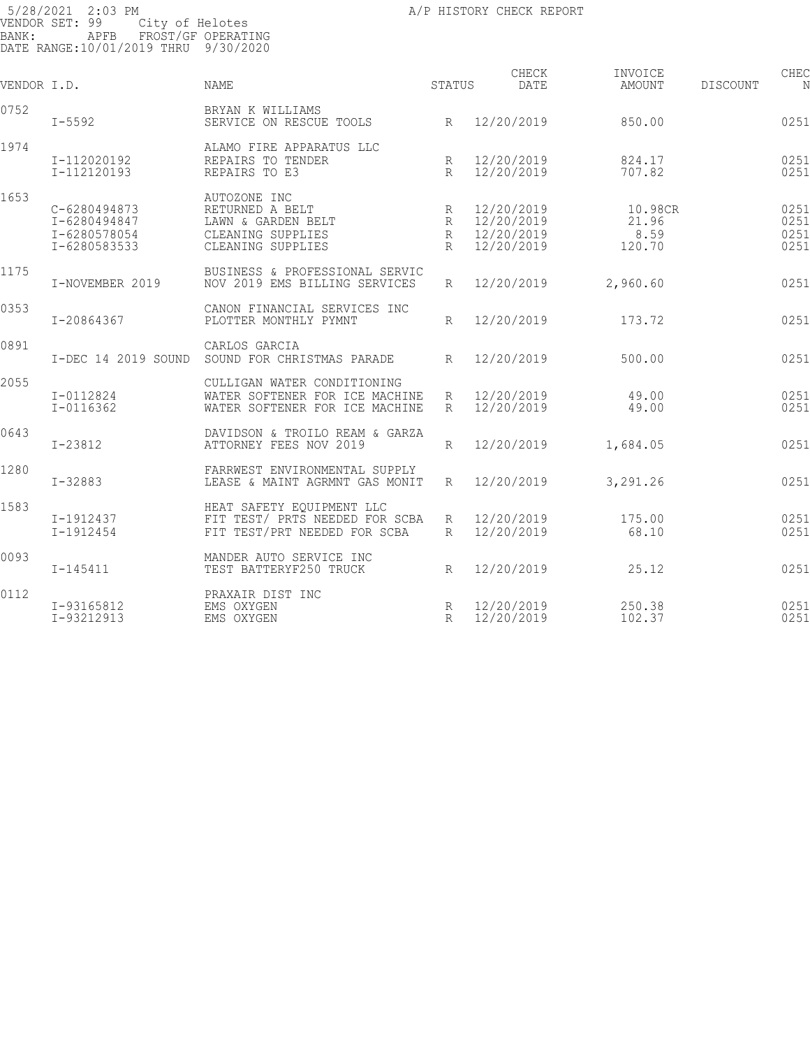CHECK INVOICE CHECK CHECK CHECK VENDOR I.D. NAME STATUS DATE AMOUNT DISCOUNT NO STATUS AMOUNT 0752 BRYAN K WILLIAMS SERVICE ON RESCUE TOOLS 850.00 850.00 850.00 1974 ALAMO FIRE APPARATUS LLC I-112020192 REPAIRS TO TENDER R 12/20/2019 824.17 025139 I-112120193 REPAIRS TO E3 R 12/20/2019 707.82 025139 1,531.99 1653 AUTOZONE INC C-6280494873 RETURNED A BELT R 12/20/2019 10.98CR 025140 I-6280494847 LAWN & GARDEN BELT R 12/20/2019 21.96 025140 I-6280578054 CLEANING SUPPLIES R 12/20/2019 8.59 025140 I-6280583533 CLEANING SUPPLIES R 12/20/2019 120.70 025140 140.27 1175 BUSINESS & PROFESSIONAL SERVIC NOV 2019 EMS BILLING SERVICES R 12/20/2019 2,960.60 0251 0353 CANON FINANCIAL SERVICES INC PLOTTER MONTHLY PYMNT R 12/20/2019 173.72 0251 0891 CARLOS GARCIA I-DEC 14 2019 SOUND SOUND FOR CHRISTMAS PARADE R 12/20/2019 500.00 500.00 0251 2055 CULLIGAN WATER CONDITIONING<br>1-0112824 WATER SOFTENER FOR ICE MACHI<br>1-0116362 WATER SOFTENER FOR ICE MACHI I-0112824 WATER SOFTENER FOR ICE MACHINE R 12/20/2019 49.00 025144 I-0116362 WATER SOFTENER FOR ICE MACHINE R 12/20/2019 49.00 025144 98.00 0643 DAVIDSON & TROILO REAM & GARZA I-23812 ATTORNEY FEES NOV 2019 R 12/20/2019 1,684.05 025145 1,684.05 1280 **I-32883** FARRWEST ENVIRONMENTAL SUPPLY<br>I-32883 LEASE & MAINT AGRMNT GAS MONIT LEASE & MAINT AGRMNT GAS MONIT R 12/20/2019 3,291.26 0251 1583 HEAT SAFETY EQUIPMENT LLC I-1912437 FIT TEST/ PRTS NEEDED FOR SCBA R 12/20/2019 175.00 025147 I-1912454 FIT TEST/PRT NEEDED FOR SCBA R 12/20/2019 68.10 025147 243.10 0093 MANDER AUTO SERVICE INC TEST BATTERYF250 TRUCK R 12/20/2019 25.12 0251 0112 PRAXAIR DIST INC I-93165812 EMS OXYGEN R 12/20/2019 250.38 025149 I-93212913 EMS OXYGEN R 12/20/2019 102.37 0251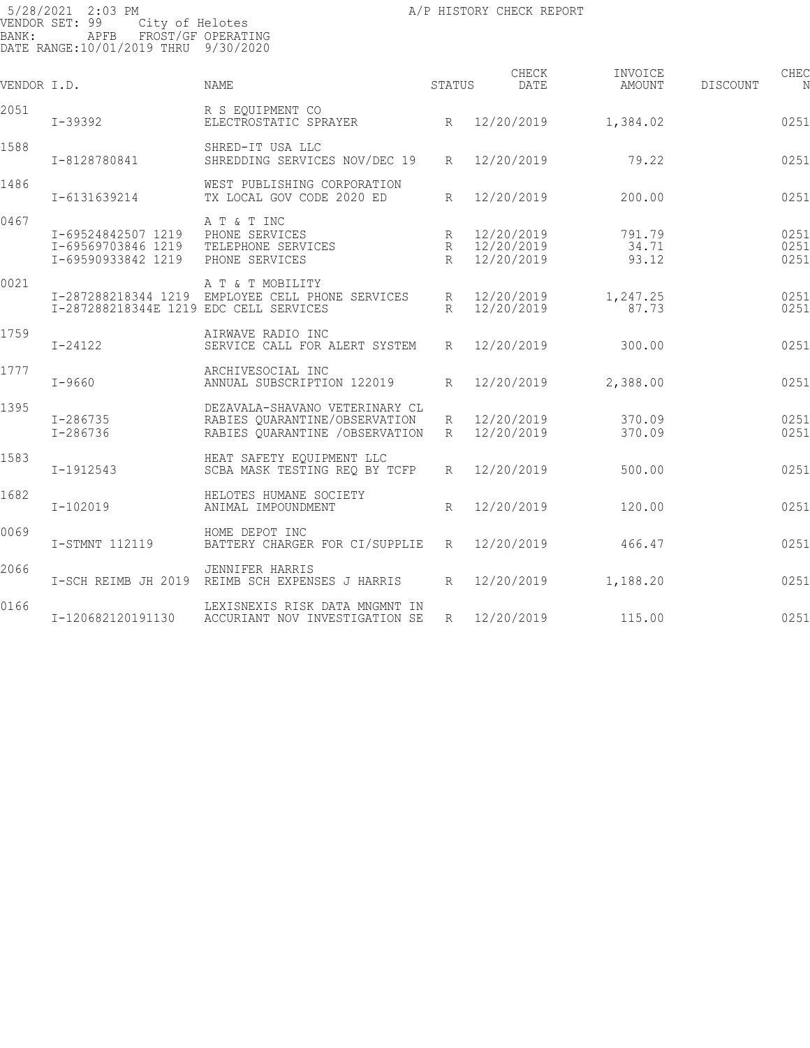| VENDOR I.D. |                                                                | <b>NAME</b>                                                                                        | STATUS                    | CHECK<br>DATE                          | INVOICE<br>AMOUNT        | DISCOUNT | CHEC                 |
|-------------|----------------------------------------------------------------|----------------------------------------------------------------------------------------------------|---------------------------|----------------------------------------|--------------------------|----------|----------------------|
| 2051        | I-39392                                                        | R S EOUIPMENT CO<br>ELECTROSTATIC SPRAYER                                                          |                           | R 12/20/2019                           | 1,384.02                 |          | 0251                 |
| 1588        | I-8128780841                                                   | SHRED-IT USA LLC<br>SHREDDING SERVICES NOV/DEC 19                                                  | $R_{\parallel}$           | 12/20/2019                             | 79.22                    |          | 0251                 |
| 1486        | I-6131639214                                                   | WEST PUBLISHING CORPORATION<br>TX LOCAL GOV CODE 2020 ED                                           | R                         | 12/20/2019                             | 200.00                   |          | 0251                 |
| 0467        | I-69524842507 1219<br>I-69569703846 1219<br>I-69590933842 1219 | A T & T INC<br>PHONE SERVICES<br>TELEPHONE SERVICES<br>PHONE SERVICES                              | $R_{\parallel}$<br>R<br>R | 12/20/2019<br>12/20/2019<br>12/20/2019 | 791.79<br>34.71<br>93.12 |          | 0251<br>0251<br>0251 |
| 0021        | I-287288218344E 1219 EDC CELL SERVICES                         | A T & T MOBILITY<br>I-287288218344 1219 EMPLOYEE CELL PHONE SERVICES                               | R                         | R 12/20/2019<br>12/20/2019             | 1,247.25<br>87.73        |          | 0251<br>0251         |
| 1759        | $I - 24122$                                                    | AIRWAVE RADIO INC<br>SERVICE CALL FOR ALERT SYSTEM                                                 | $R_{\parallel}$           | 12/20/2019                             | 300.00                   |          | 0251                 |
| 1777        | $I - 9660$                                                     | ARCHIVESOCIAL INC<br>ANNUAL SUBSCRIPTION 122019                                                    | $R_{\rm}$                 | 12/20/2019                             | 2,388.00                 |          | 0251                 |
| 1395        | I-286735<br>$I - 286736$                                       | DEZAVALA-SHAVANO VETERINARY CL<br>RABIES OUARANTINE/OBSERVATION<br>RABIES OUARANTINE / OBSERVATION | R<br>R                    | 12/20/2019<br>12/20/2019               | 370.09<br>370.09         |          | 0251<br>0251         |
| 1583        | I-1912543                                                      | HEAT SAFETY EOUIPMENT LLC<br>SCBA MASK TESTING REO BY TCFP                                         | $R_{\parallel}$           | 12/20/2019                             | 500.00                   |          | 0251                 |
| 1682        | I-102019                                                       | HELOTES HUMANE SOCIETY<br>ANIMAL IMPOUNDMENT                                                       | $R_{\parallel}$           | 12/20/2019                             | 120.00                   |          | 0251                 |
| 0069        | I-STMNT 112119                                                 | HOME DEPOT INC<br>BATTERY CHARGER FOR CI/SUPPLIE                                                   | R                         | 12/20/2019                             | 466.47                   |          | 0251                 |
| 2066        | I-SCH REIMB JH 2019                                            | <b>JENNIFER HARRIS</b><br>REIMB SCH EXPENSES J HARRIS                                              | $R_{\parallel}$           | 12/20/2019                             | 1,188.20                 |          | 0251                 |
| 0166        | I-120682120191130                                              | LEXISNEXIS RISK DATA MNGMNT IN<br>ACCURIANT NOV INVESTIGATION SE                                   | R                         | 12/20/2019                             | 115.00                   |          | 0251                 |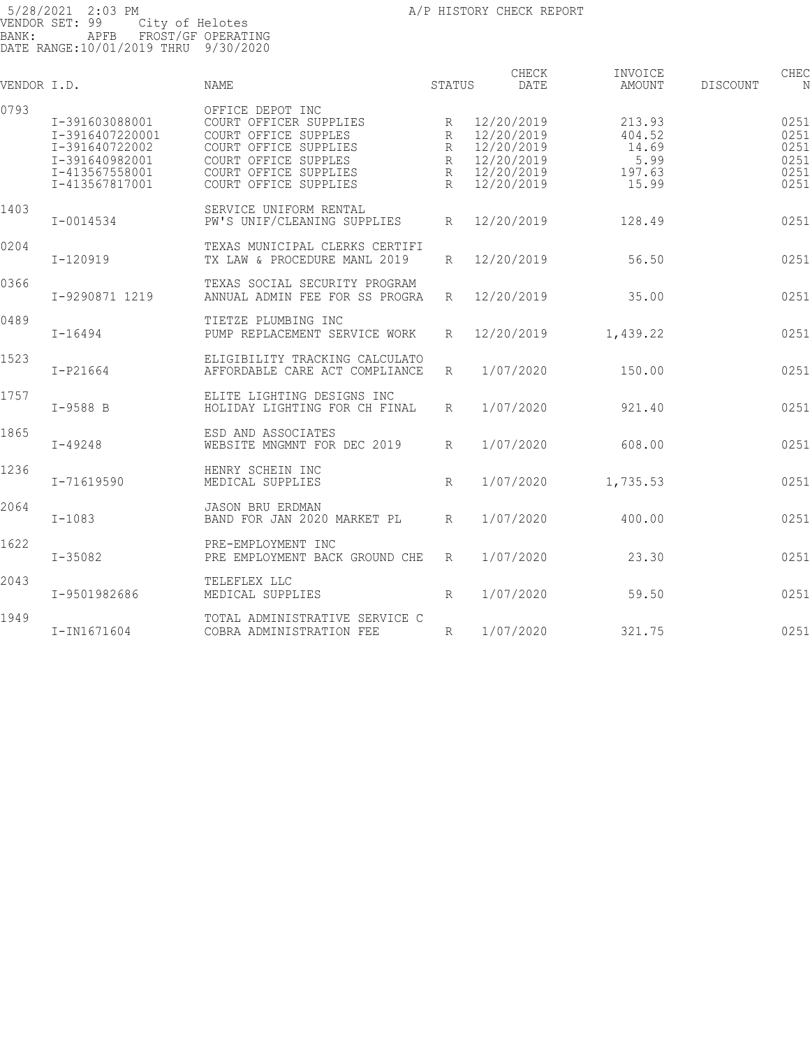| VENDOR I.D. |                                                                                                           | <b>NAME</b>                                                                                                                                                           | <b>STATUS</b>              | CHECK<br>DATE                                                                    | INVOICE<br><b>AMOUNT</b>                             | DISCOUNT | CHEC<br>N                                    |
|-------------|-----------------------------------------------------------------------------------------------------------|-----------------------------------------------------------------------------------------------------------------------------------------------------------------------|----------------------------|----------------------------------------------------------------------------------|------------------------------------------------------|----------|----------------------------------------------|
| 0793        | I-391603088001<br>I-3916407220001<br>I-391640722002<br>I-391640982001<br>I-413567558001<br>I-413567817001 | OFFICE DEPOT INC<br>COURT OFFICER SUPPLIES<br>COURT OFFICE SUPPLES<br>COURT OFFICE SUPPLIES<br>COURT OFFICE SUPPLES<br>COURT OFFICE SUPPLIES<br>COURT OFFICE SUPPLIES | R<br>R<br>R<br>R<br>R<br>R | 12/20/2019<br>12/20/2019<br>12/20/2019<br>12/20/2019<br>12/20/2019<br>12/20/2019 | 213.93<br>404.52<br>14.69<br>5.99<br>197.63<br>15.99 |          | 0251<br>0251<br>0251<br>0251<br>0251<br>0251 |
| 1403        | $I - 0014534$                                                                                             | SERVICE UNIFORM RENTAL<br>PW'S UNIF/CLEANING SUPPLIES                                                                                                                 | $R_{\rm}$                  | 12/20/2019                                                                       | 128.49                                               |          | 0251                                         |
| 0204        | I-120919                                                                                                  | TEXAS MUNICIPAL CLERKS CERTIFI<br>TX LAW & PROCEDURE MANL 2019                                                                                                        | R                          | 12/20/2019                                                                       | 56.50                                                |          | 0251                                         |
| 0366        | I-9290871 1219                                                                                            | TEXAS SOCIAL SECURITY PROGRAM<br>ANNUAL ADMIN FEE FOR SS PROGRA                                                                                                       | R                          | 12/20/2019                                                                       | 35.00                                                |          | 0251                                         |
| 0489        | $I - 16494$                                                                                               | TIETZE PLUMBING INC<br>PUMP REPLACEMENT SERVICE WORK                                                                                                                  | R                          | 12/20/2019                                                                       | 1,439.22                                             |          | 0251                                         |
| 1523        | $I-P21664$                                                                                                | ELIGIBILITY TRACKING CALCULATO<br>AFFORDABLE CARE ACT COMPLIANCE                                                                                                      | R                          | 1/07/2020                                                                        | 150.00                                               |          | 0251                                         |
| 1757        | $I-9588$ B                                                                                                | ELITE LIGHTING DESIGNS INC<br>HOLIDAY LIGHTING FOR CH FINAL                                                                                                           | R                          | 1/07/2020                                                                        | 921.40                                               |          | 0251                                         |
| 1865        | $I - 49248$                                                                                               | ESD AND ASSOCIATES<br>WEBSITE MNGMNT FOR DEC 2019                                                                                                                     | R                          | 1/07/2020                                                                        | 608.00                                               |          | 0251                                         |
| 1236        | I-71619590                                                                                                | HENRY SCHEIN INC<br>MEDICAL SUPPLIES                                                                                                                                  | R                          | 1/07/2020                                                                        | 1,735.53                                             |          | 0251                                         |
| 2064        | $I - 1083$                                                                                                | <b>JASON BRU ERDMAN</b><br>BAND FOR JAN 2020 MARKET PL                                                                                                                | R                          | 1/07/2020                                                                        | 400.00                                               |          | 0251                                         |
| 1622        | $I - 35082$                                                                                               | PRE-EMPLOYMENT INC<br>PRE EMPLOYMENT BACK GROUND CHE                                                                                                                  | R                          | 1/07/2020                                                                        | 23.30                                                |          | 0251                                         |
| 2043        | I-9501982686                                                                                              | TELEFLEX LLC<br>MEDICAL SUPPLIES                                                                                                                                      | R                          | 1/07/2020                                                                        | 59.50                                                |          | 0251                                         |
| 1949        | I-IN1671604                                                                                               | TOTAL ADMINISTRATIVE SERVICE C<br>COBRA ADMINISTRATION FEE                                                                                                            | R                          | 1/07/2020                                                                        | 321.75                                               |          | 0251                                         |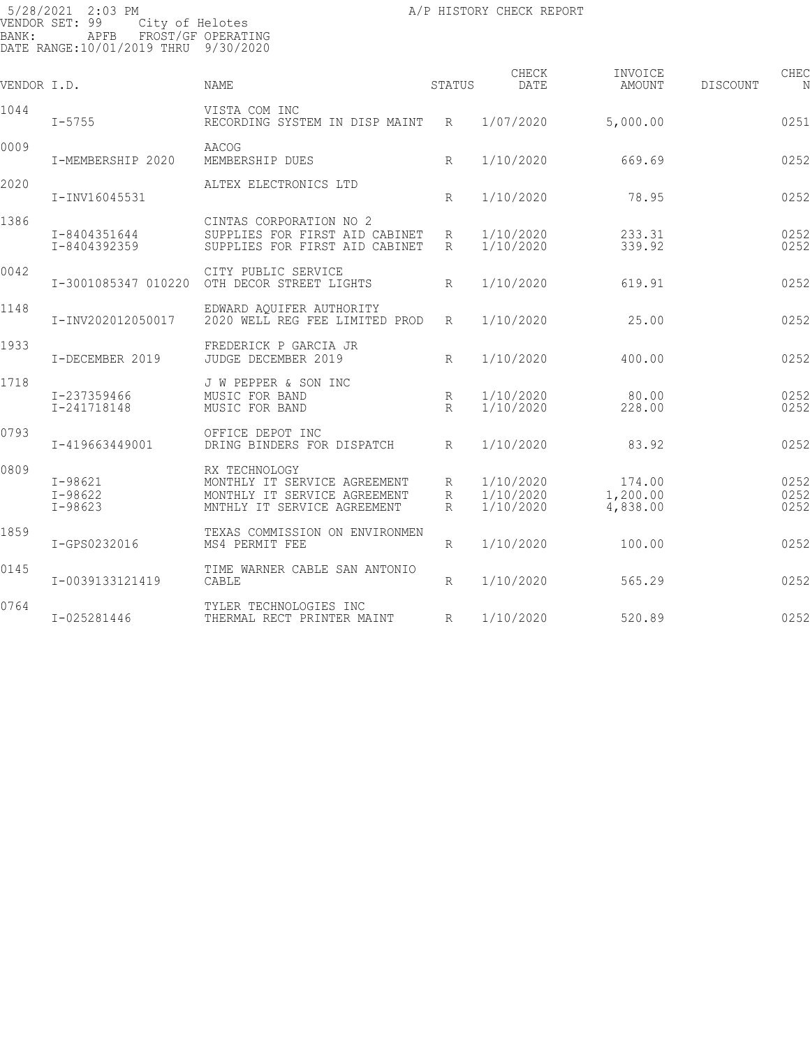| VENDOR I.D. |                                           | <b>NAME</b>                                                                                                  | STATUS      | CHECK<br>DATE                       | INVOICE<br>AMOUNT              | DISCOUNT | CHEC                 |
|-------------|-------------------------------------------|--------------------------------------------------------------------------------------------------------------|-------------|-------------------------------------|--------------------------------|----------|----------------------|
| 1044        | $I - 5755$                                | VISTA COM INC<br>RECORDING SYSTEM IN DISP MAINT                                                              | R           | 1/07/2020                           | 5,000.00                       |          | 0251                 |
| 0009        | I-MEMBERSHIP 2020                         | AACOG<br>MEMBERSHIP DUES                                                                                     | R           | 1/10/2020                           | 669.69                         |          | 0252                 |
| 2020        | I-INV16045531                             | ALTEX ELECTRONICS LTD                                                                                        | R           | 1/10/2020                           | 78.95                          |          | 0252                 |
| 1386        | I-8404351644<br>I-8404392359              | CINTAS CORPORATION NO 2<br>SUPPLIES FOR FIRST AID CABINET<br>SUPPLIES FOR FIRST AID CABINET                  | R<br>R      | 1/10/2020<br>1/10/2020              | 233.31<br>339.92               |          | 0252<br>0252         |
| 0042        | I-3001085347 010220                       | CITY PUBLIC SERVICE<br>OTH DECOR STREET LIGHTS                                                               | R           | 1/10/2020                           | 619.91                         |          | 0252                 |
| 1148        | I-INV202012050017                         | EDWARD AQUIFER AUTHORITY<br>2020 WELL REG FEE LIMITED PROD                                                   | R           | 1/10/2020                           | 25.00                          |          | 0252                 |
| 1933        | I-DECEMBER 2019                           | FREDERICK P GARCIA JR<br>JUDGE DECEMBER 2019                                                                 | R           | 1/10/2020                           | 400.00                         |          | 0252                 |
| 1718        | I-237359466<br>I-241718148                | J W PEPPER & SON INC<br>MUSIC FOR BAND<br>MUSIC FOR BAND                                                     | R<br>R      | 1/10/2020<br>1/10/2020              | 80.00<br>228.00                |          | 0252<br>0252         |
| 0793        | I-419663449001                            | OFFICE DEPOT INC<br>DRING BINDERS FOR DISPATCH                                                               | R           | 1/10/2020                           | 83.92                          |          | 0252                 |
| 0809        | $I - 98621$<br>$I - 98622$<br>$I - 98623$ | RX TECHNOLOGY<br>MONTHLY IT SERVICE AGREEMENT<br>MONTHLY IT SERVICE AGREEMENT<br>MNTHLY IT SERVICE AGREEMENT | R<br>R<br>R | 1/10/2020<br>1/10/2020<br>1/10/2020 | 174.00<br>1,200.00<br>4,838.00 |          | 0252<br>0252<br>0252 |
| 1859        | I-GPS0232016                              | TEXAS COMMISSION ON ENVIRONMEN<br>MS4 PERMIT FEE                                                             | R           | 1/10/2020                           | 100.00                         |          | 0252                 |
| 0145        | I-0039133121419                           | TIME WARNER CABLE SAN ANTONIO<br>CABLE                                                                       | R           | 1/10/2020                           | 565.29                         |          | 0252                 |
| 0764        | I-025281446                               | TYLER TECHNOLOGIES INC<br>THERMAL RECT PRINTER MAINT                                                         | R           | 1/10/2020                           | 520.89                         |          | 0252                 |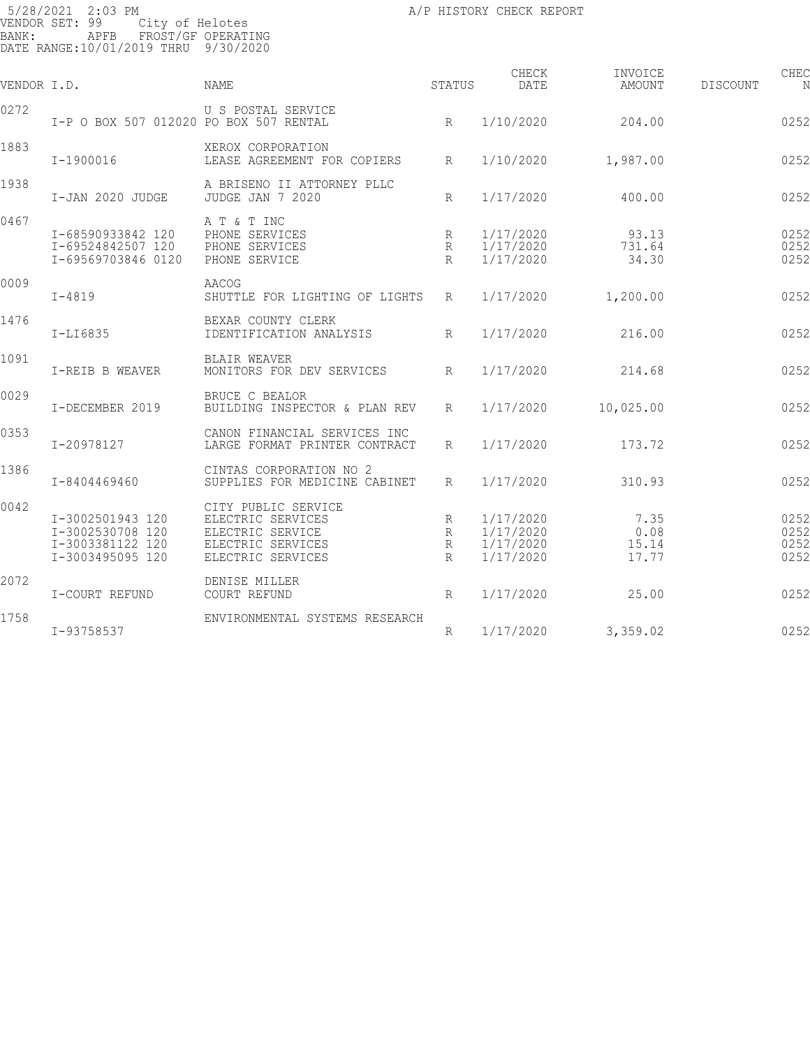| BANK: | 5/28/2021 2:03 PM<br>VENDOR SET: 99<br>City of Helotes<br>APFB<br>DATE RANGE:10/01/2019 THRU 9/30/2020 | FROST/GF OPERATING                                                                                     |                  | A/P HISTORY CHECK REPORT                         |                                |          |                              |
|-------|--------------------------------------------------------------------------------------------------------|--------------------------------------------------------------------------------------------------------|------------------|--------------------------------------------------|--------------------------------|----------|------------------------------|
|       | VENDOR I.D.                                                                                            | NAME                                                                                                   | STATUS           | CHECK<br>DATE                                    | INVOICE<br>AMOUNT              | DISCOUNT | CHEC<br>N                    |
| 0272  | I-P O BOX 507 012020 PO BOX 507 RENTAL                                                                 | U S POSTAL SERVICE                                                                                     | $R_{\parallel}$  | 1/10/2020                                        | 204.00                         |          | 0252                         |
| 1883  | I-1900016                                                                                              | XEROX CORPORATION<br>LEASE AGREEMENT FOR COPIERS                                                       | R                | 1/10/2020                                        | 1,987.00                       |          | 0252                         |
| 1938  | I-JAN 2020 JUDGE                                                                                       | A BRISENO II ATTORNEY PLLC<br>JUDGE JAN 7 2020                                                         | R                | 1/17/2020                                        | 400.00                         |          | 0252                         |
| 0467  | I-68590933842 120<br>I-69524842507 120<br>I-69569703846 0120                                           | A T & T INC<br>PHONE SERVICES<br>PHONE SERVICES<br>PHONE SERVICE                                       | R<br>R<br>R      | 1/17/2020<br>1/17/2020<br>1/17/2020              | 93.13<br>731.64<br>34.30       |          | 0252<br>0252<br>0252         |
| 0009  | $I - 4819$                                                                                             | AACOG<br>SHUTTLE FOR LIGHTING OF LIGHTS                                                                | R                | 1/17/2020                                        | 1,200.00                       |          | 0252                         |
| 1476  | $I-LI6835$                                                                                             | BEXAR COUNTY CLERK<br>IDENTIFICATION ANALYSIS                                                          | R                | 1/17/2020                                        | 216.00                         |          | 0252                         |
| 1091  | I-REIB B WEAVER                                                                                        | <b>BLAIR WEAVER</b><br>MONITORS FOR DEV SERVICES                                                       | R                | 1/17/2020                                        | 214.68                         |          | 0252                         |
| 0029  | I-DECEMBER 2019                                                                                        | BRUCE C BEALOR<br>BUILDING INSPECTOR & PLAN REV                                                        | R                | 1/17/2020                                        | 10,025.00                      |          | 0252                         |
| 0353  | I-20978127                                                                                             | CANON FINANCIAL SERVICES INC<br>LARGE FORMAT PRINTER CONTRACT                                          | R                | 1/17/2020                                        | 173.72                         |          | 0252                         |
| 1386  | I-8404469460                                                                                           | CINTAS CORPORATION NO 2<br>SUPPLIES FOR MEDICINE CABINET                                               | R                | 1/17/2020                                        | 310.93                         |          | 0252                         |
| 0042  | I-3002501943 120<br>I-3002530708 120<br>I-3003381122 120<br>I-3003495095 120                           | CITY PUBLIC SERVICE<br>ELECTRIC SERVICES<br>ELECTRIC SERVICE<br>ELECTRIC SERVICES<br>ELECTRIC SERVICES | R<br>R<br>R<br>R | 1/17/2020<br>1/17/2020<br>1/17/2020<br>1/17/2020 | 7.35<br>0.08<br>15.14<br>17.77 |          | 0252<br>0252<br>0252<br>0252 |
| 2072  | I-COURT REFUND                                                                                         | DENISE MILLER<br>COURT REFUND                                                                          | R                | 1/17/2020                                        | 25.00                          |          | 0252                         |
| 1758  | I-93758537                                                                                             | ENVIRONMENTAL SYSTEMS RESEARCH                                                                         | R                | 1/17/2020                                        | 3,359.02                       |          | 0252                         |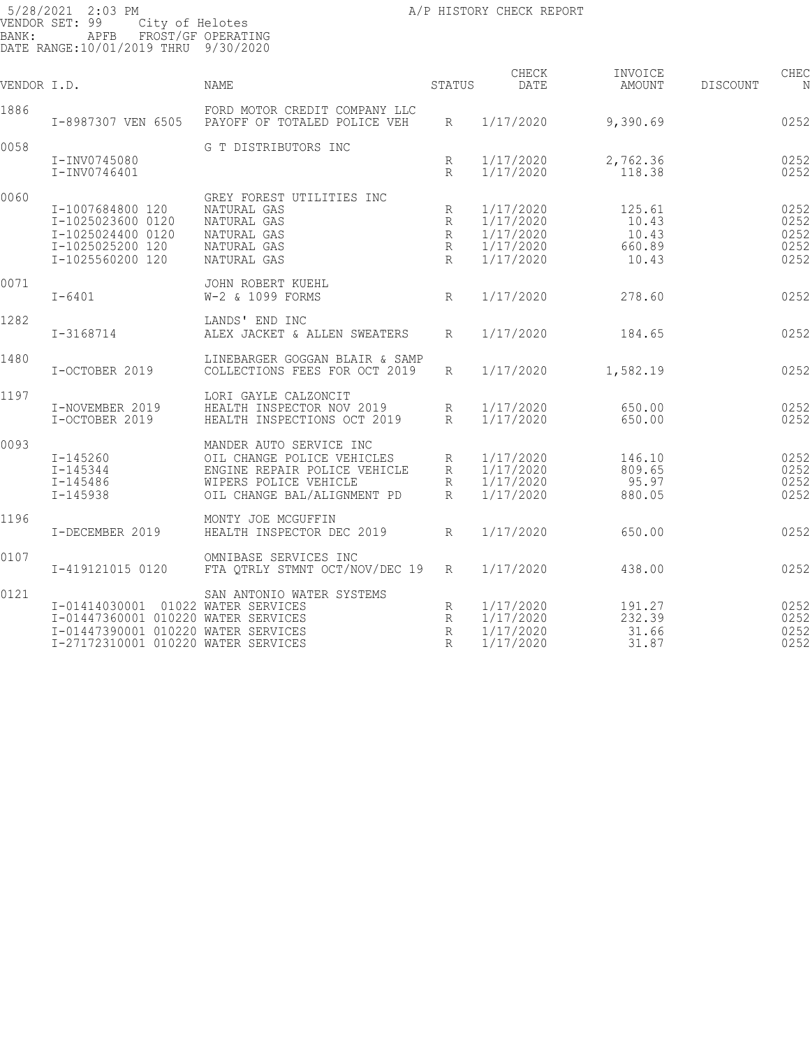| VENDOR I.D. |                                                                                                                                    | <b>NAME</b>                                                                                                                                   | STATUS                           | CHECK<br>DATE                                                 | INVOICE<br>AMOUNT                           | <b>DISCOUNT</b> | CHEC                                 |
|-------------|------------------------------------------------------------------------------------------------------------------------------------|-----------------------------------------------------------------------------------------------------------------------------------------------|----------------------------------|---------------------------------------------------------------|---------------------------------------------|-----------------|--------------------------------------|
| 1886        | I-8987307 VEN 6505                                                                                                                 | FORD MOTOR CREDIT COMPANY LLC<br>PAYOFF OF TOTALED POLICE VEH                                                                                 | R                                | 1/17/2020                                                     | 9,390.69                                    |                 | 0252                                 |
| 0058        | I-INV0745080<br>I-INV0746401                                                                                                       | G T DISTRIBUTORS INC                                                                                                                          | R<br>$R_{\rm}$                   | 1/17/2020<br>1/17/2020                                        | 2,762.36<br>118.38                          |                 | 0252<br>0252                         |
| 0060        | I-1007684800 120<br>I-1025023600 0120<br>I-1025024400 0120<br>I-1025025200 120<br>I-1025560200 120                                 | GREY FOREST UTILITIES INC<br>NATURAL GAS<br>NATURAL GAS<br>NATURAL GAS<br>NATURAL GAS<br>NATURAL GAS                                          | R<br>R<br>$\mathbb{R}$<br>R<br>R | 1/17/2020<br>1/17/2020<br>1/17/2020<br>1/17/2020<br>1/17/2020 | 125.61<br>10.43<br>10.43<br>660.89<br>10.43 |                 | 0252<br>0252<br>0252<br>0252<br>0252 |
| 0071        | $I - 6401$                                                                                                                         | JOHN ROBERT KUEHL<br>W-2 & 1099 FORMS                                                                                                         | R                                | 1/17/2020                                                     | 278.60                                      |                 | 0252                                 |
| 1282        | I-3168714                                                                                                                          | LANDS' END INC<br>ALEX JACKET & ALLEN SWEATERS                                                                                                | R                                | 1/17/2020                                                     | 184.65                                      |                 | 0252                                 |
| 1480        | I-OCTOBER 2019                                                                                                                     | LINEBARGER GOGGAN BLAIR & SAMP<br>COLLECTIONS FEES FOR OCT 2019                                                                               | R                                | 1/17/2020                                                     | 1,582.19                                    |                 | 0252                                 |
| 1197        | I-NOVEMBER 2019<br>I-OCTOBER 2019                                                                                                  | LORI GAYLE CALZONCIT<br>HEALTH INSPECTOR NOV 2019<br>HEALTH INSPECTIONS OCT 2019                                                              | R<br>$R_{\rm}$                   | 1/17/2020<br>1/17/2020                                        | 650.00<br>650.00                            |                 | 0252<br>0252                         |
| 0093        | I-145260<br>$I - 145344$<br>I-145486<br>$I - 145938$                                                                               | MANDER AUTO SERVICE INC<br>OIL CHANGE POLICE VEHICLES<br>ENGINE REPAIR POLICE VEHICLE<br>WIPERS POLICE VEHICLE<br>OIL CHANGE BAL/ALIGNMENT PD | R<br>R<br>R<br>R                 | 1/17/2020<br>1/17/2020<br>1/17/2020<br>1/17/2020              | 146.10<br>809.65<br>95.97<br>880.05         |                 | 0252<br>0252<br>0252<br>0252         |
| 1196        | I-DECEMBER 2019                                                                                                                    | MONTY JOE MCGUFFIN<br>HEALTH INSPECTOR DEC 2019                                                                                               | R                                | 1/17/2020                                                     | 650.00                                      |                 | 0252                                 |
| 0107        | I-419121015 0120                                                                                                                   | OMNIBASE SERVICES INC<br>FTA QTRLY STMNT OCT/NOV/DEC 19                                                                                       | R                                | 1/17/2020                                                     | 438.00                                      |                 | 0252                                 |
| 0121        | I-01414030001<br>I-01447360001 010220 WATER SERVICES<br>I-01447390001 010220 WATER SERVICES<br>I-27172310001 010220 WATER SERVICES | SAN ANTONIO WATER SYSTEMS<br>01022 WATER SERVICES                                                                                             | R<br>R<br>$\mathbb{R}$<br>R      | 1/17/2020<br>1/17/2020<br>1/17/2020<br>1/17/2020              | 191.27<br>232.39<br>31.66<br>31.87          |                 | 0252<br>0252<br>0252<br>0252         |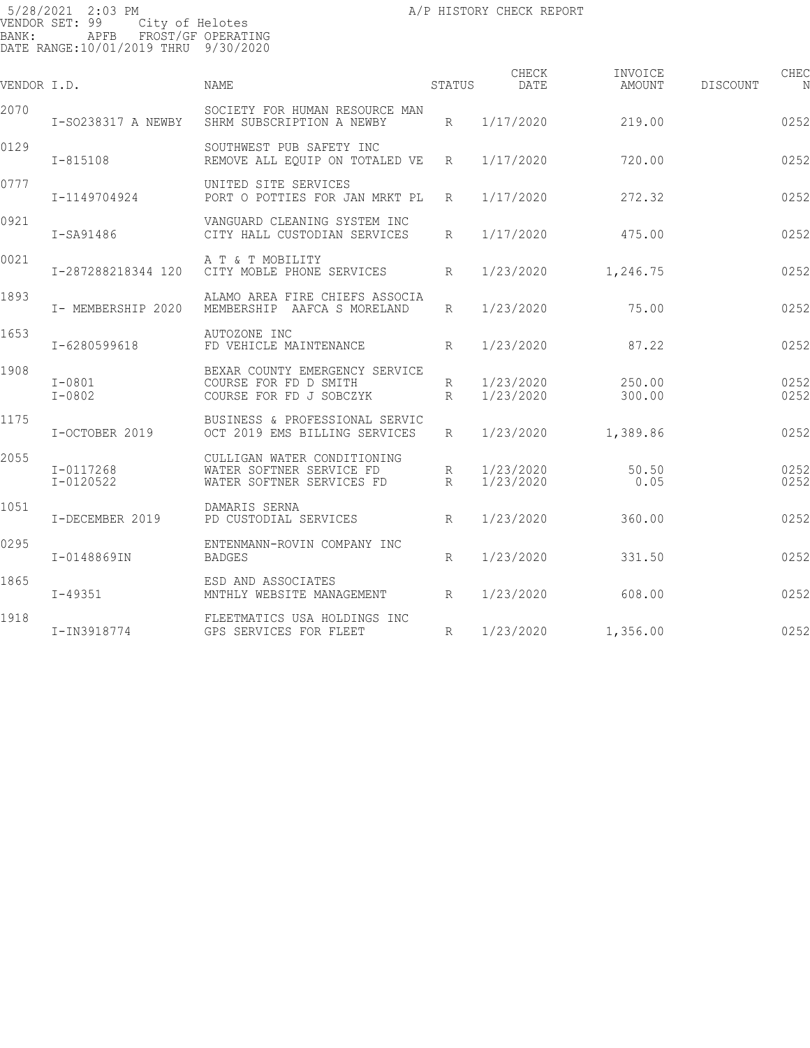| VENDOR I.D. |                            | <b>NAME</b>                                                                          | STATUS               | CHECK<br>DATE          | INVOICE<br>AMOUNT | DISCOUNT | CHEC         |
|-------------|----------------------------|--------------------------------------------------------------------------------------|----------------------|------------------------|-------------------|----------|--------------|
| 2070        | I-S0238317 A NEWBY         | SOCIETY FOR HUMAN RESOURCE MAN<br>SHRM SUBSCRIPTION A NEWBY                          | R                    | 1/17/2020              | 219.00            |          | 0252         |
| 0129        | $I - 815108$               | SOUTHWEST PUB SAFETY INC<br>REMOVE ALL EQUIP ON TOTALED VE                           | $R_{\parallel}$      | 1/17/2020              | 720.00            |          | 0252         |
| 0777        | I-1149704924               | UNITED SITE SERVICES<br>PORT O POTTIES FOR JAN MRKT PL                               | $R_{\parallel}$      | 1/17/2020              | 272.32            |          | 0252         |
| 0921        | I-SA91486                  | VANGUARD CLEANING SYSTEM INC<br>CITY HALL CUSTODIAN SERVICES                         | $R_{\parallel}$      | 1/17/2020              | 475.00            |          | 0252         |
| 0021        | I-287288218344 120         | A T & T MOBILITY<br>CITY MOBLE PHONE SERVICES                                        | $R_{\parallel}$      | 1/23/2020              | 1,246.75          |          | 0252         |
| 1893        | I- MEMBERSHIP 2020         | ALAMO AREA FIRE CHIEFS ASSOCIA<br>MEMBERSHIP AAFCA S MORELAND                        | R                    | 1/23/2020              | 75.00             |          | 0252         |
| 1653        | I-6280599618               | AUTOZONE INC<br>FD VEHICLE MAINTENANCE                                               | R                    | 1/23/2020              | 87.22             |          | 0252         |
| 1908        | $I - 0801$<br>$I - 0802$   | BEXAR COUNTY EMERGENCY SERVICE<br>COURSE FOR FD D SMITH<br>COURSE FOR FD J SOBCZYK   | R<br>R               | 1/23/2020<br>1/23/2020 | 250.00<br>300.00  |          | 0252<br>0252 |
| 1175        | I-OCTOBER 2019             | BUSINESS & PROFESSIONAL SERVIC<br>OCT 2019 EMS BILLING SERVICES                      | R                    | 1/23/2020              | 1,389.86          |          | 0252         |
| 2055        | I-0117268<br>$I - 0120522$ | CULLIGAN WATER CONDITIONING<br>WATER SOFTNER SERVICE FD<br>WATER SOFTNER SERVICES FD | R<br>$R_{\parallel}$ | 1/23/2020<br>1/23/2020 | 50.50<br>0.05     |          | 0252<br>0252 |
| 1051        | I-DECEMBER 2019            | DAMARIS SERNA<br>PD CUSTODIAL SERVICES                                               | $R_{\parallel}$      | 1/23/2020              | 360.00            |          | 0252         |
| 0295        | I-0148869IN                | ENTENMANN-ROVIN COMPANY INC<br><b>BADGES</b>                                         | R                    | 1/23/2020              | 331.50            |          | 0252         |
| 1865        | $I - 49351$                | ESD AND ASSOCIATES<br>MNTHLY WEBSITE MANAGEMENT                                      | R                    | 1/23/2020              | 608.00            |          | 0252         |
| 1918        | I-IN3918774                | FLEETMATICS USA HOLDINGS INC<br>GPS SERVICES FOR FLEET                               | R                    | 1/23/2020              | 1,356.00          |          | 0252         |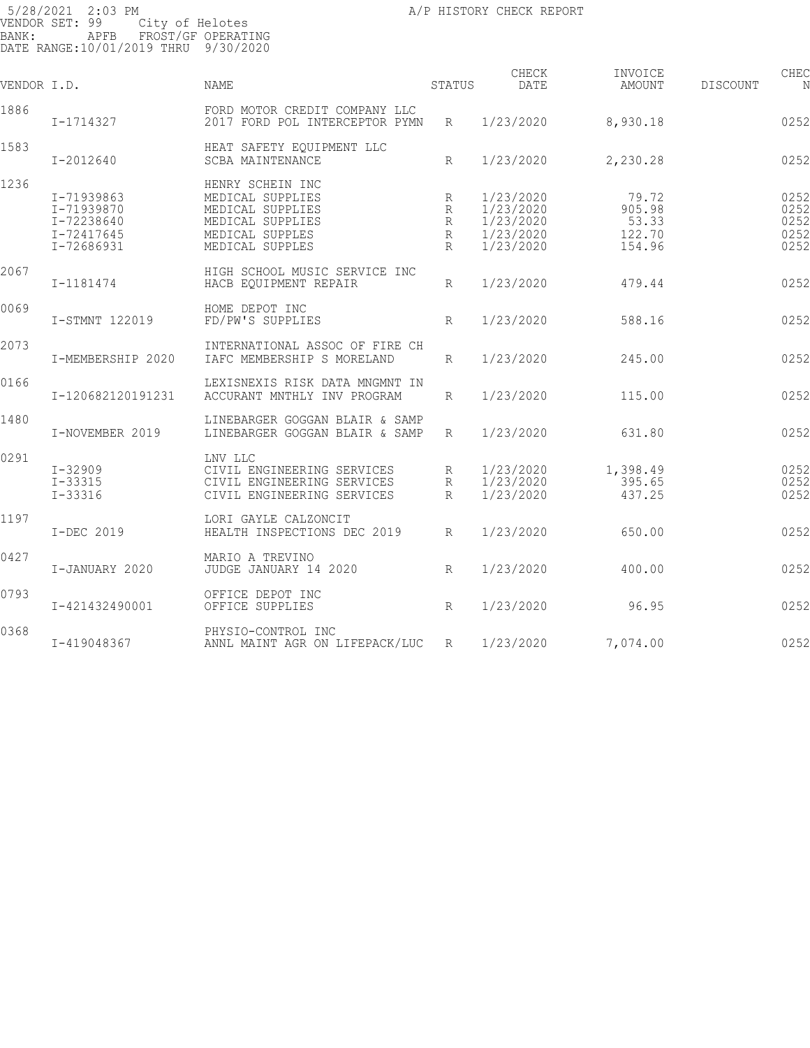| VENDOR I.D. |                   | <b>NAME</b>                                            | STATUS          | CHECK<br>DATE | INVOICE<br>AMOUNT | DISCOUNT | CHEC |
|-------------|-------------------|--------------------------------------------------------|-----------------|---------------|-------------------|----------|------|
| 1886        | I-1714327         | FORD MOTOR CREDIT COMPANY LLC                          |                 | 1/23/2020     | 8,930.18          |          |      |
|             |                   | 2017 FORD POL INTERCEPTOR PYMN                         | R               |               |                   |          | 0252 |
| 1583        | I-2012640         | HEAT SAFETY EQUIPMENT LLC<br><b>SCBA MAINTENANCE</b>   | R               | 1/23/2020     | 2,230.28          |          | 0252 |
| 1236        |                   | HENRY SCHEIN INC                                       |                 |               |                   |          |      |
|             | I-71939863        | MEDICAL SUPPLIES                                       | R               | 1/23/2020     | 79.72             |          | 0252 |
|             | I-71939870        | MEDICAL SUPPLIES                                       | R               | 1/23/2020     | 905.98            |          | 0252 |
|             | I-72238640        | MEDICAL SUPPLIES                                       | R               | 1/23/2020     | 53.33             |          | 0252 |
|             | I-72417645        | MEDICAL SUPPLES                                        | R               | 1/23/2020     | 122.70            |          | 0252 |
|             | I-72686931        | MEDICAL SUPPLES                                        | $\mathsf{R}$    | 1/23/2020     | 154.96            |          | 0252 |
|             |                   |                                                        |                 |               |                   |          |      |
| 2067        | I-1181474         | HIGH SCHOOL MUSIC SERVICE INC<br>HACB EQUIPMENT REPAIR | $R_{\rm}$       | 1/23/2020     | 479.44            |          | 0252 |
|             |                   |                                                        |                 |               |                   |          |      |
| 0069        | I-STMNT 122019    | HOME DEPOT INC<br>FD/PW'S SUPPLIES                     | R               | 1/23/2020     | 588.16            |          | 0252 |
|             |                   |                                                        |                 |               |                   |          |      |
| 2073        |                   | INTERNATIONAL ASSOC OF FIRE CH                         |                 |               |                   |          |      |
|             | I-MEMBERSHIP 2020 | IAFC MEMBERSHIP S MORELAND                             | R               | 1/23/2020     | 245.00            |          | 0252 |
|             |                   |                                                        |                 |               |                   |          |      |
| 0166        |                   | LEXISNEXIS RISK DATA MNGMNT IN                         |                 |               |                   |          |      |
|             | I-120682120191231 | ACCURANT MNTHLY INV PROGRAM                            | $\mathbb{R}$    | 1/23/2020     | 115.00            |          | 0252 |
| 1480        |                   |                                                        |                 |               |                   |          |      |
|             |                   | LINEBARGER GOGGAN BLAIR & SAMP                         |                 |               |                   |          | 0252 |
|             | I-NOVEMBER 2019   | LINEBARGER GOGGAN BLAIR & SAMP                         | R               | 1/23/2020     | 631.80            |          |      |
| 0291        |                   | LNV LLC                                                |                 |               |                   |          |      |
|             | $I - 32909$       | CIVIL ENGINEERING SERVICES                             | R               | 1/23/2020     | 1,398.49          |          | 0252 |
|             | $I - 33315$       | CIVIL ENGINEERING SERVICES                             | R               | 1/23/2020     | 395.65            |          | 0252 |
|             | $I - 33316$       | CIVIL ENGINEERING SERVICES                             | R               | 1/23/2020     | 437.25            |          | 0252 |
| 1197        |                   |                                                        |                 |               |                   |          |      |
|             | I-DEC 2019        | LORI GAYLE CALZONCIT<br>HEALTH INSPECTIONS DEC 2019    |                 | 1/23/2020     | 650.00            |          | 0252 |
|             |                   |                                                        | $R_{\parallel}$ |               |                   |          |      |
| 0427        |                   | MARIO A TREVINO                                        |                 |               |                   |          |      |
|             | I-JANUARY 2020    | JUDGE JANUARY 14 2020                                  | R               | 1/23/2020     | 400.00            |          | 0252 |
|             |                   |                                                        |                 |               |                   |          |      |
| 0793        |                   | OFFICE DEPOT INC                                       |                 |               |                   |          |      |
|             | I-421432490001    | OFFICE SUPPLIES                                        | R               | 1/23/2020     | 96.95             |          | 0252 |
| 0368        |                   | PHYSIO-CONTROL INC                                     |                 |               |                   |          |      |
|             | I-419048367       | ANNL MAINT AGR ON LIFEPACK/LUC                         | R               | 1/23/2020     | 7,074.00          |          | 0252 |
|             |                   |                                                        |                 |               |                   |          |      |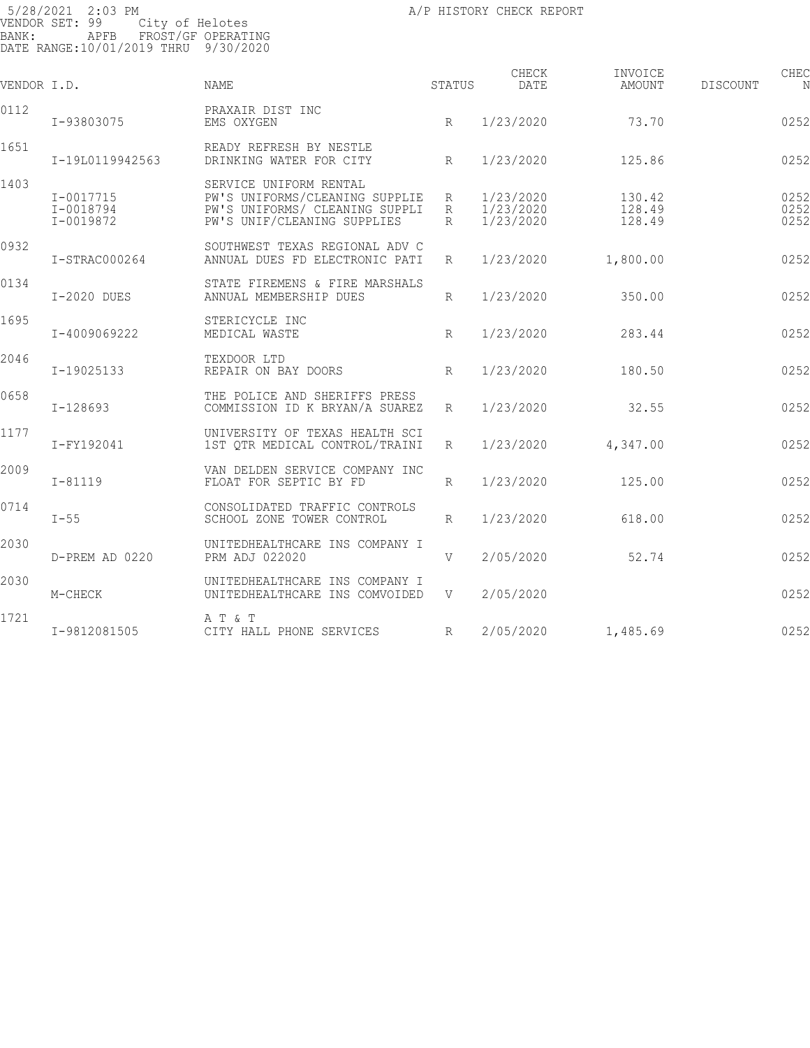5/28/2021 2:03 PM VENDOR SET: 99 City of Helotes BANK: APFB FROST/GF OPERATING DATE RANGE:10/01/2019 THRU 9/30/2020

| VENDOR I.D. |                                         | NAME                                                                                                                      | STATUS                    | CHECK<br>DATE                       | INVOICE<br>AMOUNT          | CHEC<br>DISCOUNT<br>N |
|-------------|-----------------------------------------|---------------------------------------------------------------------------------------------------------------------------|---------------------------|-------------------------------------|----------------------------|-----------------------|
| 0112        | I-93803075                              | PRAXAIR DIST INC<br>EMS OXYGEN                                                                                            | $R_{\odot}$               | 1/23/2020                           | 73.70                      | 0252                  |
| 1651        | I-19L0119942563                         | READY REFRESH BY NESTLE<br>DRINKING WATER FOR CITY                                                                        | $R_{\rm}$                 | 1/23/2020                           | 125.86                     | 0252                  |
| 1403        | $I - 0017715$<br>I-0018794<br>I-0019872 | SERVICE UNIFORM RENTAL<br>PW'S UNIFORMS/CLEANING SUPPLIE<br>PW'S UNIFORMS/ CLEANING SUPPLI<br>PW'S UNIF/CLEANING SUPPLIES | $R_{\parallel}$<br>R<br>R | 1/23/2020<br>1/23/2020<br>1/23/2020 | 130.42<br>128.49<br>128.49 | 0252<br>0252<br>0252  |
| 0932        | I-STRAC000264                           | SOUTHWEST TEXAS REGIONAL ADV C<br>ANNUAL DUES FD ELECTRONIC PATI                                                          | $R_{\parallel}$           | 1/23/2020                           | 1,800.00                   | 0252                  |
| 0134        | I-2020 DUES                             | STATE FIREMENS & FIRE MARSHALS<br>ANNUAL MEMBERSHIP DUES                                                                  | $R_{\odot}$               | 1/23/2020                           | 350.00                     | 0252                  |
| 1695        | I-4009069222                            | STERICYCLE INC<br>MEDICAL WASTE                                                                                           | $R_{\rm}$                 | 1/23/2020                           | 283.44                     | 0252                  |
| 2046        | I-19025133                              | TEXDOOR LTD<br>REPAIR ON BAY DOORS                                                                                        | $R_{\rm}$                 | 1/23/2020                           | 180.50                     | 0252                  |
| 0658        | $I-128693$                              | THE POLICE AND SHERIFFS PRESS<br>COMMISSION ID K BRYAN/A SUAREZ                                                           | $R_{\parallel}$           | 1/23/2020                           | 32.55                      | 0252                  |
| 1177        | I-FY192041                              | UNIVERSITY OF TEXAS HEALTH SCI<br>1ST OTR MEDICAL CONTROL/TRAINI                                                          | R                         | 1/23/2020                           | 4,347.00                   | 0252                  |
| 2009        | $I - 81119$                             | VAN DELDEN SERVICE COMPANY INC<br>FLOAT FOR SEPTIC BY FD                                                                  | $R_{\parallel}$           | 1/23/2020                           | 125.00                     | 0252                  |
| 0714        | $I - 55$                                | CONSOLIDATED TRAFFIC CONTROLS<br>SCHOOL ZONE TOWER CONTROL                                                                | R                         | 1/23/2020                           | 618.00                     | 0252                  |
| 2030        | D-PREM AD 0220                          | UNITEDHEALTHCARE INS COMPANY I<br>PRM ADJ 022020                                                                          | V                         | 2/05/2020                           | 52.74                      | 0252                  |
| 2030        | M-CHECK                                 | UNITEDHEALTHCARE INS COMPANY I<br>UNITEDHEALTHCARE INS COMVOIDED                                                          | V                         | 2/05/2020                           |                            | 0252                  |
| 1721        | I-9812081505                            | A T & T<br>CITY HALL PHONE SERVICES                                                                                       | $R_{\rm}$                 | 2/05/2020                           | 1,485.69                   | 0252                  |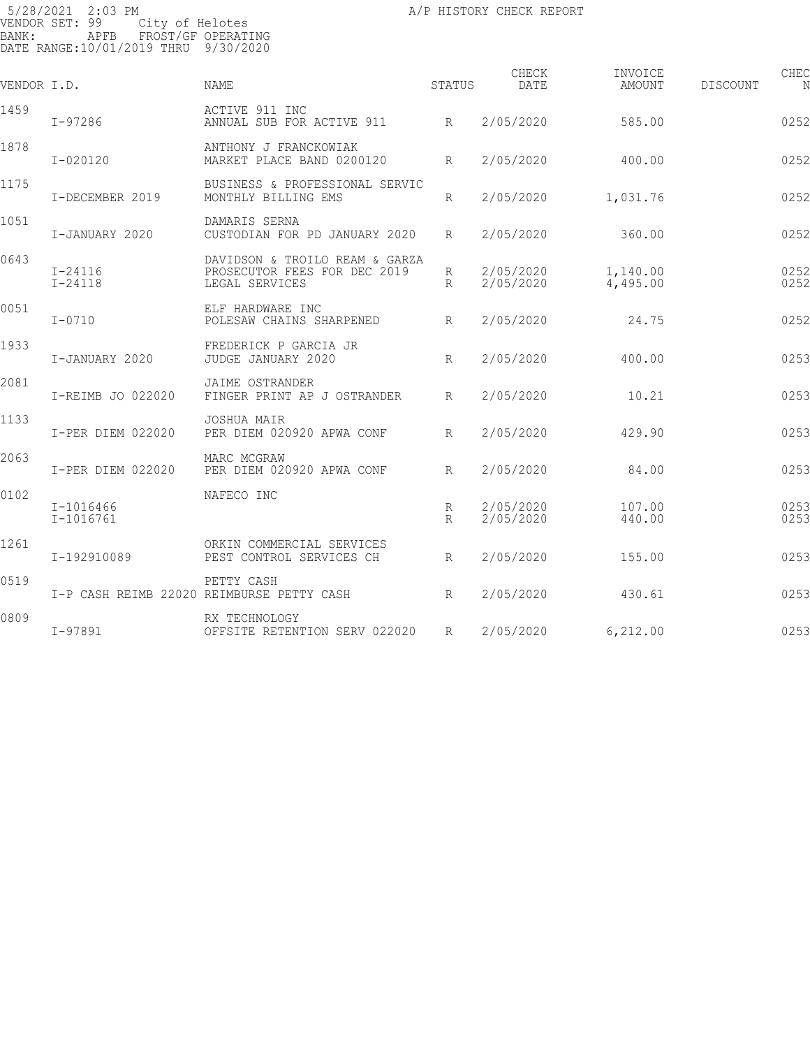| VENDOR I.D. |                          | NAME                                                                             | STATUS          | CHECK<br>DATE          | INVOICE<br>AMOUNT    | DISCOUNT | CHEC         |
|-------------|--------------------------|----------------------------------------------------------------------------------|-----------------|------------------------|----------------------|----------|--------------|
| 1459        | $I - 97286$              | ACTIVE 911 INC<br>ANNUAL SUB FOR ACTIVE 911                                      | R               | 2/05/2020              | 585.00               |          | 0252         |
| 1878        | $I - 020120$             | ANTHONY J FRANCKOWIAK<br>MARKET PLACE BAND 0200120                               | R               | 2/05/2020              | 400.00               |          | 0252         |
| 1175        | I-DECEMBER 2019          | BUSINESS & PROFESSIONAL SERVIC<br>MONTHLY BILLING EMS                            | R               | 2/05/2020              | 1,031.76             |          | 0252         |
| 1051        | I-JANUARY 2020           | DAMARIS SERNA<br>CUSTODIAN FOR PD JANUARY 2020                                   | $R_{\parallel}$ | 2/05/2020              | 360.00               |          | 0252         |
| 0643        | I-24116<br>$I - 24118$   | DAVIDSON & TROILO REAM & GARZA<br>PROSECUTOR FEES FOR DEC 2019<br>LEGAL SERVICES | R<br>R          | 2/05/2020<br>2/05/2020 | 1,140.00<br>4,495.00 |          | 0252<br>0252 |
| 0051        | $I - 0710$               | ELF HARDWARE INC<br>POLESAW CHAINS SHARPENED                                     | R               | 2/05/2020              | 24.75                |          | 0252         |
| 1933        | I-JANUARY 2020           | FREDERICK P GARCIA JR<br>JUDGE JANUARY 2020                                      | R               | 2/05/2020              | 400.00               |          | 0253         |
| 2081        | I-REIMB JO 022020        | JAIME OSTRANDER<br>FINGER PRINT AP J OSTRANDER                                   | $R_{\parallel}$ | 2/05/2020              | 10.21                |          | 0253         |
| 1133        | I-PER DIEM 022020        | JOSHUA MAIR<br>PER DIEM 020920 APWA CONF                                         | R               | 2/05/2020              | 429.90               |          | 0253         |
| 2063        | I-PER DIEM 022020        | MARC MCGRAW<br>PER DIEM 020920 APWA CONF                                         | $R_{\parallel}$ | 2/05/2020              | 84.00                |          | 0253         |
| 0102        | $I-1016466$<br>I-1016761 | NAFECO INC                                                                       | R<br>$R_{\rm}$  | 2/05/2020<br>2/05/2020 | 107.00<br>440.00     |          | 0253<br>0253 |
| 1261        | I-192910089              | ORKIN COMMERCIAL SERVICES<br>PEST CONTROL SERVICES CH                            | R               | 2/05/2020              | 155.00               |          | 0253         |
| 0519        |                          | PETTY CASH<br>I-P CASH REIMB 22020 REIMBURSE PETTY CASH                          | R               | 2/05/2020              | 430.61               |          | 0253         |
| 0809        | $I-97891$                | RX TECHNOLOGY<br>OFFSITE RETENTION SERV 022020                                   | R               | 2/05/2020              | 6, 212.00            |          | 0253         |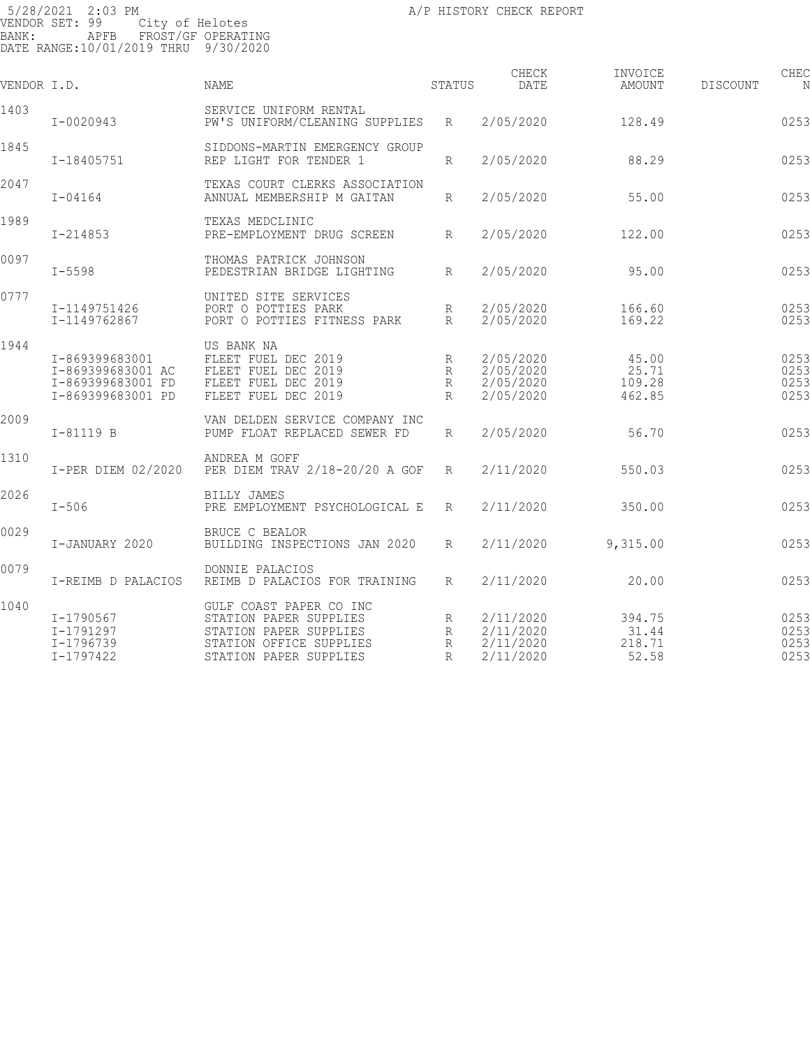| VENDOR I.D. |                                                                               | <b>NAME</b>                                                                                                                      | STATUS                      | CHECK<br>DATE                                    | INVOICE<br>AMOUNT                  | <b>DISCOUNT</b> | CHEC<br>N                    |
|-------------|-------------------------------------------------------------------------------|----------------------------------------------------------------------------------------------------------------------------------|-----------------------------|--------------------------------------------------|------------------------------------|-----------------|------------------------------|
| 1403        | $I - 0020943$                                                                 | SERVICE UNIFORM RENTAL<br>PW'S UNIFORM/CLEANING SUPPLIES                                                                         | R                           | 2/05/2020                                        | 128.49                             |                 | 0253                         |
| 1845        | I-18405751                                                                    | SIDDONS-MARTIN EMERGENCY GROUP<br>REP LIGHT FOR TENDER 1                                                                         | R                           | 2/05/2020                                        | 88.29                              |                 | 0253                         |
| 2047        | $I - 04164$                                                                   | TEXAS COURT CLERKS ASSOCIATION<br>ANNUAL MEMBERSHIP M GAITAN                                                                     | R                           | 2/05/2020                                        | 55.00                              |                 | 0253                         |
| 1989        | $I - 214853$                                                                  | TEXAS MEDCLINIC<br>PRE-EMPLOYMENT DRUG SCREEN                                                                                    | R                           | 2/05/2020                                        | 122.00                             |                 | 0253                         |
| 0097        | $I - 5598$                                                                    | THOMAS PATRICK JOHNSON<br>PEDESTRIAN BRIDGE LIGHTING                                                                             | $R_{\parallel}$             | 2/05/2020                                        | 95.00                              |                 | 0253                         |
| 0777        | I-1149751426<br>I-1149762867                                                  | UNITED SITE SERVICES<br>PORT O POTTIES PARK<br>PORT O POTTIES FITNESS PARK                                                       | R<br>R                      | 2/05/2020<br>2/05/2020                           | 166.60<br>169.22                   |                 | 0253<br>0253                 |
| 1944        | I-869399683001<br>I-869399683001 AC<br>I-869399683001 FD<br>I-869399683001 PD | US BANK NA<br>FLEET FUEL DEC 2019<br>FLEET FUEL DEC 2019<br>FLEET FUEL DEC 2019<br>FLEET FUEL DEC 2019                           | R<br>R<br>R<br>R            | 2/05/2020<br>2/05/2020<br>2/05/2020<br>2/05/2020 | 45.00<br>25.71<br>109.28<br>462.85 |                 | 0253<br>0253<br>0253<br>0253 |
| 2009        | $I-81119 B$                                                                   | VAN DELDEN SERVICE COMPANY INC<br>PUMP FLOAT REPLACED SEWER FD                                                                   | R                           | 2/05/2020                                        | 56.70                              |                 | 0253                         |
| 1310        | I-PER DIEM 02/2020                                                            | ANDREA M GOFF<br>PER DIEM TRAV 2/18-20/20 A GOF                                                                                  | R                           | 2/11/2020                                        | 550.03                             |                 | 0253                         |
| 2026        | $I-506$                                                                       | <b>BILLY JAMES</b><br>PRE EMPLOYMENT PSYCHOLOGICAL E                                                                             | R                           | 2/11/2020                                        | 350.00                             |                 | 0253                         |
| 0029        | I-JANUARY 2020                                                                | BRUCE C BEALOR<br>BUILDING INSPECTIONS JAN 2020                                                                                  | R                           | 2/11/2020                                        | 9,315.00                           |                 | 0253                         |
| 0079        | I-REIMB D PALACIOS                                                            | DONNIE PALACIOS<br>REIMB D PALACIOS FOR TRAINING                                                                                 | R                           | 2/11/2020                                        | 20.00                              |                 | 0253                         |
| 1040        | I-1790567<br>I-1791297<br>I-1796739<br>$I - 1797422$                          | GULF COAST PAPER CO INC<br>STATION PAPER SUPPLIES<br>STATION PAPER SUPPLIES<br>STATION OFFICE SUPPLIES<br>STATION PAPER SUPPLIES | R<br>R<br>R<br>$\mathbb{R}$ | 2/11/2020<br>2/11/2020<br>2/11/2020<br>2/11/2020 | 394.75<br>31.44<br>218.71<br>52.58 |                 | 0253<br>0253<br>0253<br>0253 |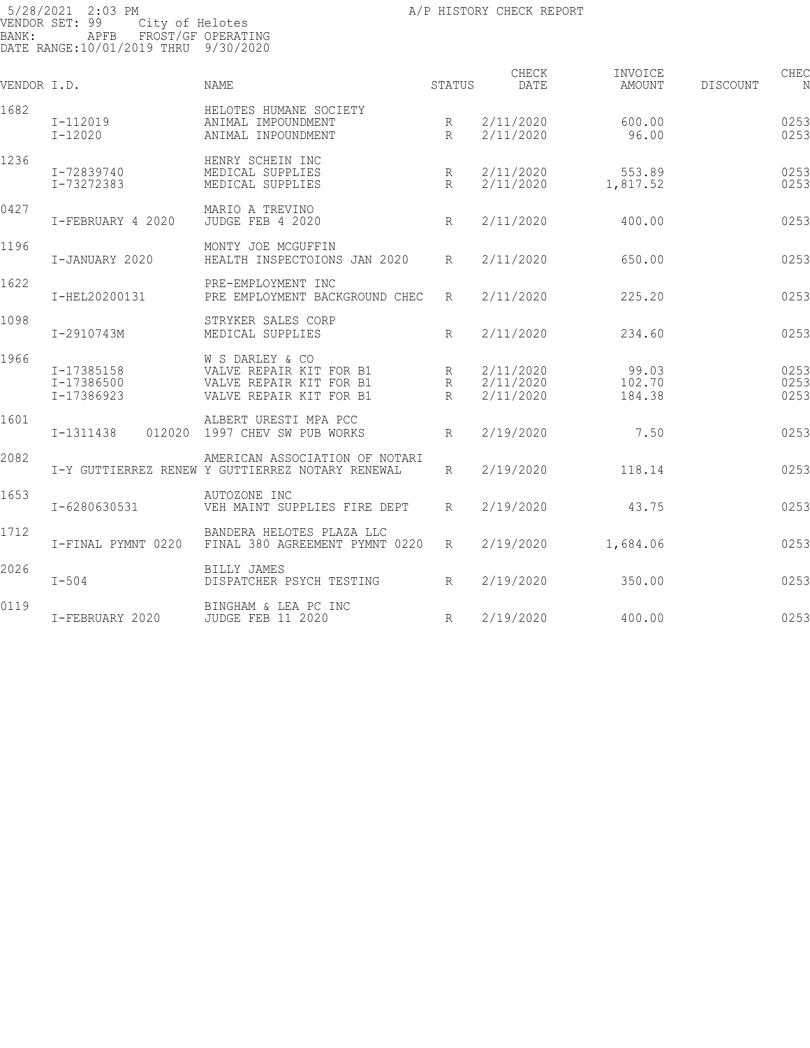| VENDOR I.D. |                                        | <b>NAME</b>                                                                                      | <b>STATUS</b>          | CHECK<br>DATE                       | INVOICE<br>AMOUNT         | DISCOUNT | CHEC<br>N            |
|-------------|----------------------------------------|--------------------------------------------------------------------------------------------------|------------------------|-------------------------------------|---------------------------|----------|----------------------|
| 1682        | I-112019<br>$I - 12020$                | HELOTES HUMANE SOCIETY<br>ANIMAL IMPOUNDMENT<br>ANIMAL INPOUNDMENT                               | R<br>R                 | 2/11/2020<br>2/11/2020              | 600.00<br>96.00           |          | 0253<br>0253         |
| 1236        | I-72839740<br>I-73272383               | HENRY SCHEIN INC<br>MEDICAL SUPPLIES<br>MEDICAL SUPPLIES                                         | R<br>R                 | 2/11/2020<br>2/11/2020              | 553.89<br>1,817.52        |          | 0253<br>0253         |
| 0427        | I-FEBRUARY 4 2020                      | MARIO A TREVINO<br>JUDGE FEB 4 2020                                                              | $R_{\parallel}$        | 2/11/2020                           | 400.00                    |          | 0253                 |
| 1196        | I-JANUARY 2020                         | MONTY JOE MCGUFFIN<br>HEALTH INSPECTOIONS JAN 2020                                               | $R_{\parallel}$        | 2/11/2020                           | 650.00                    |          | 0253                 |
| 1622        | I-HEL20200131                          | PRE-EMPLOYMENT INC<br>PRE EMPLOYMENT BACKGROUND CHEC                                             | $R_{\parallel}$        | 2/11/2020                           | 225.20                    |          | 0253                 |
| 1098        | I-2910743M                             | STRYKER SALES CORP<br>MEDICAL SUPPLIES                                                           | R                      | 2/11/2020                           | 234.60                    |          | 0253                 |
| 1966        | I-17385158<br>I-17386500<br>I-17386923 | W S DARLEY & CO<br>VALVE REPAIR KIT FOR B1<br>VALVE REPAIR KIT FOR B1<br>VALVE REPAIR KIT FOR B1 | R<br>R<br>$\mathbb{R}$ | 2/11/2020<br>2/11/2020<br>2/11/2020 | 99.03<br>102.70<br>184.38 |          | 0253<br>0253<br>0253 |
| 1601        | I-1311438<br>012020                    | ALBERT URESTI MPA PCC<br>1997 CHEV SW PUB WORKS                                                  | $R_{\parallel}$        | 2/19/2020                           | 7.50                      |          | 0253                 |
| 2082        |                                        | AMERICAN ASSOCIATION OF NOTARI<br>I-Y GUTTIERREZ RENEW Y GUTTIERREZ NOTARY RENEWAL               | $R_{\parallel}$        | 2/19/2020                           | 118.14                    |          | 0253                 |
| 1653        | I-6280630531                           | AUTOZONE INC<br>VEH MAINT SUPPLIES FIRE DEPT                                                     | R                      | 2/19/2020                           | 43.75                     |          | 0253                 |
| 1712        | I-FINAL PYMNT 0220                     | BANDERA HELOTES PLAZA LLC<br>FINAL 380 AGREEMENT PYMNT 0220                                      | R                      | 2/19/2020                           | 1,684.06                  |          | 0253                 |
| 2026        | $I-504$                                | <b>BILLY JAMES</b><br>DISPATCHER PSYCH TESTING                                                   | R                      | 2/19/2020                           | 350.00                    |          | 0253                 |
| 0119        | I-FEBRUARY 2020                        | BINGHAM & LEA PC INC<br><b>JUDGE FEB 11 2020</b>                                                 | R                      | 2/19/2020                           | 400.00                    |          | 0253                 |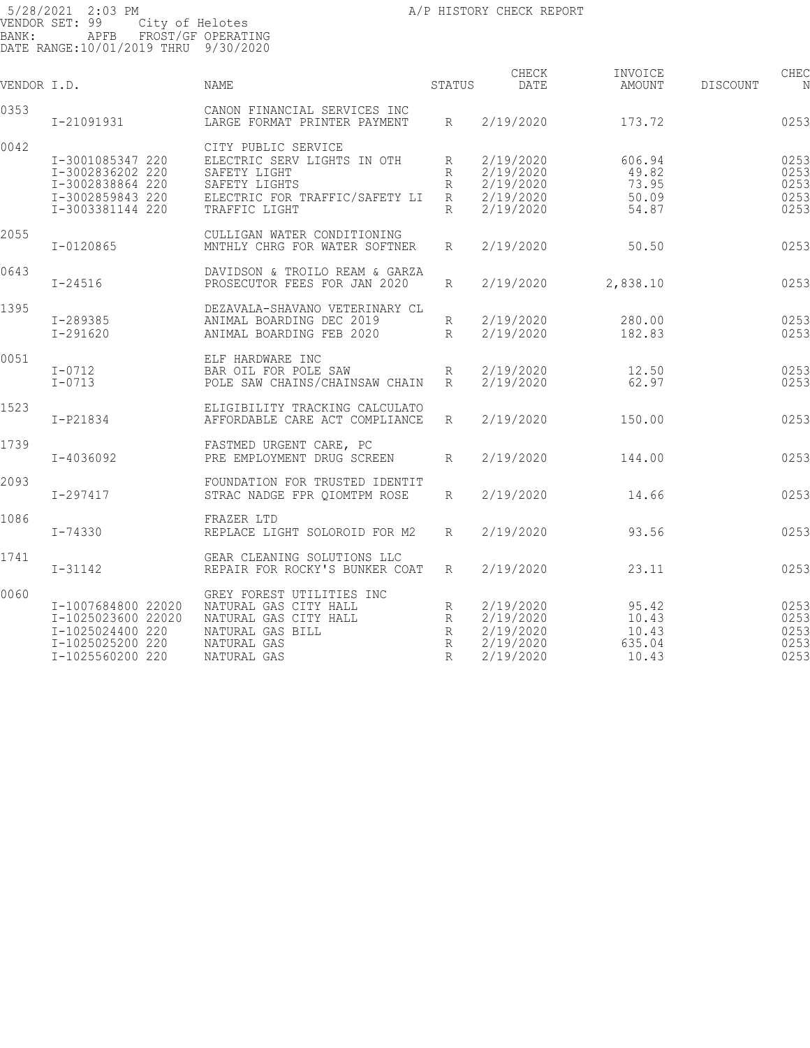| VENDOR I.D. |                                                                                                      | NAME                                                                                                                                   | STATUS                        | CHECK<br>DATE                                                 | INVOICE<br>AMOUNT                          | DISCOUNT | CHEC<br>N                            |
|-------------|------------------------------------------------------------------------------------------------------|----------------------------------------------------------------------------------------------------------------------------------------|-------------------------------|---------------------------------------------------------------|--------------------------------------------|----------|--------------------------------------|
| 0353        | I-21091931                                                                                           | CANON FINANCIAL SERVICES INC<br>LARGE FORMAT PRINTER PAYMENT                                                                           | $R_{\parallel}$               | 2/19/2020                                                     | 173.72                                     |          | 0253                                 |
| 0042        | I-3001085347 220<br>I-3002836202 220<br>I-3002838864 220<br>I-3002859843 220<br>I-3003381144 220     | CITY PUBLIC SERVICE<br>ELECTRIC SERV LIGHTS IN OTH<br>SAFETY LIGHT<br>SAFETY LIGHTS<br>ELECTRIC FOR TRAFFIC/SAFETY LI<br>TRAFFIC LIGHT | R<br>R<br>R<br>R<br>R         | 2/19/2020<br>2/19/2020<br>2/19/2020<br>2/19/2020<br>2/19/2020 | 606.94<br>49.82<br>73.95<br>50.09<br>54.87 |          | 0253<br>0253<br>0253<br>0253<br>0253 |
| 2055        | $I - 0120865$                                                                                        | CULLIGAN WATER CONDITIONING<br>MNTHLY CHRG FOR WATER SOFTNER                                                                           | $R_{\parallel}$               | 2/19/2020                                                     | 50.50                                      |          | 0253                                 |
| 0643        | $I - 24516$                                                                                          | DAVIDSON & TROILO REAM & GARZA<br>PROSECUTOR FEES FOR JAN 2020                                                                         | R                             | 2/19/2020                                                     | 2,838.10                                   |          | 0253                                 |
| 1395        | $I - 289385$<br>I-291620                                                                             | DEZAVALA-SHAVANO VETERINARY CL<br>ANIMAL BOARDING DEC 2019<br>ANIMAL BOARDING FEB 2020                                                 | R<br>R                        | 2/19/2020<br>2/19/2020                                        | 280.00<br>182.83                           |          | 0253<br>0253                         |
| 0051        | $I-0712$<br>$I - 0713$                                                                               | ELF HARDWARE INC<br>BAR OIL FOR POLE SAW<br>POLE SAW CHAINS/CHAINSAW CHAIN                                                             | R<br>R                        | 2/19/2020<br>2/19/2020                                        | 12.50<br>62.97                             |          | 0253<br>0253                         |
| 1523        | I-P21834                                                                                             | ELIGIBILITY TRACKING CALCULATO<br>AFFORDABLE CARE ACT COMPLIANCE                                                                       | R                             | 2/19/2020                                                     | 150.00                                     |          | 0253                                 |
| 1739        | I-4036092                                                                                            | FASTMED URGENT CARE, PC<br>PRE EMPLOYMENT DRUG SCREEN                                                                                  | R                             | 2/19/2020                                                     | 144.00                                     |          | 0253                                 |
| 2093        | $I - 297417$                                                                                         | FOUNDATION FOR TRUSTED IDENTIT<br>STRAC NADGE FPR QIOMTPM ROSE                                                                         | R                             | 2/19/2020                                                     | 14.66                                      |          | 0253                                 |
| 1086        | I-74330                                                                                              | FRAZER LTD<br>REPLACE LIGHT SOLOROID FOR M2                                                                                            | $\mathbb{R}$                  | 2/19/2020                                                     | 93.56                                      |          | 0253                                 |
| 1741        | $I - 31142$                                                                                          | GEAR CLEANING SOLUTIONS LLC<br>REPAIR FOR ROCKY'S BUNKER COAT                                                                          | $R_{\parallel}$               | 2/19/2020                                                     | 23.11                                      |          | 0253                                 |
| 0060        | I-1007684800 22020<br>I-1025023600 22020<br>I-1025024400 220<br>I-1025025200 220<br>I-1025560200 220 | GREY FOREST UTILITIES INC<br>NATURAL GAS CITY HALL<br>NATURAL GAS CITY HALL<br>NATURAL GAS BILL<br>NATURAL GAS<br>NATURAL GAS          | R<br>R<br>R<br>R<br>$R_{\rm}$ | 2/19/2020<br>2/19/2020<br>2/19/2020<br>2/19/2020<br>2/19/2020 | 95.42<br>10.43<br>10.43<br>635.04<br>10.43 |          | 0253<br>0253<br>0253<br>0253<br>0253 |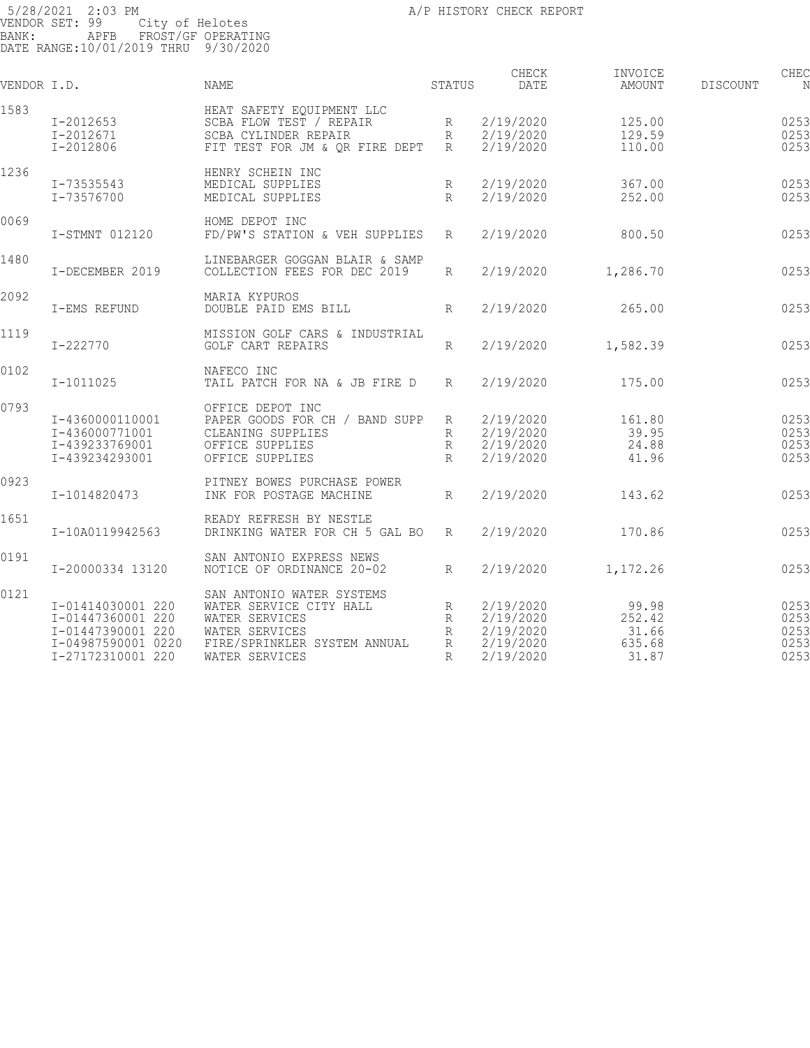| VENDOR I.D. |                                                                                                        | NAME                                                                                                                                       | STATUS                                  | CHECK<br>DATE                                                 | INVOICE<br>AMOUNT                           | <b>DISCOUNT</b> | CHEC                                 |
|-------------|--------------------------------------------------------------------------------------------------------|--------------------------------------------------------------------------------------------------------------------------------------------|-----------------------------------------|---------------------------------------------------------------|---------------------------------------------|-----------------|--------------------------------------|
| 1583        | I-2012653<br>$I - 2012671$<br>I-2012806                                                                | HEAT SAFETY EOUIPMENT LLC<br>SCBA FLOW TEST / REPAIR<br>SCBA CYLINDER REPAIR<br>FIT TEST FOR JM & OR FIRE DEPT                             | $R_{\parallel}$<br>R<br>$R_{\parallel}$ | 2/19/2020<br>2/19/2020<br>2/19/2020                           | 125.00<br>129.59<br>110.00                  |                 | 0253<br>0253<br>0253                 |
| 1236        | I-73535543<br>I-73576700                                                                               | HENRY SCHEIN INC<br>MEDICAL SUPPLIES<br>MEDICAL SUPPLIES                                                                                   | R<br>R                                  | 2/19/2020<br>2/19/2020                                        | 367.00<br>252.00                            |                 | 0253<br>0253                         |
| 0069        | I-STMNT 012120                                                                                         | HOME DEPOT INC<br>FD/PW'S STATION & VEH SUPPLIES                                                                                           | $R_{\rm}$                               | 2/19/2020                                                     | 800.50                                      |                 | 0253                                 |
| 1480        | I-DECEMBER 2019                                                                                        | LINEBARGER GOGGAN BLAIR & SAMP<br>COLLECTION FEES FOR DEC 2019                                                                             | R                                       | 2/19/2020                                                     | 1,286.70                                    |                 | 0253                                 |
| 2092        | I-EMS REFUND                                                                                           | MARIA KYPUROS<br>DOUBLE PAID EMS BILL                                                                                                      | R                                       | 2/19/2020                                                     | 265.00                                      |                 | 0253                                 |
| 1119        | I-222770                                                                                               | MISSION GOLF CARS & INDUSTRIAL<br>GOLF CART REPAIRS                                                                                        | R                                       | 2/19/2020                                                     | 1,582.39                                    |                 | 0253                                 |
| 0102        | I-1011025                                                                                              | NAFECO INC<br>TAIL PATCH FOR NA & JB FIRE D                                                                                                | R                                       | 2/19/2020                                                     | 175.00                                      |                 | 0253                                 |
| 0793        | I-4360000110001<br>I-436000771001<br>I-439233769001<br>I-439234293001                                  | OFFICE DEPOT INC<br>PAPER GOODS FOR CH / BAND SUPP<br>CLEANING SUPPLIES<br>OFFICE SUPPLIES<br>OFFICE SUPPLIES                              | R<br>R<br>R<br>$\mathbb{R}$             | 2/19/2020<br>2/19/2020<br>2/19/2020<br>2/19/2020              | 161.80<br>39.95<br>24.88<br>41.96           |                 | 0253<br>0253<br>0253<br>0253         |
| 0923        | I-1014820473                                                                                           | PITNEY BOWES PURCHASE POWER<br>INK FOR POSTAGE MACHINE                                                                                     | R                                       | 2/19/2020                                                     | 143.62                                      |                 | 0253                                 |
| 1651        | I-10A0119942563                                                                                        | READY REFRESH BY NESTLE<br>DRINKING WATER FOR CH 5 GAL BO                                                                                  | R                                       | 2/19/2020                                                     | 170.86                                      |                 | 0253                                 |
| 0191        | I-20000334 13120                                                                                       | SAN ANTONIO EXPRESS NEWS<br>NOTICE OF ORDINANCE 20-02                                                                                      | $R_{\rm}$                               | 2/19/2020                                                     | 1,172.26                                    |                 | 0253                                 |
| 0121        | I-01414030001 220<br>I-01447360001 220<br>I-01447390001 220<br>I-04987590001 0220<br>I-27172310001 220 | SAN ANTONIO WATER SYSTEMS<br>WATER SERVICE CITY HALL<br>WATER SERVICES<br>WATER SERVICES<br>FIRE/SPRINKLER SYSTEM ANNUAL<br>WATER SERVICES | R<br>R<br>R<br>R<br>$\mathbb{R}$        | 2/19/2020<br>2/19/2020<br>2/19/2020<br>2/19/2020<br>2/19/2020 | 99.98<br>252.42<br>31.66<br>635.68<br>31.87 |                 | 0253<br>0253<br>0253<br>0253<br>0253 |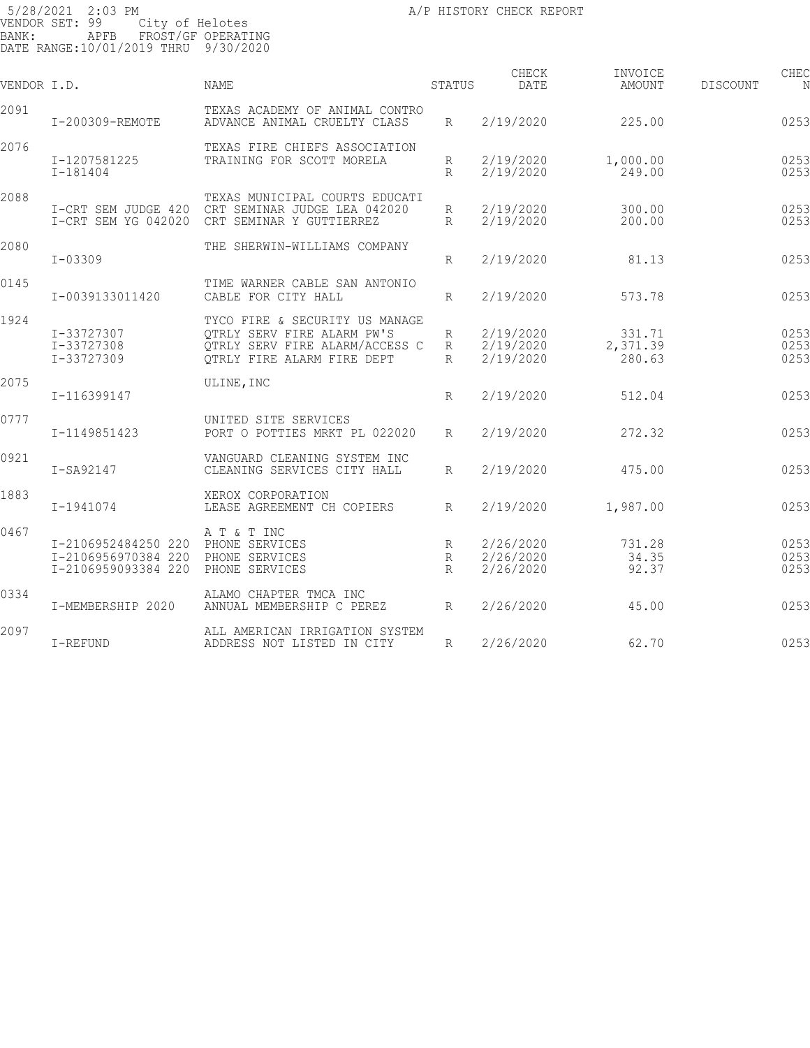| VENDOR I.D. |                                                                   | <b>NAME</b>                                                                                                                  | STATUS              | CHECK<br>DATE                       | INVOICE<br>AMOUNT            | DISCOUNT | CHEC                 |
|-------------|-------------------------------------------------------------------|------------------------------------------------------------------------------------------------------------------------------|---------------------|-------------------------------------|------------------------------|----------|----------------------|
| 2091        | I-200309-REMOTE                                                   | TEXAS ACADEMY OF ANIMAL CONTRO<br>ADVANCE ANIMAL CRUELTY CLASS                                                               | R                   | 2/19/2020                           | 225.00                       |          | 0253                 |
| 2076        | I-1207581225<br>$I-181404$                                        | TEXAS FIRE CHIEFS ASSOCIATION<br>TRAINING FOR SCOTT MORELA                                                                   | R<br>$\mathbb{R}$   | 2/19/2020<br>2/19/2020              | 1,000.00<br>249.00           |          | 0253<br>0253         |
| 2088        | I-CRT SEM JUDGE 420<br>I-CRT SEM YG 042020                        | TEXAS MUNICIPAL COURTS EDUCATI<br>CRT SEMINAR JUDGE LEA 042020<br>CRT SEMINAR Y GUTTIERREZ                                   | R<br>R              | 2/19/2020<br>2/19/2020              | 300.00<br>200.00             |          | 0253<br>0253         |
| 2080        | $I - 03309$                                                       | THE SHERWIN-WILLIAMS COMPANY                                                                                                 | R                   | 2/19/2020                           | 81.13                        |          | 0253                 |
| 0145        | I-0039133011420                                                   | TIME WARNER CABLE SAN ANTONIO<br>CABLE FOR CITY HALL                                                                         | R                   | 2/19/2020                           | 573.78                       |          | 0253                 |
| 1924        | I-33727307<br>I-33727308<br>I-33727309                            | TYCO FIRE & SECURITY US MANAGE<br>OTRLY SERV FIRE ALARM PW'S<br>OTRLY SERV FIRE ALARM/ACCESS C<br>QTRLY FIRE ALARM FIRE DEPT | R<br>R<br>$R_{\rm}$ | 2/19/2020<br>2/19/2020<br>2/19/2020 | 331.71<br>2,371.39<br>280.63 |          | 0253<br>0253<br>0253 |
| 2075        | I-116399147                                                       | ULINE, INC                                                                                                                   | R                   | 2/19/2020                           | 512.04                       |          | 0253                 |
| 0777        | I-1149851423                                                      | UNITED SITE SERVICES<br>PORT O POTTIES MRKT PL 022020                                                                        | R                   | 2/19/2020                           | 272.32                       |          | 0253                 |
| 0921        | $I-SA92147$                                                       | VANGUARD CLEANING SYSTEM INC<br>CLEANING SERVICES CITY HALL                                                                  | R                   | 2/19/2020                           | 475.00                       |          | 0253                 |
| 1883        | I-1941074                                                         | XEROX CORPORATION<br>LEASE AGREEMENT CH COPIERS                                                                              | $R_{\rm}$           | 2/19/2020                           | 1,987.00                     |          | 0253                 |
| 0467        | I-2106952484250 220<br>I-2106956970384 220<br>I-2106959093384 220 | A T & T INC<br>PHONE SERVICES<br>PHONE SERVICES<br>PHONE SERVICES                                                            | R<br>R<br>R         | 2/26/2020<br>2/26/2020<br>2/26/2020 | 731.28<br>34.35<br>92.37     |          | 0253<br>0253<br>0253 |
| 0334        | I-MEMBERSHIP 2020                                                 | ALAMO CHAPTER TMCA INC<br>ANNUAL MEMBERSHIP C PEREZ                                                                          | R                   | 2/26/2020                           | 45.00                        |          | 0253                 |
| 2097        | I-REFUND                                                          | ALL AMERICAN IRRIGATION SYSTEM<br>ADDRESS NOT LISTED IN CITY                                                                 | R                   | 2/26/2020                           | 62.70                        |          | 0253                 |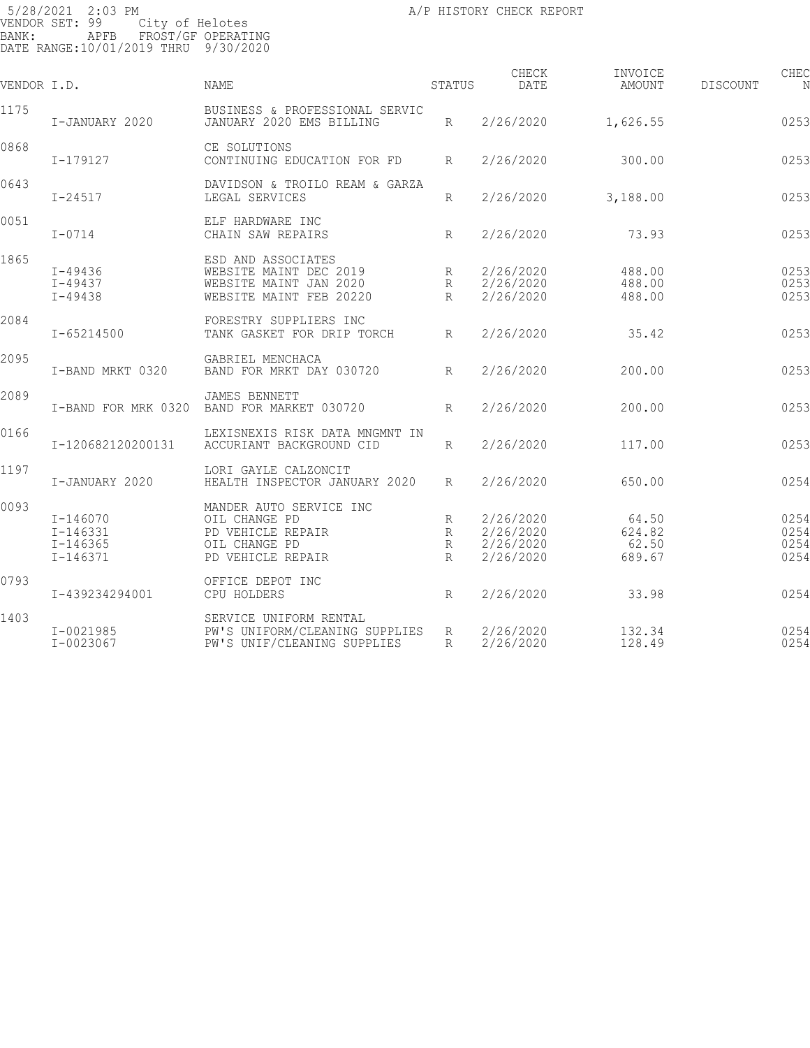| VENDOR I.D. |                                                          | NAME                                                                                                | STATUS           | CHECK<br><b>DATE</b>                             | INVOICE<br>AMOUNT                  | DISCOUNT | CHEC<br>N                    |
|-------------|----------------------------------------------------------|-----------------------------------------------------------------------------------------------------|------------------|--------------------------------------------------|------------------------------------|----------|------------------------------|
| 1175        | I-JANUARY 2020                                           | BUSINESS & PROFESSIONAL SERVIC<br>JANUARY 2020 EMS BILLING                                          | R                | 2/26/2020                                        | 1,626.55                           |          | 0253                         |
| 0868        | I-179127                                                 | CE SOLUTIONS<br>CONTINUING EDUCATION FOR FD                                                         | R                | 2/26/2020                                        | 300.00                             |          | 0253                         |
| 0643        | $I - 24517$                                              | DAVIDSON & TROILO REAM & GARZA<br>LEGAL SERVICES                                                    | R                | 2/26/2020                                        | 3,188.00                           |          | 0253                         |
| 0051        | $I - 0714$                                               | ELF HARDWARE INC<br>CHAIN SAW REPAIRS                                                               | R                | 2/26/2020                                        | 73.93                              |          | 0253                         |
| 1865        | I-49436<br>$I - 49437$<br>$I - 49438$                    | ESD AND ASSOCIATES<br>WEBSITE MAINT DEC 2019<br>WEBSITE MAINT JAN 2020<br>WEBSITE MAINT FEB 20220   | R<br>R<br>R      | 2/26/2020<br>2/26/2020<br>2/26/2020              | 488.00<br>488.00<br>488.00         |          | 0253<br>0253<br>0253         |
| 2084        | $I - 65214500$                                           | FORESTRY SUPPLIERS INC<br>TANK GASKET FOR DRIP TORCH                                                | $R_{\rm}$        | 2/26/2020                                        | 35.42                              |          | 0253                         |
| 2095        | I-BAND MRKT 0320                                         | GABRIEL MENCHACA<br>BAND FOR MRKT DAY 030720                                                        | R                | 2/26/2020                                        | 200.00                             |          | 0253                         |
| 2089        | I-BAND FOR MRK 0320                                      | <b>JAMES BENNETT</b><br>BAND FOR MARKET 030720                                                      | R                | 2/26/2020                                        | 200.00                             |          | 0253                         |
| 0166        | I-120682120200131                                        | LEXISNEXIS RISK DATA MNGMNT IN<br>ACCURIANT BACKGROUND CID                                          | R                | 2/26/2020                                        | 117.00                             |          | 0253                         |
| 1197        | I-JANUARY 2020                                           | LORI GAYLE CALZONCIT<br>HEALTH INSPECTOR JANUARY 2020                                               | R                | 2/26/2020                                        | 650.00                             |          | 0254                         |
| 0093        | I-146070<br>$I - 146331$<br>$I - 146365$<br>$I - 146371$ | MANDER AUTO SERVICE INC<br>OIL CHANGE PD<br>PD VEHICLE REPAIR<br>OIL CHANGE PD<br>PD VEHICLE REPAIR | R<br>R<br>R<br>R | 2/26/2020<br>2/26/2020<br>2/26/2020<br>2/26/2020 | 64.50<br>624.82<br>62.50<br>689.67 |          | 0254<br>0254<br>0254<br>0254 |
| 0793        | I-439234294001                                           | OFFICE DEPOT INC<br>CPU HOLDERS                                                                     | R                | 2/26/2020                                        | 33.98                              |          | 0254                         |
| 1403        | $I - 0021985$<br>$I - 0023067$                           | SERVICE UNIFORM RENTAL<br>PW'S UNIFORM/CLEANING SUPPLIES<br>PW'S UNIF/CLEANING SUPPLIES             | R<br>R           | 2/26/2020<br>2/26/2020                           | 132.34<br>128.49                   |          | 0254<br>0254                 |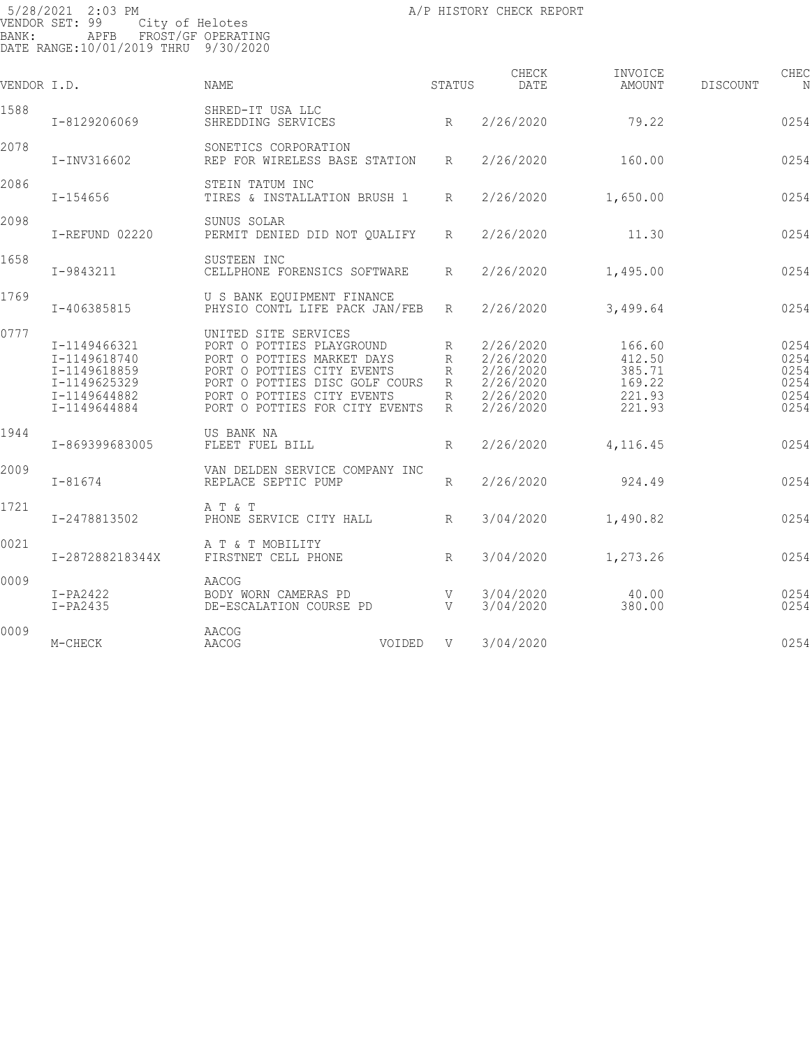| VENDOR I.D. |                                                                                              | <b>NAME</b>                                                                                                                                                                                                     |        | STATUS                             | CHECK<br>DATE                                                              | INVOICE<br>AMOUNT                                        | DISCOUNT | CHEC<br>N                                    |
|-------------|----------------------------------------------------------------------------------------------|-----------------------------------------------------------------------------------------------------------------------------------------------------------------------------------------------------------------|--------|------------------------------------|----------------------------------------------------------------------------|----------------------------------------------------------|----------|----------------------------------------------|
| 1588        | I-8129206069                                                                                 | SHRED-IT USA LLC<br>SHREDDING SERVICES                                                                                                                                                                          |        | $R_{\parallel}$                    | 2/26/2020                                                                  | 79.22                                                    |          | 0254                                         |
| 2078        | I-INV316602                                                                                  | SONETICS CORPORATION<br>REP FOR WIRELESS BASE STATION                                                                                                                                                           |        | R                                  | 2/26/2020                                                                  | 160.00                                                   |          | 0254                                         |
| 2086        | $I - 154656$                                                                                 | STEIN TATUM INC<br>TIRES & INSTALLATION BRUSH 1                                                                                                                                                                 |        | R                                  | 2/26/2020                                                                  | 1,650.00                                                 |          | 0254                                         |
| 2098        | I-REFUND 02220                                                                               | SUNUS SOLAR<br>PERMIT DENIED DID NOT OUALIFY                                                                                                                                                                    |        | R                                  | 2/26/2020                                                                  | 11.30                                                    |          | 0254                                         |
| 1658        | I-9843211                                                                                    | SUSTEEN INC<br>CELLPHONE FORENSICS SOFTWARE                                                                                                                                                                     |        | R                                  | 2/26/2020                                                                  | 1,495.00                                                 |          | 0254                                         |
| 1769        | I-406385815                                                                                  | U S BANK EOUIPMENT FINANCE<br>PHYSIO CONTL LIFE PACK JAN/FEB                                                                                                                                                    |        | R                                  | 2/26/2020                                                                  | 3,499.64                                                 |          | 0254                                         |
| 0777        | I-1149466321<br>I-1149618740<br>I-1149618859<br>I-1149625329<br>I-1149644882<br>I-1149644884 | UNITED SITE SERVICES<br>PORT O POTTIES PLAYGROUND<br>PORT O POTTIES MARKET DAYS<br>PORT O POTTIES CITY EVENTS<br>PORT O POTTIES DISC GOLF COURS<br>PORT O POTTIES CITY EVENTS<br>PORT O POTTIES FOR CITY EVENTS |        | R<br>R<br>R<br>R<br>R<br>$R_{\rm}$ | 2/26/2020<br>2/26/2020<br>2/26/2020<br>2/26/2020<br>2/26/2020<br>2/26/2020 | 166.60<br>412.50<br>385.71<br>169.22<br>221.93<br>221.93 |          | 0254<br>0254<br>0254<br>0254<br>0254<br>0254 |
| 1944        | I-869399683005                                                                               | US BANK NA<br>FLEET FUEL BILL                                                                                                                                                                                   |        | R                                  | 2/26/2020                                                                  | 4,116.45                                                 |          | 0254                                         |
| 2009        | $I - 81674$                                                                                  | VAN DELDEN SERVICE COMPANY INC<br>REPLACE SEPTIC PUMP                                                                                                                                                           |        | $\mathbb{R}$                       | 2/26/2020                                                                  | 924.49                                                   |          | 0254                                         |
| 1721        | I-2478813502                                                                                 | A T & T<br>PHONE SERVICE CITY HALL                                                                                                                                                                              |        | R                                  | 3/04/2020                                                                  | 1,490.82                                                 |          | 0254                                         |
| 0021        | I-287288218344X                                                                              | A T & T MOBILITY<br>FIRSTNET CELL PHONE                                                                                                                                                                         |        | R                                  | 3/04/2020                                                                  | 1,273.26                                                 |          | 0254                                         |
| 0009        | $I-PA2422$<br>$I-PA2435$                                                                     | AACOG<br>BODY WORN CAMERAS PD<br>DE-ESCALATION COURSE PD                                                                                                                                                        |        | V<br>V                             | 3/04/2020<br>3/04/2020                                                     | 40.00<br>380.00                                          |          | 0254<br>0254                                 |
| 0009        | M-CHECK                                                                                      | AACOG<br><b>AACOG</b>                                                                                                                                                                                           | VOIDED | V                                  | 3/04/2020                                                                  |                                                          |          | 0254                                         |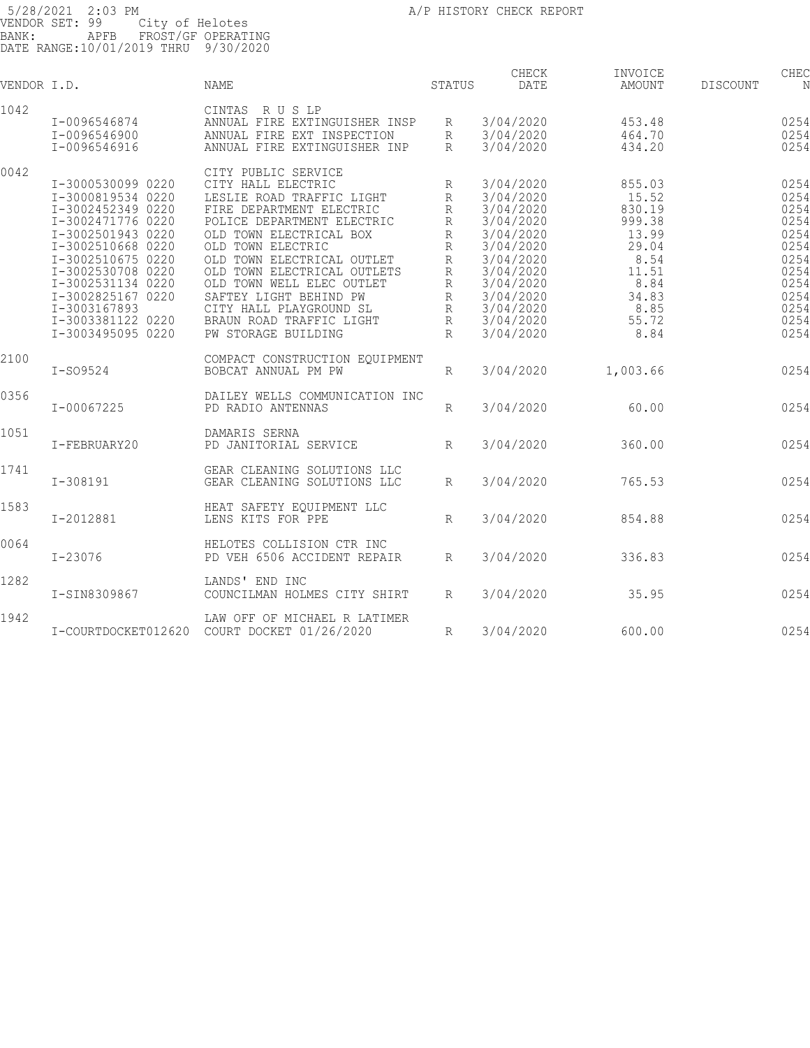| VENDOR I.D. |                     | <b>NAME</b>                    | STATUS       | CHECK<br>DATE | INVOICE<br><b>AMOUNT</b> | DISCOUNT | CHEC<br>N |
|-------------|---------------------|--------------------------------|--------------|---------------|--------------------------|----------|-----------|
| 1042        |                     | CINTAS RUSLP                   |              |               |                          |          |           |
|             | I-0096546874        | ANNUAL FIRE EXTINGUISHER INSP  | R            | 3/04/2020     | 453.48                   |          | 0254      |
|             | I-0096546900        | ANNUAL FIRE EXT INSPECTION     | R            | 3/04/2020     | 464.70                   |          | 0254      |
|             | I-0096546916        | ANNUAL FIRE EXTINGUISHER INP   | R            | 3/04/2020     | 434.20                   |          | 0254      |
|             |                     |                                |              |               |                          |          |           |
| 0042        |                     | CITY PUBLIC SERVICE            |              |               |                          |          |           |
|             | I-3000530099 0220   | CITY HALL ELECTRIC             | R            | 3/04/2020     | 855.03                   |          | 0254      |
|             | I-3000819534 0220   | LESLIE ROAD TRAFFIC LIGHT      | R            | 3/04/2020     | 15.52                    |          | 0254      |
|             | I-3002452349 0220   | FIRE DEPARTMENT ELECTRIC       | R            | 3/04/2020     | 830.19                   |          | 0254      |
|             | I-3002471776 0220   | POLICE DEPARTMENT ELECTRIC     | R            | 3/04/2020     | 999.38                   |          | 0254      |
|             | I-3002501943 0220   | OLD TOWN ELECTRICAL BOX        | $\mathbb R$  | 3/04/2020     | 13.99                    |          | 0254      |
|             | I-3002510668 0220   | OLD TOWN ELECTRIC              | R            | 3/04/2020     | 29.04                    |          | 0254      |
|             | I-3002510675 0220   | OLD TOWN ELECTRICAL OUTLET     | R            | 3/04/2020     | 8.54                     |          | 0254      |
|             | I-3002530708 0220   | OLD TOWN ELECTRICAL OUTLETS    | $\mathbb{R}$ | 3/04/2020     | 11.51                    |          | 0254      |
|             | I-3002531134 0220   | OLD TOWN WELL ELEC OUTLET      | R            | 3/04/2020     | 8.84                     |          | 0254      |
|             | I-3002825167 0220   | SAFTEY LIGHT BEHIND PW         | $\mathbb{R}$ | 3/04/2020     | 34.83                    |          | 0254      |
|             | I-3003167893        | CITY HALL PLAYGROUND SL        | R            | 3/04/2020     | 8.85                     |          | 0254      |
|             | I-3003381122 0220   | BRAUN ROAD TRAFFIC LIGHT       | R            | 3/04/2020     | 55.72                    |          | 0254      |
|             |                     |                                |              |               |                          |          |           |
|             | I-3003495095 0220   | PW STORAGE BUILDING            | R            | 3/04/2020     | 8.84                     |          | 0254      |
| 2100        |                     | COMPACT CONSTRUCTION EQUIPMENT |              |               |                          |          |           |
|             | $I-S09524$          | BOBCAT ANNUAL PM PW            | R            | 3/04/2020     | 1,003.66                 |          | 0254      |
|             |                     |                                |              |               |                          |          |           |
| 0356        |                     | DAILEY WELLS COMMUNICATION INC |              |               |                          |          |           |
|             | I-00067225          | PD RADIO ANTENNAS              | R            | 3/04/2020     | 60.00                    |          | 0254      |
|             |                     |                                |              |               |                          |          |           |
| 1051        |                     | DAMARIS SERNA                  |              |               |                          |          |           |
|             | I-FEBRUARY20        | PD JANITORIAL SERVICE          | R            | 3/04/2020     | 360.00                   |          | 0254      |
|             |                     |                                |              |               |                          |          |           |
| 1741        |                     | GEAR CLEANING SOLUTIONS LLC    |              |               |                          |          |           |
|             | $I - 308191$        | GEAR CLEANING SOLUTIONS LLC    | R            | 3/04/2020     | 765.53                   |          | 0254      |
|             |                     |                                |              |               |                          |          |           |
| 1583        |                     | HEAT SAFETY EQUIPMENT LLC      |              |               |                          |          |           |
|             | I-2012881           | LENS KITS FOR PPE              | $\mathbb{R}$ | 3/04/2020     | 854.88                   |          | 0254      |
|             |                     |                                |              |               |                          |          |           |
| 0064        |                     | HELOTES COLLISION CTR INC      |              |               |                          |          |           |
|             | I-23076             | PD VEH 6506 ACCIDENT REPAIR    | $R_{\rm}$    | 3/04/2020     | 336.83                   |          | 0254      |
|             |                     |                                |              |               |                          |          |           |
| 1282        |                     | LANDS' END INC                 |              |               |                          |          |           |
|             | I-SIN8309867        | COUNCILMAN HOLMES CITY SHIRT   | R            | 3/04/2020     | 35.95                    |          | 0254      |
|             |                     |                                |              |               |                          |          |           |
| 1942        |                     | LAW OFF OF MICHAEL R LATIMER   |              |               |                          |          |           |
|             | I-COURTDOCKET012620 | COURT DOCKET 01/26/2020        | R            | 3/04/2020     | 600.00                   |          | 0254      |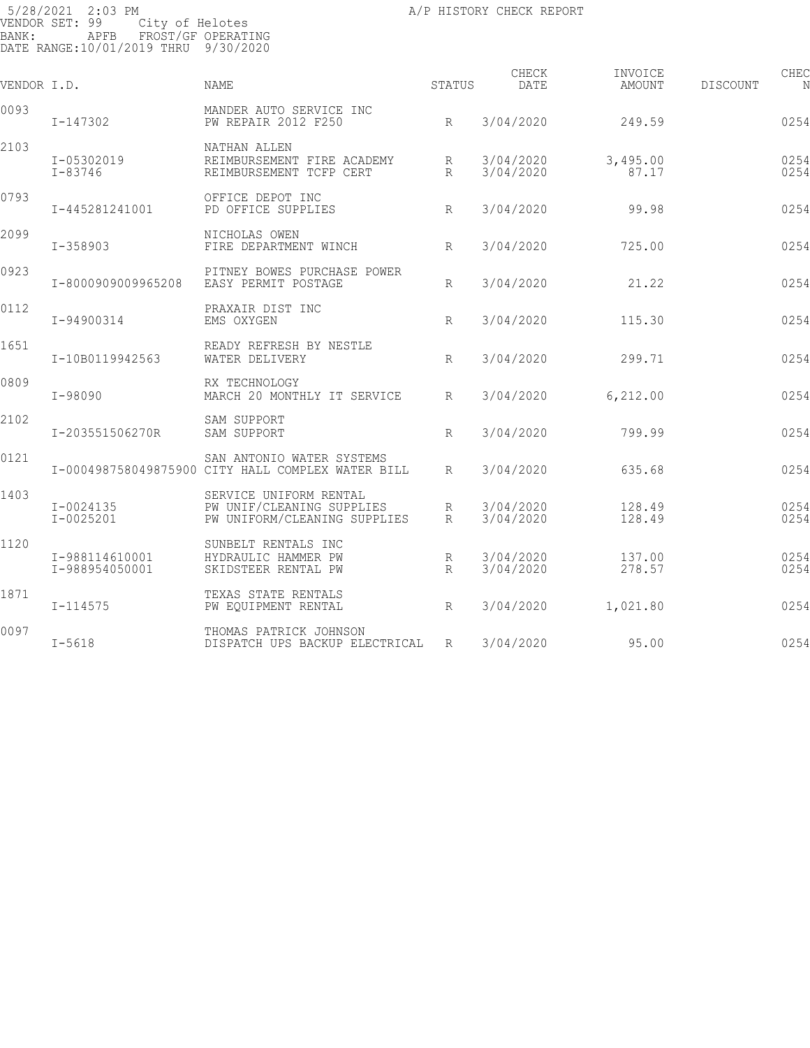| VENDOR I.D. |                                  | <b>NAME</b>                                                                         | STATUS               | CHECK<br>DATE          | INVOICE<br><b>AMOUNT</b> | DISCOUNT | CHEC<br>N    |
|-------------|----------------------------------|-------------------------------------------------------------------------------------|----------------------|------------------------|--------------------------|----------|--------------|
| 0093        | $I - 147302$                     | MANDER AUTO SERVICE INC<br>PW REPAIR 2012 F250                                      | $R_{\parallel}$      | 3/04/2020              | 249.59                   |          | 0254         |
| 2103        | I-05302019<br>I-83746            | NATHAN ALLEN<br>REIMBURSEMENT FIRE ACADEMY<br>REIMBURSEMENT TCFP CERT               | R<br>$\mathbb{R}$    | 3/04/2020<br>3/04/2020 | 3,495.00<br>87.17        |          | 0254<br>0254 |
| 0793        | I-445281241001                   | OFFICE DEPOT INC<br>PD OFFICE SUPPLIES                                              | $R_{\parallel}$      | 3/04/2020              | 99.98                    |          | 0254         |
| 2099        | $I - 358903$                     | NICHOLAS OWEN<br>FIRE DEPARTMENT WINCH                                              | R                    | 3/04/2020              | 725.00                   |          | 0254         |
| 0923        | I-8000909009965208               | PITNEY BOWES PURCHASE POWER<br>EASY PERMIT POSTAGE                                  | $R_{\rm}$            | 3/04/2020              | 21.22                    |          | 0254         |
| 0112        | I-94900314                       | PRAXAIR DIST INC<br>EMS OXYGEN                                                      | R                    | 3/04/2020              | 115.30                   |          | 0254         |
| 1651        | I-10B0119942563                  | READY REFRESH BY NESTLE<br>WATER DELIVERY                                           | R                    | 3/04/2020              | 299.71                   |          | 0254         |
| 0809        | $I - 98090$                      | RX TECHNOLOGY<br>MARCH 20 MONTHLY IT SERVICE                                        | R                    | 3/04/2020              | 6,212.00                 |          | 0254         |
| 2102        | I-203551506270R                  | SAM SUPPORT<br>SAM SUPPORT                                                          | R                    | 3/04/2020              | 799.99                   |          | 0254         |
| 0121        |                                  | SAN ANTONIO WATER SYSTEMS<br>I-000498758049875900 CITY HALL COMPLEX WATER BILL      | R                    | 3/04/2020              | 635.68                   |          | 0254         |
| 1403        | I-0024135<br>I-0025201           | SERVICE UNIFORM RENTAL<br>PW UNIF/CLEANING SUPPLIES<br>PW UNIFORM/CLEANING SUPPLIES | R<br>$R_{\parallel}$ | 3/04/2020<br>3/04/2020 | 128.49<br>128.49         |          | 0254<br>0254 |
| 1120        | I-988114610001<br>I-988954050001 | SUNBELT RENTALS INC<br>HYDRAULIC HAMMER PW<br>SKIDSTEER RENTAL PW                   | R<br>R               | 3/04/2020<br>3/04/2020 | 137.00<br>278.57         |          | 0254<br>0254 |
| 1871        | $I - 114575$                     | TEXAS STATE RENTALS<br>PW EQUIPMENT RENTAL                                          | R                    | 3/04/2020              | 1,021.80                 |          | 0254         |
| 0097        | $I - 5618$                       | THOMAS PATRICK JOHNSON<br>DISPATCH UPS BACKUP ELECTRICAL                            | R                    | 3/04/2020              | 95.00                    |          | 0254         |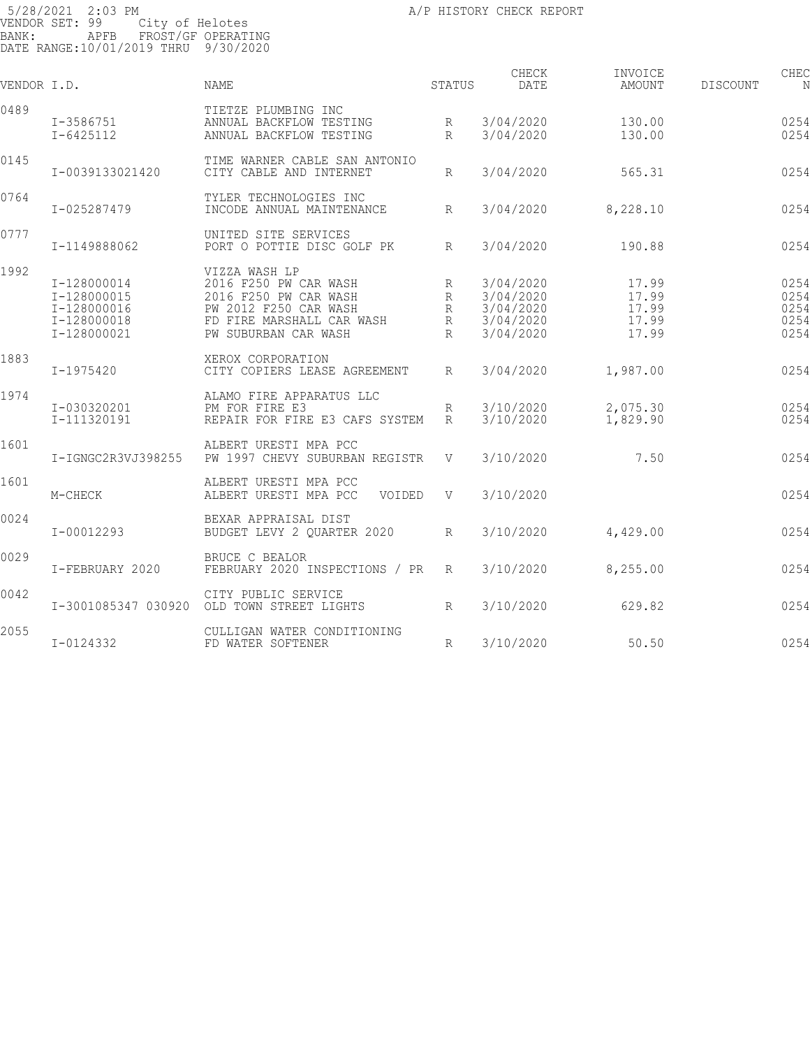| VENDOR I.D. |                                                                         | NAME                                                                                                                                          | STATUS                        | CHECK<br>DATE                                                 | INVOICE<br>AMOUNT                         | DISCOUNT | CHEC<br>N                            |
|-------------|-------------------------------------------------------------------------|-----------------------------------------------------------------------------------------------------------------------------------------------|-------------------------------|---------------------------------------------------------------|-------------------------------------------|----------|--------------------------------------|
| 0489        | I-3586751<br>$I - 6425112$                                              | TIETZE PLUMBING INC<br>ANNUAL BACKFLOW TESTING<br>ANNUAL BACKFLOW TESTING                                                                     | R<br>$\mathbb{R}$             | 3/04/2020<br>3/04/2020                                        | 130.00<br>130.00                          |          | 0254<br>0254                         |
| 0145        | I-0039133021420                                                         | TIME WARNER CABLE SAN ANTONIO<br>CITY CABLE AND INTERNET                                                                                      | $R_{\rm}$                     | 3/04/2020                                                     | 565.31                                    |          | 0254                                 |
| 0764        | I-025287479                                                             | TYLER TECHNOLOGIES INC<br>INCODE ANNUAL MAINTENANCE                                                                                           | R                             | 3/04/2020                                                     | 8,228.10                                  |          | 0254                                 |
| 0777        | I-1149888062                                                            | UNITED SITE SERVICES<br>PORT O POTTIE DISC GOLF PK                                                                                            | $R_{\rm}$                     | 3/04/2020                                                     | 190.88                                    |          | 0254                                 |
| 1992        | I-128000014<br>I-128000015<br>I-128000016<br>I-128000018<br>I-128000021 | VIZZA WASH LP<br>2016 F250 PW CAR WASH<br>2016 F250 PW CAR WASH<br>PW 2012 F250 CAR WASH<br>FD FIRE MARSHALL CAR WASH<br>PW SUBURBAN CAR WASH | R<br>R<br>R<br>R<br>$R_{\rm}$ | 3/04/2020<br>3/04/2020<br>3/04/2020<br>3/04/2020<br>3/04/2020 | 17.99<br>17.99<br>17.99<br>17.99<br>17.99 |          | 0254<br>0254<br>0254<br>0254<br>0254 |
| 1883        | I-1975420                                                               | XEROX CORPORATION<br>CITY COPIERS LEASE AGREEMENT                                                                                             | $R_{\parallel}$               | 3/04/2020                                                     | 1,987.00                                  |          | 0254                                 |
| 1974        | I-030320201<br>I-111320191                                              | ALAMO FIRE APPARATUS LLC<br>PM FOR FIRE E3<br>REPAIR FOR FIRE E3 CAFS SYSTEM                                                                  | R<br>R                        | 3/10/2020<br>3/10/2020                                        | 2,075.30<br>1,829.90                      |          | 0254<br>0254                         |
| 1601        | I-IGNGC2R3VJ398255                                                      | ALBERT URESTI MPA PCC<br>PW 1997 CHEVY SUBURBAN REGISTR                                                                                       | V                             | 3/10/2020                                                     | 7.50                                      |          | 0254                                 |
| 1601        | M-CHECK                                                                 | ALBERT URESTI MPA PCC<br>ALBERT URESTI MPA PCC<br>VOIDED                                                                                      | $\mathbf{V}$                  | 3/10/2020                                                     |                                           |          | 0254                                 |
| 0024        | I-00012293                                                              | BEXAR APPRAISAL DIST<br>BUDGET LEVY 2 QUARTER 2020                                                                                            | $R_{\parallel}$               | 3/10/2020                                                     | 4,429.00                                  |          | 0254                                 |
| 0029        | I-FEBRUARY 2020                                                         | BRUCE C BEALOR<br>FEBRUARY 2020 INSPECTIONS / PR                                                                                              | R                             | 3/10/2020                                                     | 8,255.00                                  |          | 0254                                 |
| 0042        | I-3001085347 030920                                                     | CITY PUBLIC SERVICE<br>OLD TOWN STREET LIGHTS                                                                                                 | $R_{\rm}$                     | 3/10/2020                                                     | 629.82                                    |          | 0254                                 |
| 2055        | I-0124332                                                               | CULLIGAN WATER CONDITIONING<br>FD WATER SOFTENER                                                                                              | $R_{\odot}$                   | 3/10/2020                                                     | 50.50                                     |          | 0254                                 |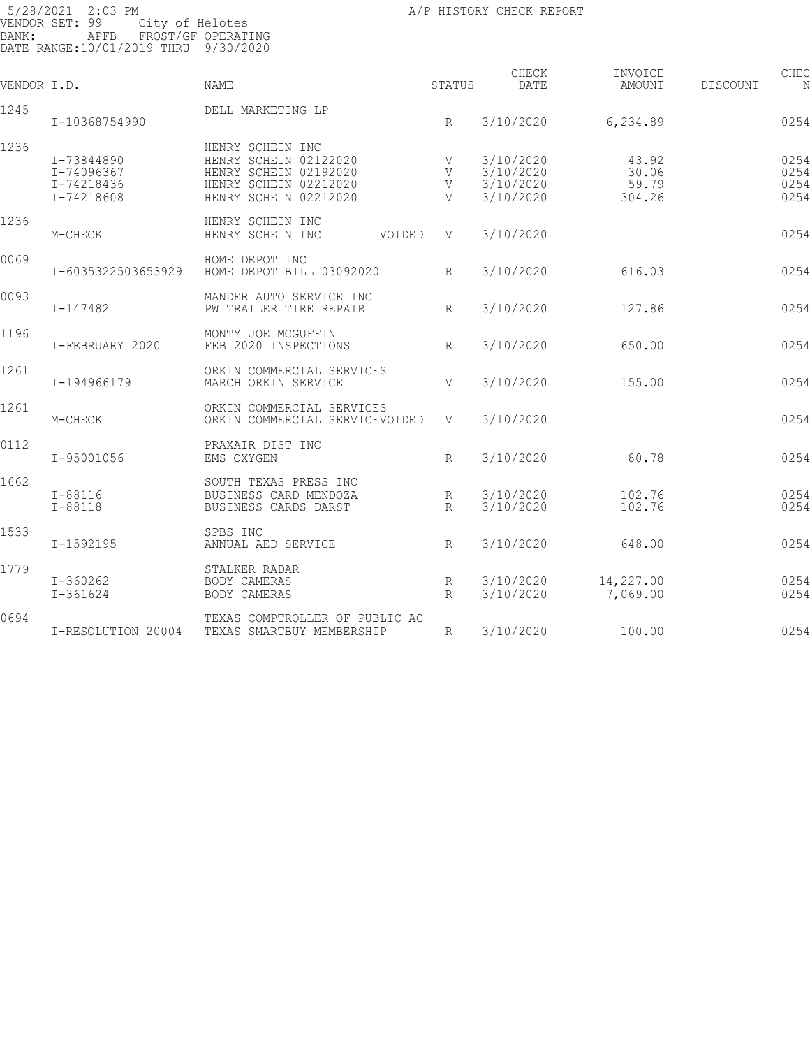|                                                      | NAME                                                                                                                 |                               | CHECK<br>DATE                                    | INVOICE<br>AMOUNT                 | CHEC<br>DISCOUNT<br>N        |
|------------------------------------------------------|----------------------------------------------------------------------------------------------------------------------|-------------------------------|--------------------------------------------------|-----------------------------------|------------------------------|
| I-10368754990                                        | DELL MARKETING LP                                                                                                    | R                             | 3/10/2020                                        | 6,234.89                          | 0254                         |
| I-73844890<br>I-74096367<br>I-74218436<br>I-74218608 | HENRY SCHEIN INC<br>HENRY SCHEIN 02122020<br>HENRY SCHEIN 02192020<br>HENRY SCHEIN 02212020<br>HENRY SCHEIN 02212020 | V<br>V<br>V<br>$\overline{V}$ | 3/10/2020<br>3/10/2020<br>3/10/2020<br>3/10/2020 | 43.92<br>30.06<br>59.79<br>304.26 | 0254<br>0254<br>0254<br>0254 |
| M-CHECK                                              | HENRY SCHEIN INC<br>HENRY SCHEIN INC<br>VOIDED                                                                       | V                             | 3/10/2020                                        |                                   | 0254                         |
| I-6035322503653929                                   | HOME DEPOT INC<br>HOME DEPOT BILL 03092020                                                                           | $R_{\rm}$                     | 3/10/2020                                        | 616.03                            | 0254                         |
| $I - 147482$                                         | MANDER AUTO SERVICE INC<br>PW TRAILER TIRE REPAIR                                                                    | $R_{\rm}$                     | 3/10/2020                                        | 127.86                            | 0254                         |
| I-FEBRUARY 2020                                      | MONTY JOE MCGUFFIN<br>FEB 2020 INSPECTIONS                                                                           | R                             | 3/10/2020                                        | 650.00                            | 0254                         |
| I-194966179                                          | ORKIN COMMERCIAL SERVICES<br>MARCH ORKIN SERVICE                                                                     | V                             | 3/10/2020                                        | 155.00                            | 0254                         |
| M-CHECK                                              | ORKIN COMMERCIAL SERVICES<br>ORKIN COMMERCIAL SERVICEVOIDED                                                          | V                             | 3/10/2020                                        |                                   | 0254                         |
| I-95001056                                           | PRAXAIR DIST INC<br>EMS OXYGEN                                                                                       | R                             | 3/10/2020                                        | 80.78                             | 0254                         |
| $I - 88116$<br>$I - 88118$                           | SOUTH TEXAS PRESS INC<br>BUSINESS CARD MENDOZA<br>BUSINESS CARDS DARST                                               | R<br>$R_{\rm}$                | 3/10/2020<br>3/10/2020                           | 102.76<br>102.76                  | 0254<br>0254                 |
| I-1592195                                            | SPBS INC<br>ANNUAL AED SERVICE                                                                                       | R                             | 3/10/2020                                        | 648.00                            | 0254                         |
| $I - 360262$<br>$I - 361624$                         | STALKER RADAR<br>BODY CAMERAS<br>BODY CAMERAS                                                                        | R<br>$R_{\rm}$                | 3/10/2020<br>3/10/2020                           | 14,227.00<br>7,069.00             | 0254<br>0254                 |
| I-RESOLUTION 20004                                   | TEXAS COMPTROLLER OF PUBLIC AC<br>TEXAS SMARTBUY MEMBERSHIP                                                          | R                             | 3/10/2020                                        | 100.00                            | 0254                         |
|                                                      | VENDOR I.D.                                                                                                          |                               |                                                  | STATUS                            |                              |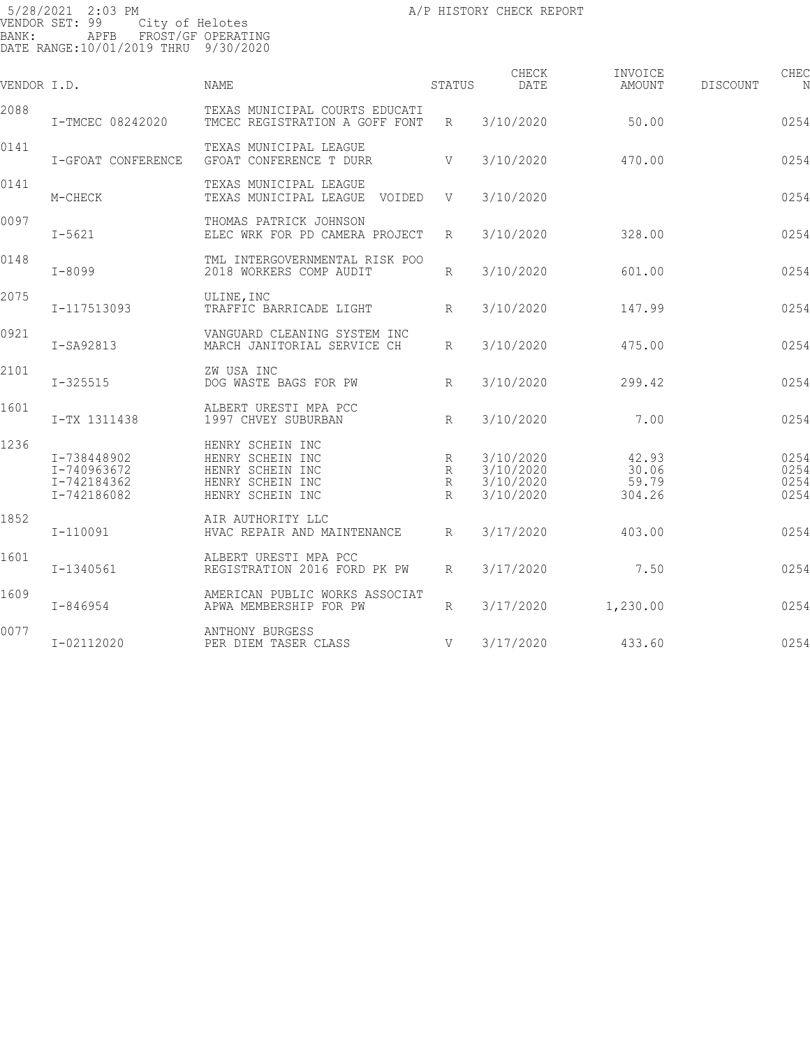| VENDOR I.D. |                                                          | NAME                                                                                             | STATUS                           | CHECK<br>DATE                                    | INVOICE<br>AMOUNT                 | CHEC<br>DISCOUNT<br>N        |
|-------------|----------------------------------------------------------|--------------------------------------------------------------------------------------------------|----------------------------------|--------------------------------------------------|-----------------------------------|------------------------------|
| 2088        | I-TMCEC 08242020                                         | TEXAS MUNICIPAL COURTS EDUCATI<br>TMCEC REGISTRATION A GOFF FONT                                 | R                                | 3/10/2020                                        | 50.00                             | 0254                         |
| 0141        | I-GFOAT CONFERENCE                                       | TEXAS MUNICIPAL LEAGUE<br>GFOAT CONFERENCE T DURR                                                | V                                | 3/10/2020                                        | 470.00                            | 0254                         |
| 0141        | M-CHECK                                                  | TEXAS MUNICIPAL LEAGUE<br>TEXAS MUNICIPAL LEAGUE VOIDED                                          | V                                | 3/10/2020                                        |                                   | 0254                         |
| 0097        | $I - 5621$                                               | THOMAS PATRICK JOHNSON<br>ELEC WRK FOR PD CAMERA PROJECT                                         | R                                | 3/10/2020                                        | 328.00                            | 0254                         |
| 0148        | $I - 8099$                                               | TML INTERGOVERNMENTAL RISK POO<br>2018 WORKERS COMP AUDIT                                        | R                                | 3/10/2020                                        | 601.00                            | 0254                         |
| 2075        | I-117513093                                              | ULINE, INC<br>TRAFFIC BARRICADE LIGHT                                                            | $R_{\parallel}$                  | 3/10/2020                                        | 147.99                            | 0254                         |
| 0921        | I-SA92813                                                | VANGUARD CLEANING SYSTEM INC<br>MARCH JANITORIAL SERVICE CH                                      | $R_{\parallel}$                  | 3/10/2020                                        | 475.00                            | 0254                         |
| 2101        | $I - 325515$                                             | ZW USA INC<br>DOG WASTE BAGS FOR PW                                                              | $R_{\rm}$                        | 3/10/2020                                        | 299.42                            | 0254                         |
| 1601        | I-TX 1311438                                             | ALBERT URESTI MPA PCC<br>1997 CHVEY SUBURBAN                                                     | R                                | 3/10/2020                                        | 7.00                              | 0254                         |
| 1236        | I-738448902<br>I-740963672<br>I-742184362<br>I-742186082 | HENRY SCHEIN INC<br>HENRY SCHEIN INC<br>HENRY SCHEIN INC<br>HENRY SCHEIN INC<br>HENRY SCHEIN INC | R<br>$R_{\rm}$<br>R<br>$R_{\rm}$ | 3/10/2020<br>3/10/2020<br>3/10/2020<br>3/10/2020 | 42.93<br>30.06<br>59.79<br>304.26 | 0254<br>0254<br>0254<br>0254 |
| 1852        | I-110091                                                 | AIR AUTHORITY LLC<br>HVAC REPAIR AND MAINTENANCE                                                 | $R_{\parallel}$                  | 3/17/2020                                        | 403.00                            | 0254                         |
| 1601        | I-1340561                                                | ALBERT URESTI MPA PCC<br>REGISTRATION 2016 FORD PK PW                                            | R                                | 3/17/2020                                        | 7.50                              | 0254                         |
| 1609        | $I - 846954$                                             | AMERICAN PUBLIC WORKS ASSOCIAT<br>APWA MEMBERSHIP FOR PW                                         | $R_{\parallel}$                  | 3/17/2020                                        | 1,230.00                          | 0254                         |
| 0077        | I-02112020                                               | ANTHONY BURGESS<br>PER DIEM TASER CLASS                                                          | V                                | 3/17/2020                                        | 433.60                            | 0254                         |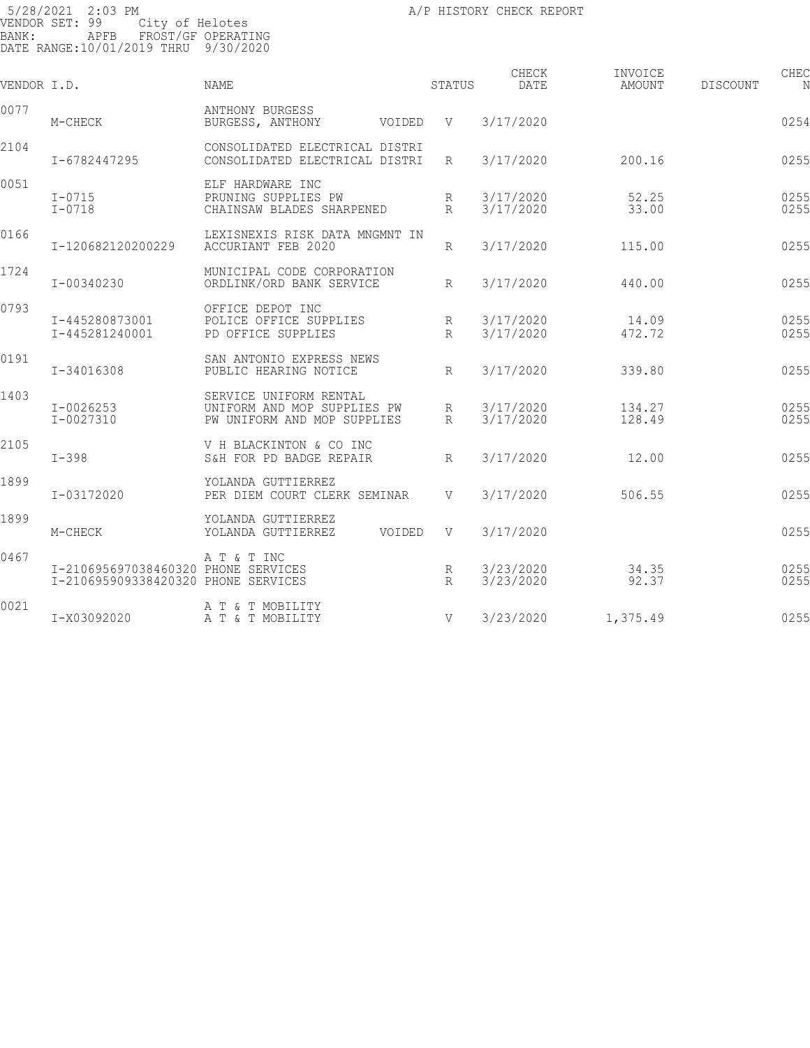| VENDOR I.D. |                                                                            | NAME                                                                                 | STATUS          | CHECK<br>DATE          | INVOICE<br>AMOUNT | CHEC<br>DISCOUNT<br>N |
|-------------|----------------------------------------------------------------------------|--------------------------------------------------------------------------------------|-----------------|------------------------|-------------------|-----------------------|
| 0077        | M-CHECK                                                                    | ANTHONY BURGESS<br>BURGESS, ANTHONY<br>VOIDED                                        | $\mathbf V$     | 3/17/2020              |                   | 0254                  |
| 2104        | I-6782447295                                                               | CONSOLIDATED ELECTRICAL DISTRI<br>CONSOLIDATED ELECTRICAL DISTRI                     | $R_{\parallel}$ | 3/17/2020              | 200.16            | 0255                  |
| 0051        | $I - 0715$<br>$I-0718$                                                     | ELF HARDWARE INC<br>PRUNING SUPPLIES PW<br>CHAINSAW BLADES SHARPENED                 | R<br>$R_{\rm}$  | 3/17/2020<br>3/17/2020 | 52.25<br>33.00    | 0255<br>0255          |
| 0166        | I-120682120200229                                                          | LEXISNEXIS RISK DATA MNGMNT IN<br>ACCURIANT FEB 2020                                 | R               | 3/17/2020              | 115.00            | 0255                  |
| 1724        | I-00340230                                                                 | MUNICIPAL CODE CORPORATION<br>ORDLINK/ORD BANK SERVICE                               | $R_{\rm}$       | 3/17/2020              | 440.00            | 0255                  |
| 0793        | I-445280873001<br>I-445281240001                                           | OFFICE DEPOT INC<br>POLICE OFFICE SUPPLIES<br>PD OFFICE SUPPLIES                     | R<br>$R_{\rm}$  | 3/17/2020<br>3/17/2020 | 14.09<br>472.72   | 0255<br>0255          |
| 0191        | I-34016308                                                                 | SAN ANTONIO EXPRESS NEWS<br>PUBLIC HEARING NOTICE                                    | R               | 3/17/2020              | 339.80            | 0255                  |
| 1403        | $I - 0026253$<br>$I - 0027310$                                             | SERVICE UNIFORM RENTAL<br>UNIFORM AND MOP SUPPLIES PW<br>PW UNIFORM AND MOP SUPPLIES | R<br>$R_{\rm}$  | 3/17/2020<br>3/17/2020 | 134.27<br>128.49  | 0255<br>0255          |
| 2105        | $I - 398$                                                                  | V H BLACKINTON & CO INC<br>S&H FOR PD BADGE REPAIR                                   | $R_{\rm}$       | 3/17/2020              | 12.00             | 0255                  |
| 1899        | I-03172020                                                                 | YOLANDA GUTTIERREZ<br>PER DIEM COURT CLERK SEMINAR                                   | V               | 3/17/2020              | 506.55            | 0255                  |
| 1899        | M-CHECK                                                                    | YOLANDA GUTTIERREZ<br>YOLANDA GUTTIERREZ<br>VOIDED                                   | $\mathbf V$     | 3/17/2020              |                   | 0255                  |
| 0467        | I-210695697038460320 PHONE SERVICES<br>I-210695909338420320 PHONE SERVICES | A T & T INC                                                                          | R<br>R          | 3/23/2020<br>3/23/2020 | 34.35<br>92.37    | 0255<br>0255          |
| 0021        | I-X03092020                                                                | A T & T MOBILITY<br>A T & T MOBILITY                                                 | $\mathbf V$     | 3/23/2020              | 1,375.49          | 0255                  |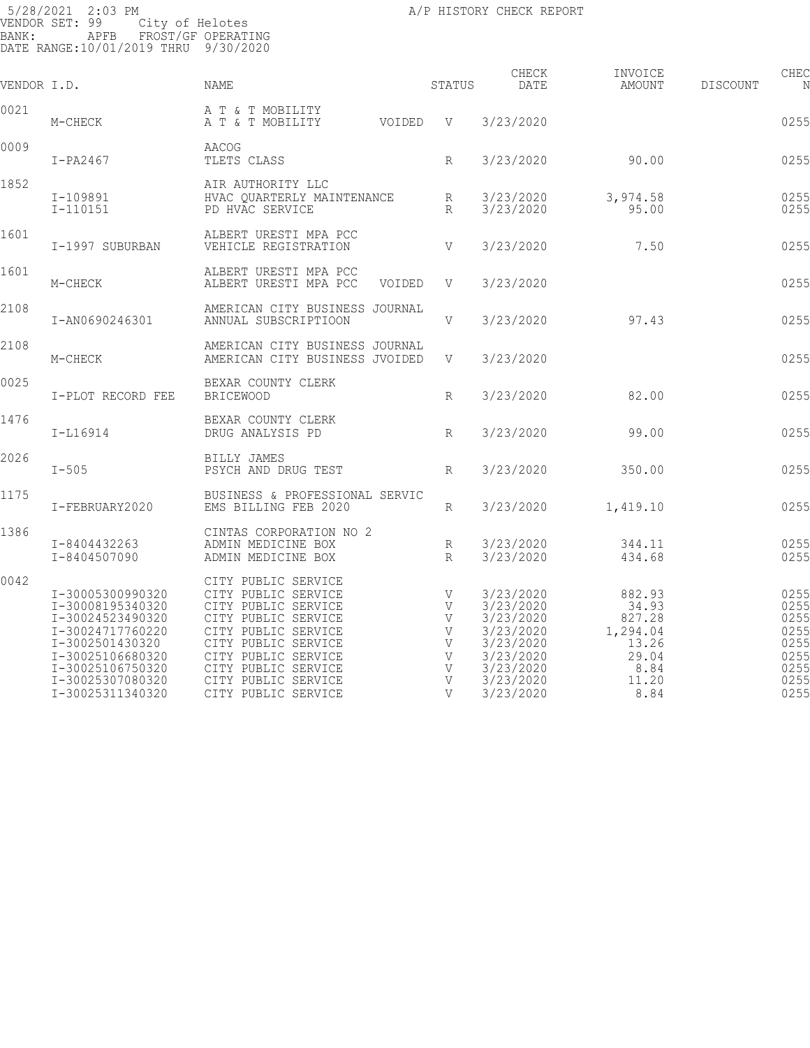| VENDOR I.D. |                                                                                                                                                                                 | NAME                                                                                                                                                                                                                               | STATUS                                    | CHECK<br>DATE                                                                                                     | INVOICE<br>AMOUNT                                                                | CHEC<br><b>DISCOUNT</b><br>N                                         |
|-------------|---------------------------------------------------------------------------------------------------------------------------------------------------------------------------------|------------------------------------------------------------------------------------------------------------------------------------------------------------------------------------------------------------------------------------|-------------------------------------------|-------------------------------------------------------------------------------------------------------------------|----------------------------------------------------------------------------------|----------------------------------------------------------------------|
| 0021        | M-CHECK                                                                                                                                                                         | A T & T MOBILITY<br>VOIDED<br>A T & T MOBILITY                                                                                                                                                                                     | V                                         | 3/23/2020                                                                                                         |                                                                                  | 0255                                                                 |
| 0009        | $I-PA2467$                                                                                                                                                                      | AACOG<br>TLETS CLASS                                                                                                                                                                                                               | $R_{\rm}$                                 | 3/23/2020                                                                                                         | 90.00                                                                            | 0255                                                                 |
| 1852        | I-109891<br>$I-110151$                                                                                                                                                          | AIR AUTHORITY LLC<br>HVAC OUARTERLY MAINTENANCE<br>PD HVAC SERVICE                                                                                                                                                                 | R<br>$R_{\rm}$                            | 3/23/2020<br>3/23/2020                                                                                            | 3,974.58<br>95.00                                                                | 0255<br>0255                                                         |
| 1601        | I-1997 SUBURBAN                                                                                                                                                                 | ALBERT URESTI MPA PCC<br>VEHICLE REGISTRATION                                                                                                                                                                                      | V                                         | 3/23/2020                                                                                                         | 7.50                                                                             | 0255                                                                 |
| 1601        | M-CHECK                                                                                                                                                                         | ALBERT URESTI MPA PCC<br>ALBERT URESTI MPA PCC<br>VOIDED                                                                                                                                                                           | V                                         | 3/23/2020                                                                                                         |                                                                                  | 0255                                                                 |
| 2108        | I-AN0690246301                                                                                                                                                                  | AMERICAN CITY BUSINESS JOURNAL<br>ANNUAL SUBSCRIPTIOON                                                                                                                                                                             | V                                         | 3/23/2020                                                                                                         | 97.43                                                                            | 0255                                                                 |
| 2108        | M-CHECK                                                                                                                                                                         | AMERICAN CITY BUSINESS JOURNAL<br>AMERICAN CITY BUSINESS JVOIDED                                                                                                                                                                   | V                                         | 3/23/2020                                                                                                         |                                                                                  | 0255                                                                 |
| 0025        | I-PLOT RECORD FEE                                                                                                                                                               | BEXAR COUNTY CLERK<br><b>BRICEWOOD</b>                                                                                                                                                                                             | $R_{\rm}$                                 | 3/23/2020                                                                                                         | 82.00                                                                            | 0255                                                                 |
| 1476        | $I-L16914$                                                                                                                                                                      | BEXAR COUNTY CLERK<br>DRUG ANALYSIS PD                                                                                                                                                                                             | $R_{\rm}$                                 | 3/23/2020                                                                                                         | 99.00                                                                            | 0255                                                                 |
| 2026        | $I - 505$                                                                                                                                                                       | BILLY JAMES<br>PSYCH AND DRUG TEST                                                                                                                                                                                                 | $R_{\rm}$                                 | 3/23/2020                                                                                                         | 350.00                                                                           | 0255                                                                 |
| 1175        | I-FEBRUARY2020                                                                                                                                                                  | BUSINESS & PROFESSIONAL SERVIC<br>EMS BILLING FEB 2020                                                                                                                                                                             | R                                         | 3/23/2020                                                                                                         | 1,419.10                                                                         | 0255                                                                 |
| 1386        | I-8404432263<br>I-8404507090                                                                                                                                                    | CINTAS CORPORATION NO 2<br>ADMIN MEDICINE BOX<br>ADMIN MEDICINE BOX                                                                                                                                                                | R<br>$R_{\rm}$                            | 3/23/2020<br>3/23/2020                                                                                            | 344.11<br>434.68                                                                 | 0255<br>0255                                                         |
| 0042        | I-30005300990320<br>I-30008195340320<br>I-30024523490320<br>I-30024717760220<br>I-3002501430320<br>I-30025106680320<br>I-30025106750320<br>I-30025307080320<br>I-30025311340320 | CITY PUBLIC SERVICE<br>CITY PUBLIC SERVICE<br>CITY PUBLIC SERVICE<br>CITY PUBLIC SERVICE<br>CITY PUBLIC SERVICE<br>CITY PUBLIC SERVICE<br>CITY PUBLIC SERVICE<br>CITY PUBLIC SERVICE<br>CITY PUBLIC SERVICE<br>CITY PUBLIC SERVICE | V<br>V<br>V<br>V<br>V<br>V<br>V<br>V<br>V | 3/23/2020<br>3/23/2020<br>3/23/2020<br>3/23/2020<br>3/23/2020<br>3/23/2020<br>3/23/2020<br>3/23/2020<br>3/23/2020 | 882.93<br>34.93<br>827.28<br>1,294.04<br>13.26<br>29.04<br>8.84<br>11.20<br>8.84 | 0255<br>0255<br>0255<br>0255<br>0255<br>0255<br>0255<br>0255<br>0255 |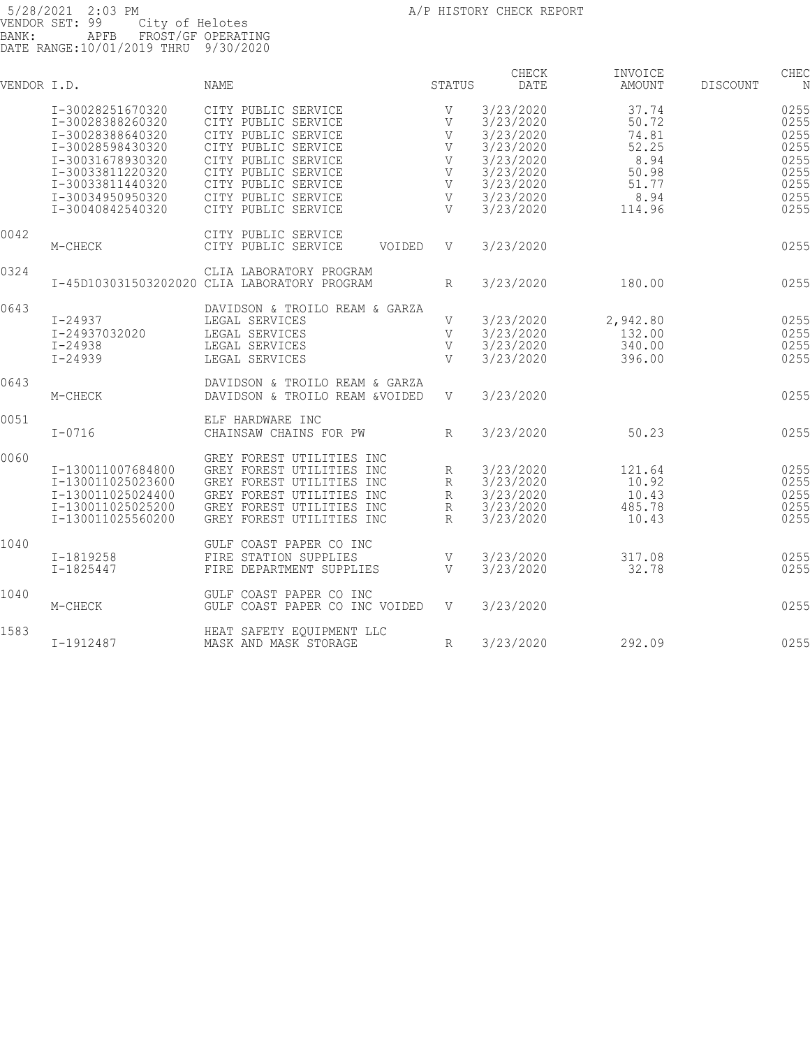| VENDOR I.D. |                   | <b>NAME</b>                                  | STATUS         | CHECK<br>DATE | INVOICE<br>AMOUNT | DISCOUNT | CHEC<br>N |
|-------------|-------------------|----------------------------------------------|----------------|---------------|-------------------|----------|-----------|
|             | I-30028251670320  | CITY PUBLIC SERVICE                          | V              | 3/23/2020     | 37.74             |          | 0255      |
|             | I-30028388260320  | CITY PUBLIC SERVICE                          | V              | 3/23/2020     | 50.72             |          | 0255      |
|             | I-30028388640320  | CITY PUBLIC SERVICE                          | V              | 3/23/2020     | 74.81             |          | 0255      |
|             | I-30028598430320  | CITY PUBLIC SERVICE                          | V              | 3/23/2020     | 52.25             |          | 0255      |
|             | I-30031678930320  | CITY PUBLIC SERVICE                          | V              | 3/23/2020     | 8.94              |          | 0255      |
|             | I-30033811220320  | CITY PUBLIC SERVICE                          | V              | 3/23/2020     | 50.98             |          | 0255      |
|             | I-30033811440320  | CITY PUBLIC SERVICE                          | V              | 3/23/2020     | 51.77             |          | 0255      |
|             | I-30034950950320  | CITY PUBLIC SERVICE                          | V              | 3/23/2020     | 8.94              |          | 0255      |
|             | I-30040842540320  | CITY PUBLIC SERVICE                          | V              | 3/23/2020     | 114.96            |          | 0255      |
| 0042        |                   | CITY PUBLIC SERVICE                          |                |               |                   |          |           |
|             | M-CHECK           | CITY PUBLIC SERVICE<br>VOIDED                | V              | 3/23/2020     |                   |          | 0255      |
| 0324        |                   | CLIA LABORATORY PROGRAM                      |                |               |                   |          |           |
|             |                   | I-45D103031503202020 CLIA LABORATORY PROGRAM | R              | 3/23/2020     | 180.00            |          | 0255      |
| 0643        |                   | DAVIDSON & TROILO REAM & GARZA               |                |               |                   |          |           |
|             | I-24937           | LEGAL SERVICES                               | V              | 3/23/2020     | 2,942.80          |          | 0255      |
|             | I-24937032020     | LEGAL SERVICES                               | V              | 3/23/2020     | 132.00            |          | 0255      |
|             | $I - 24938$       | LEGAL SERVICES                               | V              | 3/23/2020     | 340.00            |          | 0255      |
|             | $I - 24939$       | LEGAL SERVICES                               | $\overline{V}$ | 3/23/2020     | 396.00            |          | 0255      |
| 0643        |                   | DAVIDSON & TROILO REAM & GARZA               |                |               |                   |          |           |
|             | M-CHECK           | DAVIDSON & TROILO REAM &VOIDED               | V              | 3/23/2020     |                   |          | 0255      |
| 0051        |                   | ELF HARDWARE INC                             |                |               |                   |          |           |
|             | $I-0716$          | CHAINSAW CHAINS FOR PW                       | $\mathbb{R}$   | 3/23/2020     | 50.23             |          | 0255      |
| 0060        |                   | GREY FOREST UTILITIES INC                    |                |               |                   |          |           |
|             | I-130011007684800 | GREY FOREST UTILITIES INC                    | R              | 3/23/2020     | 121.64            |          | 0255      |
|             | I-130011025023600 | GREY FOREST UTILITIES INC                    | R              | 3/23/2020     | 10.92             |          | 0255      |
|             | I-130011025024400 | GREY FOREST UTILITIES INC                    | R              | 3/23/2020     | 10.43             |          | 0255      |
|             | I-130011025025200 | GREY FOREST UTILITIES INC                    | R              | 3/23/2020     | 485.78            |          | 0255      |
|             | I-130011025560200 | GREY FOREST UTILITIES INC                    | R              | 3/23/2020     | 10.43             |          | 0255      |
| 1040        |                   | GULF COAST PAPER CO INC                      |                |               |                   |          |           |
|             | I-1819258         | FIRE STATION SUPPLIES                        | V              | 3/23/2020     | 317.08            |          | 0255      |
|             | $I - 1825447$     | FIRE DEPARTMENT SUPPLIES                     | V              | 3/23/2020     | 32.78             |          | 0255      |
| 1040        |                   | GULF COAST PAPER CO INC                      |                |               |                   |          |           |
|             | M-CHECK           | GULF COAST PAPER CO INC VOIDED               | $\mathbf V$    | 3/23/2020     |                   |          | 0255      |
| 1583        |                   | HEAT SAFETY EOUIPMENT LLC                    |                |               |                   |          |           |
|             | I-1912487         | MASK AND MASK STORAGE                        | R              | 3/23/2020     | 292.09            |          | 0255      |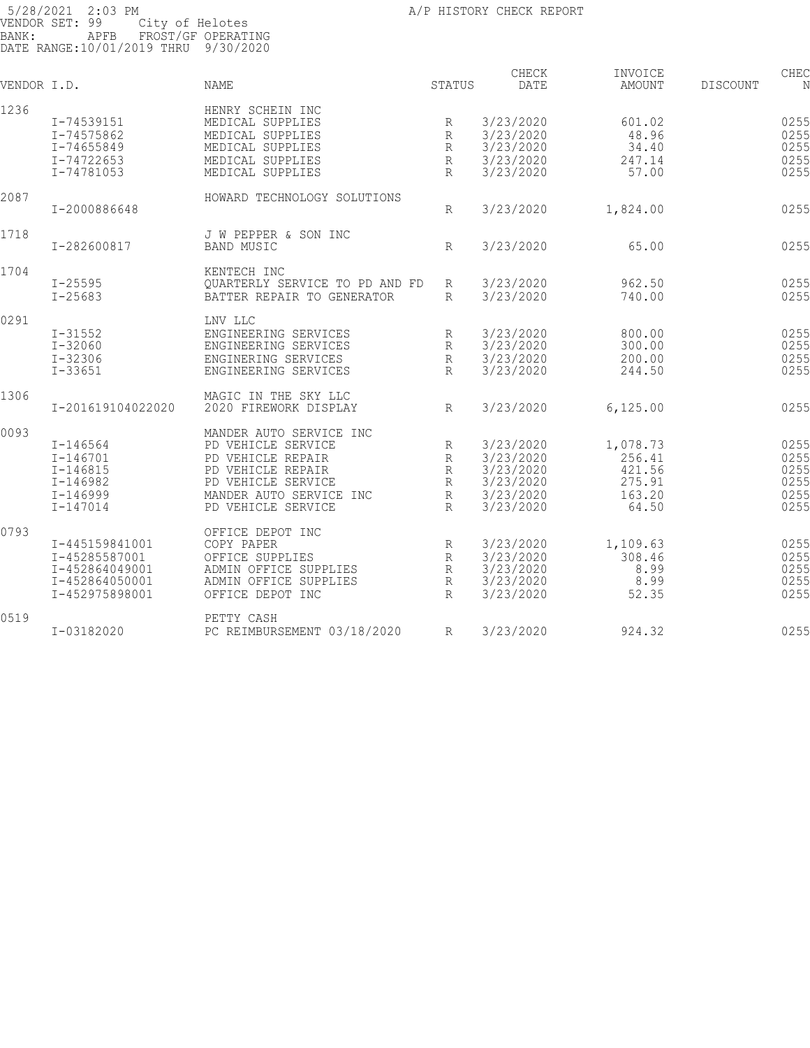| 1236<br>HENRY SCHEIN INC<br>3/23/2020<br>601.02<br>I-74539151<br>MEDICAL SUPPLIES<br>R<br>3/23/2020<br>48.96<br>I-74575862<br>MEDICAL SUPPLIES<br>$\mathbb{R}$<br>3/23/2020<br>34.40<br>I-74655849<br>MEDICAL SUPPLIES<br>$\mathbb{R}$<br>3/23/2020<br>247.14<br>I-74722653<br>MEDICAL SUPPLIES<br>$\mathbb{R}$<br>3/23/2020<br>57.00<br>I-74781053<br>MEDICAL SUPPLIES<br>$\mathbb{R}$<br>2087<br>HOWARD TECHNOLOGY SOLUTIONS<br>3/23/2020<br>I-2000886648<br>1,824.00<br>R<br>1718<br>J W PEPPER & SON INC<br><b>BAND MUSIC</b><br>3/23/2020<br>65.00<br>I-282600817<br>R<br>1704<br>KENTECH INC<br>3/23/2020<br>$I - 25595$<br>962.50<br>OUARTERLY SERVICE TO PD AND FD<br>R<br>$I - 25683$<br>3/23/2020<br>740.00<br>BATTER REPAIR TO GENERATOR<br>$\mathbb{R}$<br>0291<br>LNV LLC<br>3/23/2020<br>$I - 31552$<br>ENGINEERING SERVICES<br>800.00<br>R<br>$I - 32060$<br>3/23/2020<br>300.00<br>ENGINEERING SERVICES<br>R<br>$I - 32306$<br>3/23/2020<br>200.00<br>ENGINERING SERVICES<br>$\mathbb{R}$<br>$I - 33651$<br>$\mathbb{R}$<br>3/23/2020<br>244.50<br>ENGINEERING SERVICES<br>1306<br>MAGIC IN THE SKY LLC<br>3/23/2020<br>I-201619104022020<br>2020 FIREWORK DISPLAY<br>R<br>6, 125.00<br>0093<br>MANDER AUTO SERVICE INC<br>3/23/2020<br>1,078.73<br>0255<br>$I - 146564$<br>PD VEHICLE SERVICE<br>R<br>$I - 146701$<br>PD VEHICLE REPAIR<br>3/23/2020<br>256.41<br>$\mathbb{R}$<br>0255<br>$I - 146815$<br>3/23/2020<br>421.56<br>PD VEHICLE REPAIR<br>R<br>0255<br>275.91<br>I-146982<br>PD VEHICLE SERVICE<br>3/23/2020<br>R<br>163.20<br>3/23/2020<br>$I - 146999$<br>MANDER AUTO SERVICE INC<br>$\mathbb{R}$<br>$I - 147014$<br>PD VEHICLE SERVICE<br>3/23/2020<br>64.50<br>$\mathsf{R}$<br>0793<br>OFFICE DEPOT INC<br>I-445159841001<br>COPY PAPER<br>3/23/2020<br>1,109.63<br>R<br>3/23/2020<br>308.46<br>I-45285587001<br>$\mathbb{R}$<br>OFFICE SUPPLIES<br>3/23/2020<br>I-452864049001<br>ADMIN OFFICE SUPPLIES<br>R<br>8.99<br>3/23/2020<br>8.99<br>I-452864050001<br>ADMIN OFFICE SUPPLIES<br>$\mathbb{R}$<br>3/23/2020<br>52.35<br>I-452975898001<br>OFFICE DEPOT INC<br>R<br>0519<br>PETTY CASH | VENDOR I.D. |            | <b>NAME</b>                 | STATUS | CHECK<br>DATE | INVOICE<br><b>AMOUNT</b> | DISCOUNT | CHEC<br>N |
|-------------------------------------------------------------------------------------------------------------------------------------------------------------------------------------------------------------------------------------------------------------------------------------------------------------------------------------------------------------------------------------------------------------------------------------------------------------------------------------------------------------------------------------------------------------------------------------------------------------------------------------------------------------------------------------------------------------------------------------------------------------------------------------------------------------------------------------------------------------------------------------------------------------------------------------------------------------------------------------------------------------------------------------------------------------------------------------------------------------------------------------------------------------------------------------------------------------------------------------------------------------------------------------------------------------------------------------------------------------------------------------------------------------------------------------------------------------------------------------------------------------------------------------------------------------------------------------------------------------------------------------------------------------------------------------------------------------------------------------------------------------------------------------------------------------------------------------------------------------------------------------------------------------------------------------------------------------------------------------------------------------------------------------------------------------------------------------------------------------------------------|-------------|------------|-----------------------------|--------|---------------|--------------------------|----------|-----------|
|                                                                                                                                                                                                                                                                                                                                                                                                                                                                                                                                                                                                                                                                                                                                                                                                                                                                                                                                                                                                                                                                                                                                                                                                                                                                                                                                                                                                                                                                                                                                                                                                                                                                                                                                                                                                                                                                                                                                                                                                                                                                                                                               |             |            |                             |        |               |                          |          |           |
|                                                                                                                                                                                                                                                                                                                                                                                                                                                                                                                                                                                                                                                                                                                                                                                                                                                                                                                                                                                                                                                                                                                                                                                                                                                                                                                                                                                                                                                                                                                                                                                                                                                                                                                                                                                                                                                                                                                                                                                                                                                                                                                               |             |            |                             |        |               |                          |          | 0255      |
|                                                                                                                                                                                                                                                                                                                                                                                                                                                                                                                                                                                                                                                                                                                                                                                                                                                                                                                                                                                                                                                                                                                                                                                                                                                                                                                                                                                                                                                                                                                                                                                                                                                                                                                                                                                                                                                                                                                                                                                                                                                                                                                               |             |            |                             |        |               |                          |          | 0255      |
|                                                                                                                                                                                                                                                                                                                                                                                                                                                                                                                                                                                                                                                                                                                                                                                                                                                                                                                                                                                                                                                                                                                                                                                                                                                                                                                                                                                                                                                                                                                                                                                                                                                                                                                                                                                                                                                                                                                                                                                                                                                                                                                               |             |            |                             |        |               |                          |          | 0255      |
|                                                                                                                                                                                                                                                                                                                                                                                                                                                                                                                                                                                                                                                                                                                                                                                                                                                                                                                                                                                                                                                                                                                                                                                                                                                                                                                                                                                                                                                                                                                                                                                                                                                                                                                                                                                                                                                                                                                                                                                                                                                                                                                               |             |            |                             |        |               |                          |          | 0255      |
|                                                                                                                                                                                                                                                                                                                                                                                                                                                                                                                                                                                                                                                                                                                                                                                                                                                                                                                                                                                                                                                                                                                                                                                                                                                                                                                                                                                                                                                                                                                                                                                                                                                                                                                                                                                                                                                                                                                                                                                                                                                                                                                               |             |            |                             |        |               |                          |          | 0255      |
|                                                                                                                                                                                                                                                                                                                                                                                                                                                                                                                                                                                                                                                                                                                                                                                                                                                                                                                                                                                                                                                                                                                                                                                                                                                                                                                                                                                                                                                                                                                                                                                                                                                                                                                                                                                                                                                                                                                                                                                                                                                                                                                               |             |            |                             |        |               |                          |          |           |
|                                                                                                                                                                                                                                                                                                                                                                                                                                                                                                                                                                                                                                                                                                                                                                                                                                                                                                                                                                                                                                                                                                                                                                                                                                                                                                                                                                                                                                                                                                                                                                                                                                                                                                                                                                                                                                                                                                                                                                                                                                                                                                                               |             |            |                             |        |               |                          |          |           |
|                                                                                                                                                                                                                                                                                                                                                                                                                                                                                                                                                                                                                                                                                                                                                                                                                                                                                                                                                                                                                                                                                                                                                                                                                                                                                                                                                                                                                                                                                                                                                                                                                                                                                                                                                                                                                                                                                                                                                                                                                                                                                                                               |             |            |                             |        |               |                          |          | 0255      |
|                                                                                                                                                                                                                                                                                                                                                                                                                                                                                                                                                                                                                                                                                                                                                                                                                                                                                                                                                                                                                                                                                                                                                                                                                                                                                                                                                                                                                                                                                                                                                                                                                                                                                                                                                                                                                                                                                                                                                                                                                                                                                                                               |             |            |                             |        |               |                          |          |           |
|                                                                                                                                                                                                                                                                                                                                                                                                                                                                                                                                                                                                                                                                                                                                                                                                                                                                                                                                                                                                                                                                                                                                                                                                                                                                                                                                                                                                                                                                                                                                                                                                                                                                                                                                                                                                                                                                                                                                                                                                                                                                                                                               |             |            |                             |        |               |                          |          | 0255      |
|                                                                                                                                                                                                                                                                                                                                                                                                                                                                                                                                                                                                                                                                                                                                                                                                                                                                                                                                                                                                                                                                                                                                                                                                                                                                                                                                                                                                                                                                                                                                                                                                                                                                                                                                                                                                                                                                                                                                                                                                                                                                                                                               |             |            |                             |        |               |                          |          |           |
|                                                                                                                                                                                                                                                                                                                                                                                                                                                                                                                                                                                                                                                                                                                                                                                                                                                                                                                                                                                                                                                                                                                                                                                                                                                                                                                                                                                                                                                                                                                                                                                                                                                                                                                                                                                                                                                                                                                                                                                                                                                                                                                               |             |            |                             |        |               |                          |          |           |
|                                                                                                                                                                                                                                                                                                                                                                                                                                                                                                                                                                                                                                                                                                                                                                                                                                                                                                                                                                                                                                                                                                                                                                                                                                                                                                                                                                                                                                                                                                                                                                                                                                                                                                                                                                                                                                                                                                                                                                                                                                                                                                                               |             |            |                             |        |               |                          |          | 0255      |
|                                                                                                                                                                                                                                                                                                                                                                                                                                                                                                                                                                                                                                                                                                                                                                                                                                                                                                                                                                                                                                                                                                                                                                                                                                                                                                                                                                                                                                                                                                                                                                                                                                                                                                                                                                                                                                                                                                                                                                                                                                                                                                                               |             |            |                             |        |               |                          |          | 0255      |
|                                                                                                                                                                                                                                                                                                                                                                                                                                                                                                                                                                                                                                                                                                                                                                                                                                                                                                                                                                                                                                                                                                                                                                                                                                                                                                                                                                                                                                                                                                                                                                                                                                                                                                                                                                                                                                                                                                                                                                                                                                                                                                                               |             |            |                             |        |               |                          |          |           |
|                                                                                                                                                                                                                                                                                                                                                                                                                                                                                                                                                                                                                                                                                                                                                                                                                                                                                                                                                                                                                                                                                                                                                                                                                                                                                                                                                                                                                                                                                                                                                                                                                                                                                                                                                                                                                                                                                                                                                                                                                                                                                                                               |             |            |                             |        |               |                          |          | 0255      |
|                                                                                                                                                                                                                                                                                                                                                                                                                                                                                                                                                                                                                                                                                                                                                                                                                                                                                                                                                                                                                                                                                                                                                                                                                                                                                                                                                                                                                                                                                                                                                                                                                                                                                                                                                                                                                                                                                                                                                                                                                                                                                                                               |             |            |                             |        |               |                          |          | 0255      |
|                                                                                                                                                                                                                                                                                                                                                                                                                                                                                                                                                                                                                                                                                                                                                                                                                                                                                                                                                                                                                                                                                                                                                                                                                                                                                                                                                                                                                                                                                                                                                                                                                                                                                                                                                                                                                                                                                                                                                                                                                                                                                                                               |             |            |                             |        |               |                          |          | 0255      |
|                                                                                                                                                                                                                                                                                                                                                                                                                                                                                                                                                                                                                                                                                                                                                                                                                                                                                                                                                                                                                                                                                                                                                                                                                                                                                                                                                                                                                                                                                                                                                                                                                                                                                                                                                                                                                                                                                                                                                                                                                                                                                                                               |             |            |                             |        |               |                          |          | 0255      |
|                                                                                                                                                                                                                                                                                                                                                                                                                                                                                                                                                                                                                                                                                                                                                                                                                                                                                                                                                                                                                                                                                                                                                                                                                                                                                                                                                                                                                                                                                                                                                                                                                                                                                                                                                                                                                                                                                                                                                                                                                                                                                                                               |             |            |                             |        |               |                          |          |           |
|                                                                                                                                                                                                                                                                                                                                                                                                                                                                                                                                                                                                                                                                                                                                                                                                                                                                                                                                                                                                                                                                                                                                                                                                                                                                                                                                                                                                                                                                                                                                                                                                                                                                                                                                                                                                                                                                                                                                                                                                                                                                                                                               |             |            |                             |        |               |                          |          | 0255      |
|                                                                                                                                                                                                                                                                                                                                                                                                                                                                                                                                                                                                                                                                                                                                                                                                                                                                                                                                                                                                                                                                                                                                                                                                                                                                                                                                                                                                                                                                                                                                                                                                                                                                                                                                                                                                                                                                                                                                                                                                                                                                                                                               |             |            |                             |        |               |                          |          |           |
|                                                                                                                                                                                                                                                                                                                                                                                                                                                                                                                                                                                                                                                                                                                                                                                                                                                                                                                                                                                                                                                                                                                                                                                                                                                                                                                                                                                                                                                                                                                                                                                                                                                                                                                                                                                                                                                                                                                                                                                                                                                                                                                               |             |            |                             |        |               |                          |          |           |
|                                                                                                                                                                                                                                                                                                                                                                                                                                                                                                                                                                                                                                                                                                                                                                                                                                                                                                                                                                                                                                                                                                                                                                                                                                                                                                                                                                                                                                                                                                                                                                                                                                                                                                                                                                                                                                                                                                                                                                                                                                                                                                                               |             |            |                             |        |               |                          |          |           |
|                                                                                                                                                                                                                                                                                                                                                                                                                                                                                                                                                                                                                                                                                                                                                                                                                                                                                                                                                                                                                                                                                                                                                                                                                                                                                                                                                                                                                                                                                                                                                                                                                                                                                                                                                                                                                                                                                                                                                                                                                                                                                                                               |             |            |                             |        |               |                          |          | 0255      |
|                                                                                                                                                                                                                                                                                                                                                                                                                                                                                                                                                                                                                                                                                                                                                                                                                                                                                                                                                                                                                                                                                                                                                                                                                                                                                                                                                                                                                                                                                                                                                                                                                                                                                                                                                                                                                                                                                                                                                                                                                                                                                                                               |             |            |                             |        |               |                          |          |           |
|                                                                                                                                                                                                                                                                                                                                                                                                                                                                                                                                                                                                                                                                                                                                                                                                                                                                                                                                                                                                                                                                                                                                                                                                                                                                                                                                                                                                                                                                                                                                                                                                                                                                                                                                                                                                                                                                                                                                                                                                                                                                                                                               |             |            |                             |        |               |                          |          |           |
|                                                                                                                                                                                                                                                                                                                                                                                                                                                                                                                                                                                                                                                                                                                                                                                                                                                                                                                                                                                                                                                                                                                                                                                                                                                                                                                                                                                                                                                                                                                                                                                                                                                                                                                                                                                                                                                                                                                                                                                                                                                                                                                               |             |            |                             |        |               |                          |          | 0255      |
|                                                                                                                                                                                                                                                                                                                                                                                                                                                                                                                                                                                                                                                                                                                                                                                                                                                                                                                                                                                                                                                                                                                                                                                                                                                                                                                                                                                                                                                                                                                                                                                                                                                                                                                                                                                                                                                                                                                                                                                                                                                                                                                               |             |            |                             |        |               |                          |          | 0255      |
|                                                                                                                                                                                                                                                                                                                                                                                                                                                                                                                                                                                                                                                                                                                                                                                                                                                                                                                                                                                                                                                                                                                                                                                                                                                                                                                                                                                                                                                                                                                                                                                                                                                                                                                                                                                                                                                                                                                                                                                                                                                                                                                               |             |            |                             |        |               |                          |          |           |
|                                                                                                                                                                                                                                                                                                                                                                                                                                                                                                                                                                                                                                                                                                                                                                                                                                                                                                                                                                                                                                                                                                                                                                                                                                                                                                                                                                                                                                                                                                                                                                                                                                                                                                                                                                                                                                                                                                                                                                                                                                                                                                                               |             |            |                             |        |               |                          |          | 0255      |
|                                                                                                                                                                                                                                                                                                                                                                                                                                                                                                                                                                                                                                                                                                                                                                                                                                                                                                                                                                                                                                                                                                                                                                                                                                                                                                                                                                                                                                                                                                                                                                                                                                                                                                                                                                                                                                                                                                                                                                                                                                                                                                                               |             |            |                             |        |               |                          |          | 0255      |
|                                                                                                                                                                                                                                                                                                                                                                                                                                                                                                                                                                                                                                                                                                                                                                                                                                                                                                                                                                                                                                                                                                                                                                                                                                                                                                                                                                                                                                                                                                                                                                                                                                                                                                                                                                                                                                                                                                                                                                                                                                                                                                                               |             |            |                             |        |               |                          |          | 0255      |
|                                                                                                                                                                                                                                                                                                                                                                                                                                                                                                                                                                                                                                                                                                                                                                                                                                                                                                                                                                                                                                                                                                                                                                                                                                                                                                                                                                                                                                                                                                                                                                                                                                                                                                                                                                                                                                                                                                                                                                                                                                                                                                                               |             |            |                             |        |               |                          |          | 0255      |
|                                                                                                                                                                                                                                                                                                                                                                                                                                                                                                                                                                                                                                                                                                                                                                                                                                                                                                                                                                                                                                                                                                                                                                                                                                                                                                                                                                                                                                                                                                                                                                                                                                                                                                                                                                                                                                                                                                                                                                                                                                                                                                                               |             |            |                             |        |               |                          |          | 0255      |
|                                                                                                                                                                                                                                                                                                                                                                                                                                                                                                                                                                                                                                                                                                                                                                                                                                                                                                                                                                                                                                                                                                                                                                                                                                                                                                                                                                                                                                                                                                                                                                                                                                                                                                                                                                                                                                                                                                                                                                                                                                                                                                                               |             |            |                             |        |               |                          |          |           |
|                                                                                                                                                                                                                                                                                                                                                                                                                                                                                                                                                                                                                                                                                                                                                                                                                                                                                                                                                                                                                                                                                                                                                                                                                                                                                                                                                                                                                                                                                                                                                                                                                                                                                                                                                                                                                                                                                                                                                                                                                                                                                                                               |             | I-03182020 | PC REIMBURSEMENT 03/18/2020 | R      | 3/23/2020     | 924.32                   |          | 0255      |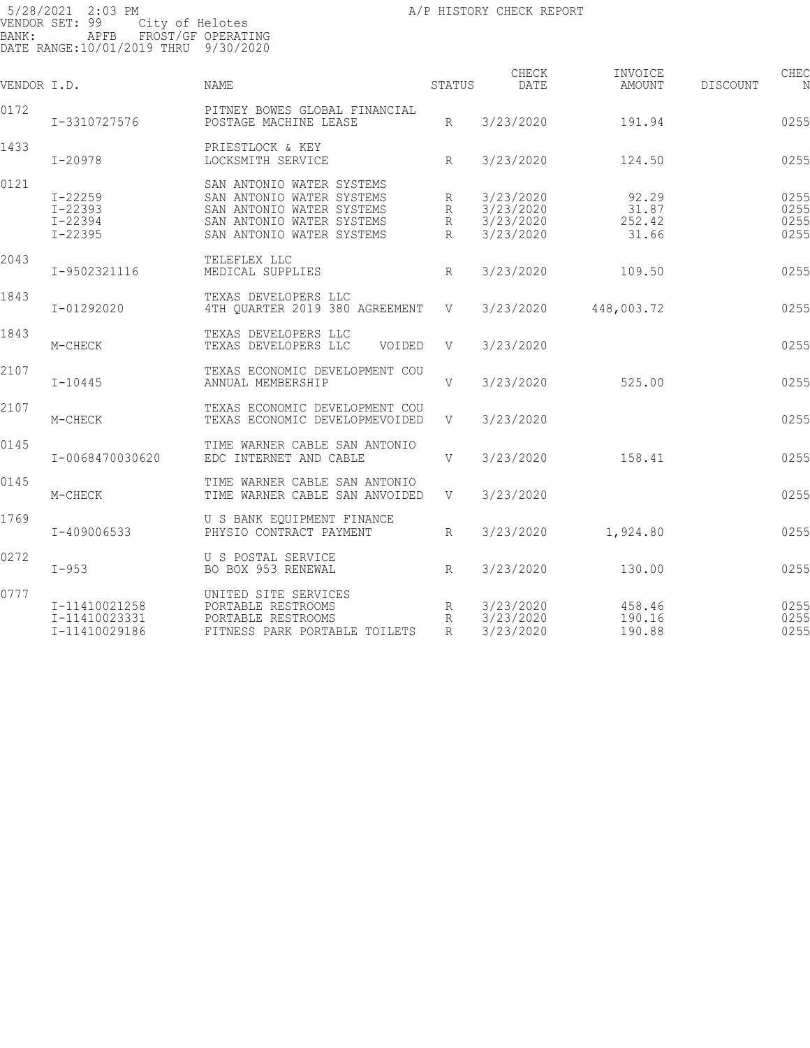| VENDOR I.D. |                                                          | <b>NAME</b>                                                                                                                                   | STATUS           | CHECK<br>DATE                                    | INVOICE<br>AMOUNT                 | DISCOUNT | CHEC<br>N                    |
|-------------|----------------------------------------------------------|-----------------------------------------------------------------------------------------------------------------------------------------------|------------------|--------------------------------------------------|-----------------------------------|----------|------------------------------|
| 0172        | I-3310727576                                             | PITNEY BOWES GLOBAL FINANCIAL<br>POSTAGE MACHINE LEASE                                                                                        | $R_{\parallel}$  | 3/23/2020                                        | 191.94                            |          | 0255                         |
| 1433        | $I-20978$                                                | PRIESTLOCK & KEY<br>LOCKSMITH SERVICE                                                                                                         | $R_{\parallel}$  | 3/23/2020                                        | 124.50                            |          | 0255                         |
| 0121        | $I - 22259$<br>$I - 22393$<br>$I - 22394$<br>$I - 22395$ | SAN ANTONIO WATER SYSTEMS<br>SAN ANTONIO WATER SYSTEMS<br>SAN ANTONIO WATER SYSTEMS<br>SAN ANTONIO WATER SYSTEMS<br>SAN ANTONIO WATER SYSTEMS | R<br>R<br>R<br>R | 3/23/2020<br>3/23/2020<br>3/23/2020<br>3/23/2020 | 92.29<br>31.87<br>252.42<br>31.66 |          | 0255<br>0255<br>0255<br>0255 |
| 2043        | I-9502321116                                             | TELEFLEX LLC<br>MEDICAL SUPPLIES                                                                                                              | R                | 3/23/2020                                        | 109.50                            |          | 0255                         |
| 1843        | I-01292020                                               | TEXAS DEVELOPERS LLC<br>4TH QUARTER 2019 380 AGREEMENT                                                                                        | V                | 3/23/2020                                        | 448,003.72                        |          | 0255                         |
| 1843        | M-CHECK                                                  | TEXAS DEVELOPERS LLC<br>TEXAS DEVELOPERS LLC<br>VOIDED                                                                                        | V                | 3/23/2020                                        |                                   |          | 0255                         |
| 2107        | $I - 10445$                                              | TEXAS ECONOMIC DEVELOPMENT COU<br>ANNUAL MEMBERSHIP                                                                                           | V                | 3/23/2020                                        | 525.00                            |          | 0255                         |
| 2107        | M-CHECK                                                  | TEXAS ECONOMIC DEVELOPMENT COU<br>TEXAS ECONOMIC DEVELOPMEVOIDED                                                                              | V                | 3/23/2020                                        |                                   |          | 0255                         |
| 0145        | I-0068470030620                                          | TIME WARNER CABLE SAN ANTONIO<br>EDC INTERNET AND CABLE                                                                                       | V                | 3/23/2020                                        | 158.41                            |          | 0255                         |
| 0145        | M-CHECK                                                  | TIME WARNER CABLE SAN ANTONIO<br>TIME WARNER CABLE SAN ANVOIDED                                                                               | V                | 3/23/2020                                        |                                   |          | 0255                         |
| 1769        | I-409006533                                              | U S BANK EQUIPMENT FINANCE<br>PHYSIO CONTRACT PAYMENT                                                                                         | $R_{\parallel}$  | 3/23/2020                                        | 1,924.80                          |          | 0255                         |
| 0272        | $I-953$                                                  | U S POSTAL SERVICE<br>BO BOX 953 RENEWAL                                                                                                      | R                | 3/23/2020                                        | 130.00                            |          | 0255                         |
| 0777        | I-11410021258<br>I-11410023331<br>I-11410029186          | UNITED SITE SERVICES<br>PORTABLE RESTROOMS<br>PORTABLE RESTROOMS<br>FITNESS PARK PORTABLE TOILETS                                             | R<br>R<br>R      | 3/23/2020<br>3/23/2020<br>3/23/2020              | 458.46<br>190.16<br>190.88        |          | 0255<br>0255<br>0255         |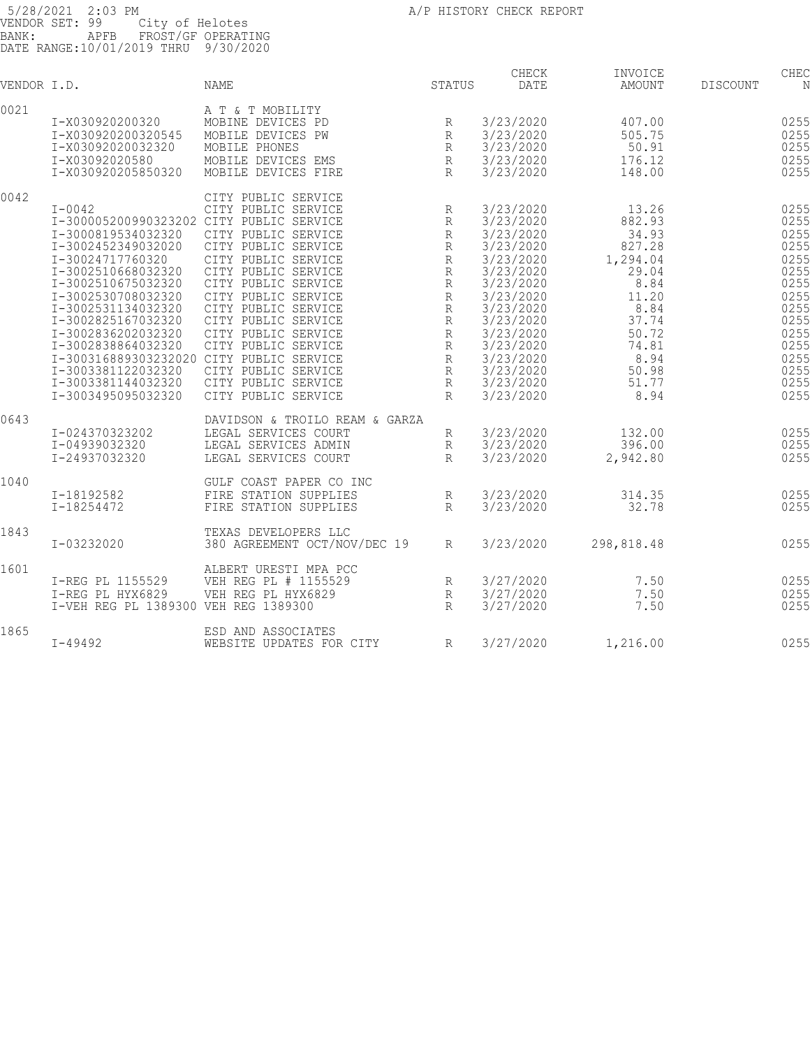| VENDOR I.D. |                                                                                                                                                                                                                                                                                                                                                                                                | <b>NAME</b>                                                                                                                                                                                                                                                                                                                                           | STATUS                                                                                                                                                             | CHECK<br>DATE                                                                                                                                                                                                | INVOICE<br>AMOUNT                                                                                                                             | DISCOUNT | CHEC<br>N                                                                                                                    |
|-------------|------------------------------------------------------------------------------------------------------------------------------------------------------------------------------------------------------------------------------------------------------------------------------------------------------------------------------------------------------------------------------------------------|-------------------------------------------------------------------------------------------------------------------------------------------------------------------------------------------------------------------------------------------------------------------------------------------------------------------------------------------------------|--------------------------------------------------------------------------------------------------------------------------------------------------------------------|--------------------------------------------------------------------------------------------------------------------------------------------------------------------------------------------------------------|-----------------------------------------------------------------------------------------------------------------------------------------------|----------|------------------------------------------------------------------------------------------------------------------------------|
| 0021        | I-X030920200320<br>I-X030920200320545<br>I-X03092020032320<br>I-X03092020580<br>I-X030920205850320                                                                                                                                                                                                                                                                                             | A T & T MOBILITY<br>MOBINE DEVICES PD<br>MOBILE DEVICES PW<br>MOBILE PHONES<br>MOBILE DEVICES EMS<br>MOBILE DEVICES FIRE                                                                                                                                                                                                                              | R<br>R<br>R<br>$\mathbb{R}$<br>$\mathbb{R}$                                                                                                                        | 3/23/2020<br>3/23/2020<br>3/23/2020<br>3/23/2020<br>3/23/2020                                                                                                                                                | 407.00<br>505.75<br>50.91<br>176.12<br>148.00                                                                                                 |          | 0255<br>0255<br>0255<br>0255<br>0255                                                                                         |
| 0042        | $I - 0042$<br>I-300005200990323202 CITY PUBLIC SERVICE<br>I-3000819534032320<br>I-3002452349032020<br>I-30024717760320<br>I-3002510668032320<br>I-3002510675032320<br>I-3002530708032320<br>I-3002531134032320<br>I-3002825167032320<br>I-3002836202032320<br>I-3002838864032320<br>I-300316889303232020 CITY PUBLIC SERVICE<br>I-3003381122032320<br>I-3003381144032320<br>I-3003495095032320 | CITY PUBLIC SERVICE<br>CITY PUBLIC SERVICE<br>CITY PUBLIC SERVICE<br>CITY PUBLIC SERVICE<br>CITY PUBLIC SERVICE<br>CITY PUBLIC SERVICE<br>CITY PUBLIC SERVICE<br>CITY PUBLIC SERVICE<br>CITY PUBLIC SERVICE<br>CITY PUBLIC SERVICE<br>CITY PUBLIC SERVICE<br>CITY PUBLIC SERVICE<br>CITY PUBLIC SERVICE<br>CITY PUBLIC SERVICE<br>CITY PUBLIC SERVICE | R<br>$\mathbb{R}$<br>$\mathbb R$<br>R<br>$\mathbb R$<br>R<br>R<br>$\mathbb{R}$<br>R<br>R<br>$\mathbb{R}$<br>$\mathbb{R}$<br>$\mathbb{R}$<br>R<br>R<br>$\mathbb{R}$ | 3/23/2020<br>3/23/2020<br>3/23/2020<br>3/23/2020<br>3/23/2020<br>3/23/2020<br>3/23/2020<br>3/23/2020<br>3/23/2020<br>3/23/2020<br>3/23/2020<br>3/23/2020<br>3/23/2020<br>3/23/2020<br>3/23/2020<br>3/23/2020 | 13.26<br>882.93<br>34.93<br>827.28<br>1,294.04<br>29.04<br>8.84<br>11.20<br>8.84<br>37.74<br>50.72<br>74.81<br>8.94<br>50.98<br>51.77<br>8.94 |          | 0255<br>0255<br>0255<br>0255<br>0255<br>0255<br>0255<br>0255<br>0255<br>0255<br>0255<br>0255<br>0255<br>0255<br>0255<br>0255 |
| 0643        | I-024370323202<br>I-04939032320<br>I-24937032320                                                                                                                                                                                                                                                                                                                                               | DAVIDSON & TROILO REAM & GARZA<br>LEGAL SERVICES COURT<br>LEGAL SERVICES ADMIN<br>LEGAL SERVICES COURT                                                                                                                                                                                                                                                | R<br>R<br>$\mathbb{R}$                                                                                                                                             | 3/23/2020<br>3/23/2020<br>3/23/2020                                                                                                                                                                          | 132.00<br>396.00<br>2,942.80                                                                                                                  |          | 0255<br>0255<br>0255                                                                                                         |
| 1040        | I-18192582<br>I-18254472                                                                                                                                                                                                                                                                                                                                                                       | GULF COAST PAPER CO INC<br>FIRE STATION SUPPLIES<br>FIRE STATION SUPPLIES                                                                                                                                                                                                                                                                             | R<br>R                                                                                                                                                             | 3/23/2020<br>3/23/2020                                                                                                                                                                                       | 314.35<br>32.78                                                                                                                               |          | 0255<br>0255                                                                                                                 |
| 1843        | I-03232020                                                                                                                                                                                                                                                                                                                                                                                     | TEXAS DEVELOPERS LLC<br>380 AGREEMENT OCT/NOV/DEC 19                                                                                                                                                                                                                                                                                                  | R                                                                                                                                                                  | 3/23/2020                                                                                                                                                                                                    | 298,818.48                                                                                                                                    |          | 0255                                                                                                                         |
| 1601        | I-REG PL 1155529<br>I-REG PL HYX6829<br>I-VEH REG PL 1389300 VEH REG 1389300                                                                                                                                                                                                                                                                                                                   | ALBERT URESTI MPA PCC<br>VEH REG PL # 1155529<br>VEH REG PL HYX6829                                                                                                                                                                                                                                                                                   | R<br>$\mathbb R$<br>$\mathbb{R}$                                                                                                                                   | 3/27/2020<br>3/27/2020<br>3/27/2020                                                                                                                                                                          | 7.50<br>7.50<br>7.50                                                                                                                          |          | 0255<br>0255<br>0255                                                                                                         |
| 1865        | $I - 49492$                                                                                                                                                                                                                                                                                                                                                                                    | ESD AND ASSOCIATES<br>WEBSITE UPDATES FOR CITY                                                                                                                                                                                                                                                                                                        | R                                                                                                                                                                  | 3/27/2020                                                                                                                                                                                                    | 1,216.00                                                                                                                                      |          | 0255                                                                                                                         |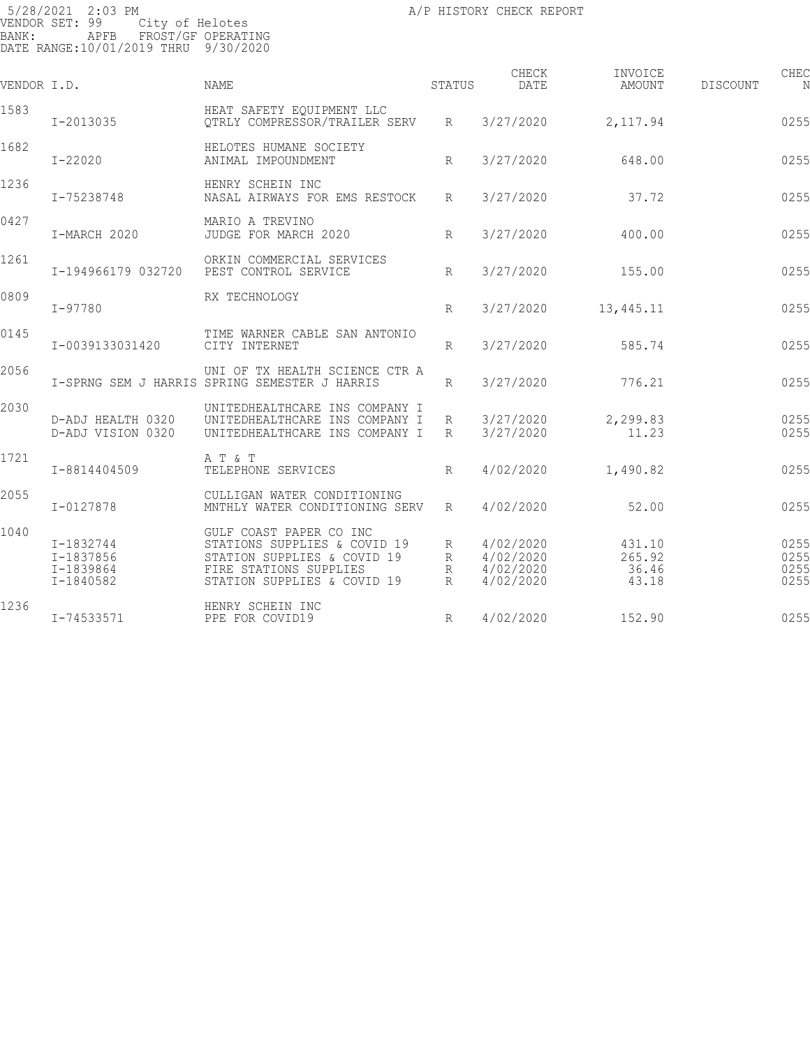| VENDOR I.D. |                                                  | <b>NAME</b>                                                                                                                                     | STATUS           | CHECK<br><b>DATE</b>                             | INVOICE<br>AMOUNT                  | DISCOUNT | CHEC<br>N                    |
|-------------|--------------------------------------------------|-------------------------------------------------------------------------------------------------------------------------------------------------|------------------|--------------------------------------------------|------------------------------------|----------|------------------------------|
| 1583        | I-2013035                                        | HEAT SAFETY EQUIPMENT LLC<br>OTRLY COMPRESSOR/TRAILER SERV                                                                                      | R                | 3/27/2020                                        | 2,117.94                           |          | 0255                         |
| 1682        | $I - 22020$                                      | HELOTES HUMANE SOCIETY<br>ANIMAL IMPOUNDMENT                                                                                                    | $R_{\rm}$        | 3/27/2020                                        | 648.00                             |          | 0255                         |
| 1236        | I-75238748                                       | HENRY SCHEIN INC<br>NASAL AIRWAYS FOR EMS RESTOCK                                                                                               | $R_{\parallel}$  | 3/27/2020                                        | 37.72                              |          | 0255                         |
| 0427        | I-MARCH 2020                                     | MARIO A TREVINO<br>JUDGE FOR MARCH 2020                                                                                                         | R                | 3/27/2020                                        | 400.00                             |          | 0255                         |
| 1261        | I-194966179 032720                               | ORKIN COMMERCIAL SERVICES<br>PEST CONTROL SERVICE                                                                                               | R                | 3/27/2020                                        | 155.00                             |          | 0255                         |
| 0809        | I-97780                                          | RX TECHNOLOGY                                                                                                                                   | R                | 3/27/2020                                        | 13,445.11                          |          | 0255                         |
| 0145        | I-0039133031420                                  | TIME WARNER CABLE SAN ANTONIO<br>CITY INTERNET                                                                                                  | R                | 3/27/2020                                        | 585.74                             |          | 0255                         |
| 2056        |                                                  | UNI OF TX HEALTH SCIENCE CTR A<br>I-SPRNG SEM J HARRIS SPRING SEMESTER J HARRIS                                                                 | R                | 3/27/2020                                        | 776.21                             |          | 0255                         |
| 2030        | D-ADJ HEALTH 0320<br>D-ADJ VISION 0320           | UNITEDHEALTHCARE INS COMPANY I<br>UNITEDHEALTHCARE INS COMPANY I<br>UNITEDHEALTHCARE INS COMPANY I                                              | R<br>R           | 3/27/2020<br>3/27/2020                           | 2,299.83<br>11.23                  |          | 0255<br>0255                 |
| 1721        | I-8814404509                                     | A T & T<br>TELEPHONE SERVICES                                                                                                                   | R                | 4/02/2020                                        | 1,490.82                           |          | 0255                         |
| 2055        | I-0127878                                        | CULLIGAN WATER CONDITIONING<br>MNTHLY WATER CONDITIONING SERV                                                                                   | R                | 4/02/2020                                        | 52.00                              |          | 0255                         |
| 1040        | I-1832744<br>I-1837856<br>I-1839864<br>I-1840582 | GULF COAST PAPER CO INC<br>STATIONS SUPPLIES & COVID 19<br>STATION SUPPLIES & COVID 19<br>FIRE STATIONS SUPPLIES<br>STATION SUPPLIES & COVID 19 | R<br>R<br>R<br>R | 4/02/2020<br>4/02/2020<br>4/02/2020<br>4/02/2020 | 431.10<br>265.92<br>36.46<br>43.18 |          | 0255<br>0255<br>0255<br>0255 |
| 1236        | I-74533571                                       | HENRY SCHEIN INC<br>PPE FOR COVID19                                                                                                             | R                | 4/02/2020                                        | 152.90                             |          | 0255                         |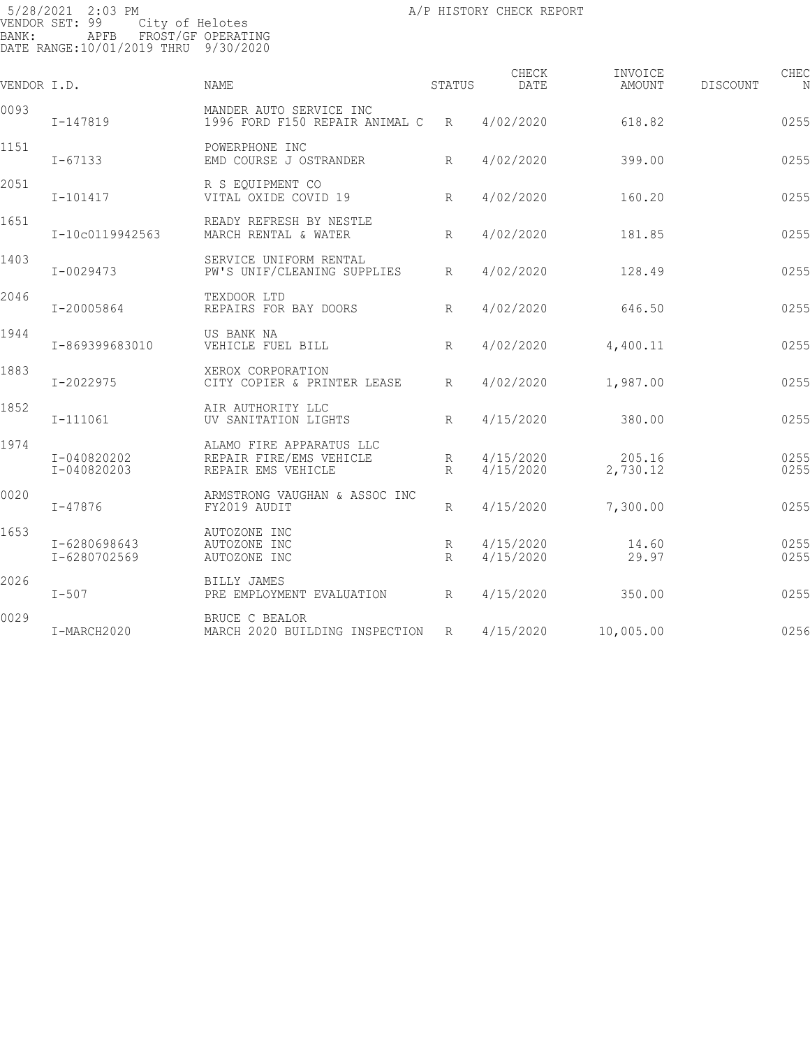5/28/2021 2:03 PM VENDOR SET: 99 City of Helotes BANK: APFB FROST/GF OPERATING DATE RANGE:10/01/2019 THRU 9/30/2020

| VENDOR I.D. |                              | <b>NAME</b>                                                               | <b>STATUS</b>        | CHECK<br>DATE          | INVOICE<br>AMOUNT  | CHEC<br>DISCOUNT<br>N |
|-------------|------------------------------|---------------------------------------------------------------------------|----------------------|------------------------|--------------------|-----------------------|
| 0093        | I-147819                     | MANDER AUTO SERVICE INC<br>1996 FORD F150 REPAIR ANIMAL C                 | R                    | 4/02/2020              | 618.82             | 0255                  |
| 1151        | $I - 67133$                  | POWERPHONE INC<br>EMD COURSE J OSTRANDER                                  | R                    | 4/02/2020              | 399.00             | 0255                  |
| 2051        | I-101417                     | R S EQUIPMENT CO<br>VITAL OXIDE COVID 19                                  | R                    | 4/02/2020              | 160.20             | 0255                  |
| 1651        | I-10c0119942563              | READY REFRESH BY NESTLE<br>MARCH RENTAL & WATER                           | R                    | 4/02/2020              | 181.85             | 0255                  |
| 1403        | I-0029473                    | SERVICE UNIFORM RENTAL<br>PW'S UNIF/CLEANING SUPPLIES                     | $R_{\parallel}$      | 4/02/2020              | 128.49             | 0255                  |
| 2046        | I-20005864                   | TEXDOOR LTD<br>REPAIRS FOR BAY DOORS                                      | R                    | 4/02/2020              | 646.50             | 0255                  |
| 1944        | I-869399683010               | US BANK NA<br>VEHICLE FUEL BILL                                           | R                    | 4/02/2020              | 4,400.11           | 0255                  |
| 1883        | I-2022975                    | XEROX CORPORATION<br>CITY COPIER & PRINTER LEASE                          | R                    | 4/02/2020              | 1,987.00           | 0255                  |
| 1852        | I-111061                     | AIR AUTHORITY LLC<br>UV SANITATION LIGHTS                                 | R                    | 4/15/2020              | 380.00             | 0255                  |
| 1974        | I-040820202<br>I-040820203   | ALAMO FIRE APPARATUS LLC<br>REPAIR FIRE/EMS VEHICLE<br>REPAIR EMS VEHICLE | R<br>R               | 4/15/2020<br>4/15/2020 | 205.16<br>2,730.12 | 0255<br>0255          |
| 0020        | $I - 47876$                  | ARMSTRONG VAUGHAN & ASSOC INC<br>FY2019 AUDIT                             | R                    | 4/15/2020              | 7,300.00           | 0255                  |
| 1653        | I-6280698643<br>I-6280702569 | AUTOZONE INC<br>AUTOZONE INC<br>AUTOZONE INC                              | R<br>$R_{\parallel}$ | 4/15/2020<br>4/15/2020 | 14.60<br>29.97     | 0255<br>0255          |
| 2026        | $I-507$                      | BILLY JAMES<br>PRE EMPLOYMENT EVALUATION                                  | $R_{\parallel}$      | 4/15/2020              | 350.00             | 0255                  |
| 0029        | I-MARCH2020                  | BRUCE C BEALOR<br>MARCH 2020 BUILDING INSPECTION                          | R                    | 4/15/2020              | 10,005.00          | 0256                  |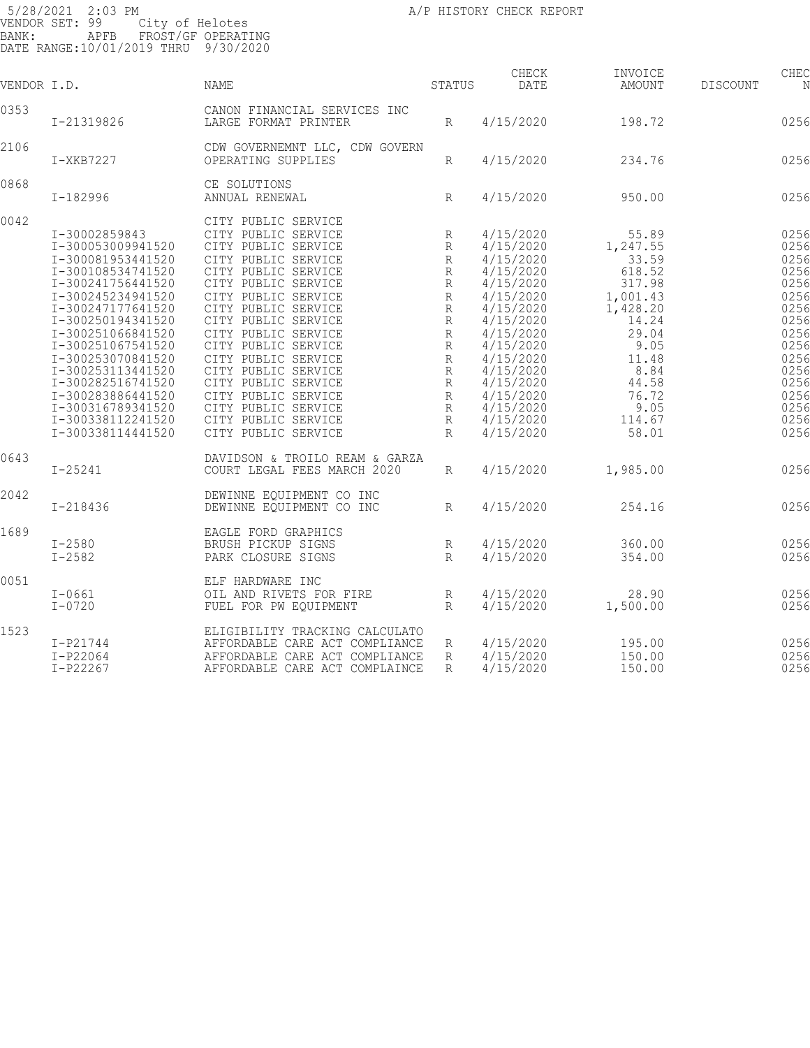| VENDOR I.D. |                                                                                                                                                                                                                                                                                                                                                               | NAME                                                                                                                                                                                                                                                                                                                                                                                                                       | STATUS                                                                                                                      | CHECK<br><b>DATE</b>                                                                                                                                                                                                      | INVOICE<br>AMOUNT                                                                                                                                              | <b>DISCOUNT</b> | CHEC<br>N                                                                                                                            |
|-------------|---------------------------------------------------------------------------------------------------------------------------------------------------------------------------------------------------------------------------------------------------------------------------------------------------------------------------------------------------------------|----------------------------------------------------------------------------------------------------------------------------------------------------------------------------------------------------------------------------------------------------------------------------------------------------------------------------------------------------------------------------------------------------------------------------|-----------------------------------------------------------------------------------------------------------------------------|---------------------------------------------------------------------------------------------------------------------------------------------------------------------------------------------------------------------------|----------------------------------------------------------------------------------------------------------------------------------------------------------------|-----------------|--------------------------------------------------------------------------------------------------------------------------------------|
| 0353        | I-21319826                                                                                                                                                                                                                                                                                                                                                    | CANON FINANCIAL SERVICES INC<br>LARGE FORMAT PRINTER                                                                                                                                                                                                                                                                                                                                                                       | R                                                                                                                           | 4/15/2020                                                                                                                                                                                                                 | 198.72                                                                                                                                                         |                 | 0256                                                                                                                                 |
| 2106        | $I-XKB7227$                                                                                                                                                                                                                                                                                                                                                   | CDW GOVERNEMNT LLC, CDW GOVERN<br>OPERATING SUPPLIES                                                                                                                                                                                                                                                                                                                                                                       | R                                                                                                                           | 4/15/2020                                                                                                                                                                                                                 | 234.76                                                                                                                                                         |                 | 0256                                                                                                                                 |
| 0868        | I-182996                                                                                                                                                                                                                                                                                                                                                      | CE SOLUTIONS<br>ANNUAL RENEWAL                                                                                                                                                                                                                                                                                                                                                                                             | R                                                                                                                           | 4/15/2020                                                                                                                                                                                                                 | 950.00                                                                                                                                                         |                 | 0256                                                                                                                                 |
| 0042        | I-30002859843<br>I-300053009941520<br>I-300081953441520<br>I-300108534741520<br>I-300241756441520<br>I-300245234941520<br>I-300247177641520<br>I-300250194341520<br>I-300251066841520<br>I-300251067541520<br>I-300253070841520<br>I-300253113441520<br>I-300282516741520<br>I-300283886441520<br>I-300316789341520<br>I-300338112241520<br>I-300338114441520 | CITY PUBLIC SERVICE<br>CITY PUBLIC SERVICE<br>CITY PUBLIC SERVICE<br>CITY PUBLIC SERVICE<br>CITY PUBLIC SERVICE<br>CITY PUBLIC SERVICE<br>CITY PUBLIC SERVICE<br>CITY PUBLIC SERVICE<br>CITY PUBLIC SERVICE<br>CITY PUBLIC SERVICE<br>CITY PUBLIC SERVICE<br>CITY PUBLIC SERVICE<br>CITY PUBLIC SERVICE<br>CITY PUBLIC SERVICE<br>CITY PUBLIC SERVICE<br>CITY PUBLIC SERVICE<br>CITY PUBLIC SERVICE<br>CITY PUBLIC SERVICE | R<br>R<br>R<br>R<br>R<br>$\mathbb R$<br>R<br>R<br>$\mathbb R$<br>R<br>R<br>$\mathbb{R}$<br>R<br>R<br>R<br>R<br>$\mathbb{R}$ | 4/15/2020<br>4/15/2020<br>4/15/2020<br>4/15/2020<br>4/15/2020<br>4/15/2020<br>4/15/2020<br>4/15/2020<br>4/15/2020<br>4/15/2020<br>4/15/2020<br>4/15/2020<br>4/15/2020<br>4/15/2020<br>4/15/2020<br>4/15/2020<br>4/15/2020 | 55.89<br>1,247.55<br>33.59<br>618.52<br>317.98<br>1,001.43<br>1,428.20<br>14.24<br>29.04<br>9.05<br>11.48<br>8.84<br>44.58<br>76.72<br>9.05<br>114.67<br>58.01 |                 | 0256<br>0256<br>0256<br>0256<br>0256<br>0256<br>0256<br>0256<br>0256<br>0256<br>0256<br>0256<br>0256<br>0256<br>0256<br>0256<br>0256 |
| 0643        | $I - 25241$                                                                                                                                                                                                                                                                                                                                                   | DAVIDSON & TROILO REAM & GARZA<br>COURT LEGAL FEES MARCH 2020                                                                                                                                                                                                                                                                                                                                                              | R                                                                                                                           | 4/15/2020                                                                                                                                                                                                                 | 1,985.00                                                                                                                                                       |                 | 0256                                                                                                                                 |
| 2042        | $I - 218436$                                                                                                                                                                                                                                                                                                                                                  | DEWINNE EQUIPMENT CO INC<br>DEWINNE EQUIPMENT CO INC                                                                                                                                                                                                                                                                                                                                                                       | R                                                                                                                           | 4/15/2020                                                                                                                                                                                                                 | 254.16                                                                                                                                                         |                 | 0256                                                                                                                                 |
| 1689        | $I - 2580$<br>$I - 2582$                                                                                                                                                                                                                                                                                                                                      | EAGLE FORD GRAPHICS<br>BRUSH PICKUP SIGNS<br>PARK CLOSURE SIGNS                                                                                                                                                                                                                                                                                                                                                            | R<br>R                                                                                                                      | 4/15/2020<br>4/15/2020                                                                                                                                                                                                    | 360.00<br>354.00                                                                                                                                               |                 | 0256<br>0256                                                                                                                         |
| 0051        | $I-0661$<br>$I - 0720$                                                                                                                                                                                                                                                                                                                                        | ELF HARDWARE INC<br>OIL AND RIVETS FOR FIRE<br>FUEL FOR PW EQUIPMENT                                                                                                                                                                                                                                                                                                                                                       | R<br>R                                                                                                                      | 4/15/2020<br>4/15/2020                                                                                                                                                                                                    | 28.90<br>1,500.00                                                                                                                                              |                 | 0256<br>0256                                                                                                                         |
| 1523        | $I-P21744$<br>$I-P22064$<br>$I-P22267$                                                                                                                                                                                                                                                                                                                        | ELIGIBILITY TRACKING CALCULATO<br>AFFORDABLE CARE ACT COMPLIANCE<br>AFFORDABLE CARE ACT COMPLIANCE<br>AFFORDABLE CARE ACT COMPLAINCE                                                                                                                                                                                                                                                                                       | R<br>R<br>$\mathbb{R}$                                                                                                      | 4/15/2020<br>4/15/2020<br>4/15/2020                                                                                                                                                                                       | 195.00<br>150.00<br>150.00                                                                                                                                     |                 | 0256<br>0256<br>0256                                                                                                                 |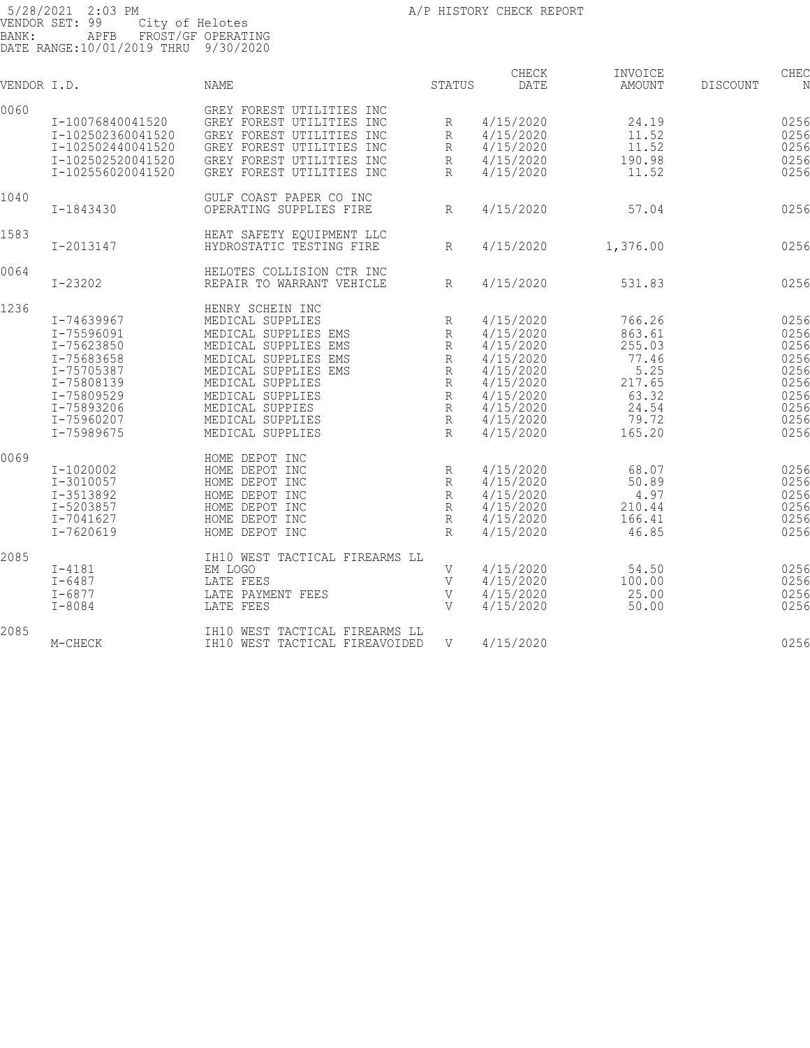| VENDOR I.D. |                                                                                                                                          | <b>NAME</b>                                                                                                                                                                                                                             | STATUS                                                                                              | CHECK<br>DATE                                                                                                                  | INVOICE<br>AMOUNT                                                                          | <b>DISCOUNT</b> | CHEC<br>N                                                                    |
|-------------|------------------------------------------------------------------------------------------------------------------------------------------|-----------------------------------------------------------------------------------------------------------------------------------------------------------------------------------------------------------------------------------------|-----------------------------------------------------------------------------------------------------|--------------------------------------------------------------------------------------------------------------------------------|--------------------------------------------------------------------------------------------|-----------------|------------------------------------------------------------------------------|
| 0060        | I-10076840041520<br>I-102502360041520<br>I-102502440041520<br>I-102502520041520<br>I-102556020041520                                     | GREY FOREST UTILITIES INC<br>GREY FOREST UTILITIES INC<br>GREY FOREST UTILITIES INC<br>GREY FOREST UTILITIES INC<br>GREY FOREST UTILITIES INC<br>GREY FOREST UTILITIES INC                                                              | R<br>R<br>R<br>$\mathbb R$<br>$\mathbb{R}$                                                          | 4/15/2020<br>4/15/2020<br>4/15/2020<br>4/15/2020<br>4/15/2020                                                                  | 24.19<br>11.52<br>11.52<br>190.98<br>11.52                                                 |                 | 0256<br>0256<br>0256<br>0256<br>0256                                         |
| 1040        | I-1843430                                                                                                                                | GULF COAST PAPER CO INC<br>OPERATING SUPPLIES FIRE                                                                                                                                                                                      | R                                                                                                   | 4/15/2020                                                                                                                      | 57.04                                                                                      |                 | 0256                                                                         |
| 1583        | I-2013147                                                                                                                                | HEAT SAFETY EQUIPMENT LLC<br>HYDROSTATIC TESTING FIRE                                                                                                                                                                                   | R                                                                                                   | 4/15/2020                                                                                                                      | 1,376.00                                                                                   |                 | 0256                                                                         |
| 0064        | $I - 23202$                                                                                                                              | HELOTES COLLISION CTR INC<br>REPAIR TO WARRANT VEHICLE                                                                                                                                                                                  | R                                                                                                   | 4/15/2020                                                                                                                      | 531.83                                                                                     |                 | 0256                                                                         |
| 1236        | I-74639967<br>I-75596091<br>I-75623850<br>I-75683658<br>I-75705387<br>I-75808139<br>I-75809529<br>I-75893206<br>I-75960207<br>I-75989675 | HENRY SCHEIN INC<br>MEDICAL SUPPLIES<br>MEDICAL SUPPLIES EMS<br>MEDICAL SUPPLIES EMS<br>MEDICAL SUPPLIES EMS<br>MEDICAL SUPPLIES EMS<br>MEDICAL SUPPLIES<br>MEDICAL SUPPLIES<br>MEDICAL SUPPIES<br>MEDICAL SUPPLIES<br>MEDICAL SUPPLIES | R<br>$\mathbb{R}$<br>$\mathbb{R}$<br>$\mathbb R$<br>R<br>R<br>$\mathbb R$<br>R<br>R<br>$\mathbb{R}$ | 4/15/2020<br>4/15/2020<br>4/15/2020<br>4/15/2020<br>4/15/2020<br>4/15/2020<br>4/15/2020<br>4/15/2020<br>4/15/2020<br>4/15/2020 | 766.26<br>863.61<br>255.03<br>77.46<br>5.25<br>217.65<br>63.32<br>24.54<br>79.72<br>165.20 |                 | 0256<br>0256<br>0256<br>0256<br>0256<br>0256<br>0256<br>0256<br>0256<br>0256 |
| 0069        | I-1020002<br>I-3010057<br>$I-3513892$<br>I-5203857<br>I-7041627<br>$I - 7620619$                                                         | HOME DEPOT INC<br>HOME DEPOT INC<br>HOME DEPOT INC<br>HOME DEPOT INC<br>HOME DEPOT INC<br>HOME DEPOT INC<br>HOME DEPOT INC                                                                                                              | R<br>R<br>$\mathbb{R}$<br>R<br>R<br>$\mathbb{R}$                                                    | 4/15/2020<br>4/15/2020<br>4/15/2020<br>4/15/2020<br>4/15/2020<br>4/15/2020                                                     | 68.07<br>50.89<br>4.97<br>210.44<br>166.41<br>46.85                                        |                 | 0256<br>0256<br>0256<br>0256<br>0256<br>0256                                 |
| 2085        | $I - 4181$<br>$I - 6487$<br>$I - 6877$<br>$I - 8084$                                                                                     | IH10 WEST TACTICAL FIREARMS LL<br>EM LOGO<br>LATE FEES<br>LATE PAYMENT FEES<br>LATE FEES                                                                                                                                                | V<br>V<br>$\mathbf{V}$<br>V                                                                         | 4/15/2020<br>4/15/2020<br>4/15/2020<br>4/15/2020                                                                               | 54.50<br>100.00<br>25.00<br>50.00                                                          |                 | 0256<br>0256<br>0256<br>0256                                                 |
| 2085        | M-CHECK                                                                                                                                  | IH10 WEST TACTICAL FIREARMS LL<br>IH10 WEST TACTICAL FIREAVOIDED                                                                                                                                                                        | V                                                                                                   | 4/15/2020                                                                                                                      |                                                                                            |                 | 0256                                                                         |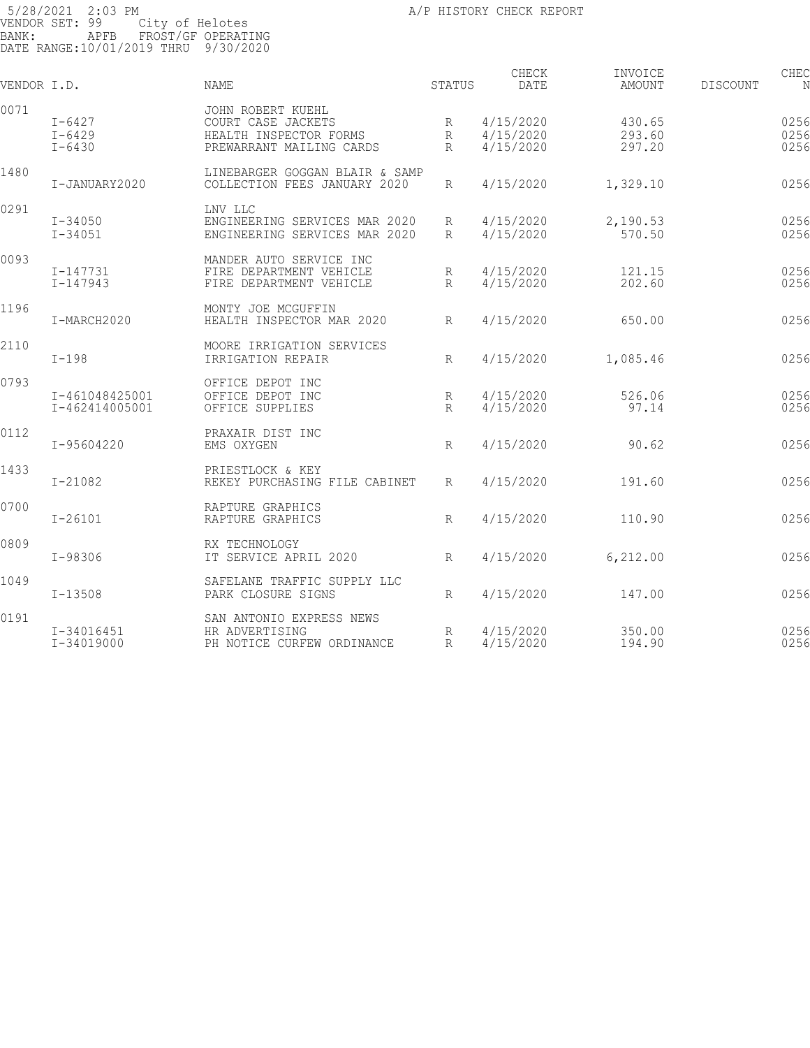| VENDOR I.D. |                                      | NAME                                                                                          | STATUS                 | CHECK<br><b>DATE</b>                | INVOICE<br>AMOUNT          | DISCOUNT | CHEC<br>N            |
|-------------|--------------------------------------|-----------------------------------------------------------------------------------------------|------------------------|-------------------------------------|----------------------------|----------|----------------------|
| 0071        | $I-6427$<br>$I - 6429$<br>$I - 6430$ | JOHN ROBERT KUEHL<br>COURT CASE JACKETS<br>HEALTH INSPECTOR FORMS<br>PREWARRANT MAILING CARDS | R<br>R<br>$\mathsf{R}$ | 4/15/2020<br>4/15/2020<br>4/15/2020 | 430.65<br>293.60<br>297.20 |          | 0256<br>0256<br>0256 |
| 1480        | I-JANUARY2020                        | LINEBARGER GOGGAN BLAIR & SAMP<br>COLLECTION FEES JANUARY 2020                                | R                      | 4/15/2020                           | 1,329.10                   |          | 0256                 |
| 0291        | $I - 34050$<br>$I - 34051$           | LNV LLC<br>ENGINEERING SERVICES MAR 2020<br>ENGINEERING SERVICES MAR 2020                     | R<br>R                 | 4/15/2020<br>4/15/2020              | 2,190.53<br>570.50         |          | 0256<br>0256         |
| 0093        | $I - 147731$<br>$I - 147943$         | MANDER AUTO SERVICE INC<br>FIRE DEPARTMENT VEHICLE<br>FIRE DEPARTMENT VEHICLE                 | R<br>R                 | 4/15/2020<br>4/15/2020              | 121.15<br>202.60           |          | 0256<br>0256         |
| 1196        | I-MARCH2020                          | MONTY JOE MCGUFFIN<br>HEALTH INSPECTOR MAR 2020                                               | R                      | 4/15/2020                           | 650.00                     |          | 0256                 |
| 2110        | $I-198$                              | MOORE IRRIGATION SERVICES<br>IRRIGATION REPAIR                                                | R                      | 4/15/2020                           | 1,085.46                   |          | 0256                 |
| 0793        | I-461048425001<br>I-462414005001     | OFFICE DEPOT INC<br>OFFICE DEPOT INC<br>OFFICE SUPPLIES                                       | R<br>R                 | 4/15/2020<br>4/15/2020              | 526.06<br>97.14            |          | 0256<br>0256         |
| 0112        | I-95604220                           | PRAXAIR DIST INC<br>EMS OXYGEN                                                                | R                      | 4/15/2020                           | 90.62                      |          | 0256                 |
| 1433        | $I - 21082$                          | PRIESTLOCK & KEY<br>REKEY PURCHASING FILE CABINET                                             | R                      | 4/15/2020                           | 191.60                     |          | 0256                 |
| 0700        | $I - 26101$                          | RAPTURE GRAPHICS<br>RAPTURE GRAPHICS                                                          | R                      | 4/15/2020                           | 110.90                     |          | 0256                 |
| 0809        | I-98306                              | RX TECHNOLOGY<br>IT SERVICE APRIL 2020                                                        | R                      | 4/15/2020                           | 6,212.00                   |          | 0256                 |
| 1049        | $I - 13508$                          | SAFELANE TRAFFIC SUPPLY LLC<br>PARK CLOSURE SIGNS                                             | R                      | 4/15/2020                           | 147.00                     |          | 0256                 |
| 0191        | I-34016451<br>I-34019000             | SAN ANTONIO EXPRESS NEWS<br>HR ADVERTISING<br>PH NOTICE CURFEW ORDINANCE                      | R<br>R                 | 4/15/2020<br>4/15/2020              | 350.00<br>194.90           |          | 0256<br>0256         |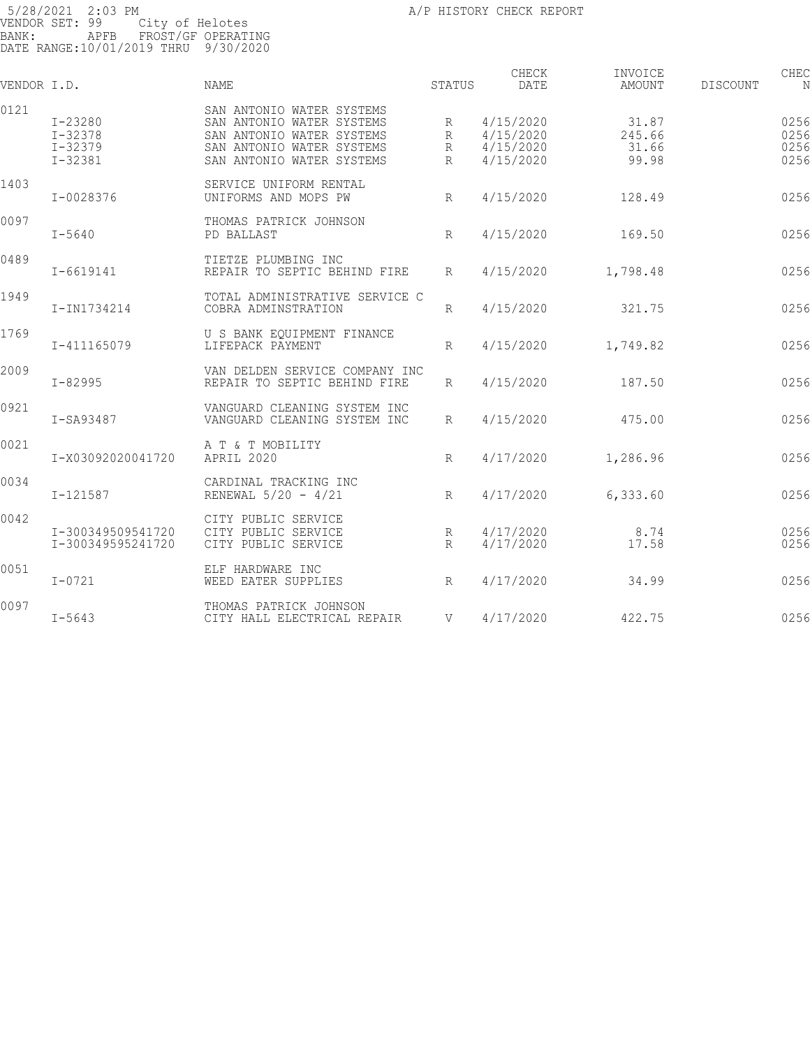| VENDOR I.D. |                                                      | <b>NAME</b>                                                                                                                                   | STATUS           | CHECK<br><b>DATE</b>                             | INVOICE<br>AMOUNT                 | DISCOUNT | CHEC<br>N                    |
|-------------|------------------------------------------------------|-----------------------------------------------------------------------------------------------------------------------------------------------|------------------|--------------------------------------------------|-----------------------------------|----------|------------------------------|
| 0121        | I-23280<br>$I - 32378$<br>$I - 32379$<br>$I - 32381$ | SAN ANTONIO WATER SYSTEMS<br>SAN ANTONIO WATER SYSTEMS<br>SAN ANTONIO WATER SYSTEMS<br>SAN ANTONIO WATER SYSTEMS<br>SAN ANTONIO WATER SYSTEMS | R<br>R<br>R<br>R | 4/15/2020<br>4/15/2020<br>4/15/2020<br>4/15/2020 | 31.87<br>245.66<br>31.66<br>99.98 |          | 0256<br>0256<br>0256<br>0256 |
| 1403        | I-0028376                                            | SERVICE UNIFORM RENTAL<br>UNIFORMS AND MOPS PW                                                                                                | $R_{\parallel}$  | 4/15/2020                                        | 128.49                            |          | 0256                         |
| 0097        | $I - 5640$                                           | THOMAS PATRICK JOHNSON<br>PD BALLAST                                                                                                          | $R_{\rm}$        | 4/15/2020                                        | 169.50                            |          | 0256                         |
| 0489        | $I - 6619141$                                        | TIETZE PLUMBING INC<br>REPAIR TO SEPTIC BEHIND FIRE                                                                                           | $\mathbb{R}$     | 4/15/2020                                        | 1,798.48                          |          | 0256                         |
| 1949        | I-IN1734214                                          | TOTAL ADMINISTRATIVE SERVICE C<br>COBRA ADMINSTRATION                                                                                         | R                | 4/15/2020                                        | 321.75                            |          | 0256                         |
| 1769        | I-411165079                                          | U S BANK EOUIPMENT FINANCE<br>LIFEPACK PAYMENT                                                                                                | R                | 4/15/2020                                        | 1,749.82                          |          | 0256                         |
| 2009        | I-82995                                              | VAN DELDEN SERVICE COMPANY INC<br>REPAIR TO SEPTIC BEHIND FIRE                                                                                | R                | 4/15/2020                                        | 187.50                            |          | 0256                         |
| 0921        | I-SA93487                                            | VANGUARD CLEANING SYSTEM INC<br>VANGUARD CLEANING SYSTEM INC                                                                                  | $\mathbb{R}$     | 4/15/2020                                        | 475.00                            |          | 0256                         |
| 0021        | I-X03092020041720                                    | A T & T MOBILITY<br>APRIL 2020                                                                                                                | R                | 4/17/2020                                        | 1,286.96                          |          | 0256                         |
| 0034        | $I - 121587$                                         | CARDINAL TRACKING INC<br>RENEWAL 5/20 - 4/21                                                                                                  | R                | 4/17/2020                                        | 6,333.60                          |          | 0256                         |
| 0042        | I-300349509541720<br>I-300349595241720               | CITY PUBLIC SERVICE<br>CITY PUBLIC SERVICE<br>CITY PUBLIC SERVICE                                                                             | R<br>R           | 4/17/2020<br>4/17/2020                           | 8.74<br>17.58                     |          | 0256<br>0256                 |
| 0051        | $I - 0721$                                           | ELF HARDWARE INC<br>WEED EATER SUPPLIES                                                                                                       | $R_{\parallel}$  | 4/17/2020                                        | 34.99                             |          | 0256                         |
| 0097        | $I - 5643$                                           | THOMAS PATRICK JOHNSON<br>CITY HALL ELECTRICAL REPAIR                                                                                         | $\mathbf{V}$     | 4/17/2020                                        | 422.75                            |          | 0256                         |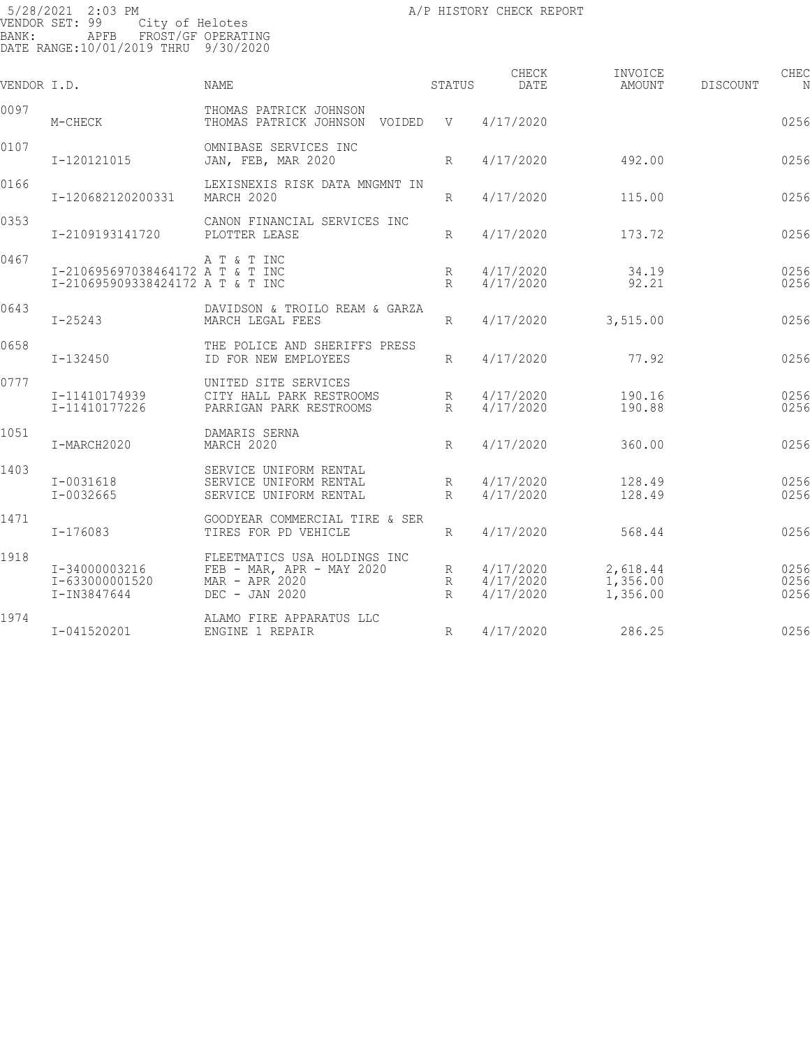| VENDOR I.D. |                                                                      | NAME                                                                                            | STATUS                                            | CHECK<br>DATE                       | INVOICE<br>AMOUNT                | DISCOUNT | CHEC<br>N            |
|-------------|----------------------------------------------------------------------|-------------------------------------------------------------------------------------------------|---------------------------------------------------|-------------------------------------|----------------------------------|----------|----------------------|
| 0097        | M-CHECK                                                              | THOMAS PATRICK JOHNSON<br>THOMAS PATRICK JOHNSON VOIDED V                                       |                                                   | 4/17/2020                           |                                  |          | 0256                 |
| 0107        | I-120121015                                                          | OMNIBASE SERVICES INC<br>JAN, FEB, MAR 2020                                                     | $R_{\parallel}$                                   | 4/17/2020                           | 492.00                           |          | 0256                 |
| 0166        | I-120682120200331                                                    | LEXISNEXIS RISK DATA MNGMNT IN<br>MARCH 2020                                                    | $R_{\parallel}$                                   | 4/17/2020                           | 115.00                           |          | 0256                 |
| 0353        | I-2109193141720                                                      | CANON FINANCIAL SERVICES INC<br>PLOTTER LEASE                                                   | $R_{\parallel}$                                   | 4/17/2020                           | 173.72                           |          | 0256                 |
| 0467        | I-210695697038464172 A T & T INC<br>I-210695909338424172 A T & T INC | A T & T INC                                                                                     | R<br>$R_{\parallel}$                              | 4/17/2020<br>4/17/2020              | 34.19<br>92.21                   |          | 0256<br>0256         |
| 0643        | $I - 25243$                                                          | DAVIDSON & TROILO REAM & GARZA<br>MARCH LEGAL FEES                                              | R                                                 | 4/17/2020                           | 3,515.00                         |          | 0256                 |
| 0658        | I-132450                                                             | THE POLICE AND SHERIFFS PRESS<br>ID FOR NEW EMPLOYEES                                           | R                                                 | 4/17/2020                           | 77.92                            |          | 0256                 |
| 0777        | I-11410174939<br>I-11410177226                                       | UNITED SITE SERVICES<br>CITY HALL PARK RESTROOMS<br>PARRIGAN PARK RESTROOMS                     | R<br>$R_{\parallel}$                              | 4/17/2020<br>4/17/2020              | 190.16<br>190.88                 |          | 0256<br>0256         |
| 1051        | I-MARCH2020                                                          | DAMARIS SERNA<br>MARCH 2020                                                                     | $R_{\odot}$                                       | 4/17/2020                           | 360.00                           |          | 0256                 |
| 1403        | I-0031618<br>$I - 0032665$                                           | SERVICE UNIFORM RENTAL<br>SERVICE UNIFORM RENTAL<br>SERVICE UNIFORM RENTAL                      | R<br>$R_{\parallel}$                              | 4/17/2020<br>4/17/2020              | 128.49<br>128.49                 |          | 0256<br>0256         |
| 1471        | I-176083                                                             | GOODYEAR COMMERCIAL TIRE & SER<br>TIRES FOR PD VEHICLE                                          | $R_{\parallel}$                                   | 4/17/2020                           | 568.44                           |          | 0256                 |
| 1918        | I-34000003216<br>I-633000001520<br>I-IN3847644                       | FLEETMATICS USA HOLDINGS INC<br>$FEB - MAR, APR - MAY 2020$<br>MAR - APR 2020<br>DEC - JAN 2020 | $R_{\parallel}$<br>$R_{\odot}$<br>$R_{\parallel}$ | 4/17/2020<br>4/17/2020<br>4/17/2020 | 2,618.44<br>1,356.00<br>1,356.00 |          | 0256<br>0256<br>0256 |
| 1974        | I-041520201                                                          | ALAMO FIRE APPARATUS LLC<br>ENGINE 1 REPAIR                                                     | R                                                 | 4/17/2020                           | 286.25                           |          | 0256                 |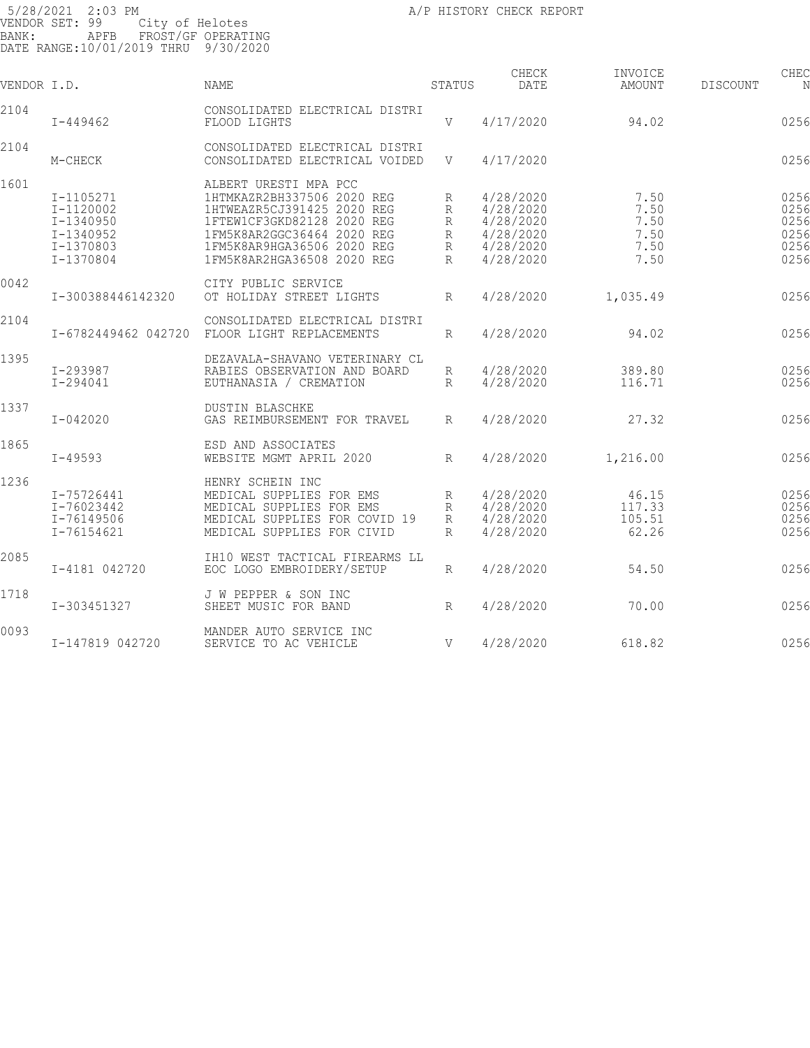5/28/2021 2:03 PM **All Properties Contained A**/P HISTORY CHECK REPORT VENDOR SET: 99 City of Helotes BANK: APFB FROST/GF OPERATING DATE RANGE:10/01/2019 THRU 9/30/2020 CHECK INVOICE CHECK CHECK CHECK VENDOR I.D. NAME STATUS DATE AMOUNT DISCOUNT NO STATUS AMOUNT 2104 CONSOLIDATED ELECTRICAL DISTRI I-449462 FLOOD LIGHTS V 4/17/2020 94.02 025657 94.02 2104 CONSOLIDATED ELECTRICAL DISTRI CONSOLIDATED ELECTRICAL VOIDED V 4/17/2020 0256 1601 ALBERT URESTI MPA PCC<br>1-1105271 1HTMKAZR2BH337506 202 I-1105271 1HTMKAZR2BH337506 2020 REG R 4/28/2020 7.50 025658 I-1120002 1HTWEAZR5CJ391425 2020 REG R 4/28/2020 7.50 025658 I-1340950 1FTEW1CF3GKD82128 2020 REG R 4/28/2020 7.50 025658 I-1340952 1FM5K8AR2GGC36464 2020 REG R 4/28/2020 7.50 025658 I-1370803 1FM5K8AR9HGA36506 2020 REG R 4/28/2020 7.50 025658 I-1370804 1FM5K8AR2HGA36508 2020 REG R 4/28/2020 7.50 0256 0042 CITY PUBLIC SERVICE<br>I-300388446142320 OT HOLIDAY STREET LI OT HOLIDAY STREET LIGHTS R  $4/28/2020$  1,035.49 0256 2104 CONSOLIDATED ELECTRICAL DISTRI I-6782449462 042720 FLOOR LIGHT REPLACEMENTS R 4/28/2020 94.02 025660 94.02 1395 DEZAVALA-SHAVANO VETERINARY CL I-293987 RABIES OBSERVATION AND BOARD R 4/28/2020 389.80 025661 EUTHANASIA / CREMATION 1337 DUSTIN BLASCHKE GAS REIMBURSEMENT FOR TRAVEL R 4/28/2020 27.32 0256 1865 ESD AND ASSOCIATES WEBSITE MGMT APRIL 2020 R 4/28/2020 1,216.00 0256 1236 HENRY SCHEIN INC I-75726441 MEDICAL SUPPLIES FOR EMS R 4/28/2020 46.15 025664 I-76023442 MEDICAL SUPPLIES FOR EMS R 4/28/2020 117.33 025664 I-76149506 MEDICAL SUPPLIES FOR COVID 19 R 4/28/2020 105.51 025664 I-76154621 MEDICAL SUPPLIES FOR CIVID R 4/28/2020 62.26 0256 2085 IH10 WEST TACTICAL FIREARMS LL EOC LOGO EMBROIDERY/SETUP R 4/28/2020 54.50 54.50 0256 1718 J W PEPPER & SON INC SHEET MUSIC FOR BAND R 4/28/2020 70.00 0256

SERVICE TO AC VEHICLE  $V = 4/28/2020$  618.82 0256

0093 MANDER AUTO SERVICE INC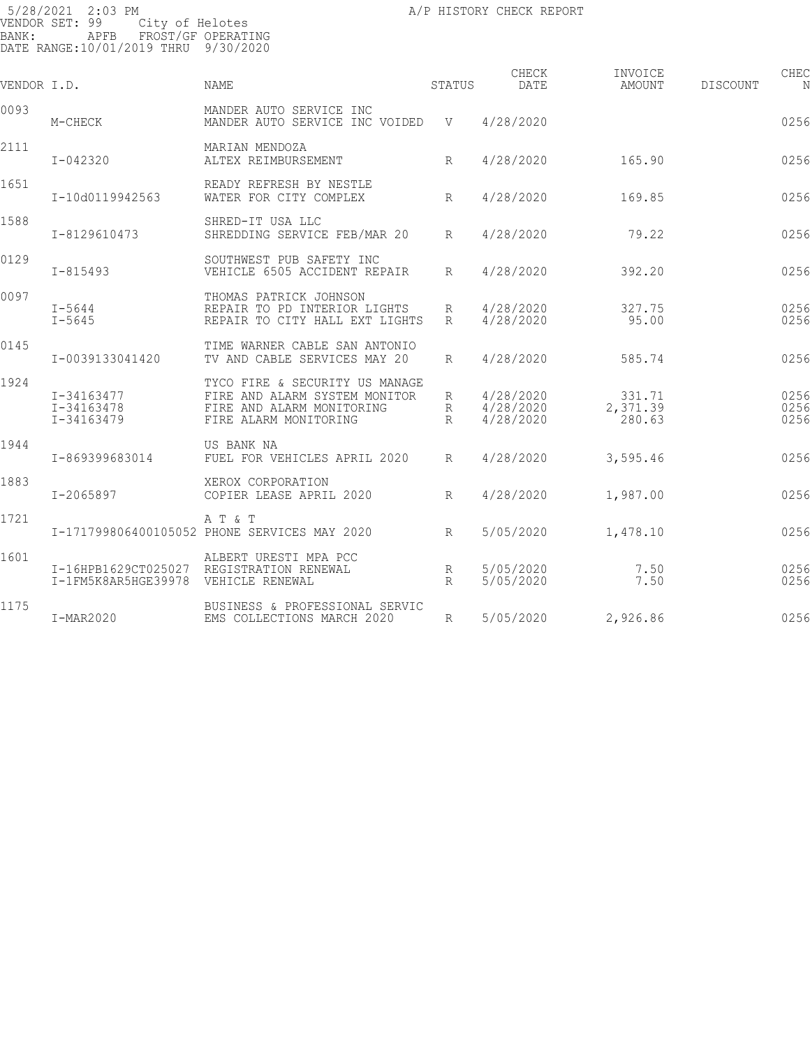| VENDOR I.D. |                                            | <b>NAME</b>                                                                                                           | STATUS          | CHECK<br>DATE                       | INVOICE<br>AMOUNT            | DISCOUNT | CHEC<br>N            |
|-------------|--------------------------------------------|-----------------------------------------------------------------------------------------------------------------------|-----------------|-------------------------------------|------------------------------|----------|----------------------|
| 0093        | M-CHECK                                    | MANDER AUTO SERVICE INC<br>MANDER AUTO SERVICE INC VOIDED                                                             | V V             | 4/28/2020                           |                              |          | 0256                 |
| 2111        | $I - 042320$                               | MARIAN MENDOZA<br>ALTEX REIMBURSEMENT                                                                                 | R               | 4/28/2020                           | 165.90                       |          | 0256                 |
| 1651        | I-10d0119942563                            | READY REFRESH BY NESTLE<br>WATER FOR CITY COMPLEX                                                                     | $R_{\parallel}$ | 4/28/2020                           | 169.85                       |          | 0256                 |
| 1588        | I-8129610473                               | SHRED-IT USA LLC<br>SHREDDING SERVICE FEB/MAR 20                                                                      | R               | 4/28/2020                           | 79.22                        |          | 0256                 |
| 0129        | $I - 815493$                               | SOUTHWEST PUB SAFETY INC<br>VEHICLE 6505 ACCIDENT REPAIR                                                              | R               | 4/28/2020                           | 392.20                       |          | 0256                 |
| 0097        | $I - 5644$<br>$I - 5645$                   | THOMAS PATRICK JOHNSON<br>REPAIR TO PD INTERIOR LIGHTS<br>REPAIR TO CITY HALL EXT LIGHTS                              | R<br>R          | 4/28/2020<br>4/28/2020              | 327.75<br>95.00              |          | 0256<br>0256         |
| 0145        | I-0039133041420                            | TIME WARNER CABLE SAN ANTONIO<br>TV AND CABLE SERVICES MAY 20                                                         | R               | 4/28/2020                           | 585.74                       |          | 0256                 |
| 1924        | I-34163477<br>I-34163478<br>I-34163479     | TYCO FIRE & SECURITY US MANAGE<br>FIRE AND ALARM SYSTEM MONITOR<br>FIRE AND ALARM MONITORING<br>FIRE ALARM MONITORING | R<br>R<br>R     | 4/28/2020<br>4/28/2020<br>4/28/2020 | 331.71<br>2,371.39<br>280.63 |          | 0256<br>0256<br>0256 |
| 1944        | I-869399683014                             | US BANK NA<br>FUEL FOR VEHICLES APRIL 2020                                                                            | $R_{\parallel}$ | 4/28/2020                           | 3,595.46                     |          | 0256                 |
| 1883        | I-2065897                                  | XEROX CORPORATION<br>COPIER LEASE APRIL 2020                                                                          | R               | 4/28/2020                           | 1,987.00                     |          | 0256                 |
| 1721        |                                            | A T & T<br>I-171799806400105052 PHONE SERVICES MAY 2020                                                               | $R_{\odot}$     | 5/05/2020                           | 1,478.10                     |          | 0256                 |
| 1601        | I-16HPB1629CT025027<br>I-1FM5K8AR5HGE39978 | ALBERT URESTI MPA PCC<br>REGISTRATION RENEWAL<br>VEHICLE RENEWAL                                                      | R<br>R          | 5/05/2020<br>5/05/2020              | 7.50<br>7.50                 |          | 0256<br>0256         |
| 1175        | I-MAR2020                                  | BUSINESS & PROFESSIONAL SERVIC<br>EMS COLLECTIONS MARCH 2020                                                          | R               | 5/05/2020                           | 2,926.86                     |          | 0256                 |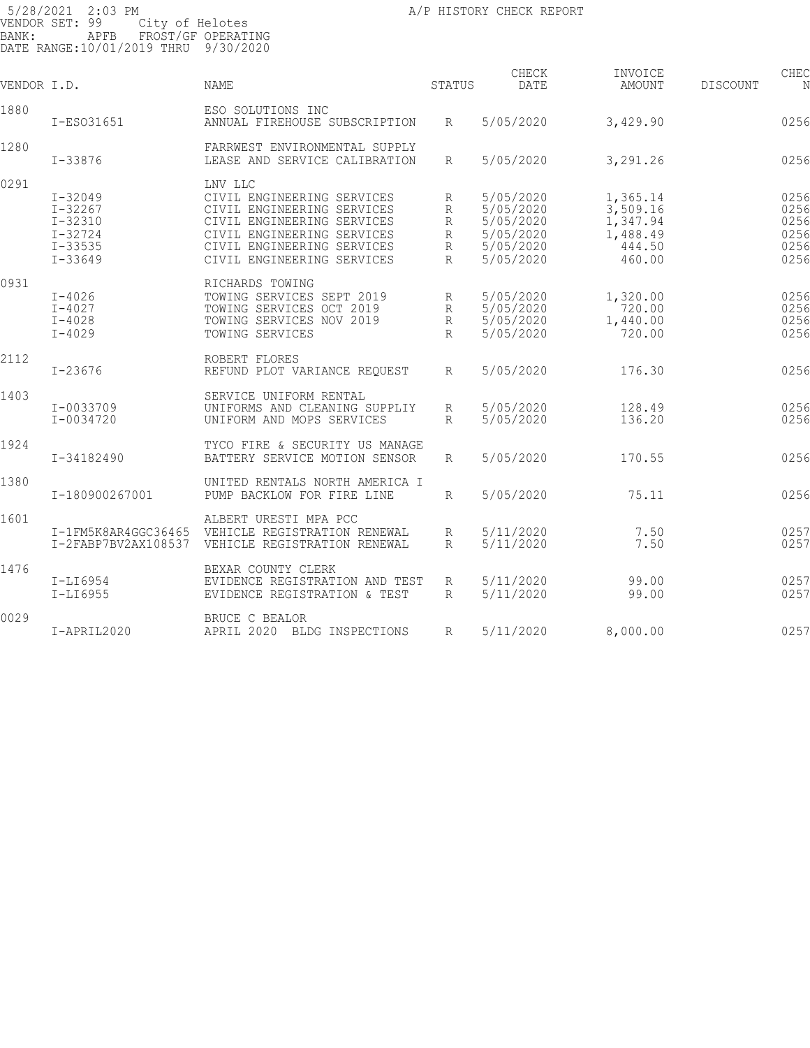| VENDOR I.D. |                                                                                        | <b>NAME</b>                                                                                                                                                                                 | STATUS                                 | CHECK<br>DATE                                                              | INVOICE<br>AMOUNT                                                | CHEC<br><b>DISCOUNT</b><br>N                 |
|-------------|----------------------------------------------------------------------------------------|---------------------------------------------------------------------------------------------------------------------------------------------------------------------------------------------|----------------------------------------|----------------------------------------------------------------------------|------------------------------------------------------------------|----------------------------------------------|
| 1880        | I-ES031651                                                                             | ESO SOLUTIONS INC<br>ANNUAL FIREHOUSE SUBSCRIPTION                                                                                                                                          | R                                      | 5/05/2020                                                                  | 3,429.90                                                         | 0256                                         |
| 1280        | I-33876                                                                                | FARRWEST ENVIRONMENTAL SUPPLY<br>LEASE AND SERVICE CALIBRATION                                                                                                                              | R                                      | 5/05/2020                                                                  | 3,291.26                                                         | 0256                                         |
| 0291        | $I - 32049$<br>$I - 32267$<br>$I - 32310$<br>$I - 32724$<br>$I - 33535$<br>$I - 33649$ | LNV LLC<br>CIVIL ENGINEERING SERVICES<br>CIVIL ENGINEERING SERVICES<br>CIVIL ENGINEERING SERVICES<br>CIVIL ENGINEERING SERVICES<br>CIVIL ENGINEERING SERVICES<br>CIVIL ENGINEERING SERVICES | R<br>R<br>R<br>R<br>R<br>R             | 5/05/2020<br>5/05/2020<br>5/05/2020<br>5/05/2020<br>5/05/2020<br>5/05/2020 | 1,365.14<br>3,509.16<br>1,347.94<br>1,488.49<br>444.50<br>460.00 | 0256<br>0256<br>0256<br>0256<br>0256<br>0256 |
| 0931        | $I - 4026$<br>$I - 4027$<br>$I - 4028$<br>$I - 4029$                                   | RICHARDS TOWING<br>TOWING SERVICES SEPT 2019<br>TOWING SERVICES OCT 2019<br>TOWING SERVICES NOV 2019<br>TOWING SERVICES                                                                     | R<br>R<br>$\mathbb{R}$<br>$\mathbb{R}$ | 5/05/2020<br>5/05/2020<br>5/05/2020<br>5/05/2020                           | 1,320.00<br>720.00<br>1,440.00<br>720.00                         | 0256<br>0256<br>0256<br>0256                 |
| 2112        | $I - 23676$                                                                            | ROBERT FLORES<br>REFUND PLOT VARIANCE REQUEST                                                                                                                                               | R                                      | 5/05/2020                                                                  | 176.30                                                           | 0256                                         |
| 1403        | I-0033709<br>I-0034720                                                                 | SERVICE UNIFORM RENTAL<br>UNIFORMS AND CLEANING SUPPLIY<br>UNIFORM AND MOPS SERVICES                                                                                                        | R<br>R                                 | 5/05/2020<br>5/05/2020                                                     | 128.49<br>136.20                                                 | 0256<br>0256                                 |
| 1924        | I-34182490                                                                             | TYCO FIRE & SECURITY US MANAGE<br>BATTERY SERVICE MOTION SENSOR                                                                                                                             | R                                      | 5/05/2020                                                                  | 170.55                                                           | 0256                                         |
| 1380        | I-180900267001                                                                         | UNITED RENTALS NORTH AMERICA I<br>PUMP BACKLOW FOR FIRE LINE                                                                                                                                | R                                      | 5/05/2020                                                                  | 75.11                                                            | 0256                                         |
| 1601        | I-1FM5K8AR4GGC36465<br>I-2FABP7BV2AX108537                                             | ALBERT URESTI MPA PCC<br>VEHICLE REGISTRATION RENEWAL<br>VEHICLE REGISTRATION RENEWAL                                                                                                       | R<br>R                                 | 5/11/2020<br>5/11/2020                                                     | 7.50<br>7.50                                                     | 0257<br>0257                                 |
| 1476        | I-LI6954<br>$I-LI6955$                                                                 | BEXAR COUNTY CLERK<br>EVIDENCE REGISTRATION AND TEST<br>EVIDENCE REGISTRATION & TEST                                                                                                        | R<br>R                                 | 5/11/2020<br>5/11/2020                                                     | 99.00<br>99.00                                                   | 0257<br>0257                                 |
| 0029        | I-APRIL2020                                                                            | BRUCE C BEALOR<br>APRIL 2020 BLDG INSPECTIONS                                                                                                                                               | R                                      | 5/11/2020                                                                  | 8,000.00                                                         | 0257                                         |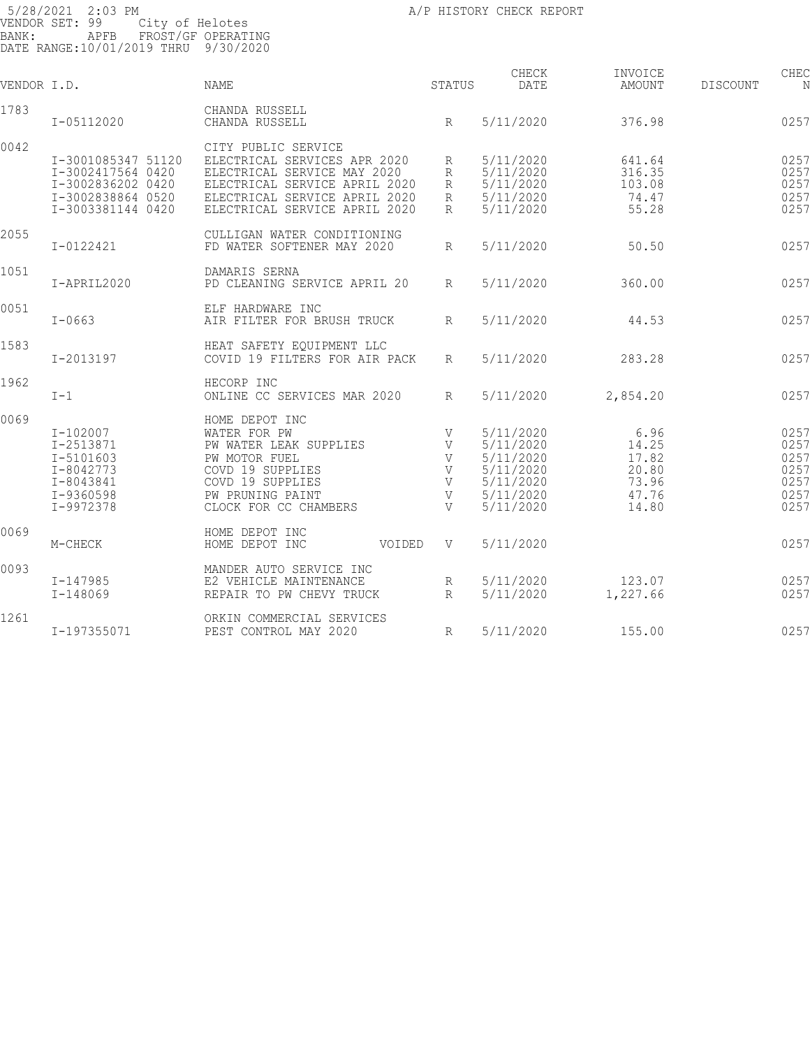| VENDOR I.D. |                    | NAME                             | STATUS          | CHECK<br>DATE | INVOICE<br><b>AMOUNT</b> | CHEC<br>DISCOUNT<br>N |
|-------------|--------------------|----------------------------------|-----------------|---------------|--------------------------|-----------------------|
| 1783        | I-05112020         | CHANDA RUSSELL<br>CHANDA RUSSELL | R               | 5/11/2020     | 376.98                   | 0257                  |
|             |                    |                                  |                 |               |                          |                       |
| 0042        |                    | CITY PUBLIC SERVICE              |                 |               |                          |                       |
|             | I-3001085347 51120 | ELECTRICAL SERVICES APR 2020     | R               | 5/11/2020     | 641.64                   | 0257                  |
|             | I-3002417564 0420  | ELECTRICAL SERVICE MAY 2020      | R               | 5/11/2020     | 316.35                   | 0257                  |
|             | I-3002836202 0420  | ELECTRICAL SERVICE APRIL 2020    | R               | 5/11/2020     | 103.08                   | 0257                  |
|             | I-3002838864 0520  | ELECTRICAL SERVICE APRIL 2020    | R               | 5/11/2020     | 74.47                    | 0257                  |
|             | I-3003381144 0420  | ELECTRICAL SERVICE APRIL 2020    | R               | 5/11/2020     | 55.28                    | 0257                  |
| 2055        |                    | CULLIGAN WATER CONDITIONING      |                 |               |                          |                       |
|             | I-0122421          | FD WATER SOFTENER MAY 2020       | R               | 5/11/2020     | 50.50                    | 0257                  |
| 1051        |                    | DAMARIS SERNA                    |                 |               |                          |                       |
|             | I-APRIL2020        | PD CLEANING SERVICE APRIL 20     | R               | 5/11/2020     | 360.00                   | 0257                  |
| 0051        |                    | ELF HARDWARE INC                 |                 |               |                          |                       |
|             | $I - 0663$         | AIR FILTER FOR BRUSH TRUCK       | R               | 5/11/2020     | 44.53                    | 0257                  |
| 1583        |                    | HEAT SAFETY EQUIPMENT LLC        |                 |               |                          |                       |
|             | I-2013197          | COVID 19 FILTERS FOR AIR PACK    | R               | 5/11/2020     | 283.28                   | 0257                  |
| 1962        |                    | HECORP INC                       |                 |               |                          |                       |
|             | $I-1$              | ONLINE CC SERVICES MAR 2020      | R               | 5/11/2020     | 2,854.20                 | 0257                  |
| 0069        |                    | HOME DEPOT INC                   |                 |               |                          |                       |
|             | $I - 102007$       | WATER FOR PW                     | V               | 5/11/2020     | 6.96                     | 0257                  |
|             | I-2513871          | PW WATER LEAK SUPPLIES           | V               | 5/11/2020     | 14.25                    | 0257                  |
|             | $I - 5101603$      | PW MOTOR FUEL                    | V               | 5/11/2020     | 17.82                    | 0257                  |
|             | $I - 8042773$      | COVD 19 SUPPLIES                 | V               | 5/11/2020     | 20.80                    | 0257                  |
|             | I-8043841          | COVD 19 SUPPLIES                 | V               | 5/11/2020     | 73.96                    | 0257                  |
|             | I-9360598          | PW PRUNING PAINT                 | V               | 5/11/2020     | 47.76                    | 0257                  |
|             | I-9972378          | CLOCK FOR CC CHAMBERS            | V               | 5/11/2020     | 14.80                    | 0257                  |
| 0069        |                    | HOME DEPOT INC                   |                 |               |                          |                       |
|             | M-CHECK            | HOME DEPOT INC<br>VOIDED         | V               | 5/11/2020     |                          | 0257                  |
| 0093        |                    | MANDER AUTO SERVICE INC          |                 |               |                          |                       |
|             | I-147985           | E2 VEHICLE MAINTENANCE           | R               | 5/11/2020     | 123.07                   | 0257                  |
|             | $I - 148069$       | REPAIR TO PW CHEVY TRUCK         | $R_{\parallel}$ | 5/11/2020     | 1,227.66                 | 0257                  |
| 1261        |                    | ORKIN COMMERCIAL SERVICES        |                 |               |                          |                       |
|             | I-197355071        | PEST CONTROL MAY 2020            | R               | 5/11/2020     | 155.00                   | 0257                  |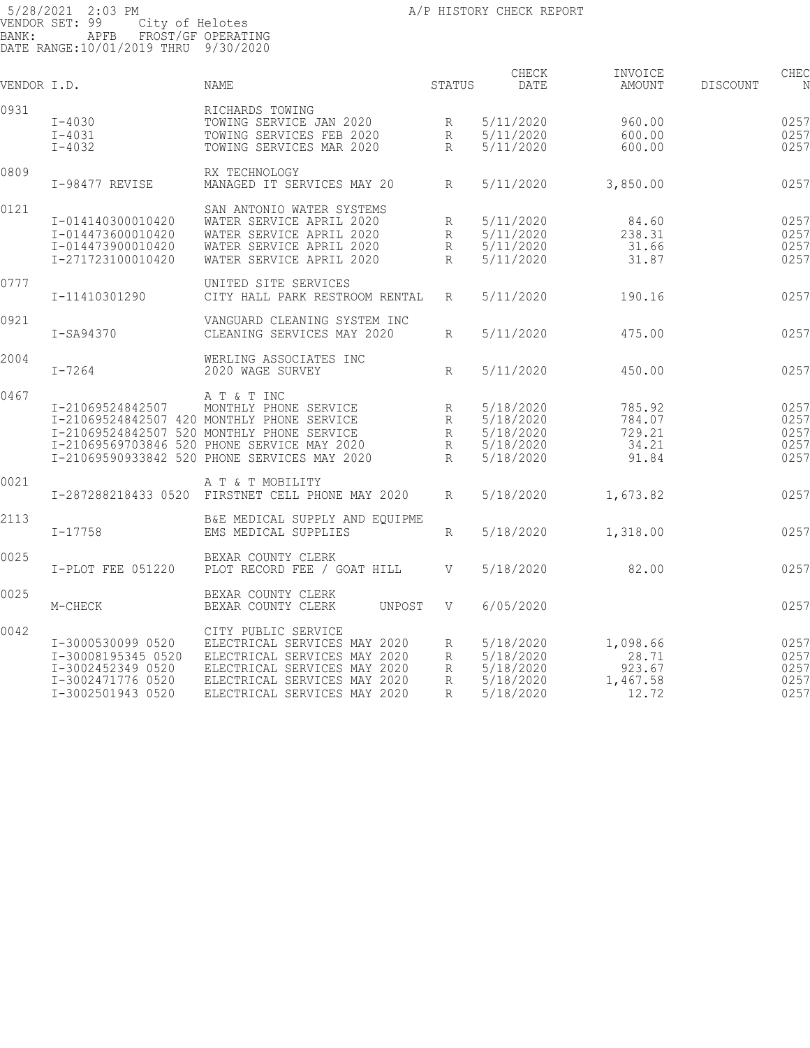CHECK INVOICE CHEC

| VENDOR I.D. |                    | NAME                                             | STATUS          | DATE      | AMOUNT   | DISCOUNT | N    |
|-------------|--------------------|--------------------------------------------------|-----------------|-----------|----------|----------|------|
| 0931        |                    | RICHARDS TOWING                                  |                 |           |          |          |      |
|             | $I-4030$           | TOWING SERVICE JAN 2020                          | R               | 5/11/2020 | 960.00   |          | 0257 |
|             | $I - 4031$         | TOWING SERVICES FEB 2020                         | R               | 5/11/2020 | 600.00   |          | 0257 |
|             | $I - 4032$         | TOWING SERVICES MAR 2020                         | R               | 5/11/2020 | 600.00   |          | 0257 |
| 0809        |                    | RX TECHNOLOGY                                    |                 |           |          |          |      |
|             | I-98477 REVISE     | MANAGED IT SERVICES MAY 20                       | R               | 5/11/2020 | 3,850.00 |          | 0257 |
| 0121        |                    | SAN ANTONIO WATER SYSTEMS                        |                 |           |          |          |      |
|             | I-014140300010420  | WATER SERVICE APRIL 2020                         | R               | 5/11/2020 | 84.60    |          | 0257 |
|             | I-014473600010420  | WATER SERVICE APRIL 2020                         | R               | 5/11/2020 | 238.31   |          | 0257 |
|             | I-014473900010420  | WATER SERVICE APRIL 2020                         | R               | 5/11/2020 | 31.66    |          | 0257 |
|             | I-271723100010420  | WATER SERVICE APRIL 2020                         | $R_{\parallel}$ | 5/11/2020 | 31.87    |          | 0257 |
|             |                    |                                                  |                 |           |          |          |      |
| 0777        |                    | UNITED SITE SERVICES                             |                 |           |          |          |      |
|             | I-11410301290      | CITY HALL PARK RESTROOM RENTAL                   | R               | 5/11/2020 | 190.16   |          | 0257 |
| 0921        |                    | VANGUARD CLEANING SYSTEM INC                     |                 |           |          |          |      |
|             | I-SA94370          | CLEANING SERVICES MAY 2020                       | $R_{\parallel}$ | 5/11/2020 | 475.00   |          | 0257 |
| 2004        |                    | WERLING ASSOCIATES INC                           |                 |           |          |          |      |
|             | $I - 7264$         | 2020 WAGE SURVEY                                 | R               | 5/11/2020 | 450.00   |          | 0257 |
| 0467        |                    | A T & T INC                                      |                 |           |          |          |      |
|             | I-21069524842507   | MONTHLY PHONE SERVICE                            | R               | 5/18/2020 | 785.92   |          | 0257 |
|             |                    | I-21069524842507 420 MONTHLY PHONE SERVICE       | R               | 5/18/2020 | 784.07   |          | 0257 |
|             |                    | I-21069524842507 520 MONTHLY PHONE SERVICE       | R               | 5/18/2020 | 729.21   |          | 0257 |
|             |                    | I-21069569703846 520 PHONE SERVICE MAY 2020      |                 | 5/18/2020 | 34.21    |          | 0257 |
|             |                    |                                                  | R               |           |          |          |      |
|             |                    | I-21069590933842 520 PHONE SERVICES MAY 2020     | $R_{\parallel}$ | 5/18/2020 | 91.84    |          | 0257 |
| 0021        |                    | A T & T MOBILITY                                 |                 |           |          |          |      |
|             |                    | I-287288218433 0520 FIRSTNET CELL PHONE MAY 2020 | $R_{\parallel}$ | 5/18/2020 | 1,673.82 |          | 0257 |
| 2113        |                    | B&E MEDICAL SUPPLY AND EQUIPME                   |                 |           |          |          |      |
|             | $I - 17758$        | EMS MEDICAL SUPPLIES                             | R               | 5/18/2020 | 1,318.00 |          | 0257 |
| 0025        |                    | BEXAR COUNTY CLERK                               |                 |           |          |          |      |
|             | I-PLOT FEE 051220  | PLOT RECORD FEE / GOAT HILL                      | V               | 5/18/2020 | 82.00    |          | 0257 |
| 0025        |                    | BEXAR COUNTY CLERK                               |                 |           |          |          |      |
|             | M-CHECK            | BEXAR COUNTY CLERK<br>UNPOST                     | V               | 6/05/2020 |          |          | 0257 |
| 0042        |                    | CITY PUBLIC SERVICE                              |                 |           |          |          |      |
|             | I-3000530099 0520  | ELECTRICAL SERVICES MAY 2020                     | R               | 5/18/2020 | 1,098.66 |          | 0257 |
|             | I-30008195345 0520 | ELECTRICAL SERVICES MAY 2020                     | R               | 5/18/2020 | 28.71    |          | 0257 |
|             | I-3002452349 0520  | ELECTRICAL SERVICES MAY 2020                     | R               | 5/18/2020 | 923.67   |          | 0257 |
|             | I-3002471776 0520  | ELECTRICAL SERVICES MAY 2020                     | R               | 5/18/2020 | 1,467.58 |          | 0257 |
|             | I-3002501943 0520  | ELECTRICAL SERVICES MAY 2020                     | R               | 5/18/2020 | 12.72    |          | 0257 |
|             |                    |                                                  |                 |           |          |          |      |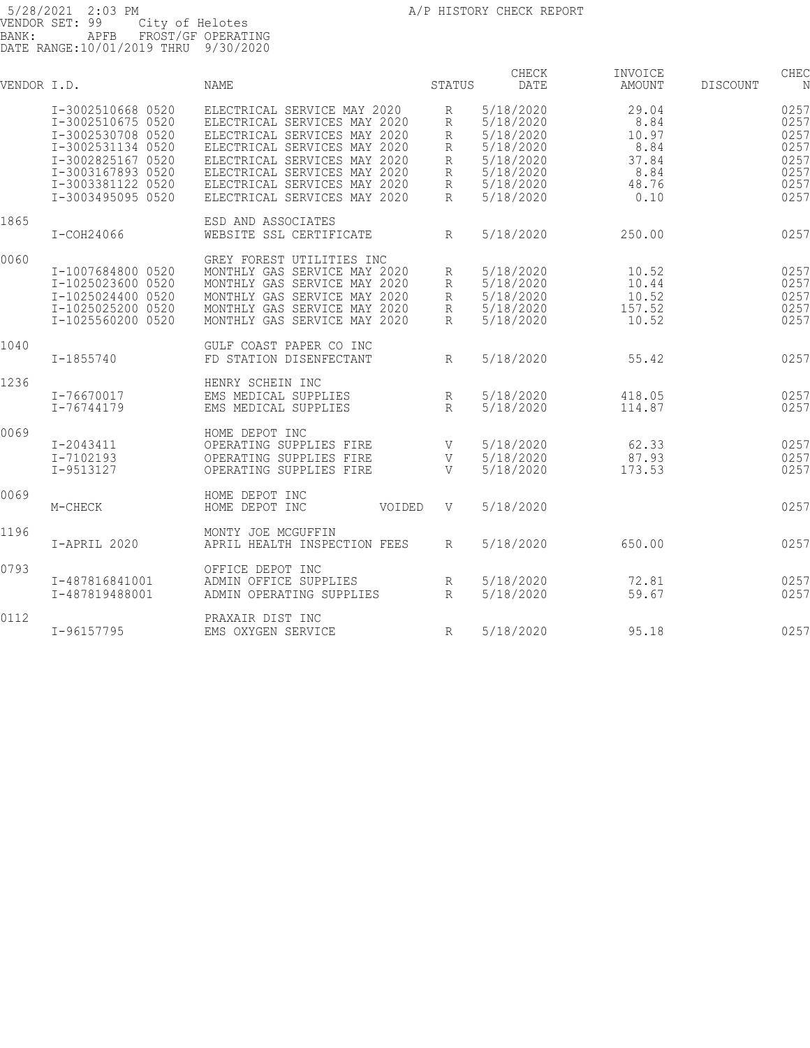| VENDOR I.D. |                   | NAME                         | STATUS          | CHECK<br>DATE | INVOICE<br>AMOUNT | DISCOUNT | CHEC<br>N |
|-------------|-------------------|------------------------------|-----------------|---------------|-------------------|----------|-----------|
|             | I-3002510668 0520 | ELECTRICAL SERVICE MAY 2020  | R               | 5/18/2020     | 29.04             |          | 0257      |
|             | I-3002510675 0520 | ELECTRICAL SERVICES MAY 2020 | R               | 5/18/2020     | 8.84              |          | 0257      |
|             | I-3002530708 0520 | ELECTRICAL SERVICES MAY 2020 | R               | 5/18/2020     | 10.97             |          | 0257      |
|             | I-3002531134 0520 | ELECTRICAL SERVICES MAY 2020 | R               | 5/18/2020     | 8.84              |          | 0257      |
|             | I-3002825167 0520 | ELECTRICAL SERVICES MAY 2020 | R               | 5/18/2020     | 37.84             |          | 0257      |
|             | I-3003167893 0520 | ELECTRICAL SERVICES MAY 2020 | R               | 5/18/2020     | 8.84              |          | 0257      |
|             | I-3003381122 0520 | ELECTRICAL SERVICES MAY 2020 | R               | 5/18/2020     | 48.76             |          | 0257      |
|             | I-3003495095 0520 | ELECTRICAL SERVICES MAY 2020 | R               | 5/18/2020     | 0.10              |          | 0257      |
| 1865        |                   | ESD AND ASSOCIATES           |                 |               |                   |          |           |
|             | I-COH24066        | WEBSITE SSL CERTIFICATE      | $R_{\rm}$       | 5/18/2020     | 250.00            |          | 0257      |
| 0060        |                   | GREY FOREST UTILITIES INC    |                 |               |                   |          |           |
|             | I-1007684800 0520 | MONTHLY GAS SERVICE MAY 2020 | R               | 5/18/2020     | 10.52             |          | 0257      |
|             | I-1025023600 0520 | MONTHLY GAS SERVICE MAY 2020 | R               | 5/18/2020     | 10.44             |          | 0257      |
|             | I-1025024400 0520 | MONTHLY GAS SERVICE MAY 2020 | R               | 5/18/2020     | 10.52             |          | 0257      |
|             | I-1025025200 0520 | MONTHLY GAS SERVICE MAY 2020 | R               | 5/18/2020     | 157.52            |          | 0257      |
|             | I-1025560200 0520 | MONTHLY GAS SERVICE MAY 2020 | R               | 5/18/2020     | 10.52             |          | 0257      |
| 1040        |                   | GULF COAST PAPER CO INC      |                 |               |                   |          |           |
|             | $I - 1855740$     | FD STATION DISENFECTANT      | $R_{\parallel}$ | 5/18/2020     | 55.42             |          | 0257      |
| 1236        |                   | HENRY SCHEIN INC             |                 |               |                   |          |           |
|             | I-76670017        | EMS MEDICAL SUPPLIES         | R               | 5/18/2020     | 418.05            |          | 0257      |
|             | I-76744179        | EMS MEDICAL SUPPLIES         | $R_{\rm}$       | 5/18/2020     | 114.87            |          | 0257      |
| 0069        |                   | HOME DEPOT INC               |                 |               |                   |          |           |
|             | I-2043411         | OPERATING SUPPLIES FIRE      | V               | 5/18/2020     | 62.33             |          | 0257      |
|             | I-7102193         | OPERATING SUPPLIES FIRE      | V               | 5/18/2020     | 87.93             |          | 0257      |
|             | I-9513127         | OPERATING SUPPLIES FIRE      | V               | 5/18/2020     | 173.53            |          | 0257      |
| 0069        |                   | HOME DEPOT INC               |                 |               |                   |          |           |
|             | M-CHECK           | HOME DEPOT INC<br>VOIDED     | V               | 5/18/2020     |                   |          | 0257      |
| 1196        |                   | MONTY JOE MCGUFFIN           |                 |               |                   |          |           |
|             | I-APRIL 2020      | APRIL HEALTH INSPECTION FEES | $R_{\parallel}$ | 5/18/2020     | 650.00            |          | 0257      |
| 0793        |                   | OFFICE DEPOT INC             |                 |               |                   |          |           |
|             | I-487816841001    | ADMIN OFFICE SUPPLIES        | R               | 5/18/2020     | 72.81             |          | 0257      |
|             | I-487819488001    | ADMIN OPERATING SUPPLIES     | $R_{\parallel}$ | 5/18/2020     | 59.67             |          | 0257      |
| 0112        |                   | PRAXAIR DIST INC             |                 |               |                   |          |           |
|             | I-96157795        | EMS OXYGEN SERVICE           | R               | 5/18/2020     | 95.18             |          | 0257      |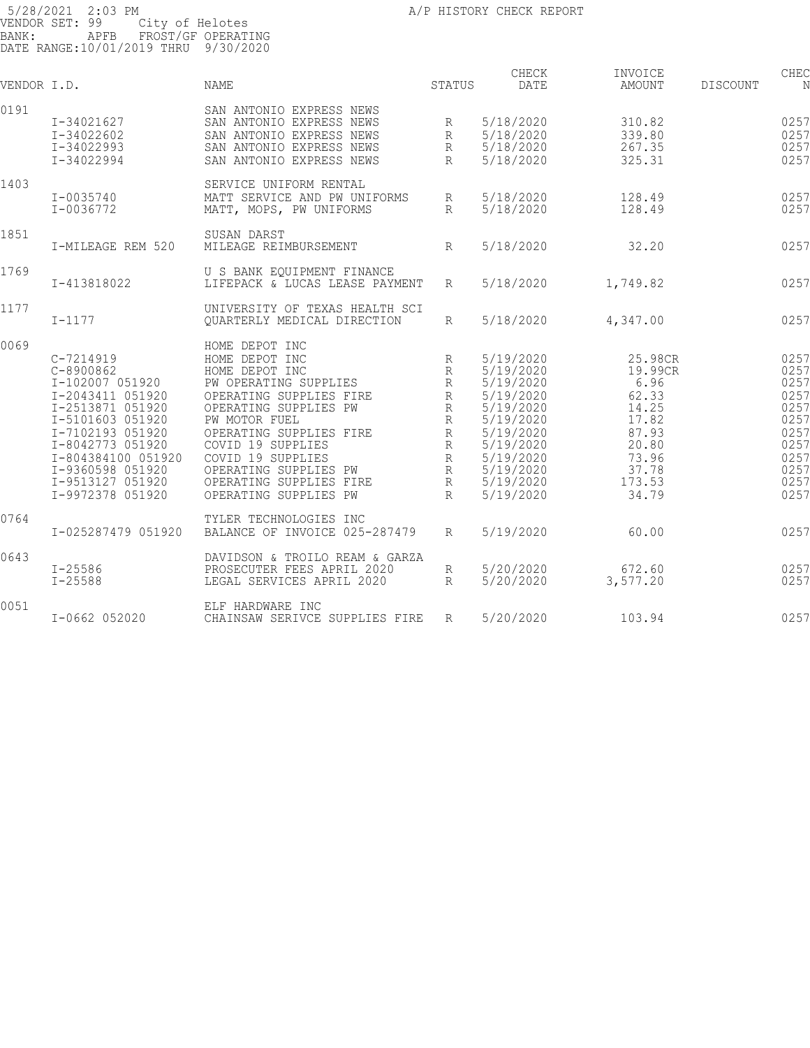| VENDOR I.D. |                                                                                                                                                                                                                                   | <b>NAME</b>                                                                                                                                                                                                                                                                                        | <b>STATUS</b>                                                                         | CHECK<br>DATE                                                                                                                                            | INVOICE<br>AMOUNT                                                                                            | <b>DISCOUNT</b> | CHEC<br>N                                                                                    |
|-------------|-----------------------------------------------------------------------------------------------------------------------------------------------------------------------------------------------------------------------------------|----------------------------------------------------------------------------------------------------------------------------------------------------------------------------------------------------------------------------------------------------------------------------------------------------|---------------------------------------------------------------------------------------|----------------------------------------------------------------------------------------------------------------------------------------------------------|--------------------------------------------------------------------------------------------------------------|-----------------|----------------------------------------------------------------------------------------------|
| 0191        | I-34021627<br>I-34022602<br>I-34022993<br>I-34022994                                                                                                                                                                              | SAN ANTONIO EXPRESS NEWS<br>SAN ANTONIO EXPRESS NEWS<br>SAN ANTONIO EXPRESS NEWS<br>SAN ANTONIO EXPRESS NEWS<br>SAN ANTONIO EXPRESS NEWS                                                                                                                                                           | R<br>R<br>$R_{\rm}$<br>$R_{\rm}$                                                      | 5/18/2020<br>5/18/2020<br>5/18/2020<br>5/18/2020                                                                                                         | 310.82<br>339.80<br>267.35<br>325.31                                                                         |                 | 0257<br>0257<br>0257<br>0257                                                                 |
| 1403        | I-0035740<br>I-0036772                                                                                                                                                                                                            | SERVICE UNIFORM RENTAL<br>MATT SERVICE AND PW UNIFORMS<br>MATT, MOPS, PW UNIFORMS                                                                                                                                                                                                                  | R<br>$R_{\parallel}$                                                                  | 5/18/2020<br>5/18/2020                                                                                                                                   | 128.49<br>128.49                                                                                             |                 | 0257<br>0257                                                                                 |
| 1851        | I-MILEAGE REM 520                                                                                                                                                                                                                 | SUSAN DARST<br>MILEAGE REIMBURSEMENT                                                                                                                                                                                                                                                               | $R_{\parallel}$                                                                       | 5/18/2020                                                                                                                                                | 32.20                                                                                                        |                 | 0257                                                                                         |
| 1769        | I-413818022                                                                                                                                                                                                                       | U S BANK EQUIPMENT FINANCE<br>LIFEPACK & LUCAS LEASE PAYMENT                                                                                                                                                                                                                                       | R                                                                                     | 5/18/2020                                                                                                                                                | 1,749.82                                                                                                     |                 | 0257                                                                                         |
| 1177        | $I - 1177$                                                                                                                                                                                                                        | UNIVERSITY OF TEXAS HEALTH SCI<br>OUARTERLY MEDICAL DIRECTION                                                                                                                                                                                                                                      | R                                                                                     | 5/18/2020                                                                                                                                                | 4,347.00                                                                                                     |                 | 0257                                                                                         |
| 0069        | C-7214919<br>$C-8900862$<br>I-102007 051920<br>I-2043411 051920<br>I-2513871 051920<br>I-5101603 051920<br>I-7102193 051920<br>I-8042773 051920<br>I-804384100 051920<br>I-9360598 051920<br>I-9513127 051920<br>I-9972378 051920 | HOME DEPOT INC<br>HOME DEPOT INC<br>HOME DEPOT INC<br>PW OPERATING SUPPLIES<br>OPERATING SUPPLIES FIRE<br>OPERATING SUPPLIES PW<br>PW MOTOR FUEL<br>OPERATING SUPPLIES FIRE<br>COVID 19 SUPPLIES<br>COVID 19 SUPPLIES<br>OPERATING SUPPLIES PW<br>OPERATING SUPPLIES FIRE<br>OPERATING SUPPLIES PW | $\mathbb R$<br>R<br>R<br>R<br>R<br>R<br>R<br>R<br>$\mathbb{R}$<br>R<br>R<br>$R_{\rm}$ | 5/19/2020<br>5/19/2020<br>5/19/2020<br>5/19/2020<br>5/19/2020<br>5/19/2020<br>5/19/2020<br>5/19/2020<br>5/19/2020<br>5/19/2020<br>5/19/2020<br>5/19/2020 | 25.98CR<br>19.99CR<br>6.96<br>62.33<br>14.25<br>17.82<br>87.93<br>20.80<br>73.96<br>37.78<br>173.53<br>34.79 |                 | 0257<br>0257<br>0257<br>0257<br>0257<br>0257<br>0257<br>0257<br>0257<br>0257<br>0257<br>0257 |
| 0764        | I-025287479 051920                                                                                                                                                                                                                | TYLER TECHNOLOGIES INC<br>BALANCE OF INVOICE 025-287479                                                                                                                                                                                                                                            | $R_{\parallel}$                                                                       | 5/19/2020                                                                                                                                                | 60.00                                                                                                        |                 | 0257                                                                                         |
| 0643        | I-25586<br>$I - 25588$                                                                                                                                                                                                            | DAVIDSON & TROILO REAM & GARZA<br>PROSECUTER FEES APRIL 2020<br>LEGAL SERVICES APRIL 2020                                                                                                                                                                                                          | R<br>$R_{\parallel}$                                                                  | 5/20/2020<br>5/20/2020                                                                                                                                   | 672.60<br>3,577.20                                                                                           |                 | 0257<br>0257                                                                                 |
| 0051        | I-0662 052020                                                                                                                                                                                                                     | ELF HARDWARE INC<br>CHAINSAW SERIVCE SUPPLIES FIRE                                                                                                                                                                                                                                                 | R                                                                                     | 5/20/2020                                                                                                                                                | 103.94                                                                                                       |                 | 0257                                                                                         |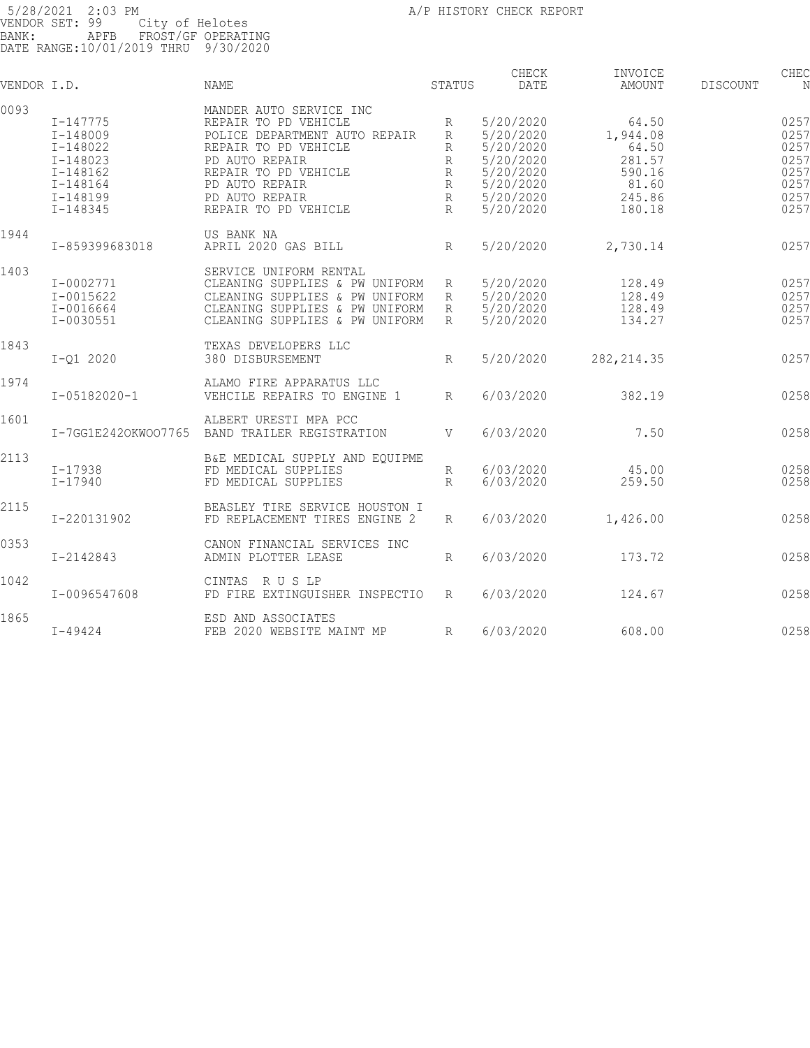| VENDOR I.D. |                                                                                                                      | <b>NAME</b>                                                                                                                                                                                                    | STATUS                                          | CHECK<br>DATE                                                                                        | INVOICE<br><b>AMOUNT</b>                                                    | DISCOUNT | CHEC<br>N                                                    |
|-------------|----------------------------------------------------------------------------------------------------------------------|----------------------------------------------------------------------------------------------------------------------------------------------------------------------------------------------------------------|-------------------------------------------------|------------------------------------------------------------------------------------------------------|-----------------------------------------------------------------------------|----------|--------------------------------------------------------------|
| 0093        | $I - 147775$<br>$I - 148009$<br>I-148022<br>$I - 148023$<br>$I - 148162$<br>$I - 148164$<br>I-148199<br>$I - 148345$ | MANDER AUTO SERVICE INC<br>REPAIR TO PD VEHICLE<br>POLICE DEPARTMENT AUTO REPAIR<br>REPAIR TO PD VEHICLE<br>PD AUTO REPAIR<br>REPAIR TO PD VEHICLE<br>PD AUTO REPAIR<br>PD AUTO REPAIR<br>REPAIR TO PD VEHICLE | R<br>R<br>R<br>R<br>R<br>R<br>$\mathbb{R}$<br>R | 5/20/2020<br>5/20/2020<br>5/20/2020<br>5/20/2020<br>5/20/2020<br>5/20/2020<br>5/20/2020<br>5/20/2020 | 64.50<br>1,944.08<br>64.50<br>281.57<br>590.16<br>81.60<br>245.86<br>180.18 |          | 0257<br>0257<br>0257<br>0257<br>0257<br>0257<br>0257<br>0257 |
| 1944        | I-859399683018                                                                                                       | US BANK NA<br>APRIL 2020 GAS BILL                                                                                                                                                                              | R                                               | 5/20/2020                                                                                            | 2,730.14                                                                    |          | 0257                                                         |
| 1403        | I-0002771<br>$I - 0015622$<br>$I - 0016664$<br>I-0030551                                                             | SERVICE UNIFORM RENTAL<br>CLEANING SUPPLIES & PW UNIFORM<br>CLEANING SUPPLIES & PW UNIFORM<br>CLEANING SUPPLIES & PW UNIFORM<br>CLEANING SUPPLIES & PW UNIFORM                                                 | R<br>R<br>R<br>R                                | 5/20/2020<br>5/20/2020<br>5/20/2020<br>5/20/2020                                                     | 128.49<br>128.49<br>128.49<br>134.27                                        |          | 0257<br>0257<br>0257<br>0257                                 |
| 1843        | $I - 01 2020$                                                                                                        | TEXAS DEVELOPERS LLC<br>380 DISBURSEMENT                                                                                                                                                                       | R                                               | 5/20/2020                                                                                            | 282, 214.35                                                                 |          | 0257                                                         |
| 1974        | $I - 05182020 - 1$                                                                                                   | ALAMO FIRE APPARATUS LLC<br>VEHCILE REPAIRS TO ENGINE 1                                                                                                                                                        | R                                               | 6/03/2020                                                                                            | 382.19                                                                      |          | 0258                                                         |
| 1601        | I-7GG1E2420KW007765                                                                                                  | ALBERT URESTI MPA PCC<br>BAND TRAILER REGISTRATION                                                                                                                                                             | V                                               | 6/03/2020                                                                                            | 7.50                                                                        |          | 0258                                                         |
| 2113        | $I - 17938$<br>$I - 17940$                                                                                           | B&E MEDICAL SUPPLY AND EQUIPME<br>FD MEDICAL SUPPLIES<br>FD MEDICAL SUPPLIES                                                                                                                                   | R<br>$\mathbb{R}$                               | 6/03/2020<br>6/03/2020                                                                               | 45.00<br>259.50                                                             |          | 0258<br>0258                                                 |
| 2115        | I-220131902                                                                                                          | BEASLEY TIRE SERVICE HOUSTON I<br>FD REPLACEMENT TIRES ENGINE 2                                                                                                                                                | R                                               | 6/03/2020                                                                                            | 1,426.00                                                                    |          | 0258                                                         |
| 0353        | I-2142843                                                                                                            | CANON FINANCIAL SERVICES INC<br>ADMIN PLOTTER LEASE                                                                                                                                                            | R                                               | 6/03/2020                                                                                            | 173.72                                                                      |          | 0258                                                         |
| 1042        | I-0096547608                                                                                                         | CINTAS RUSLP<br>FD FIRE EXTINGUISHER INSPECTIO                                                                                                                                                                 | R                                               | 6/03/2020                                                                                            | 124.67                                                                      |          | 0258                                                         |
| 1865        | $I - 49424$                                                                                                          | ESD AND ASSOCIATES<br>FEB 2020 WEBSITE MAINT MP                                                                                                                                                                | R                                               | 6/03/2020                                                                                            | 608.00                                                                      |          | 0258                                                         |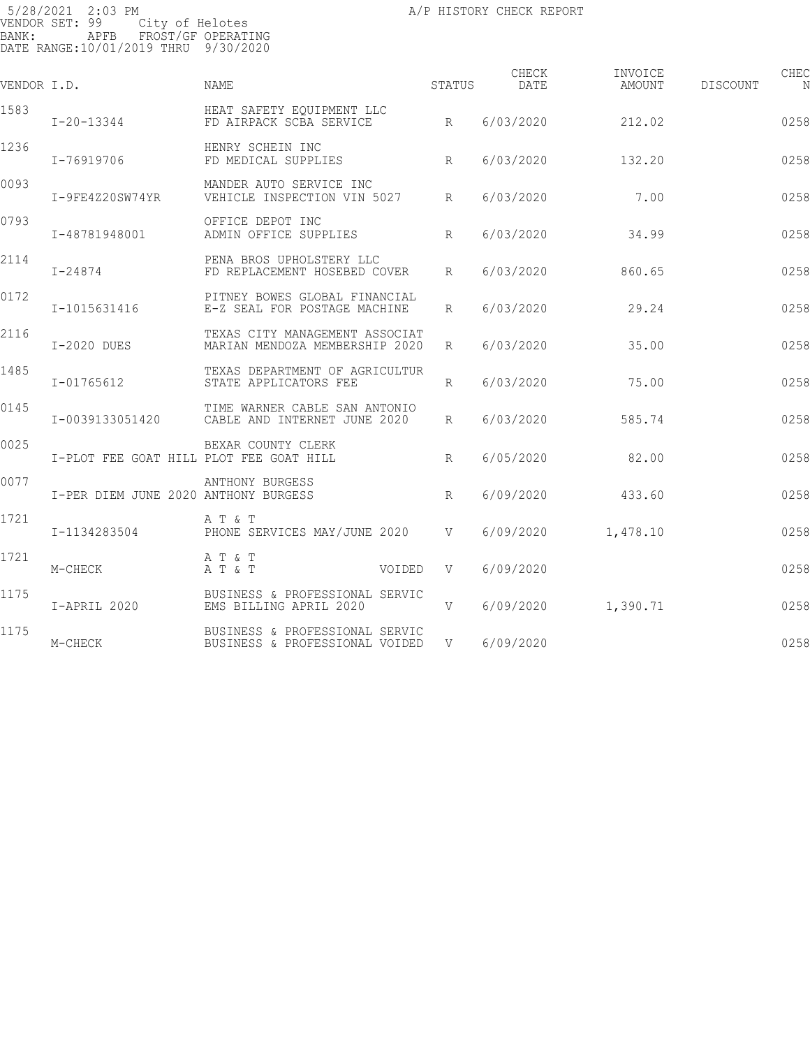| VENDOR I.D. |                                         | NAME                                                             | STATUS          | CHECK<br>DATE | INVOICE<br>AMOUNT | CHEC<br>DISCOUNT<br>N |
|-------------|-----------------------------------------|------------------------------------------------------------------|-----------------|---------------|-------------------|-----------------------|
| 1583        | $I - 20 - 13344$                        | HEAT SAFETY EQUIPMENT LLC<br>FD AIRPACK SCBA SERVICE             | R               | 6/03/2020     | 212.02            | 0258                  |
| 1236        | I-76919706                              | HENRY SCHEIN INC<br>FD MEDICAL SUPPLIES                          | R               | 6/03/2020     | 132.20            | 0258                  |
| 0093        | I-9FE4Z20SW74YR                         | MANDER AUTO SERVICE INC<br>VEHICLE INSPECTION VIN 5027           | $R_{\parallel}$ | 6/03/2020     | 7.00              | 0258                  |
| 0793        | I-48781948001                           | OFFICE DEPOT INC<br>ADMIN OFFICE SUPPLIES                        | R               | 6/03/2020     | 34.99             | 0258                  |
| 2114        | I-24874                                 | PENA BROS UPHOLSTERY LLC<br>FD REPLACEMENT HOSEBED COVER         | $R_{\parallel}$ | 6/03/2020     | 860.65            | 0258                  |
| 0172        | I-1015631416                            | PITNEY BOWES GLOBAL FINANCIAL<br>E-Z SEAL FOR POSTAGE MACHINE    | $R_{\perp}$     | 6/03/2020     | 29.24             | 0258                  |
| 2116        | I-2020 DUES                             | TEXAS CITY MANAGEMENT ASSOCIAT<br>MARIAN MENDOZA MEMBERSHIP 2020 | R               | 6/03/2020     | 35.00             | 0258                  |
| 1485        | I-01765612                              | TEXAS DEPARTMENT OF AGRICULTUR<br>STATE APPLICATORS FEE          | $R_{\parallel}$ | 6/03/2020     | 75.00             | 0258                  |
| 0145        | I-0039133051420                         | TIME WARNER CABLE SAN ANTONIO<br>CABLE AND INTERNET JUNE 2020    | $R_{\parallel}$ | 6/03/2020     | 585.74            | 0258                  |
| 0025        | I-PLOT FEE GOAT HILL PLOT FEE GOAT HILL | BEXAR COUNTY CLERK                                               | R               | 6/05/2020     | 82.00             | 0258                  |
| 0077        | I-PER DIEM JUNE 2020 ANTHONY BURGESS    | ANTHONY BURGESS                                                  | R               | 6/09/2020     | 433.60            | 0258                  |
| 1721        | I-1134283504                            | A T & T<br>PHONE SERVICES MAY/JUNE 2020 V                        |                 | 6/09/2020     | 1,478.10          | 0258                  |
| 1721        | M-CHECK                                 | A T & T<br>A T & T                                               | VOIDED V        | 6/09/2020     |                   | 0258                  |
| 1175        | I-APRIL 2020                            | BUSINESS & PROFESSIONAL SERVIC<br>EMS BILLING APRIL 2020         | V               | 6/09/2020     | 1,390.71          | 0258                  |
| 1175        | M-CHECK                                 | BUSINESS & PROFESSIONAL SERVIC<br>BUSINESS & PROFESSIONAL VOIDED | V               | 6/09/2020     |                   | 0258                  |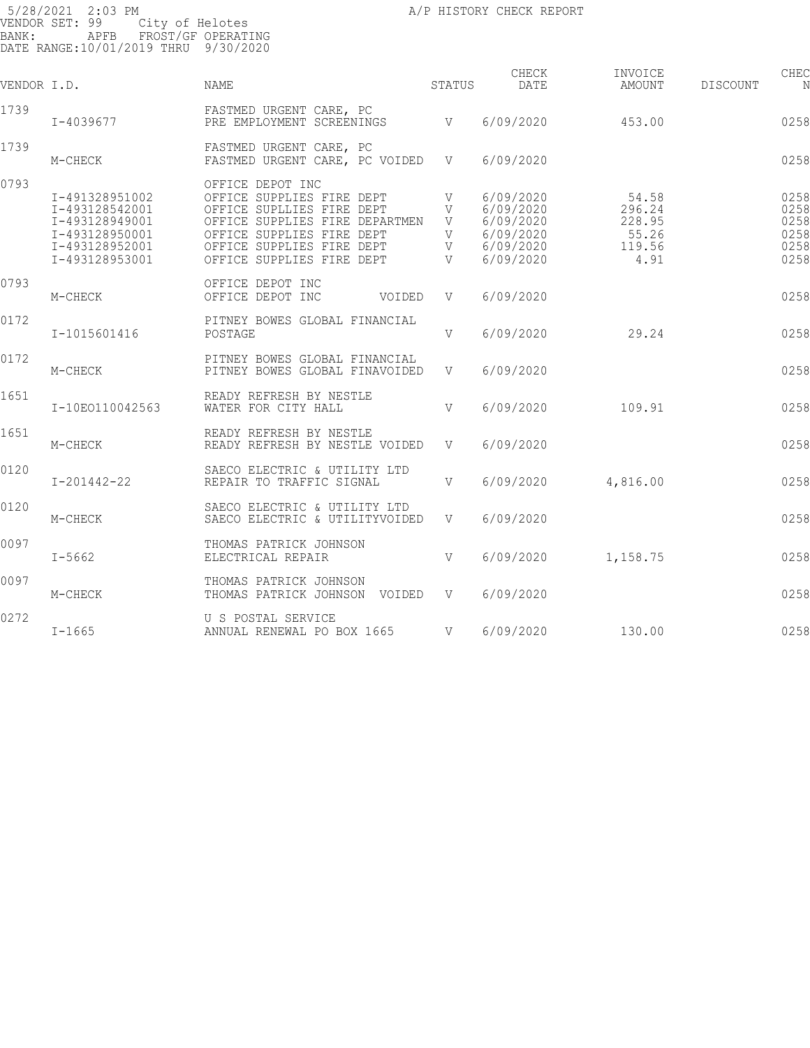5/28/2021 2:03 PM **All Properties Contained A**/P HISTORY CHECK REPORT VENDOR SET: 99 City of Helotes BANK: APFB FROST/GF OPERATING DATE RANGE:10/01/2019 THRU 9/30/2020 CHECK INVOICE CHECK CHECK CHECK VENDOR I.D. NAME STATUS DATE AMOUNT DISCOUNT NO STATUS AMOUNT 1739 **I-4039677** FASTMED URGENT CARE, PC PRE EMPLOYMENT SCREENINGS  $V = 6/09/2020$  453.00 0258 1739 **M-CHECK FASTMED URGENT CARE, PC** FASTMED URGENT CARE, PC VOIDED V 6/09/2020 0258 0793 OFFICE DEPOT INC I-491328951002 OFFICE SUPPLIES FIRE DEPT V 6/09/2020 54.58 025876 I-493128542001 OFFICE SUPLLIES FIRE DEPT V 6/09/2020 296.24 025876 I-493128949001 OFFICE SUPPLIES FIRE DEPARTMEN V 6/09/2020 228.95 025876 I-493128950001 OFFICE SUPPLIES FIRE DEPT V 6/09/2020 55.26 025876 I-493128952001 OFFICE SUPPLIES FIRE DEPT V 6/09/2020 119.56 025876 OFFICE SUPPLIES FIRE DEPT 0793 OFFICE DEPOT INC M-CHECK OFFICE DEPOT INC VOIDED V 6/09/2020 025876 759.50CR 0172 PITNEY BOWES GLOBAL FINANCIAL I-1015601416 POSTAGE V 6/09/2020 29.24 025877 29.24 0172 PITNEY BOWES GLOBAL FINANCIAL PITNEY BOWES GLOBAL FINAVOIDED V 6/09/2020 0258 1651 READY REFRESH BY NESTLE WATER FOR CITY HALL  $V = 6/09/2020$  109.91 0258 1651 READY REFRESH BY NESTLE READY REFRESH BY NESTLE VOIDED V 6/09/2020 0258 0120 SAECO ELECTRIC & UTILITY LTD REPAIR TO TRAFFIC SIGNAL  $V$  6/09/2020 4,816.00 0258 0120 SAECO ELECTRIC & UTILITY LTD SAECO ELECTRIC & UTILITYVOIDED V 6/09/2020 0258 0097 THOMAS PATRICK JOHNSON I-5662 ELECTRICAL REPAIR V 6/09/2020 1,158.75 025880 1,158.75 0097 THOMAS PATRICK JOHNSON

M-CHECK THOMAS PATRICK JOHNSON VOIDED V 6/09/2020 1,158.75CR 1,158.75CR 1,158.75CR

ANNUAL RENEWAL PO BOX 1665 V 6/09/2020 130.00 0258

0272 U S POSTAL SERVICE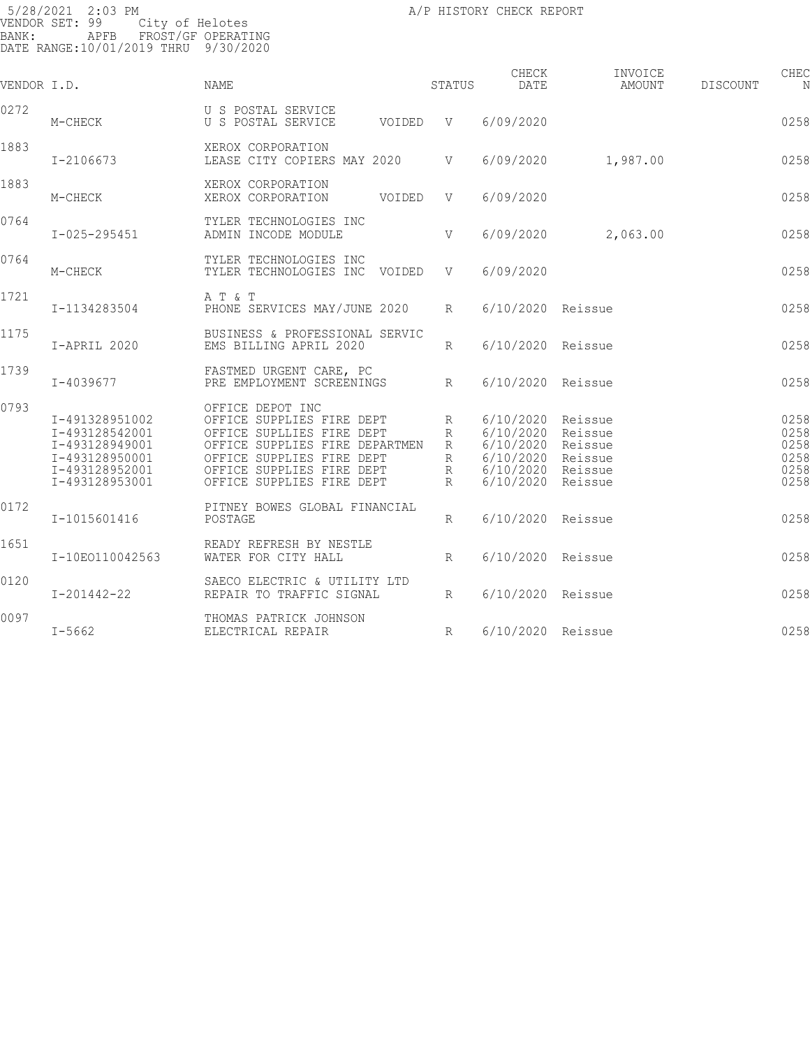| VENDOR I.D. |                                                                                                          | NAME                                                                                                                                                                                                |        | STATUS                     | CHECK<br>DATE                                                                              | INVOICE<br>AMOUNT                        | DISCOUNT | CHEC<br>N                                    |
|-------------|----------------------------------------------------------------------------------------------------------|-----------------------------------------------------------------------------------------------------------------------------------------------------------------------------------------------------|--------|----------------------------|--------------------------------------------------------------------------------------------|------------------------------------------|----------|----------------------------------------------|
| 0272        | M-CHECK                                                                                                  | U S POSTAL SERVICE<br>U S POSTAL SERVICE                                                                                                                                                            | VOIDED | V V                        | 6/09/2020                                                                                  |                                          |          | 0258                                         |
| 1883        | I-2106673                                                                                                | XEROX CORPORATION<br>LEASE CITY COPIERS MAY 2020                                                                                                                                                    |        | V                          | 6/09/2020                                                                                  | 1,987.00                                 |          | 0258                                         |
| 1883        | M-CHECK                                                                                                  | XEROX CORPORATION<br>XEROX CORPORATION                                                                                                                                                              | VOIDED | V                          | 6/09/2020                                                                                  |                                          |          | 0258                                         |
| 0764        | $I - 025 - 295451$                                                                                       | TYLER TECHNOLOGIES INC<br>ADMIN INCODE MODULE                                                                                                                                                       |        | V                          | 6/09/2020                                                                                  | 2,063.00                                 |          | 0258                                         |
| 0764        | M-CHECK                                                                                                  | TYLER TECHNOLOGIES INC<br>TYLER TECHNOLOGIES INC VOIDED                                                                                                                                             |        | V                          | 6/09/2020                                                                                  |                                          |          | 0258                                         |
| 1721        | I-1134283504                                                                                             | A T & T<br>PHONE SERVICES MAY/JUNE 2020                                                                                                                                                             |        | R                          | 6/10/2020 Reissue                                                                          |                                          |          | 0258                                         |
| 1175        | I-APRIL 2020                                                                                             | BUSINESS & PROFESSIONAL SERVIC<br>EMS BILLING APRIL 2020                                                                                                                                            |        | R                          | 6/10/2020 Reissue                                                                          |                                          |          | 0258                                         |
| 1739        | I-4039677                                                                                                | FASTMED URGENT CARE, PC<br>PRE EMPLOYMENT SCREENINGS                                                                                                                                                |        | R                          | 6/10/2020 Reissue                                                                          |                                          |          | 0258                                         |
| 0793        | I-491328951002<br>I-493128542001<br>I-493128949001<br>I-493128950001<br>I-493128952001<br>I-493128953001 | OFFICE DEPOT INC<br>OFFICE SUPPLIES FIRE DEPT<br>OFFICE SUPLLIES FIRE DEPT<br>OFFICE SUPPLIES FIRE DEPARTMEN<br>OFFICE SUPPLIES FIRE DEPT<br>OFFICE SUPPLIES FIRE DEPT<br>OFFICE SUPPLIES FIRE DEPT |        | R<br>R<br>R<br>R<br>R<br>R | 6/10/2020 Reissue<br>6/10/2020<br>6/10/2020<br>6/10/2020<br>6/10/2020 Reissue<br>6/10/2020 | Reissue<br>Reissue<br>Reissue<br>Reissue |          | 0258<br>0258<br>0258<br>0258<br>0258<br>0258 |
| 0172        | I-1015601416                                                                                             | PITNEY BOWES GLOBAL FINANCIAL<br>POSTAGE                                                                                                                                                            |        | $R_{\rm}$                  | 6/10/2020 Reissue                                                                          |                                          |          | 0258                                         |
| 1651        | I-10E0110042563                                                                                          | READY REFRESH BY NESTLE<br>WATER FOR CITY HALL                                                                                                                                                      |        | $R_{\rm}$                  | 6/10/2020 Reissue                                                                          |                                          |          | 0258                                         |
| 0120        | $I - 201442 - 22$                                                                                        | SAECO ELECTRIC & UTILITY LTD<br>REPAIR TO TRAFFIC SIGNAL                                                                                                                                            |        | R                          | 6/10/2020 Reissue                                                                          |                                          |          | 0258                                         |
| 0097        | $I - 5662$                                                                                               | THOMAS PATRICK JOHNSON<br>ELECTRICAL REPAIR                                                                                                                                                         |        | R                          | 6/10/2020 Reissue                                                                          |                                          |          | 0258                                         |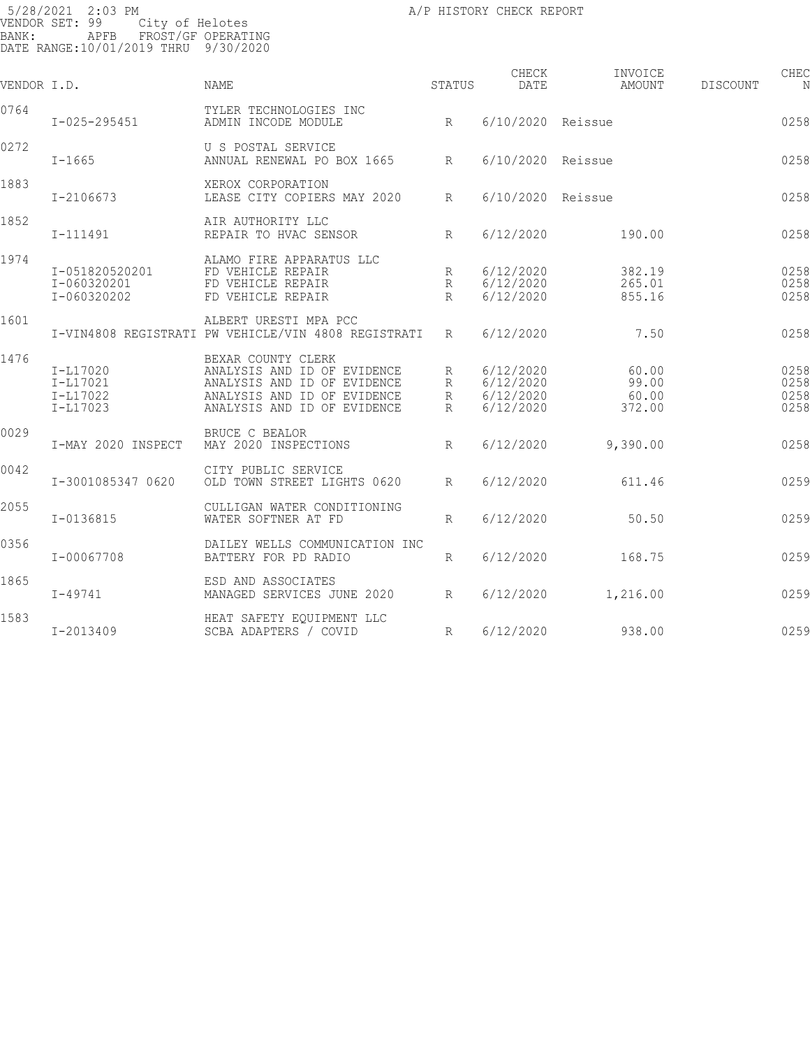| VENDOR I.D. |                                                | <b>NAME</b>                                                                                                                                    | STATUS           | CHECK<br>DATE                                    | INVOICE<br>AMOUNT                 | DISCOUNT | CHEC<br>N                    |
|-------------|------------------------------------------------|------------------------------------------------------------------------------------------------------------------------------------------------|------------------|--------------------------------------------------|-----------------------------------|----------|------------------------------|
| 0764        | $I - 025 - 295451$                             | TYLER TECHNOLOGIES INC<br>R<br>ADMIN INCODE MODULE                                                                                             |                  | 6/10/2020 Reissue                                |                                   |          | 0258                         |
| 0272        | $I - 1665$                                     | U S POSTAL SERVICE<br>ANNUAL RENEWAL PO BOX 1665 R                                                                                             |                  | 6/10/2020 Reissue                                |                                   |          | 0258                         |
| 1883        | I-2106673                                      | XEROX CORPORATION<br>LEASE CITY COPIERS MAY 2020 R                                                                                             |                  | 6/10/2020 Reissue                                |                                   |          | 0258                         |
| 1852        | I-111491                                       | AIR AUTHORITY LLC<br>REPAIR TO HVAC SENSOR                                                                                                     | R                | 6/12/2020                                        | 190.00                            |          | 0258                         |
| 1974        | I-051820520201<br>I-060320201<br>I-060320202   | ALAMO FIRE APPARATUS LLC<br>FD VEHICLE REPAIR<br>FD VEHICLE REPAIR<br>FD VEHICLE REPAIR                                                        | R<br>R<br>R      | 6/12/2020<br>6/12/2020<br>6/12/2020              | 382.19<br>265.01<br>855.16        |          | 0258<br>0258<br>0258         |
| 1601        |                                                | ALBERT URESTI MPA PCC<br>I-VIN4808 REGISTRATI PW VEHICLE/VIN 4808 REGISTRATI R                                                                 |                  | 6/12/2020                                        | 7.50                              |          | 0258                         |
| 1476        | I-L17020<br>I-L17021<br>I-L17022<br>$I-L17023$ | BEXAR COUNTY CLERK<br>ANALYSIS AND ID OF EVIDENCE<br>ANALYSIS AND ID OF EVIDENCE<br>ANALYSIS AND ID OF EVIDENCE<br>ANALYSIS AND ID OF EVIDENCE | R<br>R<br>R<br>R | 6/12/2020<br>6/12/2020<br>6/12/2020<br>6/12/2020 | 60.00<br>99.00<br>60.00<br>372.00 |          | 0258<br>0258<br>0258<br>0258 |
| 0029        | I-MAY 2020 INSPECT                             | BRUCE C BEALOR<br>MAY 2020 INSPECTIONS                                                                                                         | R                | 6/12/2020                                        | 9,390.00                          |          | 0258                         |
| 0042        | I-3001085347 0620                              | CITY PUBLIC SERVICE<br>OLD TOWN STREET LIGHTS 0620                                                                                             | R                | 6/12/2020                                        | 611.46                            |          | 0259                         |
| 2055        | $I - 0136815$                                  | CULLIGAN WATER CONDITIONING<br>WATER SOFTNER AT FD                                                                                             | R                | 6/12/2020                                        | 50.50                             |          | 0259                         |
| 0356        | I-00067708                                     | DAILEY WELLS COMMUNICATION INC<br>BATTERY FOR PD RADIO                                                                                         | $R_{\parallel}$  | 6/12/2020                                        | 168.75                            |          | 0259                         |
| 1865        | I-49741                                        | ESD AND ASSOCIATES<br>MANAGED SERVICES JUNE 2020                                                                                               | R                | 6/12/2020                                        | 1,216.00                          |          | 0259                         |
| 1583        | I-2013409                                      | HEAT SAFETY EQUIPMENT LLC<br>SCBA ADAPTERS / COVID                                                                                             | R                | 6/12/2020                                        | 938.00                            |          | 0259                         |
|             |                                                |                                                                                                                                                |                  |                                                  |                                   |          |                              |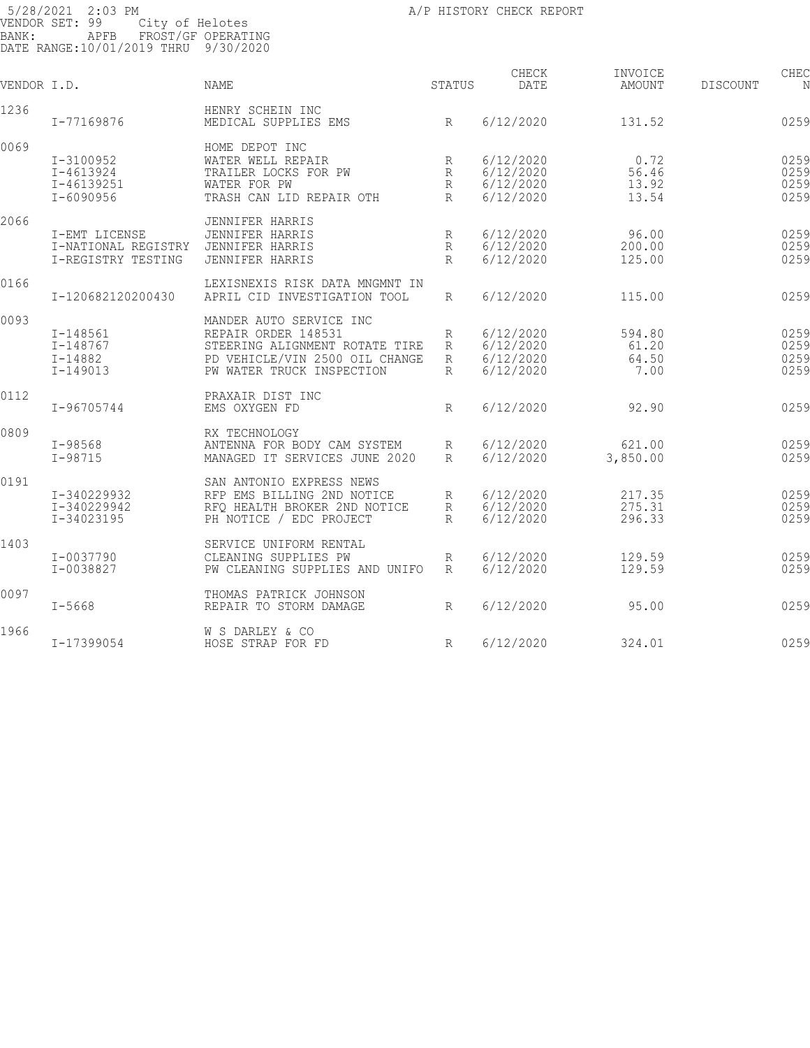| BANK:       | 5/28/2021 2:03 PM<br>VENDOR SET: 99<br>City of Helotes<br>APFB<br>DATE RANGE:10/01/2019 THRU 9/30/2020 | FROST/GF OPERATING                                                                                                                              |                      | A/P HISTORY CHECK REPORT                         |                                  |          |                              |
|-------------|--------------------------------------------------------------------------------------------------------|-------------------------------------------------------------------------------------------------------------------------------------------------|----------------------|--------------------------------------------------|----------------------------------|----------|------------------------------|
| VENDOR I.D. |                                                                                                        | <b>NAME</b>                                                                                                                                     | STATUS               | CHECK<br>DATE                                    | INVOICE<br>AMOUNT                | DISCOUNT | CHEC<br>N                    |
| 1236        | I-77169876                                                                                             | HENRY SCHEIN INC<br>MEDICAL SUPPLIES EMS                                                                                                        | R                    | 6/12/2020                                        | 131.52                           |          | 0259                         |
| 0069        |                                                                                                        | HOME DEPOT INC                                                                                                                                  |                      |                                                  |                                  |          |                              |
|             | I-3100952<br>$I - 4613924$<br>I-46139251<br>$I - 6090956$                                              | WATER WELL REPAIR<br>TRAILER LOCKS FOR PW<br>WATER FOR PW<br>TRASH CAN LID REPAIR OTH                                                           | R<br>R<br>R<br>R     | 6/12/2020<br>6/12/2020<br>6/12/2020<br>6/12/2020 | 0.72<br>56.46<br>13.92<br>13.54  |          | 0259<br>0259<br>0259<br>0259 |
| 2066        |                                                                                                        |                                                                                                                                                 |                      |                                                  |                                  |          |                              |
|             | I-EMT LICENSE<br>I-NATIONAL REGISTRY<br>I-REGISTRY TESTING                                             | <b>JENNIFER HARRIS</b><br><b>JENNIFER HARRIS</b><br>JENNIFER HARRIS<br><b>JENNIFER HARRIS</b>                                                   | R<br>R<br>R          | 6/12/2020<br>6/12/2020<br>6/12/2020              | 96.00<br>200.00<br>125.00        |          | 0259<br>0259<br>0259         |
| 0166        | I-120682120200430                                                                                      | LEXISNEXIS RISK DATA MNGMNT IN<br>APRIL CID INVESTIGATION TOOL                                                                                  | $R_{\rm}$            | 6/12/2020                                        | 115.00                           |          | 0259                         |
| 0093        | $I - 148561$<br>I-148767<br>$I - 14882$<br>$I-149013$                                                  | MANDER AUTO SERVICE INC<br>REPAIR ORDER 148531<br>STEERING ALIGNMENT ROTATE TIRE<br>PD VEHICLE/VIN 2500 OIL CHANGE<br>PW WATER TRUCK INSPECTION | R<br>R<br>R<br>R     | 6/12/2020<br>6/12/2020<br>6/12/2020<br>6/12/2020 | 594.80<br>61.20<br>64.50<br>7.00 |          | 0259<br>0259<br>0259<br>0259 |
| 0112        | I-96705744                                                                                             | PRAXAIR DIST INC<br>EMS OXYGEN FD                                                                                                               | R                    | 6/12/2020                                        | 92.90                            |          | 0259                         |
| 0809        | I-98568<br>$I - 98715$                                                                                 | RX TECHNOLOGY<br>ANTENNA FOR BODY CAM SYSTEM<br>MANAGED IT SERVICES JUNE 2020                                                                   | R<br>$R_{\parallel}$ | 6/12/2020<br>6/12/2020                           | 621.00<br>3,850.00               |          | 0259<br>0259                 |
| 0191        | I-340229932<br>I-340229942<br>I-34023195                                                               | SAN ANTONIO EXPRESS NEWS<br>RFP EMS BILLING 2ND NOTICE<br>RFQ HEALTH BROKER 2ND NOTICE<br>PH NOTICE / EDC PROJECT                               | R<br>R<br>$R_{\rm}$  | 6/12/2020<br>6/12/2020<br>6/12/2020              | 217.35<br>275.31<br>296.33       |          | 0259<br>0259<br>0259         |
| 1403        | I-0037790<br>I-0038827                                                                                 | SERVICE UNIFORM RENTAL<br>CLEANING SUPPLIES PW<br>PW CLEANING SUPPLIES AND UNIFO R                                                              | R                    | 6/12/2020<br>6/12/2020                           | 129.59<br>129.59                 |          | 0259<br>0259                 |
| 0097        | $I - 5668$                                                                                             | THOMAS PATRICK JOHNSON<br>REPAIR TO STORM DAMAGE                                                                                                | R                    | 6/12/2020                                        | 95.00                            |          | 0259                         |
| 1966        | I-17399054                                                                                             | W S DARLEY & CO<br>HOSE STRAP FOR FD                                                                                                            | R                    | 6/12/2020                                        | 324.01                           |          | 0259                         |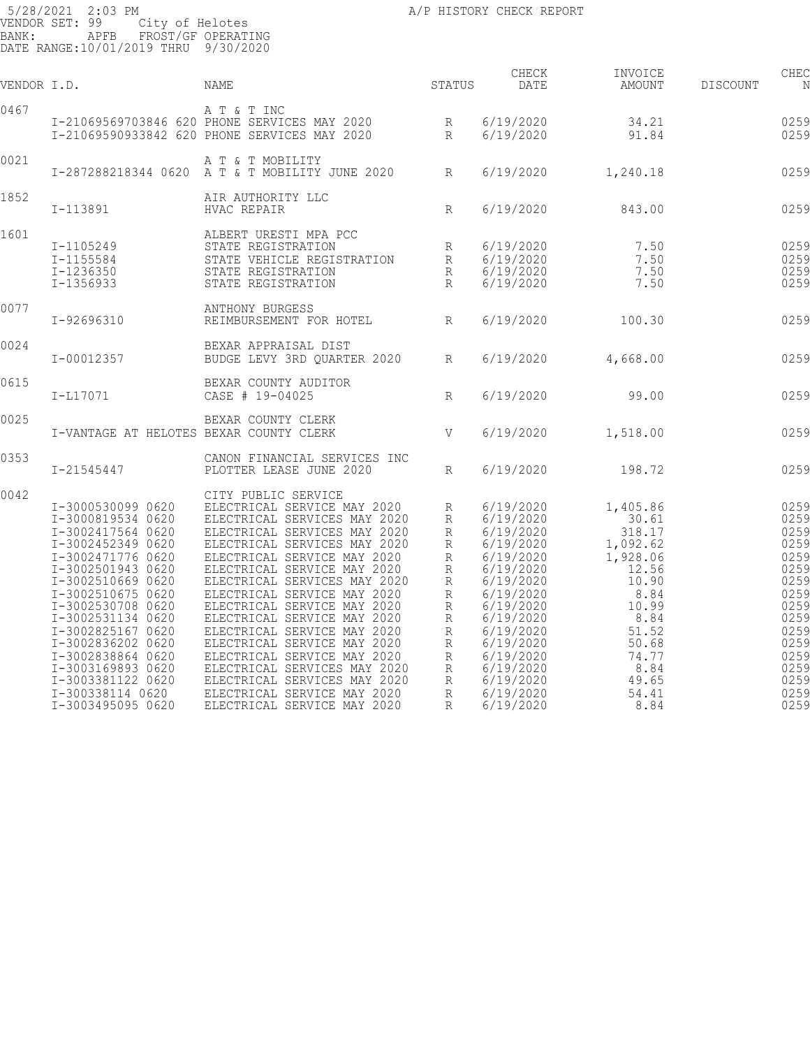| VENDOR I.D. |                                                                                                                                                                                                                                                                                                                                                                  | NAME                                                                                                                                                                                                                                                                                                                                                                                                                                                                                                                                                                     | STATUS                                                                                       | CHECK<br>DATE                                                                                                                                                                                                             | INVOICE<br>AMOUNT                                                                                                                                           | DISCOUNT | CHEC<br>N                                                                                                                            |
|-------------|------------------------------------------------------------------------------------------------------------------------------------------------------------------------------------------------------------------------------------------------------------------------------------------------------------------------------------------------------------------|--------------------------------------------------------------------------------------------------------------------------------------------------------------------------------------------------------------------------------------------------------------------------------------------------------------------------------------------------------------------------------------------------------------------------------------------------------------------------------------------------------------------------------------------------------------------------|----------------------------------------------------------------------------------------------|---------------------------------------------------------------------------------------------------------------------------------------------------------------------------------------------------------------------------|-------------------------------------------------------------------------------------------------------------------------------------------------------------|----------|--------------------------------------------------------------------------------------------------------------------------------------|
| 0467        |                                                                                                                                                                                                                                                                                                                                                                  | A T & T INC<br>I-21069569703846 620 PHONE SERVICES MAY 2020<br>I-21069590933842 620 PHONE SERVICES MAY 2020                                                                                                                                                                                                                                                                                                                                                                                                                                                              |                                                                                              | 6/19/2020<br>6/19/2020                                                                                                                                                                                                    | 34.21<br>91.84                                                                                                                                              |          | 0259<br>0259                                                                                                                         |
| 0021        |                                                                                                                                                                                                                                                                                                                                                                  | A T & T MOBILITY<br>I-287288218344 0620 A T & T MOBILITY JUNE 2020 R                                                                                                                                                                                                                                                                                                                                                                                                                                                                                                     |                                                                                              | 6/19/2020                                                                                                                                                                                                                 | 1,240.18                                                                                                                                                    |          | 0259                                                                                                                                 |
| 1852        | I-113891                                                                                                                                                                                                                                                                                                                                                         | AIR AUTHORITY LLC<br>HVAC REPAIR                                                                                                                                                                                                                                                                                                                                                                                                                                                                                                                                         | $\,$ R                                                                                       | 6/19/2020                                                                                                                                                                                                                 | 843.00                                                                                                                                                      |          | 0259                                                                                                                                 |
| 1601        | I-1105249<br>I-1155584<br>I-1236350<br>I-1356933                                                                                                                                                                                                                                                                                                                 | ALBERT URESTI MPA PCC<br>STATE REGISTRATION<br>STATE REGISTRATION                                                                                                                                                                                                                                                                                                                                                                                                                                                                                                        | R<br>R                                                                                       | 6/19/2020<br>6/19/2020<br>6/19/2020<br>6/19/2020                                                                                                                                                                          | 7.50<br>7.50<br>7.50<br>7.50                                                                                                                                |          | 0259<br>0259<br>0259<br>0259                                                                                                         |
| 0077        | I-92696310                                                                                                                                                                                                                                                                                                                                                       | ANTHONY BURGESS<br>REIMBURSEMENT FOR HOTEL R                                                                                                                                                                                                                                                                                                                                                                                                                                                                                                                             |                                                                                              | 6/19/2020                                                                                                                                                                                                                 | 100.30                                                                                                                                                      |          | 0259                                                                                                                                 |
| 0024        | I-00012357                                                                                                                                                                                                                                                                                                                                                       | BEXAR APPRAISAL DIST<br>BUDGE LEVY 3RD QUARTER 2020                                                                                                                                                                                                                                                                                                                                                                                                                                                                                                                      | R                                                                                            | 6/19/2020                                                                                                                                                                                                                 | 4,668.00                                                                                                                                                    |          | 0259                                                                                                                                 |
| 0615        | $I-L17071$                                                                                                                                                                                                                                                                                                                                                       | BEXAR COUNTY AUDITOR<br>CASE # 19-04025                                                                                                                                                                                                                                                                                                                                                                                                                                                                                                                                  | R                                                                                            | 6/19/2020                                                                                                                                                                                                                 | 99.00                                                                                                                                                       |          | 0259                                                                                                                                 |
| 0025        | I-VANTAGE AT HELOTES BEXAR COUNTY CLERK                                                                                                                                                                                                                                                                                                                          | BEXAR COUNTY CLERK                                                                                                                                                                                                                                                                                                                                                                                                                                                                                                                                                       | <b>V</b>                                                                                     | 6/19/2020                                                                                                                                                                                                                 | 1,518.00                                                                                                                                                    |          | 0259                                                                                                                                 |
| 0353        | I-21545447                                                                                                                                                                                                                                                                                                                                                       | CANON FINANCIAL SERVICES INC<br>PLOTTER LEASE JUNE 2020                                                                                                                                                                                                                                                                                                                                                                                                                                                                                                                  | R                                                                                            | 6/19/2020                                                                                                                                                                                                                 | 198.72                                                                                                                                                      |          | 0259                                                                                                                                 |
| 0042        | I-3000530099 0620<br>I-3000819534 0620<br>I-3002417564 0620<br>I-3002452349 0620<br>I-3002471776 0620<br>I-3002501943 0620<br>I-3002510669 0620<br>I-3002510675 0620<br>I-3002530708 0620<br>I-3002531134 0620<br>I-3002825167 0620<br>I-3002836202 0620<br>I-3002838864 0620<br>I-3003169893 0620<br>I-3003381122 0620<br>I-300338114 0620<br>I-3003495095 0620 | CITY PUBLIC SERVICE<br>ELECTRICAL SERVICE MAY 2020<br>ELECTRICAL SERVICES MAY 2020<br>ELECTRICAL SERVICES MAY 2020<br>ELECTRICAL SERVICES MAY 2020<br>ELECTRICAL SERVICE MAY 2020<br>ELECTRICAL SERVICE MAY 2020<br>ELECTRICAL SERVICES MAY 2020<br>ELECTRICAL SERVICE MAY 2020<br>ELECTRICAL SERVICE MAY 2020<br>ELECTRICAL SERVICE MAY 2020<br>ELECTRICAL SERVICE MAY 2020<br>ELECTRICAL SERVICE MAY 2020<br>ELECTRICAL SERVICE MAY 2020<br>ELECTRICAL SERVICES MAY 2020<br>ELECTRICAL SERVICES MAY 2020<br>ELECTRICAL SERVICE MAY 2020<br>ELECTRICAL SERVICE MAY 2020 | R<br>R<br>$\mathbb{R}$<br>R<br>R<br>R<br>R<br>R<br>R<br>R<br>R<br>R<br>R<br>R<br>R<br>R<br>R | 6/19/2020<br>6/19/2020<br>6/19/2020<br>6/19/2020<br>6/19/2020<br>6/19/2020<br>6/19/2020<br>6/19/2020<br>6/19/2020<br>6/19/2020<br>6/19/2020<br>6/19/2020<br>6/19/2020<br>6/19/2020<br>6/19/2020<br>6/19/2020<br>6/19/2020 | 1,405.86<br>30.61<br>318.17<br>1,092.62<br>1,928.06<br>12.56<br>10.90<br>8.84<br>10.99<br>8.84<br>51.52<br>50.68<br>74.77<br>8.84<br>49.65<br>54.41<br>8.84 |          | 0259<br>0259<br>0259<br>0259<br>0259<br>0259<br>0259<br>0259<br>0259<br>0259<br>0259<br>0259<br>0259<br>0259<br>0259<br>0259<br>0259 |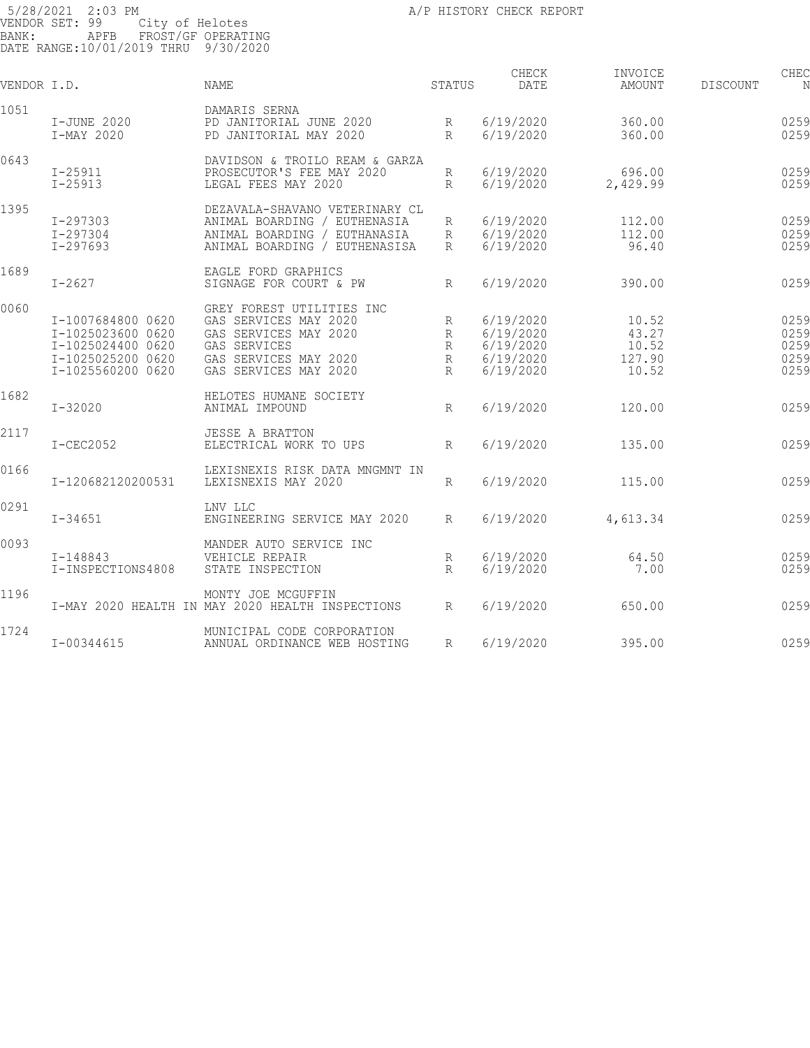| VENDOR I.D. |                                                                                                       | NAME                                                                                                                                          | STATUS                | CHECK<br>DATE                                                 | INVOICE<br>AMOUNT                          | DISCOUNT | CHEC<br>N                            |
|-------------|-------------------------------------------------------------------------------------------------------|-----------------------------------------------------------------------------------------------------------------------------------------------|-----------------------|---------------------------------------------------------------|--------------------------------------------|----------|--------------------------------------|
| 1051        | I-JUNE 2020<br>I-MAY 2020                                                                             | DAMARIS SERNA<br>PD JANITORIAL JUNE 2020<br>PD JANITORIAL MAY 2020                                                                            | R<br>$R_{\rm}$        | 6/19/2020<br>6/19/2020                                        | 360.00<br>360.00                           |          | 0259<br>0259                         |
| 0643        | $I - 25911$<br>$I - 25913$                                                                            | DAVIDSON & TROILO REAM & GARZA<br>PROSECUTOR'S FEE MAY 2020<br>LEGAL FEES MAY 2020                                                            | R<br>$R_{\rm}$        | 6/19/2020<br>6/19/2020                                        | 696.00<br>2,429.99                         |          | 0259<br>0259                         |
| 1395        | I-297303<br>I-297304<br>$I - 297693$                                                                  | DEZAVALA-SHAVANO VETERINARY CL<br>ANIMAL BOARDING / EUTHENASIA<br>ANIMAL BOARDING / EUTHANASIA<br>ANIMAL BOARDING / EUTHENASISA               | R<br>R<br>R           | 6/19/2020<br>6/19/2020<br>6/19/2020                           | 112.00<br>112.00<br>96.40                  |          | 0259<br>0259<br>0259                 |
| 1689        | $I - 2627$                                                                                            | EAGLE FORD GRAPHICS<br>SIGNAGE FOR COURT & PW                                                                                                 | R                     | 6/19/2020                                                     | 390.00                                     |          | 0259                                 |
| 0060        | I-1007684800 0620<br>I-1025023600 0620<br>I-1025024400 0620<br>I-1025025200 0620<br>I-1025560200 0620 | GREY FOREST UTILITIES INC<br>GAS SERVICES MAY 2020<br>GAS SERVICES MAY 2020<br>GAS SERVICES<br>GAS SERVICES MAY 2020<br>GAS SERVICES MAY 2020 | R<br>R<br>R<br>R<br>R | 6/19/2020<br>6/19/2020<br>6/19/2020<br>6/19/2020<br>6/19/2020 | 10.52<br>43.27<br>10.52<br>127.90<br>10.52 |          | 0259<br>0259<br>0259<br>0259<br>0259 |
| 1682        | $I - 32020$                                                                                           | HELOTES HUMANE SOCIETY<br>ANIMAL IMPOUND                                                                                                      | R                     | 6/19/2020                                                     | 120.00                                     |          | 0259                                 |
| 2117        | I-CEC2052                                                                                             | <b>JESSE A BRATTON</b><br>ELECTRICAL WORK TO UPS                                                                                              | R                     | 6/19/2020                                                     | 135.00                                     |          | 0259                                 |
| 0166        | I-120682120200531                                                                                     | LEXISNEXIS RISK DATA MNGMNT IN<br>LEXISNEXIS MAY 2020                                                                                         | R                     | 6/19/2020                                                     | 115.00                                     |          | 0259                                 |
| 0291        | $I - 34651$                                                                                           | LNV LLC<br>ENGINEERING SERVICE MAY 2020                                                                                                       | R                     | 6/19/2020                                                     | 4,613.34                                   |          | 0259                                 |
| 0093        | $I - 148843$<br>I-INSPECTIONS4808                                                                     | MANDER AUTO SERVICE INC<br>VEHICLE REPAIR<br>STATE INSPECTION                                                                                 | R<br>$R_{\parallel}$  | 6/19/2020<br>6/19/2020                                        | 64.50<br>7.00                              |          | 0259<br>0259                         |
| 1196        |                                                                                                       | MONTY JOE MCGUFFIN<br>I-MAY 2020 HEALTH IN MAY 2020 HEALTH INSPECTIONS                                                                        | $R_{\parallel}$       | 6/19/2020                                                     | 650.00                                     |          | 0259                                 |
| 1724        | I-00344615                                                                                            | MUNICIPAL CODE CORPORATION<br>ANNUAL ORDINANCE WEB HOSTING                                                                                    | R                     | 6/19/2020                                                     | 395.00                                     |          | 0259                                 |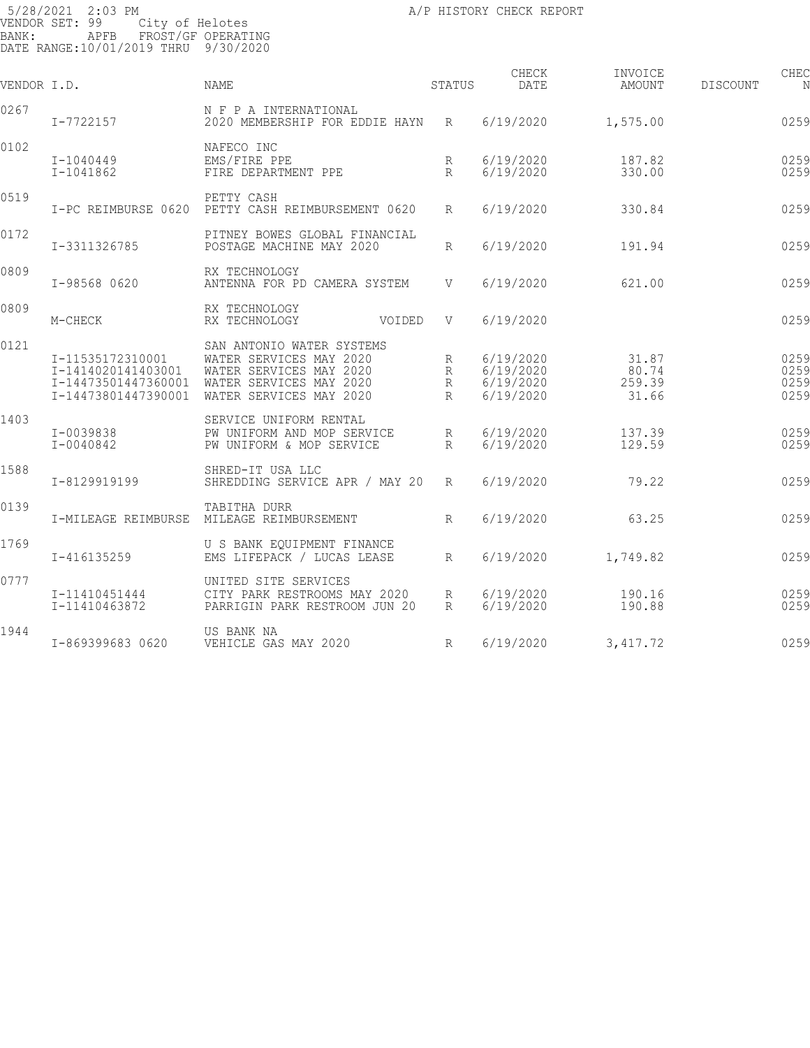| BANK:       | 5/28/2021 2:03 PM<br>VENDOR SET: 99<br>City of Helotes<br>APFB<br>DATE RANGE:10/01/2019 THRU 9/30/2020 | FROST/GF OPERATING                                                                                                                    |                  | A/P HISTORY CHECK REPORT                         |                                   |                 |                              |
|-------------|--------------------------------------------------------------------------------------------------------|---------------------------------------------------------------------------------------------------------------------------------------|------------------|--------------------------------------------------|-----------------------------------|-----------------|------------------------------|
| VENDOR I.D. |                                                                                                        | NAME                                                                                                                                  | STATUS           | CHECK<br>DATE                                    | INVOICE<br>AMOUNT                 | <b>DISCOUNT</b> | CHEC<br>N                    |
| 0267        | I-7722157                                                                                              | N F P A INTERNATIONAL<br>2020 MEMBERSHIP FOR EDDIE HAYN                                                                               | R                | 6/19/2020                                        | 1,575.00                          |                 | 0259                         |
| 0102        | I-1040449<br>I-1041862                                                                                 | NAFECO INC<br>EMS/FIRE PPE<br>FIRE DEPARTMENT PPE                                                                                     | R<br>$R_{\rm}$   | 6/19/2020<br>6/19/2020                           | 187.82<br>330.00                  |                 | 0259<br>0259                 |
| 0519        | I-PC REIMBURSE 0620                                                                                    | PETTY CASH<br>PETTY CASH REIMBURSEMENT 0620                                                                                           | R                | 6/19/2020                                        | 330.84                            |                 | 0259                         |
| 0172        | I-3311326785                                                                                           | PITNEY BOWES GLOBAL FINANCIAL<br>POSTAGE MACHINE MAY 2020                                                                             | R                | 6/19/2020                                        | 191.94                            |                 | 0259                         |
| 0809        | I-98568 0620                                                                                           | RX TECHNOLOGY<br>ANTENNA FOR PD CAMERA SYSTEM                                                                                         | V                | 6/19/2020                                        | 621.00                            |                 | 0259                         |
| 0809        | M-CHECK                                                                                                | RX TECHNOLOGY<br>RX TECHNOLOGY<br>VOIDED                                                                                              | V                | 6/19/2020                                        |                                   |                 | 0259                         |
| 0121        | I-11535172310001<br>I-1414020141403001<br>I-14473501447360001<br>I-14473801447390001                   | SAN ANTONIO WATER SYSTEMS<br>WATER SERVICES MAY 2020<br>WATER SERVICES MAY 2020<br>WATER SERVICES MAY 2020<br>WATER SERVICES MAY 2020 | R<br>R<br>R<br>R | 6/19/2020<br>6/19/2020<br>6/19/2020<br>6/19/2020 | 31.87<br>80.74<br>259.39<br>31.66 |                 | 0259<br>0259<br>0259<br>0259 |
| 1403        | I-0039838<br>I-0040842                                                                                 | SERVICE UNIFORM RENTAL<br>PW UNIFORM AND MOP SERVICE<br>PW UNIFORM & MOP SERVICE                                                      | R<br>R           | 6/19/2020<br>6/19/2020                           | 137.39<br>129.59                  |                 | 0259<br>0259                 |
| 1588        | I-8129919199                                                                                           | SHRED-IT USA LLC<br>SHREDDING SERVICE APR / MAY 20                                                                                    | R                | 6/19/2020                                        | 79.22                             |                 | 0259                         |
| 0139        | I-MILEAGE REIMBURSE                                                                                    | TABITHA DURR<br>MILEAGE REIMBURSEMENT                                                                                                 | R                | 6/19/2020                                        | 63.25                             |                 | 0259                         |
| 1769        | I-416135259                                                                                            | U S BANK EQUIPMENT FINANCE<br>EMS LIFEPACK / LUCAS LEASE                                                                              | R                | 6/19/2020                                        | 1,749.82                          |                 | 0259                         |
| 0777        | I-11410451444<br>I-11410463872                                                                         | UNITED SITE SERVICES<br>CITY PARK RESTROOMS MAY 2020<br>PARRIGIN PARK RESTROOM JUN 20                                                 | R<br>R           | 6/19/2020<br>6/19/2020                           | 190.16<br>190.88                  |                 | 0259<br>0259                 |
| 1944        | I-869399683 0620                                                                                       | US BANK NA<br>VEHICLE GAS MAY 2020                                                                                                    | R                | 6/19/2020                                        | 3,417.72                          |                 | 0259                         |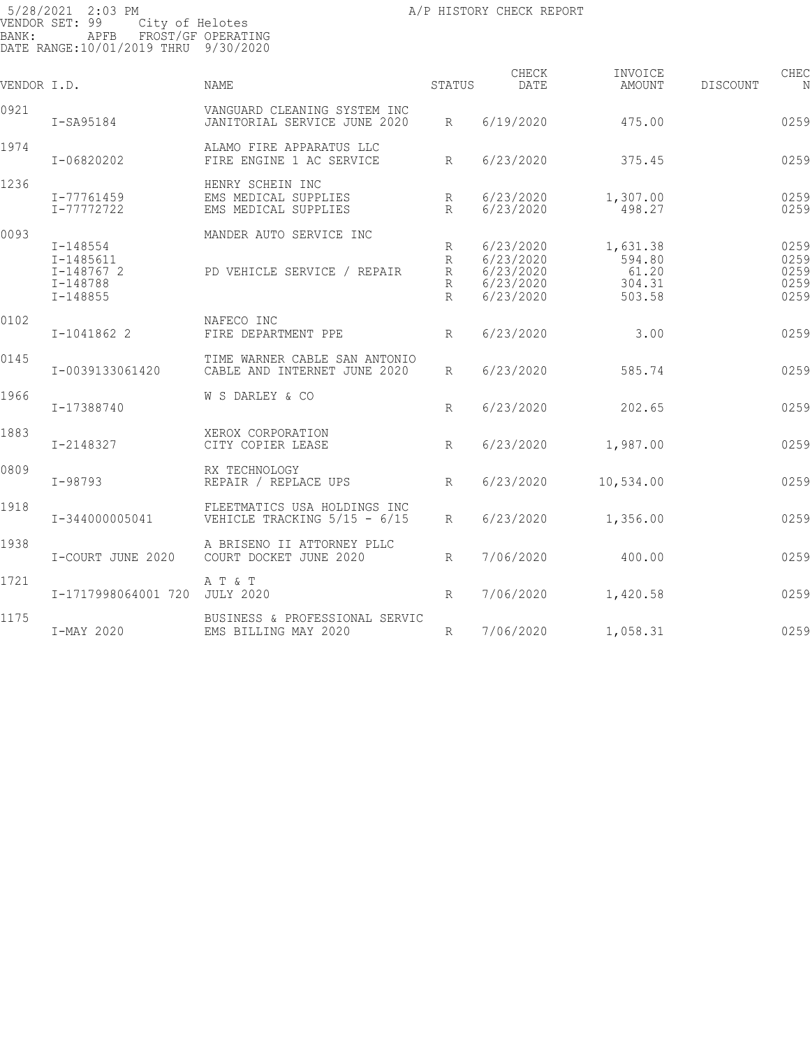| VENDOR I.D. |                                                                     | <b>NAME</b>                                                      | STATUS                           | CHECK<br>DATE                                                 | INVOICE<br>AMOUNT                               | <b>DISCOUNT</b> | CHEC<br>N                            |
|-------------|---------------------------------------------------------------------|------------------------------------------------------------------|----------------------------------|---------------------------------------------------------------|-------------------------------------------------|-----------------|--------------------------------------|
| 0921        | $I-SA95184$                                                         | VANGUARD CLEANING SYSTEM INC<br>JANITORIAL SERVICE JUNE 2020     | R                                | 6/19/2020                                                     | 475.00                                          |                 | 0259                                 |
| 1974        | I-06820202                                                          | ALAMO FIRE APPARATUS LLC<br>FIRE ENGINE 1 AC SERVICE             | R                                | 6/23/2020                                                     | 375.45                                          |                 | 0259                                 |
| 1236        | I-77761459<br>I-77772722                                            | HENRY SCHEIN INC<br>EMS MEDICAL SUPPLIES<br>EMS MEDICAL SUPPLIES | R<br>$R_{\rm}$                   | 6/23/2020<br>6/23/2020                                        | 1,307.00<br>498.27                              |                 | 0259<br>0259                         |
| 0093        | $I - 148554$<br>I-1485611<br>I-148767 2<br>I-148788<br>$I - 148855$ | MANDER AUTO SERVICE INC<br>PD VEHICLE SERVICE / REPAIR           | R<br>R<br>R<br>R<br>$\mathbb{R}$ | 6/23/2020<br>6/23/2020<br>6/23/2020<br>6/23/2020<br>6/23/2020 | 1,631.38<br>594.80<br>61.20<br>304.31<br>503.58 |                 | 0259<br>0259<br>0259<br>0259<br>0259 |
| 0102        | I-1041862 2                                                         | NAFECO INC<br>FIRE DEPARTMENT PPE                                | $R_{\parallel}$                  | 6/23/2020                                                     | 3.00                                            |                 | 0259                                 |
| 0145        | I-0039133061420                                                     | TIME WARNER CABLE SAN ANTONIO<br>CABLE AND INTERNET JUNE 2020    | R                                | 6/23/2020                                                     | 585.74                                          |                 | 0259                                 |
| 1966        | I-17388740                                                          | W S DARLEY & CO                                                  | R                                | 6/23/2020                                                     | 202.65                                          |                 | 0259                                 |
| 1883        | I-2148327                                                           | XEROX CORPORATION<br>CITY COPIER LEASE                           | R                                | 6/23/2020                                                     | 1,987.00                                        |                 | 0259                                 |
| 0809        | $I - 98793$                                                         | RX TECHNOLOGY<br>REPAIR / REPLACE UPS                            | R                                | 6/23/2020                                                     | 10,534.00                                       |                 | 0259                                 |
| 1918        | I-344000005041                                                      | FLEETMATICS USA HOLDINGS INC<br>VEHICLE TRACKING $5/15 - 6/15$   | R                                | 6/23/2020                                                     | 1,356.00                                        |                 | 0259                                 |
| 1938        | I-COURT JUNE 2020                                                   | A BRISENO II ATTORNEY PLLC<br>COURT DOCKET JUNE 2020             | R                                | 7/06/2020                                                     | 400.00                                          |                 | 0259                                 |
| 1721        | I-1717998064001 720                                                 | A T & T<br><b>JULY 2020</b>                                      | R                                | 7/06/2020                                                     | 1,420.58                                        |                 | 0259                                 |
| 1175        | I-MAY 2020                                                          | BUSINESS & PROFESSIONAL SERVIC<br>EMS BILLING MAY 2020           | R                                | 7/06/2020                                                     | 1,058.31                                        |                 | 0259                                 |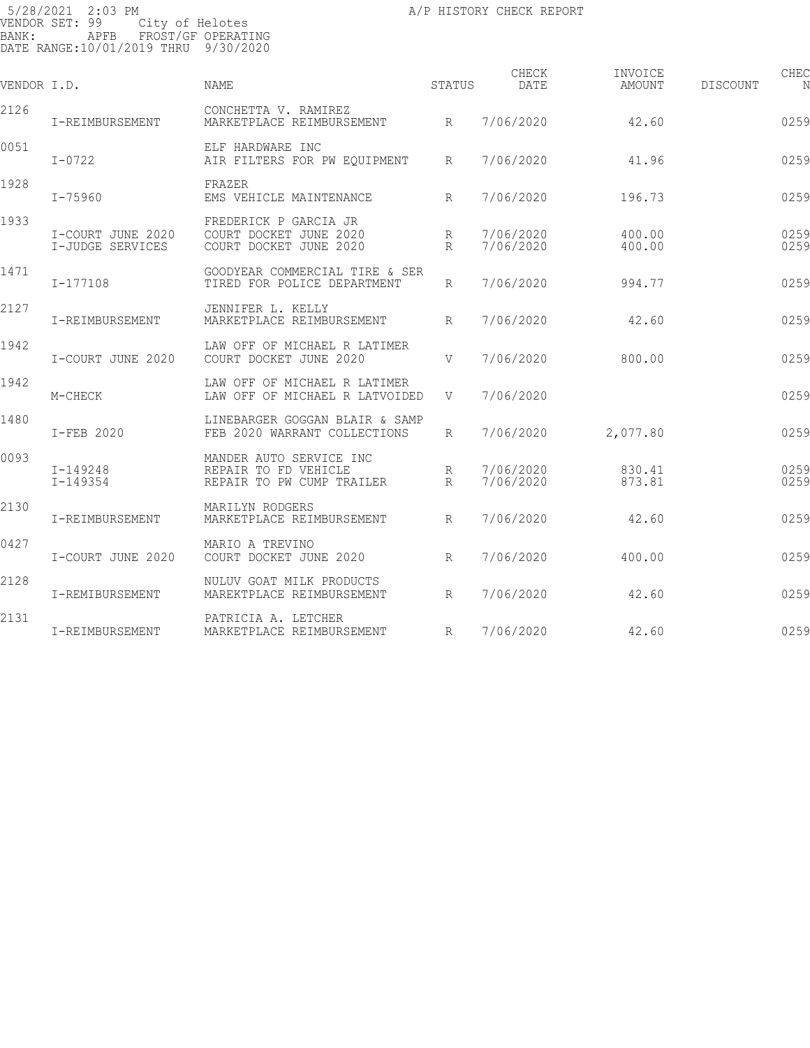| VENDOR I.D. |                                       | NAME                                                                         | STATUS               | CHECK<br>DATE          | INVOICE<br>AMOUNT | DISCOUNT | CHEC<br>N    |
|-------------|---------------------------------------|------------------------------------------------------------------------------|----------------------|------------------------|-------------------|----------|--------------|
| 2126        | I-REIMBURSEMENT                       | CONCHETTA V. RAMIREZ<br>MARKETPLACE REIMBURSEMENT                            | R                    | 7/06/2020              | 42.60             |          | 0259         |
| 0051        | $I - 0722$                            | ELF HARDWARE INC<br>AIR FILTERS FOR PW EQUIPMENT                             | $R_{\parallel}$      | 7/06/2020              | 41.96             |          | 0259         |
| 1928        | I-75960                               | FRAZER<br>EMS VEHICLE MAINTENANCE                                            | $R_{\parallel}$      | 7/06/2020              | 196.73            |          | 0259         |
| 1933        | I-COURT JUNE 2020<br>I-JUDGE SERVICES | FREDERICK P GARCIA JR<br>COURT DOCKET JUNE 2020<br>COURT DOCKET JUNE 2020    | R<br>R               | 7/06/2020<br>7/06/2020 | 400.00<br>400.00  |          | 0259<br>0259 |
| 1471        | I-177108                              | GOODYEAR COMMERCIAL TIRE & SER<br>TIRED FOR POLICE DEPARTMENT                | $R_{\parallel}$      | 7/06/2020              | 994.77            |          | 0259         |
| 2127        | I-REIMBURSEMENT                       | JENNIFER L. KELLY<br>MARKETPLACE REIMBURSEMENT                               | R                    | 7/06/2020              | 42.60             |          | 0259         |
| 1942        | I-COURT JUNE 2020                     | LAW OFF OF MICHAEL R LATIMER<br>COURT DOCKET JUNE 2020                       | V                    | 7/06/2020              | 800.00            |          | 0259         |
| 1942        | M-CHECK                               | LAW OFF OF MICHAEL R LATIMER<br>LAW OFF OF MICHAEL R LATVOIDED               | V                    | 7/06/2020              |                   |          | 0259         |
| 1480        | I-FEB 2020                            | LINEBARGER GOGGAN BLAIR & SAMP<br>FEB 2020 WARRANT COLLECTIONS               | R                    | 7/06/2020              | 2,077.80          |          | 0259         |
| 0093        | $I - 149248$<br>$I - 149354$          | MANDER AUTO SERVICE INC<br>REPAIR TO FD VEHICLE<br>REPAIR TO PW CUMP TRAILER | R<br>$R_{\parallel}$ | 7/06/2020<br>7/06/2020 | 830.41<br>873.81  |          | 0259<br>0259 |
| 2130        | I-REIMBURSEMENT                       | MARILYN RODGERS<br>MARKETPLACE REIMBURSEMENT                                 | $R_{\parallel}$      | 7/06/2020              | 42.60             |          | 0259         |
| 0427        | I-COURT JUNE 2020                     | MARIO A TREVINO<br>COURT DOCKET JUNE 2020                                    | R                    | 7/06/2020              | 400.00            |          | 0259         |
| 2128        | I-REMIBURSEMENT                       | NULUV GOAT MILK PRODUCTS<br>MAREKTPLACE REIMBURSEMENT                        | $R_{\parallel}$      | 7/06/2020              | 42.60             |          | 0259         |
| 2131        | I-REIMBURSEMENT                       | PATRICIA A. LETCHER<br>MARKETPLACE REIMBURSEMENT                             | $R_{\parallel}$      | 7/06/2020              | 42.60             |          | 0259         |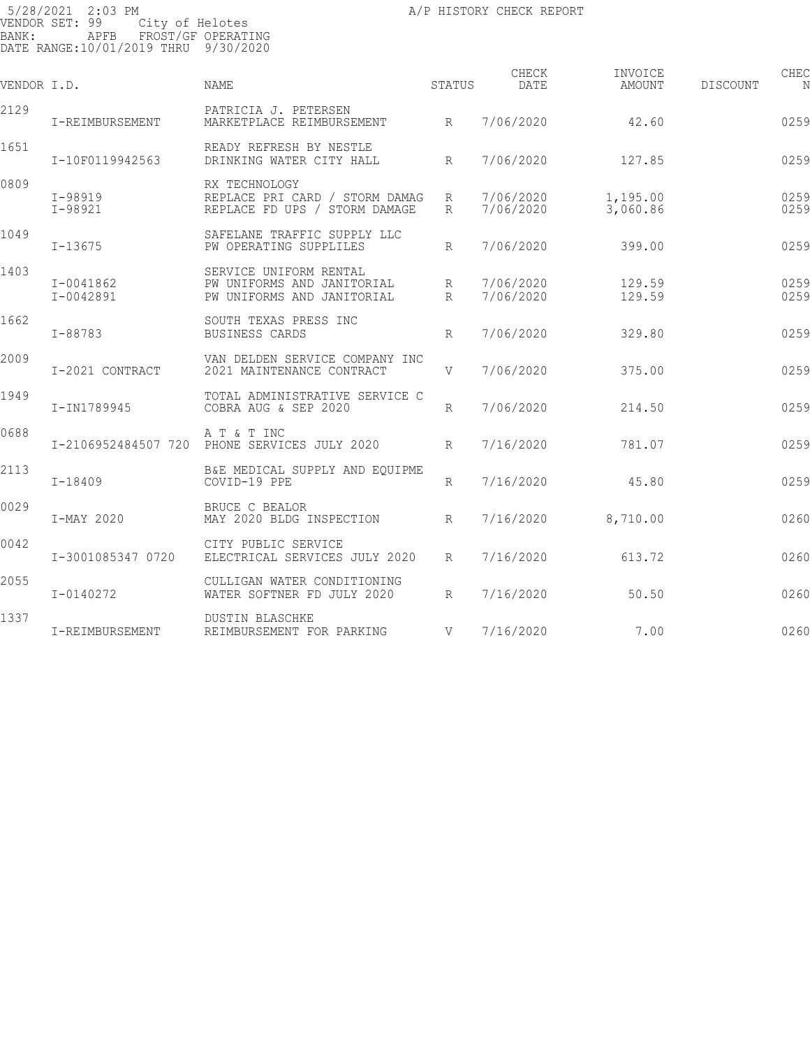| VENDOR I.D. |                            | <b>NAME</b>                                                                        | STATUS                             | CHECK<br>DATE          | INVOICE<br>AMOUNT    | DISCOUNT | CHEC         |
|-------------|----------------------------|------------------------------------------------------------------------------------|------------------------------------|------------------------|----------------------|----------|--------------|
| 2129        | I-REIMBURSEMENT            | PATRICIA J. PETERSEN<br>MARKETPLACE REIMBURSEMENT                                  | R                                  | 7/06/2020              | 42.60                |          | 0259         |
| 1651        | I-10F0119942563            | READY REFRESH BY NESTLE<br>DRINKING WATER CITY HALL                                | R                                  | 7/06/2020              | 127.85               |          | 0259         |
| 0809        | I-98919<br>$I - 98921$     | RX TECHNOLOGY<br>REPLACE PRI CARD / STORM DAMAG<br>REPLACE FD UPS / STORM DAMAGE   | R<br>R                             | 7/06/2020<br>7/06/2020 | 1,195.00<br>3,060.86 |          | 0259<br>0259 |
| 1049        | $I - 13675$                | SAFELANE TRAFFIC SUPPLY LLC<br>PW OPERATING SUPPLILES                              | R                                  | 7/06/2020              | 399.00               |          | 0259         |
| 1403        | I-0041862<br>$I - 0042891$ | SERVICE UNIFORM RENTAL<br>PW UNIFORMS AND JANITORIAL<br>PW UNIFORMS AND JANITORIAL | $R_{\parallel}$<br>$R_{\parallel}$ | 7/06/2020<br>7/06/2020 | 129.59<br>129.59     |          | 0259<br>0259 |
| 1662        | I-88783                    | SOUTH TEXAS PRESS INC<br>BUSINESS CARDS                                            | R                                  | 7/06/2020              | 329.80               |          | 0259         |
| 2009        | I-2021 CONTRACT            | VAN DELDEN SERVICE COMPANY INC<br>2021 MAINTENANCE CONTRACT                        | V                                  | 7/06/2020              | 375.00               |          | 0259         |
| 1949        | I-IN1789945                | TOTAL ADMINISTRATIVE SERVICE C<br>COBRA AUG & SEP 2020                             | $R_{\parallel}$                    | 7/06/2020              | 214.50               |          | 0259         |
| 0688        |                            | A T & T INC<br>I-2106952484507 720 PHONE SERVICES JULY 2020                        | R                                  | 7/16/2020              | 781.07               |          | 0259         |
| 2113        | I-18409                    | B&E MEDICAL SUPPLY AND EQUIPME<br>COVID-19 PPE                                     | R                                  | 7/16/2020              | 45.80                |          | 0259         |
| 0029        | I-MAY 2020                 | BRUCE C BEALOR<br>MAY 2020 BLDG INSPECTION                                         | R                                  | 7/16/2020              | 8,710.00             |          | 0260         |
| 0042        | I-3001085347 0720          | CITY PUBLIC SERVICE<br>ELECTRICAL SERVICES JULY 2020                               | $R_{\parallel}$                    | 7/16/2020              | 613.72               |          | 0260         |
| 2055        | I-0140272                  | CULLIGAN WATER CONDITIONING<br>WATER SOFTNER FD JULY 2020                          | R                                  | 7/16/2020              | 50.50                |          | 0260         |
| 1337        | I-REIMBURSEMENT            | <b>DUSTIN BLASCHKE</b><br>REIMBURSEMENT FOR PARKING                                | V                                  | 7/16/2020              | 7.00                 |          | 0260         |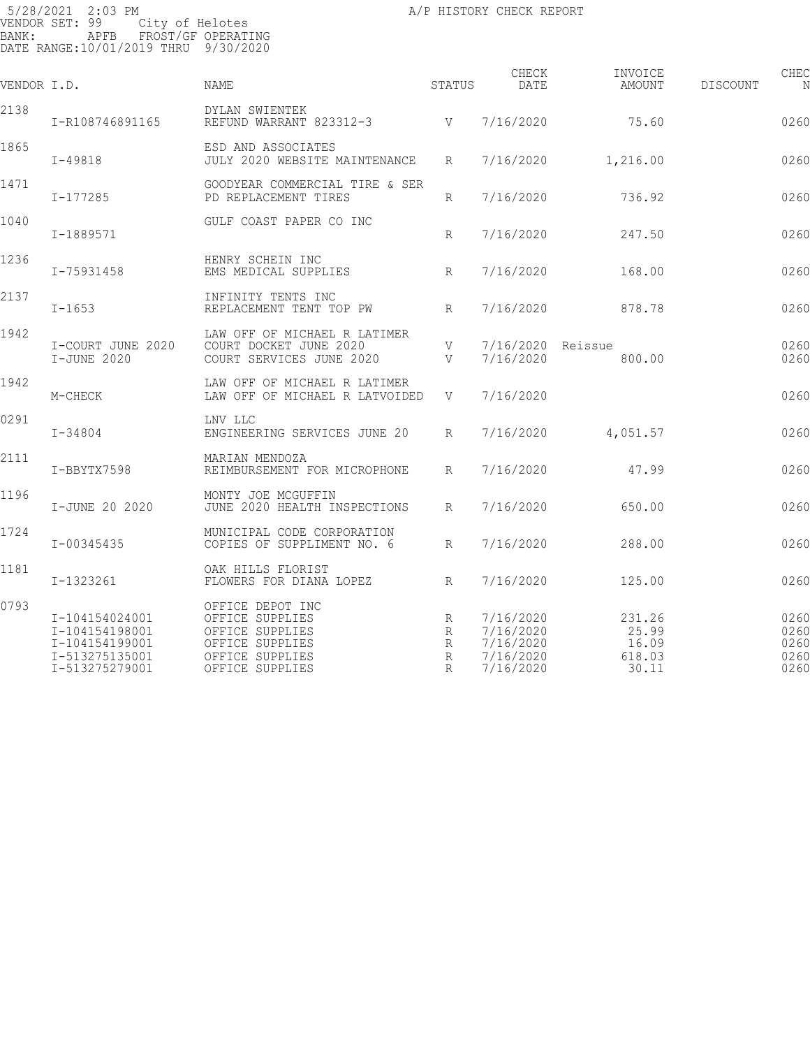| VENDOR I.D. |                                                                                        | NAME                                                                                                            | STATUS                | CHECK<br>DATE                                                 | INVOICE<br>AMOUNT                           | <b>DISCOUNT</b> | CHEC<br>N                            |
|-------------|----------------------------------------------------------------------------------------|-----------------------------------------------------------------------------------------------------------------|-----------------------|---------------------------------------------------------------|---------------------------------------------|-----------------|--------------------------------------|
| 2138        | I-R108746891165                                                                        | DYLAN SWIENTEK<br>REFUND WARRANT 823312-3                                                                       | V                     | 7/16/2020                                                     | 75.60                                       |                 | 0260                                 |
| 1865        | $I - 49818$                                                                            | ESD AND ASSOCIATES<br>JULY 2020 WEBSITE MAINTENANCE                                                             | R                     | 7/16/2020                                                     | 1,216.00                                    |                 | 0260                                 |
| 1471        | I-177285                                                                               | GOODYEAR COMMERCIAL TIRE & SER<br>PD REPLACEMENT TIRES                                                          | R                     | 7/16/2020                                                     | 736.92                                      |                 | 0260                                 |
| 1040        | I-1889571                                                                              | GULF COAST PAPER CO INC                                                                                         | R                     | 7/16/2020                                                     | 247.50                                      |                 | 0260                                 |
| 1236        | I-75931458                                                                             | HENRY SCHEIN INC<br>EMS MEDICAL SUPPLIES                                                                        | $R_{\rm}$             | 7/16/2020                                                     | 168.00                                      |                 | 0260                                 |
| 2137        | $I - 1653$                                                                             | INFINITY TENTS INC<br>REPLACEMENT TENT TOP PW                                                                   | $R_{\rm}$             | 7/16/2020                                                     | 878.78                                      |                 | 0260                                 |
| 1942        | I-COURT JUNE 2020<br>I-JUNE 2020                                                       | LAW OFF OF MICHAEL R LATIMER<br>COURT DOCKET JUNE 2020<br>COURT SERVICES JUNE 2020                              | V<br>V                | 7/16/2020<br>7/16/2020                                        | Reissue<br>800.00                           |                 | 0260<br>0260                         |
| 1942        | M-CHECK                                                                                | LAW OFF OF MICHAEL R LATIMER<br>LAW OFF OF MICHAEL R LATVOIDED                                                  | V                     | 7/16/2020                                                     |                                             |                 | 0260                                 |
| 0291        | $I - 34804$                                                                            | LNV LLC<br>ENGINEERING SERVICES JUNE 20                                                                         | R                     | 7/16/2020                                                     | 4,051.57                                    |                 | 0260                                 |
| 2111        | I-BBYTX7598                                                                            | MARIAN MENDOZA<br>REIMBURSEMENT FOR MICROPHONE                                                                  | R                     | 7/16/2020                                                     | 47.99                                       |                 | 0260                                 |
| 1196        | I-JUNE 20 2020                                                                         | MONTY JOE MCGUFFIN<br>JUNE 2020 HEALTH INSPECTIONS                                                              | R                     | 7/16/2020                                                     | 650.00                                      |                 | 0260                                 |
| 1724        | I-00345435                                                                             | MUNICIPAL CODE CORPORATION<br>COPIES OF SUPPLIMENT NO. 6                                                        | R                     | 7/16/2020                                                     | 288.00                                      |                 | 0260                                 |
| 1181        | I-1323261                                                                              | OAK HILLS FLORIST<br>FLOWERS FOR DIANA LOPEZ                                                                    | R                     | 7/16/2020                                                     | 125.00                                      |                 | 0260                                 |
| 0793        | I-104154024001<br>I-104154198001<br>I-104154199001<br>I-513275135001<br>I-513275279001 | OFFICE DEPOT INC<br>OFFICE SUPPLIES<br>OFFICE SUPPLIES<br>OFFICE SUPPLIES<br>OFFICE SUPPLIES<br>OFFICE SUPPLIES | R<br>R<br>R<br>R<br>R | 7/16/2020<br>7/16/2020<br>7/16/2020<br>7/16/2020<br>7/16/2020 | 231.26<br>25.99<br>16.09<br>618.03<br>30.11 |                 | 0260<br>0260<br>0260<br>0260<br>0260 |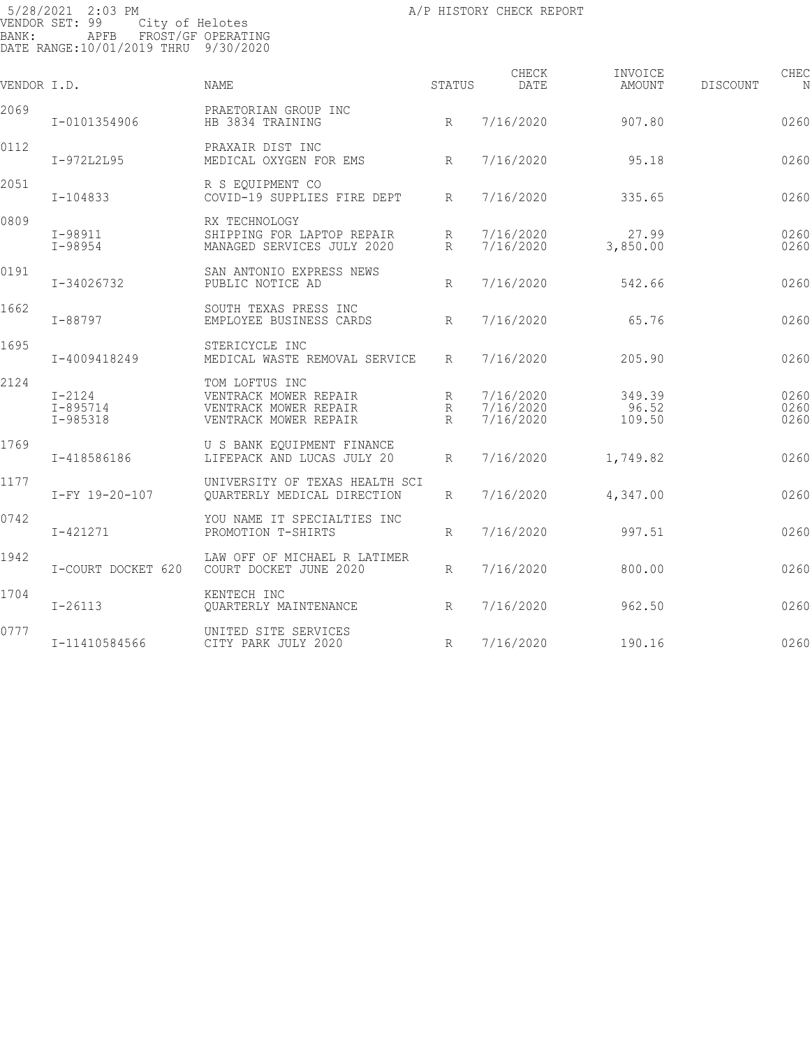| VENDOR I.D. |                                        | NAME                                                                                      | STATUS              | CHECK<br>DATE                       | INVOICE<br>AMOUNT         | DISCOUNT | CHEC<br>N            |
|-------------|----------------------------------------|-------------------------------------------------------------------------------------------|---------------------|-------------------------------------|---------------------------|----------|----------------------|
| 2069        | I-0101354906                           | PRAETORIAN GROUP INC<br>HB 3834 TRAINING                                                  | R                   | 7/16/2020                           | 907.80                    |          | 0260                 |
| 0112        | I-972L2L95                             | PRAXAIR DIST INC<br>MEDICAL OXYGEN FOR EMS                                                | R                   | 7/16/2020                           | 95.18                     |          | 0260                 |
| 2051        | I-104833                               | R S EOUIPMENT CO<br>COVID-19 SUPPLIES FIRE DEPT                                           | R                   | 7/16/2020                           | 335.65                    |          | 0260                 |
| 0809        | $I - 98911$<br>I-98954                 | RX TECHNOLOGY<br>SHIPPING FOR LAPTOP REPAIR<br>MANAGED SERVICES JULY 2020                 | R<br>$R_{\rm}$      | 7/16/2020<br>7/16/2020              | 27.99<br>3,850.00         |          | 0260<br>0260         |
| 0191        | I-34026732                             | SAN ANTONIO EXPRESS NEWS<br>PUBLIC NOTICE AD                                              | $R_{\parallel}$     | 7/16/2020                           | 542.66                    |          | 0260                 |
| 1662        | I-88797                                | SOUTH TEXAS PRESS INC<br>EMPLOYEE BUSINESS CARDS                                          | $R_{\parallel}$     | 7/16/2020                           | 65.76                     |          | 0260                 |
| 1695        | I-4009418249                           | STERICYCLE INC<br>MEDICAL WASTE REMOVAL SERVICE                                           | R                   | 7/16/2020                           | 205.90                    |          | 0260                 |
| 2124        | $I-2124$<br>$I - 895714$<br>$I-985318$ | TOM LOFTUS INC<br>VENTRACK MOWER REPAIR<br>VENTRACK MOWER REPAIR<br>VENTRACK MOWER REPAIR | R<br>R<br>$R_{\rm}$ | 7/16/2020<br>7/16/2020<br>7/16/2020 | 349.39<br>96.52<br>109.50 |          | 0260<br>0260<br>0260 |
| 1769        | I-418586186                            | U S BANK EQUIPMENT FINANCE<br>LIFEPACK AND LUCAS JULY 20                                  | R                   | 7/16/2020                           | 1,749.82                  |          | 0260                 |
| 1177        | I-FY 19-20-107                         | UNIVERSITY OF TEXAS HEALTH SCI<br>QUARTERLY MEDICAL DIRECTION                             | R                   | 7/16/2020                           | 4,347.00                  |          | 0260                 |
| 0742        | I-421271                               | YOU NAME IT SPECIALTIES INC<br>PROMOTION T-SHIRTS                                         | R                   | 7/16/2020                           | 997.51                    |          | 0260                 |
| 1942        | I-COURT DOCKET 620                     | LAW OFF OF MICHAEL R LATIMER<br>COURT DOCKET JUNE 2020                                    | R                   | 7/16/2020                           | 800.00                    |          | 0260                 |
| 1704        | $I - 26113$                            | KENTECH INC<br>QUARTERLY MAINTENANCE                                                      | $R_{\parallel}$     | 7/16/2020                           | 962.50                    |          | 0260                 |
| 0777        | I-11410584566                          | UNITED SITE SERVICES<br>CITY PARK JULY 2020                                               | R                   | 7/16/2020                           | 190.16                    |          | 0260                 |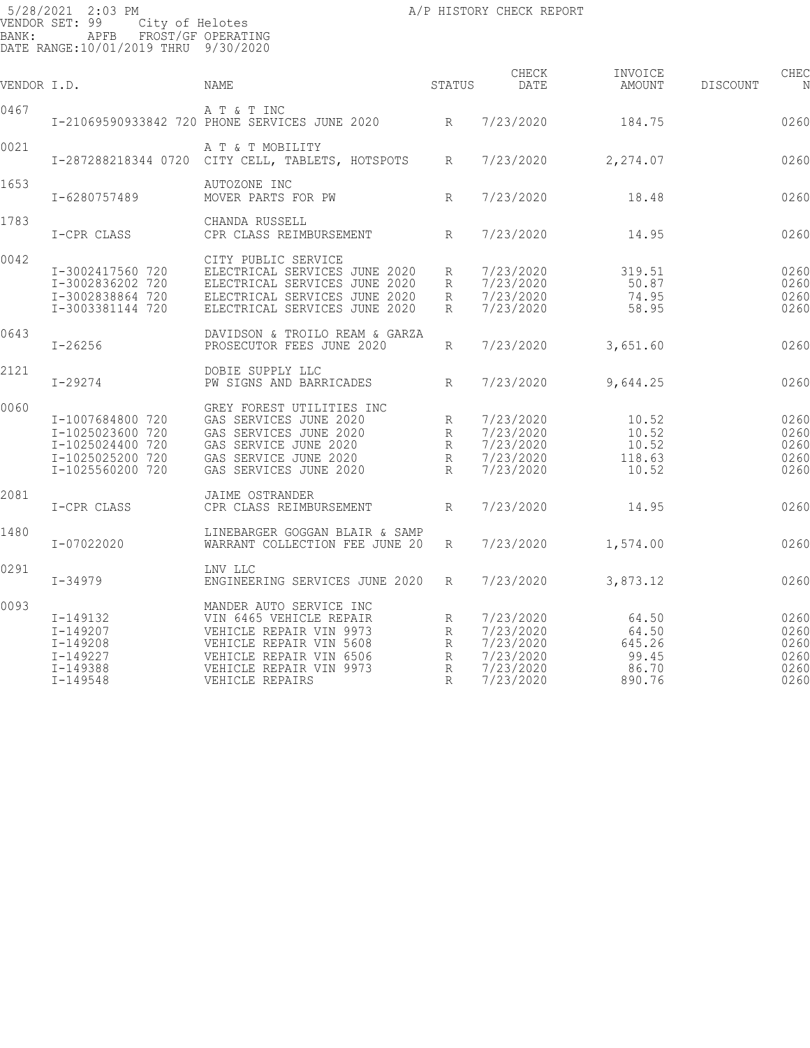| VENDOR I.D. |                                                                                                  | NAME                                                                                                                                                                              | STATUS                                | CHECK<br>DATE                                                              | INVOICE<br>AMOUNT                                    | DISCOUNT | CHEC                                         |
|-------------|--------------------------------------------------------------------------------------------------|-----------------------------------------------------------------------------------------------------------------------------------------------------------------------------------|---------------------------------------|----------------------------------------------------------------------------|------------------------------------------------------|----------|----------------------------------------------|
| 0467        |                                                                                                  | A T & T INC<br>I-21069590933842 720 PHONE SERVICES JUNE 2020 R                                                                                                                    |                                       | 7/23/2020                                                                  | 184.75                                               |          | 0260                                         |
| 0021        |                                                                                                  | A T & T MOBILITY<br>I-287288218344 0720 CITY CELL, TABLETS, HOTSPOTS                                                                                                              | R                                     | 7/23/2020                                                                  | 2,274.07                                             |          | 0260                                         |
| 1653        | I-6280757489                                                                                     | AUTOZONE INC<br>MOVER PARTS FOR PW                                                                                                                                                | R                                     | 7/23/2020                                                                  | 18.48                                                |          | 0260                                         |
| 1783        | I-CPR CLASS                                                                                      | CHANDA RUSSELL<br>CPR CLASS REIMBURSEMENT                                                                                                                                         | R                                     | 7/23/2020                                                                  | 14.95                                                |          | 0260                                         |
| 0042        | I-3002417560 720<br>I-3002836202 720<br>I-3002838864 720<br>I-3003381144 720                     | CITY PUBLIC SERVICE<br>ELECTRICAL SERVICES JUNE 2020<br>ELECTRICAL SERVICES JUNE 2020<br>ELECTRICAL SERVICES JUNE 2020<br>ELECTRICAL SERVICES JUNE 2020                           | R<br>R<br>R<br>R                      | 7/23/2020<br>7/23/2020<br>7/23/2020<br>7/23/2020                           | 319.51<br>50.87<br>74.95<br>58.95                    |          | 0260<br>0260<br>0260<br>0260                 |
| 0643        | $I - 26256$                                                                                      | DAVIDSON & TROILO REAM & GARZA<br>PROSECUTOR FEES JUNE 2020                                                                                                                       | R                                     | 7/23/2020                                                                  | 3,651.60                                             |          | 0260                                         |
| 2121        | $I - 29274$                                                                                      | DOBIE SUPPLY LLC<br>PW SIGNS AND BARRICADES                                                                                                                                       | R                                     | 7/23/2020                                                                  | 9,644.25                                             |          | 0260                                         |
| 0060        | I-1007684800 720<br>I-1025023600 720<br>I-1025024400 720<br>I-1025025200 720<br>I-1025560200 720 | GREY FOREST UTILITIES INC<br>GAS SERVICES JUNE 2020<br>GAS SERVICES JUNE 2020<br>GAS SERVICE JUNE 2020<br>GAS SERVICE JUNE 2020<br>GAS SERVICES JUNE 2020                         | R<br>R<br>R<br>R<br>$R_{\parallel}$   | 7/23/2020<br>7/23/2020<br>7/23/2020<br>7/23/2020<br>7/23/2020              | 10.52<br>10.52<br>10.52<br>118.63<br>10.52           |          | 0260<br>0260<br>0260<br>0260<br>0260         |
| 2081        | I-CPR CLASS                                                                                      | <b>JAIME OSTRANDER</b><br>CPR CLASS REIMBURSEMENT                                                                                                                                 | R                                     | 7/23/2020                                                                  | 14.95                                                |          | 0260                                         |
| 1480        | I-07022020                                                                                       | LINEBARGER GOGGAN BLAIR & SAMP<br>WARRANT COLLECTION FEE JUNE 20                                                                                                                  | $R_{\parallel}$                       | 7/23/2020                                                                  | 1,574.00                                             |          | 0260                                         |
| 0291        | $I-34979$                                                                                        | LNV LLC<br>ENGINEERING SERVICES JUNE 2020                                                                                                                                         | R                                     | 7/23/2020                                                                  | 3,873.12                                             |          | 0260                                         |
| 0093        | I-149132<br>$I - 149207$<br>$I - 149208$<br>$I - 149227$<br>I-149388<br>$I - 149548$             | MANDER AUTO SERVICE INC<br>VIN 6465 VEHICLE REPAIR<br>VEHICLE REPAIR VIN 9973<br>VEHICLE REPAIR VIN 5608<br>VEHICLE REPAIR VIN 6506<br>VEHICLE REPAIR VIN 9973<br>VEHICLE REPAIRS | R<br>R<br>R<br>R<br>$\mathbb{R}$<br>R | 7/23/2020<br>7/23/2020<br>7/23/2020<br>7/23/2020<br>7/23/2020<br>7/23/2020 | 64.50<br>64.50<br>645.26<br>99.45<br>86.70<br>890.76 |          | 0260<br>0260<br>0260<br>0260<br>0260<br>0260 |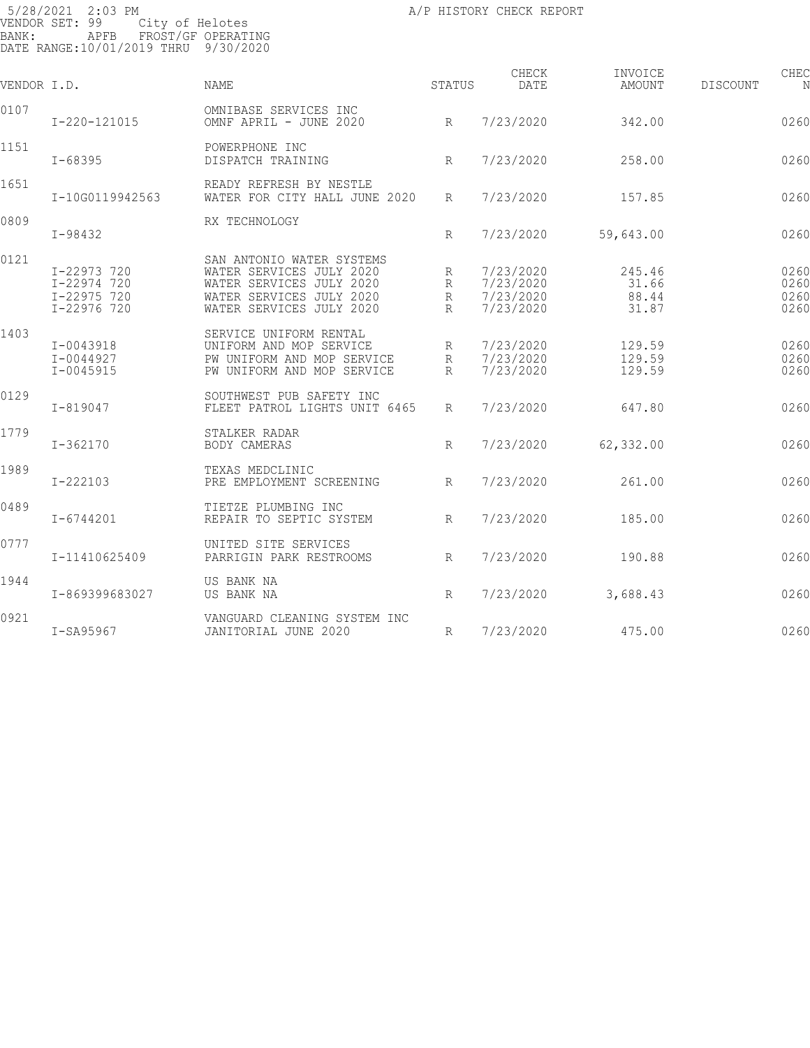| VENDOR I.D. |                                                          | <b>NAME</b>                                                                                                                               | STATUS                    | CHECK<br><b>DATE</b>                             | INVOICE<br>AMOUNT                 | DISCOUNT | CHEC<br>N                    |
|-------------|----------------------------------------------------------|-------------------------------------------------------------------------------------------------------------------------------------------|---------------------------|--------------------------------------------------|-----------------------------------|----------|------------------------------|
| 0107        | I-220-121015                                             | OMNIBASE SERVICES INC<br>OMNF APRIL - JUNE 2020                                                                                           | R                         | 7/23/2020                                        | 342.00                            |          | 0260                         |
| 1151        | $I - 68395$                                              | POWERPHONE INC<br>DISPATCH TRAINING                                                                                                       | $R_{\parallel}$           | 7/23/2020                                        | 258.00                            |          | 0260                         |
| 1651        | I-10G0119942563                                          | READY REFRESH BY NESTLE<br>WATER FOR CITY HALL JUNE 2020                                                                                  | R                         | 7/23/2020                                        | 157.85                            |          | 0260                         |
| 0809        | I-98432                                                  | RX TECHNOLOGY                                                                                                                             | R                         | 7/23/2020                                        | 59,643.00                         |          | 0260                         |
| 0121        | I-22973 720<br>I-22974 720<br>I-22975 720<br>I-22976 720 | SAN ANTONIO WATER SYSTEMS<br>WATER SERVICES JULY 2020<br>WATER SERVICES JULY 2020<br>WATER SERVICES JULY 2020<br>WATER SERVICES JULY 2020 | R<br>R<br>R<br>R          | 7/23/2020<br>7/23/2020<br>7/23/2020<br>7/23/2020 | 245.46<br>31.66<br>88.44<br>31.87 |          | 0260<br>0260<br>0260<br>0260 |
| 1403        | I-0043918<br>$I - 0044927$<br>I-0045915                  | SERVICE UNIFORM RENTAL<br>UNIFORM AND MOP SERVICE<br>PW UNIFORM AND MOP SERVICE<br>PW UNIFORM AND MOP SERVICE                             | R<br>R<br>$R_{\parallel}$ | 7/23/2020<br>7/23/2020<br>7/23/2020              | 129.59<br>129.59<br>129.59        |          | 0260<br>0260<br>0260         |
| 0129        | $I - 819047$                                             | SOUTHWEST PUB SAFETY INC<br>FLEET PATROL LIGHTS UNIT 6465                                                                                 | R                         | 7/23/2020                                        | 647.80                            |          | 0260                         |
| 1779        | $I - 362170$                                             | STALKER RADAR<br>BODY CAMERAS                                                                                                             | R                         | 7/23/2020                                        | 62,332.00                         |          | 0260                         |
| 1989        | $I - 222103$                                             | TEXAS MEDCLINIC<br>PRE EMPLOYMENT SCREENING                                                                                               | R                         | 7/23/2020                                        | 261.00                            |          | 0260                         |
| 0489        | $I - 6744201$                                            | TIETZE PLUMBING INC<br>REPAIR TO SEPTIC SYSTEM                                                                                            | $R_{\parallel}$           | 7/23/2020                                        | 185.00                            |          | 0260                         |
| 0777        | I-11410625409                                            | UNITED SITE SERVICES<br>PARRIGIN PARK RESTROOMS                                                                                           | $R_{\parallel}$           | 7/23/2020                                        | 190.88                            |          | 0260                         |
| 1944        | I-869399683027                                           | US BANK NA<br>US BANK NA                                                                                                                  | R                         | 7/23/2020                                        | 3,688.43                          |          | 0260                         |
| 0921        | I-SA95967                                                | VANGUARD CLEANING SYSTEM INC<br>JANITORIAL JUNE 2020                                                                                      | R                         | 7/23/2020                                        | 475.00                            |          | 0260                         |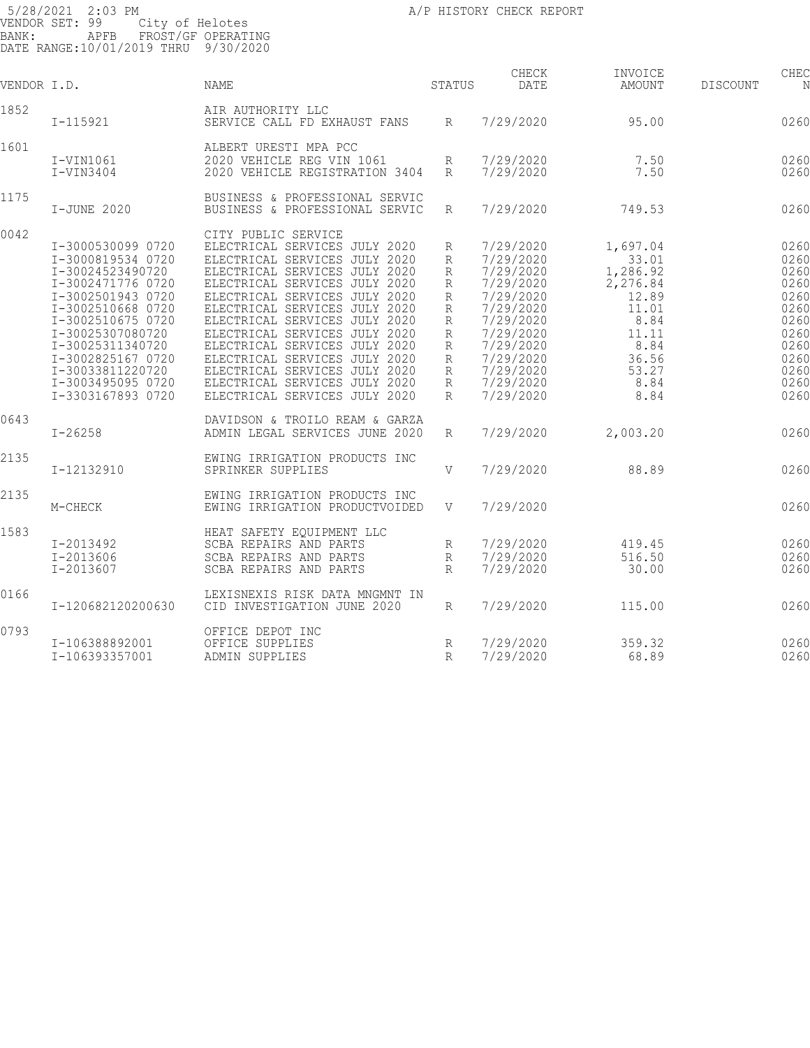| VENDOR I.D. |                                                                                                                                                                                                                                                                           | NAME                                                                                                                                                                                                                                                                                                                                                                                                                                                             | STATUS                                                        | CHECK<br>DATE                                                                                                                                                         | INVOICE<br>AMOUNT                                                                                                      | DISCOUNT | CHEC<br>N                                                                                            |
|-------------|---------------------------------------------------------------------------------------------------------------------------------------------------------------------------------------------------------------------------------------------------------------------------|------------------------------------------------------------------------------------------------------------------------------------------------------------------------------------------------------------------------------------------------------------------------------------------------------------------------------------------------------------------------------------------------------------------------------------------------------------------|---------------------------------------------------------------|-----------------------------------------------------------------------------------------------------------------------------------------------------------------------|------------------------------------------------------------------------------------------------------------------------|----------|------------------------------------------------------------------------------------------------------|
| 1852        | I-115921                                                                                                                                                                                                                                                                  | AIR AUTHORITY LLC<br>SERVICE CALL FD EXHAUST FANS                                                                                                                                                                                                                                                                                                                                                                                                                | R                                                             | 7/29/2020                                                                                                                                                             | 95.00                                                                                                                  |          | 0260                                                                                                 |
| 1601        | $I-VIN1061$<br>$I-VIN3404$                                                                                                                                                                                                                                                | ALBERT URESTI MPA PCC<br>2020 VEHICLE REG VIN 1061<br>2020 VEHICLE REGISTRATION 3404                                                                                                                                                                                                                                                                                                                                                                             | R<br>R                                                        | 7/29/2020<br>7/29/2020                                                                                                                                                | 7.50<br>7.50                                                                                                           |          | 0260<br>0260                                                                                         |
| 1175        | I-JUNE 2020                                                                                                                                                                                                                                                               | BUSINESS & PROFESSIONAL SERVIC<br>BUSINESS & PROFESSIONAL SERVIC                                                                                                                                                                                                                                                                                                                                                                                                 | R                                                             | 7/29/2020                                                                                                                                                             | 749.53                                                                                                                 |          | 0260                                                                                                 |
| 0042        | I-3000530099 0720<br>I-3000819534 0720<br>I-30024523490720<br>I-3002471776 0720<br>I-3002501943 0720<br>I-3002510668 0720<br>I-3002510675 0720<br>I-30025307080720<br>I-30025311340720<br>I-3002825167 0720<br>I-30033811220720<br>I-3003495095 0720<br>I-3303167893 0720 | CITY PUBLIC SERVICE<br>ELECTRICAL SERVICES JULY 2020<br>ELECTRICAL SERVICES JULY 2020<br>ELECTRICAL SERVICES JULY 2020<br>ELECTRICAL SERVICES JULY 2020<br>ELECTRICAL SERVICES JULY 2020<br>ELECTRICAL SERVICES JULY 2020<br>ELECTRICAL SERVICES JULY 2020<br>ELECTRICAL SERVICES JULY 2020<br>ELECTRICAL SERVICES JULY 2020<br>ELECTRICAL SERVICES JULY 2020<br>ELECTRICAL SERVICES JULY 2020<br>ELECTRICAL SERVICES JULY 2020<br>ELECTRICAL SERVICES JULY 2020 | R<br>R<br>R<br>R<br>R<br>R<br>R<br>R<br>R<br>R<br>R<br>R<br>R | 7/29/2020<br>7/29/2020<br>7/29/2020<br>7/29/2020<br>7/29/2020<br>7/29/2020<br>7/29/2020<br>7/29/2020<br>7/29/2020<br>7/29/2020<br>7/29/2020<br>7/29/2020<br>7/29/2020 | 1,697.04<br>33.01<br>1,286.92<br>2,276.84<br>12.89<br>11.01<br>8.84<br>11.11<br>8.84<br>36.56<br>53.27<br>8.84<br>8.84 |          | 0260<br>0260<br>0260<br>0260<br>0260<br>0260<br>0260<br>0260<br>0260<br>0260<br>0260<br>0260<br>0260 |
| 0643        | $I - 26258$                                                                                                                                                                                                                                                               | DAVIDSON & TROILO REAM & GARZA<br>ADMIN LEGAL SERVICES JUNE 2020                                                                                                                                                                                                                                                                                                                                                                                                 | R                                                             | 7/29/2020                                                                                                                                                             | 2,003.20                                                                                                               |          | 0260                                                                                                 |
| 2135        | $I - 12132910$                                                                                                                                                                                                                                                            | EWING IRRIGATION PRODUCTS INC<br>SPRINKER SUPPLIES                                                                                                                                                                                                                                                                                                                                                                                                               | V                                                             | 7/29/2020                                                                                                                                                             | 88.89                                                                                                                  |          | 0260                                                                                                 |
| 2135        | M-CHECK                                                                                                                                                                                                                                                                   | EWING IRRIGATION PRODUCTS INC<br>EWING IRRIGATION PRODUCTVOIDED                                                                                                                                                                                                                                                                                                                                                                                                  | V                                                             | 7/29/2020                                                                                                                                                             |                                                                                                                        |          | 0260                                                                                                 |
| 1583        | I-2013492<br>I-2013606<br>I-2013607                                                                                                                                                                                                                                       | HEAT SAFETY EOUIPMENT LLC<br>SCBA REPAIRS AND PARTS<br>SCBA REPAIRS AND PARTS<br>SCBA REPAIRS AND PARTS                                                                                                                                                                                                                                                                                                                                                          | R<br>$R_{\rm}$<br>R                                           | 7/29/2020<br>7/29/2020<br>7/29/2020                                                                                                                                   | 419.45<br>516.50<br>30.00                                                                                              |          | 0260<br>0260<br>0260                                                                                 |
| 0166        | I-120682120200630                                                                                                                                                                                                                                                         | LEXISNEXIS RISK DATA MNGMNT IN<br>CID INVESTIGATION JUNE 2020                                                                                                                                                                                                                                                                                                                                                                                                    | $R_{\rm}$                                                     | 7/29/2020                                                                                                                                                             | 115.00                                                                                                                 |          | 0260                                                                                                 |
| 0793        | I-106388892001<br>I-106393357001                                                                                                                                                                                                                                          | OFFICE DEPOT INC<br>OFFICE SUPPLIES<br>ADMIN SUPPLIES                                                                                                                                                                                                                                                                                                                                                                                                            | R<br>R                                                        | 7/29/2020<br>7/29/2020                                                                                                                                                | 359.32<br>68.89                                                                                                        |          | 0260<br>0260                                                                                         |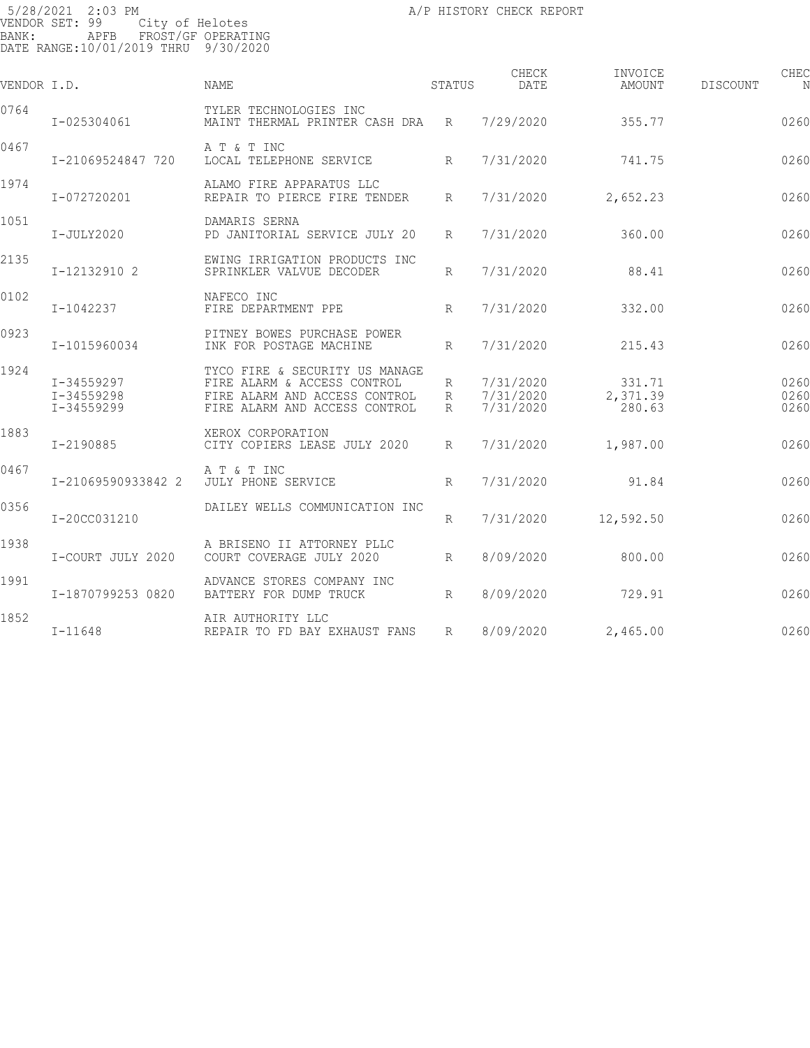5/28/2021 2:03 PM VENDOR SET: 99 City of Helotes BANK: APFB FROST/GF OPERATING DATE RANGE:10/01/2019 THRU 9/30/2020

| VENDOR I.D. |                                        | <b>NAME</b>                                                                                                                     | STATUS          | CHECK<br>DATE                       | INVOICE<br>AMOUNT            | DISCOUNT | CHEC<br>N            |
|-------------|----------------------------------------|---------------------------------------------------------------------------------------------------------------------------------|-----------------|-------------------------------------|------------------------------|----------|----------------------|
| 0764        | I-025304061                            | TYLER TECHNOLOGIES INC<br>MAINT THERMAL PRINTER CASH DRA R                                                                      |                 | 7/29/2020                           | 355.77                       |          | 0260                 |
| 0467        | I-21069524847 720                      | A T & T INC<br>LOCAL TELEPHONE SERVICE                                                                                          | $R_{\parallel}$ | 7/31/2020                           | 741.75                       |          | 0260                 |
| 1974        | I-072720201                            | ALAMO FIRE APPARATUS LLC<br>REPAIR TO PIERCE FIRE TENDER                                                                        | $R_{\parallel}$ | 7/31/2020                           | 2,652.23                     |          | 0260                 |
| 1051        | I-JULY2020                             | DAMARIS SERNA<br>PD JANITORIAL SERVICE JULY 20                                                                                  | R               | 7/31/2020                           | 360.00                       |          | 0260                 |
| 2135        | I-12132910 2                           | EWING IRRIGATION PRODUCTS INC<br>SPRINKLER VALVUE DECODER                                                                       | R               | 7/31/2020                           | 88.41                        |          | 0260                 |
| 0102        | I-1042237                              | NAFECO INC<br>FIRE DEPARTMENT PPE                                                                                               | R               | 7/31/2020                           | 332.00                       |          | 0260                 |
| 0923        | I-1015960034                           | PITNEY BOWES PURCHASE POWER<br>INK FOR POSTAGE MACHINE                                                                          | R               | 7/31/2020                           | 215.43                       |          | 0260                 |
| 1924        | I-34559297<br>I-34559298<br>I-34559299 | TYCO FIRE & SECURITY US MANAGE<br>FIRE ALARM & ACCESS CONTROL<br>FIRE ALARM AND ACCESS CONTROL<br>FIRE ALARM AND ACCESS CONTROL | R<br>R<br>R     | 7/31/2020<br>7/31/2020<br>7/31/2020 | 331.71<br>2,371.39<br>280.63 |          | 0260<br>0260<br>0260 |
| 1883        | I-2190885                              | XEROX CORPORATION<br>CITY COPIERS LEASE JULY 2020                                                                               | $R_{\parallel}$ | 7/31/2020                           | 1,987.00                     |          | 0260                 |
| 0467        | I-21069590933842 2                     | A T & T INC<br>JULY PHONE SERVICE                                                                                               | R               | 7/31/2020                           | 91.84                        |          | 0260                 |
| 0356        | I-20CC031210                           | DAILEY WELLS COMMUNICATION INC                                                                                                  | R               | 7/31/2020                           | 12,592.50                    |          | 0260                 |
| 1938        | I-COURT JULY 2020                      | A BRISENO II ATTORNEY PLLC<br>COURT COVERAGE JULY 2020                                                                          | $R_{\parallel}$ | 8/09/2020                           | 800.00                       |          | 0260                 |
| 1991        | I-1870799253 0820                      | ADVANCE STORES COMPANY INC<br>BATTERY FOR DUMP TRUCK                                                                            | R               | 8/09/2020                           | 729.91                       |          | 0260                 |
| 1852        | $I - 11648$                            | AIR AUTHORITY LLC<br>REPAIR TO FD BAY EXHAUST FANS                                                                              | R               | 8/09/2020                           | 2,465.00                     |          | 0260                 |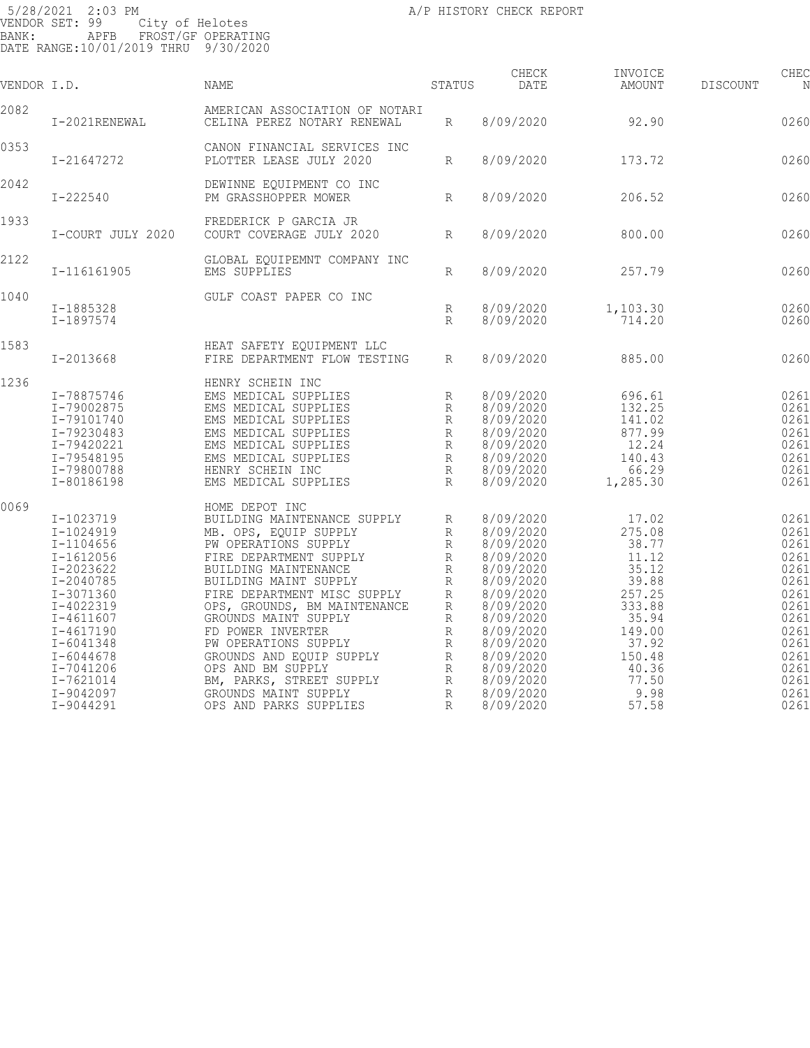| VENDOR I.D. |                                                                                                                                                                                                                                | NAME                                                                                                                                                                                                                                                                                                                                                                                                                                         | STATUS                                                                       | CHECK<br>DATE                                                                                                                                                                                                | INVOICE<br>AMOUNT                                                                                                                                | <b>DISCOUNT</b> | CHEC<br>N                                                                                                                    |
|-------------|--------------------------------------------------------------------------------------------------------------------------------------------------------------------------------------------------------------------------------|----------------------------------------------------------------------------------------------------------------------------------------------------------------------------------------------------------------------------------------------------------------------------------------------------------------------------------------------------------------------------------------------------------------------------------------------|------------------------------------------------------------------------------|--------------------------------------------------------------------------------------------------------------------------------------------------------------------------------------------------------------|--------------------------------------------------------------------------------------------------------------------------------------------------|-----------------|------------------------------------------------------------------------------------------------------------------------------|
| 2082        | I-2021RENEWAL                                                                                                                                                                                                                  | AMERICAN ASSOCIATION OF NOTARI<br>CELINA PEREZ NOTARY RENEWAL                                                                                                                                                                                                                                                                                                                                                                                | R                                                                            | 8/09/2020                                                                                                                                                                                                    | 92.90                                                                                                                                            |                 | 0260                                                                                                                         |
| 0353        | I-21647272                                                                                                                                                                                                                     | CANON FINANCIAL SERVICES INC<br>PLOTTER LEASE JULY 2020                                                                                                                                                                                                                                                                                                                                                                                      | R                                                                            | 8/09/2020                                                                                                                                                                                                    | 173.72                                                                                                                                           |                 | 0260                                                                                                                         |
| 2042        | $I - 222540$                                                                                                                                                                                                                   | DEWINNE EQUIPMENT CO INC<br>PM GRASSHOPPER MOWER                                                                                                                                                                                                                                                                                                                                                                                             | R                                                                            | 8/09/2020                                                                                                                                                                                                    | 206.52                                                                                                                                           |                 | 0260                                                                                                                         |
| 1933        | I-COURT JULY 2020                                                                                                                                                                                                              | FREDERICK P GARCIA JR<br>COURT COVERAGE JULY 2020                                                                                                                                                                                                                                                                                                                                                                                            | R                                                                            | 8/09/2020                                                                                                                                                                                                    | 800.00                                                                                                                                           |                 | 0260                                                                                                                         |
| 2122        | I-116161905                                                                                                                                                                                                                    | GLOBAL EQUIPEMNT COMPANY INC<br>EMS SUPPLIES                                                                                                                                                                                                                                                                                                                                                                                                 | R                                                                            | 8/09/2020                                                                                                                                                                                                    | 257.79                                                                                                                                           |                 | 0260                                                                                                                         |
| 1040        | I-1885328<br>I-1897574                                                                                                                                                                                                         | GULF COAST PAPER CO INC                                                                                                                                                                                                                                                                                                                                                                                                                      | R<br>R                                                                       | 8/09/2020<br>8/09/2020                                                                                                                                                                                       | 1,103.30<br>714.20                                                                                                                               |                 | 0260<br>0260                                                                                                                 |
| 1583        | I-2013668                                                                                                                                                                                                                      | HEAT SAFETY EQUIPMENT LLC<br>FIRE DEPARTMENT FLOW TESTING                                                                                                                                                                                                                                                                                                                                                                                    | R                                                                            | 8/09/2020                                                                                                                                                                                                    | 885.00                                                                                                                                           |                 | 0260                                                                                                                         |
| 1236        | I-78875746<br>I-79002875<br>I-79101740<br>I-79230483<br>I-79420221<br>I-79548195<br>I-79800788<br>I-80186198                                                                                                                   | HENRY SCHEIN INC<br>EMS MEDICAL SUPPLIES<br>EMS MEDICAL SUPPLIES<br>EMS MEDICAL SUPPLIES<br>EMS MEDICAL SUPPLIES<br>EMS MEDICAL SUPPLIES<br>EMS MEDICAL SUPPLIES<br>HENRY SCHEIN INC<br>EMS MEDICAL SUPPLIES                                                                                                                                                                                                                                 | R<br>R<br>R<br>$\mathbb{R}$<br>R<br>R<br>R<br>R                              | 8/09/2020<br>8/09/2020<br>8/09/2020<br>8/09/2020<br>8/09/2020<br>8/09/2020<br>8/09/2020<br>8/09/2020                                                                                                         | 696.61<br>132.25<br>141.02<br>877.99<br>12.24<br>140.43<br>66.29<br>1,285.30                                                                     |                 | 0261<br>0261<br>0261<br>0261<br>0261<br>0261<br>0261<br>0261                                                                 |
| 0069        | I-1023719<br>I-1024919<br>$I-1104656$<br>$I - 1612056$<br>I-2023622<br>I-2040785<br>I-3071360<br>I-4022319<br>$I - 4611607$<br>I-4617190<br>$I - 6041348$<br>$I - 6044678$<br>I-7041206<br>I-7621014<br>I-9042097<br>I-9044291 | HOME DEPOT INC<br>BUILDING MAINTENANCE SUPPLY<br>MB. OPS, EQUIP SUPPLY<br>PW OPERATIONS SUPPLY<br>FIRE DEPARTMENT SUPPLY<br>BUILDING MAINTENANCE<br>BUILDING MAINT SUPPLY<br>FIRE DEPARTMENT MISC SUPPLY<br>OPS, GROUNDS, BM MAINTENANCE<br>GROUNDS MAINT SUPPLY<br>FD POWER INVERTER<br>PW OPERATIONS SUPPLY<br>GROUNDS AND EQUIP SUPPLY<br>OPS AND BM SUPPLY<br>BM, PARKS, STREET SUPPLY<br>GROUNDS MAINT SUPPLY<br>OPS AND PARKS SUPPLIES | R<br>R<br>R<br>R<br>R<br>R<br>R<br>R<br>R<br>R<br>R<br>R<br>R<br>R<br>R<br>R | 8/09/2020<br>8/09/2020<br>8/09/2020<br>8/09/2020<br>8/09/2020<br>8/09/2020<br>8/09/2020<br>8/09/2020<br>8/09/2020<br>8/09/2020<br>8/09/2020<br>8/09/2020<br>8/09/2020<br>8/09/2020<br>8/09/2020<br>8/09/2020 | 17.02<br>275.08<br>38.77<br>11.12<br>35.12<br>39.88<br>257.25<br>333.88<br>35.94<br>149.00<br>37.92<br>150.48<br>40.36<br>77.50<br>9.98<br>57.58 |                 | 0261<br>0261<br>0261<br>0261<br>0261<br>0261<br>0261<br>0261<br>0261<br>0261<br>0261<br>0261<br>0261<br>0261<br>0261<br>0261 |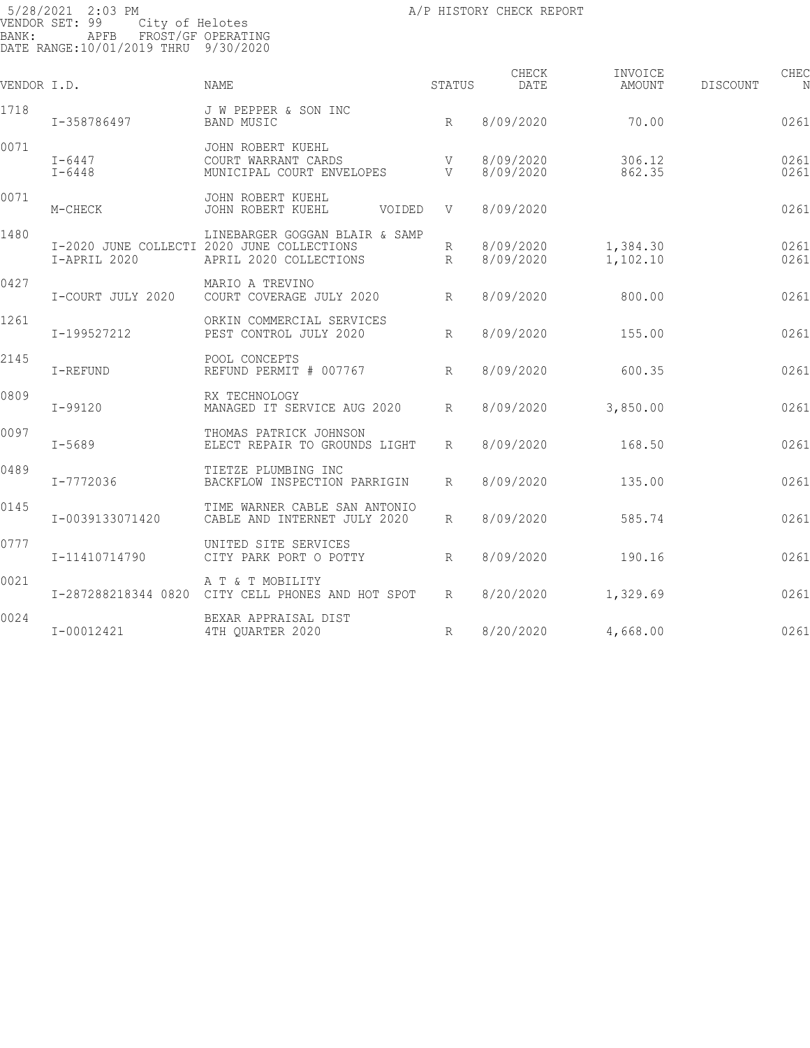| VENDOR I.D. |                          | NAME                                                                                                   | STATUS          | CHECK<br>DATE          | INVOICE<br>AMOUNT    | CHEC<br>DISCOUNT<br>N |
|-------------|--------------------------|--------------------------------------------------------------------------------------------------------|-----------------|------------------------|----------------------|-----------------------|
| 1718        | I-358786497              | J W PEPPER & SON INC<br><b>BAND MUSIC</b>                                                              | $R_{\parallel}$ | 8/09/2020              | 70.00                | 0261                  |
| 0071        | $I - 6447$<br>$I - 6448$ | JOHN ROBERT KUEHL<br>COURT WARRANT CARDS<br>MUNICIPAL COURT ENVELOPES                                  | V<br>V          | 8/09/2020<br>8/09/2020 | 306.12<br>862.35     | 0261<br>0261          |
| 0071        | M-CHECK                  | JOHN ROBERT KUEHL<br>JOHN ROBERT KUEHL<br>VOIDED                                                       | V               | 8/09/2020              |                      | 0261                  |
| 1480        | I-APRIL 2020             | LINEBARGER GOGGAN BLAIR & SAMP<br>I-2020 JUNE COLLECTI 2020 JUNE COLLECTIONS<br>APRIL 2020 COLLECTIONS | R<br>R          | 8/09/2020<br>8/09/2020 | 1,384.30<br>1,102.10 | 0261<br>0261          |
| 0427        | I-COURT JULY 2020        | MARIO A TREVINO<br>COURT COVERAGE JULY 2020                                                            | R               | 8/09/2020              | 800.00               | 0261                  |
| 1261        | I-199527212              | ORKIN COMMERCIAL SERVICES<br>PEST CONTROL JULY 2020                                                    | R               | 8/09/2020              | 155.00               | 0261                  |
| 2145        | I-REFUND                 | POOL CONCEPTS<br>REFUND PERMIT # 007767                                                                | R               | 8/09/2020              | 600.35               | 0261                  |
| 0809        | I-99120                  | RX TECHNOLOGY<br>MANAGED IT SERVICE AUG 2020                                                           | R               | 8/09/2020              | 3,850.00             | 0261                  |
| 0097        | $I - 5689$               | THOMAS PATRICK JOHNSON<br>ELECT REPAIR TO GROUNDS LIGHT                                                | $R_{\parallel}$ | 8/09/2020              | 168.50               | 0261                  |
| 0489        | I-7772036                | TIETZE PLUMBING INC<br>BACKFLOW INSPECTION PARRIGIN                                                    | $R_{\parallel}$ | 8/09/2020              | 135.00               | 0261                  |
| 0145        | I-0039133071420          | TIME WARNER CABLE SAN ANTONIO<br>CABLE AND INTERNET JULY 2020                                          | $R_{\parallel}$ | 8/09/2020              | 585.74               | 0261                  |
| 0777        | I-11410714790            | UNITED SITE SERVICES<br>CITY PARK PORT O POTTY                                                         | R               | 8/09/2020              | 190.16               | 0261                  |
| 0021        | I-287288218344 0820      | A T & T MOBILITY<br>CITY CELL PHONES AND HOT SPOT                                                      | $R_{\parallel}$ | 8/20/2020              | 1,329.69             | 0261                  |
| 0024        | I-00012421               | BEXAR APPRAISAL DIST<br>4TH QUARTER 2020                                                               | $R_{\parallel}$ | 8/20/2020              | 4,668.00             | 0261                  |
|             |                          |                                                                                                        |                 |                        |                      |                       |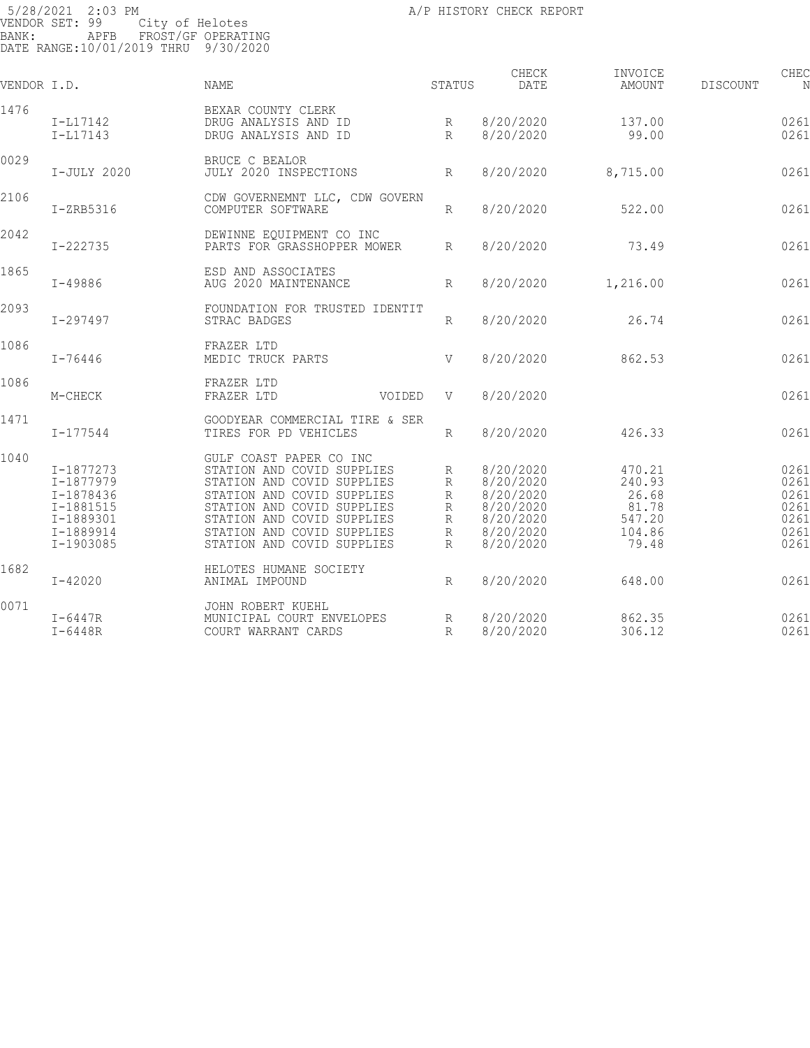| VENDOR I.D. |                                                                                         | NAME                                                                                                                                                                                                                                      | STATUS                          | CHECK<br>DATE                                                                           | INVOICE<br>AMOUNT                                               | DISCOUNT | CHEC<br>N                                            |
|-------------|-----------------------------------------------------------------------------------------|-------------------------------------------------------------------------------------------------------------------------------------------------------------------------------------------------------------------------------------------|---------------------------------|-----------------------------------------------------------------------------------------|-----------------------------------------------------------------|----------|------------------------------------------------------|
| 1476        | I-L17142<br>$I-L17143$                                                                  | BEXAR COUNTY CLERK<br>DRUG ANALYSIS AND ID<br>DRUG ANALYSIS AND ID                                                                                                                                                                        | R<br>R                          | 8/20/2020<br>8/20/2020                                                                  | 137.00<br>99.00                                                 |          | 0261<br>0261                                         |
| 0029        | I-JULY 2020                                                                             | BRUCE C BEALOR<br>JULY 2020 INSPECTIONS                                                                                                                                                                                                   | $R_{\parallel}$                 | 8/20/2020                                                                               | 8,715.00                                                        |          | 0261                                                 |
| 2106        | $I-ZRB5316$                                                                             | CDW GOVERNEMNT LLC, CDW GOVERN<br>COMPUTER SOFTWARE                                                                                                                                                                                       | $R_{\parallel}$                 | 8/20/2020                                                                               | 522.00                                                          |          | 0261                                                 |
| 2042        | $I - 222735$                                                                            | DEWINNE EQUIPMENT CO INC<br>PARTS FOR GRASSHOPPER MOWER                                                                                                                                                                                   | $R_{\perp}$                     | 8/20/2020                                                                               | 73.49                                                           |          | 0261                                                 |
| 1865        | I-49886                                                                                 | ESD AND ASSOCIATES<br>AUG 2020 MAINTENANCE                                                                                                                                                                                                | $R_{\parallel}$                 | 8/20/2020                                                                               | 1,216.00                                                        |          | 0261                                                 |
| 2093        | I-297497                                                                                | FOUNDATION FOR TRUSTED IDENTIT<br>STRAC BADGES                                                                                                                                                                                            | $R_{\parallel}$                 | 8/20/2020                                                                               | 26.74                                                           |          | 0261                                                 |
| 1086        | $I - 76446$                                                                             | FRAZER LTD<br>MEDIC TRUCK PARTS                                                                                                                                                                                                           | V                               | 8/20/2020                                                                               | 862.53                                                          |          | 0261                                                 |
| 1086        | M-CHECK                                                                                 | FRAZER LTD<br>FRAZER LTD<br>VOIDED                                                                                                                                                                                                        | V                               | 8/20/2020                                                                               |                                                                 |          | 0261                                                 |
| 1471        | $I - 177544$                                                                            | GOODYEAR COMMERCIAL TIRE & SER<br>TIRES FOR PD VEHICLES                                                                                                                                                                                   | $R_{\parallel}$                 | 8/20/2020                                                                               | 426.33                                                          |          | 0261                                                 |
| 1040        | I-1877273<br>I-1877979<br>I-1878436<br>I-1881515<br>I-1889301<br>I-1889914<br>I-1903085 | GULF COAST PAPER CO INC<br>STATION AND COVID SUPPLIES<br>STATION AND COVID SUPPLIES<br>STATION AND COVID SUPPLIES<br>STATION AND COVID SUPPLIES<br>STATION AND COVID SUPPLIES<br>STATION AND COVID SUPPLIES<br>STATION AND COVID SUPPLIES | R<br>R<br>R<br>R<br>R<br>R<br>R | 8/20/2020<br>8/20/2020<br>8/20/2020<br>8/20/2020<br>8/20/2020<br>8/20/2020<br>8/20/2020 | 470.21<br>240.93<br>26.68<br>81.78<br>547.20<br>104.86<br>79.48 |          | 0261<br>0261<br>0261<br>0261<br>0261<br>0261<br>0261 |
| 1682        | $I - 42020$                                                                             | HELOTES HUMANE SOCIETY<br>ANIMAL IMPOUND                                                                                                                                                                                                  | $R_{\parallel}$                 | 8/20/2020                                                                               | 648.00                                                          |          | 0261                                                 |
| 0071        | $I-6447R$<br>$I-6448R$                                                                  | JOHN ROBERT KUEHL<br>MUNICIPAL COURT ENVELOPES<br>COURT WARRANT CARDS                                                                                                                                                                     | R<br>$R_{\parallel}$            | 8/20/2020<br>8/20/2020                                                                  | 862.35<br>306.12                                                |          | 0261<br>0261                                         |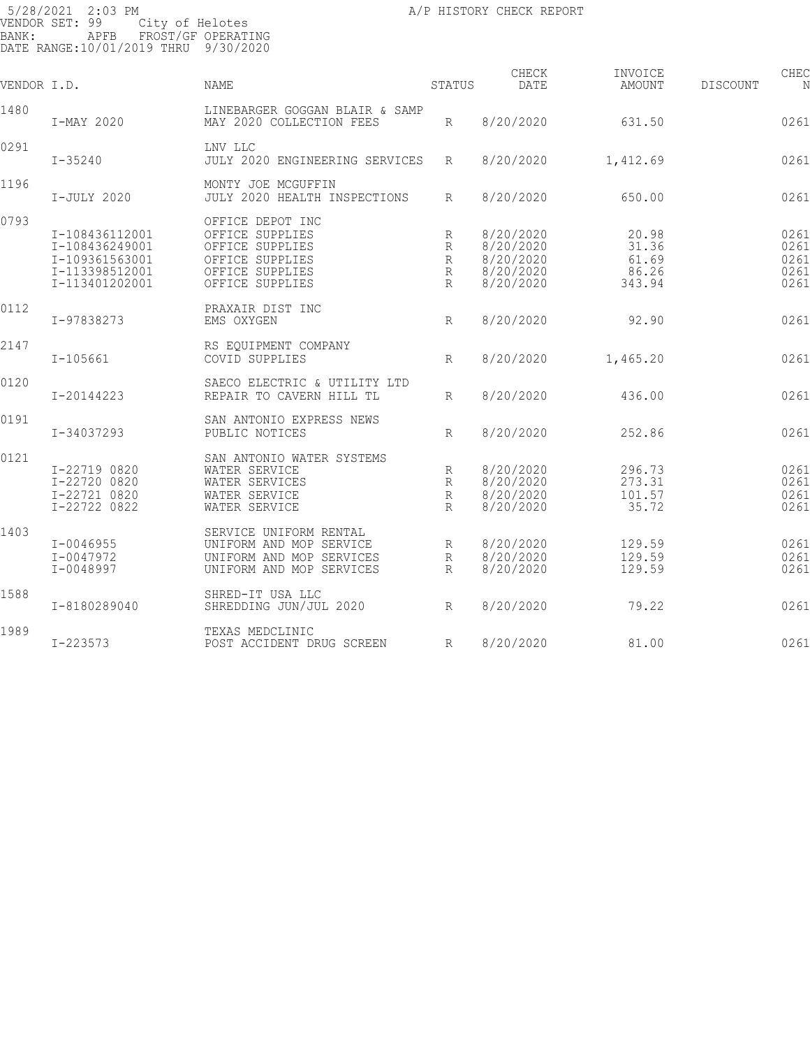| VENDOR I.D. |                                                                                        | NAME                                                                                                            | STATUS                                                 | CHECK<br>DATE                                                 | INVOICE<br>AMOUNT                          | DISCOUNT | CHEC<br>N                            |
|-------------|----------------------------------------------------------------------------------------|-----------------------------------------------------------------------------------------------------------------|--------------------------------------------------------|---------------------------------------------------------------|--------------------------------------------|----------|--------------------------------------|
| 1480        | I-MAY 2020                                                                             | LINEBARGER GOGGAN BLAIR & SAMP<br>MAY 2020 COLLECTION FEES                                                      | R                                                      | 8/20/2020                                                     | 631.50                                     |          | 0261                                 |
| 0291        | $I - 35240$                                                                            | LNV LLC<br>JULY 2020 ENGINEERING SERVICES                                                                       | R                                                      | 8/20/2020                                                     | 1,412.69                                   |          | 0261                                 |
| 1196        | I-JULY 2020                                                                            | MONTY JOE MCGUFFIN<br>JULY 2020 HEALTH INSPECTIONS                                                              | R                                                      | 8/20/2020                                                     | 650.00                                     |          | 0261                                 |
| 0793        | I-108436112001<br>I-108436249001<br>I-109361563001<br>I-113398512001<br>I-113401202001 | OFFICE DEPOT INC<br>OFFICE SUPPLIES<br>OFFICE SUPPLIES<br>OFFICE SUPPLIES<br>OFFICE SUPPLIES<br>OFFICE SUPPLIES | R<br>R<br>$\mathbb{R}$<br>$\mathbb{R}$<br>$\mathbb{R}$ | 8/20/2020<br>8/20/2020<br>8/20/2020<br>8/20/2020<br>8/20/2020 | 20.98<br>31.36<br>61.69<br>86.26<br>343.94 |          | 0261<br>0261<br>0261<br>0261<br>0261 |
| 0112        | I-97838273                                                                             | PRAXAIR DIST INC<br>EMS OXYGEN                                                                                  | R                                                      | 8/20/2020                                                     | 92.90                                      |          | 0261                                 |
| 2147        | $I - 105661$                                                                           | RS EQUIPMENT COMPANY<br>COVID SUPPLIES                                                                          | R                                                      | 8/20/2020                                                     | 1,465.20                                   |          | 0261                                 |
| 0120        | I-20144223                                                                             | SAECO ELECTRIC & UTILITY LTD<br>REPAIR TO CAVERN HILL TL                                                        | R                                                      | 8/20/2020                                                     | 436.00                                     |          | 0261                                 |
| 0191        | I-34037293                                                                             | SAN ANTONIO EXPRESS NEWS<br>PUBLIC NOTICES                                                                      | $R_{\parallel}$                                        | 8/20/2020                                                     | 252.86                                     |          | 0261                                 |
| 0121        | I-22719 0820<br>I-22720 0820<br>I-22721 0820<br>I-22722 0822                           | SAN ANTONIO WATER SYSTEMS<br>WATER SERVICE<br>WATER SERVICES<br>WATER SERVICE<br>WATER SERVICE                  | R<br>R<br>R<br>R                                       | 8/20/2020<br>8/20/2020<br>8/20/2020<br>8/20/2020              | 296.73<br>273.31<br>101.57<br>35.72        |          | 0261<br>0261<br>0261<br>0261         |
| 1403        | $I - 0046955$<br>I-0047972<br>$I - 0048997$                                            | SERVICE UNIFORM RENTAL<br>UNIFORM AND MOP SERVICE<br>UNIFORM AND MOP SERVICES<br>UNIFORM AND MOP SERVICES       | R<br>R<br>R                                            | 8/20/2020<br>8/20/2020<br>8/20/2020                           | 129.59<br>129.59<br>129.59                 |          | 0261<br>0261<br>0261                 |
| 1588        | I-8180289040                                                                           | SHRED-IT USA LLC<br>SHREDDING JUN/JUL 2020                                                                      | R                                                      | 8/20/2020                                                     | 79.22                                      |          | 0261                                 |
| 1989        | $I - 223573$                                                                           | TEXAS MEDCLINIC<br>POST ACCIDENT DRUG SCREEN                                                                    | R                                                      | 8/20/2020                                                     | 81.00                                      |          | 0261                                 |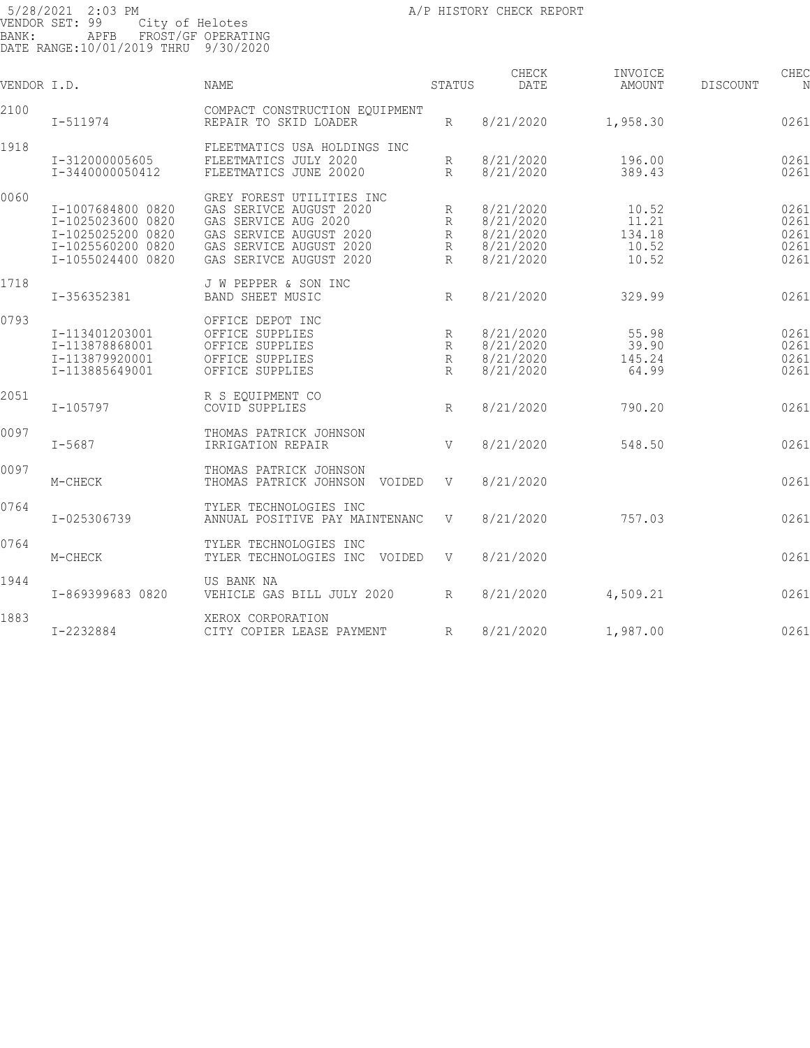| VENDOR I.D. |                                                                                                       | <b>NAME</b>                                                                                                                                                   | STATUS                   | CHECK<br>DATE                                                 | INVOICE<br>AMOUNT                          | CHEC<br>DISCOUNT<br>N                |
|-------------|-------------------------------------------------------------------------------------------------------|---------------------------------------------------------------------------------------------------------------------------------------------------------------|--------------------------|---------------------------------------------------------------|--------------------------------------------|--------------------------------------|
| 2100        | $I - 511974$                                                                                          | COMPACT CONSTRUCTION EQUIPMENT<br>REPAIR TO SKID LOADER                                                                                                       | R                        | 8/21/2020                                                     | 1,958.30                                   | 0261                                 |
| 1918        | I-312000005605<br>I-3440000050412                                                                     | FLEETMATICS USA HOLDINGS INC<br>FLEETMATICS JULY 2020<br>FLEETMATICS JUNE 20020                                                                               | R<br>$R_{\rm}$           | 8/21/2020<br>8/21/2020                                        | 196.00<br>389.43                           | 0261<br>0261                         |
| 0060        | I-1007684800 0820<br>I-1025023600 0820<br>I-1025025200 0820<br>I-1025560200 0820<br>I-1055024400 0820 | GREY FOREST UTILITIES INC<br>GAS SERIVCE AUGUST 2020<br>GAS SERVICE AUG 2020<br>GAS SERVICE AUGUST 2020<br>GAS SERVICE AUGUST 2020<br>GAS SERIVCE AUGUST 2020 | R<br>R<br>R<br>R<br>R    | 8/21/2020<br>8/21/2020<br>8/21/2020<br>8/21/2020<br>8/21/2020 | 10.52<br>11.21<br>134.18<br>10.52<br>10.52 | 0261<br>0261<br>0261<br>0261<br>0261 |
| 1718        | I-356352381                                                                                           | J W PEPPER & SON INC<br><b>BAND SHEET MUSIC</b>                                                                                                               | $R_{\rm}$                | 8/21/2020                                                     | 329.99                                     | 0261                                 |
| 0793        | I-113401203001<br>I-113878868001<br>I-113879920001<br>I-113885649001                                  | OFFICE DEPOT INC<br>OFFICE SUPPLIES<br>OFFICE SUPPLIES<br>OFFICE SUPPLIES<br>OFFICE SUPPLIES                                                                  | R<br>R<br>R<br>$R_{\rm}$ | 8/21/2020<br>8/21/2020<br>8/21/2020<br>8/21/2020              | 55.98<br>39.90<br>145.24<br>64.99          | 0261<br>0261<br>0261<br>0261         |
| 2051        | $I - 105797$                                                                                          | R S EOUIPMENT CO<br>COVID SUPPLIES                                                                                                                            | R                        | 8/21/2020                                                     | 790.20                                     | 0261                                 |
| 0097        | $I - 5687$                                                                                            | THOMAS PATRICK JOHNSON<br>IRRIGATION REPAIR                                                                                                                   | V                        | 8/21/2020                                                     | 548.50                                     | 0261                                 |
| 0097        | M-CHECK                                                                                               | THOMAS PATRICK JOHNSON<br>THOMAS PATRICK JOHNSON VOIDED                                                                                                       | V                        | 8/21/2020                                                     |                                            | 0261                                 |
| 0764        | I-025306739                                                                                           | TYLER TECHNOLOGIES INC<br>ANNUAL POSITIVE PAY MAINTENANC                                                                                                      | V                        | 8/21/2020                                                     | 757.03                                     | 0261                                 |
| 0764        | M-CHECK                                                                                               | TYLER TECHNOLOGIES INC<br>TYLER TECHNOLOGIES INC VOIDED                                                                                                       | V                        | 8/21/2020                                                     |                                            | 0261                                 |
| 1944        | I-869399683 0820                                                                                      | US BANK NA<br>VEHICLE GAS BILL JULY 2020                                                                                                                      | $R_{\parallel}$          | 8/21/2020                                                     | 4,509.21                                   | 0261                                 |
| 1883        | I-2232884                                                                                             | XEROX CORPORATION<br>CITY COPIER LEASE PAYMENT                                                                                                                | R                        | 8/21/2020                                                     | 1,987.00                                   | 0261                                 |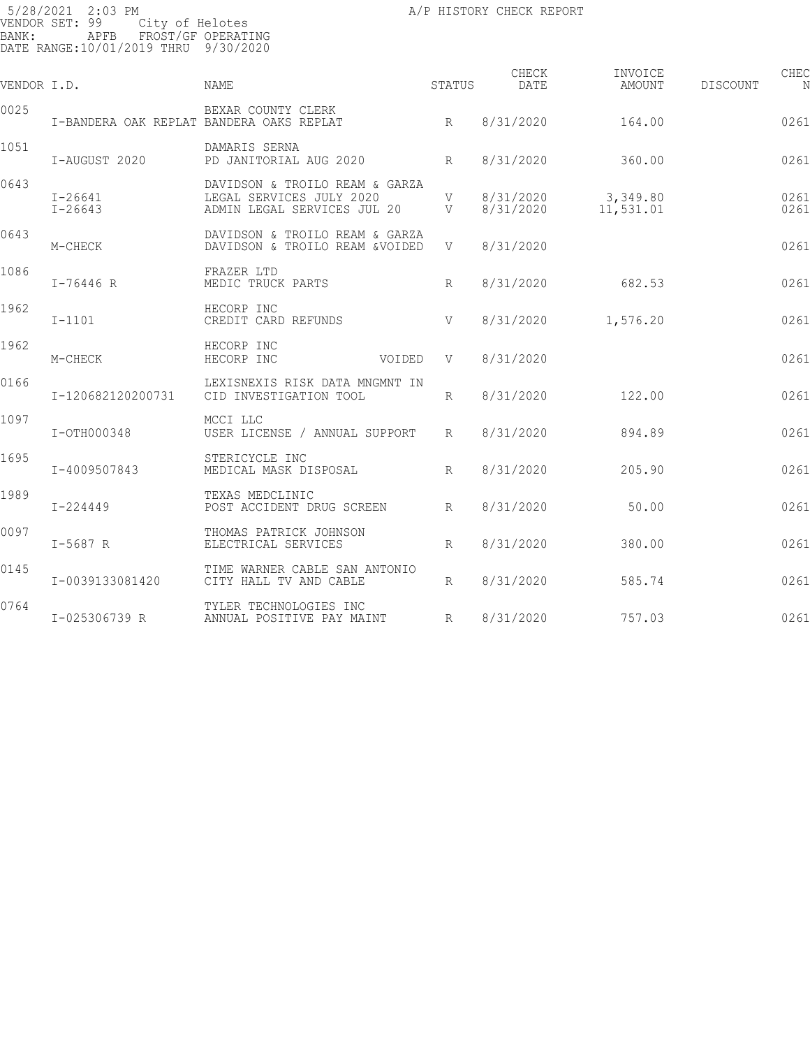| VENDOR I.D. |                                          | NAME                                                                                        | STATUS          | CHECK<br>DATE          | INVOICE<br>AMOUNT     | DISCOUNT | CHEC<br>N    |
|-------------|------------------------------------------|---------------------------------------------------------------------------------------------|-----------------|------------------------|-----------------------|----------|--------------|
| 0025        | I-BANDERA OAK REPLAT BANDERA OAKS REPLAT | BEXAR COUNTY CLERK                                                                          | R               | 8/31/2020              | 164.00                |          | 0261         |
| 1051        | I-AUGUST 2020                            | DAMARIS SERNA<br>PD JANITORIAL AUG 2020                                                     | R               | 8/31/2020              | 360.00                |          | 0261         |
| 0643        | $I - 26641$<br>$I - 26643$               | DAVIDSON & TROILO REAM & GARZA<br>LEGAL SERVICES JULY 2020<br>ADMIN LEGAL SERVICES JUL 20 V | V               | 8/31/2020<br>8/31/2020 | 3,349.80<br>11,531.01 |          | 0261<br>0261 |
| 0643        | M-CHECK                                  | DAVIDSON & TROILO REAM & GARZA<br>DAVIDSON & TROILO REAM &VOIDED                            | V               | 8/31/2020              |                       |          | 0261         |
| 1086        | $I - 76446 R$                            | FRAZER LTD<br>MEDIC TRUCK PARTS                                                             | R               | 8/31/2020              | 682.53                |          | 0261         |
| 1962        | $I-1101$                                 | HECORP INC<br>CREDIT CARD REFUNDS                                                           | V               | 8/31/2020              | 1,576.20              |          | 0261         |
| 1962        | M-CHECK                                  | HECORP INC<br>HECORP INC                                                                    | VOIDED<br>V     | 8/31/2020              |                       |          | 0261         |
| 0166        | I-120682120200731                        | LEXISNEXIS RISK DATA MNGMNT IN<br>CID INVESTIGATION TOOL                                    | R               | 8/31/2020              | 122.00                |          | 0261         |
| 1097        | I-OTH000348                              | MCCI LLC<br>USER LICENSE / ANNUAL SUPPORT                                                   | $R_{\parallel}$ | 8/31/2020              | 894.89                |          | 0261         |
| 1695        | I-4009507843                             | STERICYCLE INC<br>MEDICAL MASK DISPOSAL                                                     | $R_{\rm}$       | 8/31/2020              | 205.90                |          | 0261         |
| 1989        | $I - 224449$                             | TEXAS MEDCLINIC<br>POST ACCIDENT DRUG SCREEN                                                | R               | 8/31/2020              | 50.00                 |          | 0261         |
| 0097        | $I-5687 R$                               | THOMAS PATRICK JOHNSON<br>ELECTRICAL SERVICES                                               | R               | 8/31/2020              | 380.00                |          | 0261         |
| 0145        | I-0039133081420                          | TIME WARNER CABLE SAN ANTONIO<br>CITY HALL TV AND CABLE                                     | $R_{\parallel}$ | 8/31/2020              | 585.74                |          | 0261         |
| 0764        | I-025306739 R                            | TYLER TECHNOLOGIES INC<br>ANNUAL POSITIVE PAY MAINT                                         | $R_{\parallel}$ | 8/31/2020              | 757.03                |          | 0261         |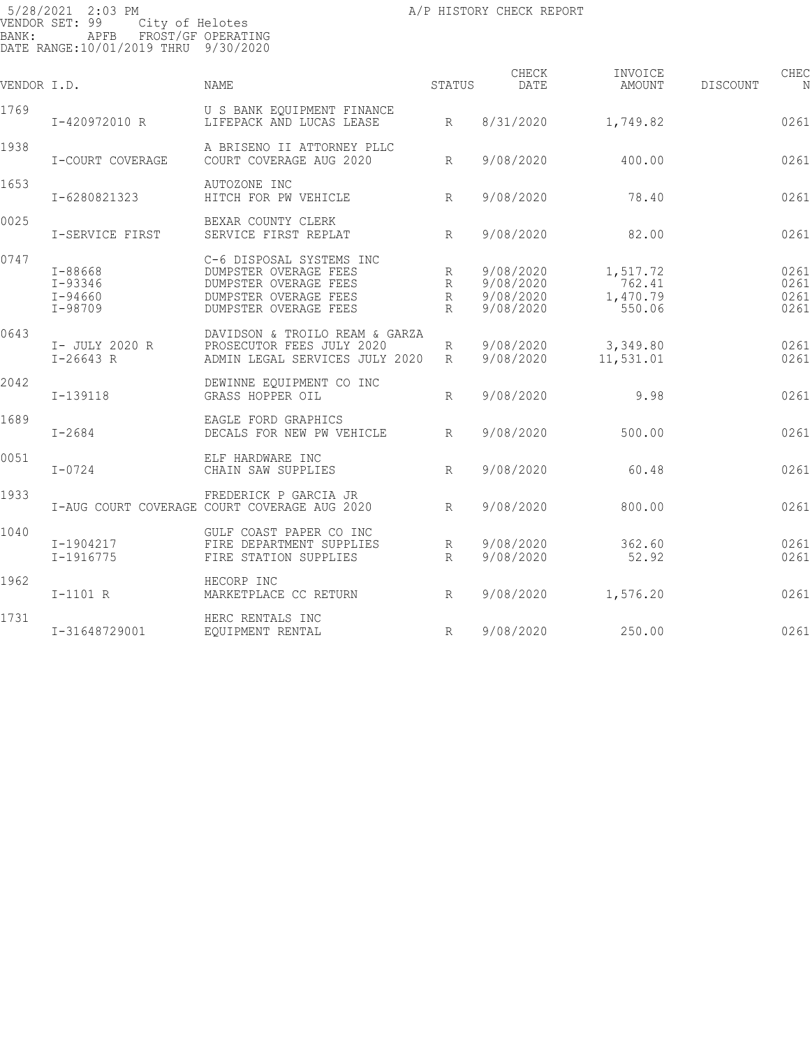| VENDOR I.D. |                                                  | NAME                                                                                                                         | STATUS                                         | CHECK<br>DATE                                    | INVOICE<br>AMOUNT                        | DISCOUNT | CHEC                         |
|-------------|--------------------------------------------------|------------------------------------------------------------------------------------------------------------------------------|------------------------------------------------|--------------------------------------------------|------------------------------------------|----------|------------------------------|
| 1769        | I-420972010 R                                    | U S BANK EQUIPMENT FINANCE<br>LIFEPACK AND LUCAS LEASE                                                                       | R                                              | 8/31/2020                                        | 1,749.82                                 |          | 0261                         |
| 1938        | I-COURT COVERAGE                                 | A BRISENO II ATTORNEY PLLC<br>COURT COVERAGE AUG 2020                                                                        | R                                              | 9/08/2020                                        | 400.00                                   |          | 0261                         |
| 1653        | I-6280821323                                     | AUTOZONE INC<br>R<br>HITCH FOR PW VEHICLE                                                                                    |                                                | 9/08/2020                                        | 78.40                                    |          | 0261                         |
| 0025        | I-SERVICE FIRST                                  | BEXAR COUNTY CLERK<br>SERVICE FIRST REPLAT                                                                                   | R                                              | 9/08/2020                                        | 82.00                                    |          | 0261                         |
| 0747        | I-88668<br>I-93346<br>$I - 94660$<br>$I - 98709$ | C-6 DISPOSAL SYSTEMS INC<br>DUMPSTER OVERAGE FEES<br>DUMPSTER OVERAGE FEES<br>DUMPSTER OVERAGE FEES<br>DUMPSTER OVERAGE FEES | R<br>$R_{\parallel}$<br>$R_{\rm}$<br>$R_{\rm}$ | 9/08/2020<br>9/08/2020<br>9/08/2020<br>9/08/2020 | 1,517.72<br>762.41<br>1,470.79<br>550.06 |          | 0261<br>0261<br>0261<br>0261 |
| 0643        | I- JULY 2020 R<br>$I-26643 R$                    | DAVIDSON & TROILO REAM & GARZA<br>PROSECUTOR FEES JULY 2020<br>ADMIN LEGAL SERVICES JULY 2020                                | $R_{\parallel}$<br>R                           | 9/08/2020<br>9/08/2020                           | 3,349.80<br>11,531.01                    |          | 0261<br>0261                 |
| 2042        | $I-139118$                                       | DEWINNE EQUIPMENT CO INC<br>GRASS HOPPER OIL                                                                                 | R                                              | 9/08/2020                                        | 9.98                                     |          | 0261                         |
| 1689        | $I - 2684$                                       | EAGLE FORD GRAPHICS<br>DECALS FOR NEW PW VEHICLE                                                                             | R                                              | 9/08/2020                                        | 500.00                                   |          | 0261                         |
| 0051        | $I - 0724$                                       | ELF HARDWARE INC<br>CHAIN SAW SUPPLIES                                                                                       | R                                              | 9/08/2020                                        | 60.48                                    |          | 0261                         |
| 1933        |                                                  | FREDERICK P GARCIA JR<br>I-AUG COURT COVERAGE COURT COVERAGE AUG 2020                                                        | R                                              | 9/08/2020                                        | 800.00                                   |          | 0261                         |
| 1040        | I-1904217<br>$I-1916775$                         | GULF COAST PAPER CO INC<br>FIRE DEPARTMENT SUPPLIES<br>FIRE STATION SUPPLIES                                                 | $R_{\parallel}$<br>R                           | 9/08/2020<br>9/08/2020                           | 362.60<br>52.92                          |          | 0261<br>0261                 |
| 1962        | $I-1101 R$                                       | HECORP INC<br>MARKETPLACE CC RETURN<br>$\mathbb{R}$ and $\mathbb{R}$                                                         |                                                | 9/08/2020                                        | 1,576.20                                 |          | 0261                         |
| 1731        | I-31648729001                                    | HERC RENTALS INC<br>EQUIPMENT RENTAL                                                                                         | R                                              | 9/08/2020                                        | 250.00                                   |          | 0261                         |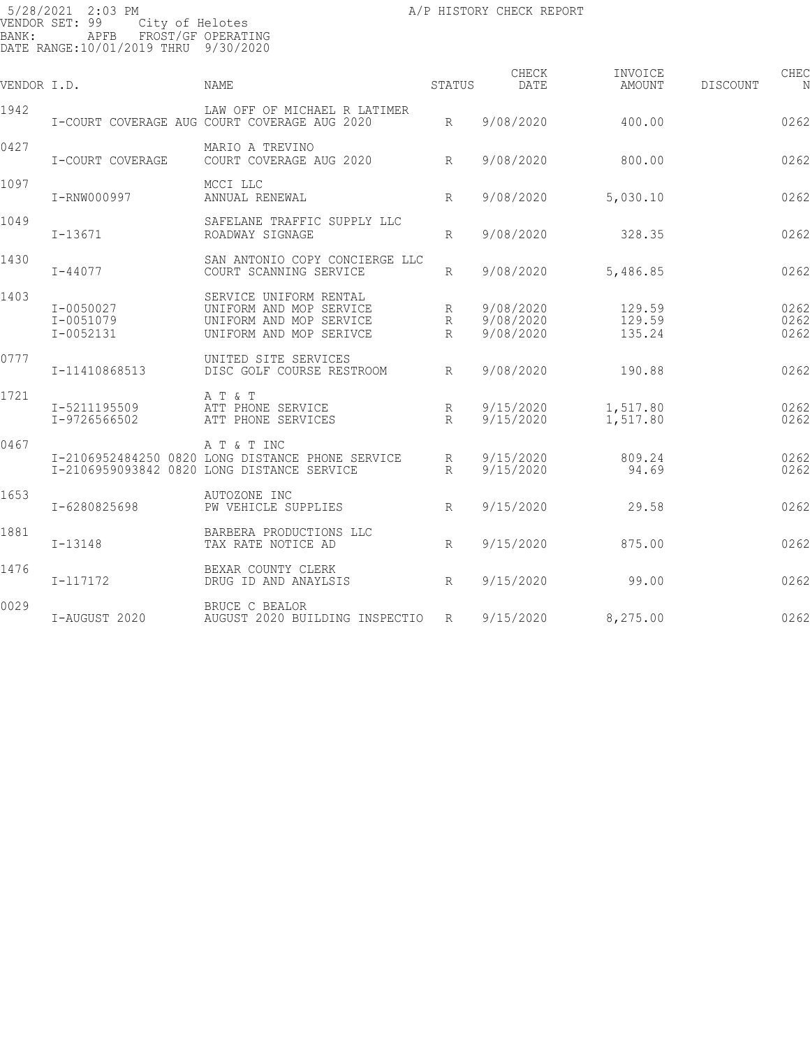| VENDOR I.D. |                                         | <b>NAME</b>                                                                                                   | STATUS                 | CHECK<br><b>DATE</b>                | INVOICE<br>AMOUNT          | DISCOUNT | CHEC<br>N            |
|-------------|-----------------------------------------|---------------------------------------------------------------------------------------------------------------|------------------------|-------------------------------------|----------------------------|----------|----------------------|
| 1942        |                                         | LAW OFF OF MICHAEL R LATIMER<br>I-COURT COVERAGE AUG COURT COVERAGE AUG 2020                                  | R                      | 9/08/2020                           | 400.00                     |          | 0262                 |
| 0427        | I-COURT COVERAGE                        | MARIO A TREVINO<br>COURT COVERAGE AUG 2020                                                                    | R                      | 9/08/2020                           | 800.00                     |          | 0262                 |
| 1097        | I-RNW000997                             | MCCI LLC<br>ANNUAL RENEWAL                                                                                    | R                      | 9/08/2020                           | 5,030.10                   |          | 0262                 |
| 1049        | I-13671                                 | SAFELANE TRAFFIC SUPPLY LLC<br>ROADWAY SIGNAGE                                                                | $R_{\rm}$              | 9/08/2020                           | 328.35                     |          | 0262                 |
| 1430        | $I - 44077$                             | SAN ANTONIO COPY CONCIERGE LLC<br>COURT SCANNING SERVICE                                                      | R                      | 9/08/2020                           | 5,486.85                   |          | 0262                 |
| 1403        | I-0050027<br>I-0051079<br>$I - 0052131$ | SERVICE UNIFORM RENTAL<br>UNIFORM AND MOP SERVICE<br>UNIFORM AND MOP SERVICE<br>UNIFORM AND MOP SERIVCE       | R<br>R<br>$\mathbb{R}$ | 9/08/2020<br>9/08/2020<br>9/08/2020 | 129.59<br>129.59<br>135.24 |          | 0262<br>0262<br>0262 |
| 0777        | I-11410868513                           | UNITED SITE SERVICES<br>DISC GOLF COURSE RESTROOM                                                             | $R_{\parallel}$        | 9/08/2020                           | 190.88                     |          | 0262                 |
| 1721        | I-5211195509<br>I-9726566502            | A T & T<br>ATT PHONE SERVICE<br>ATT PHONE SERVICES                                                            | R<br>$R_{\parallel}$   | 9/15/2020<br>9/15/2020              | 1,517.80<br>1,517.80       |          | 0262<br>0262         |
| 0467        |                                         | A T & T INC<br>I-2106952484250 0820 LONG DISTANCE PHONE SERVICE<br>I-2106959093842 0820 LONG DISTANCE SERVICE | R<br>R                 | 9/15/2020<br>9/15/2020              | 809.24<br>94.69            |          | 0262<br>0262         |
| 1653        | I-6280825698                            | AUTOZONE INC<br>PW VEHICLE SUPPLIES                                                                           | $R_{\parallel}$        | 9/15/2020                           | 29.58                      |          | 0262                 |
| 1881        | $I - 13148$                             | BARBERA PRODUCTIONS LLC<br>TAX RATE NOTICE AD                                                                 | R                      | 9/15/2020                           | 875.00                     |          | 0262                 |
| 1476        | I-117172                                | BEXAR COUNTY CLERK<br>DRUG ID AND ANAYLSIS                                                                    | $R_{\parallel}$        | 9/15/2020                           | 99.00                      |          | 0262                 |
| 0029        | I-AUGUST 2020                           | BRUCE C BEALOR<br>AUGUST 2020 BUILDING INSPECTIO                                                              | R                      | 9/15/2020                           | 8,275.00                   |          | 0262                 |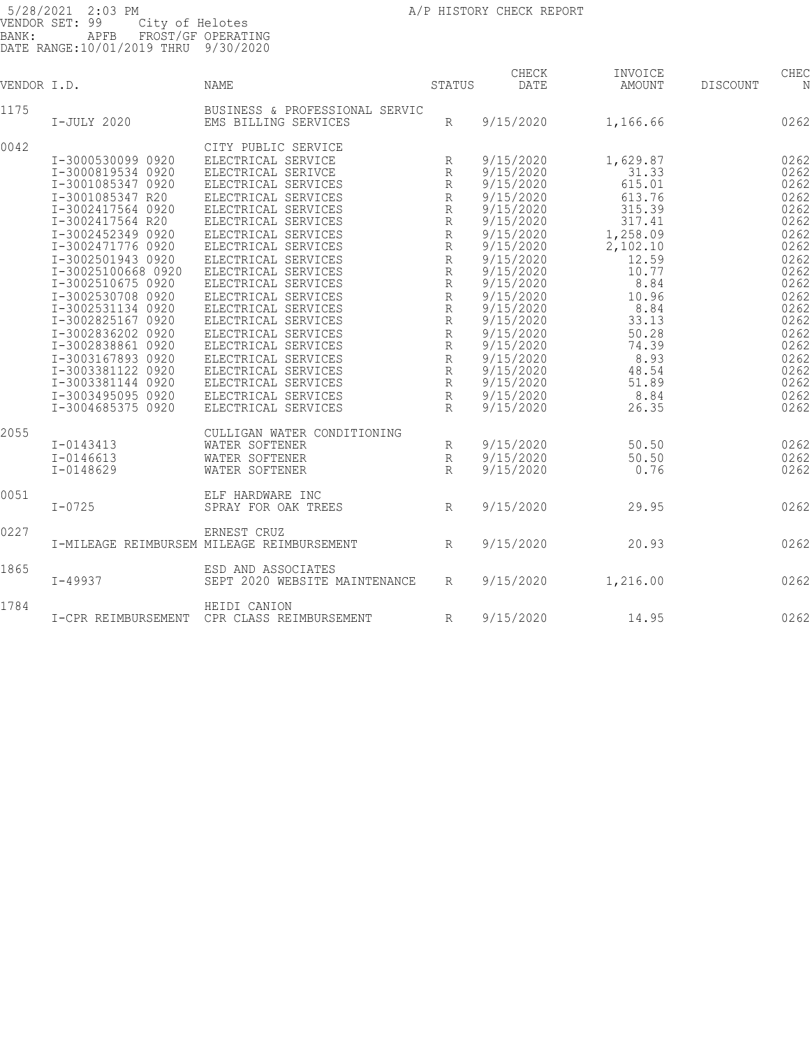| VENDOR I.D. |                                        | <b>NAME</b>                                            | STATUS                      | CHECK<br>DATE          | INVOICE<br>AMOUNT | DISCOUNT | CHEC<br>N    |
|-------------|----------------------------------------|--------------------------------------------------------|-----------------------------|------------------------|-------------------|----------|--------------|
| 1175        | I-JULY 2020                            | BUSINESS & PROFESSIONAL SERVIC<br>EMS BILLING SERVICES | R                           | 9/15/2020              | 1,166.66          |          | 0262         |
|             |                                        |                                                        |                             |                        |                   |          |              |
| 0042        |                                        | CITY PUBLIC SERVICE                                    |                             |                        |                   |          |              |
|             | I-3000530099 0920                      | ELECTRICAL SERVICE                                     | R                           | 9/15/2020              | 1,629.87          |          | 0262         |
|             | I-3000819534 0920                      | ELECTRICAL SERIVCE                                     | R                           | 9/15/2020              | 31.33             |          | 0262         |
|             | I-3001085347 0920                      | ELECTRICAL SERVICES                                    | $\mathbb{R}$                | 9/15/2020              | 615.01            |          | 0262         |
|             | I-3001085347 R20                       | ELECTRICAL SERVICES                                    | $\mathbb R$                 | 9/15/2020              | 613.76            |          | 0262         |
|             | I-3002417564 0920                      | ELECTRICAL SERVICES                                    | R                           | 9/15/2020              | 315.39            |          | 0262         |
|             | I-3002417564 R20                       | ELECTRICAL SERVICES                                    | R                           | 9/15/2020              | 317.41            |          | 0262         |
|             | I-3002452349 0920                      | ELECTRICAL SERVICES                                    | $\mathbb R$                 | 9/15/2020              | 1,258.09          |          | 0262         |
|             | I-3002471776 0920                      | ELECTRICAL SERVICES                                    | $\mathbb R$                 | 9/15/2020              | 2,102.10          |          | 0262         |
|             | I-3002501943 0920                      | ELECTRICAL SERVICES                                    | $\mathbb{R}$                | 9/15/2020              | 12.59             |          | 0262         |
|             | I-30025100668 0920                     | ELECTRICAL SERVICES                                    | $\mathbb{R}$                | 9/15/2020              | 10.77             |          | 0262         |
|             | I-3002510675 0920                      | ELECTRICAL SERVICES                                    | R                           | 9/15/2020              | 8.84              |          | 0262         |
|             | I-3002530708 0920                      | ELECTRICAL SERVICES                                    | $\mathbb R$                 | 9/15/2020              | 10.96             |          | 0262         |
|             | I-3002531134 0920                      | ELECTRICAL SERVICES                                    | R                           | 9/15/2020              | 8.84              |          | 0262         |
|             | I-3002825167 0920                      | ELECTRICAL SERVICES                                    | $\mathbb{R}$                | 9/15/2020              | 33.13             |          | 0262         |
|             | I-3002836202 0920                      | ELECTRICAL SERVICES                                    | $\mathbb R$                 | 9/15/2020              | 50.28             |          | 0262         |
|             | I-3002838861 0920                      | ELECTRICAL SERVICES                                    | $\mathbb R$                 | 9/15/2020              | 74.39             |          | 0262         |
|             | I-3003167893 0920                      | ELECTRICAL SERVICES                                    | $\mathbb R$                 | 9/15/2020              | 8.93              |          | 0262         |
|             | I-3003381122 0920                      | ELECTRICAL SERVICES                                    | R                           | 9/15/2020              | 48.54             |          | 0262         |
|             | I-3003381144 0920                      | ELECTRICAL SERVICES                                    | R                           | 9/15/2020              | 51.89             |          | 0262         |
|             | I-3003495095 0920<br>I-3004685375 0920 | ELECTRICAL SERVICES<br>ELECTRICAL SERVICES             | $\mathbb R$<br>$\mathbb{R}$ | 9/15/2020<br>9/15/2020 | 8.84<br>26.35     |          | 0262<br>0262 |
|             |                                        |                                                        |                             |                        |                   |          |              |
| 2055        |                                        | CULLIGAN WATER CONDITIONING                            |                             |                        |                   |          |              |
|             | I-0143413                              | WATER SOFTENER                                         | R                           | 9/15/2020              | 50.50             |          | 0262         |
|             | $I - 0146613$                          | WATER SOFTENER                                         | $\mathbb R$                 | 9/15/2020              | 50.50             |          | 0262         |
|             | $I - 0148629$                          | WATER SOFTENER                                         | $\mathbb{R}$                | 9/15/2020              | 0.76              |          | 0262         |
| 0051        |                                        | ELF HARDWARE INC                                       |                             |                        |                   |          |              |
|             | $I - 0725$                             | SPRAY FOR OAK TREES                                    | R                           | 9/15/2020              | 29.95             |          | 0262         |
| 0227        |                                        | ERNEST CRUZ                                            |                             |                        |                   |          |              |
|             |                                        | I-MILEAGE REIMBURSEM MILEAGE REIMBURSEMENT             | R                           | 9/15/2020              | 20.93             |          | 0262         |
|             |                                        |                                                        |                             |                        |                   |          |              |
| 1865        |                                        | ESD AND ASSOCIATES                                     |                             |                        |                   |          |              |
|             | $I - 49937$                            | SEPT 2020 WEBSITE MAINTENANCE                          | R                           | 9/15/2020              | 1,216.00          |          | 0262         |
| 1784        |                                        | HEIDI CANION                                           |                             |                        |                   |          |              |
|             | I-CPR REIMBURSEMENT                    | CPR CLASS REIMBURSEMENT                                | R                           | 9/15/2020              | 14.95             |          | 0262         |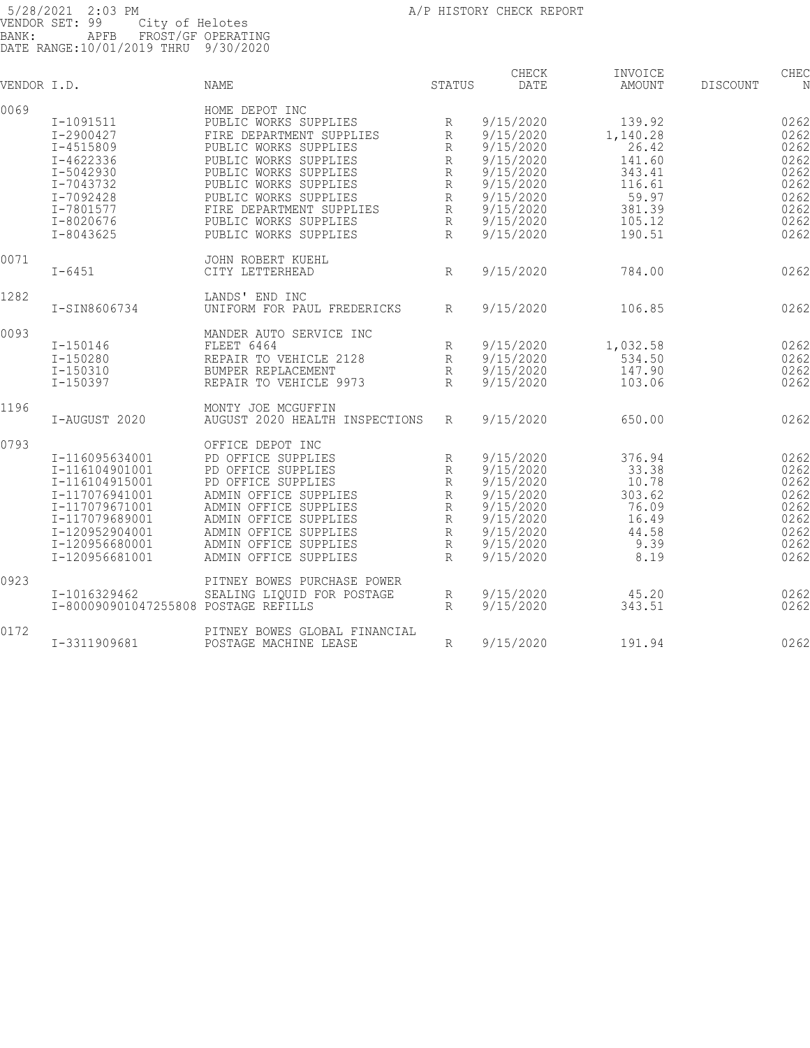| VENDOR I.D. |                                                      | <b>NAME</b>                    | STATUS         | CHECK<br>DATE          | INVOICE<br>AMOUNT | DISCOUNT | CHEC<br>N    |
|-------------|------------------------------------------------------|--------------------------------|----------------|------------------------|-------------------|----------|--------------|
| 0069        |                                                      | HOME DEPOT INC                 |                |                        |                   |          |              |
|             | I-1091511                                            | PUBLIC WORKS SUPPLIES          | R              | 9/15/2020              | 139.92            |          | 0262         |
|             | I-2900427                                            | FIRE DEPARTMENT SUPPLIES       | R              | 9/15/2020              | 1,140.28          |          | 0262         |
|             | $I - 4515809$                                        | PUBLIC WORKS SUPPLIES          | R              | 9/15/2020              | 26.42             |          | 0262         |
|             | $I - 4622336$                                        | PUBLIC WORKS SUPPLIES          | $\mathbb R$    | 9/15/2020              | 141.60            |          | 0262         |
|             | I-5042930                                            | PUBLIC WORKS SUPPLIES          | $\mathbb R$    | 9/15/2020              | 343.41            |          | 0262         |
|             | I-7043732                                            | PUBLIC WORKS SUPPLIES          | R              | 9/15/2020              | 116.61            |          | 0262         |
|             | I-7092428                                            | PUBLIC WORKS SUPPLIES          | $\mathbb R$    | 9/15/2020              | 59.97             |          | 0262         |
|             | I-7801577                                            | FIRE DEPARTMENT SUPPLIES       | $\mathbb{R}$   | 9/15/2020              | 381.39            |          | 0262         |
|             | $I-8020676$                                          | PUBLIC WORKS SUPPLIES          | R              | 9/15/2020              | 105.12            |          | 0262         |
|             | $I - 8043625$                                        | PUBLIC WORKS SUPPLIES          | $R_{\rm}$      | 9/15/2020              | 190.51            |          | 0262         |
| 0071        |                                                      | JOHN ROBERT KUEHL              |                |                        |                   |          |              |
|             | $I - 6451$                                           | CITY LETTERHEAD                | R              | 9/15/2020              | 784.00            |          | 0262         |
| 1282        |                                                      | LANDS' END INC                 |                |                        |                   |          |              |
|             | I-SIN8606734                                         | UNIFORM FOR PAUL FREDERICKS    | $R_{\rm}$      | 9/15/2020              | 106.85            |          | 0262         |
| 0093        |                                                      | MANDER AUTO SERVICE INC        |                |                        |                   |          |              |
|             | $I - 150146$                                         | FLEET 6464                     | R              | 9/15/2020              | 1,032.58          |          | 0262         |
|             | $I - 150280$                                         | REPAIR TO VEHICLE 2128         | $\mathbb{R}$   | 9/15/2020              | 534.50            |          | 0262         |
|             | $I - 150310$                                         | <b>BUMPER REPLACEMENT</b>      | R              | 9/15/2020              | 147.90            |          | 0262         |
|             | $I - 150397$                                         | REPAIR TO VEHICLE 9973         | R              | 9/15/2020              | 103.06            |          | 0262         |
| 1196        |                                                      | MONTY JOE MCGUFFIN             |                |                        |                   |          |              |
|             | I-AUGUST 2020                                        | AUGUST 2020 HEALTH INSPECTIONS | R              | 9/15/2020              | 650.00            |          | 0262         |
| 0793        |                                                      | OFFICE DEPOT INC               |                |                        |                   |          |              |
|             | I-116095634001                                       | PD OFFICE SUPPLIES             | R              | 9/15/2020              | 376.94            |          | 0262         |
|             | I-116104901001                                       | PD OFFICE SUPPLIES             | $\mathbb{R}$   | 9/15/2020              | 33.38             |          | 0262         |
|             | I-116104915001                                       | PD OFFICE SUPPLIES             | R              | 9/15/2020              | 10.78             |          | 0262         |
|             | I-117076941001                                       | ADMIN OFFICE SUPPLIES          | $\mathbb R$    | 9/15/2020              | 303.62            |          | 0262         |
|             | I-117079671001                                       | ADMIN OFFICE SUPPLIES          | $\mathbb{R}$   | 9/15/2020              | 76.09             |          | 0262         |
|             | I-117079689001                                       | ADMIN OFFICE SUPPLIES          | R              | 9/15/2020              | 16.49             |          | 0262         |
|             | I-120952904001                                       | ADMIN OFFICE SUPPLIES          | $\mathbb{R}$   | 9/15/2020              | 44.58             |          | 0262         |
|             | I-120956680001                                       | ADMIN OFFICE SUPPLIES          | $\mathbb{R}$   | 9/15/2020              | 9.39              |          | 0262         |
|             | I-120956681001                                       | ADMIN OFFICE SUPPLIES          | $\mathsf{R}$   | 9/15/2020              | 8.19              |          | 0262         |
| 0923        |                                                      | PITNEY BOWES PURCHASE POWER    |                |                        |                   |          |              |
|             | I-1016329462<br>I-800090901047255808 POSTAGE REFILLS | SEALING LIQUID FOR POSTAGE     | R<br>$R_{\rm}$ | 9/15/2020<br>9/15/2020 | 45.20<br>343.51   |          | 0262<br>0262 |
|             |                                                      |                                |                |                        |                   |          |              |
| 0172        |                                                      | PITNEY BOWES GLOBAL FINANCIAL  |                |                        |                   |          |              |
|             | I-3311909681                                         | POSTAGE MACHINE LEASE          | R              | 9/15/2020              | 191.94            |          | 0262         |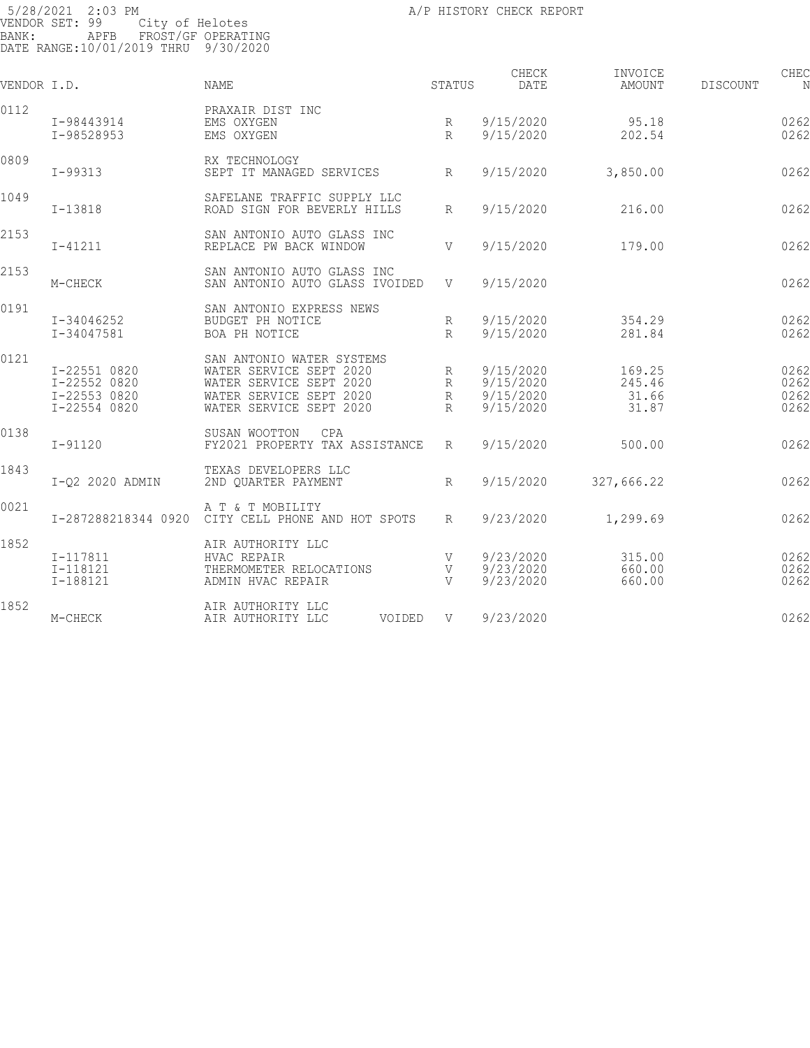| VENDOR I.D. |                                                              | <b>NAME</b>                                                                                                                           | STATUS                      | CHECK<br>DATE                                    | INVOICE<br>AMOUNT                  | DISCOUNT | CHEC<br>N                    |
|-------------|--------------------------------------------------------------|---------------------------------------------------------------------------------------------------------------------------------------|-----------------------------|--------------------------------------------------|------------------------------------|----------|------------------------------|
| 0112        | I-98443914<br>I-98528953                                     | PRAXAIR DIST INC<br>EMS OXYGEN<br>EMS OXYGEN                                                                                          | R<br>R                      | 9/15/2020<br>9/15/2020                           | 95.18<br>202.54                    |          | 0262<br>0262                 |
| 0809        | I-99313                                                      | RX TECHNOLOGY<br>SEPT IT MANAGED SERVICES                                                                                             | R                           | 9/15/2020                                        | 3,850.00                           |          | 0262                         |
| 1049        | $I-13818$                                                    | SAFELANE TRAFFIC SUPPLY LLC<br>ROAD SIGN FOR BEVERLY HILLS                                                                            | $R_{\rm}$                   | 9/15/2020                                        | 216.00                             |          | 0262                         |
| 2153        | $I - 41211$                                                  | SAN ANTONIO AUTO GLASS INC<br>REPLACE PW BACK WINDOW                                                                                  | V                           | 9/15/2020                                        | 179.00                             |          | 0262                         |
| 2153        | M-CHECK                                                      | SAN ANTONIO AUTO GLASS INC<br>SAN ANTONIO AUTO GLASS IVOIDED                                                                          | V                           | 9/15/2020                                        |                                    |          | 0262                         |
| 0191        | I-34046252<br>$I - 34047581$                                 | SAN ANTONIO EXPRESS NEWS<br>BUDGET PH NOTICE<br>BOA PH NOTICE                                                                         | R<br>$\mathbb{R}$           | 9/15/2020<br>9/15/2020                           | 354.29<br>281.84                   |          | 0262<br>0262                 |
| 0121        | I-22551 0820<br>I-22552 0820<br>I-22553 0820<br>I-22554 0820 | SAN ANTONIO WATER SYSTEMS<br>WATER SERVICE SEPT 2020<br>WATER SERVICE SEPT 2020<br>WATER SERVICE SEPT 2020<br>WATER SERVICE SEPT 2020 | R<br>R<br>$\mathbb{R}$<br>R | 9/15/2020<br>9/15/2020<br>9/15/2020<br>9/15/2020 | 169.25<br>245.46<br>31.66<br>31.87 |          | 0262<br>0262<br>0262<br>0262 |
| 0138        | $I - 91120$                                                  | SUSAN WOOTTON<br>CPA<br>FY2021 PROPERTY TAX ASSISTANCE                                                                                | $R_{\parallel}$             | 9/15/2020                                        | 500.00                             |          | 0262                         |
| 1843        | I-Q2 2020 ADMIN                                              | TEXAS DEVELOPERS LLC<br>2ND OUARTER PAYMENT                                                                                           | $R_{\rm}$                   | 9/15/2020                                        | 327,666.22                         |          | 0262                         |
| 0021        | I-287288218344 0920                                          | A T & T MOBILITY<br>CITY CELL PHONE AND HOT SPOTS                                                                                     | R                           | 9/23/2020                                        | 1,299.69                           |          | 0262                         |
| 1852        | I-117811<br>$I-118121$<br>I-188121                           | AIR AUTHORITY LLC<br>HVAC REPAIR<br>THERMOMETER RELOCATIONS<br>ADMIN HVAC REPAIR                                                      | V<br>V<br>$\overline{V}$    | 9/23/2020<br>9/23/2020<br>9/23/2020              | 315.00<br>660.00<br>660.00         |          | 0262<br>0262<br>0262         |
| 1852        | M-CHECK                                                      | AIR AUTHORITY LLC<br>AIR AUTHORITY LLC<br>VOIDED                                                                                      | V                           | 9/23/2020                                        |                                    |          | 0262                         |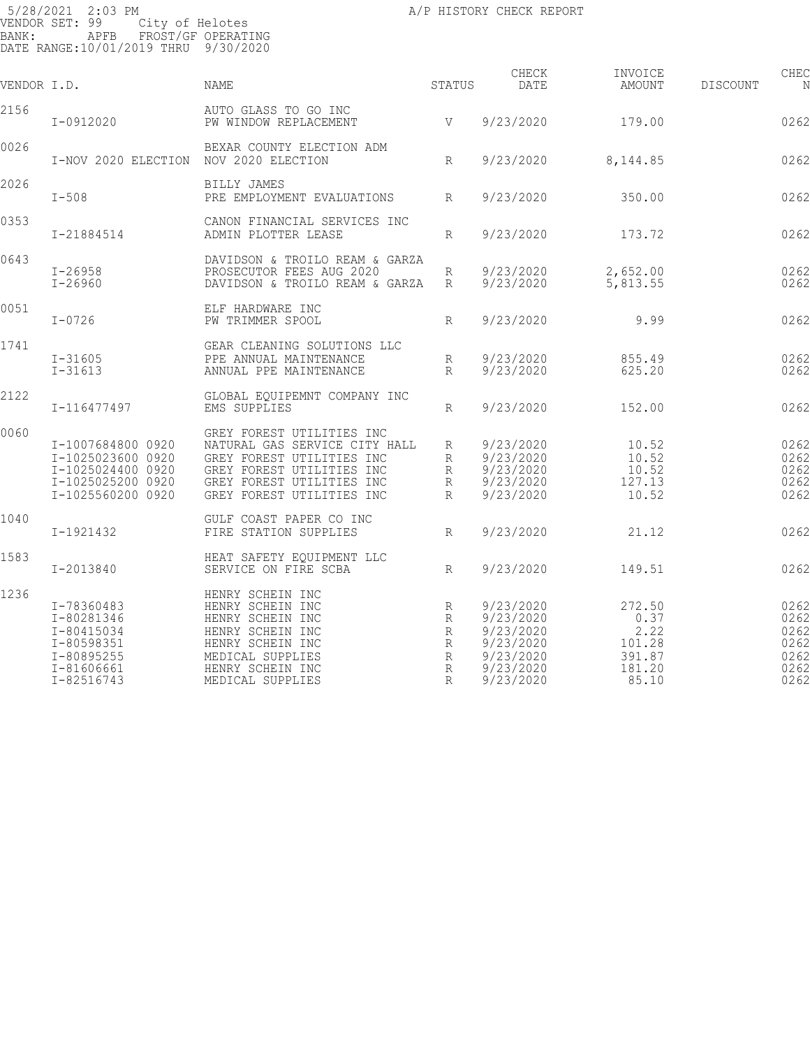| VENDOR I.D. |                                                                                                       | NAME                                                                                                                                                                           | STATUS                                     | CHECK<br>DATE                                                                           | INVOICE<br>AMOUNT                                             | <b>DISCOUNT</b> | CHEC<br>N                                            |
|-------------|-------------------------------------------------------------------------------------------------------|--------------------------------------------------------------------------------------------------------------------------------------------------------------------------------|--------------------------------------------|-----------------------------------------------------------------------------------------|---------------------------------------------------------------|-----------------|------------------------------------------------------|
| 2156        | I-0912020                                                                                             | AUTO GLASS TO GO INC<br>PW WINDOW REPLACEMENT                                                                                                                                  | V <sub>V</sub>                             | 9/23/2020                                                                               | 179.00                                                        |                 | 0262                                                 |
| 0026        | I-NOV 2020 ELECTION NOV 2020 ELECTION                                                                 | BEXAR COUNTY ELECTION ADM                                                                                                                                                      | R                                          | 9/23/2020                                                                               | 8,144.85                                                      |                 | 0262                                                 |
| 2026        | $I-508$                                                                                               | BILLY JAMES<br>PRE EMPLOYMENT EVALUATIONS                                                                                                                                      | $R_{\parallel}$                            | 9/23/2020                                                                               | 350.00                                                        |                 | 0262                                                 |
| 0353        | I-21884514                                                                                            | CANON FINANCIAL SERVICES INC<br>ADMIN PLOTTER LEASE                                                                                                                            | R                                          | 9/23/2020                                                                               | 173.72                                                        |                 | 0262                                                 |
| 0643        | $I - 26958$<br>$I - 26960$                                                                            | DAVIDSON & TROILO REAM & GARZA<br>PROSECUTOR FEES AUG 2020<br>DAVIDSON & TROILO REAM & GARZA                                                                                   | $\mathbb R$<br>$R_{\parallel}$             | 9/23/2020<br>9/23/2020                                                                  | 2,652.00<br>5,813.55                                          |                 | 0262<br>0262                                         |
| 0051        | $I - 0726$                                                                                            | ELF HARDWARE INC<br>PW TRIMMER SPOOL                                                                                                                                           | R                                          | 9/23/2020                                                                               | 9.99                                                          |                 | 0262                                                 |
| 1741        | $I - 31605$<br>$I - 31613$                                                                            | GEAR CLEANING SOLUTIONS LLC<br>PPE ANNUAL MAINTENANCE<br>ANNUAL PPE MAINTENANCE                                                                                                | R<br>R                                     | 9/23/2020<br>9/23/2020                                                                  | 855.49<br>625.20                                              |                 | 0262<br>0262                                         |
| 2122        | I-116477497                                                                                           | GLOBAL EQUIPEMNT COMPANY INC<br>EMS SUPPLIES                                                                                                                                   | R                                          | 9/23/2020                                                                               | 152.00                                                        |                 | 0262                                                 |
| 0060        | I-1007684800 0920<br>I-1025023600 0920<br>I-1025024400 0920<br>I-1025025200 0920<br>I-1025560200 0920 | GREY FOREST UTILITIES INC<br>NATURAL GAS SERVICE CITY HALL<br>GREY FOREST UTILITIES INC<br>GREY FOREST UTILITIES INC<br>GREY FOREST UTILITIES INC<br>GREY FOREST UTILITIES INC | R<br>R<br>R<br>R<br>R                      | 9/23/2020<br>9/23/2020<br>9/23/2020<br>9/23/2020<br>9/23/2020                           | 10.52<br>10.52<br>10.52<br>127.13<br>10.52                    |                 | 0262<br>0262<br>0262<br>0262<br>0262                 |
| 1040        | I-1921432                                                                                             | GULF COAST PAPER CO INC<br>FIRE STATION SUPPLIES                                                                                                                               | $R_{\parallel}$                            | 9/23/2020                                                                               | 21.12                                                         |                 | 0262                                                 |
| 1583        | I-2013840                                                                                             | HEAT SAFETY EQUIPMENT LLC<br>SERVICE ON FIRE SCBA                                                                                                                              | R                                          | 9/23/2020                                                                               | 149.51                                                        |                 | 0262                                                 |
| 1236        | I-78360483<br>I-80281346<br>I-80415034<br>I-80598351<br>I-80895255<br>I-81606661<br>I-82516743        | HENRY SCHEIN INC<br>HENRY SCHEIN INC<br>HENRY SCHEIN INC<br>HENRY SCHEIN INC<br>HENRY SCHEIN INC<br>MEDICAL SUPPLIES<br>HENRY SCHEIN INC<br>MEDICAL SUPPLIES                   | R<br>R<br>R<br>R<br>$\mathbb{R}$<br>R<br>R | 9/23/2020<br>9/23/2020<br>9/23/2020<br>9/23/2020<br>9/23/2020<br>9/23/2020<br>9/23/2020 | 272.50<br>0.37<br>2.22<br>101.28<br>391.87<br>181.20<br>85.10 |                 | 0262<br>0262<br>0262<br>0262<br>0262<br>0262<br>0262 |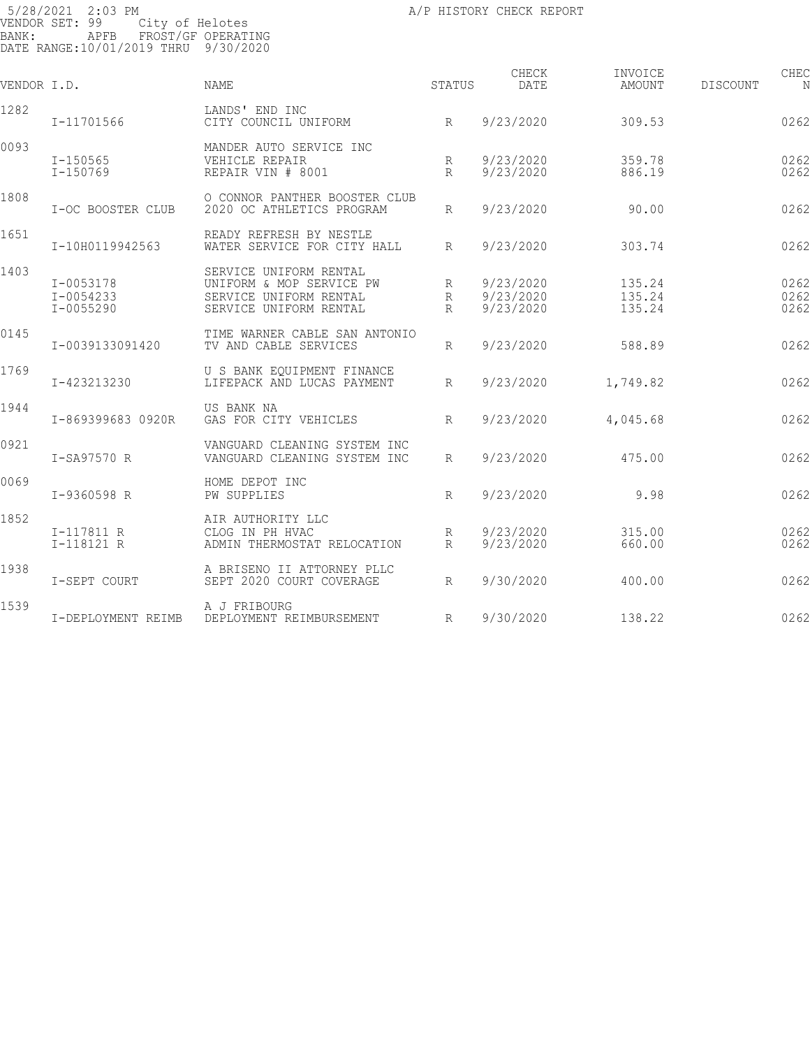| VENDOR I.D. |                                             | <b>NAME</b>                                                                                            | <b>STATUS</b>        | CHECK<br>DATE                       | INVOICE<br>AMOUNT          | <b>DISCOUNT</b> | CHEC                 |
|-------------|---------------------------------------------|--------------------------------------------------------------------------------------------------------|----------------------|-------------------------------------|----------------------------|-----------------|----------------------|
| 1282        | I-11701566                                  | LANDS' END INC<br>R<br>CITY COUNCIL UNIFORM                                                            |                      | 9/23/2020                           | 309.53                     |                 | 0262                 |
| 0093        | $I - 150565$<br>$I - 150769$                | MANDER AUTO SERVICE INC<br>VEHICLE REPAIR<br>REPAIR VIN # 8001                                         | R<br>$R_{\parallel}$ | 9/23/2020<br>9/23/2020              | 359.78<br>886.19           |                 | 0262<br>0262         |
| 1808        | I-OC BOOSTER CLUB                           | O CONNOR PANTHER BOOSTER CLUB<br>2020 OC ATHLETICS PROGRAM                                             | R                    | 9/23/2020                           | 90.00                      |                 | 0262                 |
| 1651        | I-10H0119942563                             | READY REFRESH BY NESTLE<br>WATER SERVICE FOR CITY HALL                                                 | $R_{\parallel}$      | 9/23/2020                           | 303.74                     |                 | 0262                 |
| 1403        | $I - 0053178$<br>I-0054233<br>$I - 0055290$ | SERVICE UNIFORM RENTAL<br>UNIFORM & MOP SERVICE PW<br>SERVICE UNIFORM RENTAL<br>SERVICE UNIFORM RENTAL | R<br>R<br>R          | 9/23/2020<br>9/23/2020<br>9/23/2020 | 135.24<br>135.24<br>135.24 |                 | 0262<br>0262<br>0262 |
| 0145        | I-0039133091420                             | TIME WARNER CABLE SAN ANTONIO<br>TV AND CABLE SERVICES                                                 | R                    | 9/23/2020                           | 588.89                     |                 | 0262                 |
| 1769        | I-423213230                                 | U S BANK EOUIPMENT FINANCE<br>LIFEPACK AND LUCAS PAYMENT                                               | $R_{\parallel}$      | 9/23/2020                           | 1,749.82                   |                 | 0262                 |
| 1944        | I-869399683 0920R                           | US BANK NA<br>GAS FOR CITY VEHICLES                                                                    | $R_{\rm}$            | 9/23/2020                           | 4,045.68                   |                 | 0262                 |
| 0921        | I-SA97570 R                                 | VANGUARD CLEANING SYSTEM INC<br>VANGUARD CLEANING SYSTEM INC                                           | R                    | 9/23/2020                           | 475.00                     |                 | 0262                 |
| 0069        | I-9360598 R                                 | HOME DEPOT INC<br>PW SUPPLIES                                                                          | R                    | 9/23/2020                           | 9.98                       |                 | 0262                 |
| 1852        | I-117811 R<br>I-118121 R                    | AIR AUTHORITY LLC<br>CLOG IN PH HVAC<br>ADMIN THERMOSTAT RELOCATION                                    | R<br>$R_{\parallel}$ | 9/23/2020<br>9/23/2020              | 315.00<br>660.00           |                 | 0262<br>0262         |
| 1938        | I-SEPT COURT                                | A BRISENO II ATTORNEY PLLC<br>SEPT 2020 COURT COVERAGE                                                 | R                    | 9/30/2020                           | 400.00                     |                 | 0262                 |
| 1539        | I-DEPLOYMENT REIMB                          | A J FRIBOURG<br>DEPLOYMENT REIMBURSEMENT                                                               | R                    | 9/30/2020                           | 138.22                     |                 | 0262                 |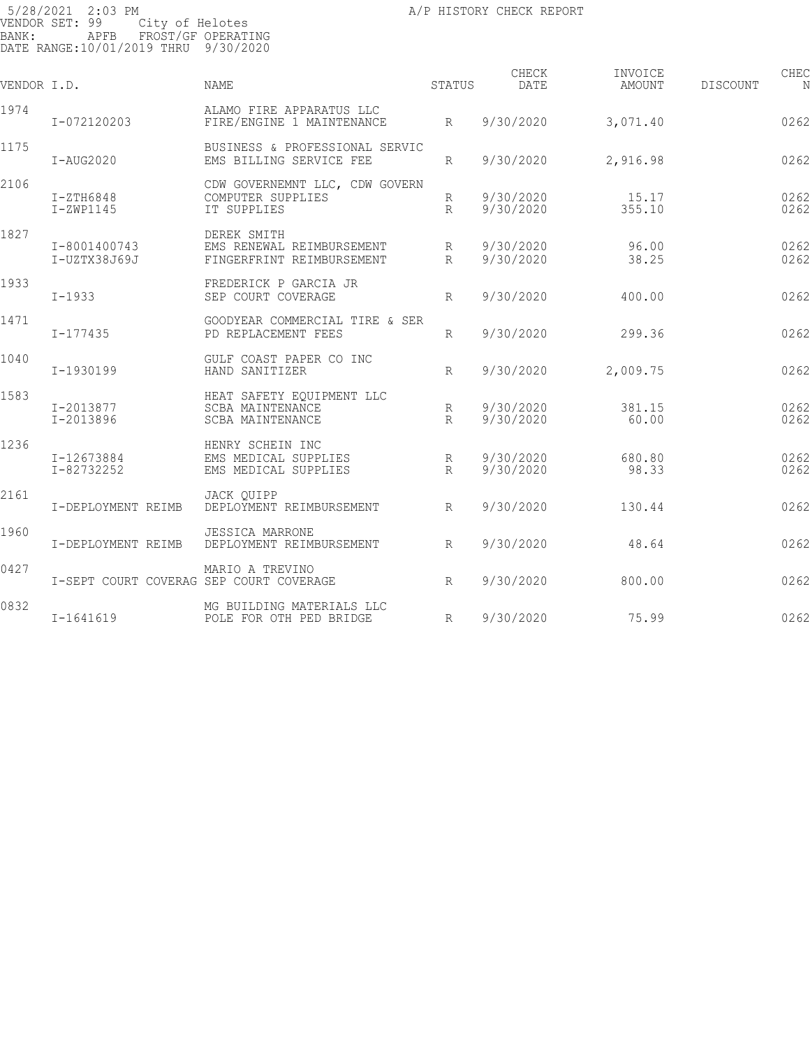| VENDOR I.D. |                                         | <b>NAME</b>                                                              | STATUS               | CHECK<br>DATE          | INVOICE<br>AMOUNT | <b>DISCOUNT</b> | CHEC         |
|-------------|-----------------------------------------|--------------------------------------------------------------------------|----------------------|------------------------|-------------------|-----------------|--------------|
| 1974        | I-072120203                             | ALAMO FIRE APPARATUS LLC<br>FIRE/ENGINE 1 MAINTENANCE                    | R                    | 9/30/2020              | 3,071.40          |                 | 0262         |
| 1175        | $I-AUG2020$                             | BUSINESS & PROFESSIONAL SERVIC<br>EMS BILLING SERVICE FEE                | R                    | 9/30/2020              | 2,916.98          |                 | 0262         |
| 2106        | $I-ZTH6848$<br>$I-ZWP1145$              | CDW GOVERNEMNT LLC, CDW GOVERN<br>COMPUTER SUPPLIES<br>IT SUPPLIES       | R<br>$R_{\rm}$       | 9/30/2020<br>9/30/2020 | 15.17<br>355.10   |                 | 0262<br>0262 |
| 1827        | I-8001400743<br>I-UZTX38J69J            | DEREK SMITH<br>EMS RENEWAL REIMBURSEMENT<br>FINGERFRINT REIMBURSEMENT    | R<br>$R_{\rm}$       | 9/30/2020<br>9/30/2020 | 96.00<br>38.25    |                 | 0262<br>0262 |
| 1933        | $I - 1933$                              | FREDERICK P GARCIA JR<br>SEP COURT COVERAGE                              | $R_{\rm}$            | 9/30/2020              | 400.00            |                 | 0262         |
| 1471        | $I - 177435$                            | GOODYEAR COMMERCIAL TIRE & SER<br>PD REPLACEMENT FEES                    | R                    | 9/30/2020              | 299.36            |                 | 0262         |
| 1040        | I-1930199                               | GULF COAST PAPER CO INC<br>HAND SANITIZER                                | R                    | 9/30/2020              | 2,009.75          |                 | 0262         |
| 1583        | I-2013877<br>I-2013896                  | HEAT SAFETY EQUIPMENT LLC<br><b>SCBA MAINTENANCE</b><br>SCBA MAINTENANCE | R<br>$R_{\rm}$       | 9/30/2020<br>9/30/2020 | 381.15<br>60.00   |                 | 0262<br>0262 |
| 1236        | I-12673884<br>I-82732252                | HENRY SCHEIN INC<br>EMS MEDICAL SUPPLIES<br>EMS MEDICAL SUPPLIES         | R<br>$R_{\parallel}$ | 9/30/2020<br>9/30/2020 | 680.80<br>98.33   |                 | 0262<br>0262 |
| 2161        | I-DEPLOYMENT REIMB                      | JACK OUIPP<br>DEPLOYMENT REIMBURSEMENT                                   | R                    | 9/30/2020              | 130.44            |                 | 0262         |
| 1960        | I-DEPLOYMENT REIMB                      | <b>JESSICA MARRONE</b><br>DEPLOYMENT REIMBURSEMENT                       | R                    | 9/30/2020              | 48.64             |                 | 0262         |
| 0427        | I-SEPT COURT COVERAG SEP COURT COVERAGE | MARIO A TREVINO                                                          | R                    | 9/30/2020              | 800.00            |                 | 0262         |
| 0832        | $I - 1641619$                           | MG BUILDING MATERIALS LLC<br>POLE FOR OTH PED BRIDGE                     | R                    | 9/30/2020              | 75.99             |                 | 0262         |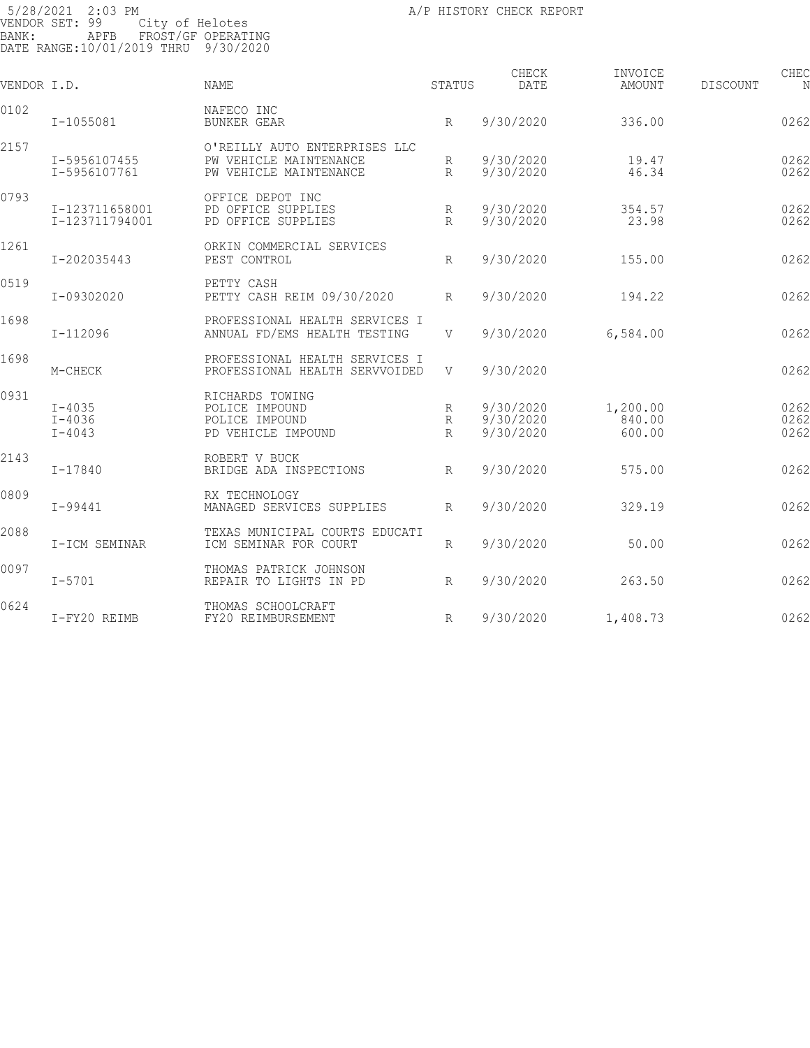| VENDOR I.D. |                                        | <b>NAME</b>                                                                       | STATUS                 | CHECK<br>DATE                       | INVOICE<br>AMOUNT            | CHEC<br>DISCOUNT<br>N |
|-------------|----------------------------------------|-----------------------------------------------------------------------------------|------------------------|-------------------------------------|------------------------------|-----------------------|
| 0102        | I-1055081                              | NAFECO INC<br><b>BUNKER GEAR</b>                                                  | R                      | 9/30/2020                           | 336.00                       | 0262                  |
| 2157        | I-5956107455<br>I-5956107761           | O'REILLY AUTO ENTERPRISES LLC<br>PW VEHICLE MAINTENANCE<br>PW VEHICLE MAINTENANCE | R<br>$R_{\rm}$         | 9/30/2020<br>9/30/2020              | 19.47<br>46.34               | 0262<br>0262          |
| 0793        | I-123711658001<br>I-123711794001       | OFFICE DEPOT INC<br>PD OFFICE SUPPLIES<br>PD OFFICE SUPPLIES                      | R<br>$R_{\rm}$         | 9/30/2020<br>9/30/2020              | 354.57<br>23.98              | 0262<br>0262          |
| 1261        | I-202035443                            | ORKIN COMMERCIAL SERVICES<br>PEST CONTROL                                         | R                      | 9/30/2020                           | 155.00                       | 0262                  |
| 0519        | I-09302020                             | PETTY CASH<br>PETTY CASH REIM 09/30/2020                                          | R                      | 9/30/2020                           | 194.22                       | 0262                  |
| 1698        | I-112096                               | PROFESSIONAL HEALTH SERVICES I<br>ANNUAL FD/EMS HEALTH TESTING                    | V                      | 9/30/2020                           | 6,584.00                     | 0262                  |
| 1698        | M-CHECK                                | PROFESSIONAL HEALTH SERVICES I<br>PROFESSIONAL HEALTH SERVVOIDED                  | V                      | 9/30/2020                           |                              | 0262                  |
| 0931        | $I - 4035$<br>$I - 4036$<br>$I - 4043$ | RICHARDS TOWING<br>POLICE IMPOUND<br>POLICE IMPOUND<br>PD VEHICLE IMPOUND         | R<br>R<br>$\mathbb{R}$ | 9/30/2020<br>9/30/2020<br>9/30/2020 | 1,200.00<br>840.00<br>600.00 | 0262<br>0262<br>0262  |
| 2143        | $I - 17840$                            | ROBERT V BUCK<br>BRIDGE ADA INSPECTIONS                                           | $R_{\rm}$              | 9/30/2020                           | 575.00                       | 0262                  |
| 0809        | $I - 99441$                            | RX TECHNOLOGY<br>MANAGED SERVICES SUPPLIES                                        | $R_{\rm}$              | 9/30/2020                           | 329.19                       | 0262                  |
| 2088        | I-ICM SEMINAR                          | TEXAS MUNICIPAL COURTS EDUCATI<br>ICM SEMINAR FOR COURT                           | R                      | 9/30/2020                           | 50.00                        | 0262                  |
| 0097        | $I - 5701$                             | THOMAS PATRICK JOHNSON<br>REPAIR TO LIGHTS IN PD                                  | R                      | 9/30/2020                           | 263.50                       | 0262                  |
| 0624        | I-FY20 REIMB                           | THOMAS SCHOOLCRAFT<br>FY20 REIMBURSEMENT                                          | R                      | 9/30/2020                           | 1,408.73                     | 0262                  |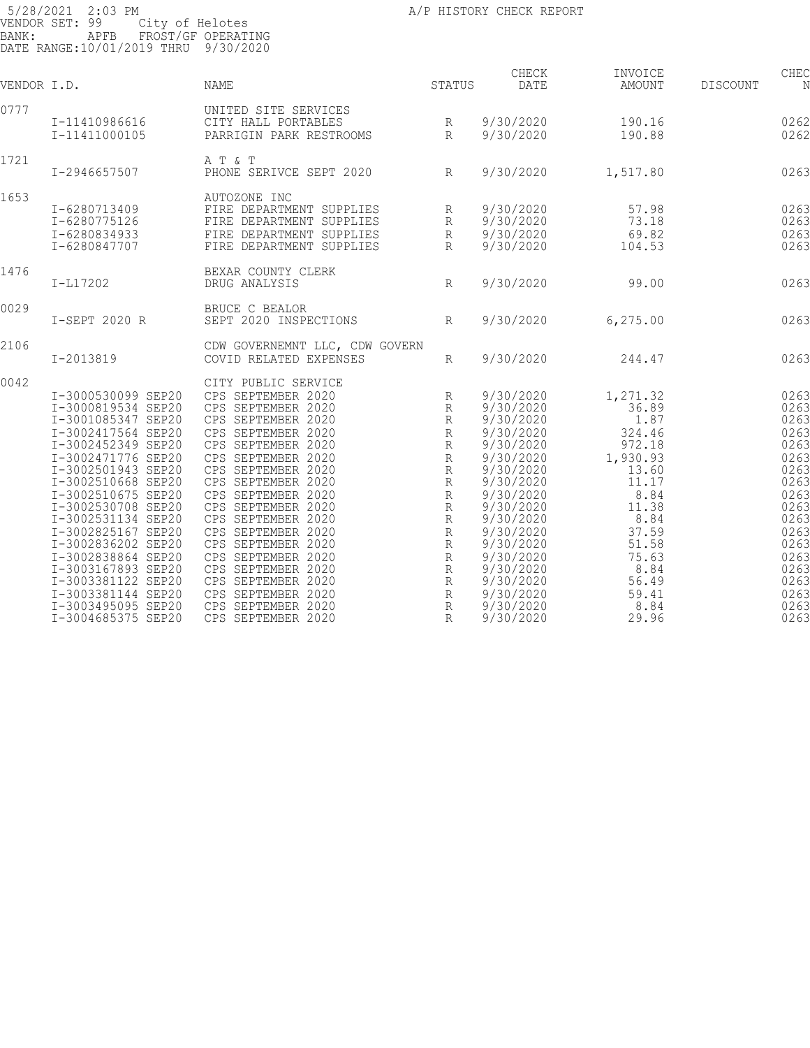| BANK:       | 5/28/2021 2:03 PM<br>VENDOR SET: 99<br>APFB FROST/GF OPERATING | A /P HISTORY CHECK REPORT<br>City of Helotes<br>TROST / GF OPERATING                                                                                                    |   |               |                   |                 |           |
|-------------|----------------------------------------------------------------|-------------------------------------------------------------------------------------------------------------------------------------------------------------------------|---|---------------|-------------------|-----------------|-----------|
|             | DATE RANGE: 10/01/2019 THRU 9/30/2020                          |                                                                                                                                                                         |   |               |                   |                 |           |
| VENDOR I.D. |                                                                | <b>STATUS</b><br>NAME                                                                                                                                                   |   | CHECK<br>DATE | INVOICE<br>AMOUNT | <b>DISCOUNT</b> | CHEC<br>N |
| 0777        |                                                                |                                                                                                                                                                         |   |               |                   |                 |           |
|             |                                                                |                                                                                                                                                                         |   |               | 190.16            |                 | 0262      |
|             |                                                                |                                                                                                                                                                         |   |               | 190.88            |                 | 0262      |
| 1721        |                                                                | A T & T                                                                                                                                                                 |   |               |                   |                 |           |
|             | I-2946657507                                                   | A T & T<br>PHONE SERIVCE SEPT 2020 R                                                                                                                                    |   | 9/30/2020     | 1,517.80          |                 | 0263      |
| 1653        |                                                                |                                                                                                                                                                         |   |               |                   |                 |           |
|             | I-6280713409                                                   |                                                                                                                                                                         |   |               | 57.98             |                 | 0263      |
|             | I-6280775126                                                   |                                                                                                                                                                         |   |               | 73.18             |                 | 0263      |
|             | I-6280834933                                                   |                                                                                                                                                                         |   |               | 69.82             |                 | 0263      |
|             | I-6280847707                                                   | AUTOZONE INC<br>FIRE DEPARTMENT SUPPLIES<br>FIRE DEPARTMENT SUPPLIES<br>FIRE DEPARTMENT SUPPLIES<br>FIRE DEPARTMENT SUPPLIES<br>FIRE DEPARTMENT SUPPLIES<br>R 9/30/2020 |   |               | 104.53            |                 | 0263      |
| 1476        |                                                                | BEXAR COUNTY CLERK                                                                                                                                                      |   |               |                   |                 |           |
|             | I-L17202                                                       | DRUG ANALYSIS                                                                                                                                                           | R | 9/30/2020     | 99.00             |                 | 0263      |
| 0029        |                                                                | BRUCE C BEALOR                                                                                                                                                          |   |               |                   |                 |           |
|             | I-SEPT 2020 R                                                  | SEPT 2020 INSPECTIONS R                                                                                                                                                 |   | 9/30/2020     | 6, 275.00         |                 | 0263      |
| 2106        |                                                                | CDW GOVERNEMNT LLC, CDW GOVERN                                                                                                                                          |   |               |                   |                 |           |
|             | I-2013819                                                      | COVID RELATED EXPENSES                                                                                                                                                  | R | 9/30/2020     | 244.47            |                 | 0263      |
| 0042        |                                                                | CITY PUBLIC SERVICE                                                                                                                                                     |   |               |                   |                 |           |
|             | I-3000530099 SEP20                                             | CPS SEPTEMBER 2020                                                                                                                                                      |   | 9/30/2020     | 1,271.32          |                 | 0263      |
|             | I-3000819534 SEP20                                             | CPS SEPTEMBER 2020                                                                                                                                                      |   | 9/30/2020     | 36.89             |                 | 0263      |
|             | I-3001085347 SEP20                                             | CPS SEPTEMBER 2020                                                                                                                                                      |   | 9/30/2020     | 1.87              |                 | 0263      |
|             | I-3002417564 SEP20                                             | CPS SEPTEMBER 2020                                                                                                                                                      |   | 9/30/2020     | 324.46            |                 | 0263      |
|             | I-3002452349 SEP20                                             | CPS SEPTEMBER 2020                                                                                                                                                      |   | 9/30/2020     | 972.18            |                 | 0263      |
|             | I-3002471776 SEP20                                             | CPS SEPTEMBER 2020                                                                                                                                                      |   | 9/30/2020     | 1,930.93          |                 | 0263      |
|             | I-3002501943 SEP20                                             | CPS SEPTEMBER 2020                                                                                                                                                      |   | 9/30/2020     | 13.60             |                 | 0263      |
|             | I-3002510668 SEP20                                             | CPS SEPTEMBER 2020                                                                                                                                                      |   | 9/30/2020     | 11.17             |                 | 0263      |
|             | I-3002510675 SEP20                                             | CPS SEPTEMBER 2020                                                                                                                                                      |   | 9/30/2020     | 8.84              |                 | 0263      |
|             | I-3002530708 SEP20                                             | CPS SEPTEMBER 2020                                                                                                                                                      |   | 9/30/2020     | 11.38             |                 | 0263      |
|             | I-3002531134 SEP20                                             | CPS SEPTEMBER 2020                                                                                                                                                      |   | 9/30/2020     | 8.84              |                 | 0263      |
|             | I-3002825167 SEP20                                             | CPS SEPTEMBER 2020                                                                                                                                                      |   | 9/30/2020     | 37.59             |                 | 0263      |
|             | I-3002836202 SEP20                                             | CPS SEPTEMBER 2020                                                                                                                                                      |   | 9/30/2020     | 51.58             |                 | 0263      |
|             | I-3002838864 SEP20                                             | CPS SEPTEMBER 2020                                                                                                                                                      |   | 9/30/2020     | 75.63             |                 | 0263      |
|             | I-3003167893 SEP20                                             | CPS SEPTEMBER 2020                                                                                                                                                      |   | 9/30/2020     | 8.84              |                 | 0263      |
|             | I-3003381122 SEP20                                             | CPS SEPTEMBER 2020                                                                                                                                                      |   | 9/30/2020     | 56.49             |                 | 0263      |
|             | I-3003381144 SEP20                                             | CPS SEPTEMBER 2020                                                                                                                                                      |   | 9/30/2020     | 59.41             |                 | 0263      |
|             | I-3003495095 SEP20                                             | CPS SEPTEMBER 2020                                                                                                                                                      |   | 9/30/2020     | 8.84              |                 | 0263      |

I-3004685375 SEP20 CPS SEPTEMBER 2020 R 9/30/2020 29.96 026340 4,919.82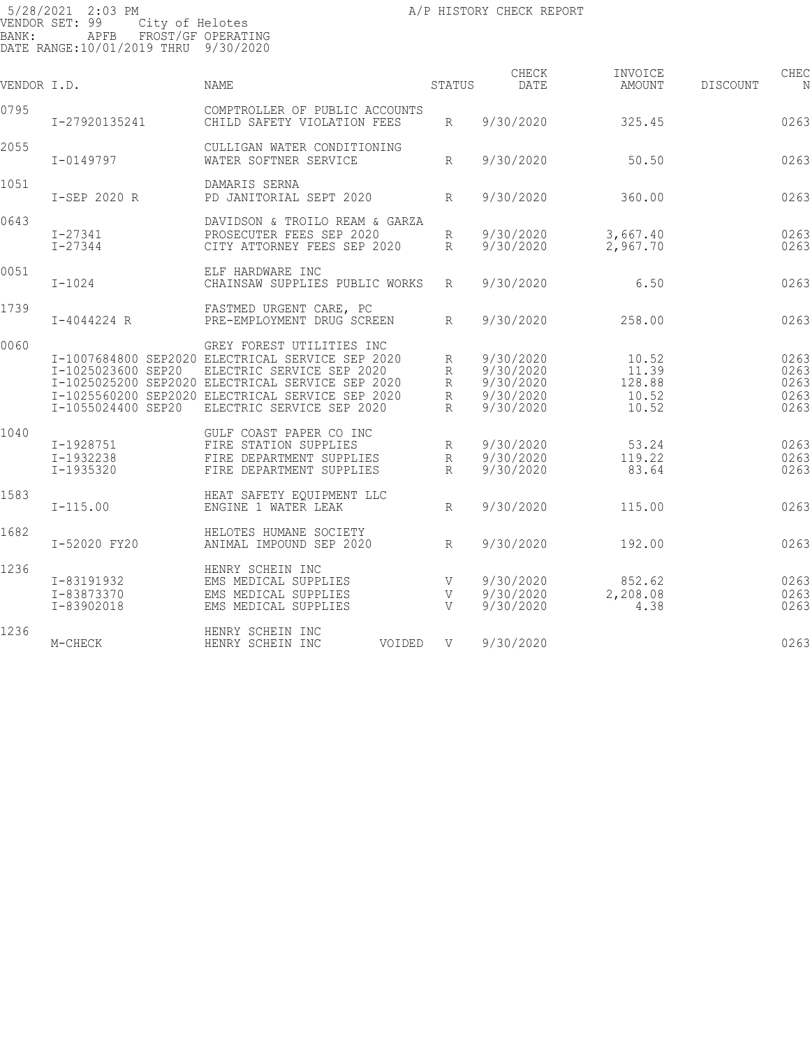| VENDOR I.D. |                                          | NAME                                                                                                                                                                                                                                            | STATUS                | CHECK<br>DATE                                                 | INVOICE<br>AMOUNT                          | <b>DISCOUNT</b> | CHEC<br>N                            |
|-------------|------------------------------------------|-------------------------------------------------------------------------------------------------------------------------------------------------------------------------------------------------------------------------------------------------|-----------------------|---------------------------------------------------------------|--------------------------------------------|-----------------|--------------------------------------|
| 0795        | I-27920135241                            | COMPTROLLER OF PUBLIC ACCOUNTS<br>CHILD SAFETY VIOLATION FEES                                                                                                                                                                                   | R                     | 9/30/2020                                                     | 325.45                                     |                 | 0263                                 |
| 2055        | I-0149797                                | CULLIGAN WATER CONDITIONING<br>WATER SOFTNER SERVICE                                                                                                                                                                                            | R                     | 9/30/2020                                                     | 50.50                                      |                 | 0263                                 |
| 1051        | I-SEP 2020 R                             | DAMARIS SERNA<br>PD JANITORIAL SEPT 2020                                                                                                                                                                                                        | R                     | 9/30/2020                                                     | 360.00                                     |                 | 0263                                 |
| 0643        | $I - 27341$<br>$I - 27344$               | DAVIDSON & TROILO REAM & GARZA<br>PROSECUTER FEES SEP 2020<br>CITY ATTORNEY FEES SEP 2020                                                                                                                                                       | R<br>R                | 9/30/2020<br>9/30/2020                                        | 3,667.40<br>2,967.70                       |                 | 0263<br>0263                         |
| 0051        | $I - 1024$                               | ELF HARDWARE INC<br>CHAINSAW SUPPLIES PUBLIC WORKS                                                                                                                                                                                              | R                     | 9/30/2020                                                     | 6.50                                       |                 | 0263                                 |
| 1739        | I-4044224 R                              | FASTMED URGENT CARE, PC<br>PRE-EMPLOYMENT DRUG SCREEN                                                                                                                                                                                           | $R_{\rm}$             | 9/30/2020                                                     | 258.00                                     |                 | 0263                                 |
| 0060        | I-1025023600 SEP20<br>I-1055024400 SEP20 | GREY FOREST UTILITIES INC<br>I-1007684800 SEP2020 ELECTRICAL SERVICE SEP 2020<br>ELECTRIC SERVICE SEP 2020<br>I-1025025200 SEP2020 ELECTRICAL SERVICE SEP 2020<br>I-1025560200 SEP2020 ELECTRICAL SERVICE SEP 2020<br>ELECTRIC SERVICE SEP 2020 | R<br>R<br>R<br>R<br>R | 9/30/2020<br>9/30/2020<br>9/30/2020<br>9/30/2020<br>9/30/2020 | 10.52<br>11.39<br>128.88<br>10.52<br>10.52 |                 | 0263<br>0263<br>0263<br>0263<br>0263 |
| 1040        | I-1928751<br>I-1932238<br>I-1935320      | GULF COAST PAPER CO INC<br>FIRE STATION SUPPLIES<br>FIRE DEPARTMENT SUPPLIES<br>FIRE DEPARTMENT SUPPLIES                                                                                                                                        | R<br>R<br>$R_{\rm}$   | 9/30/2020<br>9/30/2020<br>9/30/2020                           | 53.24<br>119.22<br>83.64                   |                 | 0263<br>0263<br>0263                 |
| 1583        | $I-115.00$                               | HEAT SAFETY EOUIPMENT LLC<br>ENGINE 1 WATER LEAK                                                                                                                                                                                                | R                     | 9/30/2020                                                     | 115.00                                     |                 | 0263                                 |
| 1682        | I-52020 FY20                             | HELOTES HUMANE SOCIETY<br>ANIMAL IMPOUND SEP 2020                                                                                                                                                                                               | $R_{\parallel}$       | 9/30/2020                                                     | 192.00                                     |                 | 0263                                 |
| 1236        | I-83191932<br>I-83873370<br>I-83902018   | HENRY SCHEIN INC<br>EMS MEDICAL SUPPLIES<br>EMS MEDICAL SUPPLIES<br>EMS MEDICAL SUPPLIES                                                                                                                                                        | V<br>V<br>V           | 9/30/2020<br>9/30/2020<br>9/30/2020                           | 852.62<br>2,208.08<br>4.38                 |                 | 0263<br>0263<br>0263                 |
| 1236        | M-CHECK                                  | HENRY SCHEIN INC<br>HENRY SCHEIN INC<br>VOIDED                                                                                                                                                                                                  | V                     | 9/30/2020                                                     |                                            |                 | 0263                                 |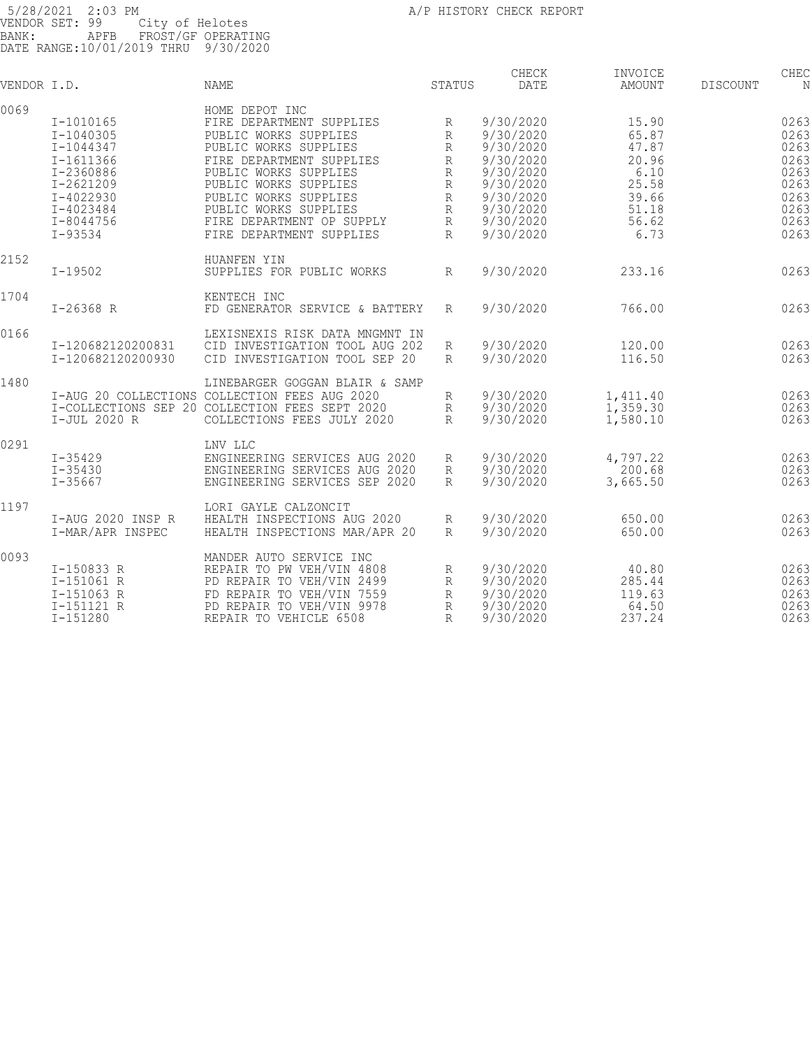| VENDOR I.D. |                   | <b>NAME</b>                                    | STATUS       | CHECK<br>DATE | INVOICE<br><b>AMOUNT</b> | <b>DISCOUNT</b> | CHEC |
|-------------|-------------------|------------------------------------------------|--------------|---------------|--------------------------|-----------------|------|
| 0069        |                   | HOME DEPOT INC                                 |              |               |                          |                 |      |
|             | I-1010165         | FIRE DEPARTMENT SUPPLIES                       | R            | 9/30/2020     | 15.90                    |                 | 0263 |
|             | I-1040305         | PUBLIC WORKS SUPPLIES                          | $\mathbb{R}$ | 9/30/2020     | 65.87                    |                 | 0263 |
|             | I-1044347         | PUBLIC WORKS SUPPLIES                          | R            | 9/30/2020     | 47.87                    |                 | 0263 |
|             | $I - 1611366$     | FIRE DEPARTMENT SUPPLIES                       | $\mathbb{R}$ | 9/30/2020     | 20.96                    |                 | 0263 |
|             | I-2360886         | PUBLIC WORKS SUPPLIES                          | $\mathbb{R}$ | 9/30/2020     | 6.10                     |                 | 0263 |
|             | $I - 2621209$     | PUBLIC WORKS SUPPLIES                          | R            | 9/30/2020     | 25.58                    |                 | 0263 |
|             | $I - 4022930$     | PUBLIC WORKS SUPPLIES                          | R            | 9/30/2020     | 39.66                    |                 | 0263 |
|             | I-4023484         | PUBLIC WORKS SUPPLIES                          | R            | 9/30/2020     | 51.18                    |                 | 0263 |
|             | I-8044756         | FIRE DEPARTMENT OP SUPPLY                      | R            | 9/30/2020     | 56.62                    |                 | 0263 |
|             | $I - 93534$       | FIRE DEPARTMENT SUPPLIES                       | $\mathbb{R}$ | 9/30/2020     | 6.73                     |                 | 0263 |
| 2152        |                   | HUANFEN YIN                                    |              |               |                          |                 |      |
|             | $I - 19502$       | SUPPLIES FOR PUBLIC WORKS                      | R            | 9/30/2020     | 233.16                   |                 | 0263 |
| 1704        |                   | KENTECH INC                                    |              |               |                          |                 |      |
|             | $I-26368 R$       | FD GENERATOR SERVICE & BATTERY                 | $R_{\rm}$    | 9/30/2020     | 766.00                   |                 | 0263 |
| 0166        |                   | LEXISNEXIS RISK DATA MNGMNT IN                 |              |               |                          |                 |      |
|             | I-120682120200831 | CID INVESTIGATION TOOL AUG 202                 | R            | 9/30/2020     | 120.00                   |                 | 0263 |
|             | I-120682120200930 | CID INVESTIGATION TOOL SEP 20                  | R            | 9/30/2020     | 116.50                   |                 | 0263 |
| 1480        |                   | LINEBARGER GOGGAN BLAIR & SAMP                 |              |               |                          |                 |      |
|             |                   | I-AUG 20 COLLECTIONS COLLECTION FEES AUG 2020  | R            | 9/30/2020     | 1,411.40                 |                 | 0263 |
|             |                   | I-COLLECTIONS SEP 20 COLLECTION FEES SEPT 2020 | R            | 9/30/2020     | 1,359.30                 |                 | 0263 |
|             | I-JUL 2020 R      | COLLECTIONS FEES JULY 2020                     | R            | 9/30/2020     | 1,580.10                 |                 | 0263 |
| 0291        |                   | LNV LLC                                        |              |               |                          |                 |      |
|             | $I - 35429$       | ENGINEERING SERVICES AUG 2020                  | R            | 9/30/2020     | 4,797.22                 |                 | 0263 |
|             | $I - 35430$       | ENGINEERING SERVICES AUG 2020                  | R            | 9/30/2020     | 200.68                   |                 | 0263 |
|             | $I - 35667$       | ENGINEERING SERVICES SEP 2020                  | R            | 9/30/2020     | 3,665.50                 |                 | 0263 |
| 1197        |                   | LORI GAYLE CALZONCIT                           |              |               |                          |                 |      |
|             | I-AUG 2020 INSP R | HEALTH INSPECTIONS AUG 2020                    | R            | 9/30/2020     | 650.00                   |                 | 0263 |
|             | I-MAR/APR INSPEC  | HEALTH INSPECTIONS MAR/APR 20                  | R            | 9/30/2020     | 650.00                   |                 | 0263 |
| 0093        |                   | MANDER AUTO SERVICE INC                        |              |               |                          |                 |      |
|             | I-150833 R        | REPAIR TO PW VEH/VIN 4808                      | R            | 9/30/2020     | 40.80                    |                 | 0263 |
|             | I-151061 R        | PD REPAIR TO VEH/VIN 2499                      | R            | 9/30/2020     | 285.44                   |                 | 0263 |
|             | I-151063 R        | FD REPAIR TO VEH/VIN 7559                      | R            | 9/30/2020     | 119.63                   |                 | 0263 |
|             | I-151121 R        | PD REPAIR TO VEH/VIN 9978                      | $\mathbb{R}$ | 9/30/2020     | 64.50                    |                 | 0263 |
|             | $I - 151280$      | REPAIR TO VEHICLE 6508                         | R            | 9/30/2020     | 237.24                   |                 | 0263 |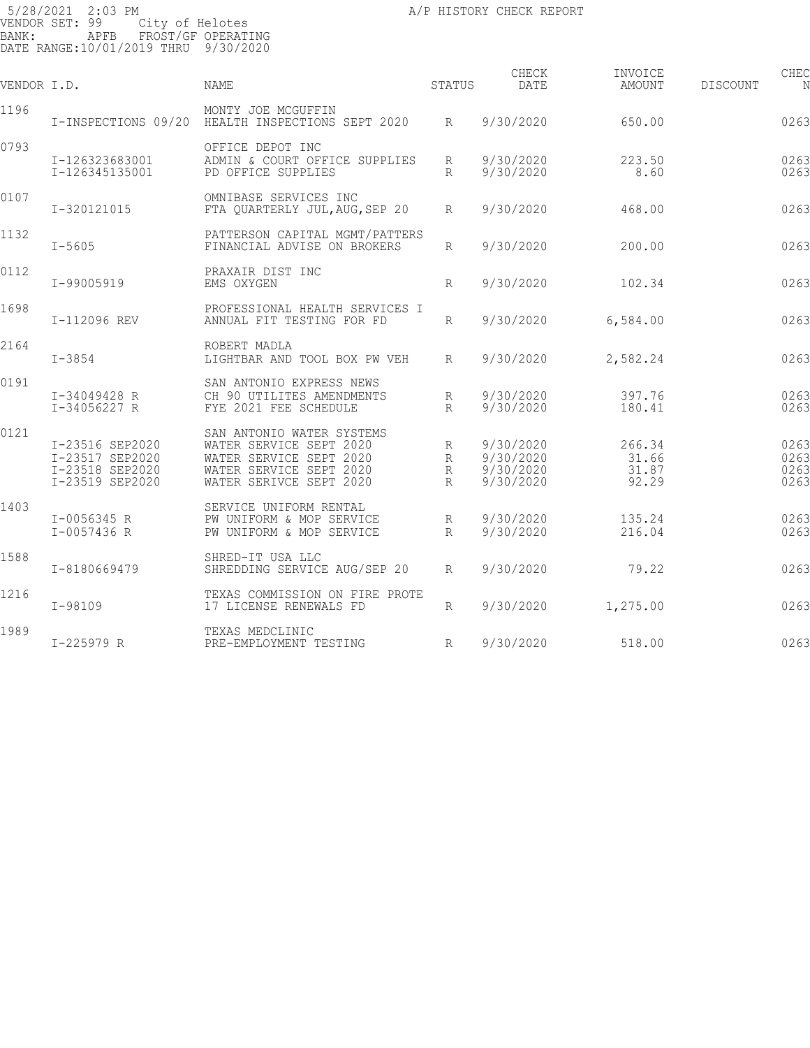| VENDOR I.D. |                                                                          | <b>NAME</b>                                                                                                                           | STATUS                      | CHECK<br>DATE                                    | INVOICE<br>AMOUNT                 | DISCOUNT | CHEC<br>N                    |
|-------------|--------------------------------------------------------------------------|---------------------------------------------------------------------------------------------------------------------------------------|-----------------------------|--------------------------------------------------|-----------------------------------|----------|------------------------------|
| 1196        | I-INSPECTIONS 09/20                                                      | MONTY JOE MCGUFFIN<br>HEALTH INSPECTIONS SEPT 2020                                                                                    | $R_{\parallel}$             | 9/30/2020                                        | 650.00                            |          | 0263                         |
| 0793        | I-126323683001<br>I-126345135001                                         | OFFICE DEPOT INC<br>ADMIN & COURT OFFICE SUPPLIES<br>PD OFFICE SUPPLIES                                                               | R<br>R                      | 9/30/2020<br>9/30/2020                           | 223.50<br>8.60                    |          | 0263<br>0263                 |
| 0107        | I-320121015                                                              | OMNIBASE SERVICES INC<br>FTA QUARTERLY JUL, AUG, SEP 20                                                                               | R                           | 9/30/2020                                        | 468.00                            |          | 0263                         |
| 1132        | $I - 5605$                                                               | PATTERSON CAPITAL MGMT/PATTERS<br>FINANCIAL ADVISE ON BROKERS                                                                         | R                           | 9/30/2020                                        | 200.00                            |          | 0263                         |
| 0112        | I-99005919                                                               | PRAXAIR DIST INC<br>EMS OXYGEN                                                                                                        | $R_{\rm}$                   | 9/30/2020                                        | 102.34                            |          | 0263                         |
| 1698        | I-112096 REV                                                             | PROFESSIONAL HEALTH SERVICES I<br>ANNUAL FIT TESTING FOR FD                                                                           | R                           | 9/30/2020                                        | 6,584.00                          |          | 0263                         |
| 2164        | $I - 3854$                                                               | ROBERT MADLA<br>LIGHTBAR AND TOOL BOX PW VEH                                                                                          | R                           | 9/30/2020                                        | 2,582.24                          |          | 0263                         |
| 0191        | I-34049428 R<br>I-34056227 R                                             | SAN ANTONIO EXPRESS NEWS<br>CH 90 UTILITES AMENDMENTS<br>FYE 2021 FEE SCHEDULE                                                        | R<br>$R_{\rm}$              | 9/30/2020<br>9/30/2020                           | 397.76<br>180.41                  |          | 0263<br>0263                 |
| 0121        | I-23516 SEP2020<br>I-23517 SEP2020<br>I-23518 SEP2020<br>I-23519 SEP2020 | SAN ANTONIO WATER SYSTEMS<br>WATER SERVICE SEPT 2020<br>WATER SERVICE SEPT 2020<br>WATER SERVICE SEPT 2020<br>WATER SERIVCE SEPT 2020 | R<br>$\mathbb{R}$<br>R<br>R | 9/30/2020<br>9/30/2020<br>9/30/2020<br>9/30/2020 | 266.34<br>31.66<br>31.87<br>92.29 |          | 0263<br>0263<br>0263<br>0263 |
| 1403        | I-0056345 R<br>I-0057436 R                                               | SERVICE UNIFORM RENTAL<br>PW UNIFORM & MOP SERVICE<br>PW UNIFORM & MOP SERVICE                                                        | R<br>$R_{\parallel}$        | 9/30/2020<br>9/30/2020                           | 135.24<br>216.04                  |          | 0263<br>0263                 |
| 1588        | I-8180669479                                                             | SHRED-IT USA LLC<br>SHREDDING SERVICE AUG/SEP 20                                                                                      | $R_{\parallel}$             | 9/30/2020                                        | 79.22                             |          | 0263                         |
| 1216        | $I-98109$                                                                | TEXAS COMMISSION ON FIRE PROTE<br>17 LICENSE RENEWALS FD                                                                              | R                           | 9/30/2020                                        | 1,275.00                          |          | 0263                         |
| 1989        | I-225979 R                                                               | TEXAS MEDCLINIC<br>PRE-EMPLOYMENT TESTING                                                                                             | R                           | 9/30/2020                                        | 518.00                            |          | 0263                         |
|             |                                                                          |                                                                                                                                       |                             |                                                  |                                   |          |                              |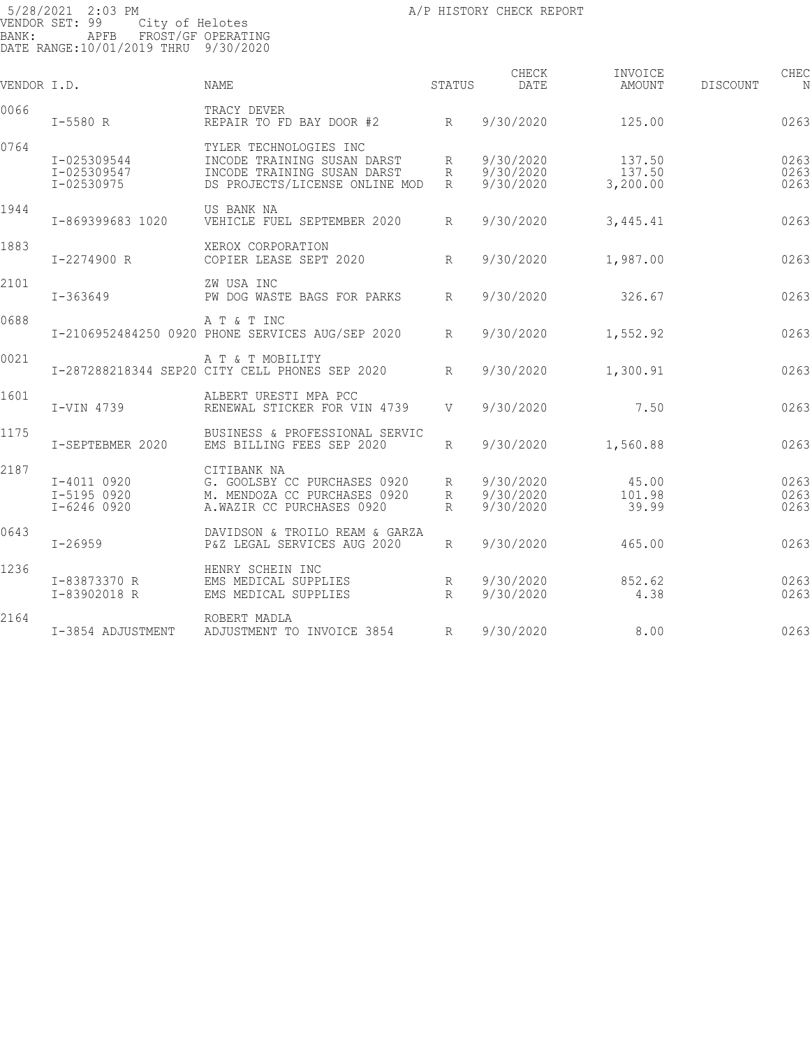| VENDOR I.D. |                                           | NAME                                                                                                                   | STATUS               | CHECK<br>DATE                       | INVOICE<br>AMOUNT            | <b>DISCOUNT</b> | CHEC<br>N            |
|-------------|-------------------------------------------|------------------------------------------------------------------------------------------------------------------------|----------------------|-------------------------------------|------------------------------|-----------------|----------------------|
| 0066        | $I - 5580 R$                              | TRACY DEVER<br>REPAIR TO FD BAY DOOR #2 R                                                                              |                      | 9/30/2020                           | 125.00                       |                 | 0263                 |
| 0764        | I-025309544<br>I-025309547<br>I-02530975  | TYLER TECHNOLOGIES INC<br>INCODE TRAINING SUSAN DARST<br>INCODE TRAINING SUSAN DARST<br>DS PROJECTS/LICENSE ONLINE MOD | R<br>R<br>R          | 9/30/2020<br>9/30/2020<br>9/30/2020 | 137.50<br>137.50<br>3,200.00 |                 | 0263<br>0263<br>0263 |
| 1944        | I-869399683 1020                          | US BANK NA<br>VEHICLE FUEL SEPTEMBER 2020                                                                              | $R_{\parallel}$      | 9/30/2020                           | 3,445.41                     |                 | 0263                 |
| 1883        | I-2274900 R                               | XEROX CORPORATION<br>COPIER LEASE SEPT 2020                                                                            | R                    | 9/30/2020                           | 1,987.00                     |                 | 0263                 |
| 2101        | $I - 363649$                              | ZW USA INC<br>PW DOG WASTE BAGS FOR PARKS                                                                              | $R_{\parallel}$      | 9/30/2020                           | 326.67                       |                 | 0263                 |
| 0688        |                                           | A T & T INC<br>I-2106952484250 0920 PHONE SERVICES AUG/SEP 2020                                                        | R                    | 9/30/2020                           | 1,552.92                     |                 | 0263                 |
| 0021        |                                           | A T & T MOBILITY<br>I-287288218344 SEP20 CITY CELL PHONES SEP 2020                                                     | R                    | 9/30/2020                           | 1,300.91                     |                 | 0263                 |
| 1601        | I-VIN 4739                                | ALBERT URESTI MPA PCC<br>RENEWAL STICKER FOR VIN 4739                                                                  | V                    | 9/30/2020                           | 7.50                         |                 | 0263                 |
| 1175        | I-SEPTEBMER 2020                          | BUSINESS & PROFESSIONAL SERVIC<br>EMS BILLING FEES SEP 2020                                                            | R                    | 9/30/2020                           | 1,560.88                     |                 | 0263                 |
| 2187        | I-4011 0920<br>I-5195 0920<br>I-6246 0920 | CITIBANK NA<br>G. GOOLSBY CC PURCHASES 0920<br>M. MENDOZA CC PURCHASES 0920<br>A.WAZIR CC PURCHASES 0920               | R<br>R<br>$R_{\rm}$  | 9/30/2020<br>9/30/2020<br>9/30/2020 | 45.00<br>101.98<br>39.99     |                 | 0263<br>0263<br>0263 |
| 0643        | $I - 26959$                               | DAVIDSON & TROILO REAM & GARZA<br>P&Z LEGAL SERVICES AUG 2020                                                          | $R_{\parallel}$      | 9/30/2020                           | 465.00                       |                 | 0263                 |
| 1236        | I-83873370 R<br>I-83902018 R              | HENRY SCHEIN INC<br>EMS MEDICAL SUPPLIES<br>EMS MEDICAL SUPPLIES                                                       | R<br>$R_{\parallel}$ | 9/30/2020<br>9/30/2020              | 852.62<br>4.38               |                 | 0263<br>0263         |
| 2164        | I-3854 ADJUSTMENT                         | ROBERT MADLA<br>ADJUSTMENT TO INVOICE 3854                                                                             | R                    | 9/30/2020                           | 8.00                         |                 | 0263                 |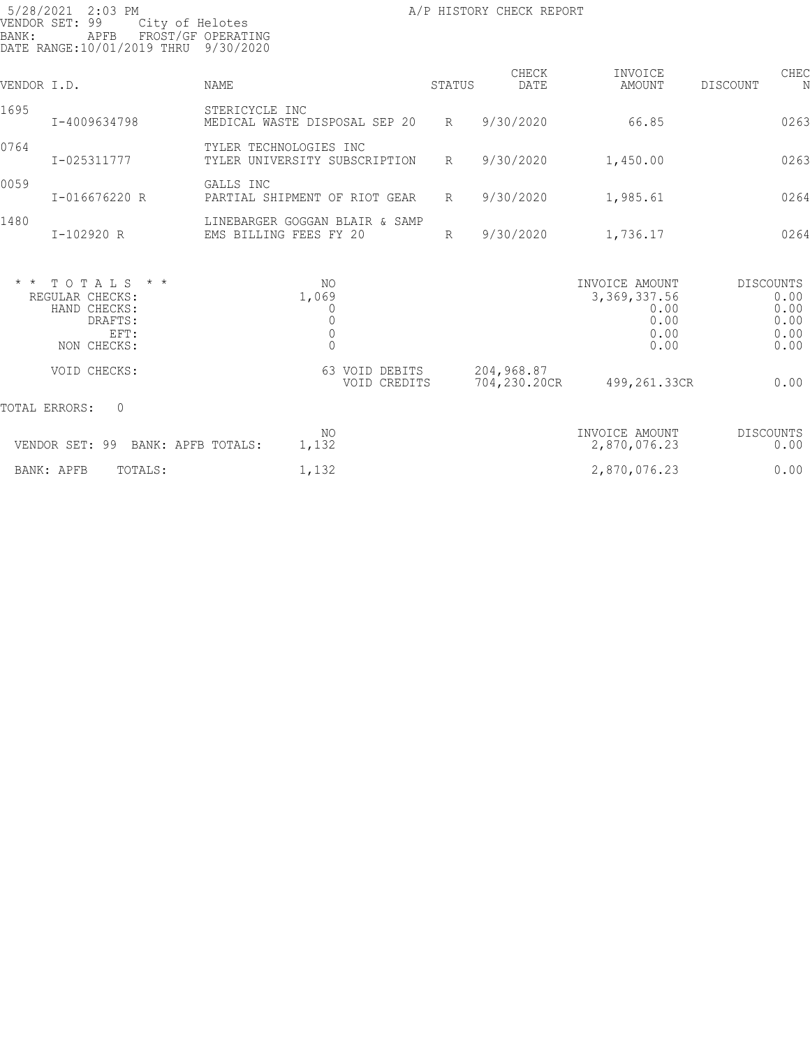| 5/28/2021 2:03 PM<br>VENDOR SET: 99<br>BANK:<br>APFB<br>DATE RANGE:10/01/2019 THRU    | City of Helotes<br>FROST/GF OPERATING<br>9/30/2020                   |                 | A/P HISTORY CHECK REPORT   |                                                                  |                                                          |
|---------------------------------------------------------------------------------------|----------------------------------------------------------------------|-----------------|----------------------------|------------------------------------------------------------------|----------------------------------------------------------|
| VENDOR I.D.                                                                           | NAME                                                                 | STATUS          | CHECK<br>DATE              | INVOICE<br>AMOUNT                                                | CHEC<br>DISCOUNT<br>N                                    |
| 1695<br>I-4009634798                                                                  | STERICYCLE INC<br>MEDICAL WASTE DISPOSAL SEP 20                      | R               | 9/30/2020                  | 66.85                                                            | 0263                                                     |
| 0764<br>I-025311777                                                                   | TYLER TECHNOLOGIES INC<br>TYLER UNIVERSITY SUBSCRIPTION              | $R_{\parallel}$ | 9/30/2020                  | 1,450.00                                                         | 0263                                                     |
| 0059<br>I-016676220 R                                                                 | GALLS INC<br>PARTIAL SHIPMENT OF RIOT GEAR                           | $R_{\parallel}$ | 9/30/2020                  | 1,985.61                                                         | 0264                                                     |
| 1480<br>I-102920 R                                                                    | LINEBARGER GOGGAN BLAIR & SAMP<br>EMS BILLING FEES FY 20             | $R_{\parallel}$ | 9/30/2020                  | 1,736.17                                                         | 0264                                                     |
| $*$ * TOTALS * *<br>REGULAR CHECKS:<br>HAND CHECKS:<br>DRAFTS:<br>EFT:<br>NON CHECKS: | NO.<br>1,069<br>0<br>$\circ$<br>$\begin{matrix} 0 \\ 0 \end{matrix}$ |                 |                            | INVOICE AMOUNT<br>3, 369, 337.56<br>0.00<br>0.00<br>0.00<br>0.00 | <b>DISCOUNTS</b><br>0.00<br>0.00<br>0.00<br>0.00<br>0.00 |
| VOID CHECKS:                                                                          | 63 VOID DEBITS                                                       | VOID CREDITS    | 204,968.87<br>704,230.20CR | 499,261.33CR                                                     | 0.00                                                     |
| TOTAL ERRORS:<br>$\circ$                                                              |                                                                      |                 |                            |                                                                  |                                                          |
| VENDOR SET: 99                                                                        | NO.<br>1,132<br>BANK: APFB TOTALS:                                   |                 |                            | INVOICE AMOUNT<br>2,870,076.23                                   | <b>DISCOUNTS</b><br>0.00                                 |
| BANK: APFB<br>TOTALS:                                                                 | 1,132                                                                |                 |                            | 2,870,076.23                                                     | 0.00                                                     |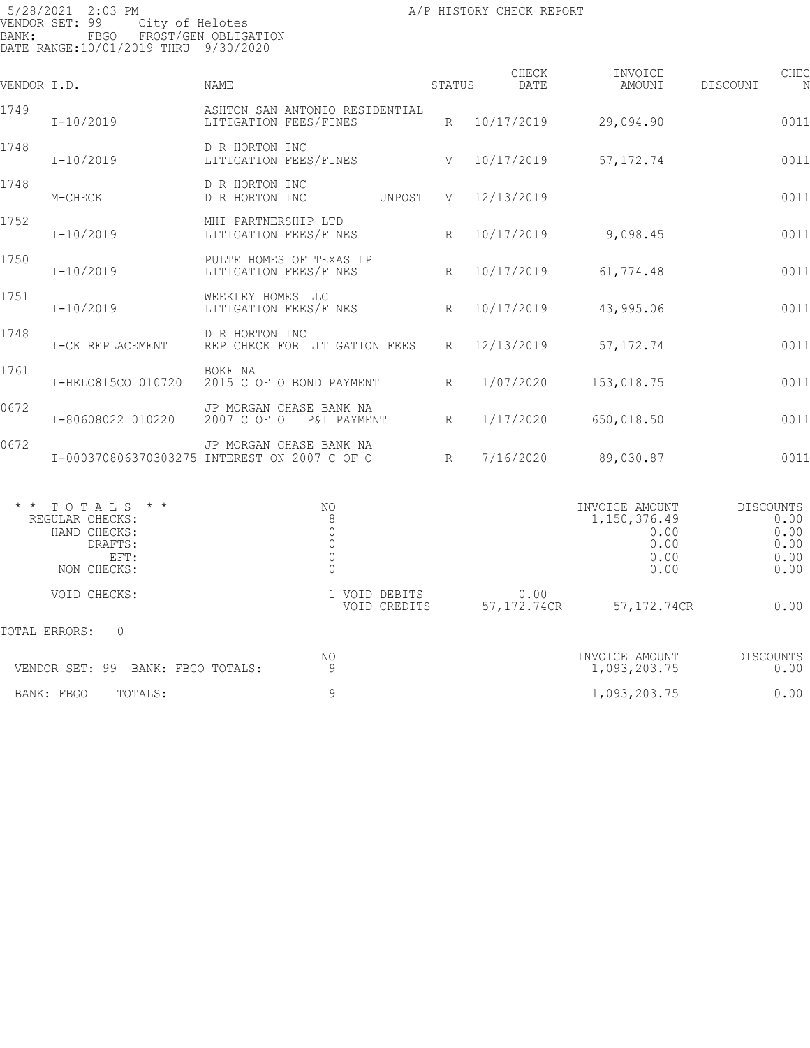| VENDOR I.D. |                                                                                       | NAME                                                                           | STATUS          | CHECK<br>DATE       | INVOICE<br>AMOUNT                                              | DISCOUNT         | CHEC<br>N                            |
|-------------|---------------------------------------------------------------------------------------|--------------------------------------------------------------------------------|-----------------|---------------------|----------------------------------------------------------------|------------------|--------------------------------------|
| 1749        | $I-10/2019$                                                                           | ASHTON SAN ANTONIO RESIDENTIAL<br>LITIGATION FEES/FINES                        |                 | R 10/17/2019        | 29,094.90                                                      |                  | 0011                                 |
| 1748        | $I-10/2019$                                                                           | D R HORTON INC<br>LITIGATION FEES/FINES                                        | V               | 10/17/2019          | 57, 172.74                                                     |                  | 0011                                 |
| 1748        | M-CHECK                                                                               | D R HORTON INC<br>D R HORTON INC<br>UNPOST                                     | V               | 12/13/2019          |                                                                |                  | 0011                                 |
| 1752        | $I-10/2019$                                                                           | MHI PARTNERSHIP LTD<br>LITIGATION FEES/FINES                                   | R               | 10/17/2019          | 9,098.45                                                       |                  | 0011                                 |
| 1750        | $I-10/2019$                                                                           | PULTE HOMES OF TEXAS LP<br>LITIGATION FEES/FINES                               | $R_{\parallel}$ | 10/17/2019          | 61,774.48                                                      |                  | 0011                                 |
| 1751        | $I-10/2019$                                                                           | WEEKLEY HOMES LLC<br>LITIGATION FEES/FINES                                     | R               | 10/17/2019          | 43,995.06                                                      |                  | 0011                                 |
| 1748        | I-CK REPLACEMENT                                                                      | D R HORTON INC<br>REP CHECK FOR LITIGATION FEES                                | $R_{\parallel}$ | 12/13/2019          | 57, 172.74                                                     |                  | 0011                                 |
| 1761        | I-HELO815CO 010720                                                                    | BOKF NA<br>2015 C OF O BOND PAYMENT                                            | $R_{\parallel}$ | 1/07/2020           | 153,018.75                                                     |                  | 0011                                 |
| 0672        | I-80608022 010220                                                                     | JP MORGAN CHASE BANK NA<br>2007 C OF O<br>P&I PAYMENT                          | $R_{\parallel}$ | 1/17/2020           | 650,018.50                                                     |                  | 0011                                 |
| 0672        |                                                                                       | JP MORGAN CHASE BANK NA<br>I-000370806370303275 INTEREST ON 2007 C OF O        | $R_{\parallel}$ | 7/16/2020           | 89,030.87                                                      |                  | 0011                                 |
|             | $*$ * TOTALS * *<br>REGULAR CHECKS:<br>HAND CHECKS:<br>DRAFTS:<br>EFT:<br>NON CHECKS: | NO.<br>$\,8\,$<br>$\mathbb O$<br>$\circledcirc$<br>$\mathbb O$<br>$\mathbf{0}$ |                 |                     | INVOICE AMOUNT<br>1,150,376.49<br>0.00<br>0.00<br>0.00<br>0.00 | <b>DISCOUNTS</b> | 0.00<br>0.00<br>0.00<br>0.00<br>0.00 |
|             | VOID CHECKS:                                                                          | 1 VOID DEBITS<br>VOID CREDITS                                                  |                 | 0.00<br>57,172.74CR | 57, 172.74CR                                                   |                  | 0.00                                 |
|             | TOTAL ERRORS:<br>$\overline{0}$                                                       |                                                                                |                 |                     |                                                                |                  |                                      |
|             | VENDOR SET: 99 BANK: FBGO TOTALS:                                                     | NO.<br>-9                                                                      |                 |                     | INVOICE AMOUNT<br>1,093,203.75                                 | DISCOUNTS        | 0.00                                 |
|             | TOTALS:<br>BANK: FBGO                                                                 | 9                                                                              |                 |                     | 1,093,203.75                                                   |                  | 0.00                                 |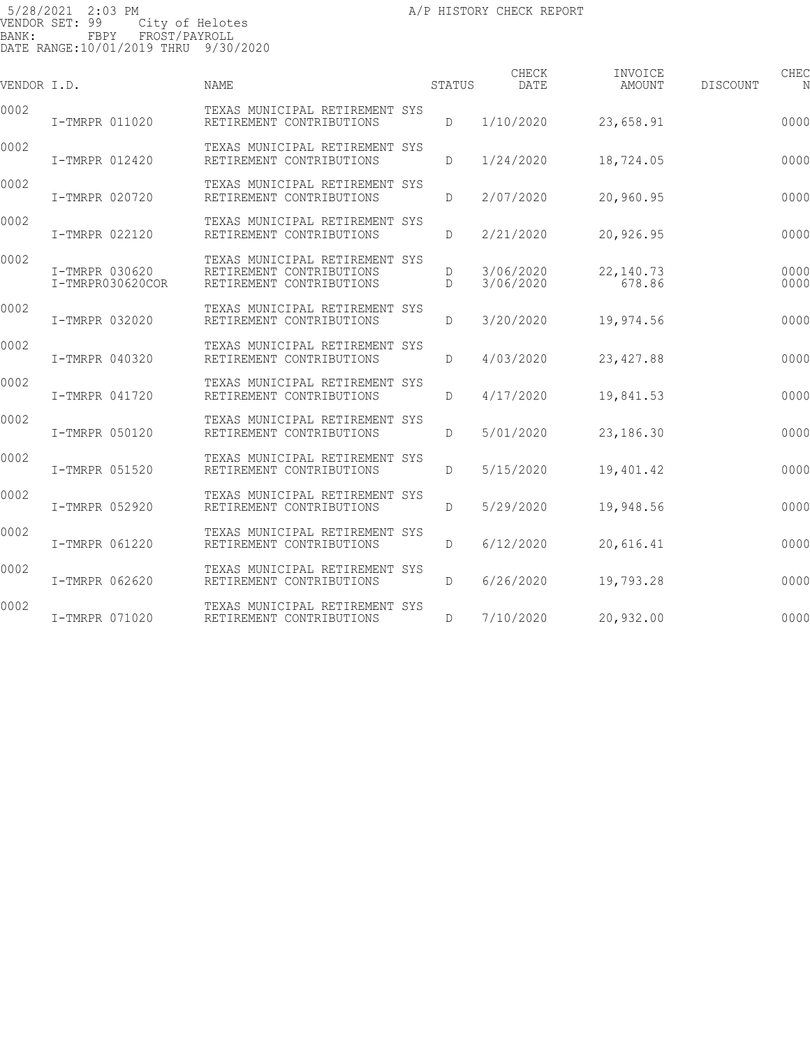| VENDOR I.D. |                                    | <b>NAME</b>                                                                            | STATUS | CHECK<br><b>DATE</b>   | INVOICE<br>AMOUNT    | <b>DISCOUNT</b> | CHEC         |
|-------------|------------------------------------|----------------------------------------------------------------------------------------|--------|------------------------|----------------------|-----------------|--------------|
| 0002        | I-TMRPR 011020                     | TEXAS MUNICIPAL RETIREMENT SYS<br>RETIREMENT CONTRIBUTIONS                             | D      | 1/10/2020              | 23,658.91            |                 | 0000         |
| 0002        | I-TMRPR 012420                     | TEXAS MUNICIPAL RETIREMENT SYS<br>RETIREMENT CONTRIBUTIONS                             | D      | 1/24/2020              | 18,724.05            |                 | 0000         |
| 0002        | I-TMRPR 020720                     | TEXAS MUNICIPAL RETIREMENT SYS<br>RETIREMENT CONTRIBUTIONS                             | D      | 2/07/2020              | 20,960.95            |                 | 0000         |
| 0002        | I-TMRPR 022120                     | TEXAS MUNICIPAL RETIREMENT SYS<br>RETIREMENT CONTRIBUTIONS                             | D      | 2/21/2020              | 20,926.95            |                 | 0000         |
| 0002        | I-TMRPR 030620<br>I-TMRPR030620COR | TEXAS MUNICIPAL RETIREMENT SYS<br>RETIREMENT CONTRIBUTIONS<br>RETIREMENT CONTRIBUTIONS | D<br>D | 3/06/2020<br>3/06/2020 | 22, 140.73<br>678.86 |                 | 0000<br>0000 |
| 0002        | I-TMRPR 032020                     | TEXAS MUNICIPAL RETIREMENT SYS<br>RETIREMENT CONTRIBUTIONS                             | D      | 3/20/2020              | 19,974.56            |                 | 0000         |
| 0002        | I-TMRPR 040320                     | TEXAS MUNICIPAL RETIREMENT SYS<br>RETIREMENT CONTRIBUTIONS                             | D      | 4/03/2020              | 23, 427.88           |                 | 0000         |
| 0002        | I-TMRPR 041720                     | TEXAS MUNICIPAL RETIREMENT SYS<br>RETIREMENT CONTRIBUTIONS                             | D      | 4/17/2020              | 19,841.53            |                 | 0000         |
| 0002        | I-TMRPR 050120                     | TEXAS MUNICIPAL RETIREMENT SYS<br>RETIREMENT CONTRIBUTIONS                             | D      | 5/01/2020              | 23,186.30            |                 | 0000         |
| 0002        | I-TMRPR 051520                     | TEXAS MUNICIPAL RETIREMENT SYS<br>RETIREMENT CONTRIBUTIONS                             | D      | 5/15/2020              | 19,401.42            |                 | 0000         |
| 0002        | I-TMRPR 052920                     | TEXAS MUNICIPAL RETIREMENT SYS<br>RETIREMENT CONTRIBUTIONS                             | D      | 5/29/2020              | 19,948.56            |                 | 0000         |
| 0002        | I-TMRPR 061220                     | TEXAS MUNICIPAL RETIREMENT SYS<br>RETIREMENT CONTRIBUTIONS                             | D      | 6/12/2020              | 20,616.41            |                 | 0000         |
| 0002        | I-TMRPR 062620                     | TEXAS MUNICIPAL RETIREMENT SYS<br>RETIREMENT CONTRIBUTIONS                             | D      | 6/26/2020              | 19,793.28            |                 | 0000         |
| 0002        | I-TMRPR 071020                     | TEXAS MUNICIPAL RETIREMENT SYS<br>RETIREMENT CONTRIBUTIONS                             | D      | 7/10/2020              | 20,932.00            |                 | 0000         |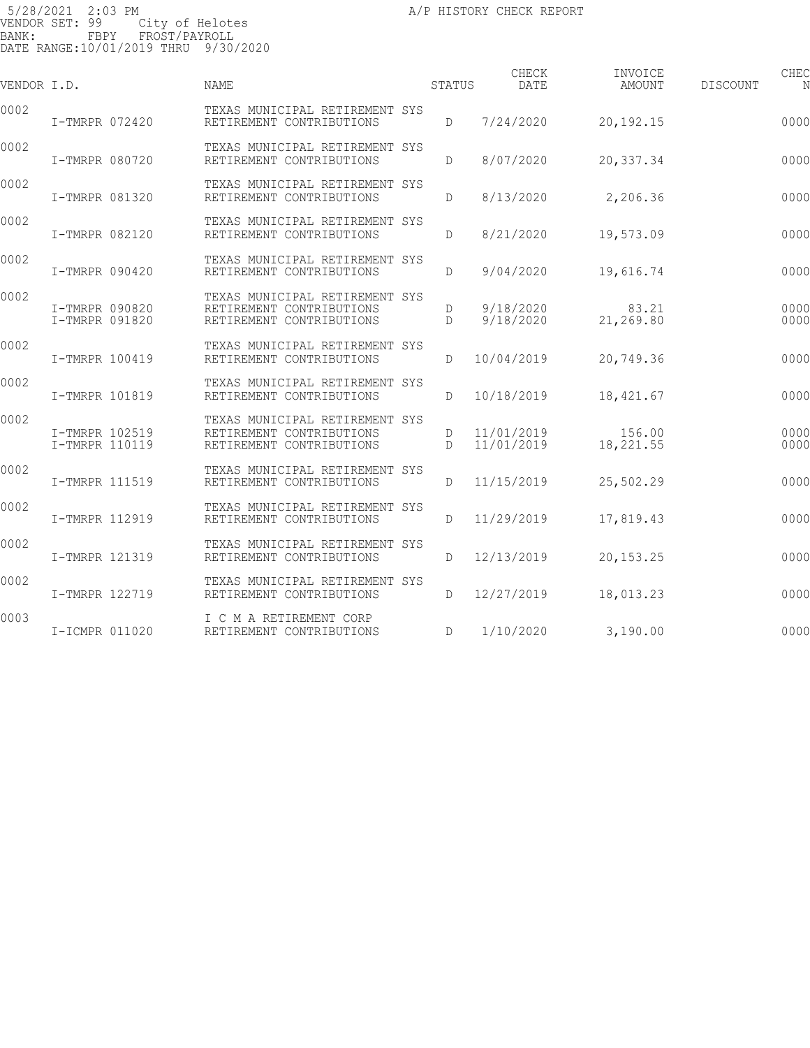| VENDOR I.D. |                                  | <b>NAME</b>                                                                            | STATUS             | CHECK<br><b>DATE</b>     | INVOICE<br>AMOUNT   | DISCOUNT | CHEC<br>N    |
|-------------|----------------------------------|----------------------------------------------------------------------------------------|--------------------|--------------------------|---------------------|----------|--------------|
| 0002        | I-TMRPR 072420                   | TEXAS MUNICIPAL RETIREMENT SYS<br>RETIREMENT CONTRIBUTIONS                             | D                  | 7/24/2020                | 20,192.15           |          | 0000         |
| 0002        | I-TMRPR 080720                   | TEXAS MUNICIPAL RETIREMENT SYS<br>RETIREMENT CONTRIBUTIONS                             | D                  | 8/07/2020                | 20,337.34           |          | 0000         |
| 0002        | I-TMRPR 081320                   | TEXAS MUNICIPAL RETIREMENT SYS<br>RETIREMENT CONTRIBUTIONS                             | D                  | 8/13/2020                | 2,206.36            |          | 0000         |
| 0002        | I-TMRPR 082120                   | TEXAS MUNICIPAL RETIREMENT SYS<br>RETIREMENT CONTRIBUTIONS                             | D                  | 8/21/2020                | 19,573.09           |          | 0000         |
| 0002        | I-TMRPR 090420                   | TEXAS MUNICIPAL RETIREMENT SYS<br>RETIREMENT CONTRIBUTIONS                             | D                  | 9/04/2020                | 19,616.74           |          | 0000         |
| 0002        | I-TMRPR 090820<br>I-TMRPR 091820 | TEXAS MUNICIPAL RETIREMENT SYS<br>RETIREMENT CONTRIBUTIONS<br>RETIREMENT CONTRIBUTIONS | D<br>D             | 9/18/2020<br>9/18/2020   | 83.21<br>21,269.80  |          | 0000<br>0000 |
| 0002        | I-TMRPR 100419                   | TEXAS MUNICIPAL RETIREMENT SYS<br>RETIREMENT CONTRIBUTIONS                             | D                  | 10/04/2019               | 20,749.36           |          | 0000         |
| 0002        | I-TMRPR 101819                   | TEXAS MUNICIPAL RETIREMENT SYS<br>RETIREMENT CONTRIBUTIONS                             | D                  | 10/18/2019               | 18,421.67           |          | 0000         |
| 0002        | I-TMRPR 102519<br>I-TMRPR 110119 | TEXAS MUNICIPAL RETIREMENT SYS<br>RETIREMENT CONTRIBUTIONS<br>RETIREMENT CONTRIBUTIONS | D<br>$\mathcal{D}$ | 11/01/2019<br>11/01/2019 | 156.00<br>18,221.55 |          | 0000<br>0000 |
| 0002        | I-TMRPR 111519                   | TEXAS MUNICIPAL RETIREMENT SYS<br>RETIREMENT CONTRIBUTIONS                             | D                  | 11/15/2019               | 25,502.29           |          | 0000         |
| 0002        | I-TMRPR 112919                   | TEXAS MUNICIPAL RETIREMENT SYS<br>RETIREMENT CONTRIBUTIONS                             | D                  | 11/29/2019               | 17,819.43           |          | 0000         |
| 0002        | I-TMRPR 121319                   | TEXAS MUNICIPAL RETIREMENT SYS<br>RETIREMENT CONTRIBUTIONS                             | D                  | 12/13/2019               | 20, 153. 25         |          | 0000         |
| 0002        | I-TMRPR 122719                   | TEXAS MUNICIPAL RETIREMENT SYS<br>RETIREMENT CONTRIBUTIONS                             | D                  | 12/27/2019               | 18,013.23           |          | 0000         |
| 0003        | I-ICMPR 011020                   | I C M A RETIREMENT CORP<br>RETIREMENT CONTRIBUTIONS                                    | D                  | 1/10/2020                | 3,190.00            |          | 0000         |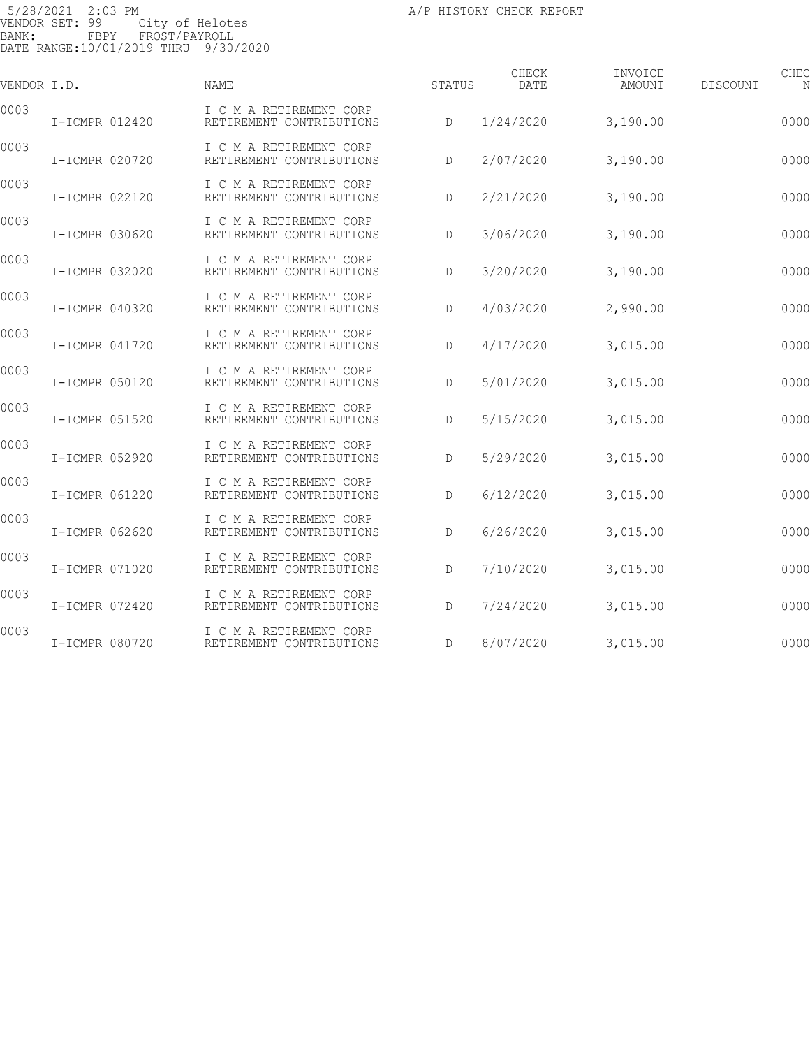| VENDOR I.D. |                | NAME                                                | STATUS | CHECK<br>DATE | INVOICE<br>AMOUNT | CHEC<br>DISCOUNT<br>N |
|-------------|----------------|-----------------------------------------------------|--------|---------------|-------------------|-----------------------|
| 0003        | I-ICMPR 012420 | I C M A RETIREMENT CORP<br>RETIREMENT CONTRIBUTIONS | D      | 1/24/2020     | 3,190.00          | 0000                  |
| 0003        | I-ICMPR 020720 | I C M A RETIREMENT CORP<br>RETIREMENT CONTRIBUTIONS | D      | 2/07/2020     | 3,190.00          | 0000                  |
| 0003        | I-ICMPR 022120 | I C M A RETIREMENT CORP<br>RETIREMENT CONTRIBUTIONS | D      | 2/21/2020     | 3,190.00          | 0000                  |
| 0003        | I-ICMPR 030620 | I C M A RETIREMENT CORP<br>RETIREMENT CONTRIBUTIONS | D      | 3/06/2020     | 3,190.00          | 0000                  |
| 0003        | I-ICMPR 032020 | I C M A RETIREMENT CORP<br>RETIREMENT CONTRIBUTIONS | D      | 3/20/2020     | 3,190.00          | 0000                  |
| 0003        | I-ICMPR 040320 | I C M A RETIREMENT CORP<br>RETIREMENT CONTRIBUTIONS | D      | 4/03/2020     | 2,990.00          | 0000                  |
| 0003        | I-ICMPR 041720 | I C M A RETIREMENT CORP<br>RETIREMENT CONTRIBUTIONS | D      | 4/17/2020     | 3,015.00          | 0000                  |
| 0003        | I-ICMPR 050120 | I C M A RETIREMENT CORP<br>RETIREMENT CONTRIBUTIONS | D      | 5/01/2020     | 3,015.00          | 0000                  |
| 0003        | I-ICMPR 051520 | I C M A RETIREMENT CORP<br>RETIREMENT CONTRIBUTIONS | D      | 5/15/2020     | 3,015.00          | 0000                  |
| 0003        | I-ICMPR 052920 | I C M A RETIREMENT CORP<br>RETIREMENT CONTRIBUTIONS | D      | 5/29/2020     | 3,015.00          | 0000                  |
| 0003        | I-ICMPR 061220 | I C M A RETIREMENT CORP<br>RETIREMENT CONTRIBUTIONS | D      | 6/12/2020     | 3,015.00          | 0000                  |
| 0003        | I-ICMPR 062620 | I C M A RETIREMENT CORP<br>RETIREMENT CONTRIBUTIONS | D      | 6/26/2020     | 3,015.00          | 0000                  |
| 0003        | I-ICMPR 071020 | I C M A RETIREMENT CORP<br>RETIREMENT CONTRIBUTIONS | D      | 7/10/2020     | 3,015.00          | 0000                  |
| 0003        | I-ICMPR 072420 | I C M A RETIREMENT CORP<br>RETIREMENT CONTRIBUTIONS | D      | 7/24/2020     | 3,015.00          | 0000                  |
| 0003        | I-ICMPR 080720 | I C M A RETIREMENT CORP<br>RETIREMENT CONTRIBUTIONS | D      | 8/07/2020     | 3,015.00          | 0000                  |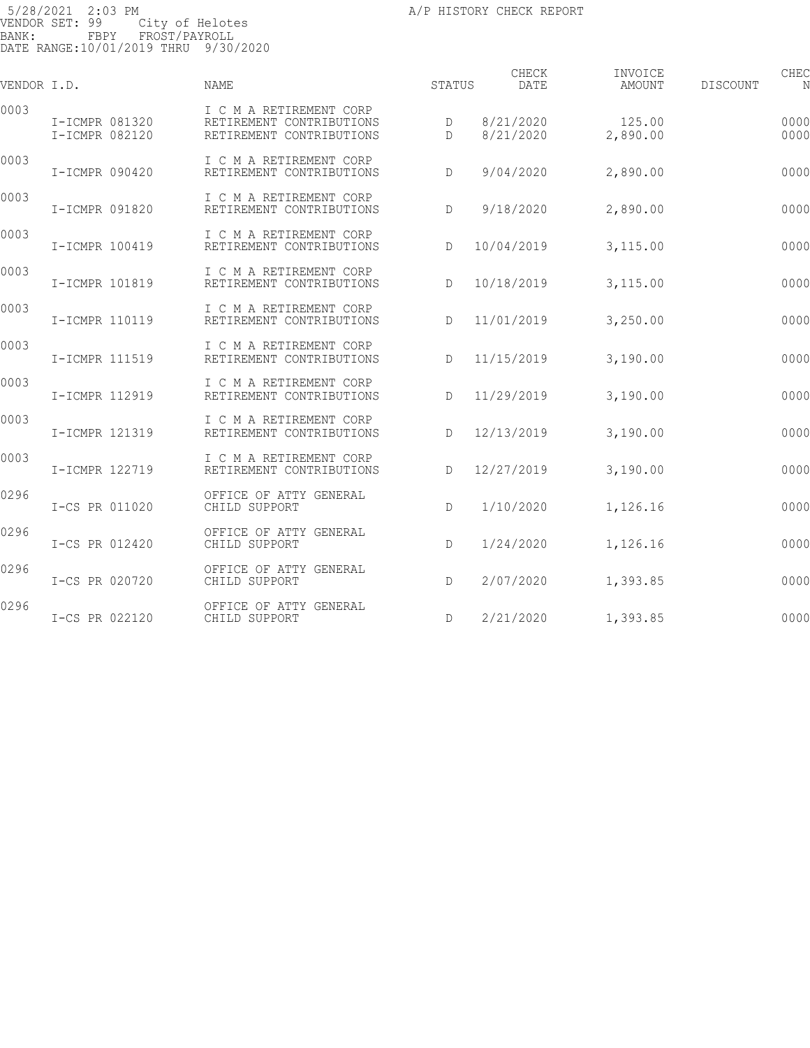| VENDOR I.D. |                                  | <b>NAME</b>                                                                     | STATUS | CHECK<br>DATE          | INVOICE<br>AMOUNT  | DISCOUNT | CHEC<br>N    |
|-------------|----------------------------------|---------------------------------------------------------------------------------|--------|------------------------|--------------------|----------|--------------|
| 0003        | I-ICMPR 081320<br>I-ICMPR 082120 | I C M A RETIREMENT CORP<br>RETIREMENT CONTRIBUTIONS<br>RETIREMENT CONTRIBUTIONS | D<br>D | 8/21/2020<br>8/21/2020 | 125.00<br>2,890.00 |          | 0000<br>0000 |
| 0003        | I-ICMPR 090420                   | I C M A RETIREMENT CORP<br>RETIREMENT CONTRIBUTIONS                             | D      | 9/04/2020              | 2,890.00           |          | 0000         |
| 0003        | I-ICMPR 091820                   | I C M A RETIREMENT CORP<br>RETIREMENT CONTRIBUTIONS                             | D      | 9/18/2020              | 2,890.00           |          | 0000         |
| 0003        | I-ICMPR 100419                   | I C M A RETIREMENT CORP<br>RETIREMENT CONTRIBUTIONS                             | D      | 10/04/2019             | 3,115.00           |          | 0000         |
| 0003        | I-ICMPR 101819                   | I C M A RETIREMENT CORP<br>RETIREMENT CONTRIBUTIONS                             | D      | 10/18/2019             | 3,115.00           |          | 0000         |
| 0003        | I-ICMPR 110119                   | I C M A RETIREMENT CORP<br>RETIREMENT CONTRIBUTIONS                             | D      | 11/01/2019             | 3,250.00           |          | 0000         |
| 0003        | I-ICMPR 111519                   | I C M A RETIREMENT CORP<br>RETIREMENT CONTRIBUTIONS                             | D      | 11/15/2019             | 3,190.00           |          | 0000         |
| 0003        | I-ICMPR 112919                   | I C M A RETIREMENT CORP<br>RETIREMENT CONTRIBUTIONS                             | D      | 11/29/2019             | 3,190.00           |          | 0000         |
| 0003        | I-ICMPR 121319                   | I C M A RETIREMENT CORP<br>RETIREMENT CONTRIBUTIONS                             | D      | 12/13/2019             | 3,190.00           |          | 0000         |
| 0003        | I-ICMPR 122719                   | I C M A RETIREMENT CORP<br>RETIREMENT CONTRIBUTIONS                             | D      | 12/27/2019             | 3,190.00           |          | 0000         |
| 0296        | I-CS PR 011020                   | OFFICE OF ATTY GENERAL<br>CHILD SUPPORT                                         | D      | 1/10/2020              | 1,126.16           |          | 0000         |
| 0296        | I-CS PR 012420                   | OFFICE OF ATTY GENERAL<br>CHILD SUPPORT                                         | D      | 1/24/2020              | 1,126.16           |          | 0000         |
| 0296        | I-CS PR 020720                   | OFFICE OF ATTY GENERAL<br>CHILD SUPPORT                                         | D      | 2/07/2020              | 1,393.85           |          | 0000         |
| 0296        | I-CS PR 022120                   | OFFICE OF ATTY GENERAL<br>CHILD SUPPORT                                         | D      | 2/21/2020              | 1,393.85           |          | 0000         |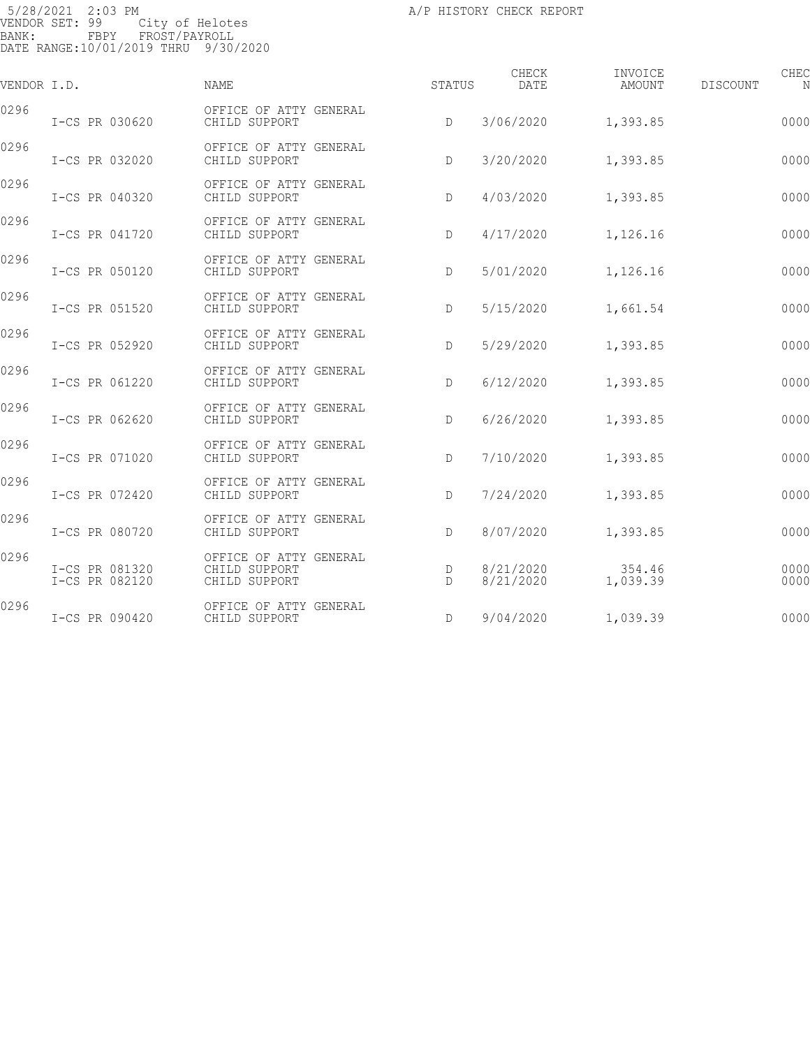| VENDOR I.D. |                                  | <b>NAME</b>                                              | STATUS | CHECK<br>DATE          | INVOICE<br>AMOUNT  | DISCOUNT | CHEC<br>N    |
|-------------|----------------------------------|----------------------------------------------------------|--------|------------------------|--------------------|----------|--------------|
| 0296        | I-CS PR 030620                   | OFFICE OF ATTY GENERAL<br>CHILD SUPPORT                  | $\Box$ | 3/06/2020              | 1,393.85           |          | 0000         |
| 0296        | I-CS PR 032020                   | OFFICE OF ATTY GENERAL<br>CHILD SUPPORT                  | D      | 3/20/2020              | 1,393.85           |          | 0000         |
| 0296        | I-CS PR 040320                   | OFFICE OF ATTY GENERAL<br>CHILD SUPPORT                  | D      | 4/03/2020              | 1,393.85           |          | 0000         |
| 0296        | I-CS PR 041720                   | OFFICE OF ATTY GENERAL<br>CHILD SUPPORT                  | D      | 4/17/2020              | 1,126.16           |          | 0000         |
| 0296        | I-CS PR 050120                   | OFFICE OF ATTY GENERAL<br>CHILD SUPPORT                  | D      | 5/01/2020              | 1,126.16           |          | 0000         |
| 0296        | I-CS PR 051520                   | OFFICE OF ATTY GENERAL<br>CHILD SUPPORT                  | D      | 5/15/2020              | 1,661.54           |          | 0000         |
| 0296        | I-CS PR 052920                   | OFFICE OF ATTY GENERAL<br>CHILD SUPPORT                  | D      | 5/29/2020              | 1,393.85           |          | 0000         |
| 0296        | I-CS PR 061220                   | OFFICE OF ATTY GENERAL<br>CHILD SUPPORT                  | D      | 6/12/2020              | 1,393.85           |          | 0000         |
| 0296        | I-CS PR 062620                   | OFFICE OF ATTY GENERAL<br>CHILD SUPPORT                  | D      | 6/26/2020              | 1,393.85           |          | 0000         |
| 0296        | I-CS PR 071020                   | OFFICE OF ATTY GENERAL<br>CHILD SUPPORT                  | D      | 7/10/2020              | 1,393.85           |          | 0000         |
| 0296        | I-CS PR 072420                   | OFFICE OF ATTY GENERAL<br>CHILD SUPPORT                  | D      | 7/24/2020              | 1,393.85           |          | 0000         |
| 0296        | I-CS PR 080720                   | OFFICE OF ATTY GENERAL<br>CHILD SUPPORT                  | D      | 8/07/2020              | 1,393.85           |          | 0000         |
| 0296        | I-CS PR 081320<br>I-CS PR 082120 | OFFICE OF ATTY GENERAL<br>CHILD SUPPORT<br>CHILD SUPPORT | D<br>D | 8/21/2020<br>8/21/2020 | 354.46<br>1,039.39 |          | 0000<br>0000 |
| 0296        | I-CS PR 090420                   | OFFICE OF ATTY GENERAL<br>CHILD SUPPORT                  | D      | 9/04/2020              | 1,039.39           |          | 0000         |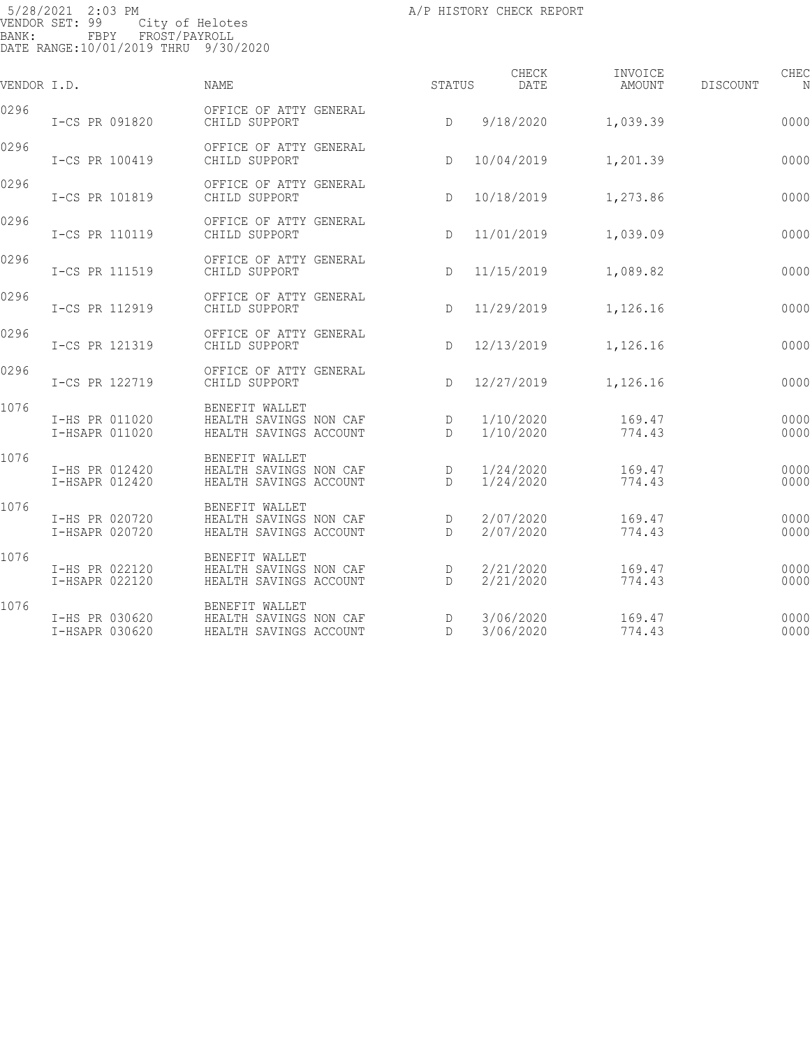| VENDOR I.D. |                                  | <b>NAME</b>                                                        | <b>STATUS</b>     | CHECK<br>DATE          | INVOICE<br>AMOUNT | <b>DISCOUNT</b> | CHEC<br>N    |
|-------------|----------------------------------|--------------------------------------------------------------------|-------------------|------------------------|-------------------|-----------------|--------------|
| 0296        | I-CS PR 091820                   | OFFICE OF ATTY GENERAL<br>CHILD SUPPORT                            | D                 | 9/18/2020              | 1,039.39          |                 | 0000         |
| 0296        | I-CS PR 100419                   | OFFICE OF ATTY GENERAL<br>CHILD SUPPORT                            | D                 | 10/04/2019             | 1,201.39          |                 | 0000         |
| 0296        | I-CS PR 101819                   | OFFICE OF ATTY GENERAL<br>CHILD SUPPORT                            | D                 | 10/18/2019             | 1,273.86          |                 | 0000         |
| 0296        | I-CS PR 110119                   | OFFICE OF ATTY GENERAL<br>CHILD SUPPORT                            | D                 | 11/01/2019             | 1,039.09          |                 | 0000         |
| 0296        | I-CS PR 111519                   | OFFICE OF ATTY GENERAL<br>CHILD SUPPORT                            | $\mathbb{D}$      | 11/15/2019             | 1,089.82          |                 | 0000         |
| 0296        | I-CS PR 112919                   | OFFICE OF ATTY GENERAL<br>CHILD SUPPORT                            | D                 | 11/29/2019             | 1,126.16          |                 | 0000         |
| 0296        | I-CS PR 121319                   | OFFICE OF ATTY GENERAL<br>CHILD SUPPORT                            | D                 | 12/13/2019             | 1,126.16          |                 | 0000         |
| 0296        | I-CS PR 122719                   | OFFICE OF ATTY GENERAL<br>CHILD SUPPORT                            | D                 | 12/27/2019             | 1,126.16          |                 | 0000         |
| 1076        | I-HS PR 011020<br>I-HSAPR 011020 | BENEFIT WALLET<br>HEALTH SAVINGS NON CAF<br>HEALTH SAVINGS ACCOUNT | D<br>D            | 1/10/2020<br>1/10/2020 | 169.47<br>774.43  |                 | 0000<br>0000 |
| 1076        | I-HS PR 012420<br>I-HSAPR 012420 | BENEFIT WALLET<br>HEALTH SAVINGS NON CAF<br>HEALTH SAVINGS ACCOUNT | D<br>$\mathbb{D}$ | 1/24/2020<br>1/24/2020 | 169.47<br>774.43  |                 | 0000<br>0000 |
| 1076        | I-HS PR 020720<br>I-HSAPR 020720 | BENEFIT WALLET<br>HEALTH SAVINGS NON CAF<br>HEALTH SAVINGS ACCOUNT | D<br>D            | 2/07/2020<br>2/07/2020 | 169.47<br>774.43  |                 | 0000<br>0000 |
| 1076        | I-HS PR 022120<br>I-HSAPR 022120 | BENEFIT WALLET<br>HEALTH SAVINGS NON CAF<br>HEALTH SAVINGS ACCOUNT | D<br>$\Gamma$     | 2/21/2020<br>2/21/2020 | 169.47<br>774.43  |                 | 0000<br>0000 |
| 1076        | I-HS PR 030620<br>I-HSAPR 030620 | BENEFIT WALLET<br>HEALTH SAVINGS NON CAF<br>HEALTH SAVINGS ACCOUNT | D<br>D            | 3/06/2020<br>3/06/2020 | 169.47<br>774.43  |                 | 0000<br>0000 |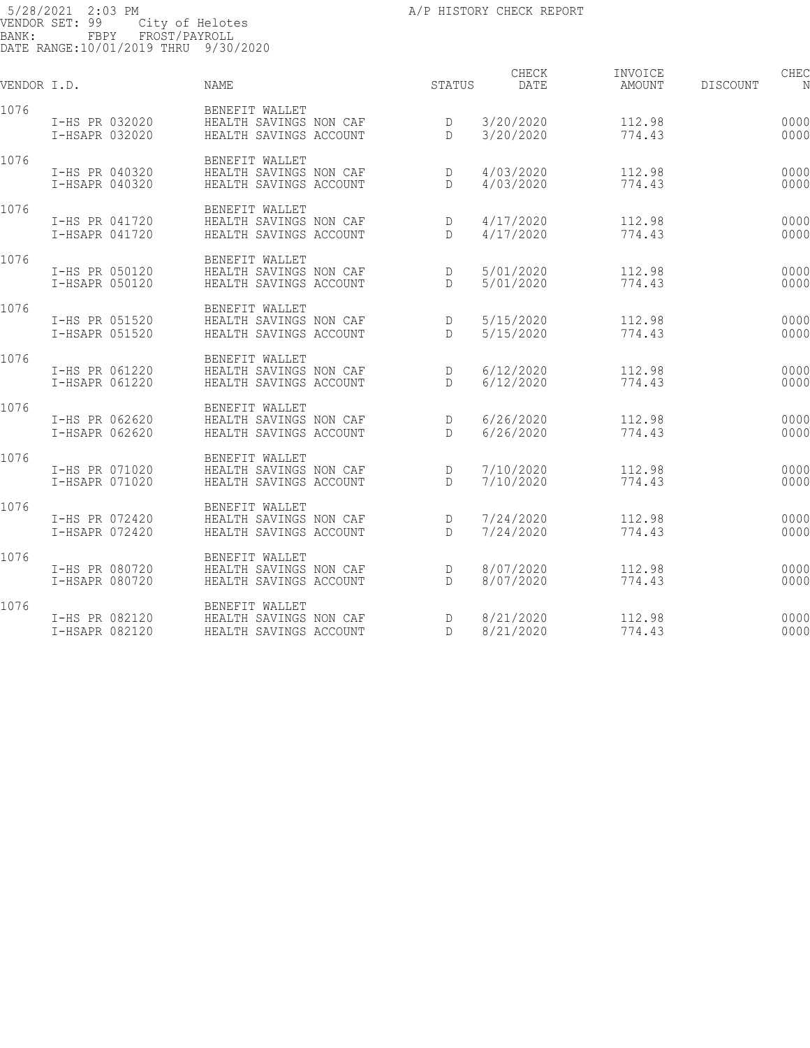CHECK INVOICE CHECK CHECK CHECK VENDOR I.D. NAME STATUS DATE AMOUNT DISCOUNT NO STATUS AMOUNT 1076 BENEFIT WALLET I-HS PR 032020 HEALTH SAVINGS NON CAF D 3/20/2020 112.98 000000 I-HSAPR 032020 HEALTH SAVINGS ACCOUNT D 3/20/2020 774.43 000000 887.41 1076 BENEFIT WALLET I-HS PR 040320 HEALTH SAVINGS NON CAF D 4/03/2020 112.98 000000 I-HSAPR 040320 HEALTH SAVINGS ACCOUNT D 4/03/2020 774.43 000000 887.41 1076 BENEFIT WALLET I-HS PR 041720 HEALTH SAVINGS NON CAF D 4/17/2020 112.98 000000 I-HSAPR 041720 HEALTH SAVINGS ACCOUNT D 4/17/2020 774.43 000000 887.41 1076 BENEFIT WALLET I-HS PR 050120 HEALTH SAVINGS NON CAF D 5/01/2020 112.98 000000 I-HSAPR 050120 HEALTH SAVINGS ACCOUNT D 5/01/2020 774.43 000000 887.41 1076 BENEFIT WALLET I-HS PR 051520 HEALTH SAVINGS NON CAF D 5/15/2020 112.98 000000 I-HSAPR 051520 HEALTH SAVINGS ACCOUNT D 5/15/2020 774.43 000000 887.41 1076 BENEFIT WALLET I-HS PR 061220 HEALTH SAVINGS NON CAF D 6/12/2020 112.98 000000 I-HSAPR 061220 HEALTH SAVINGS ACCOUNT D 6/12/2020 774.43 000000 887.41 1076 BENEFIT WALLET I-HS PR 062620 HEALTH SAVINGS NON CAF D 6/26/2020 112.98 000000 I-HSAPR 062620 HEALTH SAVINGS ACCOUNT D 6/26/2020 774.43 000000 887.41 1076 BENEFIT WALLET I-HS PR 071020 HEALTH SAVINGS NON CAF D 7/10/2020 112.98 000000 I-HSAPR 071020 HEALTH SAVINGS ACCOUNT D 7/10/2020 774.43 000000 887.41 1076 BENEFIT WALLET I-HS PR 072420 HEALTH SAVINGS NON CAF D 7/24/2020 112.98 000000 I-HSAPR 072420 HEALTH SAVINGS ACCOUNT D 7/24/2020 774.43 000000 887.41 1076 BENEFIT WALLET I-HS PR 080720 HEALTH SAVINGS NON CAF D 8/07/2020 112.98 000000 I-HSAPR 080720 HEALTH SAVINGS ACCOUNT D 8/07/2020 774.43 000000 887.41

1076 BENEFIT WALLET I-HS PR 082120 HEALTH SAVINGS NON CAF D 8/21/2020 112.98 000000 I-HSAPR 082120 HEALTH SAVINGS ACCOUNT D 8/21/2020 774.43 000000 887.41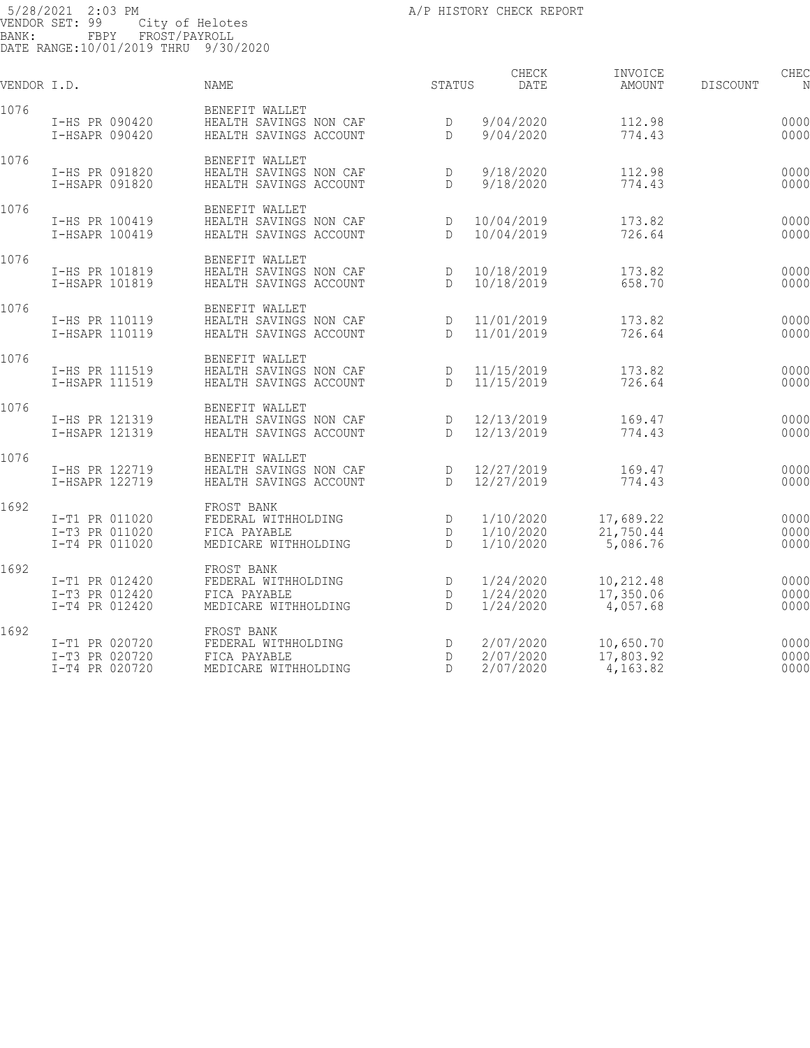| VENDOR I.D. |                                                    | <b>NAME</b>                                                               | STATUS                 | CHECK<br>DATE                       | INVOICE<br>AMOUNT                  | <b>DISCOUNT</b> | CHEC                 |
|-------------|----------------------------------------------------|---------------------------------------------------------------------------|------------------------|-------------------------------------|------------------------------------|-----------------|----------------------|
| 1076        | I-HS PR 090420<br>I-HSAPR 090420                   | BENEFIT WALLET<br>HEALTH SAVINGS NON CAF<br>HEALTH SAVINGS ACCOUNT        | D<br>D                 | 9/04/2020<br>9/04/2020              | 112.98<br>774.43                   |                 | 0000<br>0000         |
| 1076        | I-HS PR 091820<br>I-HSAPR 091820                   | BENEFIT WALLET<br>HEALTH SAVINGS NON CAF<br>HEALTH SAVINGS ACCOUNT        | D<br>D                 | 9/18/2020<br>9/18/2020              | 112.98<br>774.43                   |                 | 0000<br>0000         |
| 1076        | I-HS PR 100419<br>I-HSAPR 100419                   | BENEFIT WALLET<br>HEALTH SAVINGS NON CAF<br>HEALTH SAVINGS ACCOUNT        | D<br>D                 | 10/04/2019<br>10/04/2019            | 173.82<br>726.64                   |                 | 0000<br>0000         |
| 1076        | I-HS PR 101819<br>I-HSAPR 101819                   | BENEFIT WALLET<br>HEALTH SAVINGS NON CAF<br>HEALTH SAVINGS ACCOUNT        | D<br>$\mathsf{D}$      | 10/18/2019<br>10/18/2019            | 173.82<br>658.70                   |                 | 0000<br>0000         |
| 1076        | I-HS PR 110119<br>I-HSAPR 110119                   | BENEFIT WALLET<br>HEALTH SAVINGS NON CAF<br>HEALTH SAVINGS ACCOUNT        | D<br>$\mathbb{D}$      | 11/01/2019<br>11/01/2019            | 173.82<br>726.64                   |                 | 0000<br>0000         |
| 1076        | I-HS PR 111519<br>I-HSAPR 111519                   | BENEFIT WALLET<br>HEALTH SAVINGS NON CAF<br>HEALTH SAVINGS ACCOUNT        | D<br>$\mathsf{D}$      | 11/15/2019<br>11/15/2019            | 173.82<br>726.64                   |                 | 0000<br>0000         |
| 1076        | I-HS PR 121319<br>I-HSAPR 121319                   | BENEFIT WALLET<br>HEALTH SAVINGS NON CAF<br>HEALTH SAVINGS ACCOUNT        | D<br>$\mathsf{D}$      | 12/13/2019<br>12/13/2019            | 169.47<br>774.43                   |                 | 0000<br>0000         |
| 1076        | I-HS PR 122719<br>I-HSAPR 122719                   | BENEFIT WALLET<br>HEALTH SAVINGS NON CAF<br>HEALTH SAVINGS ACCOUNT        | D<br>D                 | 12/27/2019<br>12/27/2019            | 169.47<br>774.43                   |                 | 0000<br>0000         |
| 1692        | I-T1 PR 011020<br>I-T3 PR 011020<br>I-T4 PR 011020 | FROST BANK<br>FEDERAL WITHHOLDING<br>FICA PAYABLE<br>MEDICARE WITHHOLDING | D<br>D<br>$\mathbb{D}$ | 1/10/2020<br>1/10/2020<br>1/10/2020 | 17,689.22<br>21,750.44<br>5,086.76 |                 | 0000<br>0000<br>0000 |
| 1692        | I-T1 PR 012420<br>I-T3 PR 012420<br>I-T4 PR 012420 | FROST BANK<br>FEDERAL WITHHOLDING<br>FICA PAYABLE<br>MEDICARE WITHHOLDING | D<br>D<br>D            | 1/24/2020<br>1/24/2020<br>1/24/2020 | 10,212.48<br>17,350.06<br>4,057.68 |                 | 0000<br>0000<br>0000 |
| 1692        | I-T1 PR 020720<br>I-T3 PR 020720<br>I-T4 PR 020720 | FROST BANK<br>FEDERAL WITHHOLDING<br>FICA PAYABLE<br>MEDICARE WITHHOLDING | D<br>D<br>D            | 2/07/2020<br>2/07/2020<br>2/07/2020 | 10,650.70<br>17,803.92<br>4,163.82 |                 | 0000<br>0000<br>0000 |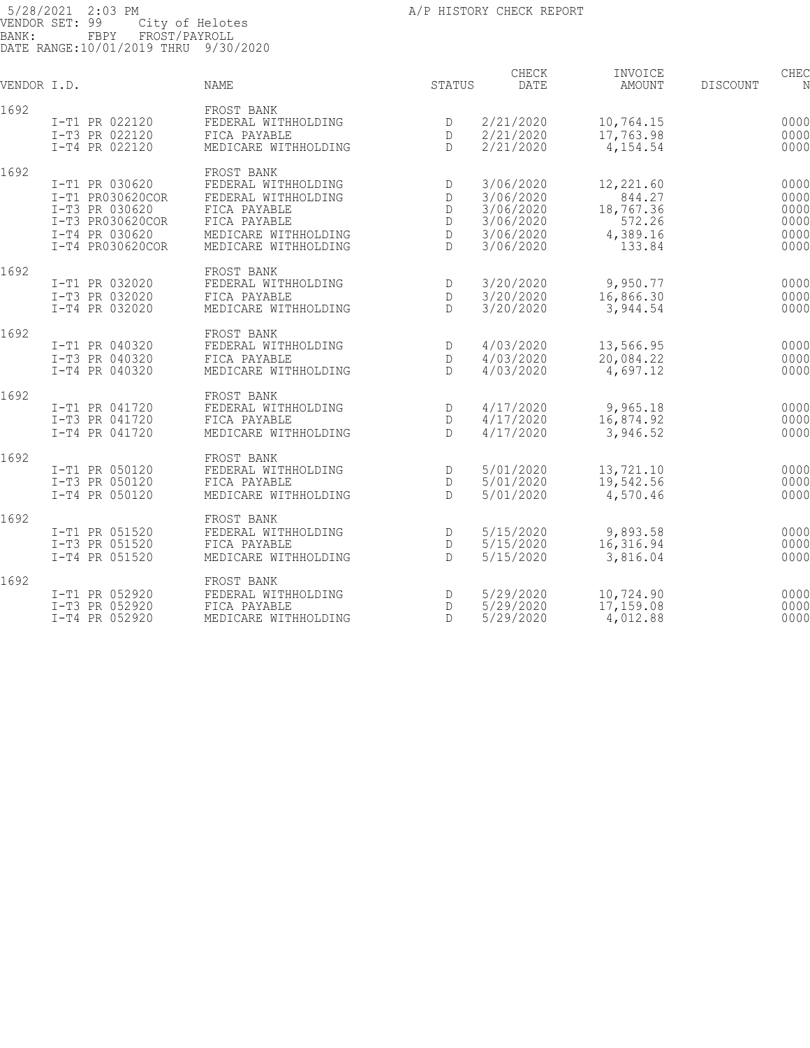| VENDOR I.D. |                  | <b>NAME</b>          | STATUS       | CHECK<br>DATE | INVOICE<br>AMOUNT | <b>DISCOUNT</b> | CHEC |
|-------------|------------------|----------------------|--------------|---------------|-------------------|-----------------|------|
| 1692        |                  | FROST BANK           |              |               |                   |                 |      |
|             | I-T1 PR 022120   | FEDERAL WITHHOLDING  | D            | 2/21/2020     | 10,764.15         |                 | 0000 |
|             | I-T3 PR 022120   | FICA PAYABLE         | D            | 2/21/2020     | 17,763.98         |                 | 0000 |
|             | I-T4 PR 022120   | MEDICARE WITHHOLDING | $\mathsf{D}$ | 2/21/2020     | 4,154.54          |                 | 0000 |
| 1692        |                  | FROST BANK           |              |               |                   |                 |      |
|             | I-T1 PR 030620   | FEDERAL WITHHOLDING  | D            | 3/06/2020     | 12,221.60         |                 | 0000 |
|             | I-T1 PR030620COR | FEDERAL WITHHOLDING  | D            | 3/06/2020     | 844.27            |                 | 0000 |
|             | I-T3 PR 030620   | FICA PAYABLE         | D            | 3/06/2020     | 18,767.36         |                 | 0000 |
|             | I-T3 PR030620COR | FICA PAYABLE         | D            | 3/06/2020     | 572.26            |                 | 0000 |
|             | I-T4 PR 030620   | MEDICARE WITHHOLDING | D            | 3/06/2020     | 4,389.16          |                 | 0000 |
|             | I-T4 PR030620COR | MEDICARE WITHHOLDING | $\mathsf{D}$ | 3/06/2020     | 133.84            |                 | 0000 |
| 1692        |                  | FROST BANK           |              |               |                   |                 |      |
|             | I-T1 PR 032020   | FEDERAL WITHHOLDING  | D            | 3/20/2020     | 9,950.77          |                 | 0000 |
|             | I-T3 PR 032020   | FICA PAYABLE         | D            | 3/20/2020     | 16,866.30         |                 | 0000 |
|             | I-T4 PR 032020   | MEDICARE WITHHOLDING | $\mathsf{D}$ | 3/20/2020     | 3,944.54          |                 | 0000 |
| 1692        |                  | FROST BANK           |              |               |                   |                 |      |
|             | I-T1 PR 040320   | FEDERAL WITHHOLDING  | D            | 4/03/2020     | 13,566.95         |                 | 0000 |
|             | I-T3 PR 040320   | FICA PAYABLE         | D            | 4/03/2020     | 20,084.22         |                 | 0000 |
|             | I-T4 PR 040320   | MEDICARE WITHHOLDING | $\mathsf{D}$ | 4/03/2020     | 4,697.12          |                 | 0000 |
| 1692        |                  | FROST BANK           |              |               |                   |                 |      |
|             | I-T1 PR 041720   | FEDERAL WITHHOLDING  | D            | 4/17/2020     | 9,965.18          |                 | 0000 |
|             | I-T3 PR 041720   | FICA PAYABLE         | D            | 4/17/2020     | 16,874.92         |                 | 0000 |
|             | I-T4 PR 041720   | MEDICARE WITHHOLDING | D            | 4/17/2020     | 3,946.52          |                 | 0000 |
| 1692        |                  | FROST BANK           |              |               |                   |                 |      |
|             | I-T1 PR 050120   | FEDERAL WITHHOLDING  | D            | 5/01/2020     | 13,721.10         |                 | 0000 |
|             | I-T3 PR 050120   | FICA PAYABLE         | D            | 5/01/2020     | 19,542.56         |                 | 0000 |
|             | I-T4 PR 050120   | MEDICARE WITHHOLDING | $\mathsf{D}$ | 5/01/2020     | 4,570.46          |                 | 0000 |
| 1692        |                  | FROST BANK           |              |               |                   |                 |      |
|             | I-T1 PR 051520   | FEDERAL WITHHOLDING  | D            | 5/15/2020     | 9,893.58          |                 | 0000 |
|             | I-T3 PR 051520   | FICA PAYABLE         | D            | 5/15/2020     | 16,316.94         |                 | 0000 |
|             | I-T4 PR 051520   | MEDICARE WITHHOLDING | $\mathsf{D}$ | 5/15/2020     | 3,816.04          |                 | 0000 |
| 1692        |                  | FROST BANK           |              |               |                   |                 |      |
|             | I-T1 PR 052920   | FEDERAL WITHHOLDING  | D            | 5/29/2020     | 10,724.90         |                 | 0000 |
|             | I-T3 PR 052920   | FICA PAYABLE         | D            | 5/29/2020     | 17,159.08         |                 | 0000 |
|             | I-T4 PR 052920   | MEDICARE WITHHOLDING | D            | 5/29/2020     | 4,012.88          |                 | 0000 |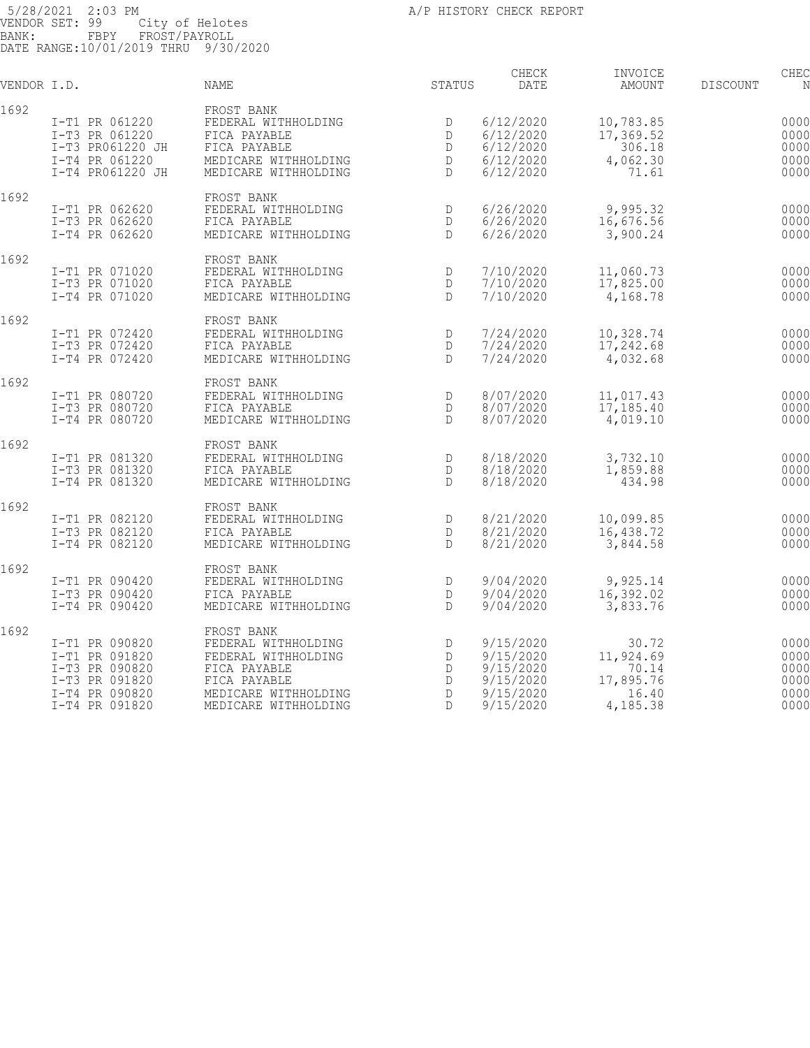| VENDOR I.D. |                                                                                                          | <b>NAME</b>                                                                                                                              | STATUS                     | CHECK<br>DATE                                                              | INVOICE<br>AMOUNT                                             | <b>DISCOUNT</b> | CHEC                                         |
|-------------|----------------------------------------------------------------------------------------------------------|------------------------------------------------------------------------------------------------------------------------------------------|----------------------------|----------------------------------------------------------------------------|---------------------------------------------------------------|-----------------|----------------------------------------------|
| 1692        | I-T1 PR 061220<br>I-T3 PR 061220<br>I-T3 PR061220 JH<br>I-T4 PR 061220<br>I-T4 PR061220 JH               | FROST BANK<br>FEDERAL WITHHOLDING<br>FICA PAYABLE<br>FICA PAYABLE<br>MEDICARE WITHHOLDING<br>MEDICARE WITHHOLDING                        | D<br>D<br>D<br>D<br>D      | 6/12/2020<br>6/12/2020<br>6/12/2020<br>6/12/2020<br>6/12/2020              | 10,783.85<br>17,369.52<br>306.18<br>4,062.30<br>71.61         |                 | 0000<br>0000<br>0000<br>0000<br>0000         |
| 1692        | I-T1 PR 062620<br>I-T3 PR 062620<br>I-T4 PR 062620                                                       | FROST BANK<br>FEDERAL WITHHOLDING<br>FICA PAYABLE<br>MEDICARE WITHHOLDING                                                                | $\mathbb{D}$<br>D<br>D     | 6/26/2020<br>6/26/2020<br>6/26/2020                                        | 9,995.32<br>16,676.56<br>3,900.24                             |                 | 0000<br>0000<br>0000                         |
| 1692        | I-T1 PR 071020<br>I-T3 PR 071020<br>I-T4 PR 071020                                                       | FROST BANK<br>FEDERAL WITHHOLDING<br>FICA PAYABLE<br>MEDICARE WITHHOLDING                                                                | D<br>D<br>$\mathsf{D}$     | 7/10/2020<br>7/10/2020<br>7/10/2020                                        | 11,060.73<br>17,825.00<br>4,168.78                            |                 | 0000<br>0000<br>0000                         |
| 1692        | I-T1 PR 072420<br>I-T3 PR 072420<br>I-T4 PR 072420                                                       | FROST BANK<br>FEDERAL WITHHOLDING<br>FICA PAYABLE<br>MEDICARE WITHHOLDING                                                                | D<br>D<br>$\mathsf{D}$     | 7/24/2020<br>7/24/2020<br>7/24/2020                                        | 10,328.74<br>17,242.68<br>4,032.68                            |                 | 0000<br>0000<br>0000                         |
| 1692        | I-T1 PR 080720<br>I-T3 PR 080720<br>I-T4 PR 080720                                                       | FROST BANK<br>FEDERAL WITHHOLDING<br>FICA PAYABLE<br>MEDICARE WITHHOLDING                                                                | D<br>D<br>$\mathbb{D}$     | 8/07/2020<br>8/07/2020<br>8/07/2020                                        | 11,017.43<br>17,185.40<br>4,019.10                            |                 | 0000<br>0000<br>0000                         |
| 1692        | I-T1 PR 081320<br>I-T3 PR 081320<br>I-T4 PR 081320                                                       | FROST BANK<br>FEDERAL WITHHOLDING<br>FICA PAYABLE<br>MEDICARE WITHHOLDING                                                                | D<br>D<br>D                | 8/18/2020<br>8/18/2020<br>8/18/2020                                        | 3,732.10<br>1,859.88<br>434.98                                |                 | 0000<br>0000<br>0000                         |
| 1692        | I-T1 PR 082120<br>I-T3 PR 082120<br>I-T4 PR 082120                                                       | FROST BANK<br>FEDERAL WITHHOLDING<br>FICA PAYABLE<br>MEDICARE WITHHOLDING                                                                | D<br>D<br>D                | 8/21/2020<br>8/21/2020<br>8/21/2020                                        | 10,099.85<br>16,438.72<br>3,844.58                            |                 | 0000<br>0000<br>0000                         |
| 1692        | I-T1 PR 090420<br>I-T3 PR 090420<br>I-T4 PR 090420                                                       | FROST BANK<br>FEDERAL WITHHOLDING<br>FICA PAYABLE<br>MEDICARE WITHHOLDING                                                                | D<br>D<br>D                | 9/04/2020<br>9/04/2020<br>9/04/2020                                        | 9,925.14<br>16,392.02<br>3,833.76                             |                 | 0000<br>0000<br>0000                         |
| 1692        | I-T1 PR 090820<br>I-T1 PR 091820<br>I-T3 PR 090820<br>I-T3 PR 091820<br>I-T4 PR 090820<br>I-T4 PR 091820 | FROST BANK<br>FEDERAL WITHHOLDING<br>FEDERAL WITHHOLDING<br>FICA PAYABLE<br>FICA PAYABLE<br>MEDICARE WITHHOLDING<br>MEDICARE WITHHOLDING | D<br>D<br>D<br>D<br>D<br>D | 9/15/2020<br>9/15/2020<br>9/15/2020<br>9/15/2020<br>9/15/2020<br>9/15/2020 | 30.72<br>11,924.69<br>70.14<br>17,895.76<br>16.40<br>4,185.38 |                 | 0000<br>0000<br>0000<br>0000<br>0000<br>0000 |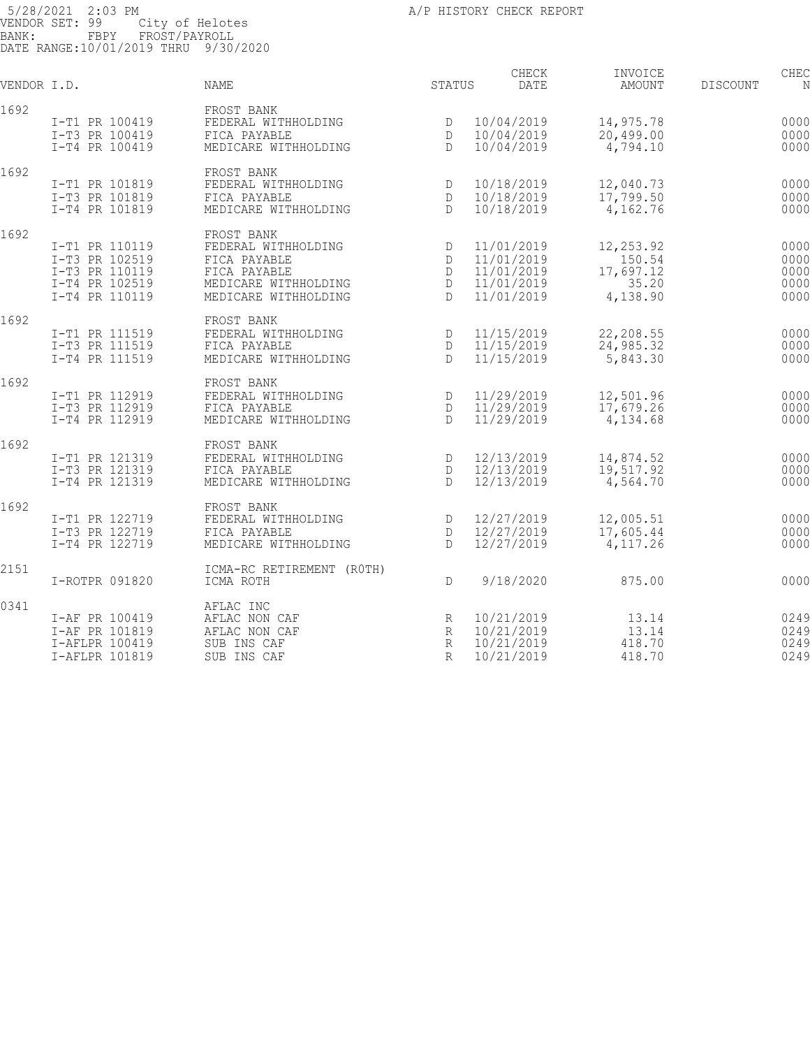| VENDOR I.D. |                                  | NAME                                 | STATUS            | CHECK<br>DATE            | INVOICE<br>AMOUNT      | <b>DISCOUNT</b> | CHEC<br>N    |
|-------------|----------------------------------|--------------------------------------|-------------------|--------------------------|------------------------|-----------------|--------------|
|             |                                  |                                      |                   |                          |                        |                 |              |
| 1692        | I-T1 PR 100419                   | FROST BANK<br>FEDERAL WITHHOLDING    | D                 | 10/04/2019               | 14,975.78              |                 | 0000         |
|             | I-T3 PR 100419                   | FICA PAYABLE                         | D                 | 10/04/2019               | 20,499.00              |                 | 0000         |
|             | I-T4 PR 100419                   | MEDICARE WITHHOLDING                 | $\mathbb{D}$      | 10/04/2019               | 4,794.10               |                 | 0000         |
| 1692        |                                  | FROST BANK                           |                   |                          |                        |                 |              |
|             | I-T1 PR 101819                   | FEDERAL WITHHOLDING                  | D                 | 10/18/2019               | 12,040.73              |                 | 0000         |
|             | I-T3 PR 101819                   | FICA PAYABLE                         | D                 | 10/18/2019               | 17,799.50              |                 | 0000         |
|             | I-T4 PR 101819                   | MEDICARE WITHHOLDING                 | $\mathcal{D}$     | 10/18/2019               | 4,162.76               |                 | 0000         |
| 1692        |                                  | FROST BANK                           |                   |                          |                        |                 |              |
|             | I-T1 PR 110119                   | FEDERAL WITHHOLDING                  | D                 | 11/01/2019               | 12,253.92              |                 | 0000         |
|             | I-T3 PR 102519                   | FICA PAYABLE<br>FICA PAYABLE         | D<br>D            | 11/01/2019<br>11/01/2019 | 150.54                 |                 | 0000<br>0000 |
|             | I-T3 PR 110119<br>I-T4 PR 102519 | MEDICARE WITHHOLDING                 | D                 | 11/01/2019               | 17,697.12<br>35.20     |                 | 0000         |
|             | I-T4 PR 110119                   | MEDICARE WITHHOLDING                 | $\mathsf{D}$      | 11/01/2019               | 4,138.90               |                 | 0000         |
|             |                                  |                                      |                   |                          |                        |                 |              |
| 1692        |                                  | FROST BANK                           |                   |                          |                        |                 |              |
|             | I-T1 PR 111519<br>I-T3 PR 111519 | FEDERAL WITHHOLDING<br>FICA PAYABLE  | D<br>D            | 11/15/2019<br>11/15/2019 | 22,208.55<br>24,985.32 |                 | 0000<br>0000 |
|             | I-T4 PR 111519                   | MEDICARE WITHHOLDING                 | $\mathsf{D}$      | 11/15/2019               | 5,843.30               |                 | 0000         |
|             |                                  |                                      |                   |                          |                        |                 |              |
| 1692        |                                  | FROST BANK                           |                   |                          |                        |                 |              |
|             | I-T1 PR 112919                   | FEDERAL WITHHOLDING                  | D                 | 11/29/2019               | 12,501.96              |                 | 0000         |
|             | I-T3 PR 112919<br>I-T4 PR 112919 | FICA PAYABLE<br>MEDICARE WITHHOLDING | D<br>$\mathbb{D}$ | 11/29/2019<br>11/29/2019 | 17,679.26<br>4,134.68  |                 | 0000<br>0000 |
|             |                                  |                                      |                   |                          |                        |                 |              |
| 1692        |                                  | FROST BANK                           |                   |                          |                        |                 |              |
|             | I-T1 PR 121319<br>I-T3 PR 121319 | FEDERAL WITHHOLDING<br>FICA PAYABLE  | D<br>D            | 12/13/2019<br>12/13/2019 | 14,874.52<br>19,517.92 |                 | 0000<br>0000 |
|             | I-T4 PR 121319                   | MEDICARE WITHHOLDING                 | $\mathbb{D}$      | 12/13/2019               | 4,564.70               |                 | 0000         |
|             |                                  |                                      |                   |                          |                        |                 |              |
| 1692        | I-T1 PR 122719                   | FROST BANK<br>FEDERAL WITHHOLDING    | D                 | 12/27/2019               | 12,005.51              |                 | 0000         |
|             | I-T3 PR 122719                   | FICA PAYABLE                         | D                 | 12/27/2019               | 17,605.44              |                 | 0000         |
|             | I-T4 PR 122719                   | MEDICARE WITHHOLDING                 | D                 | 12/27/2019               | 4, 117.26              |                 | 0000         |
| 2151        |                                  | ICMA-RC RETIREMENT (ROTH)            |                   |                          |                        |                 |              |
|             | I-ROTPR 091820                   | ICMA ROTH                            | D                 | 9/18/2020                | 875.00                 |                 | 0000         |
| 0341        |                                  | AFLAC INC                            |                   |                          |                        |                 |              |
|             | I-AF PR 100419                   | AFLAC NON CAF                        | R                 | 10/21/2019               | 13.14                  |                 | 0249         |
|             | I-AF PR 101819                   | AFLAC NON CAF                        | R                 | 10/21/2019               | 13.14                  |                 | 0249         |
|             | I-AFLPR 100419                   | SUB INS CAF                          | R                 | 10/21/2019               | 418.70                 |                 | 0249         |
|             | I-AFLPR 101819                   | SUB INS CAF                          | $\mathbb{R}$      | 10/21/2019               | 418.70                 |                 | 0249         |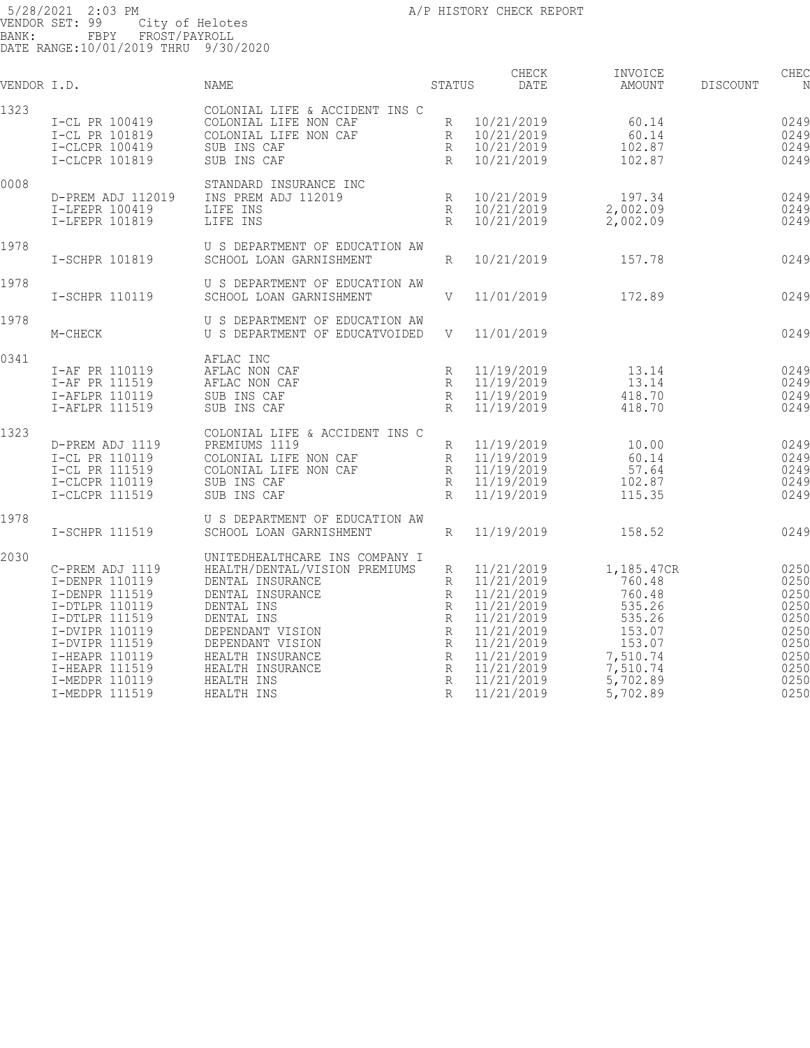| VENDOR I.D. |                                                                                                                                                                                                     | NAME                                                                                                                                                                                                                                            | STATUS                                                                              | CHECK<br>DATE                                                                                                                                          | INVOICE<br>AMOUNT                                                                                                      | <b>DISCOUNT</b> | CHEC<br>N                                                                            |
|-------------|-----------------------------------------------------------------------------------------------------------------------------------------------------------------------------------------------------|-------------------------------------------------------------------------------------------------------------------------------------------------------------------------------------------------------------------------------------------------|-------------------------------------------------------------------------------------|--------------------------------------------------------------------------------------------------------------------------------------------------------|------------------------------------------------------------------------------------------------------------------------|-----------------|--------------------------------------------------------------------------------------|
| 1323        | I-CL PR 100419<br>I-CL PR 101819<br>I-CLCPR 100419<br>I-CLCPR 101819                                                                                                                                | COLONIAL LIFE & ACCIDENT INS C<br>COLONIAL LIFE NON CAF<br>COLONIAL LIFE NON CAF<br>SUB INS CAF<br>SUB INS CAF                                                                                                                                  | R<br>R<br>R<br>$\mathbb{R}$                                                         | 10/21/2019<br>10/21/2019<br>10/21/2019<br>10/21/2019                                                                                                   | 60.14<br>60.14<br>102.87<br>102.87                                                                                     |                 | 0249<br>0249<br>0249<br>0249                                                         |
| 0008        | D-PREM ADJ 112019<br>I-LFEPR 100419<br>I-LFEPR 101819                                                                                                                                               | STANDARD INSURANCE INC<br>INS PREM ADJ 112019<br>LIFE INS<br>LIFE INS                                                                                                                                                                           | R<br>R<br>R                                                                         | 10/21/2019<br>10/21/2019<br>10/21/2019                                                                                                                 | 197.34<br>2,002.09<br>2,002.09                                                                                         |                 | 0249<br>0249<br>0249                                                                 |
| 1978        | I-SCHPR 101819                                                                                                                                                                                      | U S DEPARTMENT OF EDUCATION AW<br>SCHOOL LOAN GARNISHMENT                                                                                                                                                                                       | $R_{\parallel}$                                                                     | 10/21/2019                                                                                                                                             | 157.78                                                                                                                 |                 | 0249                                                                                 |
| 1978        | I-SCHPR 110119                                                                                                                                                                                      | U S DEPARTMENT OF EDUCATION AW<br>SCHOOL LOAN GARNISHMENT                                                                                                                                                                                       | V                                                                                   | 11/01/2019                                                                                                                                             | 172.89                                                                                                                 |                 | 0249                                                                                 |
| 1978        | M-CHECK                                                                                                                                                                                             | U S DEPARTMENT OF EDUCATION AW<br>U S DEPARTMENT OF EDUCATVOIDED                                                                                                                                                                                | V                                                                                   | 11/01/2019                                                                                                                                             |                                                                                                                        |                 | 0249                                                                                 |
| 0341        | I-AF PR 110119<br>I-AF PR 111519<br>I-AFLPR 110119<br>I-AFLPR 111519                                                                                                                                | AFLAC INC<br>AFLAC NON CAF<br>AFLAC NON CAF<br>SUB INS CAF<br>SUB INS CAF                                                                                                                                                                       | R<br>R<br>R<br>R                                                                    | 11/19/2019<br>11/19/2019<br>11/19/2019<br>11/19/2019                                                                                                   | 13.14<br>13.14<br>418.70<br>418.70                                                                                     |                 | 0249<br>0249<br>0249<br>0249                                                         |
| 1323        | D-PREM ADJ 1119<br>I-CL PR 110119<br>I-CL PR 111519<br>I-CLCPR 110119<br>I-CLCPR 111519                                                                                                             | COLONIAL LIFE & ACCIDENT INS C<br>PREMIUMS 1119<br>COLONIAL LIFE NON CAF<br>COLONIAL LIFE NON CAF<br>SUB INS CAF<br>SUB INS CAF                                                                                                                 | R<br>R<br>$\, {\bf R}$<br>R<br>$\mathbb{R}$                                         | 11/19/2019<br>11/19/2019<br>11/19/2019<br>11/19/2019<br>11/19/2019                                                                                     | 10.00<br>60.14<br>57.64<br>102.87<br>115.35                                                                            |                 | 0249<br>0249<br>0249<br>0249<br>0249                                                 |
| 1978        | I-SCHPR 111519                                                                                                                                                                                      | U S DEPARTMENT OF EDUCATION AW<br>SCHOOL LOAN GARNISHMENT                                                                                                                                                                                       | R                                                                                   | 11/19/2019                                                                                                                                             | 158.52                                                                                                                 |                 | 0249                                                                                 |
| 2030        | C-PREM ADJ 1119<br>I-DENPR 110119<br>I-DENPR 111519<br>I-DTLPR 110119<br>I-DTLPR 111519<br>I-DVIPR 110119<br>I-DVIPR 111519<br>I-HEAPR 110119<br>I-HEAPR 111519<br>I-MEDPR 110119<br>I-MEDPR 111519 | UNITEDHEALTHCARE INS COMPANY I<br>HEALTH/DENTAL/VISION PREMIUMS<br>DENTAL INSURANCE<br>DENTAL INSURANCE<br>DENTAL INS<br>DENTAL INS<br>DEPENDANT VISION<br>DEPENDANT VISION<br>HEALTH INSURANCE<br>HEALTH INSURANCE<br>HEALTH INS<br>HEALTH INS | R<br>R<br>R<br>R<br>R<br>$\mathbb{R}$<br>R<br>R<br>R<br>$\mathbb R$<br>$\mathbb{R}$ | 11/21/2019<br>11/21/2019<br>11/21/2019<br>11/21/2019<br>11/21/2019<br>11/21/2019<br>11/21/2019<br>11/21/2019<br>11/21/2019<br>11/21/2019<br>11/21/2019 | 1,185.47CR<br>760.48<br>760.48<br>535.26<br>535.26<br>153.07<br>153.07<br>7,510.74<br>7,510.74<br>5,702.89<br>5,702.89 |                 | 0250<br>0250<br>0250<br>0250<br>0250<br>0250<br>0250<br>0250<br>0250<br>0250<br>0250 |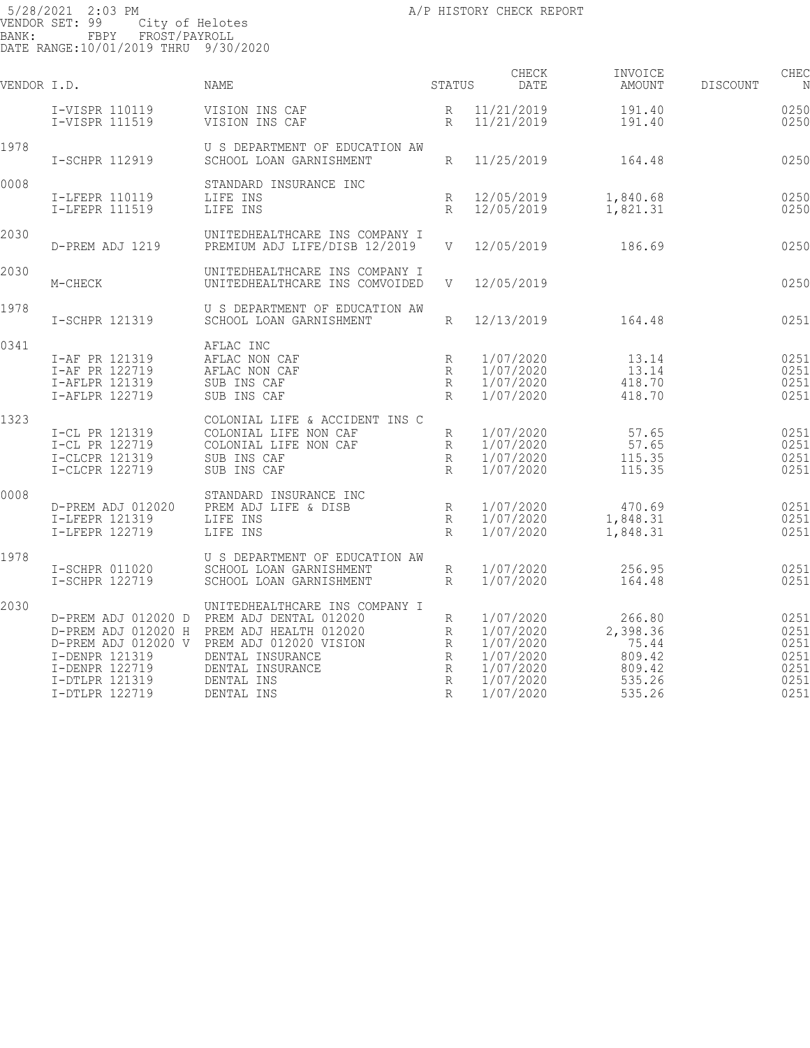| VENDOR I.D. |                                                                      | NAME                                                                                                                                                                                                                                         | STATUS                               | CHECK<br><b>DATE</b>                                                                    | INVOICE<br>AMOUNT                                                   | <b>DISCOUNT</b> | CHEC<br>N                                            |
|-------------|----------------------------------------------------------------------|----------------------------------------------------------------------------------------------------------------------------------------------------------------------------------------------------------------------------------------------|--------------------------------------|-----------------------------------------------------------------------------------------|---------------------------------------------------------------------|-----------------|------------------------------------------------------|
|             | I-VISPR 110119<br>I-VISPR 111519                                     | VISION INS CAF<br>VISION INS CAF                                                                                                                                                                                                             | R<br>R                               | 11/21/2019<br>11/21/2019                                                                | 191.40<br>191.40                                                    |                 | 0250<br>0250                                         |
| 1978        | I-SCHPR 112919                                                       | U S DEPARTMENT OF EDUCATION AW<br>SCHOOL LOAN GARNISHMENT                                                                                                                                                                                    | R                                    | 11/25/2019                                                                              | 164.48                                                              |                 | 0250                                                 |
| 0008        | I-LFEPR 110119<br>I-LFEPR 111519                                     | STANDARD INSURANCE INC<br>LIFE INS<br>LIFE INS                                                                                                                                                                                               | R<br>R                               | 12/05/2019<br>12/05/2019                                                                | 1,840.68<br>1,821.31                                                |                 | 0250<br>0250                                         |
| 2030        | D-PREM ADJ 1219                                                      | UNITEDHEALTHCARE INS COMPANY I<br>PREMIUM ADJ LIFE/DISB 12/2019                                                                                                                                                                              |                                      | V 12/05/2019                                                                            | 186.69                                                              |                 | 0250                                                 |
| 2030        | M-CHECK                                                              | UNITEDHEALTHCARE INS COMPANY I<br>UNITEDHEALTHCARE INS COMVOIDED                                                                                                                                                                             | V                                    | 12/05/2019                                                                              |                                                                     |                 | 0250                                                 |
| 1978        | I-SCHPR 121319                                                       | U S DEPARTMENT OF EDUCATION AW<br>SCHOOL LOAN GARNISHMENT                                                                                                                                                                                    | $R_{\parallel}$                      | 12/13/2019                                                                              | 164.48                                                              |                 | 0251                                                 |
| 0341        | I-AF PR 121319<br>I-AF PR 122719<br>I-AFLPR 121319<br>I-AFLPR 122719 | AFLAC INC<br>AFLAC NON CAF<br>AFLAC NON CAF<br>SUB INS CAF<br>SUB INS CAF                                                                                                                                                                    | R<br>R<br>R<br>$R_{\rm}$             | 1/07/2020<br>1/07/2020<br>1/07/2020<br>1/07/2020                                        | 13.14<br>13.14<br>418.70<br>418.70                                  |                 | 0251<br>0251<br>0251<br>0251                         |
| 1323        | I-CL PR 121319<br>I-CL PR 122719<br>I-CLCPR 121319<br>I-CLCPR 122719 | COLONIAL LIFE & ACCIDENT INS C<br>COLONIAL LIFE NON CAF<br>R<br>COLONIAL LIFE NON CAF<br>SUB INS CAF<br>SUB INS CAF                                                                                                                          | R<br>R<br>R                          | 1/07/2020<br>1/07/2020<br>1/07/2020<br>1/07/2020                                        | 57.65<br>57.65<br>115.35<br>115.35                                  |                 | 0251<br>0251<br>0251<br>0251                         |
| 0008        | D-PREM ADJ 012020<br>I-LFEPR 121319<br>I-LFEPR 122719                | STANDARD INSURANCE INC<br>PREM ADJ LIFE & DISB<br>LIFE INS<br>LIFE INS                                                                                                                                                                       | R<br>$R_{\odot}$<br>R                | 1/07/2020<br>1/07/2020<br>1/07/2020                                                     | 470.69<br>1,848.31<br>1,848.31                                      |                 | 0251<br>0251<br>0251                                 |
| 1978        | I-SCHPR 011020<br>I-SCHPR 122719                                     | U S DEPARTMENT OF EDUCATION AW<br>SCHOOL LOAN GARNISHMENT<br>SCHOOL LOAN GARNISHMENT                                                                                                                                                         | $\mathbb R$<br>R                     | 1/07/2020<br>1/07/2020                                                                  | 256.95<br>164.48                                                    |                 | 0251<br>0251                                         |
| 2030        | I-DENPR 121319<br>I-DENPR 122719<br>I-DTLPR 121319<br>I-DTLPR 122719 | UNITEDHEALTHCARE INS COMPANY I<br>D-PREM ADJ 012020 D PREM ADJ DENTAL 012020<br>D-PREM ADJ 012020 H PREM ADJ HEALTH 012020<br>D-PREM ADJ 012020 V PREM ADJ 012020 VISION<br>DENTAL INSURANCE<br>DENTAL INSURANCE<br>DENTAL INS<br>DENTAL INS | R<br>R<br>R<br>R<br>$\,$ R<br>R<br>R | 1/07/2020<br>1/07/2020<br>1/07/2020<br>1/07/2020<br>1/07/2020<br>1/07/2020<br>1/07/2020 | 266.80<br>2,398.36<br>75.44<br>809.42<br>809.42<br>535.26<br>535.26 |                 | 0251<br>0251<br>0251<br>0251<br>0251<br>0251<br>0251 |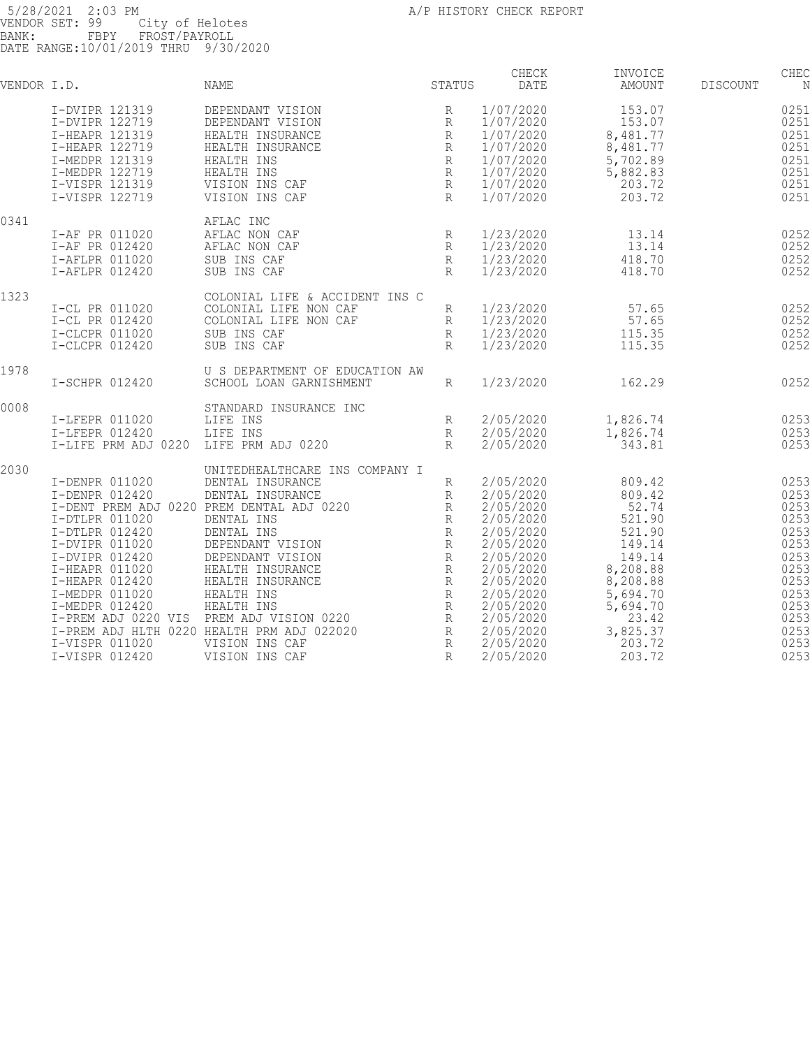| VENDOR I.D. |                                                                                                                                                                                                                                             | NAME                                                                                                                                                                                                                                                                                                                                                                  | STATUS                                                                                                                                                        | CHECK<br>DATE                                                                                                                                                                                   | INVOICE<br>AMOUNT                                                                                                                                          | <b>DISCOUNT</b> | CHEC<br>N                                                                                                            |
|-------------|---------------------------------------------------------------------------------------------------------------------------------------------------------------------------------------------------------------------------------------------|-----------------------------------------------------------------------------------------------------------------------------------------------------------------------------------------------------------------------------------------------------------------------------------------------------------------------------------------------------------------------|---------------------------------------------------------------------------------------------------------------------------------------------------------------|-------------------------------------------------------------------------------------------------------------------------------------------------------------------------------------------------|------------------------------------------------------------------------------------------------------------------------------------------------------------|-----------------|----------------------------------------------------------------------------------------------------------------------|
|             | I-DVIPR 121319<br>I-DVIPR 122719<br>I-HEAPR 121319<br>I-HEAPR 122719<br>I-MEDPR 121319<br>I-MEDPR 122719<br>I-VISPR 121319<br>I-VISPR 122719                                                                                                | DEPENDANT VISION<br>DEPENDANT VISION<br>HEALTH INSURANCE<br>HEALTH INSURANCE<br>HEALTH INS<br>HEALTH INS<br>VISION INS CAF<br>VISION INS CAF                                                                                                                                                                                                                          | R<br>R<br>$\mathbb{R}$<br>R<br>$\,$ R<br>$\, {\mathbb R}$<br>$\mathbb R$<br>R                                                                                 | 1/07/2020<br>1/07/2020<br>1/07/2020<br>1/07/2020<br>1/07/2020<br>1/07/2020<br>1/07/2020<br>1/07/2020                                                                                            | 153.07<br>153.07<br>8,481.77<br>8,481.77<br>5,702.89<br>5,882.83<br>203.72<br>203.72                                                                       |                 | 0251<br>0251<br>0251<br>0251<br>0251<br>0251<br>0251<br>0251                                                         |
| 0341        | I-AF PR 011020<br>I-AF PR 012420<br>I-AFLPR 011020<br>I-AFLPR 012420                                                                                                                                                                        | AFLAC INC<br>AFLAC NON CAF<br>AFLAC NON CAF<br>SUB INS CAF<br>SUB INS CAF                                                                                                                                                                                                                                                                                             | R<br>R<br>$\mathbb{R}$<br>$\mathbb{R}$                                                                                                                        | 1/23/2020<br>1/23/2020<br>1/23/2020<br>1/23/2020                                                                                                                                                | 13.14<br>13.14<br>418.70<br>418.70                                                                                                                         |                 | 0252<br>0252<br>0252<br>0252                                                                                         |
| 1323        | I-CL PR 011020<br>I-CL PR 012420<br>I-CLCPR 011020<br>I-CLCPR 012420                                                                                                                                                                        | COLONIAL LIFE & ACCIDENT INS C<br>COLONIAL LIFE NON CAF<br>COLONIAL LIFE NON CAF<br>SUB INS CAF<br>SUB INS CAF                                                                                                                                                                                                                                                        | R<br>R<br>$\mathbb{R}$<br>$\mathbb{R}$                                                                                                                        | 1/23/2020<br>1/23/2020<br>1/23/2020<br>1/23/2020                                                                                                                                                | 57.65<br>57.65<br>115.35<br>115.35                                                                                                                         |                 | 0252<br>0252<br>0252<br>0252                                                                                         |
| 1978        | I-SCHPR 012420                                                                                                                                                                                                                              | U S DEPARTMENT OF EDUCATION AW<br>SCHOOL LOAN GARNISHMENT                                                                                                                                                                                                                                                                                                             | R                                                                                                                                                             | 1/23/2020                                                                                                                                                                                       | 162.29                                                                                                                                                     |                 | 0252                                                                                                                 |
| 0008        | I-LFEPR 011020<br>I-LFEPR 012420<br>I-LIFE PRM ADJ 0220                                                                                                                                                                                     | STANDARD INSURANCE INC<br>LIFE INS<br>LIFE INS<br>LIFE PRM ADJ 0220                                                                                                                                                                                                                                                                                                   | R<br>$\mathbb{R}$<br>$R_{\rm}$                                                                                                                                | 2/05/2020<br>2/05/2020<br>2/05/2020                                                                                                                                                             | 1,826.74<br>1,826.74<br>343.81                                                                                                                             |                 | 0253<br>0253<br>0253                                                                                                 |
| 2030        | I-DENPR 011020<br>I-DENPR 012420<br>I-DTLPR 011020<br>I-DTLPR 012420<br>I-DVIPR 011020<br>I-DVIPR 012420<br>I-HEAPR 011020<br>I-HEAPR 012420<br>I-MEDPR 011020<br>I-MEDPR 012420<br>I-PREM ADJ 0220 VIS<br>I-VISPR 011020<br>I-VISPR 012420 | UNITEDHEALTHCARE INS COMPANY I<br>DENTAL INSURANCE<br>DENTAL INSURANCE<br>I-DENT PREM ADJ 0220 PREM DENTAL ADJ 0220<br>DENTAL INS<br>DENTAL INS<br>DEPENDANT VISION<br>DEPENDANT VISION<br>HEALTH INSURANCE<br>HEALTH INSURANCE<br>HEALTH INS<br>HEALTH INS<br>PREM ADJ VISION 0220<br>I-PREM ADJ HLTH 0220 HEALTH PRM ADJ 022020<br>VISION INS CAF<br>VISION INS CAF | R<br>R<br>R<br>R<br>$\, {\mathbb R}$<br>$\, {\mathbb R}$<br>$\mathbb R$<br>R<br>R<br>$\mathbb R$<br>$\, {\mathbb R}$<br>R<br>$\mathbb R$<br>R<br>$\mathbb{R}$ | 2/05/2020<br>2/05/2020<br>2/05/2020<br>2/05/2020<br>2/05/2020<br>2/05/2020<br>2/05/2020<br>2/05/2020<br>2/05/2020<br>2/05/2020<br>2/05/2020<br>2/05/2020<br>2/05/2020<br>2/05/2020<br>2/05/2020 | 809.42<br>809.42<br>52.74<br>521.90<br>521.90<br>149.14<br>149.14<br>8,208.88<br>8,208.88<br>5,694.70<br>5,694.70<br>23.42<br>3,825.37<br>203.72<br>203.72 |                 | 0253<br>0253<br>0253<br>0253<br>0253<br>0253<br>0253<br>0253<br>0253<br>0253<br>0253<br>0253<br>0253<br>0253<br>0253 |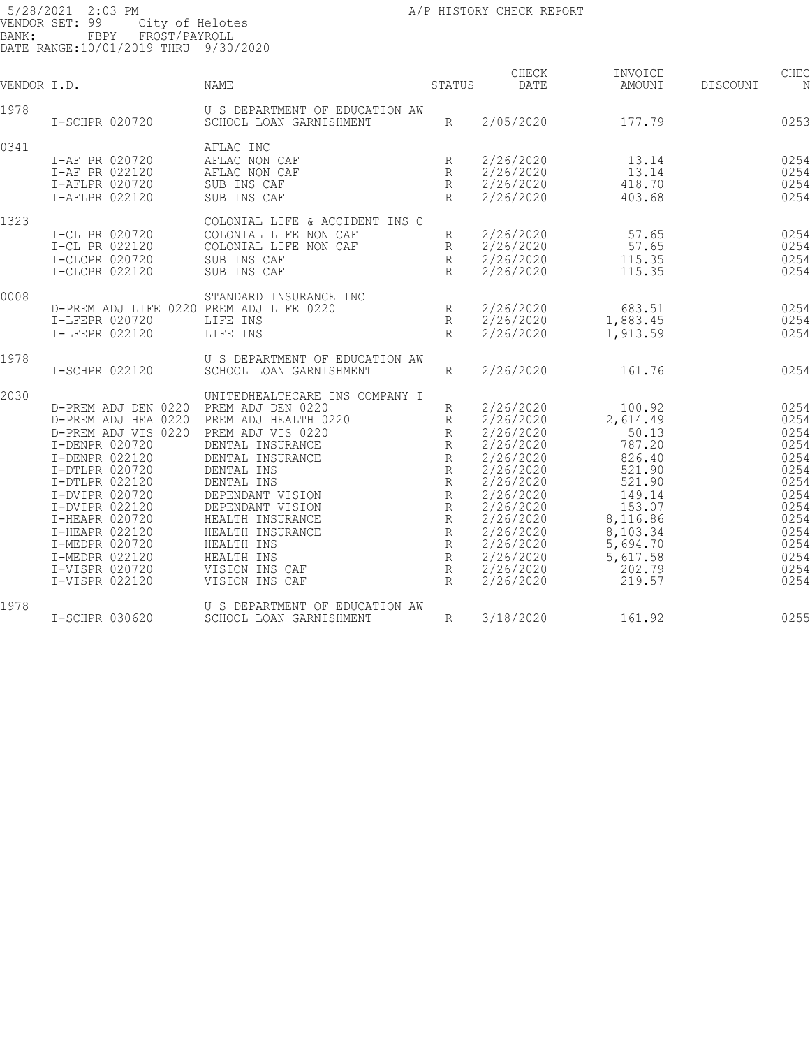| VENDOR I.D. |                                         | <b>NAME</b>                    | STATUS       | CHECK<br><b>DATE</b> | INVOICE<br>AMOUNT | <b>DISCOUNT</b> | CHEC<br>N |
|-------------|-----------------------------------------|--------------------------------|--------------|----------------------|-------------------|-----------------|-----------|
| 1978        |                                         | U S DEPARTMENT OF EDUCATION AW |              |                      |                   |                 |           |
|             | I-SCHPR 020720                          | SCHOOL LOAN GARNISHMENT        | R            | 2/05/2020            | 177.79            |                 | 0253      |
| 0341        |                                         | AFLAC INC                      |              |                      |                   |                 |           |
|             | I-AF PR 020720                          | AFLAC NON CAF                  | R            | 2/26/2020            | 13.14             |                 | 0254      |
|             | I-AF PR 022120                          | AFLAC NON CAF                  | R            | 2/26/2020            | 13.14             |                 | 0254      |
|             | I-AFLPR 020720                          | SUB INS CAF                    | $\mathbb{R}$ | 2/26/2020            | 418.70            |                 | 0254      |
|             | I-AFLPR 022120                          | SUB INS CAF                    | R            | 2/26/2020            | 403.68            |                 | 0254      |
| 1323        |                                         | COLONIAL LIFE & ACCIDENT INS C |              |                      |                   |                 |           |
|             | I-CL PR 020720                          | COLONIAL LIFE NON CAF          | R            | 2/26/2020            | 57.65             |                 | 0254      |
|             | I-CL PR 022120                          | COLONIAL LIFE NON CAF          | R            | 2/26/2020            | 57.65             |                 | 0254      |
|             | I-CLCPR 020720                          | SUB INS CAF                    | $\mathbb{R}$ | 2/26/2020            | 115.35            |                 | 0254      |
|             | I-CLCPR 022120                          | SUB INS CAF                    | $R_{\rm}$    | 2/26/2020            | 115.35            |                 | 0254      |
| 0008        |                                         | STANDARD INSURANCE INC         |              |                      |                   |                 |           |
|             | D-PREM ADJ LIFE 0220 PREM ADJ LIFE 0220 |                                | R            | 2/26/2020            | 683.51            |                 | 0254      |
|             | I-LFEPR 020720                          | LIFE INS                       | R            | 2/26/2020            | 1,883.45          |                 | 0254      |
|             | I-LFEPR 022120                          | LIFE INS                       | $\mathbb{R}$ | 2/26/2020            | 1,913.59          |                 | 0254      |
| 1978        |                                         | U S DEPARTMENT OF EDUCATION AW |              |                      |                   |                 |           |
|             | I-SCHPR 022120                          | SCHOOL LOAN GARNISHMENT        | $R_{\rm}$    | 2/26/2020            | 161.76            |                 | 0254      |
| 2030        |                                         | UNITEDHEALTHCARE INS COMPANY I |              |                      |                   |                 |           |
|             | D-PREM ADJ DEN 0220                     | PREM ADJ DEN 0220              | R            | 2/26/2020            | 100.92            |                 | 0254      |
|             | D-PREM ADJ HEA 0220                     | PREM ADJ HEALTH 0220           | R            | 2/26/2020            | 2,614.49          |                 | 0254      |
|             | D-PREM ADJ VIS 0220                     | PREM ADJ VIS 0220              | $\mathbb{R}$ | 2/26/2020            | 50.13             |                 | 0254      |
|             | I-DENPR 020720                          | DENTAL INSURANCE               | R            | 2/26/2020            | 787.20            |                 | 0254      |
|             | I-DENPR 022120                          | DENTAL INSURANCE               | $\mathbb R$  | 2/26/2020            | 826.40            |                 | 0254      |
|             | I-DTLPR 020720                          | DENTAL INS                     | R            | 2/26/2020            | 521.90            |                 | 0254      |
|             | I-DTLPR 022120                          | DENTAL INS                     | R            | 2/26/2020            | 521.90            |                 | 0254      |
|             | I-DVIPR 020720                          | DEPENDANT VISION               | $\mathbb R$  | 2/26/2020            | 149.14            |                 | 0254      |
|             | I-DVIPR 022120                          | DEPENDANT VISION               | R            | 2/26/2020            | 153.07            |                 | 0254      |
|             | I-HEAPR 020720                          | HEALTH INSURANCE               | R            | 2/26/2020            | 8,116.86          |                 | 0254      |
|             | I-HEAPR 022120                          | HEALTH INSURANCE               | $\mathbb{R}$ | 2/26/2020            | 8,103.34          |                 | 0254      |
|             | I-MEDPR 020720                          | HEALTH INS                     | R            | 2/26/2020            | 5,694.70          |                 | 0254      |
|             | I-MEDPR 022120                          | HEALTH INS                     | $\mathbb{R}$ | 2/26/2020            | 5,617.58          |                 | 0254      |
|             | I-VISPR 020720                          | VISION INS CAF                 | R            | 2/26/2020            | 202.79            |                 | 0254      |
|             | I-VISPR 022120                          | VISION INS CAF                 | R            | 2/26/2020            | 219.57            |                 | 0254      |
| 1978        |                                         | U S DEPARTMENT OF EDUCATION AW |              |                      |                   |                 |           |
|             | I-SCHPR 030620                          | SCHOOL LOAN GARNISHMENT        | $\mathbb{R}$ | 3/18/2020            | 161.92            |                 | 0255      |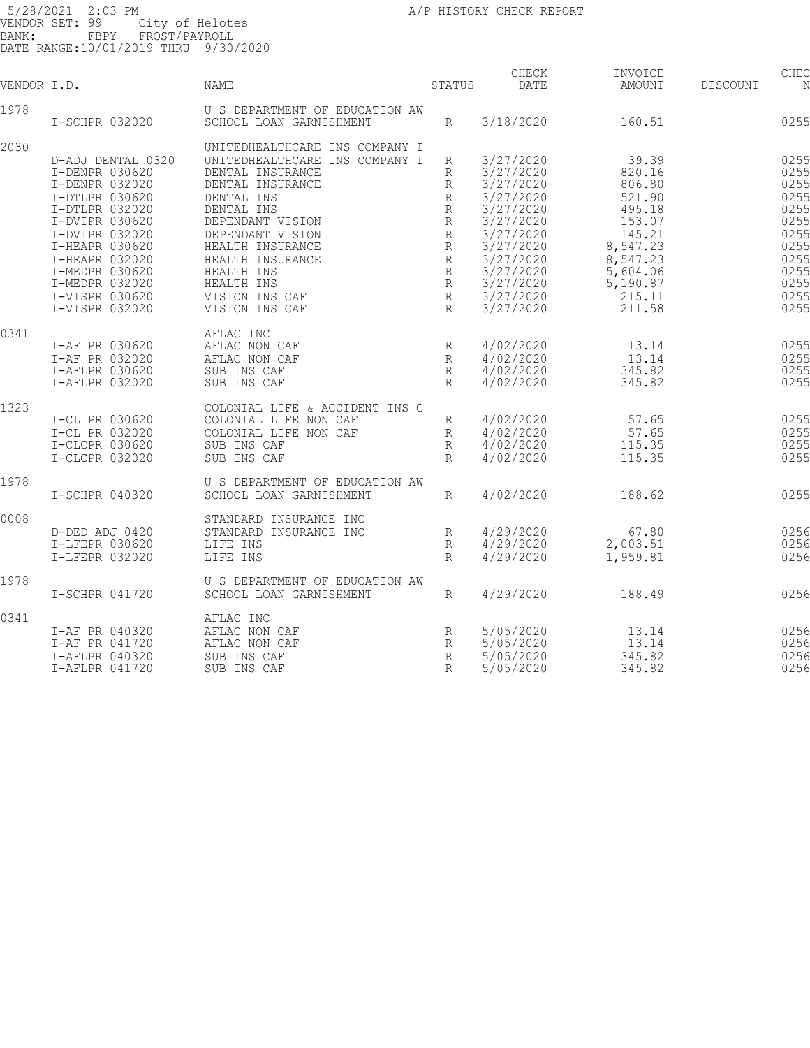| VENDOR I.D. |                                  | NAME                                 | STATUS           | CHECK<br><b>DATE</b>   | INVOICE<br>AMOUNT | <b>DISCOUNT</b> | CHEC<br>N    |
|-------------|----------------------------------|--------------------------------------|------------------|------------------------|-------------------|-----------------|--------------|
| 1978        |                                  | U S DEPARTMENT OF EDUCATION AW       |                  |                        |                   |                 |              |
|             | I-SCHPR 032020                   | SCHOOL LOAN GARNISHMENT              | R                | 3/18/2020              | 160.51            |                 | 0255         |
| 2030        |                                  | UNITEDHEALTHCARE INS COMPANY I       |                  |                        |                   |                 |              |
|             | D-ADJ DENTAL 0320                | UNITEDHEALTHCARE INS COMPANY I       | R                | 3/27/2020              | 39.39             |                 | 0255         |
|             | I-DENPR 030620                   | DENTAL INSURANCE                     | R                | 3/27/2020              | 820.16            |                 | 0255         |
|             | I-DENPR 032020                   | DENTAL INSURANCE                     | R                | 3/27/2020<br>3/27/2020 | 806.80<br>521.90  |                 | 0255<br>0255 |
|             | I-DTLPR 030620<br>I-DTLPR 032020 | DENTAL INS<br>DENTAL INS             | $\mathbb R$<br>R | 3/27/2020              | 495.18            |                 | 0255         |
|             | I-DVIPR 030620                   | DEPENDANT VISION                     | R                | 3/27/2020              | 153.07            |                 | 0255         |
|             | I-DVIPR 032020                   | DEPENDANT VISION                     | $\, {\bf R}$     | 3/27/2020              | 145.21            |                 | 0255         |
|             | I-HEAPR 030620                   | HEALTH INSURANCE                     | R                | 3/27/2020              | 8,547.23          |                 | 0255         |
|             | I-HEAPR 032020                   | HEALTH INSURANCE                     | R                | 3/27/2020              | 8,547.23          |                 | 0255         |
|             | I-MEDPR 030620                   | HEALTH INS                           | R                | 3/27/2020              | 5,604.06          |                 | 0255         |
|             | I-MEDPR 032020                   | HEALTH INS                           | R                | 3/27/2020              | 5,190.87          |                 | 0255         |
|             | I-VISPR 030620                   | VISION INS CAF                       | R                | 3/27/2020              | 215.11            |                 | 0255         |
|             | I-VISPR 032020                   | VISION INS CAF                       | R                | 3/27/2020              | 211.58            |                 | 0255         |
| 0341        |                                  | AFLAC INC                            |                  |                        |                   |                 |              |
|             | I-AF PR 030620                   | AFLAC NON CAF                        | R                | 4/02/2020              | 13.14             |                 | 0255         |
|             | I-AF PR 032020                   | AFLAC NON CAF                        | $\, {\mathbb R}$ | 4/02/2020              | 13.14             |                 | 0255         |
|             | I-AFLPR 030620<br>I-AFLPR 032020 | SUB INS CAF<br>SUB INS CAF           | R<br>$R_{\rm}$   | 4/02/2020<br>4/02/2020 | 345.82<br>345.82  |                 | 0255<br>0255 |
|             |                                  |                                      |                  |                        |                   |                 |              |
| 1323        |                                  | COLONIAL LIFE & ACCIDENT INS C       |                  |                        |                   |                 |              |
|             | I-CL PR 030620                   | COLONIAL LIFE NON CAF                | R                | 4/02/2020              | 57.65             |                 | 0255         |
|             | I-CL PR 032020<br>I-CLCPR 030620 | COLONIAL LIFE NON CAF<br>SUB INS CAF | R                | 4/02/2020<br>4/02/2020 | 57.65<br>115.35   |                 | 0255<br>0255 |
|             | I-CLCPR 032020                   | SUB INS CAF                          | R<br>$R_{\rm}$   | 4/02/2020              | 115.35            |                 | 0255         |
|             |                                  |                                      |                  |                        |                   |                 |              |
| 1978        |                                  | U S DEPARTMENT OF EDUCATION AW       |                  |                        |                   |                 |              |
|             | I-SCHPR 040320                   | SCHOOL LOAN GARNISHMENT              | $R_{\parallel}$  | 4/02/2020              | 188.62            |                 | 0255         |
| 0008        |                                  | STANDARD INSURANCE INC               |                  |                        |                   |                 |              |
|             | D-DED ADJ 0420                   | STANDARD INSURANCE INC               | R                | 4/29/2020              | 67.80             |                 | 0256         |
|             | I-LFEPR 030620                   | LIFE INS                             | R                | 4/29/2020              | 2,003.51          |                 | 0256         |
|             | I-LFEPR 032020                   | LIFE INS                             | $\mathbb{R}$     | 4/29/2020              | 1,959.81          |                 | 0256         |
| 1978        |                                  | U S DEPARTMENT OF EDUCATION AW       |                  |                        |                   |                 |              |
|             | I-SCHPR 041720                   | SCHOOL LOAN GARNISHMENT              | R                | 4/29/2020              | 188.49            |                 | 0256         |
| 0341        |                                  | AFLAC INC                            |                  |                        |                   |                 |              |
|             | I-AF PR 040320                   | AFLAC NON CAF                        | R                | 5/05/2020              | 13.14             |                 | 0256         |
|             | I-AF PR 041720                   | AFLAC NON CAF                        | R                | 5/05/2020              | 13.14             |                 | 0256         |
|             | I-AFLPR 040320                   | SUB INS CAF                          | $\mathbb{R}$     | 5/05/2020              | 345.82            |                 | 0256         |
|             | I-AFLPR 041720                   | SUB INS CAF                          | R                | 5/05/2020              | 345.82            |                 | 0256         |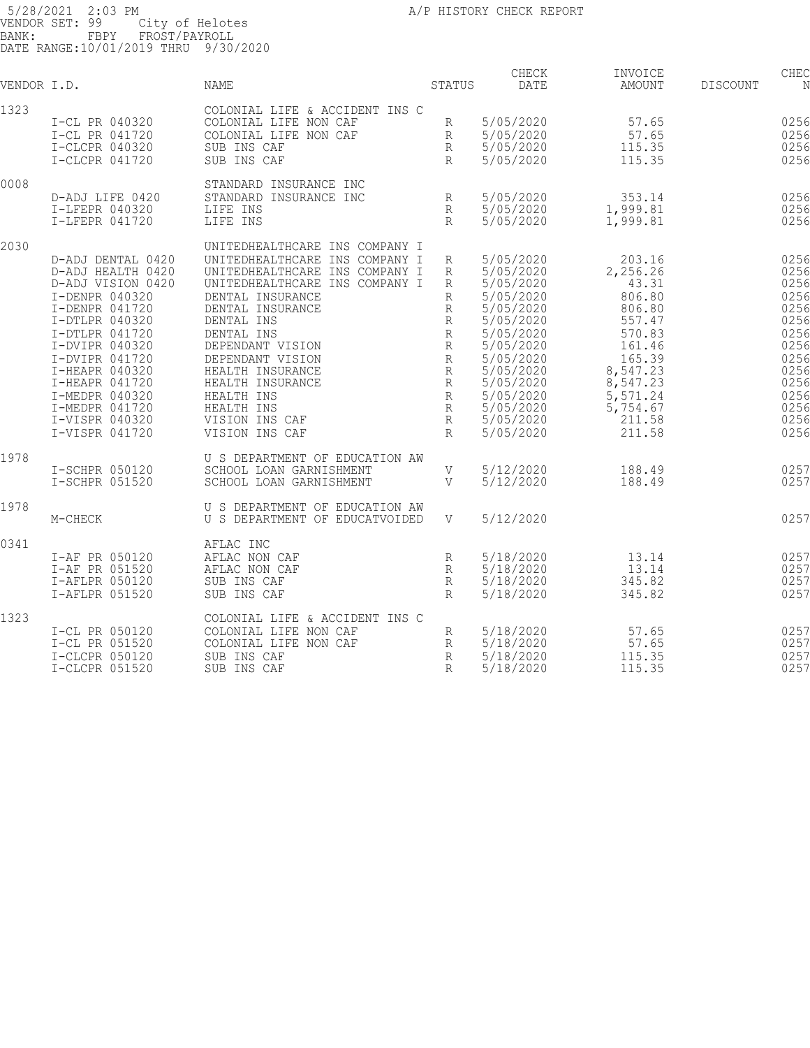| VENDOR I.D. |                                                                                                                                                                                                                                                                                     | NAME                                                                                                                                                                                                                                                                                                                                                     | <b>STATUS</b>                                                                                     | CHECK<br><b>DATE</b>                                                                                                                                                                            | INVOICE<br>AMOUNT                                                                                                                                           | DISCOUNT | CHEC<br>N                                                                                                            |
|-------------|-------------------------------------------------------------------------------------------------------------------------------------------------------------------------------------------------------------------------------------------------------------------------------------|----------------------------------------------------------------------------------------------------------------------------------------------------------------------------------------------------------------------------------------------------------------------------------------------------------------------------------------------------------|---------------------------------------------------------------------------------------------------|-------------------------------------------------------------------------------------------------------------------------------------------------------------------------------------------------|-------------------------------------------------------------------------------------------------------------------------------------------------------------|----------|----------------------------------------------------------------------------------------------------------------------|
| 1323        | I-CL PR 040320<br>I-CL PR 041720<br>I-CLCPR 040320<br>I-CLCPR 041720                                                                                                                                                                                                                | COLONIAL LIFE & ACCIDENT INS C<br>COLONIAL LIFE NON CAF<br>COLONIAL LIFE NON CAF<br>SUB INS CAF<br>SUB INS CAF                                                                                                                                                                                                                                           | R<br>R<br>R<br>R                                                                                  | 5/05/2020<br>5/05/2020<br>5/05/2020<br>5/05/2020                                                                                                                                                | 57.65<br>57.65<br>115.35<br>115.35                                                                                                                          |          | 0256<br>0256<br>0256<br>0256                                                                                         |
| 0008        | D-ADJ LIFE 0420<br>I-LFEPR 040320<br>I-LFEPR 041720                                                                                                                                                                                                                                 | STANDARD INSURANCE INC<br>STANDARD INSURANCE INC<br>LIFE INS<br>LIFE INS                                                                                                                                                                                                                                                                                 | R<br>R<br>R                                                                                       | 5/05/2020<br>5/05/2020<br>5/05/2020                                                                                                                                                             | 353.14<br>1,999.81<br>1,999.81                                                                                                                              |          | 0256<br>0256<br>0256                                                                                                 |
| 2030        | D-ADJ DENTAL 0420<br>D-ADJ HEALTH 0420<br>D-ADJ VISION 0420<br>I-DENPR 040320<br>I-DENPR 041720<br>I-DTLPR 040320<br>I-DTLPR 041720<br>I-DVIPR 040320<br>I-DVIPR 041720<br>I-HEAPR 040320<br>I-HEAPR 041720<br>I-MEDPR 040320<br>I-MEDPR 041720<br>I-VISPR 040320<br>I-VISPR 041720 | UNITEDHEALTHCARE INS COMPANY I<br>UNITEDHEALTHCARE INS COMPANY I<br>UNITEDHEALTHCARE INS COMPANY I<br>UNITEDHEALTHCARE INS COMPANY I<br>DENTAL INSURANCE<br>DENTAL INSURANCE<br>DENTAL INS<br>DENTAL INS<br>DEPENDANT VISION<br>DEPENDANT VISION<br>HEALTH INSURANCE<br>HEALTH INSURANCE<br>HEALTH INS<br>HEALTH INS<br>VISION INS CAF<br>VISION INS CAF | R<br>R<br>R<br>R<br>R<br>R<br>R<br>R<br>$\,$ R<br>$\,$ R<br>R<br>$\,$ R<br>R<br>R<br>$\mathbb{R}$ | 5/05/2020<br>5/05/2020<br>5/05/2020<br>5/05/2020<br>5/05/2020<br>5/05/2020<br>5/05/2020<br>5/05/2020<br>5/05/2020<br>5/05/2020<br>5/05/2020<br>5/05/2020<br>5/05/2020<br>5/05/2020<br>5/05/2020 | 203.16<br>2,256.26<br>43.31<br>806.80<br>806.80<br>557.47<br>570.83<br>161.46<br>165.39<br>8,547.23<br>8,547.23<br>5,571.24<br>5,754.67<br>211.58<br>211.58 |          | 0256<br>0256<br>0256<br>0256<br>0256<br>0256<br>0256<br>0256<br>0256<br>0256<br>0256<br>0256<br>0256<br>0256<br>0256 |
| 1978        | I-SCHPR 050120<br>I-SCHPR 051520                                                                                                                                                                                                                                                    | U S DEPARTMENT OF EDUCATION AW<br>SCHOOL LOAN GARNISHMENT<br>SCHOOL LOAN GARNISHMENT                                                                                                                                                                                                                                                                     | V<br>V                                                                                            | 5/12/2020<br>5/12/2020                                                                                                                                                                          | 188.49<br>188.49                                                                                                                                            |          | 0257<br>0257                                                                                                         |
| 1978        | M-CHECK                                                                                                                                                                                                                                                                             | U S DEPARTMENT OF EDUCATION AW<br>U S DEPARTMENT OF EDUCATVOIDED                                                                                                                                                                                                                                                                                         | $\mathbf V$                                                                                       | 5/12/2020                                                                                                                                                                                       |                                                                                                                                                             |          | 0257                                                                                                                 |
| 0341        | I-AF PR 050120<br>I-AF PR 051520<br>I-AFLPR 050120<br>I-AFLPR 051520                                                                                                                                                                                                                | AFLAC INC<br>AFLAC NON CAF<br>AFLAC NON CAF<br>SUB INS CAF<br>SUB INS CAF                                                                                                                                                                                                                                                                                | R<br>R<br>R<br>R                                                                                  | 5/18/2020<br>5/18/2020<br>5/18/2020<br>5/18/2020                                                                                                                                                | 13.14<br>13.14<br>345.82<br>345.82                                                                                                                          |          | 0257<br>0257<br>0257<br>0257                                                                                         |
| 1323        | I-CL PR 050120<br>I-CL PR 051520<br>I-CLCPR 050120<br>I-CLCPR 051520                                                                                                                                                                                                                | COLONIAL LIFE & ACCIDENT INS C<br>COLONIAL LIFE NON CAF<br>COLONIAL LIFE NON CAF<br>SUB INS CAF<br>SUB INS CAF                                                                                                                                                                                                                                           | $\mathbb R$<br>R<br>R<br>$\mathbb{R}$                                                             | 5/18/2020<br>5/18/2020<br>5/18/2020<br>5/18/2020                                                                                                                                                | 57.65<br>57.65<br>115.35<br>115.35                                                                                                                          |          | 0257<br>0257<br>0257<br>0257                                                                                         |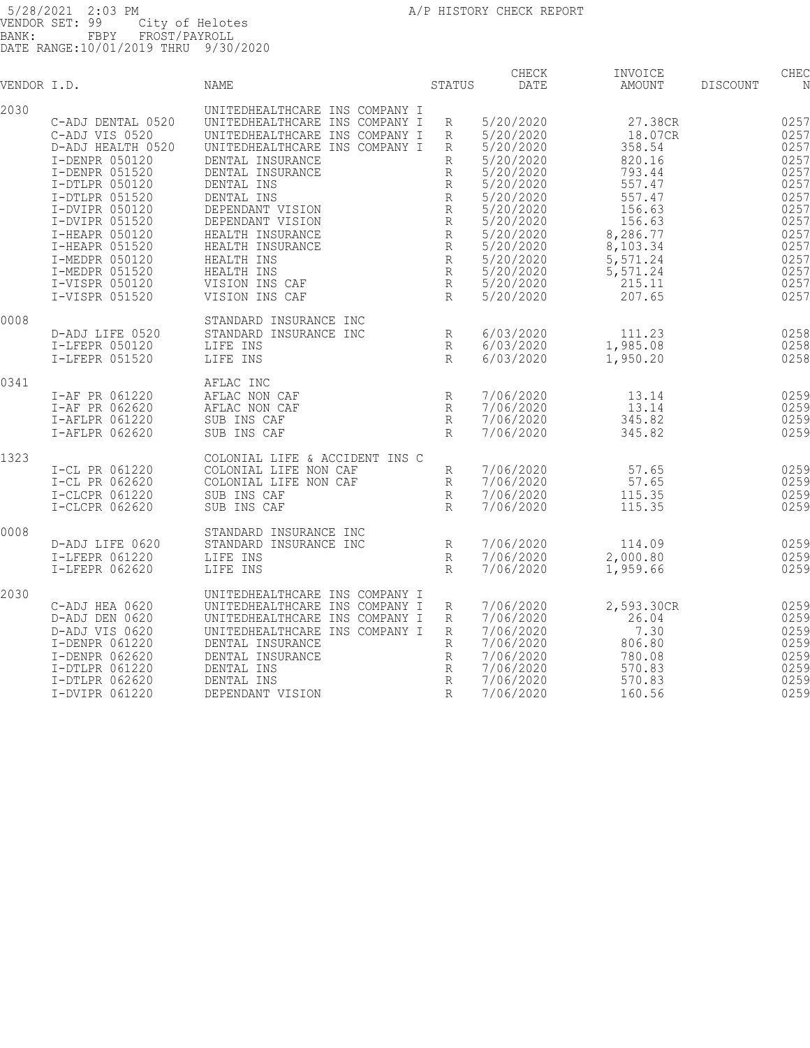| VENDOR I.D. |                                  | NAME                                                             | STATUS                | CHECK<br><b>DATE</b>   | INVOICE<br>AMOUNT    | <b>DISCOUNT</b> | CHEC<br>N    |
|-------------|----------------------------------|------------------------------------------------------------------|-----------------------|------------------------|----------------------|-----------------|--------------|
| 2030        | C-ADJ DENTAL 0520                | UNITEDHEALTHCARE INS COMPANY I<br>UNITEDHEALTHCARE INS COMPANY I | R                     | 5/20/2020              | 27.38CR              |                 | 0257         |
|             | C-ADJ VIS 0520                   | UNITEDHEALTHCARE INS COMPANY I                                   | R                     | 5/20/2020              | 18.07CR              |                 | 0257         |
|             | D-ADJ HEALTH 0520                | UNITEDHEALTHCARE INS COMPANY I                                   | R                     | 5/20/2020              | 358.54               |                 | 0257         |
|             | I-DENPR 050120<br>I-DENPR 051520 | DENTAL INSURANCE<br>DENTAL INSURANCE                             | R                     | 5/20/2020<br>5/20/2020 | 820.16<br>793.44     |                 | 0257<br>0257 |
|             | I-DTLPR 050120                   | DENTAL INS                                                       | R<br>R                | 5/20/2020              | 557.47               |                 | 0257         |
|             | I-DTLPR 051520                   | DENTAL INS                                                       | $\mathbb R$           | 5/20/2020              | 557.47               |                 | 0257         |
|             | I-DVIPR 050120                   | DEPENDANT VISION                                                 | R                     | 5/20/2020              | 156.63               |                 | 0257         |
|             | I-DVIPR 051520                   | DEPENDANT VISION                                                 | R                     | 5/20/2020              | 156.63               |                 | 0257         |
|             | I-HEAPR 050120<br>I-HEAPR 051520 | HEALTH INSURANCE<br>HEALTH INSURANCE                             | $\, {\mathbb R}$<br>R | 5/20/2020<br>5/20/2020 | 8,286.77<br>8,103.34 |                 | 0257<br>0257 |
|             | I-MEDPR 050120                   | HEALTH INS                                                       | R                     | 5/20/2020              | 5,571.24             |                 | 0257         |
|             | I-MEDPR 051520                   | HEALTH INS                                                       | $\, {\mathbb R}$      | 5/20/2020              | 5,571.24             |                 | 0257         |
|             | I-VISPR 050120                   | VISION INS CAF                                                   | R                     | 5/20/2020              | 215.11               |                 | 0257         |
|             | I-VISPR 051520                   | VISION INS CAF                                                   | R                     | 5/20/2020              | 207.65               |                 | 0257         |
| 0008        |                                  | STANDARD INSURANCE INC                                           |                       |                        |                      |                 |              |
|             | D-ADJ LIFE 0520                  | STANDARD INSURANCE INC                                           | R                     | 6/03/2020              | 111.23               |                 | 0258         |
|             | I-LFEPR 050120                   | LIFE INS                                                         | R                     | 6/03/2020              | 1,985.08             |                 | 0258         |
|             | I-LFEPR 051520                   | LIFE INS                                                         | R                     | 6/03/2020              | 1,950.20             |                 | 0258         |
| 0341        |                                  | AFLAC INC                                                        |                       |                        |                      |                 |              |
|             | I-AF PR 061220                   | AFLAC NON CAF                                                    | R                     | 7/06/2020              | 13.14                |                 | 0259         |
|             | I-AF PR 062620<br>I-AFLPR 061220 | AFLAC NON CAF<br>SUB INS CAF                                     | R<br>R                | 7/06/2020<br>7/06/2020 | 13.14<br>345.82      |                 | 0259<br>0259 |
|             | I-AFLPR 062620                   | SUB INS CAF                                                      | $R_{\rm}$             | 7/06/2020              | 345.82               |                 | 0259         |
|             |                                  |                                                                  |                       |                        |                      |                 |              |
| 1323        | I-CL PR 061220                   | COLONIAL LIFE & ACCIDENT INS C<br>COLONIAL LIFE NON CAF          | R                     | 7/06/2020              | 57.65                |                 | 0259         |
|             | I-CL PR 062620                   | COLONIAL LIFE NON CAF                                            | R                     | 7/06/2020              | 57.65                |                 | 0259         |
|             | I-CLCPR 061220                   | SUB INS CAF                                                      | R                     | 7/06/2020              | 115.35               |                 | 0259         |
|             | I-CLCPR 062620                   | SUB INS CAF                                                      | $R_{\parallel}$       | 7/06/2020              | 115.35               |                 | 0259         |
| 0008        |                                  | STANDARD INSURANCE INC                                           |                       |                        |                      |                 |              |
|             | D-ADJ LIFE 0620                  | STANDARD INSURANCE INC                                           | R                     | 7/06/2020              | 114.09               |                 | 0259         |
|             | I-LFEPR 061220                   | LIFE INS                                                         | R                     | 7/06/2020              | 2,000.80             |                 | 0259         |
|             | I-LFEPR 062620                   | LIFE INS                                                         | R                     | 7/06/2020              | 1,959.66             |                 | 0259         |
| 2030        |                                  | UNITEDHEALTHCARE INS COMPANY I                                   |                       |                        |                      |                 |              |
|             | C-ADJ HEA 0620<br>D-ADJ DEN 0620 | UNITEDHEALTHCARE INS COMPANY I<br>UNITEDHEALTHCARE INS COMPANY I | R<br>R                | 7/06/2020<br>7/06/2020 | 2,593.30CR<br>26.04  |                 | 0259<br>0259 |
|             | D-ADJ VIS 0620                   | UNITEDHEALTHCARE INS COMPANY I                                   | $\mathbb{R}$          | 7/06/2020              | 7.30                 |                 | 0259         |
|             | I-DENPR 061220                   | DENTAL INSURANCE                                                 | R                     | 7/06/2020              | 806.80               |                 | 0259         |
|             | I-DENPR 062620                   | DENTAL INSURANCE                                                 | R                     | 7/06/2020              | 780.08               |                 | 0259         |
|             | I-DTLPR 061220                   | DENTAL INS                                                       | $\mathbb R$           | 7/06/2020              | 570.83               |                 | 0259         |
|             | I-DTLPR 062620<br>I-DVIPR 061220 | DENTAL INS<br>DEPENDANT VISION                                   | R<br>R                | 7/06/2020<br>7/06/2020 | 570.83<br>160.56     |                 | 0259<br>0259 |
|             |                                  |                                                                  |                       |                        |                      |                 |              |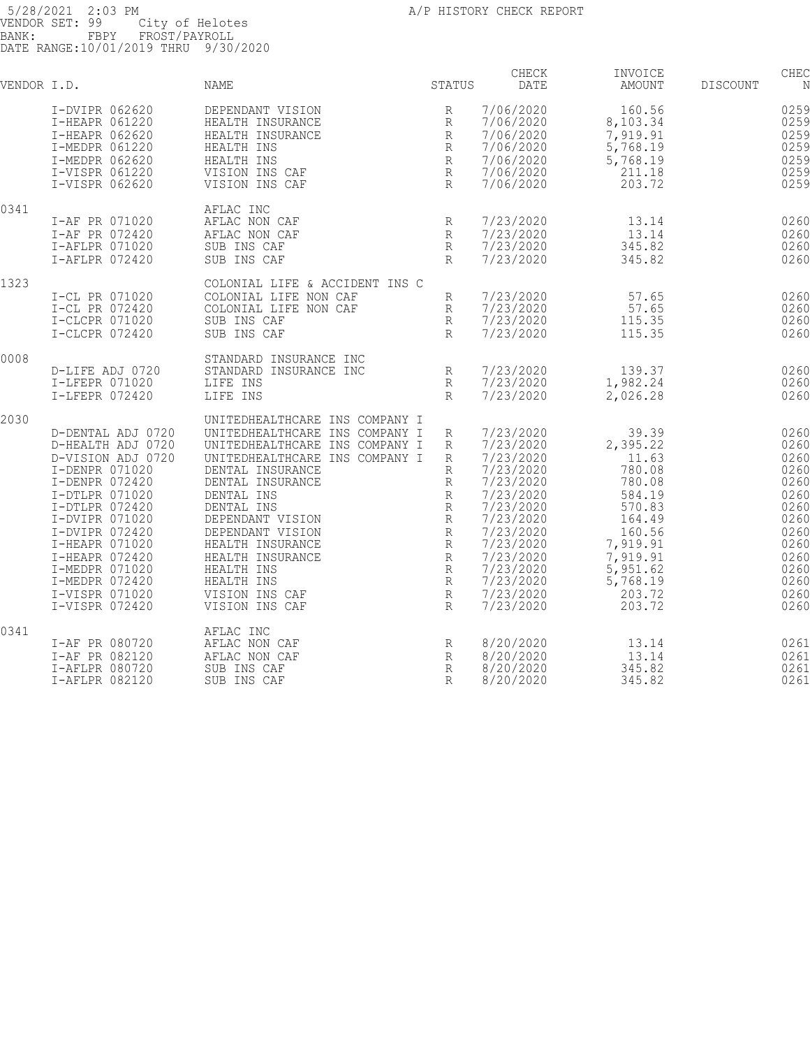| VENDOR I.D. |                                                                                                                                                                                                                                                                                     | <b>NAME</b>                                                                                                                                                                                                                                                                                                                                              | STATUS                                                                                                                                          | CHECK<br>DATE                                                                                                                                                                                   | INVOICE<br>AMOUNT                                                                                                                                          | <b>DISCOUNT</b> | CHEC<br>N                                                                                                            |
|-------------|-------------------------------------------------------------------------------------------------------------------------------------------------------------------------------------------------------------------------------------------------------------------------------------|----------------------------------------------------------------------------------------------------------------------------------------------------------------------------------------------------------------------------------------------------------------------------------------------------------------------------------------------------------|-------------------------------------------------------------------------------------------------------------------------------------------------|-------------------------------------------------------------------------------------------------------------------------------------------------------------------------------------------------|------------------------------------------------------------------------------------------------------------------------------------------------------------|-----------------|----------------------------------------------------------------------------------------------------------------------|
|             | I-DVIPR 062620<br>I-HEAPR 061220<br>I-HEAPR 062620<br>I-MEDPR 061220<br>I-MEDPR 062620<br>I-VISPR 061220<br>I-VISPR 062620                                                                                                                                                          | DEPENDANT VISION<br>HEALTH INSURANCE<br>HEALTH INSURANCE<br>HEALTH INS<br>HEALTH INS<br>VISION INS CAF<br>VISION INS CAF                                                                                                                                                                                                                                 | R<br>R<br>$\mathbb R$<br>R<br>$\, {\mathbb R}$<br>R<br>R                                                                                        | 7/06/2020<br>7/06/2020<br>7/06/2020<br>7/06/2020<br>7/06/2020<br>7/06/2020<br>7/06/2020                                                                                                         | 160.56<br>8,103.34<br>7,919.91<br>5,768.19<br>5,768.19<br>211.18<br>203.72                                                                                 |                 | 0259<br>0259<br>0259<br>0259<br>0259<br>0259<br>0259                                                                 |
| 0341        | I-AF PR 071020<br>I-AF PR 072420<br>I-AFLPR 071020<br>I-AFLPR 072420                                                                                                                                                                                                                | AFLAC INC<br>AFLAC NON CAF<br>AFLAC NON CAF<br>SUB INS CAF<br>SUB INS CAF                                                                                                                                                                                                                                                                                | R<br>$\mathbb{R}$<br>$\mathbb{R}$<br>$R_{\rm}$                                                                                                  | 7/23/2020<br>7/23/2020<br>7/23/2020<br>7/23/2020                                                                                                                                                | 13.14<br>13.14<br>345.82<br>345.82                                                                                                                         |                 | 0260<br>0260<br>0260<br>0260                                                                                         |
| 1323        | I-CL PR 071020<br>I-CL PR 072420<br>I-CLCPR 071020<br>I-CLCPR 072420                                                                                                                                                                                                                | COLONIAL LIFE & ACCIDENT INS C<br>COLONIAL LIFE NON CAF<br>COLONIAL LIFE NON CAF<br>SUB INS CAF<br>SUB INS CAF                                                                                                                                                                                                                                           | R<br>R<br>R<br>$\mathbb{R}$                                                                                                                     | 7/23/2020<br>7/23/2020<br>7/23/2020<br>7/23/2020                                                                                                                                                | 57.65<br>57.65<br>115.35<br>115.35                                                                                                                         |                 | 0260<br>0260<br>0260<br>0260                                                                                         |
| 0008        | D-LIFE ADJ 0720<br>I-LFEPR 071020<br>I-LFEPR 072420                                                                                                                                                                                                                                 | STANDARD INSURANCE INC<br>STANDARD INSURANCE INC<br>LIFE INS<br>LIFE INS                                                                                                                                                                                                                                                                                 | $\mathbb R$<br>R<br>$\mathbb{R}$                                                                                                                | 7/23/2020<br>7/23/2020<br>7/23/2020                                                                                                                                                             | 139.37<br>1,982.24<br>2,026.28                                                                                                                             |                 | 0260<br>0260<br>0260                                                                                                 |
| 2030        | D-DENTAL ADJ 0720<br>D-HEALTH ADJ 0720<br>D-VISION ADJ 0720<br>I-DENPR 071020<br>I-DENPR 072420<br>I-DTLPR 071020<br>I-DTLPR 072420<br>I-DVIPR 071020<br>I-DVIPR 072420<br>I-HEAPR 071020<br>I-HEAPR 072420<br>I-MEDPR 071020<br>I-MEDPR 072420<br>I-VISPR 071020<br>I-VISPR 072420 | UNITEDHEALTHCARE INS COMPANY I<br>UNITEDHEALTHCARE INS COMPANY I<br>UNITEDHEALTHCARE INS COMPANY I<br>UNITEDHEALTHCARE INS COMPANY I<br>DENTAL INSURANCE<br>DENTAL INSURANCE<br>DENTAL INS<br>DENTAL INS<br>DEPENDANT VISION<br>DEPENDANT VISION<br>HEALTH INSURANCE<br>HEALTH INSURANCE<br>HEALTH INS<br>HEALTH INS<br>VISION INS CAF<br>VISION INS CAF | R<br>R<br>R<br>$\mathbb{R}$<br>R<br>R<br>$\mathbb R$<br>$\mathbb R$<br>$\, {\mathbb R}$<br>R<br>$\mathbb{R}$<br>$\mathbb R$<br>R<br>$\,$ R<br>R | 7/23/2020<br>7/23/2020<br>7/23/2020<br>7/23/2020<br>7/23/2020<br>7/23/2020<br>7/23/2020<br>7/23/2020<br>7/23/2020<br>7/23/2020<br>7/23/2020<br>7/23/2020<br>7/23/2020<br>7/23/2020<br>7/23/2020 | 39.39<br>2,395.22<br>11.63<br>780.08<br>780.08<br>584.19<br>570.83<br>164.49<br>160.56<br>7,919.91<br>7,919.91<br>5,951.62<br>5,768.19<br>203.72<br>203.72 |                 | 0260<br>0260<br>0260<br>0260<br>0260<br>0260<br>0260<br>0260<br>0260<br>0260<br>0260<br>0260<br>0260<br>0260<br>0260 |
| 0341        | I-AF PR 080720<br>I-AF PR 082120<br>I-AFLPR 080720<br>I-AFLPR 082120                                                                                                                                                                                                                | AFLAC INC<br>AFLAC NON CAF<br>AFLAC NON CAF<br>SUB INS CAF<br>SUB INS CAF                                                                                                                                                                                                                                                                                | R<br>R<br>R<br>R                                                                                                                                | 8/20/2020<br>8/20/2020<br>8/20/2020<br>8/20/2020                                                                                                                                                | 13.14<br>13.14<br>345.82<br>345.82                                                                                                                         |                 | 0261<br>0261<br>0261<br>0261                                                                                         |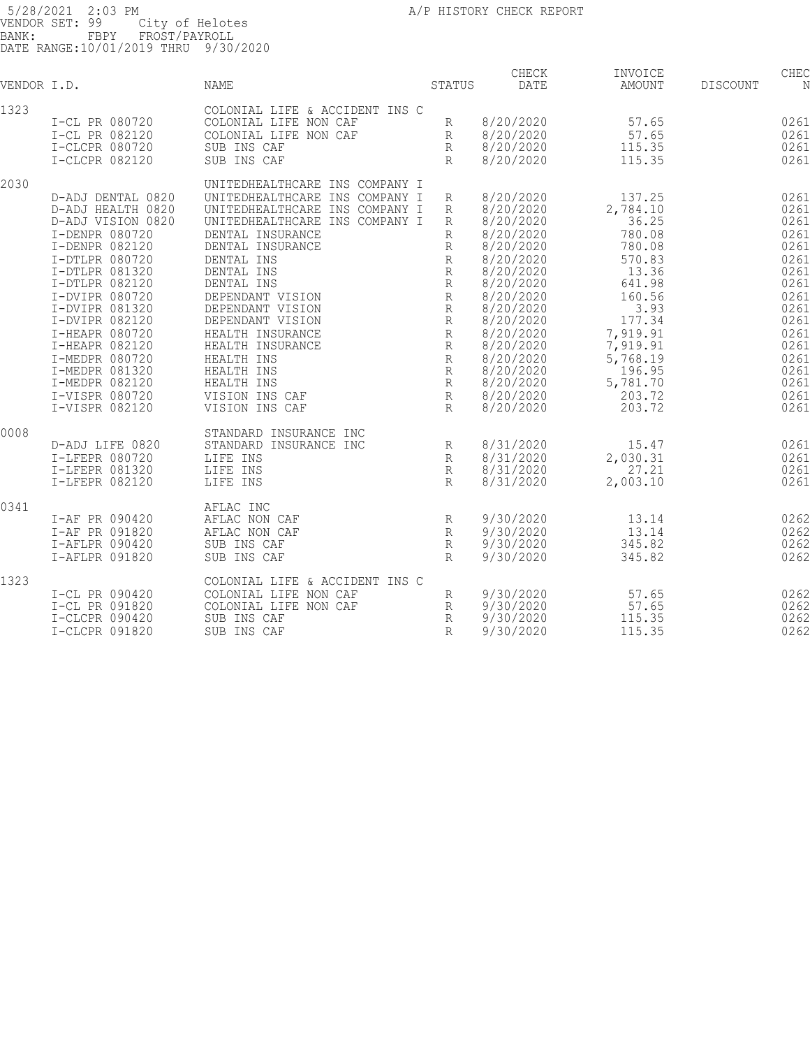5/28/2021 2:03 PM  $A/P$  HISTORY CHECK REPORT VENDOR SET: 99 City of Helotes BANK: FBPY FROST/PAYROLL DATE RANGE:10/01/2019 THRU 9/30/2020 CHECK INVOICE CHECK CHECK CHECK VENDOR I.D. NAME STATUS DATE AMOUNT DISCOUNT NO STATUS AMOUNT 1323 COLONIAL LIFE & ACCIDENT INS C I-CL PR 080720 COLONIAL LIFE NON CAF R 8/20/2020 57.65 026145 I-CL PR 082120 COLONIAL LIFE NON CAF R 8/20/2020 57.65 026145 I-CLCPR 080720 SUB INS CAF R 8/20/2020 115.35 026145 I-CLCPR 082120 SUB INS CAF R 8/20/2020 115.35 026145 346.00 2030 UNITEDHEALTHCARE INS COMPANY I D-ADJ DENTAL 0820 UNITEDHEALTHCARE INS COMPANY I R 8/20/2020 137.25 026146 D-ADJ HEALTH 0820 UNITEDHEALTHCARE INS COMPANY I R 8/20/2020 2,784.10 026146 D-ADJ VISION 0820 UNITEDHEALTHCARE INS COMPANY I R 8/20/2020 36.25 026146 I-DENPR 080720 DENTAL INSURANCE R 8/20/2020 780.08 026146 I-DENPR 082120 DENTAL INSURANCE R 8/20/2020 780.08 026146 I-DTLPR 080720 DENTAL INS R 8/20/2020 570.83 026146 I-DTLPR 081320 DENTAL INS R 8/20/2020 13.36 0261 I-DTLPR 082120 DENTAL INS R 8/20/2020 641.98 026146 I-DVIPR 080720 DEPENDANT VISION R 8/20/2020 160.56 026146 I-DVIPR 081320 DEPENDANT VISION R 8/20/2020 3.93 026146 I-DVIPR 082120 DEPENDANT VISION R 8/20/2020 177.34 026146 I-HEAPR 080720 HEALTH INSURANCE R 8/20/2020 7,919.91 026146 I-HEAPR 082120 HEALTH INSURANCE R 8/20/2020 7,919.91 026146 I-MEDPR 080720 HEALTH INS R 8/20/2020 5,768.19 026146 I-MEDPR 081320 HEALTH INS R 8/20/2020 196.95 026146 I-MEDPR 082120 HEALTH INS R 8/20/2020 5,781.70 026146 I-VISPR 080720 VISION INS CAF R 8/20/2020 203.72 026146 I-VISPR 082120 VISION INS CAF R 8/20/2020 203.72 026146 34,079.86 0008 STANDARD INSURANCE INC D-ADJ LIFE 0820 STANDARD INSURANCE INC 8/31/2020 0261 I-LFEPR 080720 LIFE INS R 8/31/2020 2,030.31 0261 I-LFEPR 081320 LIFE INS R 8/31/2020 27.21 0261 I-LFEPR 082120 LIFE INS R 8/31/2020 2,003.10 0261 0341 AFLAC INC I-AF PR 090420 AFLAC NON CAF R 9/30/2020 13.14 026291 I-AF PR 091820 AFLAC NON CAF R 9/30/2020 13.14 026291 I-AFLPR 090420 SUB INS CAF R 9/30/2020 345.82 026291 I-AFLPR 091820 SUB INS CAF R 9/30/2020 345.82 026291 717.92 1323 COLONIAL LIFE & ACCIDENT INS C I-CL PR 090420 COLONIAL LIFE NON CAF R 9/30/2020 57.65 026292 I-CL PR 091820 COLONIAL LIFE NON CAF R 9/30/2020 57.65 026292 I-CLCPR 090420 SUB INS CAF R 9/30/2020 115.35 026292 I-CLCPR 091820 SUB INS CAF R 9/30/2020 115.35 026292 346.00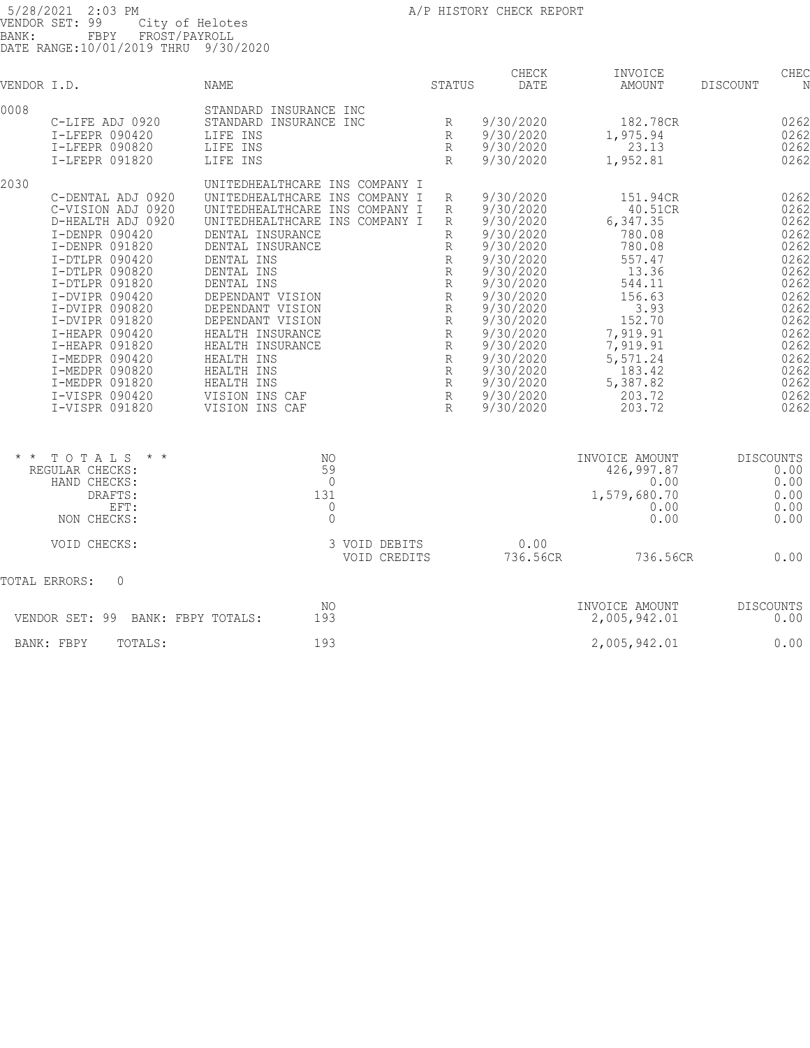| 5/28/2021 2:03 PM<br>VENDOR SET: 99<br>City of Helotes                                                                                                                                                                                                                                                                                            |                                                                                                                                                                                                                                                                                                                                                                                                          |                               | A/P HISTORY CHECK REPORT                                                                                                                                                                                                               |                                                                                                                                                                                            |                                                                                                                                              |
|---------------------------------------------------------------------------------------------------------------------------------------------------------------------------------------------------------------------------------------------------------------------------------------------------------------------------------------------------|----------------------------------------------------------------------------------------------------------------------------------------------------------------------------------------------------------------------------------------------------------------------------------------------------------------------------------------------------------------------------------------------------------|-------------------------------|----------------------------------------------------------------------------------------------------------------------------------------------------------------------------------------------------------------------------------------|--------------------------------------------------------------------------------------------------------------------------------------------------------------------------------------------|----------------------------------------------------------------------------------------------------------------------------------------------|
| BANK:<br>FBPY<br>FROST/PAYROLL<br>DATE RANGE:10/01/2019 THRU 9/30/2020                                                                                                                                                                                                                                                                            |                                                                                                                                                                                                                                                                                                                                                                                                          |                               |                                                                                                                                                                                                                                        |                                                                                                                                                                                            |                                                                                                                                              |
| VENDOR I.D.                                                                                                                                                                                                                                                                                                                                       | STATUS<br>NAME                                                                                                                                                                                                                                                                                                                                                                                           |                               | CHECK<br>DATE                                                                                                                                                                                                                          | INVOICE<br>AMOUNT                                                                                                                                                                          | CHEC<br><b>DISCOUNT</b><br>N                                                                                                                 |
| 0008<br>C-LIFE ADJ 0920<br>I-LFEPR 090420<br>I-LFEPR 090820<br>I-LFEPR 091820                                                                                                                                                                                                                                                                     | STANDARD INSURANCE INC<br>R<br>STANDARD INSURANCE INC<br>LIFE INS<br>LIFE INS<br>LIFE INS                                                                                                                                                                                                                                                                                                                | R<br>R<br>R                   | 9/30/2020<br>9/30/2020<br>9/30/2020<br>9/30/2020                                                                                                                                                                                       | 182.78CR<br>1,975.94<br>23.13<br>1,952.81                                                                                                                                                  | 0262<br>0262<br>0262<br>0262                                                                                                                 |
| 2030<br>C-DENTAL ADJ 0920<br>C-VISION ADJ 0920<br>D-HEALTH ADJ 0920<br>I-DENPR 090420<br>I-DENPR 091820<br>I-DTLPR 090420<br>I-DTLPR 090820<br>I-DTLPR 091820<br>I-DVIPR 090420<br>I-DVIPR 090820<br>I-DVIPR 091820<br>I-HEAPR 090420<br>I-HEAPR 091820<br>I-MEDPR 090420<br>I-MEDPR 090820<br>I-MEDPR 091820<br>I-VISPR 090420<br>I-VISPR 091820 | UNITEDHEALTHCARE INS COMPANY I<br>UNITEDHEALTHCARE INS COMPANY I<br>UNITEDHEALTHCARE INS COMPANY I<br>UNITEDHEALTHCARE INS COMPANY I<br>DENTAL INSURANCE<br>DENTAL INSURANCE<br>DENTAL INS<br>DENTAL INS<br>DENTAL INS<br>DEPENDANT VISION<br>DEPENDANT VISION<br>DEPENDANT VISION<br>HEALTH INSURANCE<br>HEALTH INSURANCE<br>HEALTH INS<br>HEALTH INS<br>HEALTH INS<br>VISION INS CAF<br>VISION INS CAF | $R_{\rm}$<br>R<br>R<br>R<br>R | 9/30/2020<br>9/30/2020<br>9/30/2020<br>9/30/2020<br>9/30/2020<br>9/30/2020<br>9/30/2020<br>9/30/2020<br>9/30/2020<br>9/30/2020<br>9/30/2020<br>9/30/2020<br>9/30/2020<br>9/30/2020<br>9/30/2020<br>9/30/2020<br>9/30/2020<br>9/30/2020 | 151.94CR<br>40.51CR<br>6,347.35<br>780.08<br>780.08<br>557.47<br>13.36<br>544.11<br>156.63<br>3.93<br>152.70<br>7,919.91<br>7,919.91<br>5,571.24<br>183.42<br>5,387.82<br>203.72<br>203.72 | 0262<br>0262<br>0262<br>0262<br>0262<br>0262<br>0262<br>0262<br>0262<br>0262<br>0262<br>0262<br>0262<br>0262<br>0262<br>0262<br>0262<br>0262 |
| $*$ * TOTALS * *<br>REGULAR CHECKS:<br>HAND CHECKS:<br>DRAFTS:<br>EFT:<br>NON CHECKS:                                                                                                                                                                                                                                                             | NO<br>59<br>$\overline{0}$<br>131<br>$\circ$<br>$\Omega$                                                                                                                                                                                                                                                                                                                                                 |                               |                                                                                                                                                                                                                                        | INVOICE AMOUNT<br>426,997.87<br>0.00<br>1,579,680.70<br>0.00<br>0.00                                                                                                                       | <b>DISCOUNTS</b><br>0.00<br>0.00<br>0.00<br>0.00<br>0.00                                                                                     |
| VOID CHECKS:                                                                                                                                                                                                                                                                                                                                      | 3 VOID DEBITS<br>VOID CREDITS                                                                                                                                                                                                                                                                                                                                                                            |                               | 0.00<br>736.56CR                                                                                                                                                                                                                       | 736.56CR                                                                                                                                                                                   | 0.00                                                                                                                                         |
| $\Omega$<br>TOTAL ERRORS:                                                                                                                                                                                                                                                                                                                         |                                                                                                                                                                                                                                                                                                                                                                                                          |                               |                                                                                                                                                                                                                                        |                                                                                                                                                                                            |                                                                                                                                              |
| VENDOR SET: 99 BANK: FBPY TOTALS:                                                                                                                                                                                                                                                                                                                 | NO<br>193                                                                                                                                                                                                                                                                                                                                                                                                |                               |                                                                                                                                                                                                                                        | INVOICE AMOUNT<br>2,005,942.01                                                                                                                                                             | <b>DISCOUNTS</b><br>0.00                                                                                                                     |
| BANK: FBPY<br>TOTALS:                                                                                                                                                                                                                                                                                                                             | 193                                                                                                                                                                                                                                                                                                                                                                                                      |                               |                                                                                                                                                                                                                                        | 2,005,942.01                                                                                                                                                                               | 0.00                                                                                                                                         |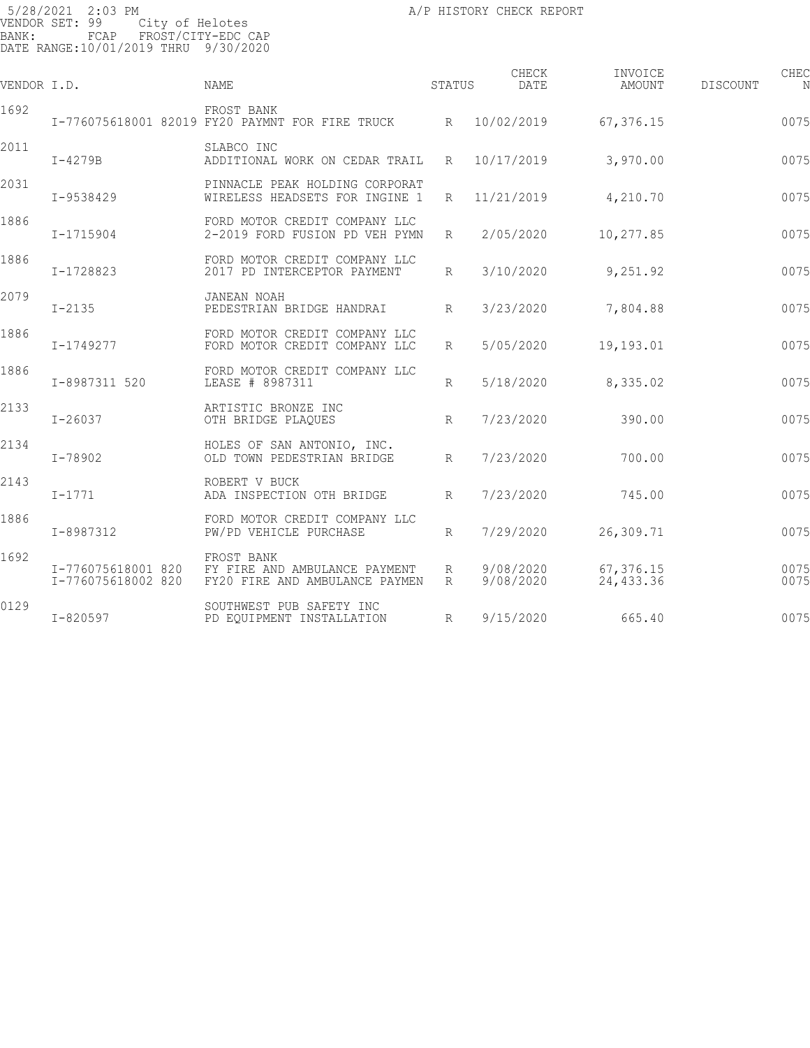| VENDOR I.D. |                                          | <b>NAME</b>                                                                   | STATUS | CHECK<br><b>DATE</b>   | INVOICE<br>AMOUNT       | <b>DISCOUNT</b> | CHEC         |
|-------------|------------------------------------------|-------------------------------------------------------------------------------|--------|------------------------|-------------------------|-----------------|--------------|
| 1692        |                                          | FROST BANK<br>I-776075618001 82019 FY20 PAYMNT FOR FIRE TRUCK                 |        | R 10/02/2019           | 67,376.15               |                 | 0075         |
| 2011        | $I-4279B$                                | SLABCO INC<br>ADDITIONAL WORK ON CEDAR TRAIL                                  | R      | 10/17/2019             | 3,970.00                |                 | 0075         |
| 2031        | I-9538429                                | PINNACLE PEAK HOLDING CORPORAT<br>WIRELESS HEADSETS FOR INGINE 1              | R      | 11/21/2019             | 4,210.70                |                 | 0075         |
| 1886        | I-1715904                                | FORD MOTOR CREDIT COMPANY LLC<br>2-2019 FORD FUSION PD VEH PYMN               | R      | 2/05/2020              | 10,277.85               |                 | 0075         |
| 1886        | I-1728823                                | FORD MOTOR CREDIT COMPANY LLC<br>2017 PD INTERCEPTOR PAYMENT                  | R      | 3/10/2020              | 9,251.92                |                 | 0075         |
| 2079        | $I - 2135$                               | JANEAN NOAH<br>PEDESTRIAN BRIDGE HANDRAI                                      | R      | 3/23/2020              | 7,804.88                |                 | 0075         |
| 1886        | I-1749277                                | FORD MOTOR CREDIT COMPANY LLC<br>FORD MOTOR CREDIT COMPANY LLC                | R      | 5/05/2020              | 19,193.01               |                 | 0075         |
| 1886        | I-8987311 520                            | FORD MOTOR CREDIT COMPANY LLC<br>LEASE # 8987311                              | R      | 5/18/2020              | 8,335.02                |                 | 0075         |
| 2133        | $I - 26037$                              | ARTISTIC BRONZE INC<br>OTH BRIDGE PLAQUES                                     | R      | 7/23/2020              | 390.00                  |                 | 0075         |
| 2134        | I-78902                                  | HOLES OF SAN ANTONIO, INC.<br>OLD TOWN PEDESTRIAN BRIDGE                      | R      | 7/23/2020              | 700.00                  |                 | 0075         |
| 2143        | $I - 1771$                               | ROBERT V BUCK<br>ADA INSPECTION OTH BRIDGE                                    | R      | 7/23/2020              | 745.00                  |                 | 0075         |
| 1886        | I-8987312                                | FORD MOTOR CREDIT COMPANY LLC<br>PW/PD VEHICLE PURCHASE                       | R      | 7/29/2020              | 26,309.71               |                 | 0075         |
| 1692        | I-776075618001 820<br>I-776075618002 820 | FROST BANK<br>FY FIRE AND AMBULANCE PAYMENT<br>FY20 FIRE AND AMBULANCE PAYMEN | R<br>R | 9/08/2020<br>9/08/2020 | 67,376.15<br>24, 433.36 |                 | 0075<br>0075 |
| 0129        | $I - 820597$                             | SOUTHWEST PUB SAFETY INC<br>PD EQUIPMENT INSTALLATION                         | R      | 9/15/2020              | 665.40                  |                 | 0075         |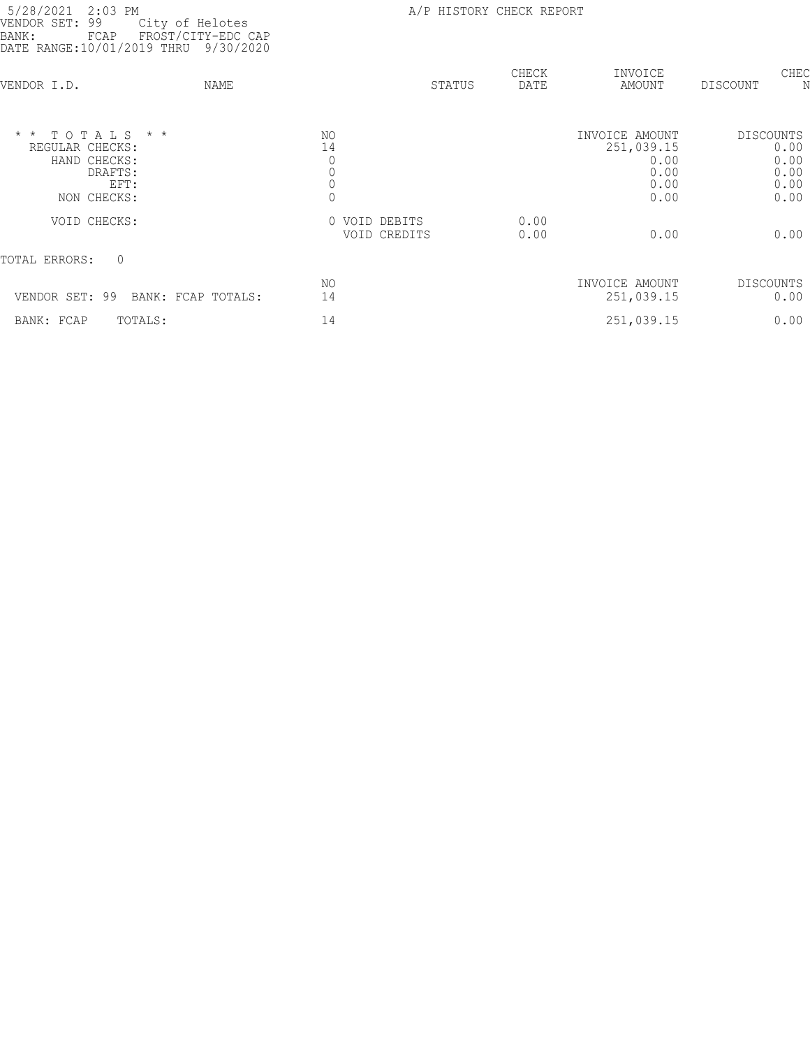| 5/28/2021<br>$2:03$ PM<br>VENDOR SET:<br>99<br>City of Helotes<br>FROST/CITY-EDC CAP<br>BANK:<br>FCAP<br>DATE RANGE:10/01/2019 THRU<br>9/30/2020 | A/P HISTORY CHECK REPORT                                             |               |                                                              |                                                          |
|--------------------------------------------------------------------------------------------------------------------------------------------------|----------------------------------------------------------------------|---------------|--------------------------------------------------------------|----------------------------------------------------------|
| VENDOR I.D.<br>NAME                                                                                                                              | STATUS                                                               | CHECK<br>DATE | INVOICE<br>AMOUNT                                            | CHEC<br>DISCOUNT                                         |
| $*$ * TOTALS * *<br>REGULAR CHECKS:<br>HAND CHECKS:<br>DRAFTS:<br>EFT:<br>NON CHECKS:                                                            | NO.<br>14<br>$\circ$<br>$\mathbb O$<br>$\mathbb O$<br>$\overline{0}$ |               | INVOICE AMOUNT<br>251,039.15<br>0.00<br>0.00<br>0.00<br>0.00 | <b>DISCOUNTS</b><br>0.00<br>0.00<br>0.00<br>0.00<br>0.00 |
| VOID CHECKS:                                                                                                                                     | 0 VOID DEBITS<br>VOID CREDITS                                        | 0.00<br>0.00  | 0.00                                                         | 0.00                                                     |
| $\mathbf{0}$<br>TOTAL ERRORS:                                                                                                                    |                                                                      |               |                                                              |                                                          |
| VENDOR SET: 99<br>BANK: FCAP TOTALS:                                                                                                             | NO.<br>14                                                            |               | INVOICE AMOUNT<br>251,039.15                                 | DISCOUNTS<br>0.00                                        |
| BANK: FCAP<br>TOTALS:                                                                                                                            | 14                                                                   |               | 251,039.15                                                   | 0.00                                                     |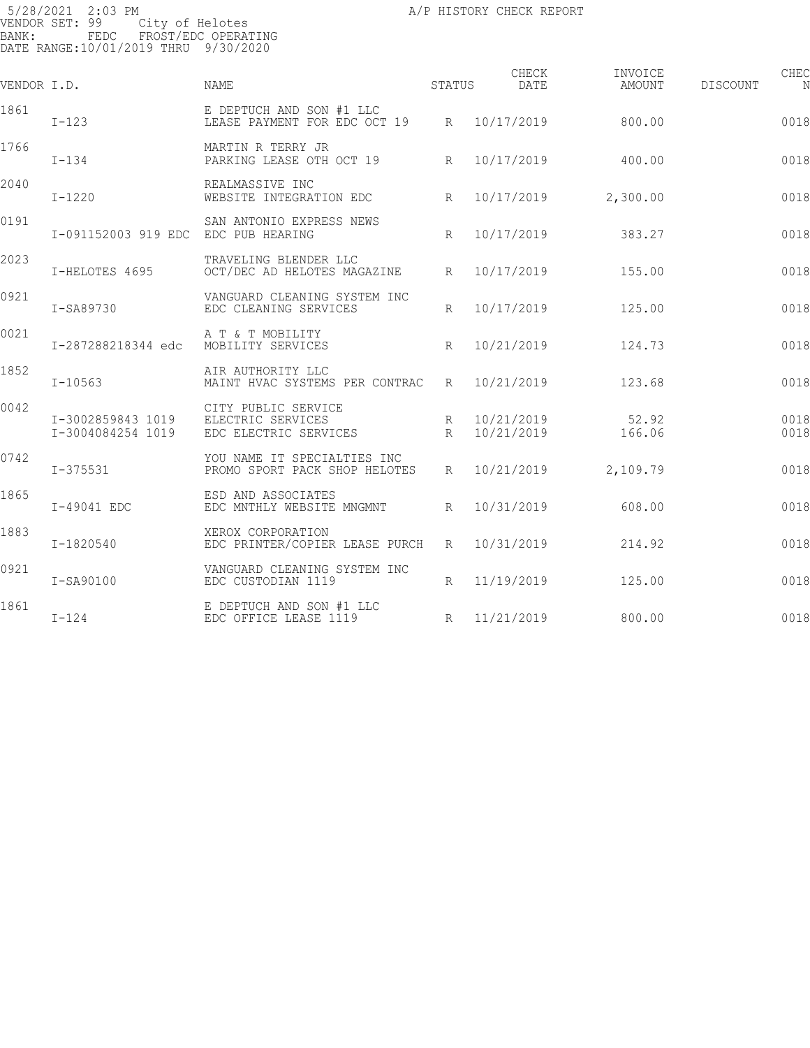5/28/2021 2:03 PM A/P HISTORY CHECK REPORT PAGE: 131 VENDOR SET: 99 City of Helotes BANK: FEDC FROST/EDC OPERATING DATE RANGE:10/01/2019 THRU 9/30/2020

| VENDOR I.D. |                                        | <b>NAME</b>                                                       | STATUS          | CHECK<br>DATE            | INVOICE<br>AMOUNT | DISCOUNT | CHEC<br>N    |
|-------------|----------------------------------------|-------------------------------------------------------------------|-----------------|--------------------------|-------------------|----------|--------------|
| 1861        | $I-123$                                | E DEPTUCH AND SON #1 LLC<br>LEASE PAYMENT FOR EDC OCT 19          |                 | R 10/17/2019             | 800.00            |          | 0018         |
| 1766        | $I - 134$                              | MARTIN R TERRY JR<br>PARKING LEASE OTH OCT 19                     | $R_{\parallel}$ | 10/17/2019               | 400.00            |          | 0018         |
| 2040        | $I-1220$                               | REALMASSIVE INC<br>WEBSITE INTEGRATION EDC                        | R               | 10/17/2019               | 2,300.00          |          | 0018         |
| 0191        | I-091152003 919 EDC                    | SAN ANTONIO EXPRESS NEWS<br>EDC PUB HEARING                       | $R_{\parallel}$ | 10/17/2019               | 383.27            |          | 0018         |
| 2023        | I-HELOTES 4695                         | TRAVELING BLENDER LLC<br>OCT/DEC AD HELOTES MAGAZINE              | R               | 10/17/2019               | 155.00            |          | 0018         |
| 0921        | I-SA89730                              | VANGUARD CLEANING SYSTEM INC<br>EDC CLEANING SERVICES             | R               | 10/17/2019               | 125.00            |          | 0018         |
| 0021        | I-287288218344 edc                     | A T & T MOBILITY<br>MOBILITY SERVICES                             | R               | 10/21/2019               | 124.73            |          | 0018         |
| 1852        | $I - 10563$                            | AIR AUTHORITY LLC<br>MAINT HVAC SYSTEMS PER CONTRAC               | R               | 10/21/2019               | 123.68            |          | 0018         |
| 0042        | I-3002859843 1019<br>I-3004084254 1019 | CITY PUBLIC SERVICE<br>ELECTRIC SERVICES<br>EDC ELECTRIC SERVICES | R<br>R          | 10/21/2019<br>10/21/2019 | 52.92<br>166.06   |          | 0018<br>0018 |
| 0742        | I-375531                               | YOU NAME IT SPECIALTIES INC<br>PROMO SPORT PACK SHOP HELOTES      | $R_{\parallel}$ | 10/21/2019               | 2,109.79          |          | 0018         |
| 1865        | I-49041 EDC                            | ESD AND ASSOCIATES<br>EDC MNTHLY WEBSITE MNGMNT                   | R               | 10/31/2019               | 608.00            |          | 0018         |
| 1883        | I-1820540                              | XEROX CORPORATION<br>EDC PRINTER/COPIER LEASE PURCH               | R               | 10/31/2019               | 214.92            |          | 0018         |
| 0921        | I-SA90100                              | VANGUARD CLEANING SYSTEM INC<br>EDC CUSTODIAN 1119                | R               | 11/19/2019               | 125.00            |          | 0018         |
| 1861        | $I-124$                                | E DEPTUCH AND SON #1 LLC<br>EDC OFFICE LEASE 1119                 | R               | 11/21/2019               | 800.00            |          | 0018         |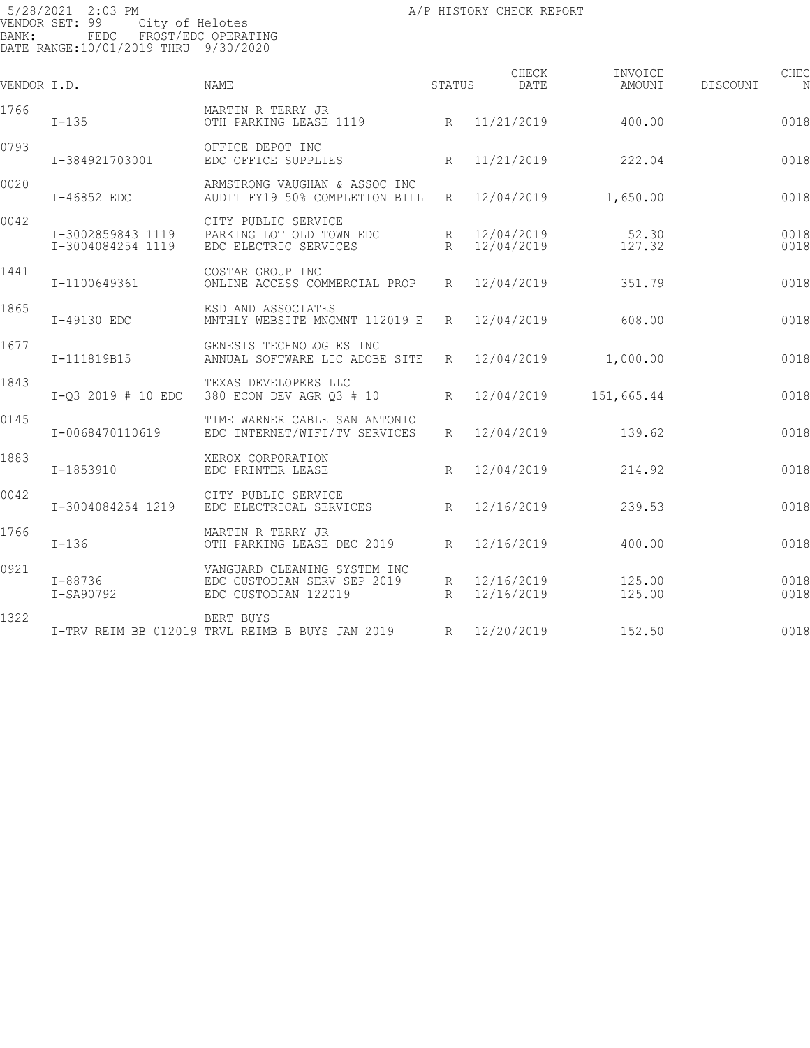5/28/2021 2:03 PM A/P HISTORY CHECK REPORT PAGE: 132 VENDOR SET: 99 City of Helotes BANK: FEDC FROST/EDC OPERATING DATE RANGE:10/01/2019 THRU 9/30/2020

| VENDOR I.D. |                                        | <b>NAME</b>                                                                         | <b>STATUS</b>        | CHECK<br>DATE            | INVOICE<br>AMOUNT | <b>DISCOUNT</b> | CHEC<br>N    |
|-------------|----------------------------------------|-------------------------------------------------------------------------------------|----------------------|--------------------------|-------------------|-----------------|--------------|
| 1766        | $I-135$                                | MARTIN R TERRY JR<br>OTH PARKING LEASE 1119                                         |                      | R 11/21/2019             | 400.00            |                 | 0018         |
| 0793        | I-384921703001                         | OFFICE DEPOT INC<br>EDC OFFICE SUPPLIES                                             | $R_{\parallel}$      | 11/21/2019               | 222.04            |                 | 0018         |
| 0020        | I-46852 EDC                            | ARMSTRONG VAUGHAN & ASSOC INC<br>AUDIT FY19 50% COMPLETION BILL                     | R                    | 12/04/2019               | 1,650.00          |                 | 0018         |
| 0042        | I-3002859843 1119<br>I-3004084254 1119 | CITY PUBLIC SERVICE<br>PARKING LOT OLD TOWN EDC<br>EDC ELECTRIC SERVICES            | R<br>$R_{\parallel}$ | 12/04/2019<br>12/04/2019 | 52.30<br>127.32   |                 | 0018<br>0018 |
| 1441        | I-1100649361                           | COSTAR GROUP INC<br>ONLINE ACCESS COMMERCIAL PROP                                   | $R_{\parallel}$      | 12/04/2019               | 351.79            |                 | 0018         |
| 1865        | I-49130 EDC                            | ESD AND ASSOCIATES<br>MNTHLY WEBSITE MNGMNT 112019 E                                | R                    | 12/04/2019               | 608.00            |                 | 0018         |
| 1677        | I-111819B15                            | GENESIS TECHNOLOGIES INC<br>ANNUAL SOFTWARE LIC ADOBE SITE                          | $R_{\parallel}$      | 12/04/2019               | 1,000.00          |                 | 0018         |
| 1843        | $I-03$ 2019 # 10 EDC                   | TEXAS DEVELOPERS LLC<br>380 ECON DEV AGR Q3 # 10                                    | R                    | 12/04/2019               | 151,665.44        |                 | 0018         |
| 0145        | I-0068470110619                        | TIME WARNER CABLE SAN ANTONIO<br>EDC INTERNET/WIFI/TV SERVICES                      | $R_{\parallel}$      | 12/04/2019               | 139.62            |                 | 0018         |
| 1883        | I-1853910                              | XEROX CORPORATION<br>EDC PRINTER LEASE                                              | R                    | 12/04/2019               | 214.92            |                 | 0018         |
| 0042        | I-3004084254 1219                      | CITY PUBLIC SERVICE<br>EDC ELECTRICAL SERVICES                                      | $R_{\parallel}$      | 12/16/2019               | 239.53            |                 | 0018         |
| 1766        | $I-136$                                | MARTIN R TERRY JR<br>OTH PARKING LEASE DEC 2019                                     | $R_{\rm}$            | 12/16/2019               | 400.00            |                 | 0018         |
| 0921        | I-88736<br>I-SA90792                   | VANGUARD CLEANING SYSTEM INC<br>EDC CUSTODIAN SERV SEP 2019<br>EDC CUSTODIAN 122019 | R<br>R               | 12/16/2019<br>12/16/2019 | 125.00<br>125.00  |                 | 0018<br>0018 |
| 1322        |                                        | BERT BUYS<br>I-TRV REIM BB 012019 TRVL REIMB B BUYS JAN 2019                        | $R_{\parallel}$      | 12/20/2019               | 152.50            |                 | 0018         |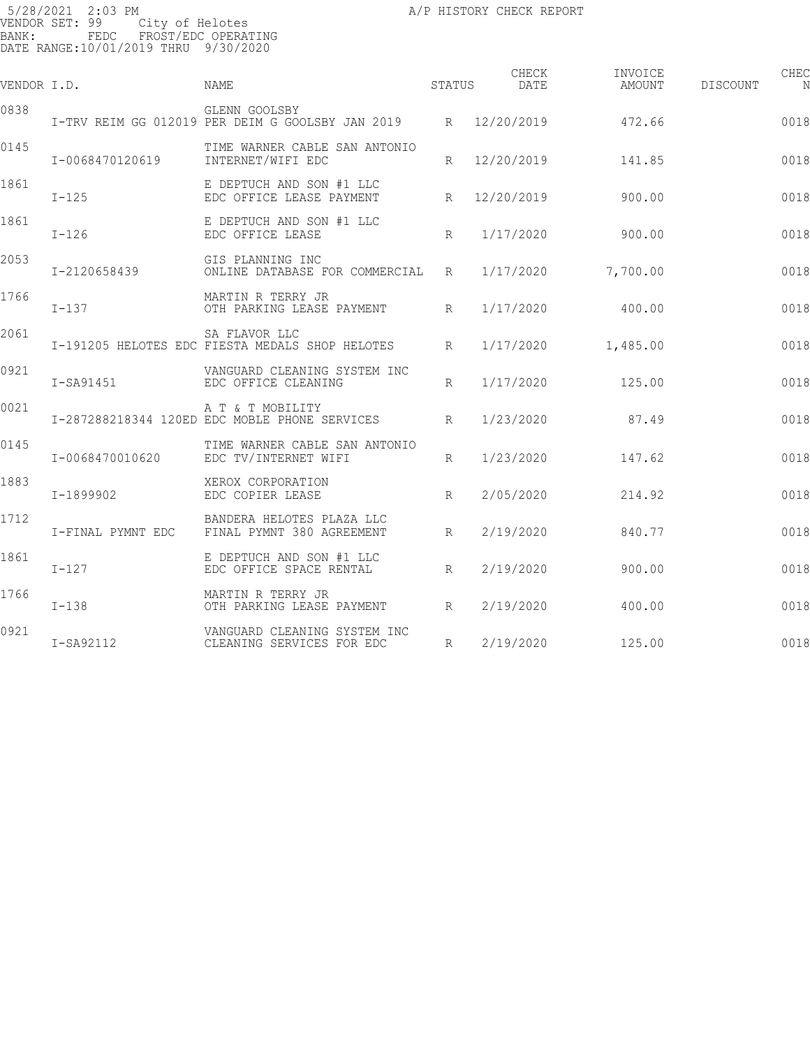| VENDOR I.D. |                   | NAME                                                                                  | STATUS          | CHECK<br>DATE | INVOICE<br>AMOUNT | DISCOUNT | CHEC |
|-------------|-------------------|---------------------------------------------------------------------------------------|-----------------|---------------|-------------------|----------|------|
| 0838        |                   | GLENN GOOLSBY<br>I-TRV REIM GG 012019 PER DEIM G GOOLSBY JAN 2019 R 12/20/2019 472.66 |                 |               |                   |          | 0018 |
| 0145        | I-0068470120619   | TIME WARNER CABLE SAN ANTONIO<br>INTERNET/WIFI EDC                                    | $R_{\parallel}$ | 12/20/2019    | 141.85            |          | 0018 |
| 1861        | $I-125$           | E DEPTUCH AND SON #1 LLC<br>EDC OFFICE LEASE PAYMENT                                  |                 | R 12/20/2019  | 900.00            |          | 0018 |
| 1861        | $I-126$           | E DEPTUCH AND SON #1 LLC<br>EDC OFFICE LEASE                                          | R               | 1/17/2020     | 900.00            |          | 0018 |
| 2053        | I-2120658439      | GIS PLANNING INC<br>ONLINE DATABASE FOR COMMERCIAL R                                  |                 | 1/17/2020     | 7,700.00          |          | 0018 |
| 1766        | $I-137$           | MARTIN R TERRY JR<br>OTH PARKING LEASE PAYMENT R                                      |                 | 1/17/2020     | 400.00            |          | 0018 |
| 2061        |                   | SA FLAVOR LLC<br>I-191205 HELOTES EDC FIESTA MEDALS SHOP HELOTES                      | R               | 1/17/2020     | 1,485.00          |          | 0018 |
| 0921        | I-SA91451         | VANGUARD CLEANING SYSTEM INC<br>EDC OFFICE CLEANING                                   | R               | 1/17/2020     | 125.00            |          | 0018 |
| 0021        |                   | A T & T MOBILITY<br>I-287288218344 120ED EDC MOBLE PHONE SERVICES R                   |                 | 1/23/2020     | 87.49             |          | 0018 |
| 0145        | I-0068470010620   | TIME WARNER CABLE SAN ANTONIO<br>EDC TV/INTERNET WIFI                                 | $R_{\parallel}$ | 1/23/2020     | 147.62            |          | 0018 |
| 1883        | I-1899902         | XEROX CORPORATION<br>EDC COPIER LEASE                                                 | R               | 2/05/2020     | 214.92            |          | 0018 |
| 1712        | I-FINAL PYMNT EDC | BANDERA HELOTES PLAZA LLC<br>FINAL PYMNT 380 AGREEMENT                                | R               | 2/19/2020     | 840.77            |          | 0018 |
| 1861        | $I-127$           | E DEPTUCH AND SON #1 LLC<br>EDC OFFICE SPACE RENTAL                                   | R               | 2/19/2020     | 900.00            |          | 0018 |
| 1766        | $I-138$           | MARTIN R TERRY JR<br>OTH PARKING LEASE PAYMENT                                        | R               | 2/19/2020     | 400.00            |          | 0018 |
| 0921        | I-SA92112         | VANGUARD CLEANING SYSTEM INC<br>CLEANING SERVICES FOR EDC                             | R               | 2/19/2020     | 125.00            |          | 0018 |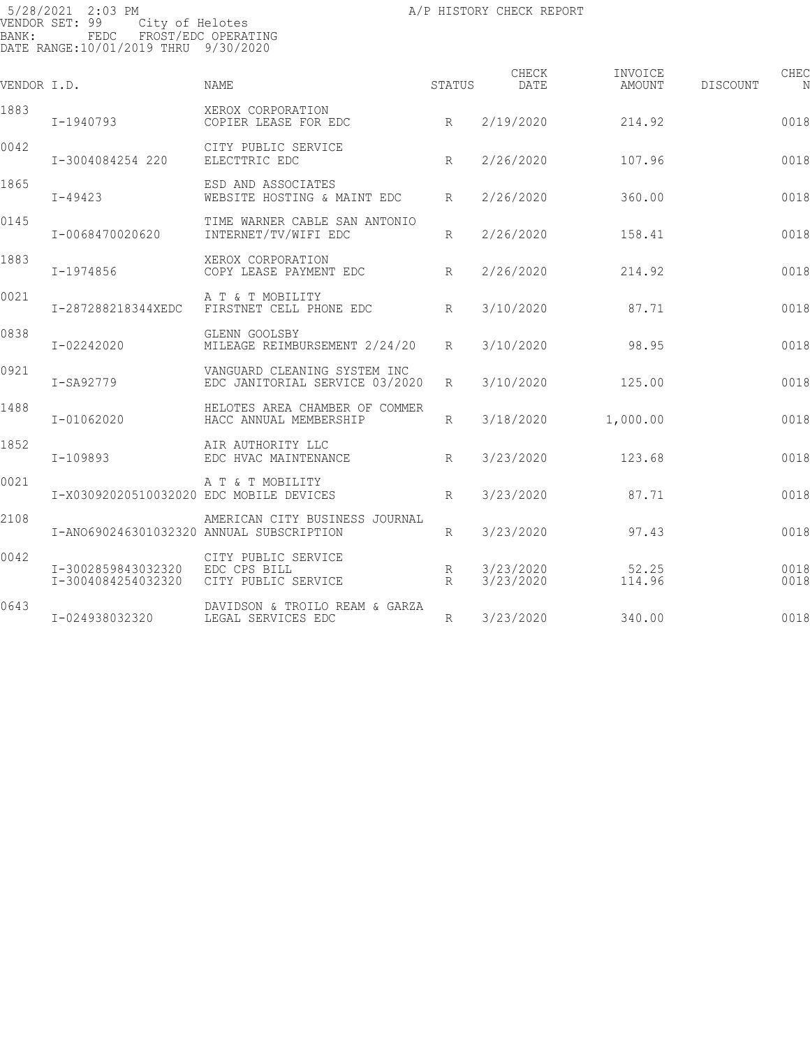| VENDOR I.D. |                                          | <b>NAME</b>                                                    | STATUS          | CHECK<br>DATE          | INVOICE<br>AMOUNT | DISCOUNT | CHEC         |
|-------------|------------------------------------------|----------------------------------------------------------------|-----------------|------------------------|-------------------|----------|--------------|
| 1883        | I-1940793                                | XEROX CORPORATION<br>COPIER LEASE FOR EDC                      | R               | 2/19/2020              | 214.92            |          | 0018         |
| 0042        | I-3004084254 220                         | CITY PUBLIC SERVICE<br>ELECTTRIC EDC                           | R               | 2/26/2020              | 107.96            |          | 0018         |
| 1865        | $I - 49423$                              | ESD AND ASSOCIATES<br>WEBSITE HOSTING & MAINT EDC              | R               | 2/26/2020              | 360.00            |          | 0018         |
| 0145        | I-0068470020620                          | TIME WARNER CABLE SAN ANTONIO<br>INTERNET/TV/WIFI EDC          | $R_{\rm}$       | 2/26/2020              | 158.41            |          | 0018         |
| 1883        | I-1974856                                | XEROX CORPORATION<br>COPY LEASE PAYMENT EDC                    | $R_{\parallel}$ | 2/26/2020              | 214.92            |          | 0018         |
| 0021        | I-287288218344XEDC                       | A T & T MOBILITY<br>FIRSTNET CELL PHONE EDC                    | R               | 3/10/2020              | 87.71             |          | 0018         |
| 0838        | I-02242020                               | GLENN GOOLSBY<br>MILEAGE REIMBURSEMENT 2/24/20                 | R               | 3/10/2020              | 98.95             |          | 0018         |
| 0921        | I-SA92779                                | VANGUARD CLEANING SYSTEM INC<br>EDC JANITORIAL SERVICE 03/2020 | R               | 3/10/2020              | 125.00            |          | 0018         |
| 1488        | I-01062020                               | HELOTES AREA CHAMBER OF COMMER<br>HACC ANNUAL MEMBERSHIP       | R               | 3/18/2020              | 1,000.00          |          | 0018         |
| 1852        | $I-109893$                               | AIR AUTHORITY LLC<br>EDC HVAC MAINTENANCE                      | $R_{\rm}$       | 3/23/2020              | 123.68            |          | 0018         |
| 0021        | I-X03092020510032020 EDC MOBILE DEVICES  | A T & T MOBILITY                                               | R               | 3/23/2020              | 87.71             |          | 0018         |
| 2108        | I-AN0690246301032320 ANNUAL SUBSCRIPTION | AMERICAN CITY BUSINESS JOURNAL                                 | $R_{\rm}$       | 3/23/2020              | 97.43             |          | 0018         |
| 0042        | I-3002859843032320<br>I-3004084254032320 | CITY PUBLIC SERVICE<br>EDC CPS BILL<br>CITY PUBLIC SERVICE     | R<br>R          | 3/23/2020<br>3/23/2020 | 52.25<br>114.96   |          | 0018<br>0018 |
| 0643        | I-024938032320                           | DAVIDSON & TROILO REAM & GARZA<br>LEGAL SERVICES EDC           | R               | 3/23/2020              | 340.00            |          | 0018         |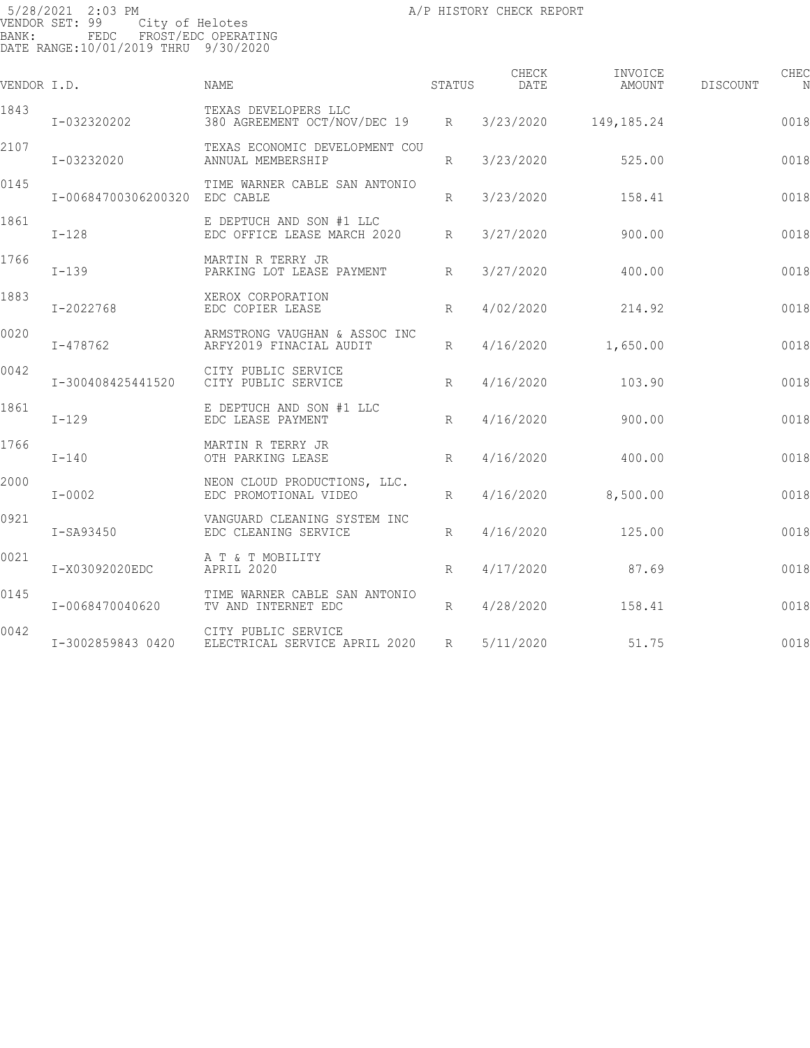5/28/2021 2:03 PM A/P HISTORY CHECK REPORT PAGE: 135 VENDOR SET: 99 City of Helotes BANK: FEDC FROST/EDC OPERATING DATE RANGE:10/01/2019 THRU 9/30/2020

| VENDOR I.D. |                               | <b>NAME</b>                                              | STATUS          | CHECK<br>DATE | INVOICE<br>AMOUNT | DISCOUNT | CHEC |
|-------------|-------------------------------|----------------------------------------------------------|-----------------|---------------|-------------------|----------|------|
| 1843        | I-032320202                   | TEXAS DEVELOPERS LLC<br>380 AGREEMENT OCT/NOV/DEC 19 R   |                 | 3/23/2020     | 149,185.24        |          | 0018 |
| 2107        | I-03232020                    | TEXAS ECONOMIC DEVELOPMENT COU<br>ANNUAL MEMBERSHIP      | R               | 3/23/2020     | 525.00            |          | 0018 |
| 0145        | I-00684700306200320 EDC CABLE | TIME WARNER CABLE SAN ANTONIO                            | $R_{\parallel}$ | 3/23/2020     | 158.41            |          | 0018 |
| 1861        | $I-128$                       | E DEPTUCH AND SON #1 LLC<br>EDC OFFICE LEASE MARCH 2020  | R               | 3/27/2020     | 900.00            |          | 0018 |
| 1766        | $I-139$                       | MARTIN R TERRY JR<br>PARKING LOT LEASE PAYMENT           | $R_{\parallel}$ | 3/27/2020     | 400.00            |          | 0018 |
| 1883        | I-2022768                     | XEROX CORPORATION<br>EDC COPIER LEASE                    | R               | 4/02/2020     | 214.92            |          | 0018 |
| 0020        | $I - 478762$                  | ARMSTRONG VAUGHAN & ASSOC INC<br>ARFY2019 FINACIAL AUDIT | R               | 4/16/2020     | 1,650.00          |          | 0018 |
| 0042        | I-300408425441520             | CITY PUBLIC SERVICE<br>CITY PUBLIC SERVICE               | R               | 4/16/2020     | 103.90            |          | 0018 |
| 1861        | $I-129$                       | E DEPTUCH AND SON #1 LLC<br>EDC LEASE PAYMENT            | R               | 4/16/2020     | 900.00            |          | 0018 |
| 1766        | $I-140$                       | MARTIN R TERRY JR<br>OTH PARKING LEASE                   | $R_{\parallel}$ | 4/16/2020     | 400.00            |          | 0018 |
| 2000        | $I - 0002$                    | NEON CLOUD PRODUCTIONS, LLC.<br>EDC PROMOTIONAL VIDEO    | R               | 4/16/2020     | 8,500.00          |          | 0018 |
| 0921        | I-SA93450                     | VANGUARD CLEANING SYSTEM INC<br>EDC CLEANING SERVICE     | R               | 4/16/2020     | 125.00            |          | 0018 |
| 0021        | I-X03092020EDC                | A T & T MOBILITY<br>APRIL 2020                           | R               | 4/17/2020     | 87.69             |          | 0018 |
| 0145        | I-0068470040620               | TIME WARNER CABLE SAN ANTONIO<br>TV AND INTERNET EDC     | R               | 4/28/2020     | 158.41            |          | 0018 |
| 0042        | I-3002859843 0420             | CITY PUBLIC SERVICE<br>ELECTRICAL SERVICE APRIL 2020     | $R_{\parallel}$ | 5/11/2020     | 51.75             |          | 0018 |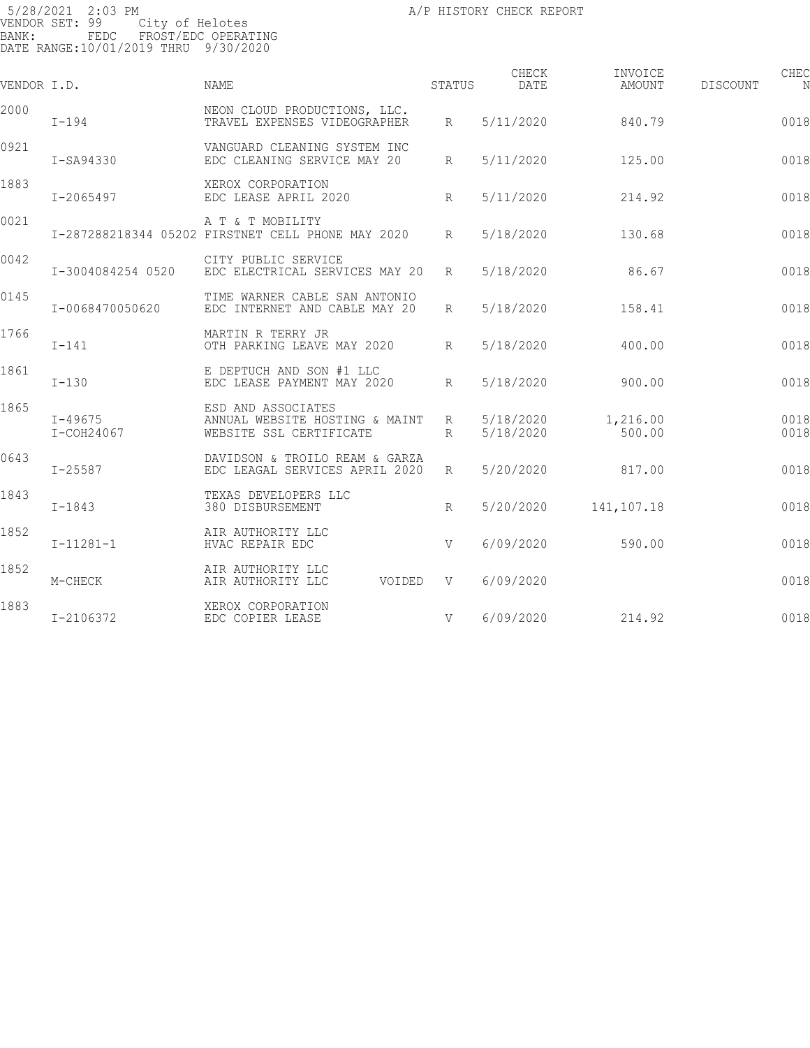5/28/2021 2:03 PM A/P HISTORY CHECK REPORT PAGE: 136 VENDOR SET: 99 City of Helotes BANK: FEDC FROST/EDC OPERATING DATE RANGE:10/01/2019 THRU 9/30/2020

| VENDOR I.D. |                             | <b>NAME</b>                                                                     | STATUS          | CHECK<br>DATE          | INVOICE<br>AMOUNT  | DISCOUNT | CHEC<br>N    |
|-------------|-----------------------------|---------------------------------------------------------------------------------|-----------------|------------------------|--------------------|----------|--------------|
| 2000        | $I-194$                     | NEON CLOUD PRODUCTIONS, LLC.<br>TRAVEL EXPENSES VIDEOGRAPHER                    | $R_{\parallel}$ | 5/11/2020              | 840.79             |          | 0018         |
| 0921        | $I-SA94330$                 | VANGUARD CLEANING SYSTEM INC<br>EDC CLEANING SERVICE MAY 20                     | $R_{\parallel}$ | 5/11/2020              | 125.00             |          | 0018         |
| 1883        | $I - 2065497$               | XEROX CORPORATION<br>EDC LEASE APRIL 2020                                       | R               | 5/11/2020              | 214.92             |          | 0018         |
| 0021        |                             | A T & T MOBILITY<br>I-287288218344 05202 FIRSTNET CELL PHONE MAY 2020           | $R_{\parallel}$ | 5/18/2020              | 130.68             |          | 0018         |
| 0042        | I-3004084254 0520           | CITY PUBLIC SERVICE<br>EDC ELECTRICAL SERVICES MAY 20                           | $R_{\parallel}$ | 5/18/2020              | 86.67              |          | 0018         |
| 0145        | I-0068470050620             | TIME WARNER CABLE SAN ANTONIO<br>EDC INTERNET AND CABLE MAY 20                  | $R_{\rm}$       | 5/18/2020              | 158.41             |          | 0018         |
| 1766        | $I-141$                     | MARTIN R TERRY JR<br>OTH PARKING LEAVE MAY 2020                                 | $R_{\parallel}$ | 5/18/2020              | 400.00             |          | 0018         |
| 1861        | $I-130$                     | E DEPTUCH AND SON #1 LLC<br>EDC LEASE PAYMENT MAY 2020                          | $R_{\parallel}$ | 5/18/2020              | 900.00             |          | 0018         |
| 1865        | $I - 49675$<br>$I-COH24067$ | ESD AND ASSOCIATES<br>ANNUAL WEBSITE HOSTING & MAINT<br>WEBSITE SSL CERTIFICATE | R<br>$R_{\rm}$  | 5/18/2020<br>5/18/2020 | 1,216.00<br>500.00 |          | 0018<br>0018 |
| 0643        | $I - 25587$                 | DAVIDSON & TROILO REAM & GARZA<br>EDC LEAGAL SERVICES APRIL 2020                | $R_{\parallel}$ | 5/20/2020              | 817.00             |          | 0018         |
| 1843        | $I - 1843$                  | TEXAS DEVELOPERS LLC<br>380 DISBURSEMENT                                        | $R_{\parallel}$ | 5/20/2020              | 141,107.18         |          | 0018         |
| 1852        | $I-11281-1$                 | AIR AUTHORITY LLC<br>HVAC REPAIR EDC                                            | V               | 6/09/2020              | 590.00             |          | 0018         |
| 1852        | M-CHECK                     | AIR AUTHORITY LLC<br>VOIDED V<br>AIR AUTHORITY LLC                              |                 | 6/09/2020              |                    |          | 0018         |
| 1883        | I-2106372                   | XEROX CORPORATION<br>EDC COPIER LEASE                                           | V               | 6/09/2020              | 214.92             |          | 0018         |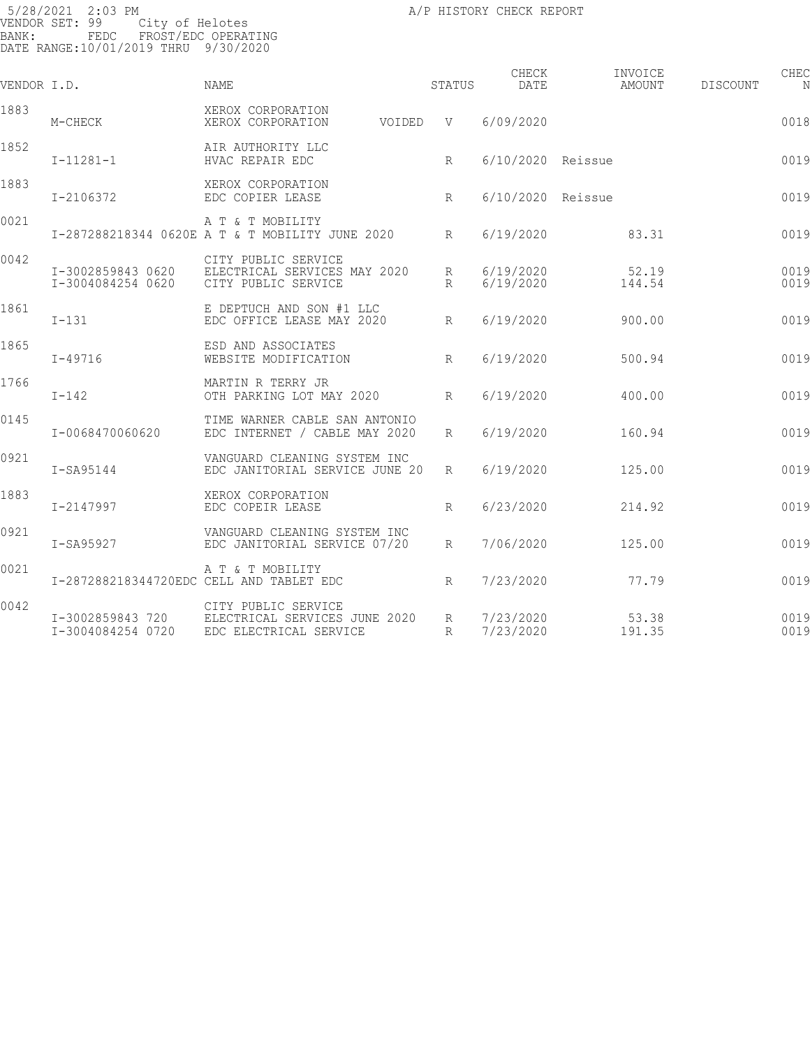5/28/2021 2:03 PM A/P HISTORY CHECK REPORT PAGE: 137 VENDOR SET: 99 City of Helotes BANK: FEDC FROST/EDC OPERATING DATE RANGE:10/01/2019 THRU 9/30/2020

| VENDOR I.D. |                                        | <b>NAME</b>                                                                | STATUS                             | CHECK<br>DATE          | INVOICE<br>AMOUNT | DISCOUNT | CHEC<br>N    |
|-------------|----------------------------------------|----------------------------------------------------------------------------|------------------------------------|------------------------|-------------------|----------|--------------|
| 1883        | M-CHECK                                | XEROX CORPORATION<br>XEROX CORPORATION                                     | VOIDED V                           | 6/09/2020              |                   |          | 0018         |
| 1852        | $I-11281-1$                            | AIR AUTHORITY LLC<br>HVAC REPAIR EDC                                       | R                                  | 6/10/2020 Reissue      |                   |          | 0019         |
| 1883        | I-2106372                              | XEROX CORPORATION<br>EDC COPIER LEASE                                      | $R_{\parallel}$                    | 6/10/2020 Reissue      |                   |          | 0019         |
| 0021        |                                        | A T & T MOBILITY<br>I-287288218344 0620E A T & T MOBILITY JUNE 2020        | $R_{\parallel}$                    | 6/19/2020              | 83.31             |          | 0019         |
| 0042        | I-3002859843 0620<br>I-3004084254 0620 | CITY PUBLIC SERVICE<br>ELECTRICAL SERVICES MAY 2020<br>CITY PUBLIC SERVICE | $R_{\parallel}$<br>$R_{\parallel}$ | 6/19/2020<br>6/19/2020 | 52.19<br>144.54   |          | 0019<br>0019 |
| 1861        | $I - 131$                              | E DEPTUCH AND SON #1 LLC<br>EDC OFFICE LEASE MAY 2020                      | $R_{\parallel}$                    | 6/19/2020              | 900.00            |          | 0019         |
| 1865        | $I - 49716$                            | ESD AND ASSOCIATES<br>WEBSITE MODIFICATION                                 | $R_{\parallel}$                    | 6/19/2020              | 500.94            |          | 0019         |
| 1766        | $I-142$                                | MARTIN R TERRY JR<br>OTH PARKING LOT MAY 2020                              | $R_{\parallel}$                    | 6/19/2020              | 400.00            |          | 0019         |
| 0145        | I-0068470060620                        | TIME WARNER CABLE SAN ANTONIO<br>EDC INTERNET / CABLE MAY 2020             | $R_{\parallel}$                    | 6/19/2020              | 160.94            |          | 0019         |
| 0921        | $I-SA95144$                            | VANGUARD CLEANING SYSTEM INC<br>EDC JANITORIAL SERVICE JUNE 20             | R                                  | 6/19/2020              | 125.00            |          | 0019         |
| 1883        | I-2147997                              | XEROX CORPORATION<br>EDC COPEIR LEASE                                      | $R_{\parallel}$                    | 6/23/2020              | 214.92            |          | 0019         |
| 0921        | I-SA95927                              | VANGUARD CLEANING SYSTEM INC<br>EDC JANITORIAL SERVICE 07/20               | R                                  | 7/06/2020              | 125.00            |          | 0019         |
| 0021        |                                        | A T & T MOBILITY                                                           |                                    |                        |                   |          |              |

I-287288218344720EDC CELL AND TABLET EDC  $R$  7/23/2020 77.79 77.79 0019 0042 CITY PUBLIC SERVICE I-3002859843 720 ELECTRICAL SERVICES JUNE 2020 R 7/23/2020 53.38 001912 I-3004084254 0720 EDC ELECTRICAL SERVICE R 7/23/2020 191.35 001912 244.73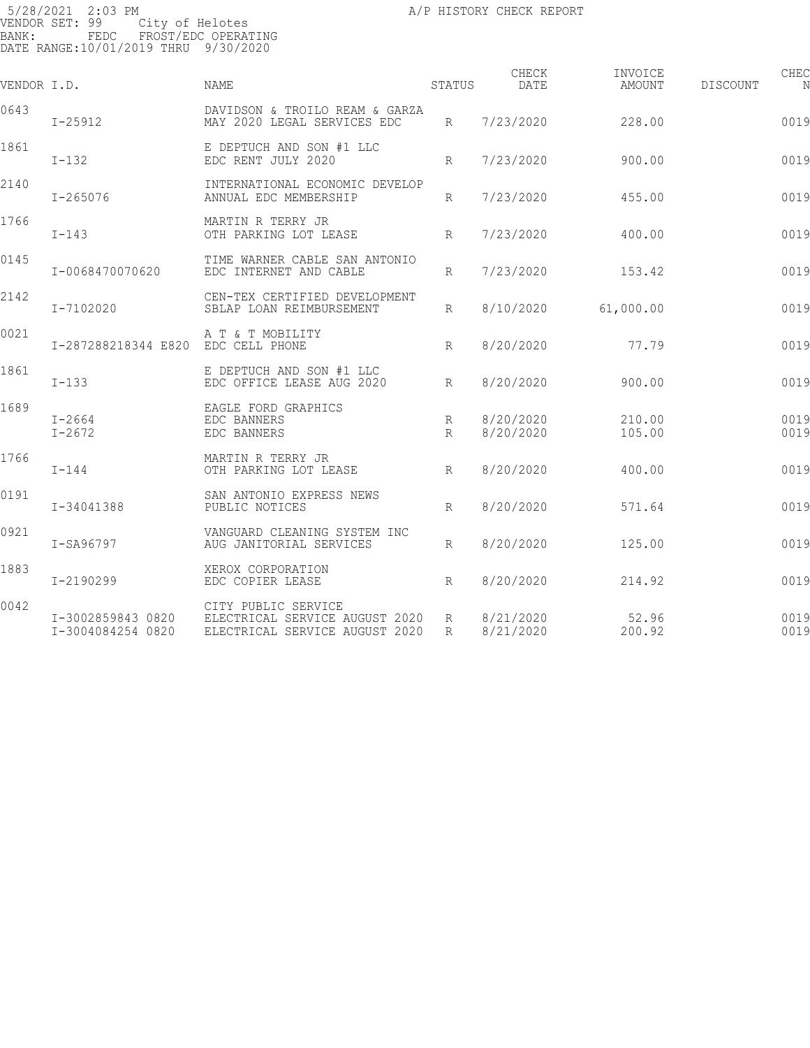5/28/2021 2:03 PM A/P HISTORY CHECK REPORT PAGE: 138 VENDOR SET: 99 City of Helotes BANK: FEDC FROST/EDC OPERATING DATE RANGE:10/01/2019 THRU 9/30/2020

| VENDOR I.D. |                                        | <b>NAME</b>                                                                             | STATUS          | CHECK<br>DATE          | INVOICE<br>AMOUNT | CHEC<br>DISCOUNT |
|-------------|----------------------------------------|-----------------------------------------------------------------------------------------|-----------------|------------------------|-------------------|------------------|
| 0643        | $I - 25912$                            | DAVIDSON & TROILO REAM & GARZA<br>MAY 2020 LEGAL SERVICES EDC                           | $R_{\parallel}$ | 7/23/2020              | 228.00            | 0019             |
| 1861        | $I-132$                                | E DEPTUCH AND SON #1 LLC<br>EDC RENT JULY 2020                                          | R               | 7/23/2020              | 900.00            | 0019             |
| 2140        | $I - 265076$                           | INTERNATIONAL ECONOMIC DEVELOP<br>ANNUAL EDC MEMBERSHIP                                 | $R_{\rm}$       | 7/23/2020              | 455.00            | 0019             |
| 1766        | $I-143$                                | MARTIN R TERRY JR<br>OTH PARKING LOT LEASE<br>R                                         |                 | 7/23/2020              | 400.00            | 0019             |
| 0145        | I-0068470070620                        | TIME WARNER CABLE SAN ANTONIO<br>EDC INTERNET AND CABLE                                 | $R_{\parallel}$ | 7/23/2020              | 153.42            | 0019             |
| 2142        | I-7102020                              | CEN-TEX CERTIFIED DEVELOPMENT<br>SBLAP LOAN REIMBURSEMENT                               | $R_{\parallel}$ | 8/10/2020              | 61,000.00         | 0019             |
| 0021        | I-287288218344 E820 EDC CELL PHONE     | A T & T MOBILITY                                                                        | R               | 8/20/2020              | 77.79             | 0019             |
| 1861        | $I-133$                                | E DEPTUCH AND SON #1 LLC<br>EDC OFFICE LEASE AUG 2020                                   | R               | 8/20/2020              | 900.00            | 0019             |
| 1689        | $I - 2664$<br>$I - 2672$               | EAGLE FORD GRAPHICS<br>EDC BANNERS<br>EDC BANNERS                                       | R<br>R          | 8/20/2020<br>8/20/2020 | 210.00<br>105.00  | 0019<br>0019     |
| 1766        | $I-144$                                | MARTIN R TERRY JR<br>OTH PARKING LOT LEASE                                              | R               | 8/20/2020              | 400.00            | 0019             |
| 0191        | I-34041388                             | SAN ANTONIO EXPRESS NEWS<br>PUBLIC NOTICES                                              | R               | 8/20/2020              | 571.64            | 0019             |
| 0921        | I-SA96797                              | VANGUARD CLEANING SYSTEM INC<br>AUG JANITORIAL SERVICES                                 | $R_{\parallel}$ | 8/20/2020              | 125.00            | 0019             |
| 1883        | I-2190299                              | XEROX CORPORATION<br>R<br>EDC COPIER LEASE                                              |                 | 8/20/2020              | 214.92            | 0019             |
| 0042        | I-3002859843 0820<br>I-3004084254 0820 | CITY PUBLIC SERVICE<br>ELECTRICAL SERVICE AUGUST 2020<br>ELECTRICAL SERVICE AUGUST 2020 | R<br>R          | 8/21/2020<br>8/21/2020 | 52.96<br>200.92   | 0019<br>0019     |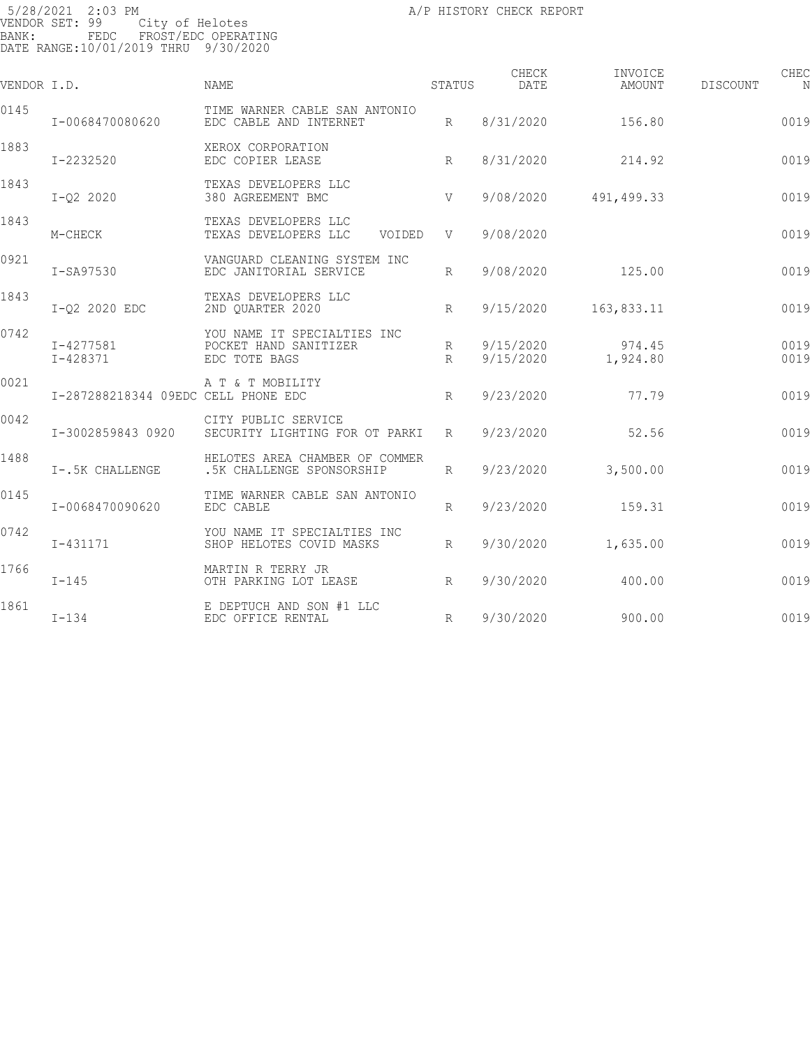| VENDOR I.D. |                                     | NAME                                                                  | STATUS               | CHECK<br>DATE          | INVOICE<br>AMOUNT  | DISCOUNT | CHEC<br>N    |
|-------------|-------------------------------------|-----------------------------------------------------------------------|----------------------|------------------------|--------------------|----------|--------------|
| 0145        | I-0068470080620                     | TIME WARNER CABLE SAN ANTONIO<br>EDC CABLE AND INTERNET               | R                    | 8/31/2020              | 156.80             |          | 0019         |
| 1883        | I-2232520                           | XEROX CORPORATION<br>EDC COPIER LEASE                                 | R                    | 8/31/2020              | 214.92             |          | 0019         |
| 1843        | $I-Q2 2020$                         | TEXAS DEVELOPERS LLC<br>380 AGREEMENT BMC                             | V                    | 9/08/2020              | 491,499.33         |          | 0019         |
| 1843        | M-CHECK                             | TEXAS DEVELOPERS LLC<br>TEXAS DEVELOPERS LLC<br>VOIDED                | V                    | 9/08/2020              |                    |          | 0019         |
| 0921        | I-SA97530                           | VANGUARD CLEANING SYSTEM INC<br>EDC JANITORIAL SERVICE                | $R_{\parallel}$      | 9/08/2020              | 125.00             |          | 0019         |
| 1843        | I-02 2020 EDC                       | TEXAS DEVELOPERS LLC<br>2ND QUARTER 2020                              | $R_{\parallel}$      | 9/15/2020              | 163,833.11         |          | 0019         |
| 0742        | I-4277581<br>$I - 428371$           | YOU NAME IT SPECIALTIES INC<br>POCKET HAND SANITIZER<br>EDC TOTE BAGS | $R_{\parallel}$<br>R | 9/15/2020<br>9/15/2020 | 974.45<br>1,924.80 |          | 0019<br>0019 |
| 0021        | I-287288218344 09EDC CELL PHONE EDC | A T & T MOBILITY                                                      | $R_{\parallel}$      | 9/23/2020              | 77.79              |          | 0019         |
| 0042        | I-3002859843 0920                   | CITY PUBLIC SERVICE<br>SECURITY LIGHTING FOR OT PARKI R               |                      | 9/23/2020              | 52.56              |          | 0019         |
| 1488        | I-.5K CHALLENGE                     | HELOTES AREA CHAMBER OF COMMER<br>.5K CHALLENGE SPONSORSHIP           | $R_{\parallel}$      | 9/23/2020              | 3,500.00           |          | 0019         |
| 0145        | I-0068470090620                     | TIME WARNER CABLE SAN ANTONIO<br>EDC CABLE                            | $R_{\parallel}$      | 9/23/2020              | 159.31             |          | 0019         |
| 0742        | I-431171                            | YOU NAME IT SPECIALTIES INC<br>SHOP HELOTES COVID MASKS               | R                    | 9/30/2020              | 1,635.00           |          | 0019         |
| 1766        | $I-145$                             | MARTIN R TERRY JR<br>OTH PARKING LOT LEASE                            | R                    | 9/30/2020              | 400.00             |          | 0019         |
| 1861        | $I-134$                             | E DEPTUCH AND SON #1 LLC<br>EDC OFFICE RENTAL                         | $R_{\parallel}$      | 9/30/2020              | 900.00             |          | 0019         |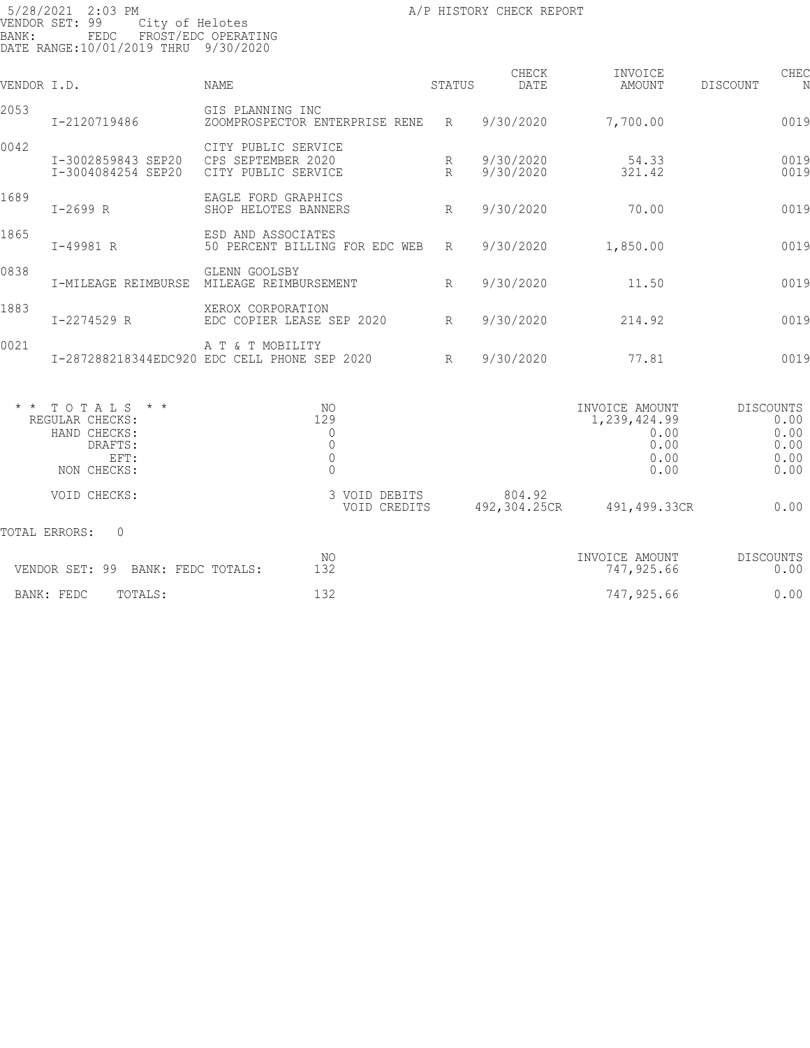| VENDOR I.D. |                                                                                                      | <b>NAME</b>                                                                   | STATUS         | CHECK<br><b>DATE</b>   | INVOICE<br>AMOUNT                                              | DISCOUNT         | CHEC                                 |
|-------------|------------------------------------------------------------------------------------------------------|-------------------------------------------------------------------------------|----------------|------------------------|----------------------------------------------------------------|------------------|--------------------------------------|
| 2053        | I-2120719486                                                                                         | GIS PLANNING INC<br>ZOOMPROSPECTOR ENTERPRISE RENE                            | $R_{\rm}$      | 9/30/2020              | 7,700.00                                                       |                  | 0019                                 |
| 0042        | I-3002859843 SEP20<br>I-3004084254 SEP20                                                             | CITY PUBLIC SERVICE<br>CPS SEPTEMBER 2020<br>CITY PUBLIC SERVICE              | R<br>$R_{\rm}$ | 9/30/2020<br>9/30/2020 | 54.33<br>321.42                                                |                  | 0019<br>0019                         |
| 1689        | $I - 2699 R$                                                                                         | EAGLE FORD GRAPHICS<br>SHOP HELOTES BANNERS                                   | R              | 9/30/2020              | 70.00                                                          |                  | 0019                                 |
| 1865        | I-49981 R                                                                                            | ESD AND ASSOCIATES<br>50 PERCENT BILLING FOR EDC WEB                          | R              | 9/30/2020              | 1,850.00                                                       |                  | 0019                                 |
| 0838        | I-MILEAGE REIMBURSE                                                                                  | GLENN GOOLSBY<br>MILEAGE REIMBURSEMENT                                        | R              | 9/30/2020              | 11.50                                                          |                  | 0019                                 |
| 1883        | I-2274529 R                                                                                          | XEROX CORPORATION<br>EDC COPIER LEASE SEP 2020                                | R              | 9/30/2020              | 214.92                                                         |                  | 0019                                 |
| 0021        |                                                                                                      | A T & T MOBILITY<br>I-287288218344EDC920 EDC CELL PHONE SEP 2020              | R              | 9/30/2020              | 77.81                                                          |                  | 0019                                 |
|             | $*$ * TOTALS<br>$\star$ $\star$<br>REGULAR CHECKS:<br>HAND CHECKS:<br>DRAFTS:<br>EFT:<br>NON CHECKS: | NO<br>129<br>$\mathbf 0$<br>$\mathbf 0$<br>$\mathbb O$<br>$\mathsf{O}\xspace$ |                |                        | INVOICE AMOUNT<br>1,239,424.99<br>0.00<br>0.00<br>0.00<br>0.00 | <b>DISCOUNTS</b> | 0.00<br>0.00<br>0.00<br>0.00<br>0.00 |
|             | VOID CHECKS:                                                                                         | 3 VOID DEBITS<br>VOID CREDITS                                                 |                | 804.92<br>492,304.25CR | 491,499.33CR                                                   |                  | 0.00                                 |
|             | TOTAL ERRORS:<br>0                                                                                   |                                                                               |                |                        |                                                                |                  |                                      |

| -99<br>VENDOR SET:<br>FEDC TOTALS:<br>BANK: | NO<br>$\overline{\phantom{a}}$<br>∸ ) ∠ | INVOICE AMOUNT<br>747<br>,925.66 | DISCOUNTS<br>0.00 |
|---------------------------------------------|-----------------------------------------|----------------------------------|-------------------|
| BANK:<br>FEDC<br>TOTALS:                    | $\hat{\phantom{1}}$<br>∸ີ               | 747,925.66                       | 0.00              |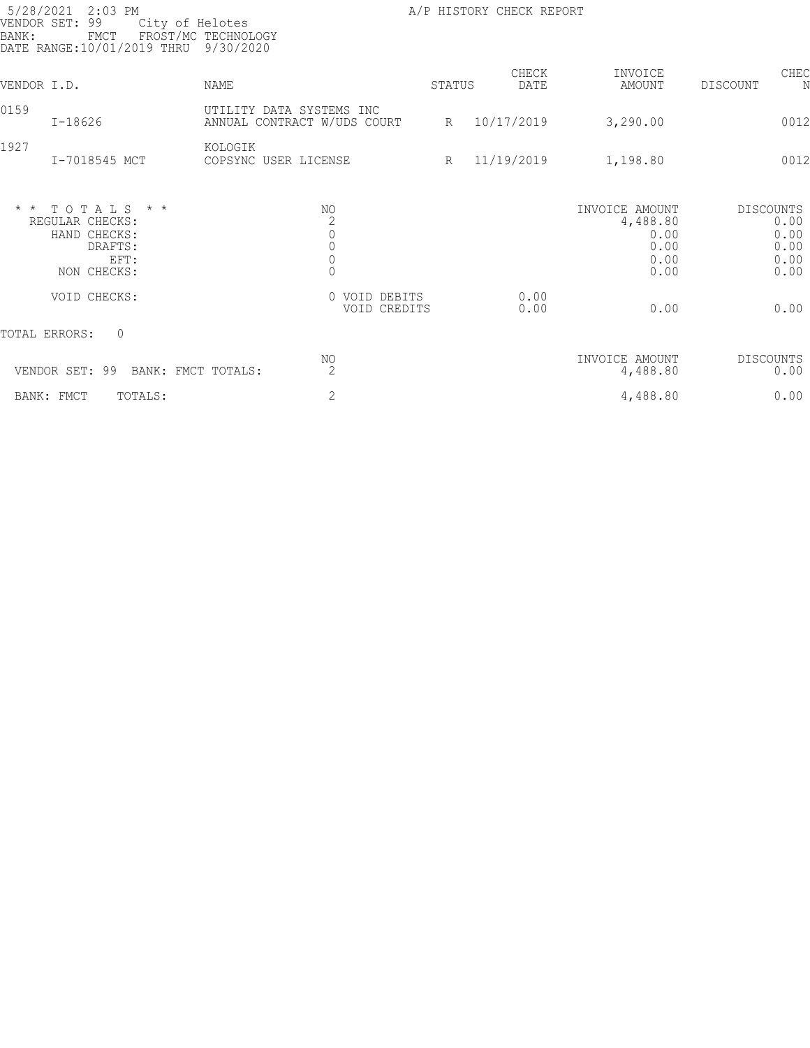| 5/28/2021<br>$2:03$ PM<br>VENDOR SET:<br>99<br>BANK:<br>${\tt FMCT}$<br>DATE RANGE:10/01/2019 THRU | City of Helotes<br>FROST/MC TECHNOLOGY<br>9/30/2020     |        | A/P HISTORY CHECK REPORT |                                                            |                                                          |
|----------------------------------------------------------------------------------------------------|---------------------------------------------------------|--------|--------------------------|------------------------------------------------------------|----------------------------------------------------------|
| VENDOR I.D.                                                                                        | <b>NAME</b>                                             | STATUS | CHECK<br>DATE            | INVOICE<br>AMOUNT                                          | CHEC<br>DISCOUNT<br>N                                    |
| 0159<br>$I - 18626$                                                                                | UTILITY DATA SYSTEMS INC<br>ANNUAL CONTRACT W/UDS COURT | R      | 10/17/2019               | 3,290.00                                                   | 0012                                                     |
| 1927<br>I-7018545 MCT                                                                              | KOLOGIK<br>COPSYNC USER LICENSE                         | R      | 11/19/2019               | 1,198.80                                                   | 0012                                                     |
| TOTALS * *<br>$\star$ $\star$<br>REGULAR CHECKS:<br>HAND CHECKS:<br>DRAFTS:<br>EFT:<br>NON CHECKS: | NO<br>$\begin{bmatrix} 2 \\ 0 \\ 0 \\ 0 \end{bmatrix}$  |        |                          | INVOICE AMOUNT<br>4,488.80<br>0.00<br>0.00<br>0.00<br>0.00 | <b>DISCOUNTS</b><br>0.00<br>0.00<br>0.00<br>0.00<br>0.00 |
| VOID CHECKS:                                                                                       | 0 VOID DEBITS<br>VOID CREDITS                           |        | 0.00<br>0.00             | 0.00                                                       | 0.00                                                     |
| TOTAL ERRORS:<br>$\overline{0}$                                                                    |                                                         |        |                          |                                                            |                                                          |
| VENDOR SET: 99                                                                                     | ΝO<br>$\overline{2}$<br>BANK: FMCT TOTALS:              |        |                          | INVOICE AMOUNT<br>4,488.80                                 | <b>DISCOUNTS</b><br>0.00                                 |
| BANK: FMCT<br>TOTALS:                                                                              | $\mathbf{2}$                                            |        |                          | 4,488.80                                                   | 0.00                                                     |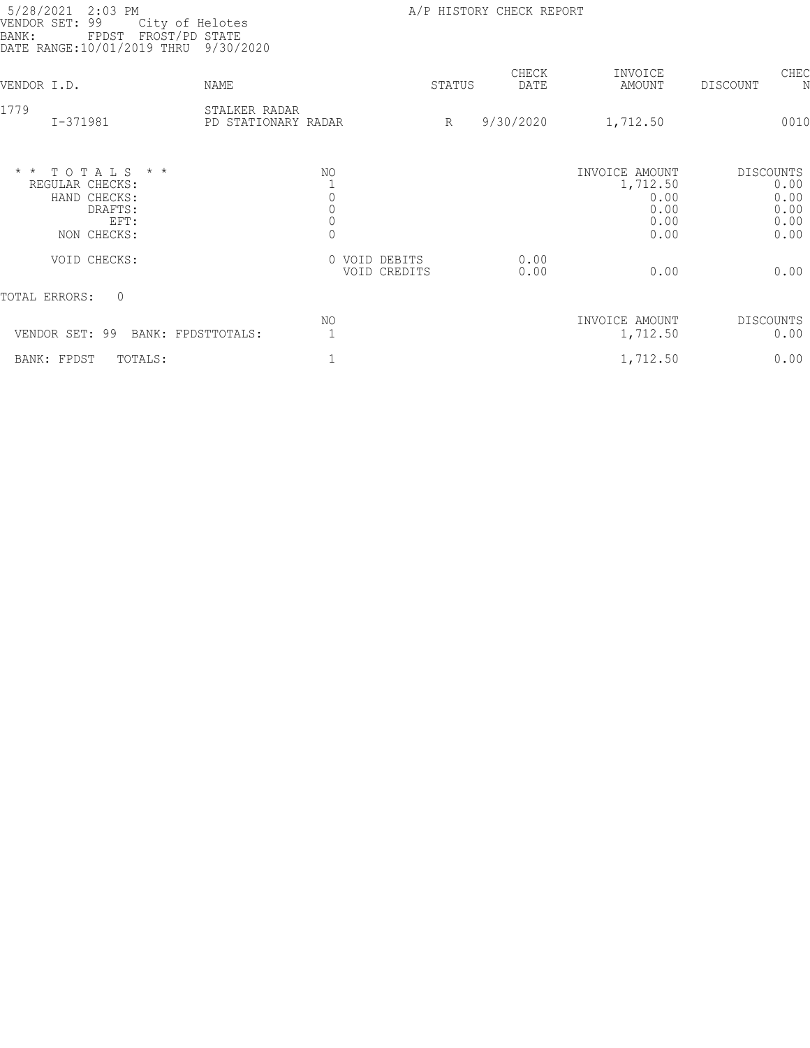| 5/28/2021<br>$2:03$ PM<br>VENDOR SET: 99<br>City of Helotes<br>FPDST FROST/PD STATE<br>BANK:<br>DATE RANGE: 10/01/2019 THRU 9/30/2020 |                                                             |                 | A/P HISTORY CHECK REPORT |                                                            |                                                          |
|---------------------------------------------------------------------------------------------------------------------------------------|-------------------------------------------------------------|-----------------|--------------------------|------------------------------------------------------------|----------------------------------------------------------|
| VENDOR I.D.                                                                                                                           | NAME                                                        | STATUS          | CHECK<br>DATE            | INVOICE<br>AMOUNT                                          | CHEC<br>DISCOUNT                                         |
| 1779<br>I-371981                                                                                                                      | STALKER RADAR<br>PD STATIONARY RADAR                        | $R_{\parallel}$ | 9/30/2020                | 1,712.50                                                   | 0010                                                     |
| $*$ * TOTALS<br>$\star$ $\star$<br>REGULAR CHECKS:<br>HAND CHECKS:<br>DRAFTS:<br>EFT:<br>NON CHECKS:                                  | NO.<br>$\circ$<br>$\mathbb O$<br>$\mathbb O$<br>$\mathbb O$ |                 |                          | INVOICE AMOUNT<br>1,712.50<br>0.00<br>0.00<br>0.00<br>0.00 | <b>DISCOUNTS</b><br>0.00<br>0.00<br>0.00<br>0.00<br>0.00 |
| VOID CHECKS:                                                                                                                          | 0 VOID DEBITS                                               | VOID CREDITS    | 0.00<br>0.00             | 0.00                                                       | 0.00                                                     |
| TOTAL ERRORS:<br>$\Omega$                                                                                                             |                                                             |                 |                          |                                                            |                                                          |
| VENDOR SET: 99<br>BANK: FPDSTTOTALS:                                                                                                  | NO.                                                         |                 |                          | INVOICE AMOUNT<br>1,712.50                                 | <b>DISCOUNTS</b><br>0.00                                 |
| BANK: FPDST<br>TOTALS:                                                                                                                |                                                             |                 |                          | 1,712.50                                                   | 0.00                                                     |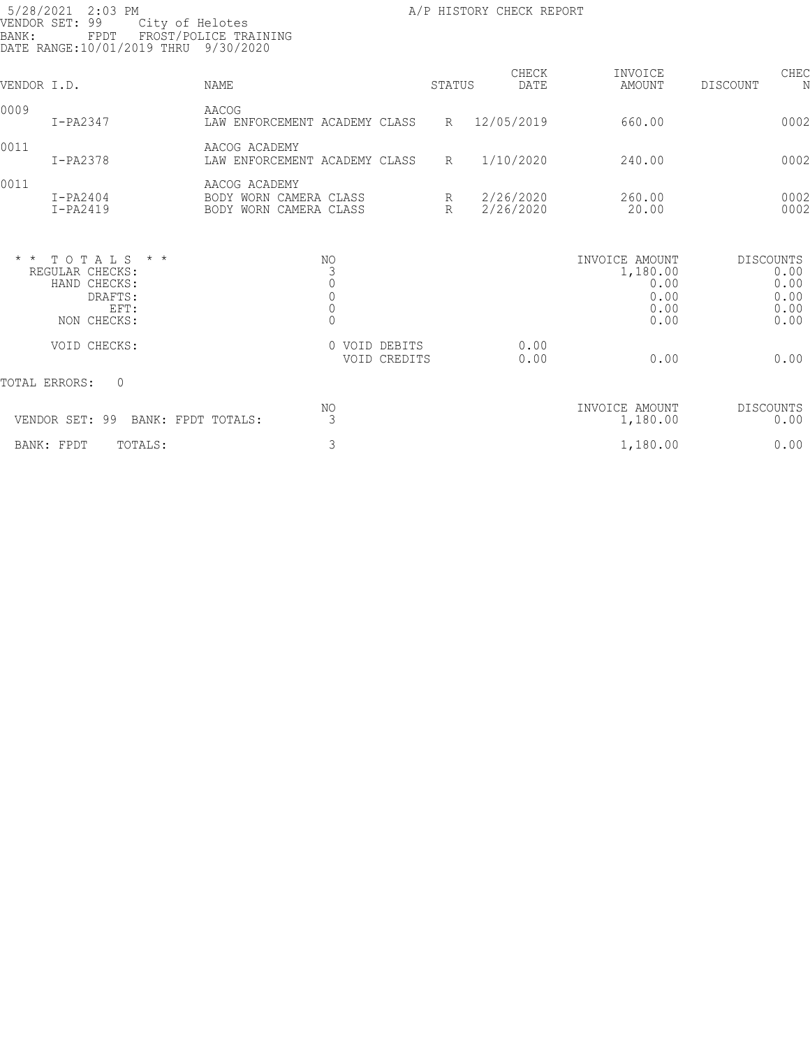| 5/28/2021<br>VENDOR SET:<br>BANK: | $2:03$ PM<br>99<br>City of Helotes<br>FPDT<br>DATE RANGE:10/01/2019 THRU 9/30/2020    | FROST/POLICE TRAINING                                                                |                               |                      | A/P HISTORY CHECK REPORT |                                                            |                                                          |
|-----------------------------------|---------------------------------------------------------------------------------------|--------------------------------------------------------------------------------------|-------------------------------|----------------------|--------------------------|------------------------------------------------------------|----------------------------------------------------------|
| VENDOR I.D.                       |                                                                                       | <b>NAME</b>                                                                          |                               | STATUS               | CHECK<br>DATE            | INVOICE<br>AMOUNT                                          | CHEC<br>DISCOUNT<br>N                                    |
| 0009                              | $I-PA2347$                                                                            | AACOG<br>LAW ENFORCEMENT ACADEMY CLASS                                               |                               | $R_{\perp}$          | 12/05/2019               | 660.00                                                     | 0002                                                     |
| 0011                              | $I-PA2378$                                                                            | AACOG ACADEMY<br>LAW ENFORCEMENT ACADEMY CLASS                                       |                               | $R_{\parallel}$      | 1/10/2020                | 240.00                                                     | 0002                                                     |
| 0011                              | $I-PA2404$<br>$I-PA2419$                                                              | AACOG ACADEMY<br>BODY WORN CAMERA CLASS<br>BODY WORN CAMERA CLASS                    |                               | R<br>$R_{\parallel}$ | 2/26/2020<br>2/26/2020   | 260.00<br>20.00                                            | 0002<br>0002                                             |
|                                   | $*$ * TOTALS * *<br>REGULAR CHECKS:<br>HAND CHECKS:<br>DRAFTS:<br>EFT:<br>NON CHECKS: | NO.<br>$\mathfrak{Z}$<br>$\mathbb O$<br>$\mathbb O$<br>$\overline{0}$<br>$\mathbf 0$ |                               |                      |                          | INVOICE AMOUNT<br>1,180.00<br>0.00<br>0.00<br>0.00<br>0.00 | <b>DISCOUNTS</b><br>0.00<br>0.00<br>0.00<br>0.00<br>0.00 |
|                                   | VOID CHECKS:                                                                          |                                                                                      | 0 VOID DEBITS<br>VOID CREDITS |                      | 0.00<br>0.00             | 0.00                                                       | 0.00                                                     |
|                                   | TOTAL ERRORS:<br>$\circ$                                                              |                                                                                      |                               |                      |                          |                                                            |                                                          |
|                                   | VENDOR SET: 99<br>BANK: FPDT TOTALS:                                                  | NO.<br>3                                                                             |                               |                      |                          | INVOICE AMOUNT<br>1,180.00                                 | <b>DISCOUNTS</b><br>0.00                                 |
|                                   | TOTALS:<br>BANK: FPDT                                                                 | 3                                                                                    |                               |                      |                          | 1,180.00                                                   | 0.00                                                     |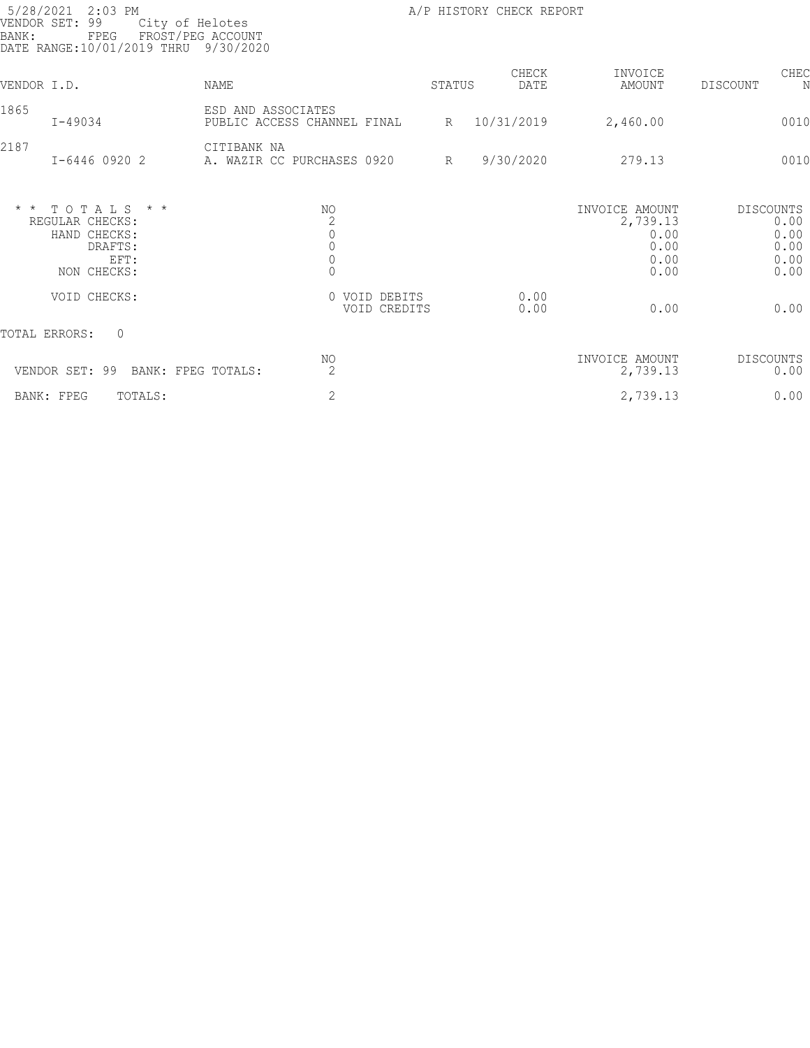| 5/28/2021<br>$2:03$ PM<br>99<br>VENDOR SET:<br>BANK:<br>FPEG              | City of Helotes<br>FROST/PEG ACCOUNT<br>DATE RANGE: 10/01/2019 THRU 9/30/2020 |                                                                                          |                               |   | A/P HISTORY CHECK REPORT |                                                            |                  |                                      |
|---------------------------------------------------------------------------|-------------------------------------------------------------------------------|------------------------------------------------------------------------------------------|-------------------------------|---|--------------------------|------------------------------------------------------------|------------------|--------------------------------------|
| VENDOR I.D.                                                               | NAME                                                                          |                                                                                          | STATUS                        |   | CHECK<br>DATE            | INVOICE<br>AMOUNT                                          | DISCOUNT         | CHEC<br>N                            |
| 1865<br>$I - 49034$                                                       |                                                                               | ESD AND ASSOCIATES<br>PUBLIC ACCESS CHANNEL FINAL                                        |                               | R | 10/31/2019               | 2,460.00                                                   |                  | 0010                                 |
| 2187<br>I-6446 0920 2                                                     |                                                                               | CITIBANK NA<br>A. WAZIR CC PURCHASES 0920                                                | $R_{\parallel}$               |   | 9/30/2020                | 279.13                                                     |                  | 0010                                 |
| $* * TOTALS$<br>REGULAR CHECKS:<br>HAND CHECKS:<br>DRAFTS:<br>NON CHECKS: | $\star$ $\star$<br>EFT:                                                       | NO.<br>$\begin{matrix} 2 \\ 0 \\ 0 \end{matrix}$<br>$\begin{matrix} 0 \\ 0 \end{matrix}$ |                               |   |                          | INVOICE AMOUNT<br>2,739.13<br>0.00<br>0.00<br>0.00<br>0.00 | DISCOUNTS        | 0.00<br>0.00<br>0.00<br>0.00<br>0.00 |
| VOID CHECKS:                                                              |                                                                               |                                                                                          | 0 VOID DEBITS<br>VOID CREDITS |   | 0.00<br>0.00             | 0.00                                                       |                  | 0.00                                 |
| TOTAL ERRORS:<br>$\Omega$                                                 |                                                                               |                                                                                          |                               |   |                          |                                                            |                  |                                      |
| VENDOR SET: 99                                                            | BANK: FPEG TOTALS:                                                            | NO.<br>$\overline{2}$                                                                    |                               |   |                          | INVOICE AMOUNT<br>2,739.13                                 | <b>DISCOUNTS</b> | 0.00                                 |
| BANK: FPEG                                                                | TOTALS:                                                                       | $\mathbf{2}$                                                                             |                               |   |                          | 2,739.13                                                   |                  | 0.00                                 |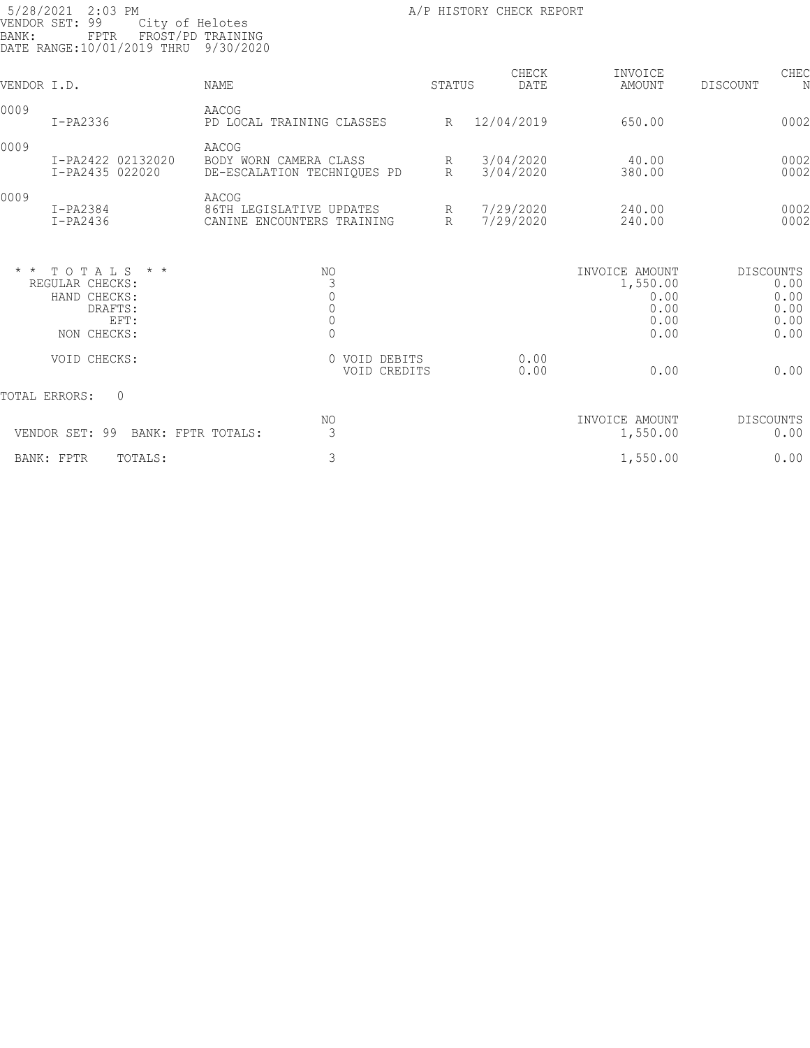| 5/28/2021<br>BANK: | $2:03$ PM<br>VENDOR SET: 99<br>City of Helotes<br>FPTR<br>DATE RANGE:10/01/2019 THRU 9/30/2020 | FROST/PD TRAINING                                                               |                               | A/P HISTORY CHECK REPORT |                                                            |                                                          |
|--------------------|------------------------------------------------------------------------------------------------|---------------------------------------------------------------------------------|-------------------------------|--------------------------|------------------------------------------------------------|----------------------------------------------------------|
| VENDOR I.D.        |                                                                                                | NAME                                                                            | STATUS                        | CHECK<br>DATE            | INVOICE<br>AMOUNT                                          | CHEC<br>DISCOUNT<br>N                                    |
| 0009               | $I-PA2336$                                                                                     | AACOG<br>PD LOCAL TRAINING CLASSES                                              | $R_{\parallel}$               | 12/04/2019               | 650.00                                                     | 0002                                                     |
| 0009               | I-PA2422 02132020<br>I-PA2435 022020                                                           | AACOG<br>BODY WORN CAMERA CLASS<br>DE-ESCALATION TECHNIQUES PD                  | R<br>$R_{\parallel}$          | 3/04/2020<br>3/04/2020   | 40.00<br>380.00                                            | 0002<br>0002                                             |
| 0009               | $I-PA2384$<br>$I-PA2436$                                                                       | AACOG<br>86TH LEGISLATIVE UPDATES<br>CANINE ENCOUNTERS TRAINING                 | $R_{\odot}$<br>R              | 7/29/2020<br>7/29/2020   | 240.00<br>240.00                                           | 0002<br>0002                                             |
| $\star$ $\star$    | TOTALS * *<br>REGULAR CHECKS:<br>HAND CHECKS:<br>DRAFTS:<br>EFT:<br>NON CHECKS:                | NO.<br>3<br>$\mathbb O$<br>$\begin{matrix} 0 \\ 0 \end{matrix}$<br>$\mathbf{0}$ |                               |                          | INVOICE AMOUNT<br>1,550.00<br>0.00<br>0.00<br>0.00<br>0.00 | <b>DISCOUNTS</b><br>0.00<br>0.00<br>0.00<br>0.00<br>0.00 |
|                    | VOID CHECKS:                                                                                   |                                                                                 | 0 VOID DEBITS<br>VOID CREDITS | 0.00<br>0.00             | 0.00                                                       | 0.00                                                     |
|                    | TOTAL ERRORS:<br>$\circ$                                                                       |                                                                                 |                               |                          |                                                            |                                                          |
|                    | VENDOR SET: 99                                                                                 | NO.<br>3<br>BANK: FPTR TOTALS:                                                  |                               |                          | INVOICE AMOUNT<br>1,550.00                                 | <b>DISCOUNTS</b><br>0.00                                 |
|                    | BANK: FPTR<br>TOTALS:                                                                          | $\mathfrak{Z}$                                                                  |                               |                          | 1,550.00                                                   | 0.00                                                     |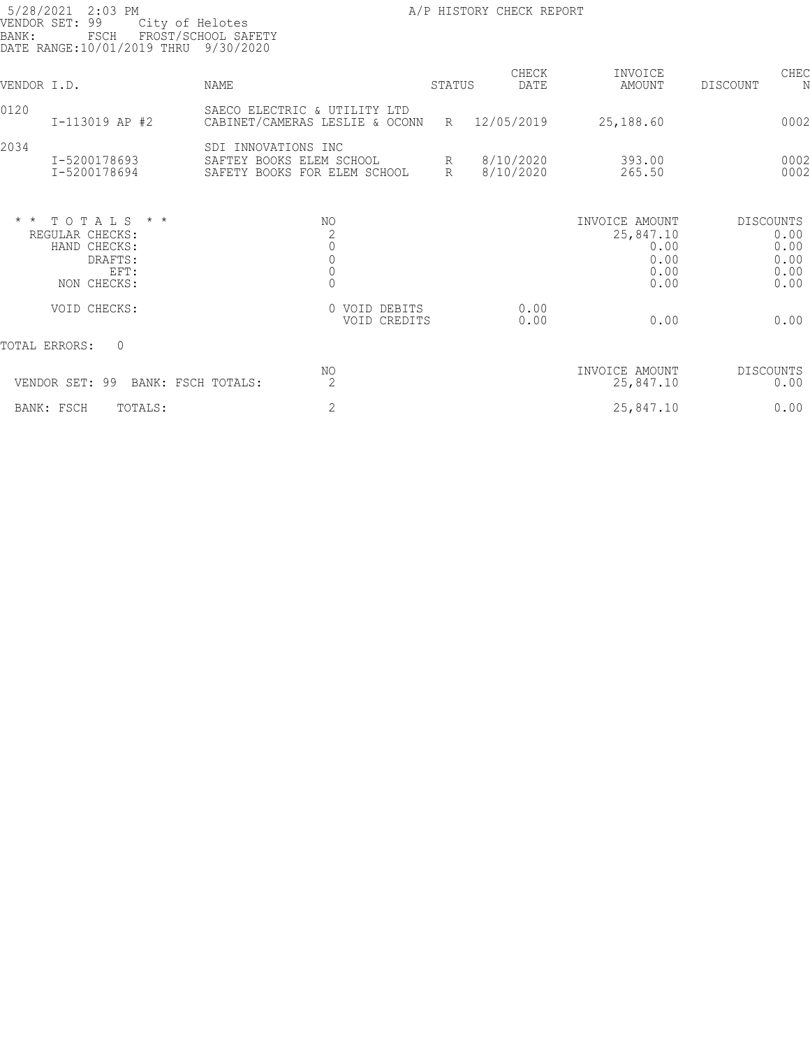| 5/28/2021<br>VENDOR SET:<br>BANK: | $2:03$ PM<br>99<br>City of Helotes<br>FSCH<br>DATE RANGE: 10/01/2019 THRU 9/30/2020   | FROST/SCHOOL SAFETY                                                             |                               |                      | A/P HISTORY CHECK REPORT |                                                             |                  |                                      |
|-----------------------------------|---------------------------------------------------------------------------------------|---------------------------------------------------------------------------------|-------------------------------|----------------------|--------------------------|-------------------------------------------------------------|------------------|--------------------------------------|
| VENDOR I.D.                       |                                                                                       | <b>NAME</b>                                                                     |                               | STATUS               | CHECK<br>DATE            | INVOICE<br>AMOUNT                                           | DISCOUNT         | CHEC<br>N                            |
| 0120                              | I-113019 AP #2                                                                        | SAECO ELECTRIC & UTILITY LTD<br>CABINET/CAMERAS LESLIE & OCONN                  |                               | R                    | 12/05/2019               | 25,188.60                                                   |                  | 0002                                 |
| 2034                              | I-5200178693<br>I-5200178694                                                          | SDI INNOVATIONS INC<br>SAFTEY BOOKS ELEM SCHOOL<br>SAFETY BOOKS FOR ELEM SCHOOL |                               | R<br>$R_{\parallel}$ | 8/10/2020<br>8/10/2020   | 393.00<br>265.50                                            |                  | 0002<br>0002                         |
|                                   | $*$ * TOTALS * *<br>REGULAR CHECKS:<br>HAND CHECKS:<br>DRAFTS:<br>EFT:<br>NON CHECKS: | NO.<br>$\begin{matrix} 2 \\ 0 \\ 0 \\ 0 \end{matrix}$<br>$\mathbb O$            |                               |                      |                          | INVOICE AMOUNT<br>25,847.10<br>0.00<br>0.00<br>0.00<br>0.00 | <b>DISCOUNTS</b> | 0.00<br>0.00<br>0.00<br>0.00<br>0.00 |
|                                   | VOID CHECKS:                                                                          |                                                                                 | 0 VOID DEBITS<br>VOID CREDITS |                      | 0.00<br>0.00             | 0.00                                                        |                  | 0.00                                 |
|                                   | $\Omega$<br>TOTAL ERRORS:                                                             |                                                                                 |                               |                      |                          |                                                             |                  |                                      |
|                                   | VENDOR SET: 99<br>BANK: FSCH TOTALS:                                                  | NO<br>2                                                                         |                               |                      |                          | INVOICE AMOUNT<br>25,847.10                                 | <b>DISCOUNTS</b> | 0.00                                 |
|                                   | BANK: FSCH<br>TOTALS:                                                                 | $\overline{2}$                                                                  |                               |                      |                          | 25,847.10                                                   |                  | 0.00                                 |
|                                   |                                                                                       |                                                                                 |                               |                      |                          |                                                             |                  |                                      |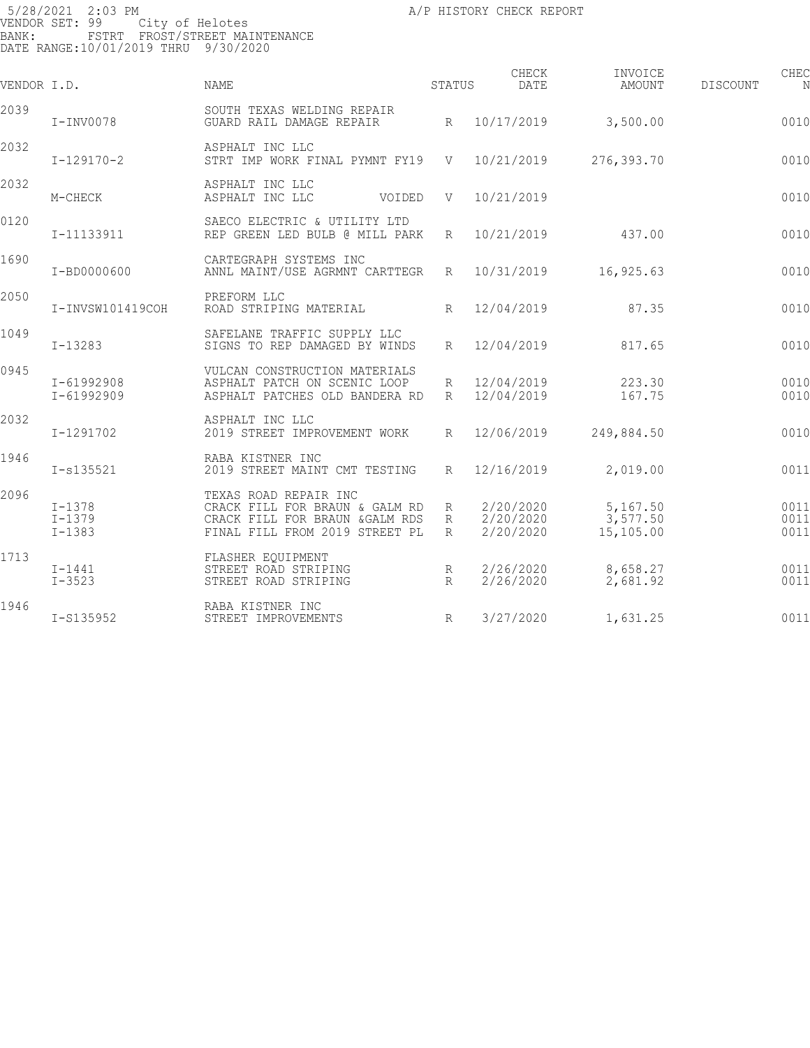5/28/2021 2:03 PM **A/P HISTORY CHECK REPORT** VENDOR SET: 99 City of Helotes BANK: FSTRT FROST/STREET MAINTENANCE DATE RANGE:10/01/2019 THRU 9/30/2020 CHECK INVOICE CHECK CHECK CHECK VENDOR I.D. NAME STATUS DATE AMOUNT DISCOUNT NO STATUS AMOUNT 2039 SOUTH TEXAS WELDING REPAIR GUARD RAIL DAMAGE REPAIR R  $10/17/2019$  3,500.00 0010 2032 ASPHALT INC LLC STRT IMP WORK FINAL PYMNT FY19 V 10/21/2019 276,393.70 0010 2032 ASPHALT INC LLC ASPHALT INC LLC 00IDED V 10/21/2019 276,393.70CRP 0010 0120 SAECO ELECTRIC & UTILITY LTD REP GREEN LED BULB @ MILL PARK R 10/21/2019 437.00 437.00 1690 CARTEGRAPH SYSTEMS INC<br>I-BD0000600 ANNL MAINT/USE AGRMNT ANNL MAINT/USE AGRMNT CARTTEGR R 10/31/2019 16,925.63 0010 2050 PREFORM LLC ROAD STRIPING MATERIAL  $R = 12/04/2019$  87.35 0010 1049 SAFELANE TRAFFIC SUPPLY LLC SIGNS TO REP DAMAGED BY WINDS R 12/04/2019 817.65 0010 0945 VULCAN CONSTRUCTION MATERIALS I-61992908 ASPHALT PATCH ON SCENIC LOOP R 12/04/2019 223.30 001098 ASPHALT PATCHES OLD BANDERA RD R 12/04/2019 167.75 0010 2032 ASPHALT INC LLC I-1291702 2019 STREET IMPROVEMENT WORK R 12/06/2019 249,884.50 001099 249,884.50 1946 **1-s135521** RABA KISTNER INC<br>2019 STREET MAINT I-s135521 2019 STREET MAINT CMT TESTING R 12/16/2019 2,019.00 001100 2,019.00 2096 TEXAS ROAD REPAIR INC I-1378 CRACK FILL FOR BRAUN & GALM RD R 2/20/2020 5,167.50 001101 I-1379 CRACK FILL FOR BRAUN &GALM RDS R 2/20/2020 3,577.50 001101 I-1383 FINAL FILL FROM 2019 STREET PL R 2/20/2020 15,105.00 001101 23,850.00 1713 FLASHER EQUIPMENT I-1441 STREET ROAD STRIPING R 2/26/2020 8,658.27 001102 I-3523 STREET ROAD STRIPING R 2/26/2020 2,681.92 001102 11,340.19

STREET IMPROVEMENTS R 3/27/2020 1,631.25 0011

1946 RABA KISTNER INC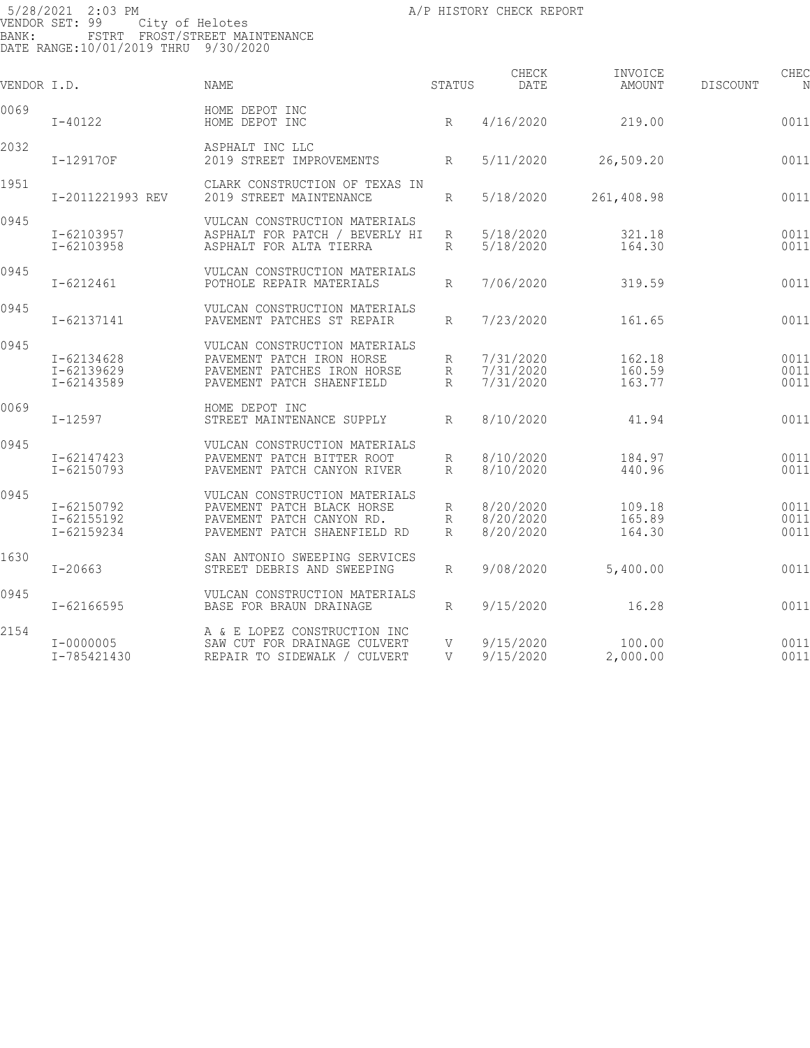5/28/2021 2:03 PM **A/P HISTORY CHECK REPORT** VENDOR SET: 99 City of Helotes BANK: FSTRT FROST/STREET MAINTENANCE DATE RANGE:10/01/2019 THRU 9/30/2020 CHECK INVOICE CHECK CHECK CHECK VENDOR I.D. NAME STATUS DATE AMOUNT DISCOUNT NO STATUS AMOUNT 0069 HOME DEPOT INC I-40122 HOME DEPOT INC R 4/16/2020 219.00 001104 219.00 2032 **1-129170F** ASPHALT INC LLC 12019 STREET IMPROVEMENTS R 5/11/2020 26,509.20 0011 1951 CLARK CONSTRUCTION OF TEXAS IN 2019 STREET MAINTENANCE R 5/18/2020 261,408.98 0011 0945 VULCAN CONSTRUCTION MATERIALS I-62103957 ASPHALT FOR PATCH / BEVERLY HI R 5/18/2020 321.18 001107 ASPHALT FOR ALTA TIERRA 0945 VULCAN CONSTRUCTION MATERIALS POTHOLE REPAIR MATERIALS  $R = \frac{7}{06}$  7/06/2020 319.59 0011 0945 VULCAN CONSTRUCTION MATERIALS PAVEMENT PATCHES ST REPAIR R 7/23/2020 161.65 0011 0945 VULCAN CONSTRUCTION MATERIALS I-62134628 PAVEMENT PATCH IRON HORSE R 7/31/2020 162.18 0011<br>I-62139629 PAVEMENT PATCHES IRON HORSE R 7/31/2020 160.59 0011<br>I-62143589 PAVEMENT PATCH SHAENFIELD R 7/31/2020 163.77 0011 I-62139629 PAVEMENT PATCHES IRON HORSE R 7/31/2020 160.59 001110

|      | I-62143589                             | PAVEMENT PATCH SHAENFIELD                                                                                                | R           | 7/31/2020                           | 163.77                     | 0011                 |
|------|----------------------------------------|--------------------------------------------------------------------------------------------------------------------------|-------------|-------------------------------------|----------------------------|----------------------|
| 0069 | $I - 12597$                            | HOME DEPOT INC<br>STREET MAINTENANCE SUPPLY                                                                              | R           | 8/10/2020                           | 41.94                      | 0011                 |
| 0945 | I-62147423<br>$I - 62150793$           | VULCAN CONSTRUCTION MATERIALS<br>PAVEMENT PATCH BITTER ROOT<br>PAVEMENT PATCH CANYON RIVER                               | R<br>R      | 8/10/2020<br>8/10/2020              | 184.97<br>440.96           | 0011<br>0011         |
| 0945 | I-62150792<br>I-62155192<br>I-62159234 | VULCAN CONSTRUCTION MATERIALS<br>PAVEMENT PATCH BLACK HORSE<br>PAVEMENT PATCH CANYON RD.<br>PAVEMENT PATCH SHAENFIELD RD | R<br>R<br>R | 8/20/2020<br>8/20/2020<br>8/20/2020 | 109.18<br>165.89<br>164.30 | 0011<br>0011<br>0011 |
| 1630 | $I - 20663$                            | SAN ANTONIO SWEEPING SERVICES<br>STREET DEBRIS AND SWEEPING                                                              | R           | 9/08/2020                           | 5,400.00                   | 0011                 |
| 0945 | I-62166595                             | VULCAN CONSTRUCTION MATERIALS<br>BASE FOR BRAUN DRAINAGE                                                                 | R           | 9/15/2020                           | 16.28                      | 0011                 |
| 2154 | $I - 00000005$<br>I-785421430          | A & E LOPEZ CONSTRUCTION INC<br>SAW CUT FOR DRAINAGE CULVERT<br>REPAIR TO SIDEWALK / CULVERT                             | V<br>V      | 9/15/2020<br>9/15/2020              | 100.00<br>2,000.00         | 0011<br>0011         |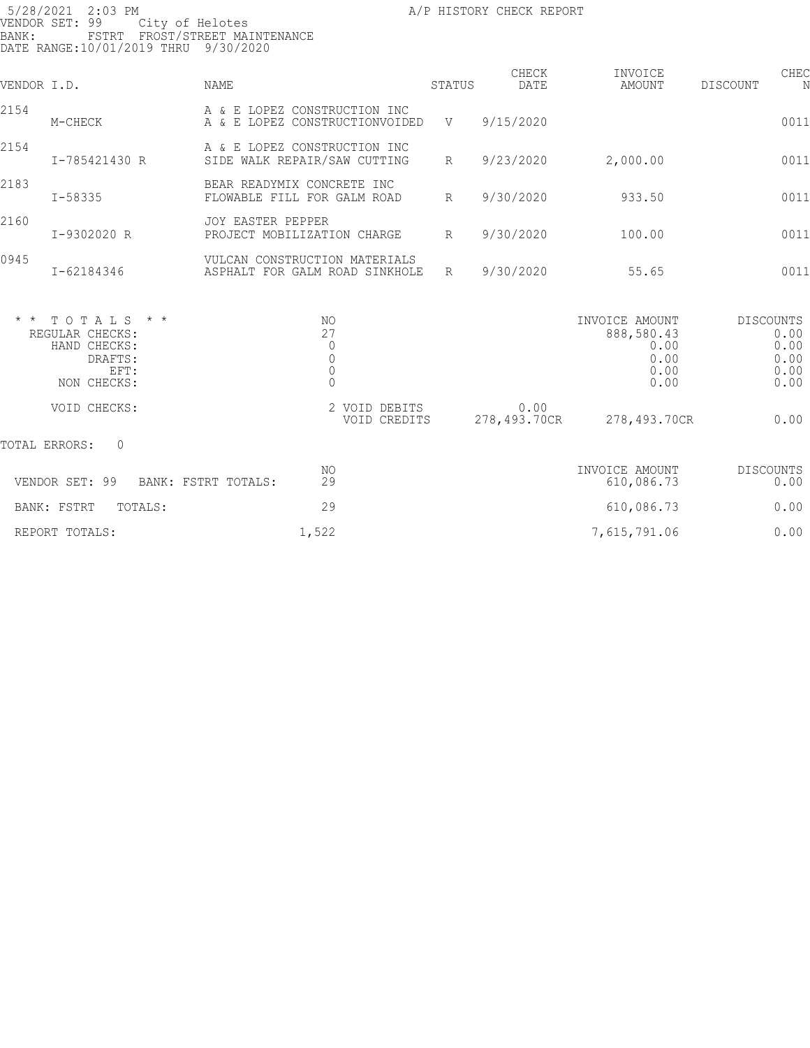| BANK:       | 5/28/2021 2:03 PM<br>VENDOR SET: 99<br>City of Helotes<br>DATE RANGE:10/01/2019 THRU 9/30/2020 | FSTRT FROST/STREET MAINTENANCE                                        |                 | A/P HISTORY CHECK REPORT |                                                              |                                                          |
|-------------|------------------------------------------------------------------------------------------------|-----------------------------------------------------------------------|-----------------|--------------------------|--------------------------------------------------------------|----------------------------------------------------------|
| VENDOR I.D. |                                                                                                | NAME                                                                  | STATUS          | CHECK<br>DATE            | INVOICE<br>AMOUNT                                            | CHEC<br>DISCOUNT<br>N                                    |
| 2154        | M-CHECK                                                                                        | A & E LOPEZ CONSTRUCTION INC<br>A & E LOPEZ CONSTRUCTIONVOIDED        | V               | 9/15/2020                |                                                              | 0011                                                     |
| 2154        | I-785421430 R                                                                                  | A & E LOPEZ CONSTRUCTION INC<br>SIDE WALK REPAIR/SAW CUTTING          | R               | 9/23/2020                | 2,000.00                                                     | 0011                                                     |
| 2183        | I-58335                                                                                        | BEAR READYMIX CONCRETE INC<br>FLOWABLE FILL FOR GALM ROAD             | $R_{\parallel}$ | 9/30/2020                | 933.50                                                       | 0011                                                     |
| 2160        | I-9302020 R                                                                                    | JOY EASTER PEPPER<br>PROJECT MOBILIZATION CHARGE                      | $R_{\parallel}$ | 9/30/2020                | 100.00                                                       | 0011                                                     |
| 0945        | I-62184346                                                                                     | VULCAN CONSTRUCTION MATERIALS<br>ASPHALT FOR GALM ROAD SINKHOLE       | R               | 9/30/2020                | 55.65                                                        | 0011                                                     |
|             | $*$ * TOTALS * *<br>REGULAR CHECKS:<br>HAND CHECKS:<br>DRAFTS:<br>EFT:<br>NON CHECKS:          | NO.<br>27<br>$\mathbb O$<br>$\begin{matrix} 0 \\ 0 \\ 0 \end{matrix}$ |                 |                          | INVOICE AMOUNT<br>888,580.43<br>0.00<br>0.00<br>0.00<br>0.00 | <b>DISCOUNTS</b><br>0.00<br>0.00<br>0.00<br>0.00<br>0.00 |
|             | VOID CHECKS:                                                                                   | 2 VOID DEBITS<br>VOID CREDITS                                         |                 | 0.00<br>278,493.70CR     | 278,493.70CR                                                 | 0.00                                                     |
|             |                                                                                                |                                                                       |                 |                          |                                                              |                                                          |

TOTAL ERRORS: 0

| VENDOR SET: 99<br>BANK: FSTRT TOTALS: | ΝO<br>29 | INVOICE AMOUNT<br>610,086.73 | DISCOUNTS<br>0.00 |
|---------------------------------------|----------|------------------------------|-------------------|
| BANK: FSTRT<br>TOTALS:                | 29       | 610,086.73                   | 0.00              |
| REPORT TOTALS:                        | 1,522    | 7,615,791.06                 | 0.00              |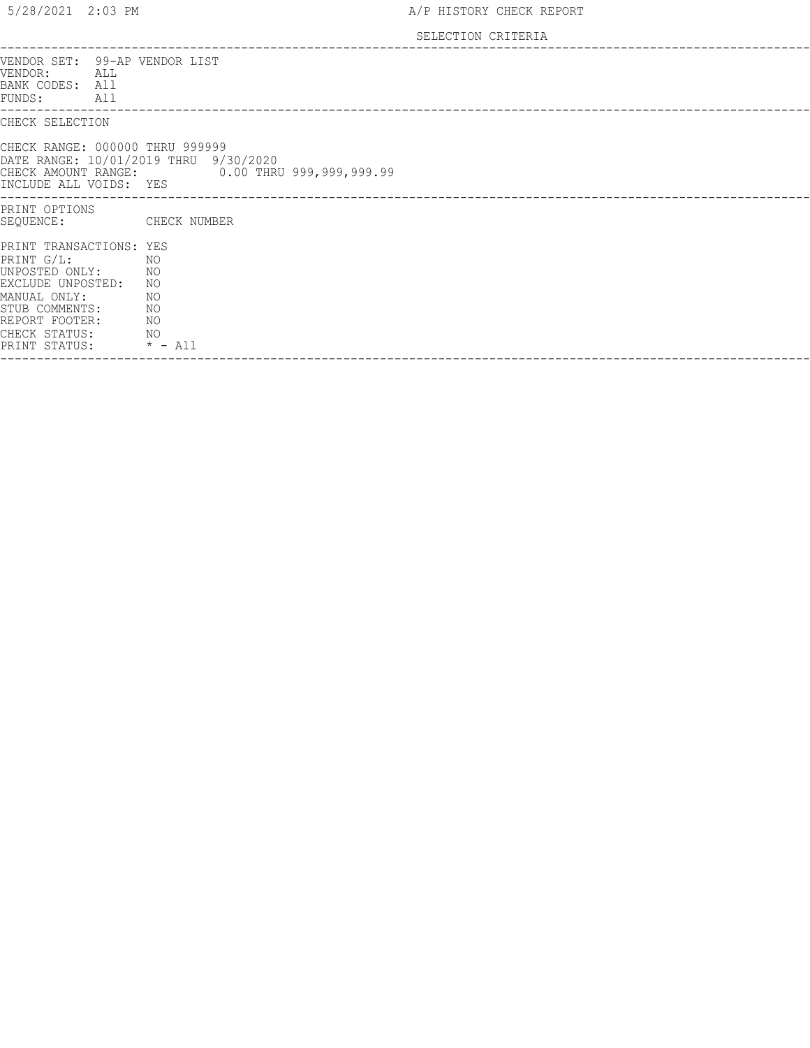## SELECTION CRITERIA

| VENDOR SET: 99-AP VENDOR LIST<br>VENDOR:<br>ALL<br>BANK CODES: All<br>FUNDS:<br>All<br>-----------------                                                              |                                                      |
|-----------------------------------------------------------------------------------------------------------------------------------------------------------------------|------------------------------------------------------|
| CHECK SELECTION                                                                                                                                                       |                                                      |
| CHECK RANGE: 000000 THRU 999999<br>DATE RANGE: 10/01/2019 THRU 9/30/2020<br>INCLUDE ALL VOIDS: YES                                                                    | CHECK AMOUNT RANGE: 0.00 THRU 999,999,999.99         |
| PRINT OPTIONS<br>SEQUENCE:                                                                                                                                            | CHECK NUMBER                                         |
| PRINT TRANSACTIONS: YES<br>$PRINT G/L$ :<br>UNPOSTED ONLY:<br>EXCLUDE UNPOSTED:<br>MANUAL ONLY:<br>STUB COMMENTS:<br>REPORT FOOTER:<br>CHECK STATUS:<br>PRINT STATUS: | ΝO<br>ΝO<br>ΝO<br>NO<br>ΝO<br>ΝO<br>NO.<br>$* - All$ |
|                                                                                                                                                                       |                                                      |